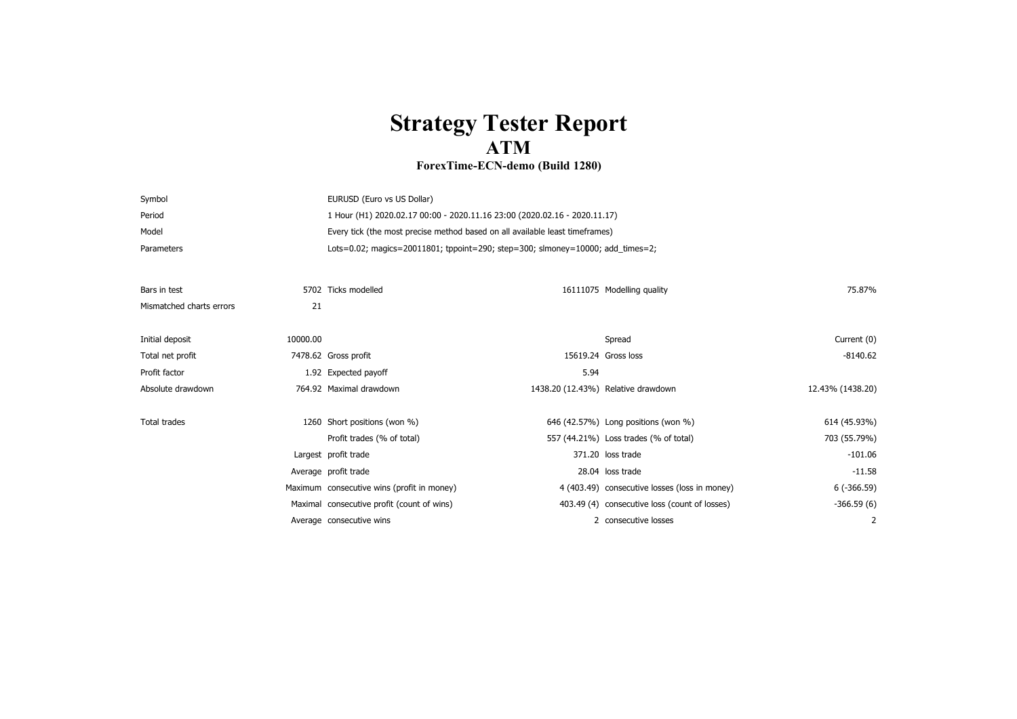## **Strategy Tester Report ATM**

## **ForexTime-ECN-demo (Build 1280)**

| Symbol                   |          | EURUSD (Euro vs US Dollar)                                                     |                     |                                               |                  |  |
|--------------------------|----------|--------------------------------------------------------------------------------|---------------------|-----------------------------------------------|------------------|--|
| Period                   |          | 1 Hour (H1) 2020.02.17 00:00 - 2020.11.16 23:00 (2020.02.16 - 2020.11.17)      |                     |                                               |                  |  |
| Model                    |          | Every tick (the most precise method based on all available least timeframes)   |                     |                                               |                  |  |
| Parameters               |          | Lots=0.02; magics=20011801; tppoint=290; step=300; slmoney=10000; add_times=2; |                     |                                               |                  |  |
|                          |          |                                                                                |                     |                                               |                  |  |
| Bars in test             |          | 5702 Ticks modelled                                                            |                     | 16111075 Modelling quality                    | 75.87%           |  |
| Mismatched charts errors | 21       |                                                                                |                     |                                               |                  |  |
|                          |          |                                                                                |                     |                                               |                  |  |
| Initial deposit          | 10000.00 |                                                                                |                     | Spread                                        | Current (0)      |  |
| Total net profit         |          | 7478.62 Gross profit                                                           | 15619.24 Gross loss |                                               | $-8140.62$       |  |
| Profit factor            |          | 1.92 Expected payoff                                                           | 5.94                |                                               |                  |  |
| Absolute drawdown        |          | 764.92 Maximal drawdown                                                        |                     | 1438.20 (12.43%) Relative drawdown            | 12.43% (1438.20) |  |
|                          |          |                                                                                |                     |                                               |                  |  |
| <b>Total trades</b>      |          | 1260 Short positions (won %)                                                   |                     | 646 (42.57%) Long positions (won %)           | 614 (45.93%)     |  |
|                          |          | Profit trades (% of total)                                                     |                     | 557 (44.21%) Loss trades (% of total)         | 703 (55.79%)     |  |
|                          |          | Largest profit trade                                                           |                     | 371.20 loss trade                             | $-101.06$        |  |
|                          |          | Average profit trade                                                           |                     | 28.04 loss trade                              | $-11.58$         |  |
|                          |          | Maximum consecutive wins (profit in money)                                     |                     | 4 (403.49) consecutive losses (loss in money) | $6(-366.59)$     |  |
|                          |          | Maximal consecutive profit (count of wins)                                     |                     | 403.49 (4) consecutive loss (count of losses) | $-366.59(6)$     |  |
|                          |          | Average consecutive wins                                                       |                     | 2 consecutive losses                          | 2                |  |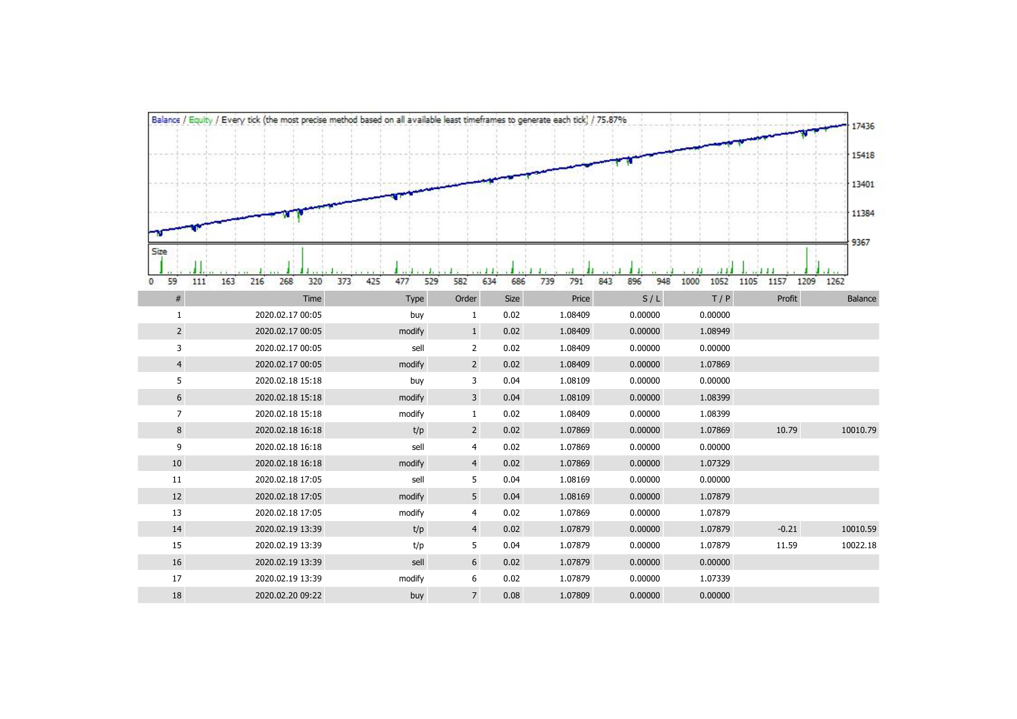|                        | Balance / Equity / Every tick (the most precise method based on all available least timeframes to generate each tick) / 75.87% |                           |                         |             |                     |                          |                     |                                | 17436           |  |  |  |
|------------------------|--------------------------------------------------------------------------------------------------------------------------------|---------------------------|-------------------------|-------------|---------------------|--------------------------|---------------------|--------------------------------|-----------------|--|--|--|
|                        |                                                                                                                                |                           |                         |             |                     |                          |                     |                                |                 |  |  |  |
|                        |                                                                                                                                |                           |                         |             |                     |                          |                     |                                | 15418           |  |  |  |
|                        |                                                                                                                                |                           |                         |             |                     |                          |                     |                                | 13401           |  |  |  |
|                        |                                                                                                                                |                           |                         |             |                     |                          |                     |                                | 11384           |  |  |  |
| Size                   |                                                                                                                                |                           |                         |             |                     |                          |                     |                                | 9367            |  |  |  |
|                        |                                                                                                                                |                           |                         |             |                     |                          |                     |                                |                 |  |  |  |
| 59<br>111<br>0<br>$\#$ | 268<br>320<br>373<br>163<br>216<br>Time                                                                                        | 425<br>477<br>529<br>Type | 582<br>634<br>Order     | 686<br>Size | 791<br>739<br>Price | 843<br>896<br>948<br>S/L | 1052<br>1000<br>T/P | 1157<br>1209<br>1105<br>Profit | 1262<br>Balance |  |  |  |
| $\mathbf{1}$           | 2020.02.17 00:05                                                                                                               | buy                       | 1                       | 0.02        | 1.08409             | 0.00000                  | 0.00000             |                                |                 |  |  |  |
| $\overline{2}$         | 2020.02.17 00:05                                                                                                               | modify                    | $\mathbf{1}$            | 0.02        | 1.08409             | 0.00000                  | 1.08949             |                                |                 |  |  |  |
| 3                      | 2020.02.17 00:05                                                                                                               | sell                      | $\overline{2}$          | 0.02        | 1.08409             | 0.00000                  | 0.00000             |                                |                 |  |  |  |
| $\overline{4}$         | 2020.02.17 00:05                                                                                                               | modify                    | $\overline{2}$          | 0.02        | 1.08409             | 0.00000                  | 1.07869             |                                |                 |  |  |  |
| 5                      | 2020.02.18 15:18                                                                                                               | buy                       | 3                       | 0.04        | 1.08109             | 0.00000                  | 0.00000             |                                |                 |  |  |  |
| 6                      | 2020.02.18 15:18                                                                                                               | modify                    | $\overline{\mathbf{3}}$ | 0.04        | 1.08109             | 0.00000                  | 1.08399             |                                |                 |  |  |  |
| $\overline{7}$         | 2020.02.18 15:18                                                                                                               | modify                    | $\mathbf{1}$            | 0.02        | 1.08409             | 0.00000                  | 1.08399             |                                |                 |  |  |  |
| 8                      | 2020.02.18 16:18                                                                                                               | t/p                       | $\overline{2}$          | 0.02        | 1.07869             | 0.00000                  | 1.07869             | 10.79                          | 10010.79        |  |  |  |
| 9                      | 2020.02.18 16:18                                                                                                               | sell                      | 4                       | 0.02        | 1.07869             | 0.00000                  | 0.00000             |                                |                 |  |  |  |
| 10                     | 2020.02.18 16:18                                                                                                               | modify                    | $\overline{4}$          | 0.02        | 1.07869             | 0.00000                  | 1.07329             |                                |                 |  |  |  |
| 11                     | 2020.02.18 17:05                                                                                                               | sell                      | 5                       | 0.04        | 1.08169             | 0.00000                  | 0.00000             |                                |                 |  |  |  |
| 12                     | 2020.02.18 17:05                                                                                                               | modify                    | 5                       | 0.04        | 1.08169             | 0.00000                  | 1.07879             |                                |                 |  |  |  |
| 13                     | 2020.02.18 17:05                                                                                                               | modify                    | 4                       | 0.02        | 1.07869             | 0.00000                  | 1.07879             |                                |                 |  |  |  |
| 14                     | 2020.02.19 13:39                                                                                                               | t/p                       | $\overline{4}$          | 0.02        | 1.07879             | 0.00000                  | 1.07879             | $-0.21$                        | 10010.59        |  |  |  |
| 15                     | 2020.02.19 13:39                                                                                                               | t/p                       | 5                       | 0.04        | 1.07879             | 0.00000                  | 1.07879             | 11.59                          | 10022.18        |  |  |  |
| 16                     | 2020.02.19 13:39                                                                                                               | sell                      | 6                       | 0.02        | 1.07879             | 0.00000                  | 0.00000             |                                |                 |  |  |  |
| 17                     | 2020.02.19 13:39                                                                                                               | modify                    | 6                       | 0.02        | 1.07879             | 0.00000                  | 1.07339             |                                |                 |  |  |  |
| 18                     | 2020.02.20 09:22                                                                                                               | buy                       | $\overline{7}$          | 0.08        | 1.07809             | 0.00000                  | 0.00000             |                                |                 |  |  |  |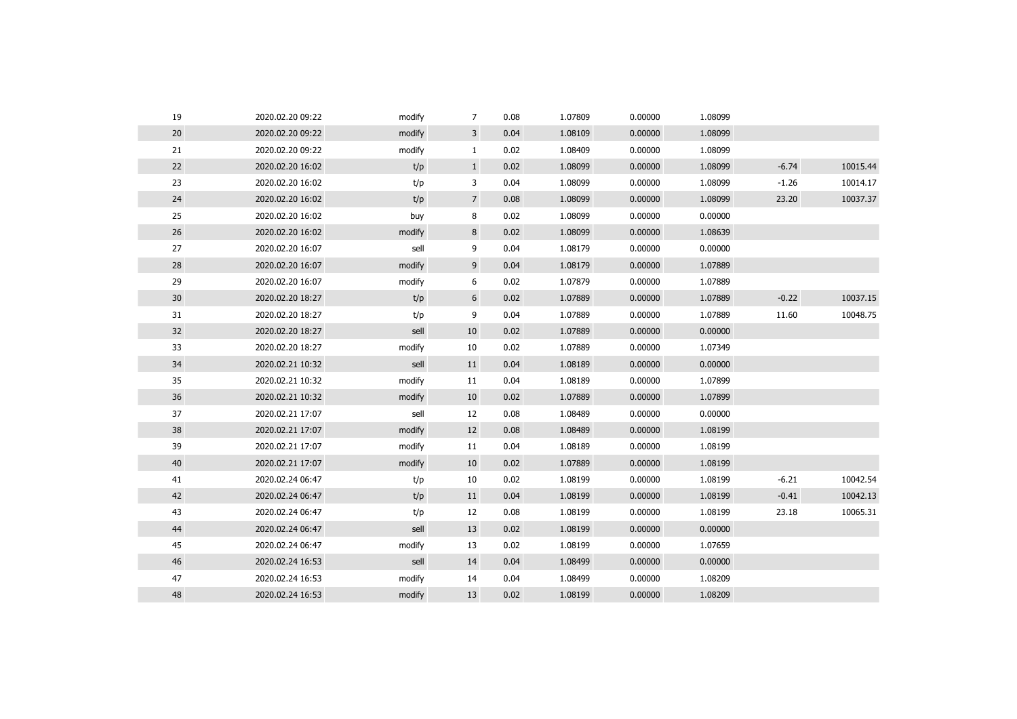| 19 | 2020.02.20 09:22 | modify | 7              | 0.08 | 1.07809 | 0.00000 | 1.08099 |         |          |
|----|------------------|--------|----------------|------|---------|---------|---------|---------|----------|
| 20 | 2020.02.20 09:22 | modify | 3              | 0.04 | 1.08109 | 0.00000 | 1.08099 |         |          |
| 21 | 2020.02.20 09:22 | modify | $\mathbf{1}$   | 0.02 | 1.08409 | 0.00000 | 1.08099 |         |          |
| 22 | 2020.02.20 16:02 | t/p    | $\mathbf{1}$   | 0.02 | 1.08099 | 0.00000 | 1.08099 | $-6.74$ | 10015.44 |
| 23 | 2020.02.20 16:02 | t/p    | 3              | 0.04 | 1.08099 | 0.00000 | 1.08099 | $-1.26$ | 10014.17 |
| 24 | 2020.02.20 16:02 | t/p    | $\overline{7}$ | 0.08 | 1.08099 | 0.00000 | 1.08099 | 23.20   | 10037.37 |
| 25 | 2020.02.20 16:02 | buy    | 8              | 0.02 | 1.08099 | 0.00000 | 0.00000 |         |          |
| 26 | 2020.02.20 16:02 | modify | 8              | 0.02 | 1.08099 | 0.00000 | 1.08639 |         |          |
| 27 | 2020.02.20 16:07 | sell   | 9              | 0.04 | 1.08179 | 0.00000 | 0.00000 |         |          |
| 28 | 2020.02.20 16:07 | modify | 9              | 0.04 | 1.08179 | 0.00000 | 1.07889 |         |          |
| 29 | 2020.02.20 16:07 | modify | 6              | 0.02 | 1.07879 | 0.00000 | 1.07889 |         |          |
| 30 | 2020.02.20 18:27 | t/p    | 6              | 0.02 | 1.07889 | 0.00000 | 1.07889 | $-0.22$ | 10037.15 |
| 31 | 2020.02.20 18:27 | t/p    | 9              | 0.04 | 1.07889 | 0.00000 | 1.07889 | 11.60   | 10048.75 |
| 32 | 2020.02.20 18:27 | sell   | 10             | 0.02 | 1.07889 | 0.00000 | 0.00000 |         |          |
| 33 | 2020.02.20 18:27 | modify | 10             | 0.02 | 1.07889 | 0.00000 | 1.07349 |         |          |
| 34 | 2020.02.21 10:32 | sell   | 11             | 0.04 | 1.08189 | 0.00000 | 0.00000 |         |          |
| 35 | 2020.02.21 10:32 | modify | 11             | 0.04 | 1.08189 | 0.00000 | 1.07899 |         |          |
| 36 | 2020.02.21 10:32 | modify | 10             | 0.02 | 1.07889 | 0.00000 | 1.07899 |         |          |
| 37 | 2020.02.21 17:07 | sell   | 12             | 0.08 | 1.08489 | 0.00000 | 0.00000 |         |          |
| 38 | 2020.02.21 17:07 | modify | 12             | 0.08 | 1.08489 | 0.00000 | 1.08199 |         |          |
| 39 | 2020.02.21 17:07 | modify | 11             | 0.04 | 1.08189 | 0.00000 | 1.08199 |         |          |
| 40 | 2020.02.21 17:07 | modify | 10             | 0.02 | 1.07889 | 0.00000 | 1.08199 |         |          |
| 41 | 2020.02.24 06:47 | t/p    | 10             | 0.02 | 1.08199 | 0.00000 | 1.08199 | $-6.21$ | 10042.54 |
| 42 | 2020.02.24 06:47 | t/p    | 11             | 0.04 | 1.08199 | 0.00000 | 1.08199 | $-0.41$ | 10042.13 |
| 43 | 2020.02.24 06:47 | t/p    | 12             | 0.08 | 1.08199 | 0.00000 | 1.08199 | 23.18   | 10065.31 |
| 44 | 2020.02.24 06:47 | sell   | 13             | 0.02 | 1.08199 | 0.00000 | 0.00000 |         |          |
| 45 | 2020.02.24 06:47 | modify | 13             | 0.02 | 1.08199 | 0.00000 | 1.07659 |         |          |
| 46 | 2020.02.24 16:53 | sell   | 14             | 0.04 | 1.08499 | 0.00000 | 0.00000 |         |          |
| 47 | 2020.02.24 16:53 | modify | 14             | 0.04 | 1.08499 | 0.00000 | 1.08209 |         |          |
| 48 | 2020.02.24 16:53 | modify | 13             | 0.02 | 1.08199 | 0.00000 | 1.08209 |         |          |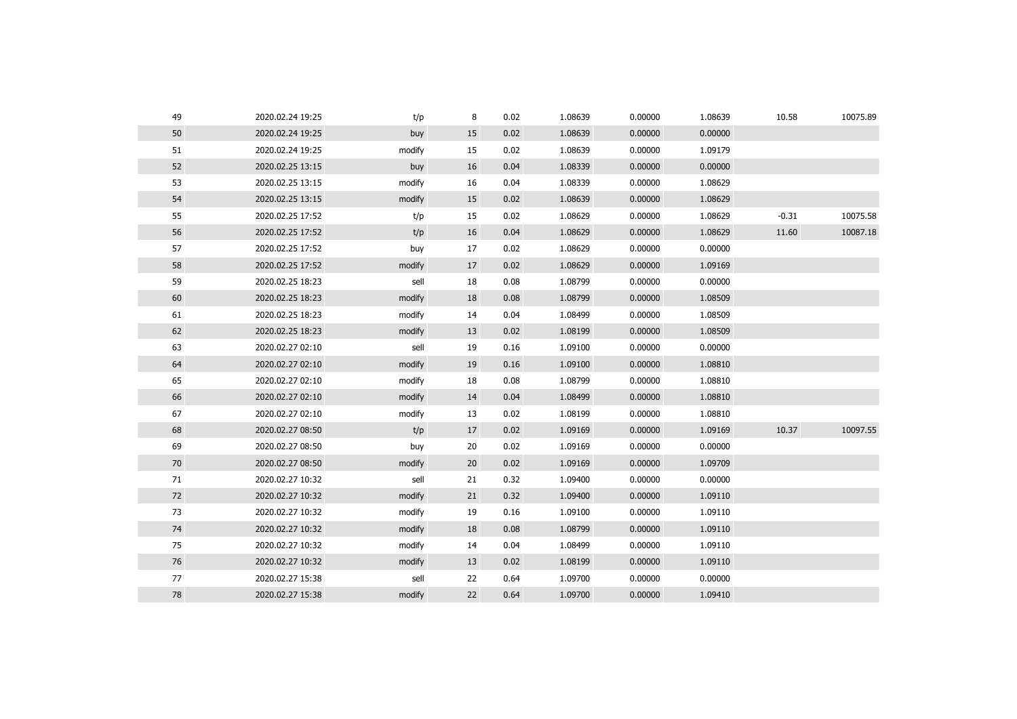| 49 | 2020.02.24 19:25 | t/p    | 8  | 0.02 | 1.08639 | 0.00000 | 1.08639 | 10.58   | 10075.89 |
|----|------------------|--------|----|------|---------|---------|---------|---------|----------|
| 50 | 2020.02.24 19:25 | buy    | 15 | 0.02 | 1.08639 | 0.00000 | 0.00000 |         |          |
| 51 | 2020.02.24 19:25 | modify | 15 | 0.02 | 1.08639 | 0.00000 | 1.09179 |         |          |
| 52 | 2020.02.25 13:15 | buy    | 16 | 0.04 | 1.08339 | 0.00000 | 0.00000 |         |          |
| 53 | 2020.02.25 13:15 | modify | 16 | 0.04 | 1.08339 | 0.00000 | 1.08629 |         |          |
| 54 | 2020.02.25 13:15 | modify | 15 | 0.02 | 1.08639 | 0.00000 | 1.08629 |         |          |
| 55 | 2020.02.25 17:52 | t/p    | 15 | 0.02 | 1.08629 | 0.00000 | 1.08629 | $-0.31$ | 10075.58 |
| 56 | 2020.02.25 17:52 | t/p    | 16 | 0.04 | 1.08629 | 0.00000 | 1.08629 | 11.60   | 10087.18 |
| 57 | 2020.02.25 17:52 | buy    | 17 | 0.02 | 1.08629 | 0.00000 | 0.00000 |         |          |
| 58 | 2020.02.25 17:52 | modify | 17 | 0.02 | 1.08629 | 0.00000 | 1.09169 |         |          |
| 59 | 2020.02.25 18:23 | sell   | 18 | 0.08 | 1.08799 | 0.00000 | 0.00000 |         |          |
| 60 | 2020.02.25 18:23 | modify | 18 | 0.08 | 1.08799 | 0.00000 | 1.08509 |         |          |
| 61 | 2020.02.25 18:23 | modify | 14 | 0.04 | 1.08499 | 0.00000 | 1.08509 |         |          |
| 62 | 2020.02.25 18:23 | modify | 13 | 0.02 | 1.08199 | 0.00000 | 1.08509 |         |          |
| 63 | 2020.02.27 02:10 | sell   | 19 | 0.16 | 1.09100 | 0.00000 | 0.00000 |         |          |
| 64 | 2020.02.27 02:10 | modify | 19 | 0.16 | 1.09100 | 0.00000 | 1.08810 |         |          |
| 65 | 2020.02.27 02:10 | modify | 18 | 0.08 | 1.08799 | 0.00000 | 1.08810 |         |          |
| 66 | 2020.02.27 02:10 | modify | 14 | 0.04 | 1.08499 | 0.00000 | 1.08810 |         |          |
| 67 | 2020.02.27 02:10 | modify | 13 | 0.02 | 1.08199 | 0.00000 | 1.08810 |         |          |
| 68 | 2020.02.27 08:50 | t/p    | 17 | 0.02 | 1.09169 | 0.00000 | 1.09169 | 10.37   | 10097.55 |
| 69 | 2020.02.27 08:50 | buy    | 20 | 0.02 | 1.09169 | 0.00000 | 0.00000 |         |          |
| 70 | 2020.02.27 08:50 | modify | 20 | 0.02 | 1.09169 | 0.00000 | 1.09709 |         |          |
| 71 | 2020.02.27 10:32 | sell   | 21 | 0.32 | 1.09400 | 0.00000 | 0.00000 |         |          |
| 72 | 2020.02.27 10:32 | modify | 21 | 0.32 | 1.09400 | 0.00000 | 1.09110 |         |          |
| 73 | 2020.02.27 10:32 | modify | 19 | 0.16 | 1.09100 | 0.00000 | 1.09110 |         |          |
| 74 | 2020.02.27 10:32 | modify | 18 | 0.08 | 1.08799 | 0.00000 | 1.09110 |         |          |
| 75 | 2020.02.27 10:32 | modify | 14 | 0.04 | 1.08499 | 0.00000 | 1.09110 |         |          |
| 76 | 2020.02.27 10:32 | modify | 13 | 0.02 | 1.08199 | 0.00000 | 1.09110 |         |          |
| 77 | 2020.02.27 15:38 | sell   | 22 | 0.64 | 1.09700 | 0.00000 | 0.00000 |         |          |
| 78 | 2020.02.27 15:38 | modify | 22 | 0.64 | 1.09700 | 0.00000 | 1.09410 |         |          |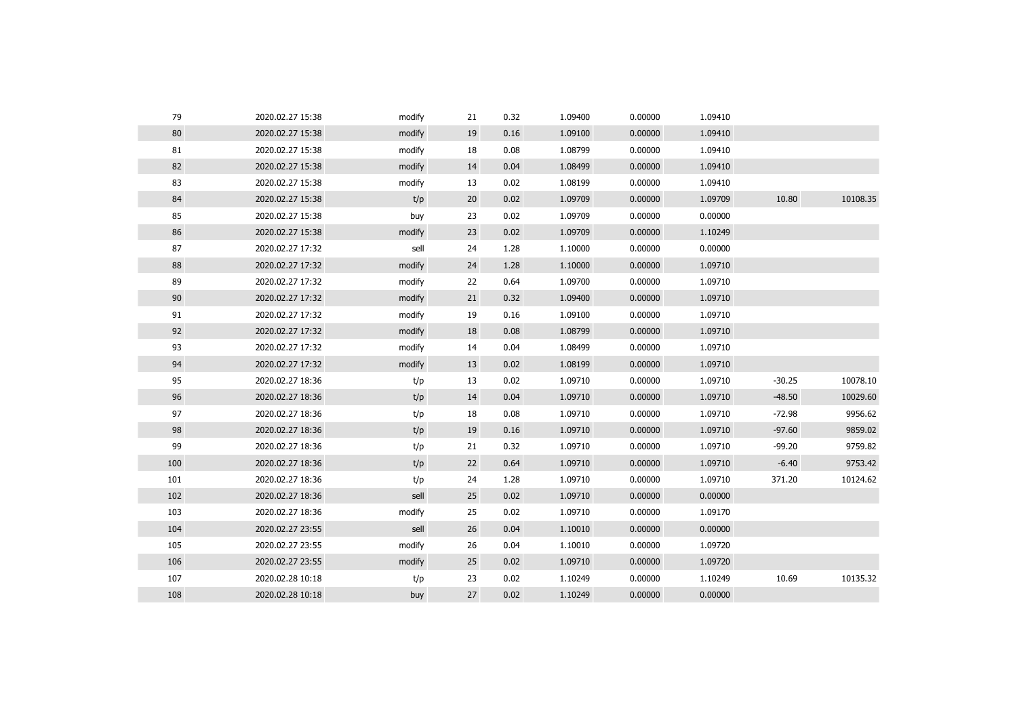| 79  | 2020.02.27 15:38 | modify | 21 | 0.32 | 1.09400 | 0.00000 | 1.09410 |          |          |
|-----|------------------|--------|----|------|---------|---------|---------|----------|----------|
| 80  | 2020.02.27 15:38 | modify | 19 | 0.16 | 1.09100 | 0.00000 | 1.09410 |          |          |
| 81  | 2020.02.27 15:38 | modify | 18 | 0.08 | 1.08799 | 0.00000 | 1.09410 |          |          |
| 82  | 2020.02.27 15:38 | modify | 14 | 0.04 | 1.08499 | 0.00000 | 1.09410 |          |          |
| 83  | 2020.02.27 15:38 | modify | 13 | 0.02 | 1.08199 | 0.00000 | 1.09410 |          |          |
| 84  | 2020.02.27 15:38 | t/p    | 20 | 0.02 | 1.09709 | 0.00000 | 1.09709 | 10.80    | 10108.35 |
| 85  | 2020.02.27 15:38 | buy    | 23 | 0.02 | 1.09709 | 0.00000 | 0.00000 |          |          |
| 86  | 2020.02.27 15:38 | modify | 23 | 0.02 | 1.09709 | 0.00000 | 1.10249 |          |          |
| 87  | 2020.02.27 17:32 | sell   | 24 | 1.28 | 1.10000 | 0.00000 | 0.00000 |          |          |
| 88  | 2020.02.27 17:32 | modify | 24 | 1.28 | 1.10000 | 0.00000 | 1.09710 |          |          |
| 89  | 2020.02.27 17:32 | modify | 22 | 0.64 | 1.09700 | 0.00000 | 1.09710 |          |          |
| 90  | 2020.02.27 17:32 | modify | 21 | 0.32 | 1.09400 | 0.00000 | 1.09710 |          |          |
| 91  | 2020.02.27 17:32 | modify | 19 | 0.16 | 1.09100 | 0.00000 | 1.09710 |          |          |
| 92  | 2020.02.27 17:32 | modify | 18 | 0.08 | 1.08799 | 0.00000 | 1.09710 |          |          |
| 93  | 2020.02.27 17:32 | modify | 14 | 0.04 | 1.08499 | 0.00000 | 1.09710 |          |          |
| 94  | 2020.02.27 17:32 | modify | 13 | 0.02 | 1.08199 | 0.00000 | 1.09710 |          |          |
| 95  | 2020.02.27 18:36 | t/p    | 13 | 0.02 | 1.09710 | 0.00000 | 1.09710 | $-30.25$ | 10078.10 |
| 96  | 2020.02.27 18:36 | t/p    | 14 | 0.04 | 1.09710 | 0.00000 | 1.09710 | $-48.50$ | 10029.60 |
| 97  | 2020.02.27 18:36 | t/p    | 18 | 0.08 | 1.09710 | 0.00000 | 1.09710 | $-72.98$ | 9956.62  |
| 98  | 2020.02.27 18:36 | t/p    | 19 | 0.16 | 1.09710 | 0.00000 | 1.09710 | $-97.60$ | 9859.02  |
| 99  | 2020.02.27 18:36 | t/p    | 21 | 0.32 | 1.09710 | 0.00000 | 1.09710 | $-99.20$ | 9759.82  |
| 100 | 2020.02.27 18:36 | t/p    | 22 | 0.64 | 1.09710 | 0.00000 | 1.09710 | $-6.40$  | 9753.42  |
| 101 | 2020.02.27 18:36 | t/p    | 24 | 1.28 | 1.09710 | 0.00000 | 1.09710 | 371.20   | 10124.62 |
| 102 | 2020.02.27 18:36 | sell   | 25 | 0.02 | 1.09710 | 0.00000 | 0.00000 |          |          |
| 103 | 2020.02.27 18:36 | modify | 25 | 0.02 | 1.09710 | 0.00000 | 1.09170 |          |          |
| 104 | 2020.02.27 23:55 | sell   | 26 | 0.04 | 1.10010 | 0.00000 | 0.00000 |          |          |
| 105 | 2020.02.27 23:55 | modify | 26 | 0.04 | 1.10010 | 0.00000 | 1.09720 |          |          |
| 106 | 2020.02.27 23:55 | modify | 25 | 0.02 | 1.09710 | 0.00000 | 1.09720 |          |          |
| 107 | 2020.02.28 10:18 | t/p    | 23 | 0.02 | 1.10249 | 0.00000 | 1.10249 | 10.69    | 10135.32 |
| 108 | 2020.02.28 10:18 | buy    | 27 | 0.02 | 1.10249 | 0.00000 | 0.00000 |          |          |
|     |                  |        |    |      |         |         |         |          |          |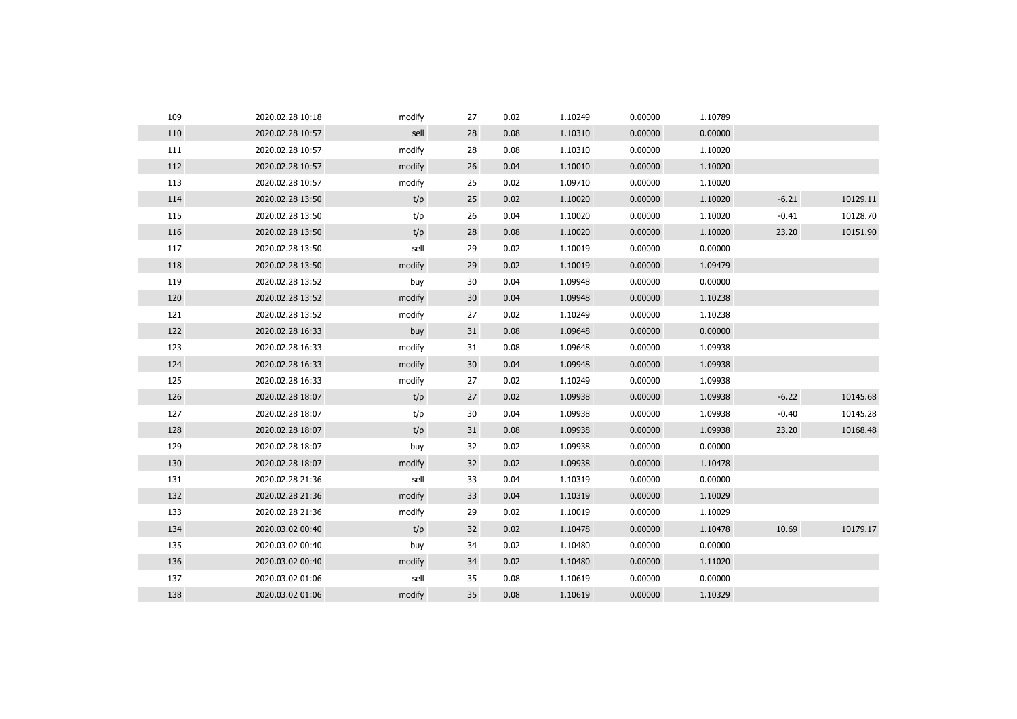| 109 | 2020.02.28 10:18 | modify | 27 | 0.02 | 1.10249 | 0.00000 | 1.10789 |         |          |
|-----|------------------|--------|----|------|---------|---------|---------|---------|----------|
| 110 | 2020.02.28 10:57 | sell   | 28 | 0.08 | 1.10310 | 0.00000 | 0.00000 |         |          |
| 111 | 2020.02.28 10:57 | modify | 28 | 0.08 | 1.10310 | 0.00000 | 1.10020 |         |          |
| 112 | 2020.02.28 10:57 | modify | 26 | 0.04 | 1.10010 | 0.00000 | 1.10020 |         |          |
| 113 | 2020.02.28 10:57 | modify | 25 | 0.02 | 1.09710 | 0.00000 | 1.10020 |         |          |
| 114 | 2020.02.28 13:50 | t/p    | 25 | 0.02 | 1.10020 | 0.00000 | 1.10020 | $-6.21$ | 10129.11 |
| 115 | 2020.02.28 13:50 | t/p    | 26 | 0.04 | 1.10020 | 0.00000 | 1.10020 | $-0.41$ | 10128.70 |
| 116 | 2020.02.28 13:50 | t/p    | 28 | 0.08 | 1.10020 | 0.00000 | 1.10020 | 23.20   | 10151.90 |
| 117 | 2020.02.28 13:50 | sell   | 29 | 0.02 | 1.10019 | 0.00000 | 0.00000 |         |          |
| 118 | 2020.02.28 13:50 | modify | 29 | 0.02 | 1.10019 | 0.00000 | 1.09479 |         |          |
| 119 | 2020.02.28 13:52 | buy    | 30 | 0.04 | 1.09948 | 0.00000 | 0.00000 |         |          |
| 120 | 2020.02.28 13:52 | modify | 30 | 0.04 | 1.09948 | 0.00000 | 1.10238 |         |          |
| 121 | 2020.02.28 13:52 | modify | 27 | 0.02 | 1.10249 | 0.00000 | 1.10238 |         |          |
| 122 | 2020.02.28 16:33 | buy    | 31 | 0.08 | 1.09648 | 0.00000 | 0.00000 |         |          |
| 123 | 2020.02.28 16:33 | modify | 31 | 0.08 | 1.09648 | 0.00000 | 1.09938 |         |          |
| 124 | 2020.02.28 16:33 | modify | 30 | 0.04 | 1.09948 | 0.00000 | 1.09938 |         |          |
| 125 | 2020.02.28 16:33 | modify | 27 | 0.02 | 1.10249 | 0.00000 | 1.09938 |         |          |
| 126 | 2020.02.28 18:07 | t/p    | 27 | 0.02 | 1.09938 | 0.00000 | 1.09938 | $-6.22$ | 10145.68 |
| 127 | 2020.02.28 18:07 | t/p    | 30 | 0.04 | 1.09938 | 0.00000 | 1.09938 | $-0.40$ | 10145.28 |
| 128 | 2020.02.28 18:07 | t/p    | 31 | 0.08 | 1.09938 | 0.00000 | 1.09938 | 23.20   | 10168.48 |
| 129 | 2020.02.28 18:07 | buy    | 32 | 0.02 | 1.09938 | 0.00000 | 0.00000 |         |          |
| 130 | 2020.02.28 18:07 | modify | 32 | 0.02 | 1.09938 | 0.00000 | 1.10478 |         |          |
| 131 | 2020.02.28 21:36 | sell   | 33 | 0.04 | 1.10319 | 0.00000 | 0.00000 |         |          |
| 132 | 2020.02.28 21:36 | modify | 33 | 0.04 | 1.10319 | 0.00000 | 1.10029 |         |          |
| 133 | 2020.02.28 21:36 | modify | 29 | 0.02 | 1.10019 | 0.00000 | 1.10029 |         |          |
| 134 | 2020.03.02 00:40 | t/p    | 32 | 0.02 | 1.10478 | 0.00000 | 1.10478 | 10.69   | 10179.17 |
| 135 | 2020.03.02 00:40 | buy    | 34 | 0.02 | 1.10480 | 0.00000 | 0.00000 |         |          |
| 136 | 2020.03.02 00:40 | modify | 34 | 0.02 | 1.10480 | 0.00000 | 1.11020 |         |          |
| 137 | 2020.03.02 01:06 | sell   | 35 | 0.08 | 1.10619 | 0.00000 | 0.00000 |         |          |
| 138 | 2020.03.02 01:06 | modify | 35 | 0.08 | 1.10619 | 0.00000 | 1.10329 |         |          |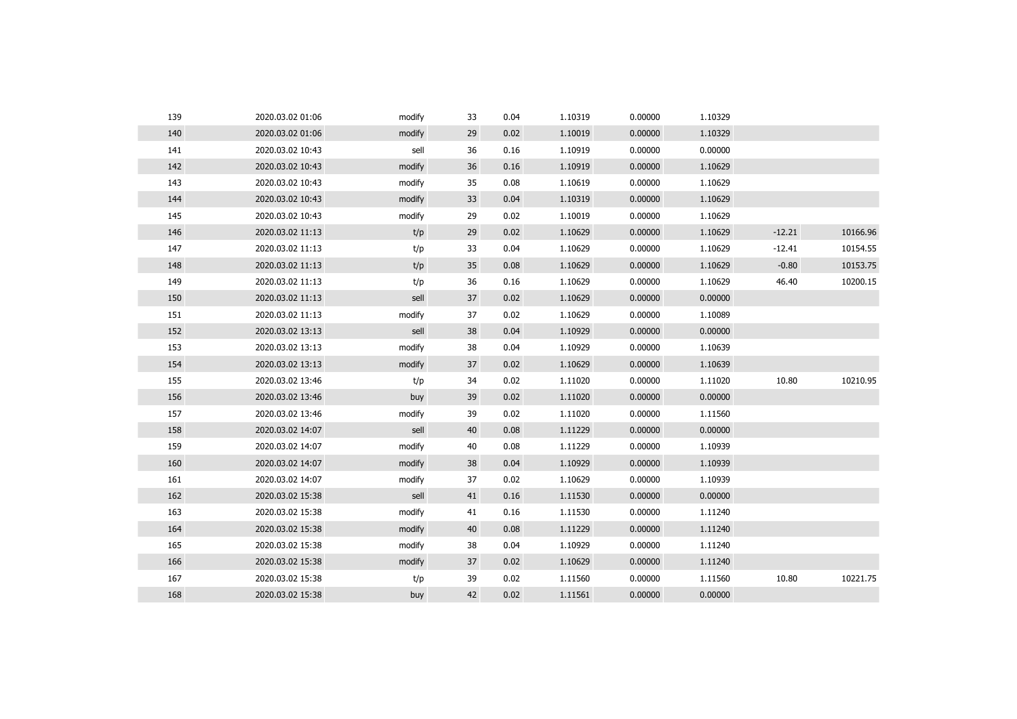| 139 | 2020.03.02 01:06 | modify | 33 | 0.04 | 1.10319 | 0.00000 | 1.10329 |          |          |
|-----|------------------|--------|----|------|---------|---------|---------|----------|----------|
| 140 | 2020.03.02 01:06 | modify | 29 | 0.02 | 1.10019 | 0.00000 | 1.10329 |          |          |
| 141 | 2020.03.02 10:43 | sell   | 36 | 0.16 | 1.10919 | 0.00000 | 0.00000 |          |          |
| 142 | 2020.03.02 10:43 | modify | 36 | 0.16 | 1.10919 | 0.00000 | 1.10629 |          |          |
| 143 | 2020.03.02 10:43 | modify | 35 | 0.08 | 1.10619 | 0.00000 | 1.10629 |          |          |
| 144 | 2020.03.02 10:43 | modify | 33 | 0.04 | 1.10319 | 0.00000 | 1.10629 |          |          |
| 145 | 2020.03.02 10:43 | modify | 29 | 0.02 | 1.10019 | 0.00000 | 1.10629 |          |          |
| 146 | 2020.03.02 11:13 | t/p    | 29 | 0.02 | 1.10629 | 0.00000 | 1.10629 | $-12.21$ | 10166.96 |
| 147 | 2020.03.02 11:13 | t/p    | 33 | 0.04 | 1.10629 | 0.00000 | 1.10629 | $-12.41$ | 10154.55 |
| 148 | 2020.03.02 11:13 | t/p    | 35 | 0.08 | 1.10629 | 0.00000 | 1.10629 | $-0.80$  | 10153.75 |
| 149 | 2020.03.02 11:13 | t/p    | 36 | 0.16 | 1.10629 | 0.00000 | 1.10629 | 46.40    | 10200.15 |
| 150 | 2020.03.02 11:13 | sell   | 37 | 0.02 | 1.10629 | 0.00000 | 0.00000 |          |          |
| 151 | 2020.03.02 11:13 | modify | 37 | 0.02 | 1.10629 | 0.00000 | 1.10089 |          |          |
| 152 | 2020.03.02 13:13 | sell   | 38 | 0.04 | 1.10929 | 0.00000 | 0.00000 |          |          |
| 153 | 2020.03.02 13:13 | modify | 38 | 0.04 | 1.10929 | 0.00000 | 1.10639 |          |          |
| 154 | 2020.03.02 13:13 | modify | 37 | 0.02 | 1.10629 | 0.00000 | 1.10639 |          |          |
| 155 | 2020.03.02 13:46 | t/p    | 34 | 0.02 | 1.11020 | 0.00000 | 1.11020 | 10.80    | 10210.95 |
| 156 | 2020.03.02 13:46 | buy    | 39 | 0.02 | 1.11020 | 0.00000 | 0.00000 |          |          |
| 157 | 2020.03.02 13:46 | modify | 39 | 0.02 | 1.11020 | 0.00000 | 1.11560 |          |          |
| 158 | 2020.03.02 14:07 | sell   | 40 | 0.08 | 1.11229 | 0.00000 | 0.00000 |          |          |
| 159 | 2020.03.02 14:07 | modify | 40 | 0.08 | 1.11229 | 0.00000 | 1.10939 |          |          |
| 160 | 2020.03.02 14:07 | modify | 38 | 0.04 | 1.10929 | 0.00000 | 1.10939 |          |          |
| 161 | 2020.03.02 14:07 | modify | 37 | 0.02 | 1.10629 | 0.00000 | 1.10939 |          |          |
| 162 | 2020.03.02 15:38 | sell   | 41 | 0.16 | 1.11530 | 0.00000 | 0.00000 |          |          |
| 163 | 2020.03.02 15:38 | modify | 41 | 0.16 | 1.11530 | 0.00000 | 1.11240 |          |          |
| 164 | 2020.03.02 15:38 | modify | 40 | 0.08 | 1.11229 | 0.00000 | 1.11240 |          |          |
| 165 | 2020.03.02 15:38 | modify | 38 | 0.04 | 1.10929 | 0.00000 | 1.11240 |          |          |
| 166 | 2020.03.02 15:38 | modify | 37 | 0.02 | 1.10629 | 0.00000 | 1.11240 |          |          |
| 167 | 2020.03.02 15:38 | t/p    | 39 | 0.02 | 1.11560 | 0.00000 | 1.11560 | 10.80    | 10221.75 |
| 168 | 2020.03.02 15:38 | buy    | 42 | 0.02 | 1.11561 | 0.00000 | 0.00000 |          |          |
|     |                  |        |    |      |         |         |         |          |          |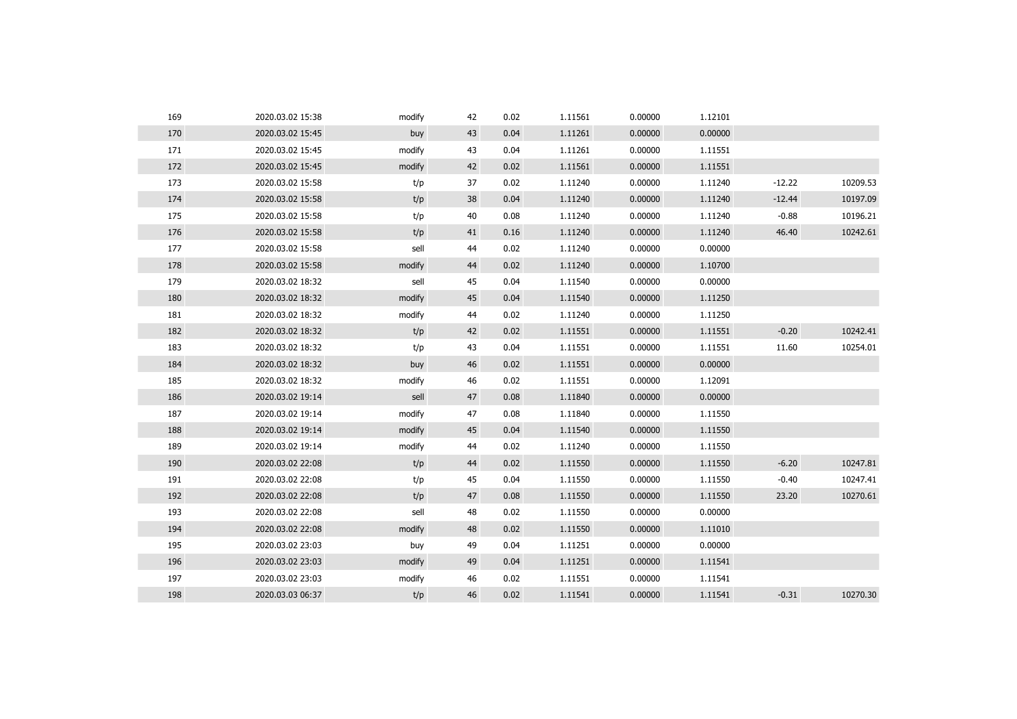| 169 | 2020.03.02 15:38 | modify | 42 | 0.02 | 1.11561 | 0.00000 | 1.12101 |          |          |
|-----|------------------|--------|----|------|---------|---------|---------|----------|----------|
| 170 | 2020.03.02 15:45 | buy    | 43 | 0.04 | 1.11261 | 0.00000 | 0.00000 |          |          |
| 171 | 2020.03.02 15:45 | modify | 43 | 0.04 | 1.11261 | 0.00000 | 1.11551 |          |          |
| 172 | 2020.03.02 15:45 | modify | 42 | 0.02 | 1.11561 | 0.00000 | 1.11551 |          |          |
| 173 | 2020.03.02 15:58 | t/p    | 37 | 0.02 | 1.11240 | 0.00000 | 1.11240 | $-12.22$ | 10209.53 |
| 174 | 2020.03.02 15:58 | t/p    | 38 | 0.04 | 1.11240 | 0.00000 | 1.11240 | $-12.44$ | 10197.09 |
| 175 | 2020.03.02 15:58 | t/p    | 40 | 0.08 | 1.11240 | 0.00000 | 1.11240 | $-0.88$  | 10196.21 |
| 176 | 2020.03.02 15:58 | t/p    | 41 | 0.16 | 1.11240 | 0.00000 | 1.11240 | 46.40    | 10242.61 |
| 177 | 2020.03.02 15:58 | sell   | 44 | 0.02 | 1.11240 | 0.00000 | 0.00000 |          |          |
| 178 | 2020.03.02 15:58 | modify | 44 | 0.02 | 1.11240 | 0.00000 | 1.10700 |          |          |
| 179 | 2020.03.02 18:32 | sell   | 45 | 0.04 | 1.11540 | 0.00000 | 0.00000 |          |          |
| 180 | 2020.03.02 18:32 | modify | 45 | 0.04 | 1.11540 | 0.00000 | 1.11250 |          |          |
| 181 | 2020.03.02 18:32 | modify | 44 | 0.02 | 1.11240 | 0.00000 | 1.11250 |          |          |
| 182 | 2020.03.02 18:32 | t/p    | 42 | 0.02 | 1.11551 | 0.00000 | 1.11551 | $-0.20$  | 10242.41 |
| 183 | 2020.03.02 18:32 | t/p    | 43 | 0.04 | 1.11551 | 0.00000 | 1.11551 | 11.60    | 10254.01 |
| 184 | 2020.03.02 18:32 | buy    | 46 | 0.02 | 1.11551 | 0.00000 | 0.00000 |          |          |
| 185 | 2020.03.02 18:32 | modify | 46 | 0.02 | 1.11551 | 0.00000 | 1.12091 |          |          |
| 186 | 2020.03.02 19:14 | sell   | 47 | 0.08 | 1.11840 | 0.00000 | 0.00000 |          |          |
| 187 | 2020.03.02 19:14 | modify | 47 | 0.08 | 1.11840 | 0.00000 | 1.11550 |          |          |
| 188 | 2020.03.02 19:14 | modify | 45 | 0.04 | 1.11540 | 0.00000 | 1.11550 |          |          |
| 189 | 2020.03.02 19:14 | modify | 44 | 0.02 | 1.11240 | 0.00000 | 1.11550 |          |          |
| 190 | 2020.03.02 22:08 | t/p    | 44 | 0.02 | 1.11550 | 0.00000 | 1.11550 | $-6.20$  | 10247.81 |
| 191 | 2020.03.02 22:08 | t/p    | 45 | 0.04 | 1.11550 | 0.00000 | 1.11550 | $-0.40$  | 10247.41 |
| 192 | 2020.03.02 22:08 | t/p    | 47 | 0.08 | 1.11550 | 0.00000 | 1.11550 | 23.20    | 10270.61 |
| 193 | 2020.03.02 22:08 | sell   | 48 | 0.02 | 1.11550 | 0.00000 | 0.00000 |          |          |
| 194 | 2020.03.02 22:08 | modify | 48 | 0.02 | 1.11550 | 0.00000 | 1.11010 |          |          |
| 195 | 2020.03.02 23:03 | buy    | 49 | 0.04 | 1.11251 | 0.00000 | 0.00000 |          |          |
| 196 | 2020.03.02 23:03 | modify | 49 | 0.04 | 1.11251 | 0.00000 | 1.11541 |          |          |
| 197 | 2020.03.02 23:03 | modify | 46 | 0.02 | 1.11551 | 0.00000 | 1.11541 |          |          |
| 198 | 2020.03.03 06:37 | t/p    | 46 | 0.02 | 1.11541 | 0.00000 | 1.11541 | $-0.31$  | 10270.30 |
|     |                  |        |    |      |         |         |         |          |          |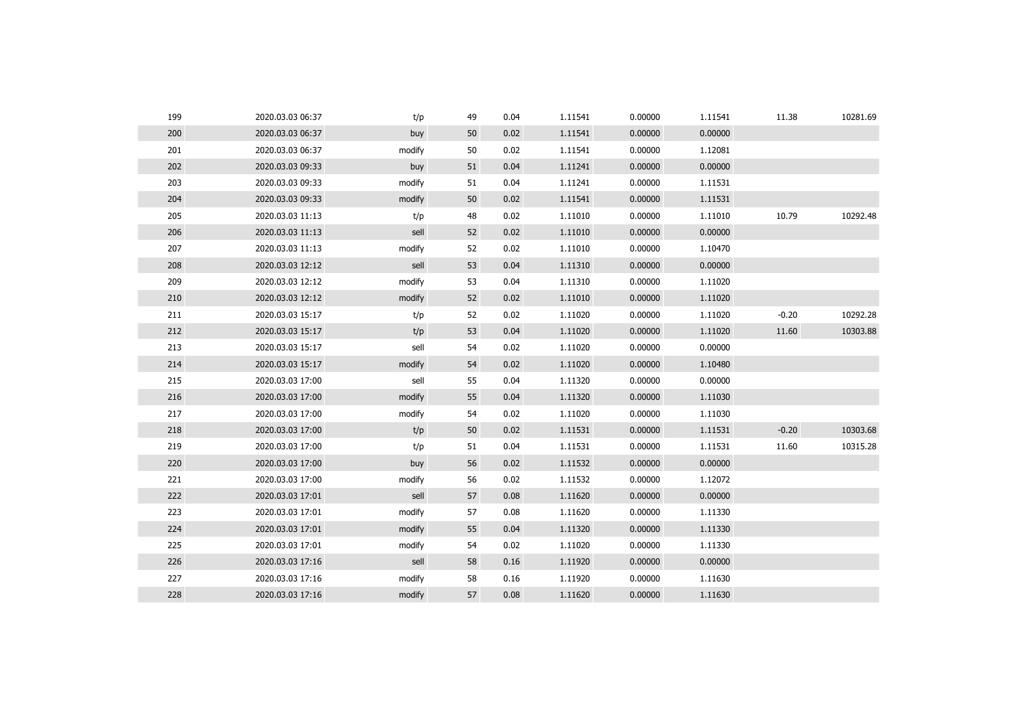| 199 | 2020.03.03 06:37 | t/p    | 49 | 0.04 | 1.11541 | 0.00000 | 1.11541 | 11.38   | 10281.69 |
|-----|------------------|--------|----|------|---------|---------|---------|---------|----------|
| 200 | 2020.03.03 06:37 | buy    | 50 | 0.02 | 1.11541 | 0.00000 | 0.00000 |         |          |
| 201 | 2020.03.03 06:37 | modify | 50 | 0.02 | 1.11541 | 0.00000 | 1.12081 |         |          |
| 202 | 2020.03.03 09:33 | buy    | 51 | 0.04 | 1.11241 | 0.00000 | 0.00000 |         |          |
| 203 | 2020.03.03 09:33 | modify | 51 | 0.04 | 1.11241 | 0.00000 | 1.11531 |         |          |
| 204 | 2020.03.03 09:33 | modify | 50 | 0.02 | 1.11541 | 0.00000 | 1.11531 |         |          |
| 205 | 2020.03.03 11:13 | t/p    | 48 | 0.02 | 1.11010 | 0.00000 | 1.11010 | 10.79   | 10292.48 |
| 206 | 2020.03.03 11:13 | sell   | 52 | 0.02 | 1.11010 | 0.00000 | 0.00000 |         |          |
| 207 | 2020.03.03 11:13 | modify | 52 | 0.02 | 1.11010 | 0.00000 | 1.10470 |         |          |
| 208 | 2020.03.03 12:12 | sell   | 53 | 0.04 | 1.11310 | 0.00000 | 0.00000 |         |          |
| 209 | 2020.03.03 12:12 | modify | 53 | 0.04 | 1.11310 | 0.00000 | 1.11020 |         |          |
| 210 | 2020.03.03 12:12 | modify | 52 | 0.02 | 1.11010 | 0.00000 | 1.11020 |         |          |
| 211 | 2020.03.03 15:17 | t/p    | 52 | 0.02 | 1.11020 | 0.00000 | 1.11020 | $-0.20$ | 10292.28 |
| 212 | 2020.03.03 15:17 | t/p    | 53 | 0.04 | 1.11020 | 0.00000 | 1.11020 | 11.60   | 10303.88 |
| 213 | 2020.03.03 15:17 | sell   | 54 | 0.02 | 1.11020 | 0.00000 | 0.00000 |         |          |
| 214 | 2020.03.03 15:17 | modify | 54 | 0.02 | 1.11020 | 0.00000 | 1.10480 |         |          |
| 215 | 2020.03.03 17:00 | sell   | 55 | 0.04 | 1.11320 | 0.00000 | 0.00000 |         |          |
| 216 | 2020.03.03 17:00 | modify | 55 | 0.04 | 1.11320 | 0.00000 | 1.11030 |         |          |
| 217 | 2020.03.03 17:00 | modify | 54 | 0.02 | 1.11020 | 0.00000 | 1.11030 |         |          |
| 218 | 2020.03.03 17:00 | t/p    | 50 | 0.02 | 1.11531 | 0.00000 | 1.11531 | $-0.20$ | 10303.68 |
| 219 | 2020.03.03 17:00 | t/p    | 51 | 0.04 | 1.11531 | 0.00000 | 1.11531 | 11.60   | 10315.28 |
| 220 | 2020.03.03 17:00 | buy    | 56 | 0.02 | 1.11532 | 0.00000 | 0.00000 |         |          |
| 221 | 2020.03.03 17:00 | modify | 56 | 0.02 | 1.11532 | 0.00000 | 1.12072 |         |          |
| 222 | 2020.03.03 17:01 | sell   | 57 | 0.08 | 1.11620 | 0.00000 | 0.00000 |         |          |
| 223 | 2020.03.03 17:01 | modify | 57 | 0.08 | 1.11620 | 0.00000 | 1.11330 |         |          |
| 224 | 2020.03.03 17:01 | modify | 55 | 0.04 | 1.11320 | 0.00000 | 1.11330 |         |          |
| 225 | 2020.03.03 17:01 | modify | 54 | 0.02 | 1.11020 | 0.00000 | 1.11330 |         |          |
| 226 | 2020.03.03 17:16 | sell   | 58 | 0.16 | 1.11920 | 0.00000 | 0.00000 |         |          |
| 227 | 2020.03.03 17:16 | modify | 58 | 0.16 | 1.11920 | 0.00000 | 1.11630 |         |          |
| 228 | 2020.03.03 17:16 | modify | 57 | 0.08 | 1.11620 | 0.00000 | 1.11630 |         |          |
|     |                  |        |    |      |         |         |         |         |          |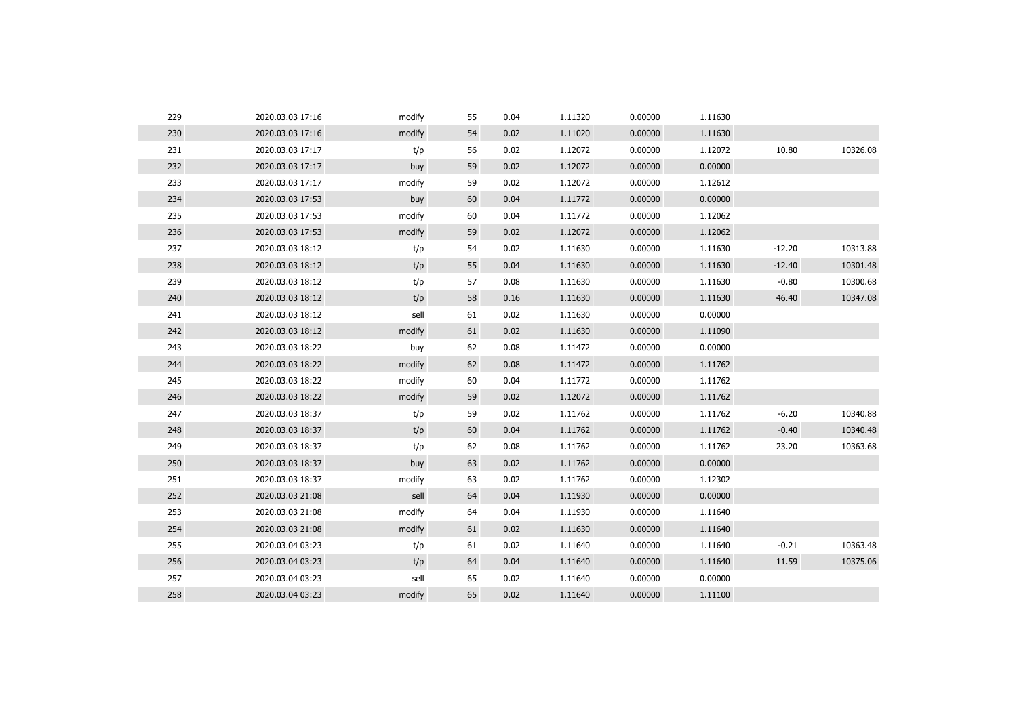| 229 | 2020.03.03 17:16 | modify | 55 | 0.04 | 1.11320 | 0.00000 | 1.11630 |          |          |
|-----|------------------|--------|----|------|---------|---------|---------|----------|----------|
| 230 | 2020.03.03 17:16 | modify | 54 | 0.02 | 1.11020 | 0.00000 | 1.11630 |          |          |
| 231 | 2020.03.03 17:17 | t/p    | 56 | 0.02 | 1.12072 | 0.00000 | 1.12072 | 10.80    | 10326.08 |
| 232 | 2020.03.03 17:17 | buy    | 59 | 0.02 | 1.12072 | 0.00000 | 0.00000 |          |          |
| 233 | 2020.03.03 17:17 | modify | 59 | 0.02 | 1.12072 | 0.00000 | 1.12612 |          |          |
| 234 | 2020.03.03 17:53 | buy    | 60 | 0.04 | 1.11772 | 0.00000 | 0.00000 |          |          |
| 235 | 2020.03.03 17:53 | modify | 60 | 0.04 | 1.11772 | 0.00000 | 1.12062 |          |          |
| 236 | 2020.03.03 17:53 | modify | 59 | 0.02 | 1.12072 | 0.00000 | 1.12062 |          |          |
| 237 | 2020.03.03 18:12 | t/p    | 54 | 0.02 | 1.11630 | 0.00000 | 1.11630 | $-12.20$ | 10313.88 |
| 238 | 2020.03.03 18:12 | t/p    | 55 | 0.04 | 1.11630 | 0.00000 | 1.11630 | $-12.40$ | 10301.48 |
| 239 | 2020.03.03 18:12 | t/p    | 57 | 0.08 | 1.11630 | 0.00000 | 1.11630 | $-0.80$  | 10300.68 |
| 240 | 2020.03.03 18:12 | t/p    | 58 | 0.16 | 1.11630 | 0.00000 | 1.11630 | 46.40    | 10347.08 |
| 241 | 2020.03.03 18:12 | sell   | 61 | 0.02 | 1.11630 | 0.00000 | 0.00000 |          |          |
| 242 | 2020.03.03 18:12 | modify | 61 | 0.02 | 1.11630 | 0.00000 | 1.11090 |          |          |
| 243 | 2020.03.03 18:22 | buy    | 62 | 0.08 | 1.11472 | 0.00000 | 0.00000 |          |          |
| 244 | 2020.03.03 18:22 | modify | 62 | 0.08 | 1.11472 | 0.00000 | 1.11762 |          |          |
| 245 | 2020.03.03 18:22 | modify | 60 | 0.04 | 1.11772 | 0.00000 | 1.11762 |          |          |
| 246 | 2020.03.03 18:22 | modify | 59 | 0.02 | 1.12072 | 0.00000 | 1.11762 |          |          |
| 247 | 2020.03.03 18:37 | t/p    | 59 | 0.02 | 1.11762 | 0.00000 | 1.11762 | $-6.20$  | 10340.88 |
| 248 | 2020.03.03 18:37 | t/p    | 60 | 0.04 | 1.11762 | 0.00000 | 1.11762 | $-0.40$  | 10340.48 |
| 249 | 2020.03.03 18:37 | t/p    | 62 | 0.08 | 1.11762 | 0.00000 | 1.11762 | 23.20    | 10363.68 |
| 250 | 2020.03.03 18:37 | buy    | 63 | 0.02 | 1.11762 | 0.00000 | 0.00000 |          |          |
| 251 | 2020.03.03 18:37 | modify | 63 | 0.02 | 1.11762 | 0.00000 | 1.12302 |          |          |
| 252 | 2020.03.03 21:08 | sell   | 64 | 0.04 | 1.11930 | 0.00000 | 0.00000 |          |          |
| 253 | 2020.03.03 21:08 | modify | 64 | 0.04 | 1.11930 | 0.00000 | 1.11640 |          |          |
| 254 | 2020.03.03 21:08 | modify | 61 | 0.02 | 1.11630 | 0.00000 | 1.11640 |          |          |
| 255 | 2020.03.04 03:23 | t/p    | 61 | 0.02 | 1.11640 | 0.00000 | 1.11640 | $-0.21$  | 10363.48 |
| 256 | 2020.03.04 03:23 | t/p    | 64 | 0.04 | 1.11640 | 0.00000 | 1.11640 | 11.59    | 10375.06 |
| 257 | 2020.03.04 03:23 | sell   | 65 | 0.02 | 1.11640 | 0.00000 | 0.00000 |          |          |
| 258 | 2020.03.04 03:23 | modify | 65 | 0.02 | 1.11640 | 0.00000 | 1.11100 |          |          |
|     |                  |        |    |      |         |         |         |          |          |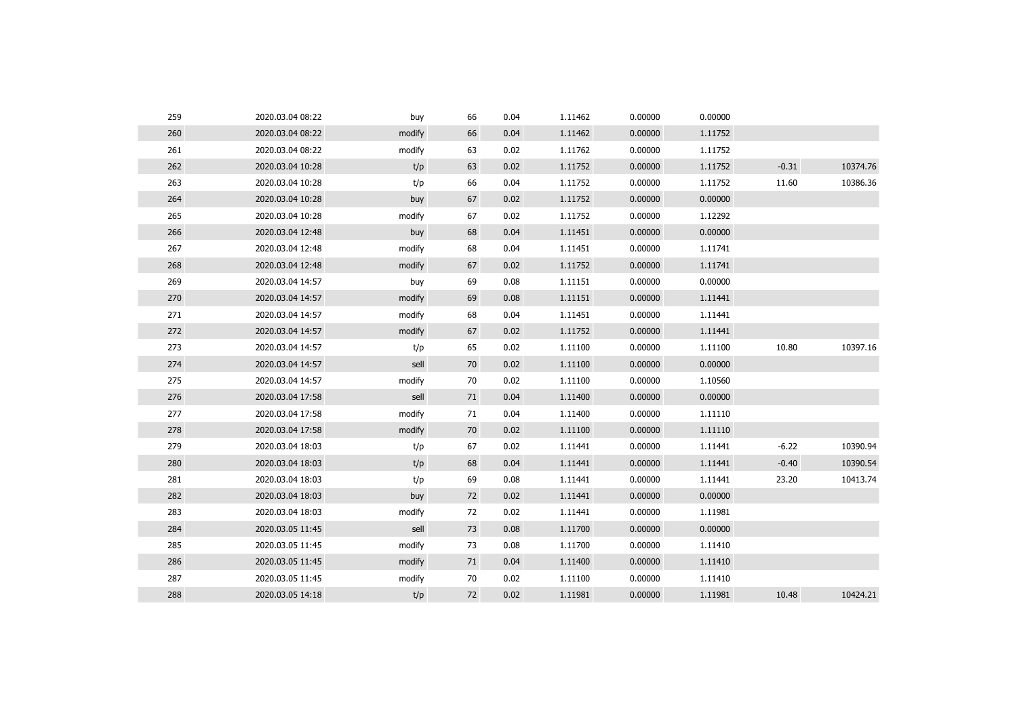| 260<br>66<br>1.11462<br>0.00000<br>1.11752<br>2020.03.04 08:22<br>modify<br>0.04<br>261<br>0.02<br>1.11762<br>0.00000<br>1.11752<br>2020.03.04 08:22<br>modify<br>63<br>262<br>2020.03.04 10:28<br>t/p<br>63<br>0.02<br>1.11752<br>0.00000<br>1.11752<br>$-0.31$<br>263<br>66<br>1.11752<br>11.60<br>2020.03.04 10:28<br>t/p<br>0.04<br>1.11752<br>0.00000<br>264<br>67<br>1.11752<br>0.00000<br>0.00000<br>2020.03.04 10:28<br>buy<br>0.02<br>265<br>2020.03.04 10:28<br>67<br>0.02<br>1.11752<br>0.00000<br>1.12292<br>modify<br>266<br>68<br>0.00000<br>0.00000<br>2020.03.04 12:48<br>0.04<br>1.11451<br>buy<br>267<br>68<br>1.11451<br>0.00000<br>1.11741<br>2020.03.04 12:48<br>modify<br>0.04<br>268<br>67<br>0.02<br>1.11752<br>0.00000<br>1.11741<br>2020.03.04 12:48<br>modify<br>269<br>2020.03.04 14:57<br>69<br>0.08<br>1.11151<br>0.00000<br>0.00000<br>buy<br>270<br>69<br>0.08<br>1.11151<br>0.00000<br>2020.03.04 14:57<br>modify<br>1.11441<br>271<br>68<br>2020.03.04 14:57<br>0.04<br>1.11451<br>0.00000<br>1.11441<br>modify<br>272<br>67<br>1.11752<br>0.00000<br>2020.03.04 14:57<br>modify<br>0.02<br>1.11441<br>273<br>10.80<br>65<br>0.02<br>1.11100<br>0.00000<br>1.11100<br>2020.03.04 14:57<br>t/p<br>274<br>0.00000<br>2020.03.04 14:57<br>sell<br>70<br>0.02<br>1.11100<br>0.00000<br>275<br>70<br>0.02<br>0.00000<br>1.10560<br>2020.03.04 14:57<br>modify<br>1.11100<br>276<br>sell<br>0.04<br>1.11400<br>0.00000<br>0.00000<br>2020.03.04 17:58<br>71<br>277<br>2020.03.04 17:58<br>modify<br>71<br>0.04<br>1.11400<br>0.00000<br>1.11110<br>278<br>0.02<br>0.00000<br>2020.03.04 17:58<br>modify<br>70<br>1.11100<br>1.11110<br>279<br>$-6.22$<br>67<br>0.02<br>1.11441<br>0.00000<br>1.11441<br>2020.03.04 18:03<br>t/p<br>280<br>0.00000<br>$-0.40$<br>2020.03.04 18:03<br>t/p<br>68<br>0.04<br>1.11441<br>1.11441<br>281<br>t/p<br>2020.03.04 18:03<br>69<br>0.08<br>1.11441<br>0.00000<br>1.11441<br>23.20<br>282<br>0.00000<br>2020.03.04 18:03<br>72<br>0.02<br>1.11441<br>0.00000<br>buy<br>283<br>0.02<br>2020.03.04 18:03<br>modify<br>72<br>1.11441<br>0.00000<br>1.11981<br>284<br>sell<br>0.08<br>1.11700<br>0.00000<br>0.00000<br>2020.03.05 11:45<br>73<br>285<br>73<br>0.08<br>1.11700<br>0.00000<br>1.11410<br>2020.03.05 11:45<br>modify<br>286<br>0.04<br>0.00000<br>2020.03.05 11:45<br>modify<br>71<br>1.11400<br>1.11410<br>287<br>70<br>0.02<br>1.11410<br>2020.03.05 11:45<br>modify<br>1.11100<br>0.00000<br>0.02<br>288<br>2020.03.05 14:18<br>t/p<br>72<br>1.11981<br>0.00000<br>1.11981<br>10.48 | 259 | 2020.03.04 08:22 | buy | 66 | 0.04 | 1.11462 | 0.00000 | 0.00000 |          |
|----------------------------------------------------------------------------------------------------------------------------------------------------------------------------------------------------------------------------------------------------------------------------------------------------------------------------------------------------------------------------------------------------------------------------------------------------------------------------------------------------------------------------------------------------------------------------------------------------------------------------------------------------------------------------------------------------------------------------------------------------------------------------------------------------------------------------------------------------------------------------------------------------------------------------------------------------------------------------------------------------------------------------------------------------------------------------------------------------------------------------------------------------------------------------------------------------------------------------------------------------------------------------------------------------------------------------------------------------------------------------------------------------------------------------------------------------------------------------------------------------------------------------------------------------------------------------------------------------------------------------------------------------------------------------------------------------------------------------------------------------------------------------------------------------------------------------------------------------------------------------------------------------------------------------------------------------------------------------------------------------------------------------------------------------------------------------------------------------------------------------------------------------------------------------------------------------------------------------------------------------------------------------------------------------------------------------------------------------------------------------------------------------------------------------------------------------------------------------------------------------------------------------------------------------------------|-----|------------------|-----|----|------|---------|---------|---------|----------|
|                                                                                                                                                                                                                                                                                                                                                                                                                                                                                                                                                                                                                                                                                                                                                                                                                                                                                                                                                                                                                                                                                                                                                                                                                                                                                                                                                                                                                                                                                                                                                                                                                                                                                                                                                                                                                                                                                                                                                                                                                                                                                                                                                                                                                                                                                                                                                                                                                                                                                                                                                                |     |                  |     |    |      |         |         |         |          |
|                                                                                                                                                                                                                                                                                                                                                                                                                                                                                                                                                                                                                                                                                                                                                                                                                                                                                                                                                                                                                                                                                                                                                                                                                                                                                                                                                                                                                                                                                                                                                                                                                                                                                                                                                                                                                                                                                                                                                                                                                                                                                                                                                                                                                                                                                                                                                                                                                                                                                                                                                                |     |                  |     |    |      |         |         |         |          |
|                                                                                                                                                                                                                                                                                                                                                                                                                                                                                                                                                                                                                                                                                                                                                                                                                                                                                                                                                                                                                                                                                                                                                                                                                                                                                                                                                                                                                                                                                                                                                                                                                                                                                                                                                                                                                                                                                                                                                                                                                                                                                                                                                                                                                                                                                                                                                                                                                                                                                                                                                                |     |                  |     |    |      |         |         |         | 10374.76 |
|                                                                                                                                                                                                                                                                                                                                                                                                                                                                                                                                                                                                                                                                                                                                                                                                                                                                                                                                                                                                                                                                                                                                                                                                                                                                                                                                                                                                                                                                                                                                                                                                                                                                                                                                                                                                                                                                                                                                                                                                                                                                                                                                                                                                                                                                                                                                                                                                                                                                                                                                                                |     |                  |     |    |      |         |         |         | 10386.36 |
|                                                                                                                                                                                                                                                                                                                                                                                                                                                                                                                                                                                                                                                                                                                                                                                                                                                                                                                                                                                                                                                                                                                                                                                                                                                                                                                                                                                                                                                                                                                                                                                                                                                                                                                                                                                                                                                                                                                                                                                                                                                                                                                                                                                                                                                                                                                                                                                                                                                                                                                                                                |     |                  |     |    |      |         |         |         |          |
|                                                                                                                                                                                                                                                                                                                                                                                                                                                                                                                                                                                                                                                                                                                                                                                                                                                                                                                                                                                                                                                                                                                                                                                                                                                                                                                                                                                                                                                                                                                                                                                                                                                                                                                                                                                                                                                                                                                                                                                                                                                                                                                                                                                                                                                                                                                                                                                                                                                                                                                                                                |     |                  |     |    |      |         |         |         |          |
|                                                                                                                                                                                                                                                                                                                                                                                                                                                                                                                                                                                                                                                                                                                                                                                                                                                                                                                                                                                                                                                                                                                                                                                                                                                                                                                                                                                                                                                                                                                                                                                                                                                                                                                                                                                                                                                                                                                                                                                                                                                                                                                                                                                                                                                                                                                                                                                                                                                                                                                                                                |     |                  |     |    |      |         |         |         |          |
|                                                                                                                                                                                                                                                                                                                                                                                                                                                                                                                                                                                                                                                                                                                                                                                                                                                                                                                                                                                                                                                                                                                                                                                                                                                                                                                                                                                                                                                                                                                                                                                                                                                                                                                                                                                                                                                                                                                                                                                                                                                                                                                                                                                                                                                                                                                                                                                                                                                                                                                                                                |     |                  |     |    |      |         |         |         |          |
|                                                                                                                                                                                                                                                                                                                                                                                                                                                                                                                                                                                                                                                                                                                                                                                                                                                                                                                                                                                                                                                                                                                                                                                                                                                                                                                                                                                                                                                                                                                                                                                                                                                                                                                                                                                                                                                                                                                                                                                                                                                                                                                                                                                                                                                                                                                                                                                                                                                                                                                                                                |     |                  |     |    |      |         |         |         |          |
|                                                                                                                                                                                                                                                                                                                                                                                                                                                                                                                                                                                                                                                                                                                                                                                                                                                                                                                                                                                                                                                                                                                                                                                                                                                                                                                                                                                                                                                                                                                                                                                                                                                                                                                                                                                                                                                                                                                                                                                                                                                                                                                                                                                                                                                                                                                                                                                                                                                                                                                                                                |     |                  |     |    |      |         |         |         |          |
|                                                                                                                                                                                                                                                                                                                                                                                                                                                                                                                                                                                                                                                                                                                                                                                                                                                                                                                                                                                                                                                                                                                                                                                                                                                                                                                                                                                                                                                                                                                                                                                                                                                                                                                                                                                                                                                                                                                                                                                                                                                                                                                                                                                                                                                                                                                                                                                                                                                                                                                                                                |     |                  |     |    |      |         |         |         |          |
|                                                                                                                                                                                                                                                                                                                                                                                                                                                                                                                                                                                                                                                                                                                                                                                                                                                                                                                                                                                                                                                                                                                                                                                                                                                                                                                                                                                                                                                                                                                                                                                                                                                                                                                                                                                                                                                                                                                                                                                                                                                                                                                                                                                                                                                                                                                                                                                                                                                                                                                                                                |     |                  |     |    |      |         |         |         |          |
|                                                                                                                                                                                                                                                                                                                                                                                                                                                                                                                                                                                                                                                                                                                                                                                                                                                                                                                                                                                                                                                                                                                                                                                                                                                                                                                                                                                                                                                                                                                                                                                                                                                                                                                                                                                                                                                                                                                                                                                                                                                                                                                                                                                                                                                                                                                                                                                                                                                                                                                                                                |     |                  |     |    |      |         |         |         |          |
|                                                                                                                                                                                                                                                                                                                                                                                                                                                                                                                                                                                                                                                                                                                                                                                                                                                                                                                                                                                                                                                                                                                                                                                                                                                                                                                                                                                                                                                                                                                                                                                                                                                                                                                                                                                                                                                                                                                                                                                                                                                                                                                                                                                                                                                                                                                                                                                                                                                                                                                                                                |     |                  |     |    |      |         |         |         | 10397.16 |
|                                                                                                                                                                                                                                                                                                                                                                                                                                                                                                                                                                                                                                                                                                                                                                                                                                                                                                                                                                                                                                                                                                                                                                                                                                                                                                                                                                                                                                                                                                                                                                                                                                                                                                                                                                                                                                                                                                                                                                                                                                                                                                                                                                                                                                                                                                                                                                                                                                                                                                                                                                |     |                  |     |    |      |         |         |         |          |
|                                                                                                                                                                                                                                                                                                                                                                                                                                                                                                                                                                                                                                                                                                                                                                                                                                                                                                                                                                                                                                                                                                                                                                                                                                                                                                                                                                                                                                                                                                                                                                                                                                                                                                                                                                                                                                                                                                                                                                                                                                                                                                                                                                                                                                                                                                                                                                                                                                                                                                                                                                |     |                  |     |    |      |         |         |         |          |
|                                                                                                                                                                                                                                                                                                                                                                                                                                                                                                                                                                                                                                                                                                                                                                                                                                                                                                                                                                                                                                                                                                                                                                                                                                                                                                                                                                                                                                                                                                                                                                                                                                                                                                                                                                                                                                                                                                                                                                                                                                                                                                                                                                                                                                                                                                                                                                                                                                                                                                                                                                |     |                  |     |    |      |         |         |         |          |
|                                                                                                                                                                                                                                                                                                                                                                                                                                                                                                                                                                                                                                                                                                                                                                                                                                                                                                                                                                                                                                                                                                                                                                                                                                                                                                                                                                                                                                                                                                                                                                                                                                                                                                                                                                                                                                                                                                                                                                                                                                                                                                                                                                                                                                                                                                                                                                                                                                                                                                                                                                |     |                  |     |    |      |         |         |         |          |
|                                                                                                                                                                                                                                                                                                                                                                                                                                                                                                                                                                                                                                                                                                                                                                                                                                                                                                                                                                                                                                                                                                                                                                                                                                                                                                                                                                                                                                                                                                                                                                                                                                                                                                                                                                                                                                                                                                                                                                                                                                                                                                                                                                                                                                                                                                                                                                                                                                                                                                                                                                |     |                  |     |    |      |         |         |         |          |
|                                                                                                                                                                                                                                                                                                                                                                                                                                                                                                                                                                                                                                                                                                                                                                                                                                                                                                                                                                                                                                                                                                                                                                                                                                                                                                                                                                                                                                                                                                                                                                                                                                                                                                                                                                                                                                                                                                                                                                                                                                                                                                                                                                                                                                                                                                                                                                                                                                                                                                                                                                |     |                  |     |    |      |         |         |         | 10390.94 |
|                                                                                                                                                                                                                                                                                                                                                                                                                                                                                                                                                                                                                                                                                                                                                                                                                                                                                                                                                                                                                                                                                                                                                                                                                                                                                                                                                                                                                                                                                                                                                                                                                                                                                                                                                                                                                                                                                                                                                                                                                                                                                                                                                                                                                                                                                                                                                                                                                                                                                                                                                                |     |                  |     |    |      |         |         |         | 10390.54 |
|                                                                                                                                                                                                                                                                                                                                                                                                                                                                                                                                                                                                                                                                                                                                                                                                                                                                                                                                                                                                                                                                                                                                                                                                                                                                                                                                                                                                                                                                                                                                                                                                                                                                                                                                                                                                                                                                                                                                                                                                                                                                                                                                                                                                                                                                                                                                                                                                                                                                                                                                                                |     |                  |     |    |      |         |         |         | 10413.74 |
|                                                                                                                                                                                                                                                                                                                                                                                                                                                                                                                                                                                                                                                                                                                                                                                                                                                                                                                                                                                                                                                                                                                                                                                                                                                                                                                                                                                                                                                                                                                                                                                                                                                                                                                                                                                                                                                                                                                                                                                                                                                                                                                                                                                                                                                                                                                                                                                                                                                                                                                                                                |     |                  |     |    |      |         |         |         |          |
|                                                                                                                                                                                                                                                                                                                                                                                                                                                                                                                                                                                                                                                                                                                                                                                                                                                                                                                                                                                                                                                                                                                                                                                                                                                                                                                                                                                                                                                                                                                                                                                                                                                                                                                                                                                                                                                                                                                                                                                                                                                                                                                                                                                                                                                                                                                                                                                                                                                                                                                                                                |     |                  |     |    |      |         |         |         |          |
|                                                                                                                                                                                                                                                                                                                                                                                                                                                                                                                                                                                                                                                                                                                                                                                                                                                                                                                                                                                                                                                                                                                                                                                                                                                                                                                                                                                                                                                                                                                                                                                                                                                                                                                                                                                                                                                                                                                                                                                                                                                                                                                                                                                                                                                                                                                                                                                                                                                                                                                                                                |     |                  |     |    |      |         |         |         |          |
|                                                                                                                                                                                                                                                                                                                                                                                                                                                                                                                                                                                                                                                                                                                                                                                                                                                                                                                                                                                                                                                                                                                                                                                                                                                                                                                                                                                                                                                                                                                                                                                                                                                                                                                                                                                                                                                                                                                                                                                                                                                                                                                                                                                                                                                                                                                                                                                                                                                                                                                                                                |     |                  |     |    |      |         |         |         |          |
|                                                                                                                                                                                                                                                                                                                                                                                                                                                                                                                                                                                                                                                                                                                                                                                                                                                                                                                                                                                                                                                                                                                                                                                                                                                                                                                                                                                                                                                                                                                                                                                                                                                                                                                                                                                                                                                                                                                                                                                                                                                                                                                                                                                                                                                                                                                                                                                                                                                                                                                                                                |     |                  |     |    |      |         |         |         |          |
|                                                                                                                                                                                                                                                                                                                                                                                                                                                                                                                                                                                                                                                                                                                                                                                                                                                                                                                                                                                                                                                                                                                                                                                                                                                                                                                                                                                                                                                                                                                                                                                                                                                                                                                                                                                                                                                                                                                                                                                                                                                                                                                                                                                                                                                                                                                                                                                                                                                                                                                                                                |     |                  |     |    |      |         |         |         |          |
|                                                                                                                                                                                                                                                                                                                                                                                                                                                                                                                                                                                                                                                                                                                                                                                                                                                                                                                                                                                                                                                                                                                                                                                                                                                                                                                                                                                                                                                                                                                                                                                                                                                                                                                                                                                                                                                                                                                                                                                                                                                                                                                                                                                                                                                                                                                                                                                                                                                                                                                                                                |     |                  |     |    |      |         |         |         | 10424.21 |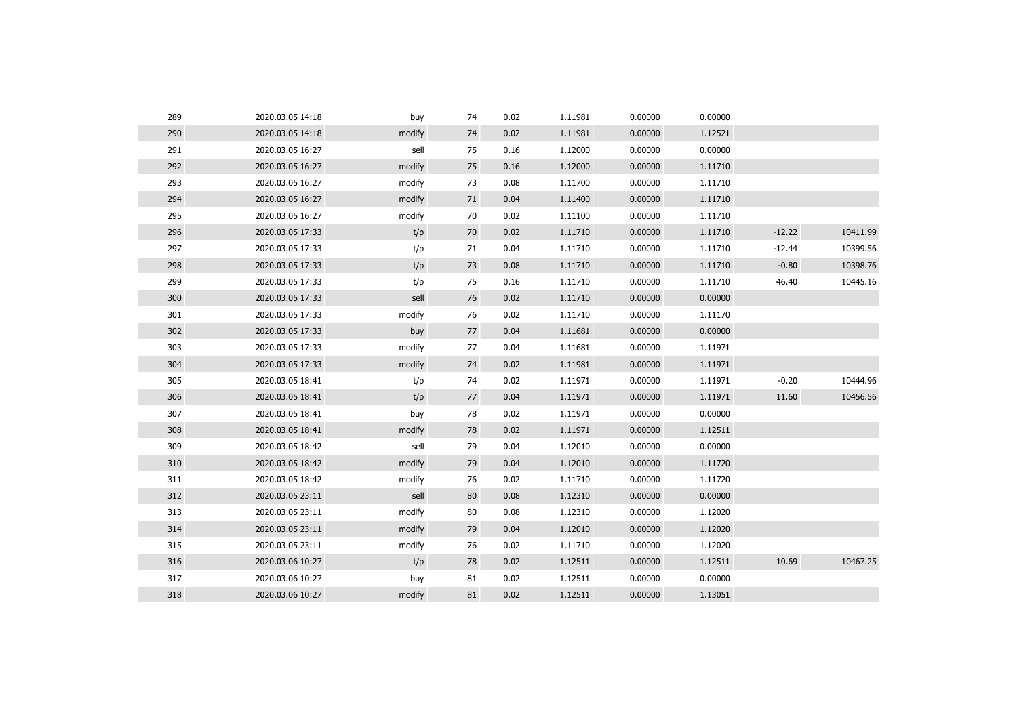| 289 | 2020.03.05 14:18 | buy    | 74 | 0.02 | 1.11981 | 0.00000 | 0.00000 |          |          |
|-----|------------------|--------|----|------|---------|---------|---------|----------|----------|
| 290 | 2020.03.05 14:18 | modify | 74 | 0.02 | 1.11981 | 0.00000 | 1.12521 |          |          |
| 291 | 2020.03.05 16:27 | sell   | 75 | 0.16 | 1.12000 | 0.00000 | 0.00000 |          |          |
| 292 | 2020.03.05 16:27 | modify | 75 | 0.16 | 1.12000 | 0.00000 | 1.11710 |          |          |
| 293 | 2020.03.05 16:27 | modify | 73 | 0.08 | 1.11700 | 0.00000 | 1.11710 |          |          |
| 294 | 2020.03.05 16:27 | modify | 71 | 0.04 | 1.11400 | 0.00000 | 1.11710 |          |          |
| 295 | 2020.03.05 16:27 | modify | 70 | 0.02 | 1.11100 | 0.00000 | 1.11710 |          |          |
| 296 | 2020.03.05 17:33 | t/p    | 70 | 0.02 | 1.11710 | 0.00000 | 1.11710 | $-12.22$ | 10411.99 |
| 297 | 2020.03.05 17:33 | t/p    | 71 | 0.04 | 1.11710 | 0.00000 | 1.11710 | $-12.44$ | 10399.56 |
| 298 | 2020.03.05 17:33 | t/p    | 73 | 0.08 | 1.11710 | 0.00000 | 1.11710 | $-0.80$  | 10398.76 |
| 299 | 2020.03.05 17:33 | t/p    | 75 | 0.16 | 1.11710 | 0.00000 | 1.11710 | 46.40    | 10445.16 |
| 300 | 2020.03.05 17:33 | sell   | 76 | 0.02 | 1.11710 | 0.00000 | 0.00000 |          |          |
| 301 | 2020.03.05 17:33 | modify | 76 | 0.02 | 1.11710 | 0.00000 | 1.11170 |          |          |
| 302 | 2020.03.05 17:33 | buy    | 77 | 0.04 | 1.11681 | 0.00000 | 0.00000 |          |          |
| 303 | 2020.03.05 17:33 | modify | 77 | 0.04 | 1.11681 | 0.00000 | 1.11971 |          |          |
| 304 | 2020.03.05 17:33 | modify | 74 | 0.02 | 1.11981 | 0.00000 | 1.11971 |          |          |
| 305 | 2020.03.05 18:41 | t/p    | 74 | 0.02 | 1.11971 | 0.00000 | 1.11971 | $-0.20$  | 10444.96 |
| 306 | 2020.03.05 18:41 | t/p    | 77 | 0.04 | 1.11971 | 0.00000 | 1.11971 | 11.60    | 10456.56 |
| 307 | 2020.03.05 18:41 | buy    | 78 | 0.02 | 1.11971 | 0.00000 | 0.00000 |          |          |
| 308 | 2020.03.05 18:41 | modify | 78 | 0.02 | 1.11971 | 0.00000 | 1.12511 |          |          |
| 309 | 2020.03.05 18:42 | sell   | 79 | 0.04 | 1.12010 | 0.00000 | 0.00000 |          |          |
| 310 | 2020.03.05 18:42 | modify | 79 | 0.04 | 1.12010 | 0.00000 | 1.11720 |          |          |
| 311 | 2020.03.05 18:42 | modify | 76 | 0.02 | 1.11710 | 0.00000 | 1.11720 |          |          |
| 312 | 2020.03.05 23:11 | sell   | 80 | 0.08 | 1.12310 | 0.00000 | 0.00000 |          |          |
| 313 | 2020.03.05 23:11 | modify | 80 | 0.08 | 1.12310 | 0.00000 | 1.12020 |          |          |
| 314 | 2020.03.05 23:11 | modify | 79 | 0.04 | 1.12010 | 0.00000 | 1.12020 |          |          |
| 315 | 2020.03.05 23:11 | modify | 76 | 0.02 | 1.11710 | 0.00000 | 1.12020 |          |          |
| 316 | 2020.03.06 10:27 | t/p    | 78 | 0.02 | 1.12511 | 0.00000 | 1.12511 | 10.69    | 10467.25 |
| 317 | 2020.03.06 10:27 | buy    | 81 | 0.02 | 1.12511 | 0.00000 | 0.00000 |          |          |
| 318 | 2020.03.06 10:27 | modify | 81 | 0.02 | 1.12511 | 0.00000 | 1.13051 |          |          |
|     |                  |        |    |      |         |         |         |          |          |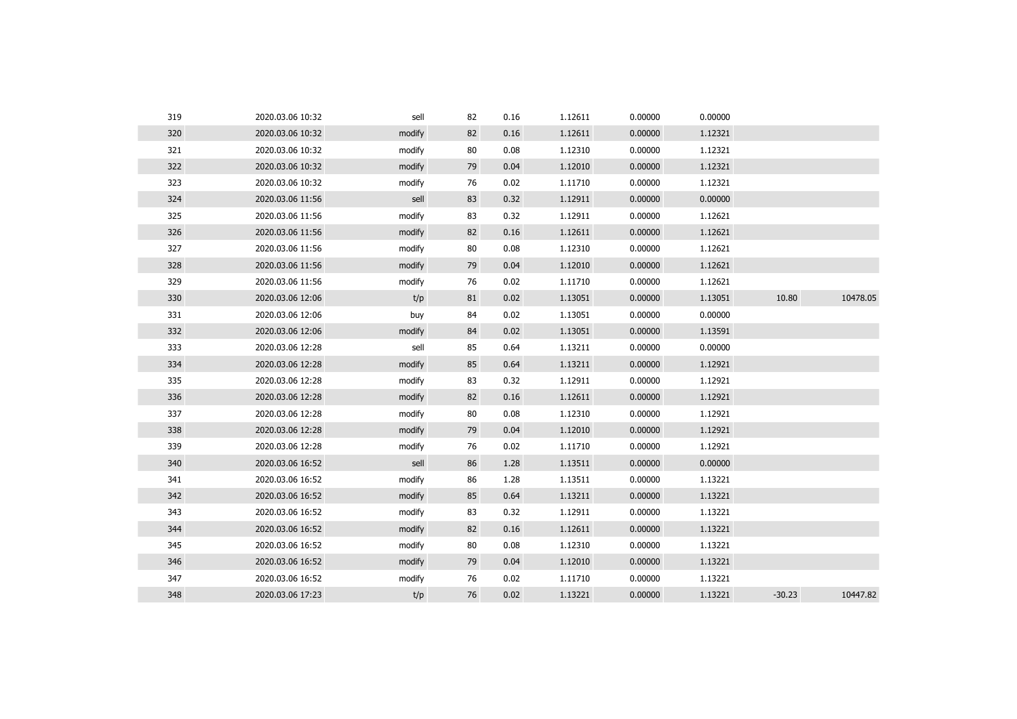| 319 | 2020.03.06 10:32 | sell   | 82 | 0.16 | 1.12611 | 0.00000 | 0.00000 |          |          |
|-----|------------------|--------|----|------|---------|---------|---------|----------|----------|
| 320 | 2020.03.06 10:32 | modify | 82 | 0.16 | 1.12611 | 0.00000 | 1.12321 |          |          |
| 321 | 2020.03.06 10:32 | modify | 80 | 0.08 | 1.12310 | 0.00000 | 1.12321 |          |          |
| 322 | 2020.03.06 10:32 | modify | 79 | 0.04 | 1.12010 | 0.00000 | 1.12321 |          |          |
| 323 | 2020.03.06 10:32 | modify | 76 | 0.02 | 1.11710 | 0.00000 | 1.12321 |          |          |
| 324 | 2020.03.06 11:56 | sell   | 83 | 0.32 | 1.12911 | 0.00000 | 0.00000 |          |          |
| 325 | 2020.03.06 11:56 | modify | 83 | 0.32 | 1.12911 | 0.00000 | 1.12621 |          |          |
| 326 | 2020.03.06 11:56 | modify | 82 | 0.16 | 1.12611 | 0.00000 | 1.12621 |          |          |
| 327 | 2020.03.06 11:56 | modify | 80 | 0.08 | 1.12310 | 0.00000 | 1.12621 |          |          |
| 328 | 2020.03.06 11:56 | modify | 79 | 0.04 | 1.12010 | 0.00000 | 1.12621 |          |          |
| 329 | 2020.03.06 11:56 | modify | 76 | 0.02 | 1.11710 | 0.00000 | 1.12621 |          |          |
| 330 | 2020.03.06 12:06 | t/p    | 81 | 0.02 | 1.13051 | 0.00000 | 1.13051 | 10.80    | 10478.05 |
| 331 | 2020.03.06 12:06 | buy    | 84 | 0.02 | 1.13051 | 0.00000 | 0.00000 |          |          |
| 332 | 2020.03.06 12:06 | modify | 84 | 0.02 | 1.13051 | 0.00000 | 1.13591 |          |          |
| 333 | 2020.03.06 12:28 | sell   | 85 | 0.64 | 1.13211 | 0.00000 | 0.00000 |          |          |
| 334 | 2020.03.06 12:28 | modify | 85 | 0.64 | 1.13211 | 0.00000 | 1.12921 |          |          |
| 335 | 2020.03.06 12:28 | modify | 83 | 0.32 | 1.12911 | 0.00000 | 1.12921 |          |          |
| 336 | 2020.03.06 12:28 | modify | 82 | 0.16 | 1.12611 | 0.00000 | 1.12921 |          |          |
| 337 | 2020.03.06 12:28 | modify | 80 | 0.08 | 1.12310 | 0.00000 | 1.12921 |          |          |
| 338 | 2020.03.06 12:28 | modify | 79 | 0.04 | 1.12010 | 0.00000 | 1.12921 |          |          |
| 339 | 2020.03.06 12:28 | modify | 76 | 0.02 | 1.11710 | 0.00000 | 1.12921 |          |          |
| 340 | 2020.03.06 16:52 | sell   | 86 | 1.28 | 1.13511 | 0.00000 | 0.00000 |          |          |
| 341 | 2020.03.06 16:52 | modify | 86 | 1.28 | 1.13511 | 0.00000 | 1.13221 |          |          |
| 342 | 2020.03.06 16:52 | modify | 85 | 0.64 | 1.13211 | 0.00000 | 1.13221 |          |          |
| 343 | 2020.03.06 16:52 | modify | 83 | 0.32 | 1.12911 | 0.00000 | 1.13221 |          |          |
| 344 | 2020.03.06 16:52 | modify | 82 | 0.16 | 1.12611 | 0.00000 | 1.13221 |          |          |
| 345 | 2020.03.06 16:52 | modify | 80 | 0.08 | 1.12310 | 0.00000 | 1.13221 |          |          |
| 346 | 2020.03.06 16:52 | modify | 79 | 0.04 | 1.12010 | 0.00000 | 1.13221 |          |          |
| 347 | 2020.03.06 16:52 | modify | 76 | 0.02 | 1.11710 | 0.00000 | 1.13221 |          |          |
| 348 | 2020.03.06 17:23 | t/p    | 76 | 0.02 | 1.13221 | 0.00000 | 1.13221 | $-30.23$ | 10447.82 |
|     |                  |        |    |      |         |         |         |          |          |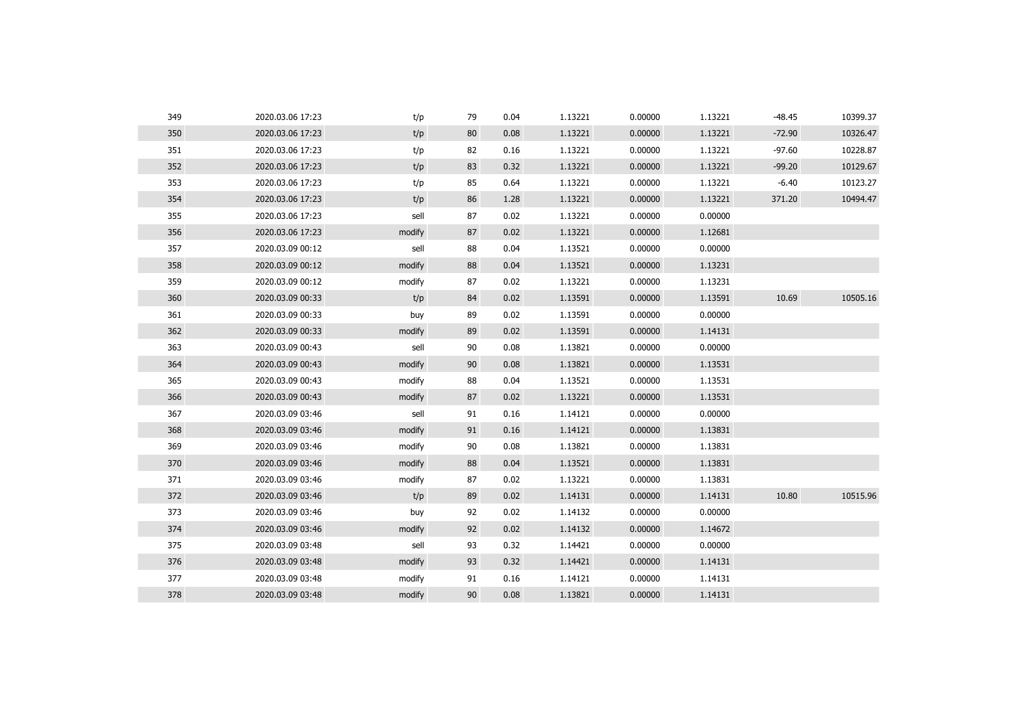| 349 | 2020.03.06 17:23 | t/p    | 79 | 0.04 | 1.13221 | 0.00000 | 1.13221 | $-48.45$ | 10399.37 |
|-----|------------------|--------|----|------|---------|---------|---------|----------|----------|
| 350 | 2020.03.06 17:23 | t/p    | 80 | 0.08 | 1.13221 | 0.00000 | 1.13221 | $-72.90$ | 10326.47 |
| 351 | 2020.03.06 17:23 | t/p    | 82 | 0.16 | 1.13221 | 0.00000 | 1.13221 | $-97.60$ | 10228.87 |
| 352 | 2020.03.06 17:23 | t/p    | 83 | 0.32 | 1.13221 | 0.00000 | 1.13221 | $-99.20$ | 10129.67 |
| 353 | 2020.03.06 17:23 | t/p    | 85 | 0.64 | 1.13221 | 0.00000 | 1.13221 | $-6.40$  | 10123.27 |
| 354 | 2020.03.06 17:23 | t/p    | 86 | 1.28 | 1.13221 | 0.00000 | 1.13221 | 371.20   | 10494.47 |
| 355 | 2020.03.06 17:23 | sell   | 87 | 0.02 | 1.13221 | 0.00000 | 0.00000 |          |          |
| 356 | 2020.03.06 17:23 | modify | 87 | 0.02 | 1.13221 | 0.00000 | 1.12681 |          |          |
| 357 | 2020.03.09 00:12 | sell   | 88 | 0.04 | 1.13521 | 0.00000 | 0.00000 |          |          |
| 358 | 2020.03.09 00:12 | modify | 88 | 0.04 | 1.13521 | 0.00000 | 1.13231 |          |          |
| 359 | 2020.03.09 00:12 | modify | 87 | 0.02 | 1.13221 | 0.00000 | 1.13231 |          |          |
| 360 | 2020.03.09 00:33 | t/p    | 84 | 0.02 | 1.13591 | 0.00000 | 1.13591 | 10.69    | 10505.16 |
| 361 | 2020.03.09 00:33 | buy    | 89 | 0.02 | 1.13591 | 0.00000 | 0.00000 |          |          |
| 362 | 2020.03.09 00:33 | modify | 89 | 0.02 | 1.13591 | 0.00000 | 1.14131 |          |          |
| 363 | 2020.03.09 00:43 | sell   | 90 | 0.08 | 1.13821 | 0.00000 | 0.00000 |          |          |
| 364 | 2020.03.09 00:43 | modify | 90 | 0.08 | 1.13821 | 0.00000 | 1.13531 |          |          |
| 365 | 2020.03.09 00:43 | modify | 88 | 0.04 | 1.13521 | 0.00000 | 1.13531 |          |          |
| 366 | 2020.03.09 00:43 | modify | 87 | 0.02 | 1.13221 | 0.00000 | 1.13531 |          |          |
| 367 | 2020.03.09 03:46 | sell   | 91 | 0.16 | 1.14121 | 0.00000 | 0.00000 |          |          |
| 368 | 2020.03.09 03:46 | modify | 91 | 0.16 | 1.14121 | 0.00000 | 1.13831 |          |          |
| 369 | 2020.03.09 03:46 | modify | 90 | 0.08 | 1.13821 | 0.00000 | 1.13831 |          |          |
| 370 | 2020.03.09 03:46 | modify | 88 | 0.04 | 1.13521 | 0.00000 | 1.13831 |          |          |
| 371 | 2020.03.09 03:46 | modify | 87 | 0.02 | 1.13221 | 0.00000 | 1.13831 |          |          |
| 372 | 2020.03.09 03:46 | t/p    | 89 | 0.02 | 1.14131 | 0.00000 | 1.14131 | 10.80    | 10515.96 |
| 373 | 2020.03.09 03:46 | buy    | 92 | 0.02 | 1.14132 | 0.00000 | 0.00000 |          |          |
| 374 | 2020.03.09 03:46 | modify | 92 | 0.02 | 1.14132 | 0.00000 | 1.14672 |          |          |
| 375 | 2020.03.09 03:48 | sell   | 93 | 0.32 | 1.14421 | 0.00000 | 0.00000 |          |          |
| 376 | 2020.03.09 03:48 | modify | 93 | 0.32 | 1.14421 | 0.00000 | 1.14131 |          |          |
| 377 | 2020.03.09 03:48 | modify | 91 | 0.16 | 1.14121 | 0.00000 | 1.14131 |          |          |
| 378 | 2020.03.09 03:48 | modify | 90 | 0.08 | 1.13821 | 0.00000 | 1.14131 |          |          |
|     |                  |        |    |      |         |         |         |          |          |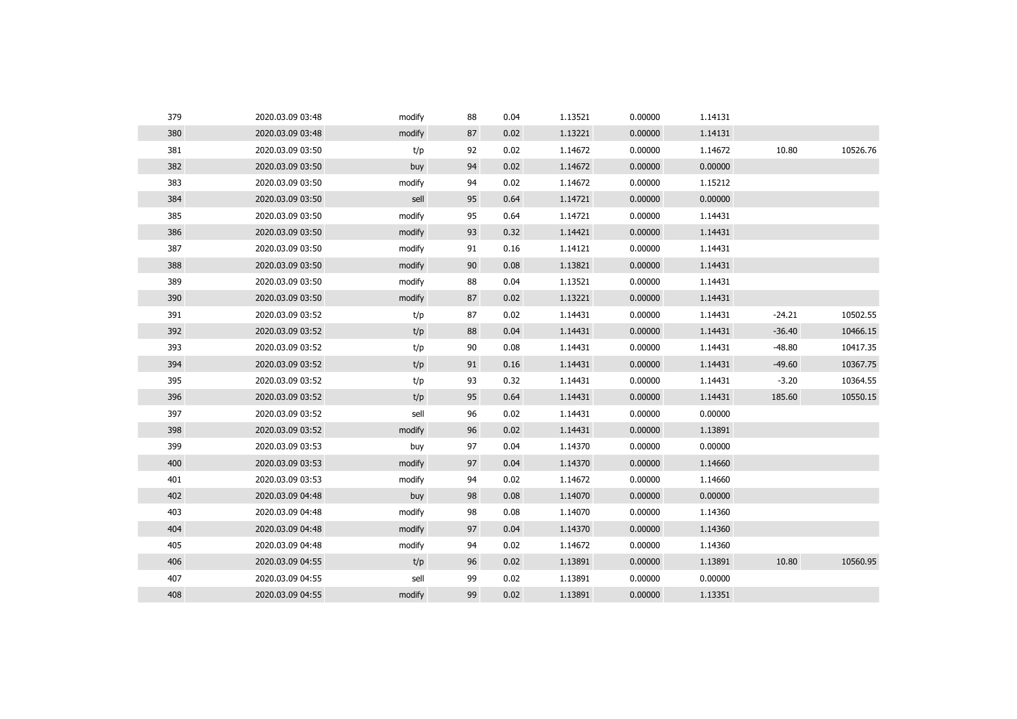| 380<br>2020.03.09 03:48<br>87<br>1.13221<br>0.00000<br>1.14131<br>modify<br>0.02<br>381<br>92<br>0.02<br>1.14672<br>0.00000<br>1.14672<br>10.80<br>2020.03.09 03:50<br>t/p<br>382<br>2020.03.09 03:50<br>94<br>0.02<br>1.14672<br>0.00000<br>0.00000<br>buy<br>383<br>0.02<br>1.14672<br>1.15212<br>2020.03.09 03:50<br>94<br>0.00000<br>modify<br>384<br>95<br>1.14721<br>0.00000<br>0.00000<br>2020.03.09 03:50<br>sell<br>0.64<br>385<br>2020.03.09 03:50<br>95<br>1.14721<br>0.00000<br>1.14431<br>modify<br>0.64<br>386<br>93<br>1.14421<br>0.00000<br>1.14431<br>2020.03.09 03:50<br>0.32<br>modify<br>387<br>0.16<br>1.14121<br>0.00000<br>1.14431<br>2020.03.09 03:50<br>modify<br>91<br>388<br>90<br>1.13821<br>0.00000<br>2020.03.09 03:50<br>0.08<br>1.14431<br>modify<br>389<br>2020.03.09 03:50<br>modify<br>88<br>0.04<br>1.13521<br>0.00000<br>1.14431<br>390<br>87<br>1.13221<br>2020.03.09 03:50<br>0.02<br>0.00000<br>1.14431<br>modify<br>391<br>87<br>$-24.21$<br>2020.03.09 03:52<br>0.02<br>1.14431<br>0.00000<br>1.14431<br>t/p<br>392<br>88<br>0.00000<br>$-36.40$<br>2020.03.09 03:52<br>t/p<br>0.04<br>1.14431<br>1.14431<br>393<br>90<br>0.08<br>1.14431<br>0.00000<br>1.14431<br>$-48.80$<br>2020.03.09 03:52<br>t/p<br>394<br>2020.03.09 03:52<br>t/p<br>91<br>0.16<br>1.14431<br>0.00000<br>1.14431<br>$-49.60$<br>395<br>93<br>$-3.20$<br>2020.03.09 03:52<br>t/p<br>0.32<br>1.14431<br>0.00000<br>1.14431<br>396<br>t/p<br>95<br>0.64<br>1.14431<br>0.00000<br>1.14431<br>185.60<br>2020.03.09 03:52<br>397<br>2020.03.09 03:52<br>sell<br>96<br>0.02<br>1.14431<br>0.00000<br>0.00000<br>398<br>96<br>0.02<br>0.00000<br>1.13891<br>2020.03.09 03:52<br>modify<br>1.14431<br>399<br>97<br>2020.03.09 03:53<br>0.04<br>1.14370<br>0.00000<br>0.00000<br>buy<br>400<br>97<br>1.14370<br>0.00000<br>1.14660<br>2020.03.09 03:53<br>modify<br>0.04<br>401<br>0.02<br>1.14660<br>2020.03.09 03:53<br>modify<br>94<br>1.14672<br>0.00000<br>402<br>2020.03.09 04:48<br>98<br>0.08<br>1.14070<br>0.00000<br>0.00000<br>buy<br>403<br>98<br>1.14360<br>2020.03.09 04:48<br>modify<br>0.08<br>1.14070<br>0.00000<br>404<br>97<br>0.04<br>1.14370<br>0.00000<br>1.14360<br>2020.03.09 04:48<br>modify<br>405<br>2020.03.09 04:48<br>94<br>0.02<br>1.14672<br>0.00000<br>1.14360<br>modify<br>10.80<br>406<br>0.02<br>1.13891<br>0.00000<br>2020.03.09 04:55<br>t/p<br>96<br>1.13891<br>407<br>99<br>0.02<br>1.13891<br>0.00000<br>2020.03.09 04:55<br>sell<br>0.00000<br>99<br>408<br>2020.03.09 04:55<br>0.02<br>1.13891<br>0.00000<br>1.13351<br>modify | 379 | 2020.03.09 03:48 | modify | 88 | 0.04 | 1.13521 | 0.00000 | 1.14131 |          |
|----------------------------------------------------------------------------------------------------------------------------------------------------------------------------------------------------------------------------------------------------------------------------------------------------------------------------------------------------------------------------------------------------------------------------------------------------------------------------------------------------------------------------------------------------------------------------------------------------------------------------------------------------------------------------------------------------------------------------------------------------------------------------------------------------------------------------------------------------------------------------------------------------------------------------------------------------------------------------------------------------------------------------------------------------------------------------------------------------------------------------------------------------------------------------------------------------------------------------------------------------------------------------------------------------------------------------------------------------------------------------------------------------------------------------------------------------------------------------------------------------------------------------------------------------------------------------------------------------------------------------------------------------------------------------------------------------------------------------------------------------------------------------------------------------------------------------------------------------------------------------------------------------------------------------------------------------------------------------------------------------------------------------------------------------------------------------------------------------------------------------------------------------------------------------------------------------------------------------------------------------------------------------------------------------------------------------------------------------------------------------------------------------------------------------------------------------------------------------------------------------------------------------------------------------------------------------------|-----|------------------|--------|----|------|---------|---------|---------|----------|
|                                                                                                                                                                                                                                                                                                                                                                                                                                                                                                                                                                                                                                                                                                                                                                                                                                                                                                                                                                                                                                                                                                                                                                                                                                                                                                                                                                                                                                                                                                                                                                                                                                                                                                                                                                                                                                                                                                                                                                                                                                                                                                                                                                                                                                                                                                                                                                                                                                                                                                                                                                                  |     |                  |        |    |      |         |         |         |          |
|                                                                                                                                                                                                                                                                                                                                                                                                                                                                                                                                                                                                                                                                                                                                                                                                                                                                                                                                                                                                                                                                                                                                                                                                                                                                                                                                                                                                                                                                                                                                                                                                                                                                                                                                                                                                                                                                                                                                                                                                                                                                                                                                                                                                                                                                                                                                                                                                                                                                                                                                                                                  |     |                  |        |    |      |         |         |         | 10526.76 |
|                                                                                                                                                                                                                                                                                                                                                                                                                                                                                                                                                                                                                                                                                                                                                                                                                                                                                                                                                                                                                                                                                                                                                                                                                                                                                                                                                                                                                                                                                                                                                                                                                                                                                                                                                                                                                                                                                                                                                                                                                                                                                                                                                                                                                                                                                                                                                                                                                                                                                                                                                                                  |     |                  |        |    |      |         |         |         |          |
|                                                                                                                                                                                                                                                                                                                                                                                                                                                                                                                                                                                                                                                                                                                                                                                                                                                                                                                                                                                                                                                                                                                                                                                                                                                                                                                                                                                                                                                                                                                                                                                                                                                                                                                                                                                                                                                                                                                                                                                                                                                                                                                                                                                                                                                                                                                                                                                                                                                                                                                                                                                  |     |                  |        |    |      |         |         |         |          |
|                                                                                                                                                                                                                                                                                                                                                                                                                                                                                                                                                                                                                                                                                                                                                                                                                                                                                                                                                                                                                                                                                                                                                                                                                                                                                                                                                                                                                                                                                                                                                                                                                                                                                                                                                                                                                                                                                                                                                                                                                                                                                                                                                                                                                                                                                                                                                                                                                                                                                                                                                                                  |     |                  |        |    |      |         |         |         |          |
|                                                                                                                                                                                                                                                                                                                                                                                                                                                                                                                                                                                                                                                                                                                                                                                                                                                                                                                                                                                                                                                                                                                                                                                                                                                                                                                                                                                                                                                                                                                                                                                                                                                                                                                                                                                                                                                                                                                                                                                                                                                                                                                                                                                                                                                                                                                                                                                                                                                                                                                                                                                  |     |                  |        |    |      |         |         |         |          |
|                                                                                                                                                                                                                                                                                                                                                                                                                                                                                                                                                                                                                                                                                                                                                                                                                                                                                                                                                                                                                                                                                                                                                                                                                                                                                                                                                                                                                                                                                                                                                                                                                                                                                                                                                                                                                                                                                                                                                                                                                                                                                                                                                                                                                                                                                                                                                                                                                                                                                                                                                                                  |     |                  |        |    |      |         |         |         |          |
|                                                                                                                                                                                                                                                                                                                                                                                                                                                                                                                                                                                                                                                                                                                                                                                                                                                                                                                                                                                                                                                                                                                                                                                                                                                                                                                                                                                                                                                                                                                                                                                                                                                                                                                                                                                                                                                                                                                                                                                                                                                                                                                                                                                                                                                                                                                                                                                                                                                                                                                                                                                  |     |                  |        |    |      |         |         |         |          |
|                                                                                                                                                                                                                                                                                                                                                                                                                                                                                                                                                                                                                                                                                                                                                                                                                                                                                                                                                                                                                                                                                                                                                                                                                                                                                                                                                                                                                                                                                                                                                                                                                                                                                                                                                                                                                                                                                                                                                                                                                                                                                                                                                                                                                                                                                                                                                                                                                                                                                                                                                                                  |     |                  |        |    |      |         |         |         |          |
|                                                                                                                                                                                                                                                                                                                                                                                                                                                                                                                                                                                                                                                                                                                                                                                                                                                                                                                                                                                                                                                                                                                                                                                                                                                                                                                                                                                                                                                                                                                                                                                                                                                                                                                                                                                                                                                                                                                                                                                                                                                                                                                                                                                                                                                                                                                                                                                                                                                                                                                                                                                  |     |                  |        |    |      |         |         |         |          |
|                                                                                                                                                                                                                                                                                                                                                                                                                                                                                                                                                                                                                                                                                                                                                                                                                                                                                                                                                                                                                                                                                                                                                                                                                                                                                                                                                                                                                                                                                                                                                                                                                                                                                                                                                                                                                                                                                                                                                                                                                                                                                                                                                                                                                                                                                                                                                                                                                                                                                                                                                                                  |     |                  |        |    |      |         |         |         |          |
|                                                                                                                                                                                                                                                                                                                                                                                                                                                                                                                                                                                                                                                                                                                                                                                                                                                                                                                                                                                                                                                                                                                                                                                                                                                                                                                                                                                                                                                                                                                                                                                                                                                                                                                                                                                                                                                                                                                                                                                                                                                                                                                                                                                                                                                                                                                                                                                                                                                                                                                                                                                  |     |                  |        |    |      |         |         |         | 10502.55 |
|                                                                                                                                                                                                                                                                                                                                                                                                                                                                                                                                                                                                                                                                                                                                                                                                                                                                                                                                                                                                                                                                                                                                                                                                                                                                                                                                                                                                                                                                                                                                                                                                                                                                                                                                                                                                                                                                                                                                                                                                                                                                                                                                                                                                                                                                                                                                                                                                                                                                                                                                                                                  |     |                  |        |    |      |         |         |         | 10466.15 |
|                                                                                                                                                                                                                                                                                                                                                                                                                                                                                                                                                                                                                                                                                                                                                                                                                                                                                                                                                                                                                                                                                                                                                                                                                                                                                                                                                                                                                                                                                                                                                                                                                                                                                                                                                                                                                                                                                                                                                                                                                                                                                                                                                                                                                                                                                                                                                                                                                                                                                                                                                                                  |     |                  |        |    |      |         |         |         | 10417.35 |
|                                                                                                                                                                                                                                                                                                                                                                                                                                                                                                                                                                                                                                                                                                                                                                                                                                                                                                                                                                                                                                                                                                                                                                                                                                                                                                                                                                                                                                                                                                                                                                                                                                                                                                                                                                                                                                                                                                                                                                                                                                                                                                                                                                                                                                                                                                                                                                                                                                                                                                                                                                                  |     |                  |        |    |      |         |         |         | 10367.75 |
|                                                                                                                                                                                                                                                                                                                                                                                                                                                                                                                                                                                                                                                                                                                                                                                                                                                                                                                                                                                                                                                                                                                                                                                                                                                                                                                                                                                                                                                                                                                                                                                                                                                                                                                                                                                                                                                                                                                                                                                                                                                                                                                                                                                                                                                                                                                                                                                                                                                                                                                                                                                  |     |                  |        |    |      |         |         |         | 10364.55 |
|                                                                                                                                                                                                                                                                                                                                                                                                                                                                                                                                                                                                                                                                                                                                                                                                                                                                                                                                                                                                                                                                                                                                                                                                                                                                                                                                                                                                                                                                                                                                                                                                                                                                                                                                                                                                                                                                                                                                                                                                                                                                                                                                                                                                                                                                                                                                                                                                                                                                                                                                                                                  |     |                  |        |    |      |         |         |         | 10550.15 |
|                                                                                                                                                                                                                                                                                                                                                                                                                                                                                                                                                                                                                                                                                                                                                                                                                                                                                                                                                                                                                                                                                                                                                                                                                                                                                                                                                                                                                                                                                                                                                                                                                                                                                                                                                                                                                                                                                                                                                                                                                                                                                                                                                                                                                                                                                                                                                                                                                                                                                                                                                                                  |     |                  |        |    |      |         |         |         |          |
|                                                                                                                                                                                                                                                                                                                                                                                                                                                                                                                                                                                                                                                                                                                                                                                                                                                                                                                                                                                                                                                                                                                                                                                                                                                                                                                                                                                                                                                                                                                                                                                                                                                                                                                                                                                                                                                                                                                                                                                                                                                                                                                                                                                                                                                                                                                                                                                                                                                                                                                                                                                  |     |                  |        |    |      |         |         |         |          |
|                                                                                                                                                                                                                                                                                                                                                                                                                                                                                                                                                                                                                                                                                                                                                                                                                                                                                                                                                                                                                                                                                                                                                                                                                                                                                                                                                                                                                                                                                                                                                                                                                                                                                                                                                                                                                                                                                                                                                                                                                                                                                                                                                                                                                                                                                                                                                                                                                                                                                                                                                                                  |     |                  |        |    |      |         |         |         |          |
|                                                                                                                                                                                                                                                                                                                                                                                                                                                                                                                                                                                                                                                                                                                                                                                                                                                                                                                                                                                                                                                                                                                                                                                                                                                                                                                                                                                                                                                                                                                                                                                                                                                                                                                                                                                                                                                                                                                                                                                                                                                                                                                                                                                                                                                                                                                                                                                                                                                                                                                                                                                  |     |                  |        |    |      |         |         |         |          |
|                                                                                                                                                                                                                                                                                                                                                                                                                                                                                                                                                                                                                                                                                                                                                                                                                                                                                                                                                                                                                                                                                                                                                                                                                                                                                                                                                                                                                                                                                                                                                                                                                                                                                                                                                                                                                                                                                                                                                                                                                                                                                                                                                                                                                                                                                                                                                                                                                                                                                                                                                                                  |     |                  |        |    |      |         |         |         |          |
|                                                                                                                                                                                                                                                                                                                                                                                                                                                                                                                                                                                                                                                                                                                                                                                                                                                                                                                                                                                                                                                                                                                                                                                                                                                                                                                                                                                                                                                                                                                                                                                                                                                                                                                                                                                                                                                                                                                                                                                                                                                                                                                                                                                                                                                                                                                                                                                                                                                                                                                                                                                  |     |                  |        |    |      |         |         |         |          |
|                                                                                                                                                                                                                                                                                                                                                                                                                                                                                                                                                                                                                                                                                                                                                                                                                                                                                                                                                                                                                                                                                                                                                                                                                                                                                                                                                                                                                                                                                                                                                                                                                                                                                                                                                                                                                                                                                                                                                                                                                                                                                                                                                                                                                                                                                                                                                                                                                                                                                                                                                                                  |     |                  |        |    |      |         |         |         |          |
|                                                                                                                                                                                                                                                                                                                                                                                                                                                                                                                                                                                                                                                                                                                                                                                                                                                                                                                                                                                                                                                                                                                                                                                                                                                                                                                                                                                                                                                                                                                                                                                                                                                                                                                                                                                                                                                                                                                                                                                                                                                                                                                                                                                                                                                                                                                                                                                                                                                                                                                                                                                  |     |                  |        |    |      |         |         |         |          |
|                                                                                                                                                                                                                                                                                                                                                                                                                                                                                                                                                                                                                                                                                                                                                                                                                                                                                                                                                                                                                                                                                                                                                                                                                                                                                                                                                                                                                                                                                                                                                                                                                                                                                                                                                                                                                                                                                                                                                                                                                                                                                                                                                                                                                                                                                                                                                                                                                                                                                                                                                                                  |     |                  |        |    |      |         |         |         |          |
|                                                                                                                                                                                                                                                                                                                                                                                                                                                                                                                                                                                                                                                                                                                                                                                                                                                                                                                                                                                                                                                                                                                                                                                                                                                                                                                                                                                                                                                                                                                                                                                                                                                                                                                                                                                                                                                                                                                                                                                                                                                                                                                                                                                                                                                                                                                                                                                                                                                                                                                                                                                  |     |                  |        |    |      |         |         |         | 10560.95 |
|                                                                                                                                                                                                                                                                                                                                                                                                                                                                                                                                                                                                                                                                                                                                                                                                                                                                                                                                                                                                                                                                                                                                                                                                                                                                                                                                                                                                                                                                                                                                                                                                                                                                                                                                                                                                                                                                                                                                                                                                                                                                                                                                                                                                                                                                                                                                                                                                                                                                                                                                                                                  |     |                  |        |    |      |         |         |         |          |
|                                                                                                                                                                                                                                                                                                                                                                                                                                                                                                                                                                                                                                                                                                                                                                                                                                                                                                                                                                                                                                                                                                                                                                                                                                                                                                                                                                                                                                                                                                                                                                                                                                                                                                                                                                                                                                                                                                                                                                                                                                                                                                                                                                                                                                                                                                                                                                                                                                                                                                                                                                                  |     |                  |        |    |      |         |         |         |          |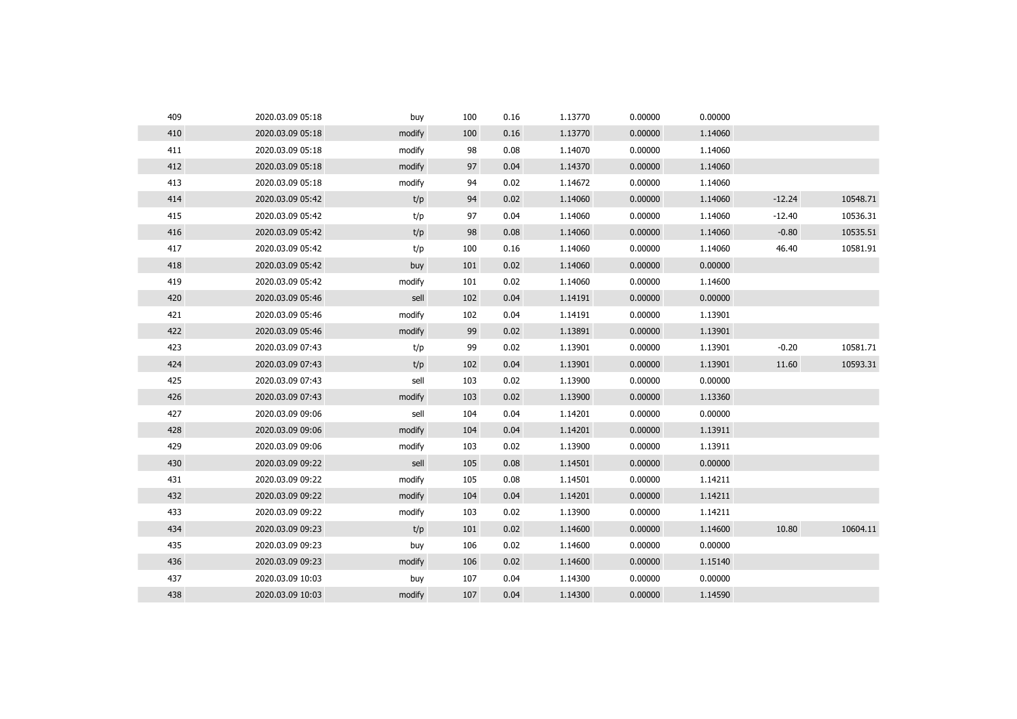| 409 | 2020.03.09 05:18 | buy    | 100 | 0.16 | 1.13770 | 0.00000 | 0.00000 |          |          |
|-----|------------------|--------|-----|------|---------|---------|---------|----------|----------|
| 410 | 2020.03.09 05:18 | modify | 100 | 0.16 | 1.13770 | 0.00000 | 1.14060 |          |          |
| 411 | 2020.03.09 05:18 | modify | 98  | 0.08 | 1.14070 | 0.00000 | 1.14060 |          |          |
| 412 | 2020.03.09 05:18 | modify | 97  | 0.04 | 1.14370 | 0.00000 | 1.14060 |          |          |
| 413 | 2020.03.09 05:18 | modify | 94  | 0.02 | 1.14672 | 0.00000 | 1.14060 |          |          |
| 414 | 2020.03.09 05:42 | t/p    | 94  | 0.02 | 1.14060 | 0.00000 | 1.14060 | $-12.24$ | 10548.71 |
| 415 | 2020.03.09 05:42 | t/p    | 97  | 0.04 | 1.14060 | 0.00000 | 1.14060 | $-12.40$ | 10536.31 |
| 416 | 2020.03.09 05:42 | t/p    | 98  | 0.08 | 1.14060 | 0.00000 | 1.14060 | $-0.80$  | 10535.51 |
| 417 | 2020.03.09 05:42 | t/p    | 100 | 0.16 | 1.14060 | 0.00000 | 1.14060 | 46.40    | 10581.91 |
| 418 | 2020.03.09 05:42 | buy    | 101 | 0.02 | 1.14060 | 0.00000 | 0.00000 |          |          |
| 419 | 2020.03.09 05:42 | modify | 101 | 0.02 | 1.14060 | 0.00000 | 1.14600 |          |          |
| 420 | 2020.03.09 05:46 | sell   | 102 | 0.04 | 1.14191 | 0.00000 | 0.00000 |          |          |
| 421 | 2020.03.09 05:46 | modify | 102 | 0.04 | 1.14191 | 0.00000 | 1.13901 |          |          |
| 422 | 2020.03.09 05:46 | modify | 99  | 0.02 | 1.13891 | 0.00000 | 1.13901 |          |          |
| 423 | 2020.03.09 07:43 | t/p    | 99  | 0.02 | 1.13901 | 0.00000 | 1.13901 | $-0.20$  | 10581.71 |
| 424 | 2020.03.09 07:43 | t/p    | 102 | 0.04 | 1.13901 | 0.00000 | 1.13901 | 11.60    | 10593.31 |
| 425 | 2020.03.09 07:43 | sell   | 103 | 0.02 | 1.13900 | 0.00000 | 0.00000 |          |          |
| 426 | 2020.03.09 07:43 | modify | 103 | 0.02 | 1.13900 | 0.00000 | 1.13360 |          |          |
| 427 | 2020.03.09 09:06 | sell   | 104 | 0.04 | 1.14201 | 0.00000 | 0.00000 |          |          |
| 428 | 2020.03.09 09:06 | modify | 104 | 0.04 | 1.14201 | 0.00000 | 1.13911 |          |          |
| 429 | 2020.03.09 09:06 | modify | 103 | 0.02 | 1.13900 | 0.00000 | 1.13911 |          |          |
| 430 | 2020.03.09 09:22 | sell   | 105 | 0.08 | 1.14501 | 0.00000 | 0.00000 |          |          |
| 431 | 2020.03.09 09:22 | modify | 105 | 0.08 | 1.14501 | 0.00000 | 1.14211 |          |          |
| 432 | 2020.03.09 09:22 | modify | 104 | 0.04 | 1.14201 | 0.00000 | 1.14211 |          |          |
| 433 | 2020.03.09 09:22 | modify | 103 | 0.02 | 1.13900 | 0.00000 | 1.14211 |          |          |
| 434 | 2020.03.09 09:23 | t/p    | 101 | 0.02 | 1.14600 | 0.00000 | 1.14600 | 10.80    | 10604.11 |
| 435 | 2020.03.09 09:23 | buy    | 106 | 0.02 | 1.14600 | 0.00000 | 0.00000 |          |          |
| 436 | 2020.03.09 09:23 | modify | 106 | 0.02 | 1.14600 | 0.00000 | 1.15140 |          |          |
| 437 | 2020.03.09 10:03 | buy    | 107 | 0.04 | 1.14300 | 0.00000 | 0.00000 |          |          |
|     |                  |        |     |      |         |         |         |          |          |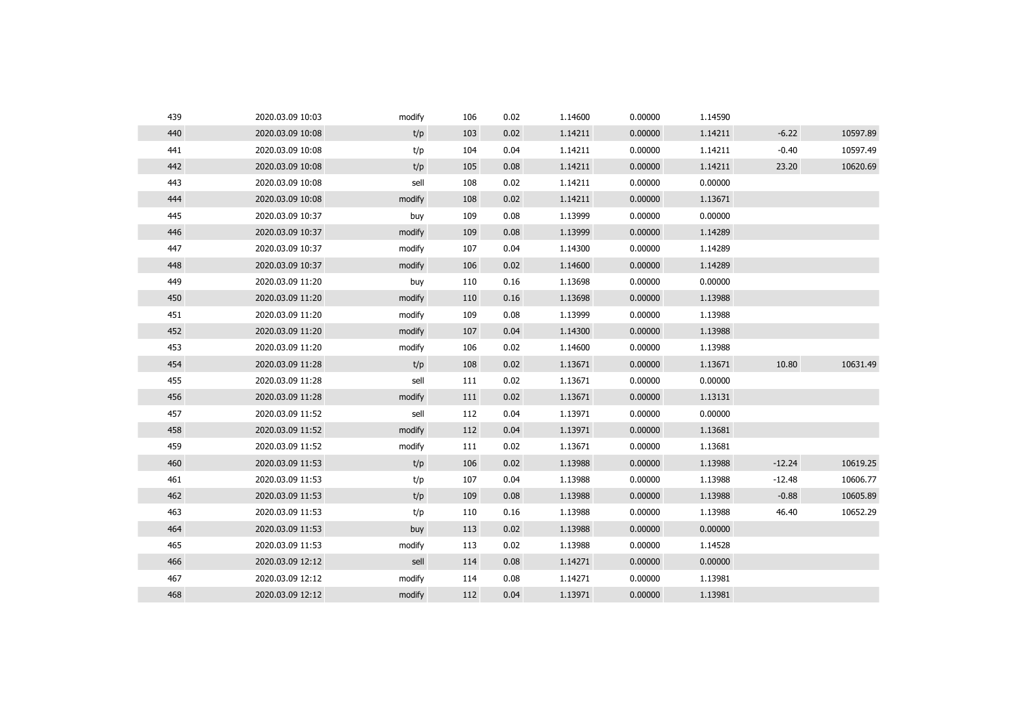| 439 | 2020.03.09 10:03 | modify | 106 | 0.02 | 1.14600 | 0.00000 | 1.14590 |          |          |
|-----|------------------|--------|-----|------|---------|---------|---------|----------|----------|
| 440 | 2020.03.09 10:08 | t/p    | 103 | 0.02 | 1.14211 | 0.00000 | 1.14211 | $-6.22$  | 10597.89 |
| 441 | 2020.03.09 10:08 | t/p    | 104 | 0.04 | 1.14211 | 0.00000 | 1.14211 | $-0.40$  | 10597.49 |
| 442 | 2020.03.09 10:08 | t/p    | 105 | 0.08 | 1.14211 | 0.00000 | 1.14211 | 23.20    | 10620.69 |
| 443 | 2020.03.09 10:08 | sell   | 108 | 0.02 | 1.14211 | 0.00000 | 0.00000 |          |          |
| 444 | 2020.03.09 10:08 | modify | 108 | 0.02 | 1.14211 | 0.00000 | 1.13671 |          |          |
| 445 | 2020.03.09 10:37 | buy    | 109 | 0.08 | 1.13999 | 0.00000 | 0.00000 |          |          |
| 446 | 2020.03.09 10:37 | modify | 109 | 0.08 | 1.13999 | 0.00000 | 1.14289 |          |          |
| 447 | 2020.03.09 10:37 | modify | 107 | 0.04 | 1.14300 | 0.00000 | 1.14289 |          |          |
| 448 | 2020.03.09 10:37 | modify | 106 | 0.02 | 1.14600 | 0.00000 | 1.14289 |          |          |
| 449 | 2020.03.09 11:20 | buy    | 110 | 0.16 | 1.13698 | 0.00000 | 0.00000 |          |          |
| 450 | 2020.03.09 11:20 | modify | 110 | 0.16 | 1.13698 | 0.00000 | 1.13988 |          |          |
| 451 | 2020.03.09 11:20 | modify | 109 | 0.08 | 1.13999 | 0.00000 | 1.13988 |          |          |
| 452 | 2020.03.09 11:20 | modify | 107 | 0.04 | 1.14300 | 0.00000 | 1.13988 |          |          |
| 453 | 2020.03.09 11:20 | modify | 106 | 0.02 | 1.14600 | 0.00000 | 1.13988 |          |          |
| 454 | 2020.03.09 11:28 | t/p    | 108 | 0.02 | 1.13671 | 0.00000 | 1.13671 | 10.80    | 10631.49 |
| 455 | 2020.03.09 11:28 | sell   | 111 | 0.02 | 1.13671 | 0.00000 | 0.00000 |          |          |
| 456 | 2020.03.09 11:28 | modify | 111 | 0.02 | 1.13671 | 0.00000 | 1.13131 |          |          |
| 457 | 2020.03.09 11:52 | sell   | 112 | 0.04 | 1.13971 | 0.00000 | 0.00000 |          |          |
| 458 | 2020.03.09 11:52 | modify | 112 | 0.04 | 1.13971 | 0.00000 | 1.13681 |          |          |
| 459 | 2020.03.09 11:52 | modify | 111 | 0.02 | 1.13671 | 0.00000 | 1.13681 |          |          |
| 460 | 2020.03.09 11:53 | t/p    | 106 | 0.02 | 1.13988 | 0.00000 | 1.13988 | $-12.24$ | 10619.25 |
| 461 | 2020.03.09 11:53 | t/p    | 107 | 0.04 | 1.13988 | 0.00000 | 1.13988 | $-12.48$ | 10606.77 |
| 462 | 2020.03.09 11:53 | t/p    | 109 | 0.08 | 1.13988 | 0.00000 | 1.13988 | $-0.88$  | 10605.89 |
| 463 | 2020.03.09 11:53 | t/p    | 110 | 0.16 | 1.13988 | 0.00000 | 1.13988 | 46.40    | 10652.29 |
| 464 | 2020.03.09 11:53 | buy    | 113 | 0.02 | 1.13988 | 0.00000 | 0.00000 |          |          |
| 465 | 2020.03.09 11:53 | modify | 113 | 0.02 | 1.13988 | 0.00000 | 1.14528 |          |          |
| 466 | 2020.03.09 12:12 | sell   | 114 | 0.08 | 1.14271 | 0.00000 | 0.00000 |          |          |
| 467 | 2020.03.09 12:12 | modify | 114 | 0.08 | 1.14271 | 0.00000 | 1.13981 |          |          |
| 468 | 2020.03.09 12:12 | modify | 112 | 0.04 | 1.13971 | 0.00000 | 1.13981 |          |          |
|     |                  |        |     |      |         |         |         |          |          |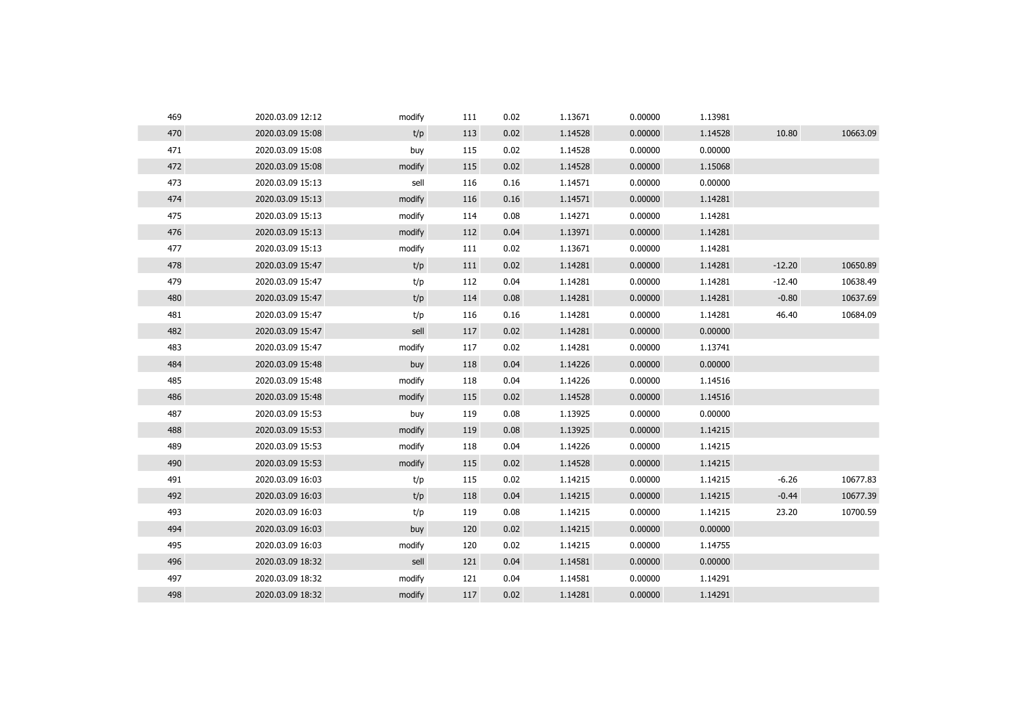| 469 | 2020.03.09 12:12 | modify | 111 | 0.02 | 1.13671 | 0.00000 | 1.13981 |          |          |
|-----|------------------|--------|-----|------|---------|---------|---------|----------|----------|
| 470 | 2020.03.09 15:08 | t/p    | 113 | 0.02 | 1.14528 | 0.00000 | 1.14528 | 10.80    | 10663.09 |
| 471 | 2020.03.09 15:08 | buy    | 115 | 0.02 | 1.14528 | 0.00000 | 0.00000 |          |          |
| 472 | 2020.03.09 15:08 | modify | 115 | 0.02 | 1.14528 | 0.00000 | 1.15068 |          |          |
| 473 | 2020.03.09 15:13 | sell   | 116 | 0.16 | 1.14571 | 0.00000 | 0.00000 |          |          |
| 474 | 2020.03.09 15:13 | modify | 116 | 0.16 | 1.14571 | 0.00000 | 1.14281 |          |          |
| 475 | 2020.03.09 15:13 | modify | 114 | 0.08 | 1.14271 | 0.00000 | 1.14281 |          |          |
| 476 | 2020.03.09 15:13 | modify | 112 | 0.04 | 1.13971 | 0.00000 | 1.14281 |          |          |
| 477 | 2020.03.09 15:13 | modify | 111 | 0.02 | 1.13671 | 0.00000 | 1.14281 |          |          |
| 478 | 2020.03.09 15:47 | t/p    | 111 | 0.02 | 1.14281 | 0.00000 | 1.14281 | $-12.20$ | 10650.89 |
| 479 | 2020.03.09 15:47 | t/p    | 112 | 0.04 | 1.14281 | 0.00000 | 1.14281 | $-12.40$ | 10638.49 |
| 480 | 2020.03.09 15:47 | t/p    | 114 | 0.08 | 1.14281 | 0.00000 | 1.14281 | $-0.80$  | 10637.69 |
| 481 | 2020.03.09 15:47 | t/p    | 116 | 0.16 | 1.14281 | 0.00000 | 1.14281 | 46.40    | 10684.09 |
| 482 | 2020.03.09 15:47 | sell   | 117 | 0.02 | 1.14281 | 0.00000 | 0.00000 |          |          |
| 483 | 2020.03.09 15:47 | modify | 117 | 0.02 | 1.14281 | 0.00000 | 1.13741 |          |          |
| 484 | 2020.03.09 15:48 | buy    | 118 | 0.04 | 1.14226 | 0.00000 | 0.00000 |          |          |
| 485 | 2020.03.09 15:48 | modify | 118 | 0.04 | 1.14226 | 0.00000 | 1.14516 |          |          |
| 486 | 2020.03.09 15:48 | modify | 115 | 0.02 | 1.14528 | 0.00000 | 1.14516 |          |          |
| 487 | 2020.03.09 15:53 | buy    | 119 | 0.08 | 1.13925 | 0.00000 | 0.00000 |          |          |
| 488 | 2020.03.09 15:53 | modify | 119 | 0.08 | 1.13925 | 0.00000 | 1.14215 |          |          |
| 489 | 2020.03.09 15:53 | modify | 118 | 0.04 | 1.14226 | 0.00000 | 1.14215 |          |          |
| 490 | 2020.03.09 15:53 | modify | 115 | 0.02 | 1.14528 | 0.00000 | 1.14215 |          |          |
| 491 | 2020.03.09 16:03 | t/p    | 115 | 0.02 | 1.14215 | 0.00000 | 1.14215 | $-6.26$  | 10677.83 |
| 492 | 2020.03.09 16:03 | t/p    | 118 | 0.04 | 1.14215 | 0.00000 | 1.14215 | $-0.44$  | 10677.39 |
| 493 | 2020.03.09 16:03 | t/p    | 119 | 0.08 | 1.14215 | 0.00000 | 1.14215 | 23.20    | 10700.59 |
| 494 | 2020.03.09 16:03 | buy    | 120 | 0.02 | 1.14215 | 0.00000 | 0.00000 |          |          |
| 495 | 2020.03.09 16:03 | modify | 120 | 0.02 | 1.14215 | 0.00000 | 1.14755 |          |          |
| 496 | 2020.03.09 18:32 | sell   | 121 | 0.04 | 1.14581 | 0.00000 | 0.00000 |          |          |
| 497 | 2020.03.09 18:32 | modify | 121 | 0.04 | 1.14581 | 0.00000 | 1.14291 |          |          |
| 498 | 2020.03.09 18:32 | modify | 117 | 0.02 | 1.14281 | 0.00000 | 1.14291 |          |          |
|     |                  |        |     |      |         |         |         |          |          |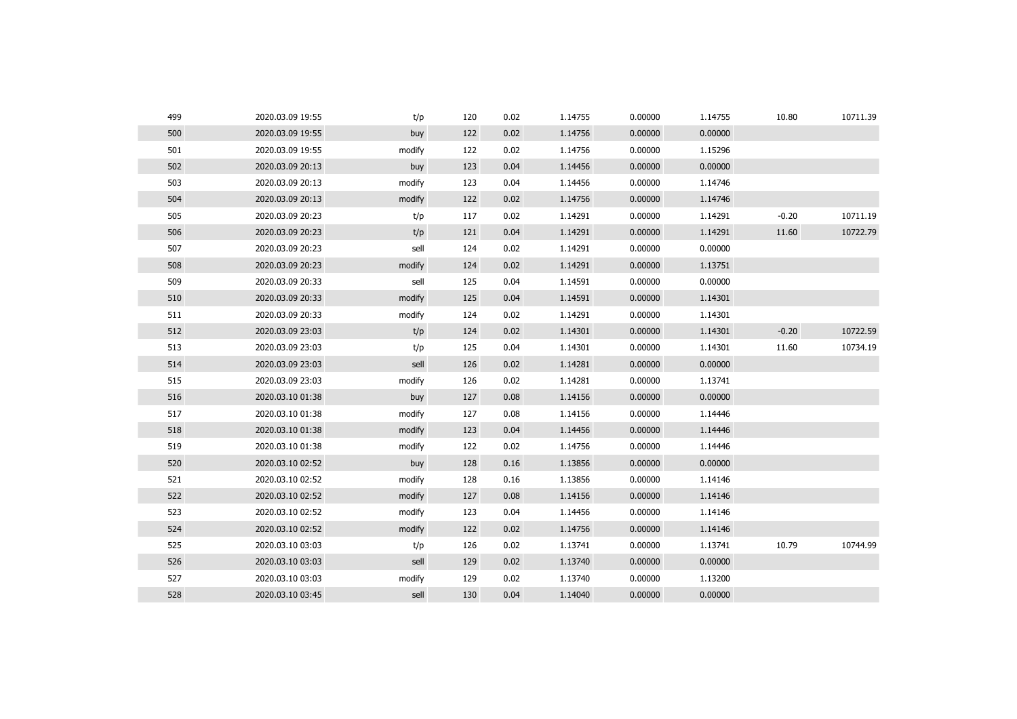| 499 | 2020.03.09 19:55 | t/p    | 120 | 0.02 | 1.14755 | 0.00000 | 1.14755 | 10.80   | 10711.39 |
|-----|------------------|--------|-----|------|---------|---------|---------|---------|----------|
| 500 | 2020.03.09 19:55 | buy    | 122 | 0.02 | 1.14756 | 0.00000 | 0.00000 |         |          |
| 501 | 2020.03.09 19:55 | modify | 122 | 0.02 | 1.14756 | 0.00000 | 1.15296 |         |          |
| 502 | 2020.03.09 20:13 | buy    | 123 | 0.04 | 1.14456 | 0.00000 | 0.00000 |         |          |
| 503 | 2020.03.09 20:13 | modify | 123 | 0.04 | 1.14456 | 0.00000 | 1.14746 |         |          |
| 504 | 2020.03.09 20:13 | modify | 122 | 0.02 | 1.14756 | 0.00000 | 1.14746 |         |          |
| 505 | 2020.03.09 20:23 | t/p    | 117 | 0.02 | 1.14291 | 0.00000 | 1.14291 | $-0.20$ | 10711.19 |
| 506 | 2020.03.09 20:23 | t/p    | 121 | 0.04 | 1.14291 | 0.00000 | 1.14291 | 11.60   | 10722.79 |
| 507 | 2020.03.09 20:23 | sell   | 124 | 0.02 | 1.14291 | 0.00000 | 0.00000 |         |          |
| 508 | 2020.03.09 20:23 | modify | 124 | 0.02 | 1.14291 | 0.00000 | 1.13751 |         |          |
| 509 | 2020.03.09 20:33 | sell   | 125 | 0.04 | 1.14591 | 0.00000 | 0.00000 |         |          |
| 510 | 2020.03.09 20:33 | modify | 125 | 0.04 | 1.14591 | 0.00000 | 1.14301 |         |          |
| 511 | 2020.03.09 20:33 | modify | 124 | 0.02 | 1.14291 | 0.00000 | 1.14301 |         |          |
| 512 | 2020.03.09 23:03 | t/p    | 124 | 0.02 | 1.14301 | 0.00000 | 1.14301 | $-0.20$ | 10722.59 |
| 513 | 2020.03.09 23:03 | t/p    | 125 | 0.04 | 1.14301 | 0.00000 | 1.14301 | 11.60   | 10734.19 |
| 514 | 2020.03.09 23:03 | sell   | 126 | 0.02 | 1.14281 | 0.00000 | 0.00000 |         |          |
| 515 | 2020.03.09 23:03 | modify | 126 | 0.02 | 1.14281 | 0.00000 | 1.13741 |         |          |
| 516 | 2020.03.10 01:38 | buy    | 127 | 0.08 | 1.14156 | 0.00000 | 0.00000 |         |          |
| 517 | 2020.03.10 01:38 | modify | 127 | 0.08 | 1.14156 | 0.00000 | 1.14446 |         |          |
| 518 | 2020.03.10 01:38 | modify | 123 | 0.04 | 1.14456 | 0.00000 | 1.14446 |         |          |
| 519 | 2020.03.10 01:38 | modify | 122 | 0.02 | 1.14756 | 0.00000 | 1.14446 |         |          |
| 520 | 2020.03.10 02:52 | buy    | 128 | 0.16 | 1.13856 | 0.00000 | 0.00000 |         |          |
| 521 | 2020.03.10 02:52 | modify | 128 | 0.16 | 1.13856 | 0.00000 | 1.14146 |         |          |
| 522 | 2020.03.10 02:52 | modify | 127 | 0.08 | 1.14156 | 0.00000 | 1.14146 |         |          |
| 523 | 2020.03.10 02:52 | modify | 123 | 0.04 | 1.14456 | 0.00000 | 1.14146 |         |          |
| 524 | 2020.03.10 02:52 | modify | 122 | 0.02 | 1.14756 | 0.00000 | 1.14146 |         |          |
| 525 | 2020.03.10 03:03 | t/p    | 126 | 0.02 | 1.13741 | 0.00000 | 1.13741 | 10.79   | 10744.99 |
| 526 | 2020.03.10 03:03 | sell   | 129 | 0.02 | 1.13740 | 0.00000 | 0.00000 |         |          |
| 527 | 2020.03.10 03:03 | modify | 129 | 0.02 | 1.13740 | 0.00000 | 1.13200 |         |          |
| 528 | 2020.03.10 03:45 | sell   | 130 | 0.04 | 1.14040 | 0.00000 | 0.00000 |         |          |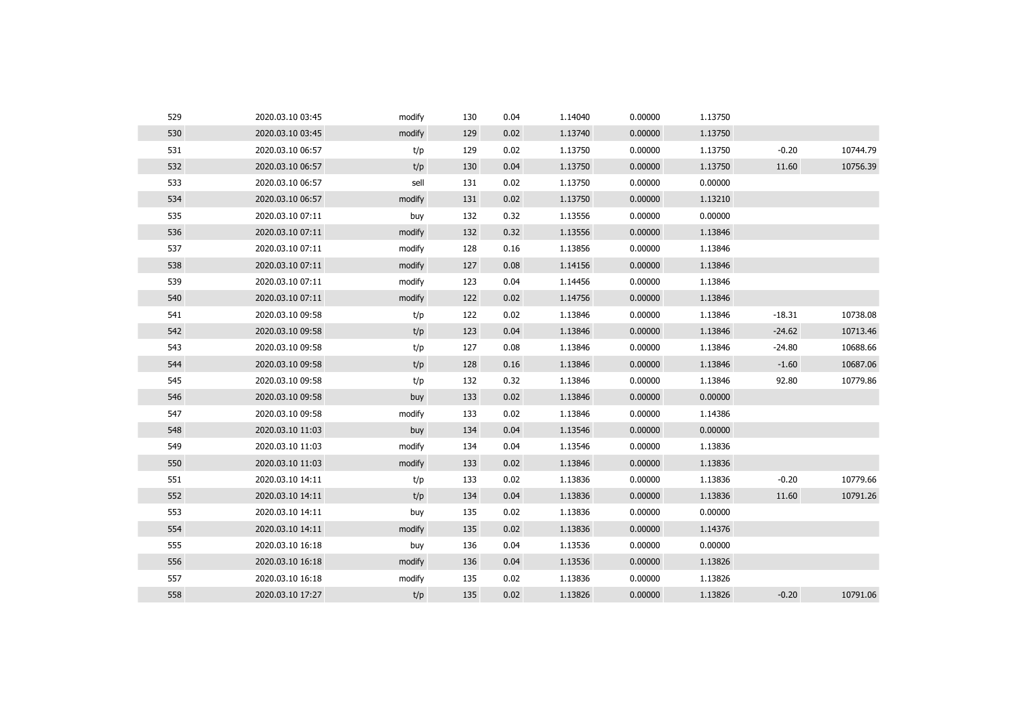| 529 | 2020.03.10 03:45 | modify | 130 | 0.04 | 1.14040 | 0.00000 | 1.13750 |          |          |
|-----|------------------|--------|-----|------|---------|---------|---------|----------|----------|
| 530 | 2020.03.10 03:45 | modify | 129 | 0.02 | 1.13740 | 0.00000 | 1.13750 |          |          |
| 531 | 2020.03.10 06:57 | t/p    | 129 | 0.02 | 1.13750 | 0.00000 | 1.13750 | $-0.20$  | 10744.79 |
| 532 | 2020.03.10 06:57 | t/p    | 130 | 0.04 | 1.13750 | 0.00000 | 1.13750 | 11.60    | 10756.39 |
| 533 | 2020.03.10 06:57 | sell   | 131 | 0.02 | 1.13750 | 0.00000 | 0.00000 |          |          |
| 534 | 2020.03.10 06:57 | modify | 131 | 0.02 | 1.13750 | 0.00000 | 1.13210 |          |          |
| 535 | 2020.03.10 07:11 | buy    | 132 | 0.32 | 1.13556 | 0.00000 | 0.00000 |          |          |
| 536 | 2020.03.10 07:11 | modify | 132 | 0.32 | 1.13556 | 0.00000 | 1.13846 |          |          |
| 537 | 2020.03.10 07:11 | modify | 128 | 0.16 | 1.13856 | 0.00000 | 1.13846 |          |          |
| 538 | 2020.03.10 07:11 | modify | 127 | 0.08 | 1.14156 | 0.00000 | 1.13846 |          |          |
| 539 | 2020.03.10 07:11 | modify | 123 | 0.04 | 1.14456 | 0.00000 | 1.13846 |          |          |
| 540 | 2020.03.10 07:11 | modify | 122 | 0.02 | 1.14756 | 0.00000 | 1.13846 |          |          |
| 541 | 2020.03.10 09:58 | t/p    | 122 | 0.02 | 1.13846 | 0.00000 | 1.13846 | $-18.31$ | 10738.08 |
| 542 | 2020.03.10 09:58 | t/p    | 123 | 0.04 | 1.13846 | 0.00000 | 1.13846 | $-24.62$ | 10713.46 |
| 543 | 2020.03.10 09:58 | t/p    | 127 | 0.08 | 1.13846 | 0.00000 | 1.13846 | $-24.80$ | 10688.66 |
| 544 | 2020.03.10 09:58 | t/p    | 128 | 0.16 | 1.13846 | 0.00000 | 1.13846 | $-1.60$  | 10687.06 |
| 545 | 2020.03.10 09:58 | t/p    | 132 | 0.32 | 1.13846 | 0.00000 | 1.13846 | 92.80    | 10779.86 |
| 546 | 2020.03.10 09:58 | buy    | 133 | 0.02 | 1.13846 | 0.00000 | 0.00000 |          |          |
| 547 | 2020.03.10 09:58 | modify | 133 | 0.02 | 1.13846 | 0.00000 | 1.14386 |          |          |
| 548 | 2020.03.10 11:03 | buy    | 134 | 0.04 | 1.13546 | 0.00000 | 0.00000 |          |          |
| 549 | 2020.03.10 11:03 | modify | 134 | 0.04 | 1.13546 | 0.00000 | 1.13836 |          |          |
| 550 | 2020.03.10 11:03 | modify | 133 | 0.02 | 1.13846 | 0.00000 | 1.13836 |          |          |
| 551 | 2020.03.10 14:11 | t/p    | 133 | 0.02 | 1.13836 | 0.00000 | 1.13836 | $-0.20$  | 10779.66 |
| 552 | 2020.03.10 14:11 | t/p    | 134 | 0.04 | 1.13836 | 0.00000 | 1.13836 | 11.60    | 10791.26 |
| 553 | 2020.03.10 14:11 | buy    | 135 | 0.02 | 1.13836 | 0.00000 | 0.00000 |          |          |
| 554 | 2020.03.10 14:11 | modify | 135 | 0.02 | 1.13836 | 0.00000 | 1.14376 |          |          |
| 555 | 2020.03.10 16:18 | buy    | 136 | 0.04 | 1.13536 | 0.00000 | 0.00000 |          |          |
| 556 | 2020.03.10 16:18 | modify | 136 | 0.04 | 1.13536 | 0.00000 | 1.13826 |          |          |
| 557 | 2020.03.10 16:18 | modify | 135 | 0.02 | 1.13836 | 0.00000 | 1.13826 |          |          |
| 558 | 2020.03.10 17:27 | t/p    | 135 | 0.02 | 1.13826 | 0.00000 | 1.13826 | $-0.20$  | 10791.06 |
|     |                  |        |     |      |         |         |         |          |          |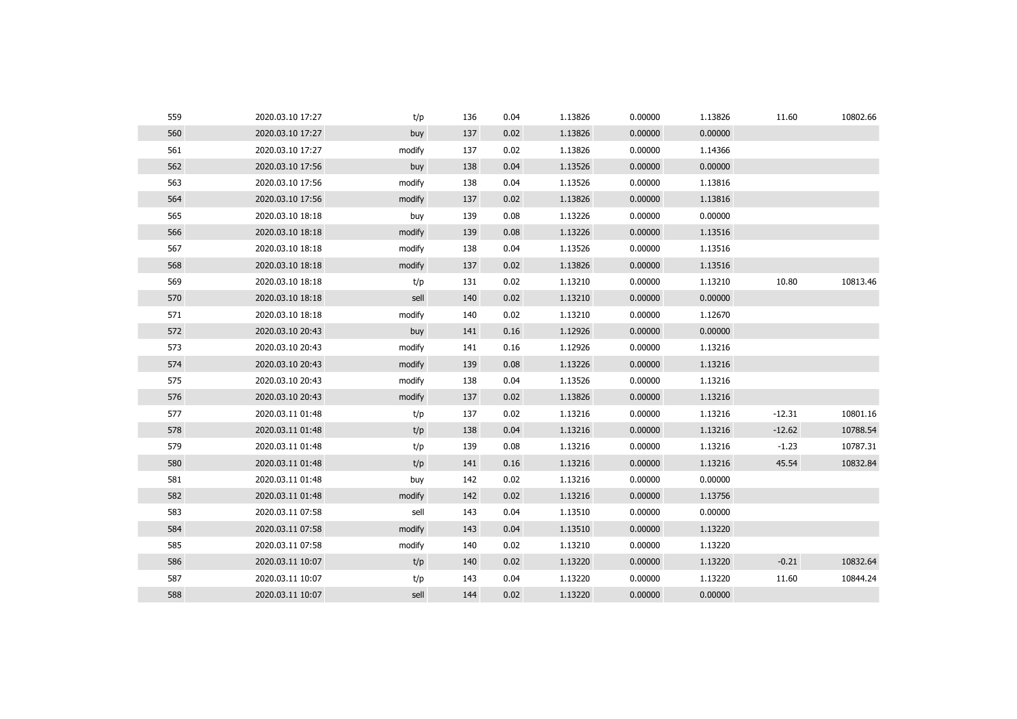| 559 | 2020.03.10 17:27 | t/p    | 136 | 0.04 | 1.13826 | 0.00000 | 1.13826 | 11.60    | 10802.66 |
|-----|------------------|--------|-----|------|---------|---------|---------|----------|----------|
| 560 | 2020.03.10 17:27 | buy    | 137 | 0.02 | 1.13826 | 0.00000 | 0.00000 |          |          |
| 561 | 2020.03.10 17:27 | modify | 137 | 0.02 | 1.13826 | 0.00000 | 1.14366 |          |          |
| 562 | 2020.03.10 17:56 | buy    | 138 | 0.04 | 1.13526 | 0.00000 | 0.00000 |          |          |
| 563 | 2020.03.10 17:56 | modify | 138 | 0.04 | 1.13526 | 0.00000 | 1.13816 |          |          |
| 564 | 2020.03.10 17:56 | modify | 137 | 0.02 | 1.13826 | 0.00000 | 1.13816 |          |          |
| 565 | 2020.03.10 18:18 | buy    | 139 | 0.08 | 1.13226 | 0.00000 | 0.00000 |          |          |
| 566 | 2020.03.10 18:18 | modify | 139 | 0.08 | 1.13226 | 0.00000 | 1.13516 |          |          |
| 567 | 2020.03.10 18:18 | modify | 138 | 0.04 | 1.13526 | 0.00000 | 1.13516 |          |          |
| 568 | 2020.03.10 18:18 | modify | 137 | 0.02 | 1.13826 | 0.00000 | 1.13516 |          |          |
| 569 | 2020.03.10 18:18 | t/p    | 131 | 0.02 | 1.13210 | 0.00000 | 1.13210 | 10.80    | 10813.46 |
| 570 | 2020.03.10 18:18 | sell   | 140 | 0.02 | 1.13210 | 0.00000 | 0.00000 |          |          |
| 571 | 2020.03.10 18:18 | modify | 140 | 0.02 | 1.13210 | 0.00000 | 1.12670 |          |          |
| 572 | 2020.03.10 20:43 | buy    | 141 | 0.16 | 1.12926 | 0.00000 | 0.00000 |          |          |
| 573 | 2020.03.10 20:43 | modify | 141 | 0.16 | 1.12926 | 0.00000 | 1.13216 |          |          |
| 574 | 2020.03.10 20:43 | modify | 139 | 0.08 | 1.13226 | 0.00000 | 1.13216 |          |          |
| 575 | 2020.03.10 20:43 | modify | 138 | 0.04 | 1.13526 | 0.00000 | 1.13216 |          |          |
| 576 | 2020.03.10 20:43 | modify | 137 | 0.02 | 1.13826 | 0.00000 | 1.13216 |          |          |
| 577 | 2020.03.11 01:48 | t/p    | 137 | 0.02 | 1.13216 | 0.00000 | 1.13216 | $-12.31$ | 10801.16 |
| 578 | 2020.03.11 01:48 | t/p    | 138 | 0.04 | 1.13216 | 0.00000 | 1.13216 | $-12.62$ | 10788.54 |
| 579 | 2020.03.11 01:48 | t/p    | 139 | 0.08 | 1.13216 | 0.00000 | 1.13216 | $-1.23$  | 10787.31 |
| 580 | 2020.03.11 01:48 | t/p    | 141 | 0.16 | 1.13216 | 0.00000 | 1.13216 | 45.54    | 10832.84 |
| 581 | 2020.03.11 01:48 | buy    | 142 | 0.02 | 1.13216 | 0.00000 | 0.00000 |          |          |
| 582 | 2020.03.11 01:48 | modify | 142 | 0.02 | 1.13216 | 0.00000 | 1.13756 |          |          |
| 583 | 2020.03.11 07:58 | sell   | 143 | 0.04 | 1.13510 | 0.00000 | 0.00000 |          |          |
| 584 | 2020.03.11 07:58 | modify | 143 | 0.04 | 1.13510 | 0.00000 | 1.13220 |          |          |
| 585 | 2020.03.11 07:58 | modify | 140 | 0.02 | 1.13210 | 0.00000 | 1.13220 |          |          |
| 586 | 2020.03.11 10:07 | t/p    | 140 | 0.02 | 1.13220 | 0.00000 | 1.13220 | $-0.21$  | 10832.64 |
| 587 | 2020.03.11 10:07 | t/p    | 143 | 0.04 | 1.13220 | 0.00000 | 1.13220 | 11.60    | 10844.24 |
| 588 | 2020.03.11 10:07 | sell   | 144 | 0.02 | 1.13220 | 0.00000 | 0.00000 |          |          |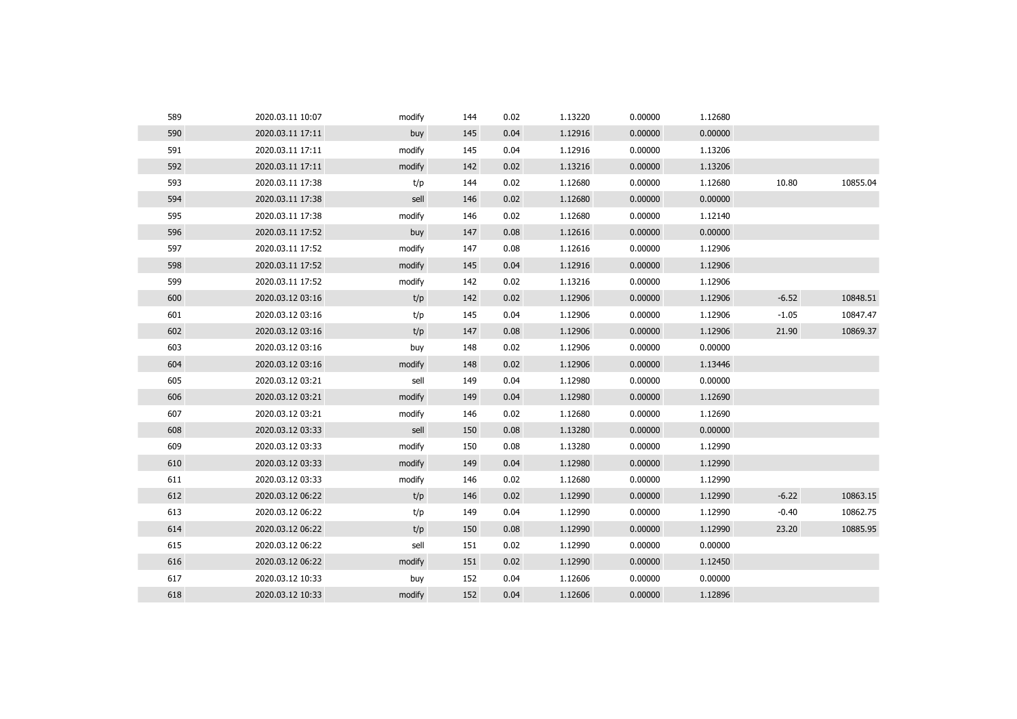| 589 | 2020.03.11 10:07 | modify | 144 | 0.02 | 1.13220 | 0.00000 | 1.12680 |         |          |
|-----|------------------|--------|-----|------|---------|---------|---------|---------|----------|
| 590 | 2020.03.11 17:11 | buy    | 145 | 0.04 | 1.12916 | 0.00000 | 0.00000 |         |          |
| 591 | 2020.03.11 17:11 | modify | 145 | 0.04 | 1.12916 | 0.00000 | 1.13206 |         |          |
| 592 | 2020.03.11 17:11 | modify | 142 | 0.02 | 1.13216 | 0.00000 | 1.13206 |         |          |
| 593 | 2020.03.11 17:38 | t/p    | 144 | 0.02 | 1.12680 | 0.00000 | 1.12680 | 10.80   | 10855.04 |
| 594 | 2020.03.11 17:38 | sell   | 146 | 0.02 | 1.12680 | 0.00000 | 0.00000 |         |          |
| 595 | 2020.03.11 17:38 | modify | 146 | 0.02 | 1.12680 | 0.00000 | 1.12140 |         |          |
| 596 | 2020.03.11 17:52 | buy    | 147 | 0.08 | 1.12616 | 0.00000 | 0.00000 |         |          |
| 597 | 2020.03.11 17:52 | modify | 147 | 0.08 | 1.12616 | 0.00000 | 1.12906 |         |          |
| 598 | 2020.03.11 17:52 | modify | 145 | 0.04 | 1.12916 | 0.00000 | 1.12906 |         |          |
| 599 | 2020.03.11 17:52 | modify | 142 | 0.02 | 1.13216 | 0.00000 | 1.12906 |         |          |
| 600 | 2020.03.12 03:16 | t/p    | 142 | 0.02 | 1.12906 | 0.00000 | 1.12906 | $-6.52$ | 10848.51 |
| 601 | 2020.03.12 03:16 | t/p    | 145 | 0.04 | 1.12906 | 0.00000 | 1.12906 | $-1.05$ | 10847.47 |
| 602 | 2020.03.12 03:16 | t/p    | 147 | 0.08 | 1.12906 | 0.00000 | 1.12906 | 21.90   | 10869.37 |
| 603 | 2020.03.12 03:16 | buy    | 148 | 0.02 | 1.12906 | 0.00000 | 0.00000 |         |          |
| 604 | 2020.03.12 03:16 | modify | 148 | 0.02 | 1.12906 | 0.00000 | 1.13446 |         |          |
| 605 | 2020.03.12 03:21 | sell   | 149 | 0.04 | 1.12980 | 0.00000 | 0.00000 |         |          |
| 606 | 2020.03.12 03:21 | modify | 149 | 0.04 | 1.12980 | 0.00000 | 1.12690 |         |          |
| 607 | 2020.03.12 03:21 | modify | 146 | 0.02 | 1.12680 | 0.00000 | 1.12690 |         |          |
| 608 | 2020.03.12 03:33 | sell   | 150 | 0.08 | 1.13280 | 0.00000 | 0.00000 |         |          |
| 609 | 2020.03.12 03:33 | modify | 150 | 0.08 | 1.13280 | 0.00000 | 1.12990 |         |          |
| 610 | 2020.03.12 03:33 | modify | 149 | 0.04 | 1.12980 | 0.00000 | 1.12990 |         |          |
| 611 | 2020.03.12 03:33 | modify | 146 | 0.02 | 1.12680 | 0.00000 | 1.12990 |         |          |
| 612 | 2020.03.12 06:22 | t/p    | 146 | 0.02 | 1.12990 | 0.00000 | 1.12990 | $-6.22$ | 10863.15 |
| 613 | 2020.03.12 06:22 | t/p    | 149 | 0.04 | 1.12990 | 0.00000 | 1.12990 | $-0.40$ | 10862.75 |
| 614 | 2020.03.12 06:22 | t/p    | 150 | 0.08 | 1.12990 | 0.00000 | 1.12990 | 23.20   | 10885.95 |
| 615 | 2020.03.12 06:22 | sell   | 151 | 0.02 | 1.12990 | 0.00000 | 0.00000 |         |          |
| 616 | 2020.03.12 06:22 | modify | 151 | 0.02 | 1.12990 | 0.00000 | 1.12450 |         |          |
| 617 | 2020.03.12 10:33 | buy    | 152 | 0.04 | 1.12606 | 0.00000 | 0.00000 |         |          |
| 618 | 2020.03.12 10:33 | modify | 152 | 0.04 | 1.12606 | 0.00000 | 1.12896 |         |          |
|     |                  |        |     |      |         |         |         |         |          |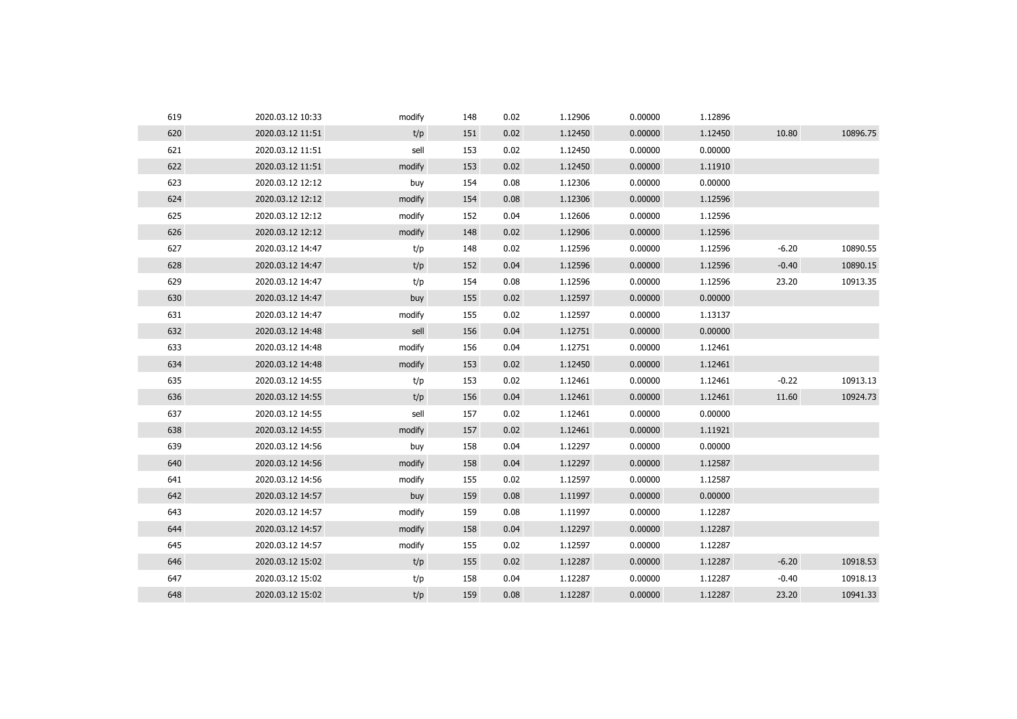| 619 | 2020.03.12 10:33 | modify | 148 | 0.02 | 1.12906 | 0.00000 | 1.12896 |         |          |
|-----|------------------|--------|-----|------|---------|---------|---------|---------|----------|
| 620 | 2020.03.12 11:51 | t/p    | 151 | 0.02 | 1.12450 | 0.00000 | 1.12450 | 10.80   | 10896.75 |
| 621 | 2020.03.12 11:51 | sell   | 153 | 0.02 | 1.12450 | 0.00000 | 0.00000 |         |          |
| 622 | 2020.03.12 11:51 | modify | 153 | 0.02 | 1.12450 | 0.00000 | 1.11910 |         |          |
| 623 | 2020.03.12 12:12 | buy    | 154 | 0.08 | 1.12306 | 0.00000 | 0.00000 |         |          |
| 624 | 2020.03.12 12:12 | modify | 154 | 0.08 | 1.12306 | 0.00000 | 1.12596 |         |          |
| 625 | 2020.03.12 12:12 | modify | 152 | 0.04 | 1.12606 | 0.00000 | 1.12596 |         |          |
| 626 | 2020.03.12 12:12 | modify | 148 | 0.02 | 1.12906 | 0.00000 | 1.12596 |         |          |
| 627 | 2020.03.12 14:47 | t/p    | 148 | 0.02 | 1.12596 | 0.00000 | 1.12596 | $-6.20$ | 10890.55 |
| 628 | 2020.03.12 14:47 | t/p    | 152 | 0.04 | 1.12596 | 0.00000 | 1.12596 | $-0.40$ | 10890.15 |
| 629 | 2020.03.12 14:47 | t/p    | 154 | 0.08 | 1.12596 | 0.00000 | 1.12596 | 23.20   | 10913.35 |
| 630 | 2020.03.12 14:47 | buy    | 155 | 0.02 | 1.12597 | 0.00000 | 0.00000 |         |          |
| 631 | 2020.03.12 14:47 | modify | 155 | 0.02 | 1.12597 | 0.00000 | 1.13137 |         |          |
| 632 | 2020.03.12 14:48 | sell   | 156 | 0.04 | 1.12751 | 0.00000 | 0.00000 |         |          |
| 633 | 2020.03.12 14:48 | modify | 156 | 0.04 | 1.12751 | 0.00000 | 1.12461 |         |          |
| 634 | 2020.03.12 14:48 | modify | 153 | 0.02 | 1.12450 | 0.00000 | 1.12461 |         |          |
| 635 | 2020.03.12 14:55 | t/p    | 153 | 0.02 | 1.12461 | 0.00000 | 1.12461 | $-0.22$ | 10913.13 |
| 636 | 2020.03.12 14:55 | t/p    | 156 | 0.04 | 1.12461 | 0.00000 | 1.12461 | 11.60   | 10924.73 |
| 637 | 2020.03.12 14:55 | sell   | 157 | 0.02 | 1.12461 | 0.00000 | 0.00000 |         |          |
| 638 | 2020.03.12 14:55 | modify | 157 | 0.02 | 1.12461 | 0.00000 | 1.11921 |         |          |
| 639 | 2020.03.12 14:56 | buy    | 158 | 0.04 | 1.12297 | 0.00000 | 0.00000 |         |          |
| 640 | 2020.03.12 14:56 | modify | 158 | 0.04 | 1.12297 | 0.00000 | 1.12587 |         |          |
| 641 | 2020.03.12 14:56 | modify | 155 | 0.02 | 1.12597 | 0.00000 | 1.12587 |         |          |
| 642 | 2020.03.12 14:57 | buy    | 159 | 0.08 | 1.11997 | 0.00000 | 0.00000 |         |          |
| 643 | 2020.03.12 14:57 | modify | 159 | 0.08 | 1.11997 | 0.00000 | 1.12287 |         |          |
| 644 | 2020.03.12 14:57 | modify | 158 | 0.04 | 1.12297 | 0.00000 | 1.12287 |         |          |
| 645 | 2020.03.12 14:57 | modify | 155 | 0.02 | 1.12597 | 0.00000 | 1.12287 |         |          |
| 646 | 2020.03.12 15:02 | t/p    | 155 | 0.02 | 1.12287 | 0.00000 | 1.12287 | $-6.20$ | 10918.53 |
| 647 | 2020.03.12 15:02 | t/p    | 158 | 0.04 | 1.12287 | 0.00000 | 1.12287 | $-0.40$ | 10918.13 |
| 648 | 2020.03.12 15:02 | t/p    | 159 | 0.08 | 1.12287 | 0.00000 | 1.12287 | 23.20   | 10941.33 |
|     |                  |        |     |      |         |         |         |         |          |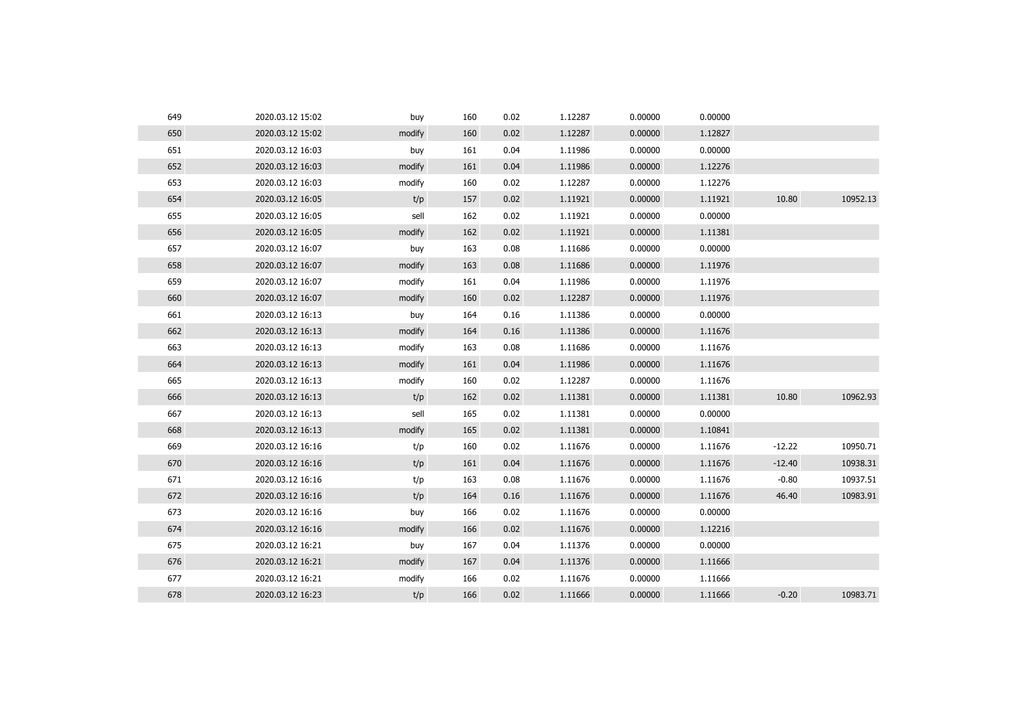| 649 | 2020.03.12 15:02        | buy    | 160 | 0.02 | 1.12287 | 0.00000 | 0.00000 |          |          |
|-----|-------------------------|--------|-----|------|---------|---------|---------|----------|----------|
| 650 | 2020.03.12 15:02        | modify | 160 | 0.02 | 1.12287 | 0.00000 | 1.12827 |          |          |
| 651 | 2020.03.12 16:03        | buy    | 161 | 0.04 | 1.11986 | 0.00000 | 0.00000 |          |          |
| 652 | 2020.03.12 16:03        | modify | 161 | 0.04 | 1.11986 | 0.00000 | 1.12276 |          |          |
| 653 | 2020.03.12 16:03        | modify | 160 | 0.02 | 1.12287 | 0.00000 | 1.12276 |          |          |
| 654 | 2020.03.12 16:05        | t/p    | 157 | 0.02 | 1.11921 | 0.00000 | 1.11921 | 10.80    | 10952.13 |
| 655 | 2020.03.12 16:05        | sell   | 162 | 0.02 | 1.11921 | 0.00000 | 0.00000 |          |          |
| 656 | 2020.03.12 16:05        | modify | 162 | 0.02 | 1.11921 | 0.00000 | 1.11381 |          |          |
| 657 | 2020.03.12 16:07        | buy    | 163 | 0.08 | 1.11686 | 0.00000 | 0.00000 |          |          |
| 658 | 2020.03.12 16:07        | modify | 163 | 0.08 | 1.11686 | 0.00000 | 1.11976 |          |          |
| 659 | 2020.03.12 16:07        | modify | 161 | 0.04 | 1.11986 | 0.00000 | 1.11976 |          |          |
| 660 | 2020.03.12 16:07        | modify | 160 | 0.02 | 1.12287 | 0.00000 | 1.11976 |          |          |
| 661 | 2020.03.12 16:13        | buy    | 164 | 0.16 | 1.11386 | 0.00000 | 0.00000 |          |          |
|     | 662<br>2020.03.12 16:13 | modify | 164 | 0.16 | 1.11386 | 0.00000 | 1.11676 |          |          |
| 663 | 2020.03.12 16:13        | modify | 163 | 0.08 | 1.11686 | 0.00000 | 1.11676 |          |          |
| 664 | 2020.03.12 16:13        | modify | 161 | 0.04 | 1.11986 | 0.00000 | 1.11676 |          |          |
| 665 | 2020.03.12 16:13        | modify | 160 | 0.02 | 1.12287 | 0.00000 | 1.11676 |          |          |
| 666 | 2020.03.12 16:13        | t/p    | 162 | 0.02 | 1.11381 | 0.00000 | 1.11381 | 10.80    | 10962.93 |
| 667 | 2020.03.12 16:13        | sell   | 165 | 0.02 | 1.11381 | 0.00000 | 0.00000 |          |          |
| 668 | 2020.03.12 16:13        | modify | 165 | 0.02 | 1.11381 | 0.00000 | 1.10841 |          |          |
| 669 | 2020.03.12 16:16        | t/p    | 160 | 0.02 | 1.11676 | 0.00000 | 1.11676 | $-12.22$ | 10950.71 |
| 670 | 2020.03.12 16:16        | t/p    | 161 | 0.04 | 1.11676 | 0.00000 | 1.11676 | $-12.40$ | 10938.31 |
| 671 | 2020.03.12 16:16        | t/p    | 163 | 0.08 | 1.11676 | 0.00000 | 1.11676 | $-0.80$  | 10937.51 |
| 672 | 2020.03.12 16:16        | t/p    | 164 | 0.16 | 1.11676 | 0.00000 | 1.11676 | 46.40    | 10983.91 |
| 673 | 2020.03.12 16:16        | buy    | 166 | 0.02 | 1.11676 | 0.00000 | 0.00000 |          |          |
| 674 | 2020.03.12 16:16        | modify | 166 | 0.02 | 1.11676 | 0.00000 | 1.12216 |          |          |
| 675 | 2020.03.12 16:21        | buy    | 167 | 0.04 | 1.11376 | 0.00000 | 0.00000 |          |          |
| 676 | 2020.03.12 16:21        | modify | 167 | 0.04 | 1.11376 | 0.00000 | 1.11666 |          |          |
| 677 | 2020.03.12 16:21        | modify | 166 | 0.02 | 1.11676 | 0.00000 | 1.11666 |          |          |
| 678 | 2020.03.12 16:23        | t/p    | 166 | 0.02 | 1.11666 | 0.00000 | 1.11666 | $-0.20$  | 10983.71 |
|     |                         |        |     |      |         |         |         |          |          |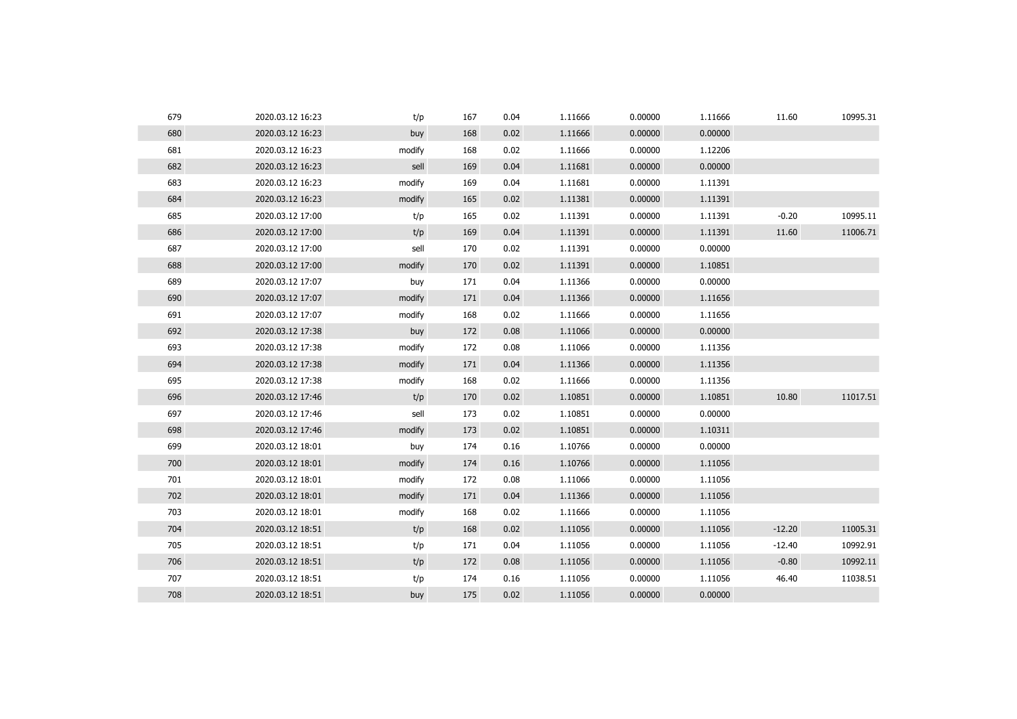| 679 | 2020.03.12 16:23 | t/p    | 167 | 0.04 | 1.11666 | 0.00000 | 1.11666 | 11.60    | 10995.31 |
|-----|------------------|--------|-----|------|---------|---------|---------|----------|----------|
| 680 | 2020.03.12 16:23 | buy    | 168 | 0.02 | 1.11666 | 0.00000 | 0.00000 |          |          |
| 681 | 2020.03.12 16:23 | modify | 168 | 0.02 | 1.11666 | 0.00000 | 1.12206 |          |          |
| 682 | 2020.03.12 16:23 | sell   | 169 | 0.04 | 1.11681 | 0.00000 | 0.00000 |          |          |
| 683 | 2020.03.12 16:23 | modify | 169 | 0.04 | 1.11681 | 0.00000 | 1.11391 |          |          |
| 684 | 2020.03.12 16:23 | modify | 165 | 0.02 | 1.11381 | 0.00000 | 1.11391 |          |          |
| 685 | 2020.03.12 17:00 | t/p    | 165 | 0.02 | 1.11391 | 0.00000 | 1.11391 | $-0.20$  | 10995.11 |
| 686 | 2020.03.12 17:00 | t/p    | 169 | 0.04 | 1.11391 | 0.00000 | 1.11391 | 11.60    | 11006.71 |
| 687 | 2020.03.12 17:00 | sell   | 170 | 0.02 | 1.11391 | 0.00000 | 0.00000 |          |          |
| 688 | 2020.03.12 17:00 | modify | 170 | 0.02 | 1.11391 | 0.00000 | 1.10851 |          |          |
| 689 | 2020.03.12 17:07 | buy    | 171 | 0.04 | 1.11366 | 0.00000 | 0.00000 |          |          |
| 690 | 2020.03.12 17:07 | modify | 171 | 0.04 | 1.11366 | 0.00000 | 1.11656 |          |          |
| 691 | 2020.03.12 17:07 | modify | 168 | 0.02 | 1.11666 | 0.00000 | 1.11656 |          |          |
| 692 | 2020.03.12 17:38 | buy    | 172 | 0.08 | 1.11066 | 0.00000 | 0.00000 |          |          |
| 693 | 2020.03.12 17:38 | modify | 172 | 0.08 | 1.11066 | 0.00000 | 1.11356 |          |          |
| 694 | 2020.03.12 17:38 | modify | 171 | 0.04 | 1.11366 | 0.00000 | 1.11356 |          |          |
| 695 | 2020.03.12 17:38 | modify | 168 | 0.02 | 1.11666 | 0.00000 | 1.11356 |          |          |
| 696 | 2020.03.12 17:46 | t/p    | 170 | 0.02 | 1.10851 | 0.00000 | 1.10851 | 10.80    | 11017.51 |
| 697 | 2020.03.12 17:46 | sell   | 173 | 0.02 | 1.10851 | 0.00000 | 0.00000 |          |          |
| 698 | 2020.03.12 17:46 | modify | 173 | 0.02 | 1.10851 | 0.00000 | 1.10311 |          |          |
| 699 | 2020.03.12 18:01 | buy    | 174 | 0.16 | 1.10766 | 0.00000 | 0.00000 |          |          |
| 700 | 2020.03.12 18:01 | modify | 174 | 0.16 | 1.10766 | 0.00000 | 1.11056 |          |          |
| 701 | 2020.03.12 18:01 | modify | 172 | 0.08 | 1.11066 | 0.00000 | 1.11056 |          |          |
| 702 | 2020.03.12 18:01 | modify | 171 | 0.04 | 1.11366 | 0.00000 | 1.11056 |          |          |
| 703 | 2020.03.12 18:01 | modify | 168 | 0.02 | 1.11666 | 0.00000 | 1.11056 |          |          |
| 704 | 2020.03.12 18:51 | t/p    | 168 | 0.02 | 1.11056 | 0.00000 | 1.11056 | $-12.20$ | 11005.31 |
| 705 | 2020.03.12 18:51 | t/p    | 171 | 0.04 | 1.11056 | 0.00000 | 1.11056 | $-12.40$ | 10992.91 |
| 706 | 2020.03.12 18:51 | t/p    | 172 | 0.08 | 1.11056 | 0.00000 | 1.11056 | $-0.80$  | 10992.11 |
| 707 | 2020.03.12 18:51 | t/p    | 174 | 0.16 | 1.11056 | 0.00000 | 1.11056 | 46.40    | 11038.51 |
| 708 | 2020.03.12 18:51 | buy    | 175 | 0.02 | 1.11056 | 0.00000 | 0.00000 |          |          |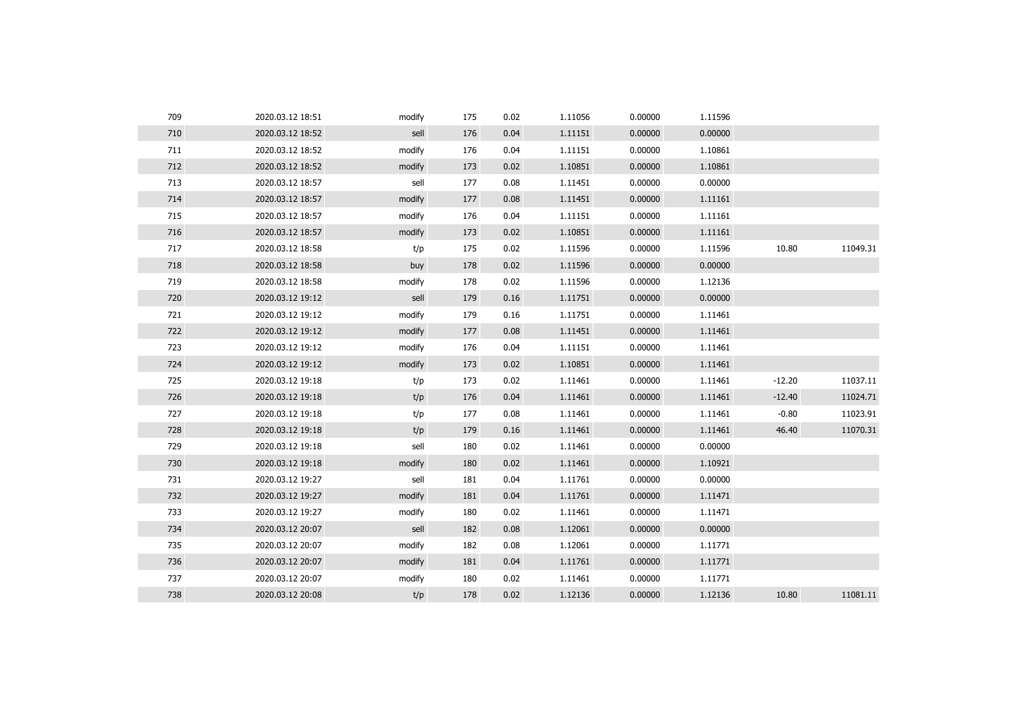| 709 | 2020.03.12 18:51 | modify | 175 | 0.02 | 1.11056 | 0.00000 | 1.11596 |          |          |
|-----|------------------|--------|-----|------|---------|---------|---------|----------|----------|
| 710 | 2020.03.12 18:52 | sell   | 176 | 0.04 | 1.11151 | 0.00000 | 0.00000 |          |          |
| 711 | 2020.03.12 18:52 | modify | 176 | 0.04 | 1.11151 | 0.00000 | 1.10861 |          |          |
| 712 | 2020.03.12 18:52 | modify | 173 | 0.02 | 1.10851 | 0.00000 | 1.10861 |          |          |
| 713 | 2020.03.12 18:57 | sell   | 177 | 0.08 | 1.11451 | 0.00000 | 0.00000 |          |          |
| 714 | 2020.03.12 18:57 | modify | 177 | 0.08 | 1.11451 | 0.00000 | 1.11161 |          |          |
| 715 | 2020.03.12 18:57 | modify | 176 | 0.04 | 1.11151 | 0.00000 | 1.11161 |          |          |
| 716 | 2020.03.12 18:57 | modify | 173 | 0.02 | 1.10851 | 0.00000 | 1.11161 |          |          |
| 717 | 2020.03.12 18:58 | t/p    | 175 | 0.02 | 1.11596 | 0.00000 | 1.11596 | 10.80    | 11049.31 |
| 718 | 2020.03.12 18:58 | buy    | 178 | 0.02 | 1.11596 | 0.00000 | 0.00000 |          |          |
| 719 | 2020.03.12 18:58 | modify | 178 | 0.02 | 1.11596 | 0.00000 | 1.12136 |          |          |
| 720 | 2020.03.12 19:12 | sell   | 179 | 0.16 | 1.11751 | 0.00000 | 0.00000 |          |          |
| 721 | 2020.03.12 19:12 | modify | 179 | 0.16 | 1.11751 | 0.00000 | 1.11461 |          |          |
| 722 | 2020.03.12 19:12 | modify | 177 | 0.08 | 1.11451 | 0.00000 | 1.11461 |          |          |
| 723 | 2020.03.12 19:12 | modify | 176 | 0.04 | 1.11151 | 0.00000 | 1.11461 |          |          |
| 724 | 2020.03.12 19:12 | modify | 173 | 0.02 | 1.10851 | 0.00000 | 1.11461 |          |          |
| 725 | 2020.03.12 19:18 | t/p    | 173 | 0.02 | 1.11461 | 0.00000 | 1.11461 | $-12.20$ | 11037.11 |
| 726 | 2020.03.12 19:18 | t/p    | 176 | 0.04 | 1.11461 | 0.00000 | 1.11461 | $-12.40$ | 11024.71 |
| 727 | 2020.03.12 19:18 | t/p    | 177 | 0.08 | 1.11461 | 0.00000 | 1.11461 | $-0.80$  | 11023.91 |
| 728 | 2020.03.12 19:18 | t/p    | 179 | 0.16 | 1.11461 | 0.00000 | 1.11461 | 46.40    | 11070.31 |
| 729 | 2020.03.12 19:18 | sell   | 180 | 0.02 | 1.11461 | 0.00000 | 0.00000 |          |          |
| 730 | 2020.03.12 19:18 | modify | 180 | 0.02 | 1.11461 | 0.00000 | 1.10921 |          |          |
| 731 | 2020.03.12 19:27 | sell   | 181 | 0.04 | 1.11761 | 0.00000 | 0.00000 |          |          |
| 732 | 2020.03.12 19:27 | modify | 181 | 0.04 | 1.11761 | 0.00000 | 1.11471 |          |          |
| 733 | 2020.03.12 19:27 | modify | 180 | 0.02 | 1.11461 | 0.00000 | 1.11471 |          |          |
| 734 | 2020.03.12 20:07 | sell   | 182 | 0.08 | 1.12061 | 0.00000 | 0.00000 |          |          |
| 735 | 2020.03.12 20:07 | modify | 182 | 0.08 | 1.12061 | 0.00000 | 1.11771 |          |          |
| 736 | 2020.03.12 20:07 | modify | 181 | 0.04 | 1.11761 | 0.00000 | 1.11771 |          |          |
| 737 | 2020.03.12 20:07 | modify | 180 | 0.02 | 1.11461 | 0.00000 | 1.11771 |          |          |
| 738 | 2020.03.12 20:08 | t/p    | 178 | 0.02 | 1.12136 | 0.00000 | 1.12136 | 10.80    | 11081.11 |
|     |                  |        |     |      |         |         |         |          |          |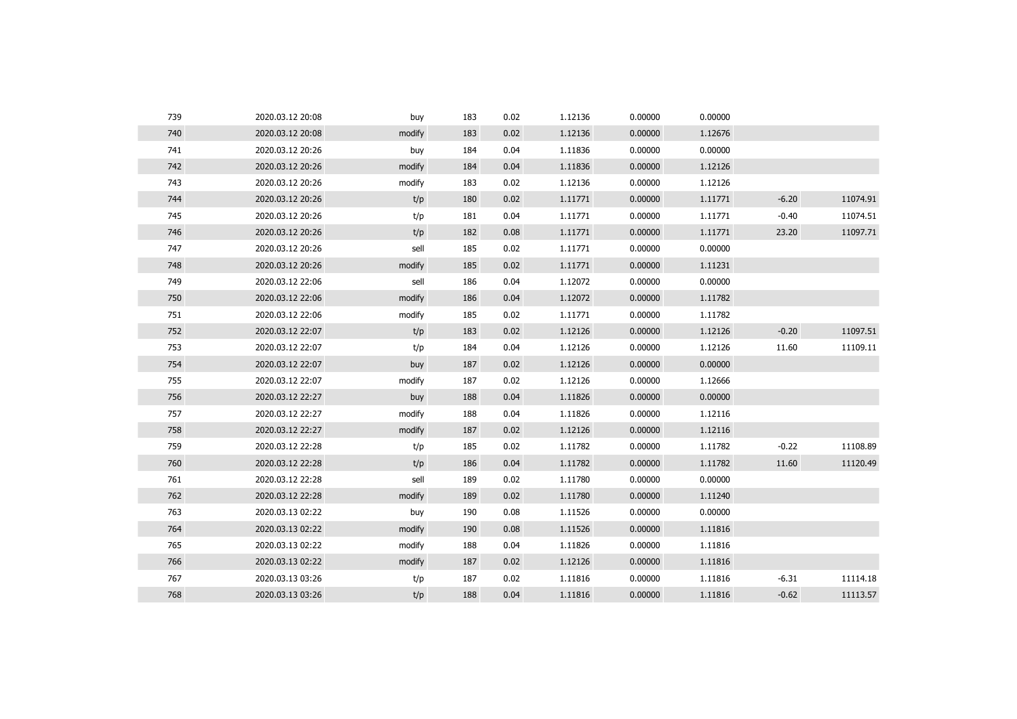| 739 | 2020.03.12 20:08 | buy    | 183 | 0.02 | 1.12136 | 0.00000 | 0.00000 |         |          |
|-----|------------------|--------|-----|------|---------|---------|---------|---------|----------|
| 740 | 2020.03.12 20:08 | modify | 183 | 0.02 | 1.12136 | 0.00000 | 1.12676 |         |          |
| 741 | 2020.03.12 20:26 | buy    | 184 | 0.04 | 1.11836 | 0.00000 | 0.00000 |         |          |
| 742 | 2020.03.12 20:26 | modify | 184 | 0.04 | 1.11836 | 0.00000 | 1.12126 |         |          |
| 743 | 2020.03.12 20:26 | modify | 183 | 0.02 | 1.12136 | 0.00000 | 1.12126 |         |          |
| 744 | 2020.03.12 20:26 | t/p    | 180 | 0.02 | 1.11771 | 0.00000 | 1.11771 | $-6.20$ | 11074.91 |
| 745 | 2020.03.12 20:26 | t/p    | 181 | 0.04 | 1.11771 | 0.00000 | 1.11771 | $-0.40$ | 11074.51 |
| 746 | 2020.03.12 20:26 | t/p    | 182 | 0.08 | 1.11771 | 0.00000 | 1.11771 | 23.20   | 11097.71 |
| 747 | 2020.03.12 20:26 | sell   | 185 | 0.02 | 1.11771 | 0.00000 | 0.00000 |         |          |
| 748 | 2020.03.12 20:26 | modify | 185 | 0.02 | 1.11771 | 0.00000 | 1.11231 |         |          |
| 749 | 2020.03.12 22:06 | sell   | 186 | 0.04 | 1.12072 | 0.00000 | 0.00000 |         |          |
| 750 | 2020.03.12 22:06 | modify | 186 | 0.04 | 1.12072 | 0.00000 | 1.11782 |         |          |
| 751 | 2020.03.12 22:06 | modify | 185 | 0.02 | 1.11771 | 0.00000 | 1.11782 |         |          |
| 752 | 2020.03.12 22:07 | t/p    | 183 | 0.02 | 1.12126 | 0.00000 | 1.12126 | $-0.20$ | 11097.51 |
| 753 | 2020.03.12 22:07 | t/p    | 184 | 0.04 | 1.12126 | 0.00000 | 1.12126 | 11.60   | 11109.11 |
| 754 | 2020.03.12 22:07 | buy    | 187 | 0.02 | 1.12126 | 0.00000 | 0.00000 |         |          |
| 755 | 2020.03.12 22:07 | modify | 187 | 0.02 | 1.12126 | 0.00000 | 1.12666 |         |          |
| 756 | 2020.03.12 22:27 | buy    | 188 | 0.04 | 1.11826 | 0.00000 | 0.00000 |         |          |
| 757 | 2020.03.12 22:27 | modify | 188 | 0.04 | 1.11826 | 0.00000 | 1.12116 |         |          |
| 758 | 2020.03.12 22:27 | modify | 187 | 0.02 | 1.12126 | 0.00000 | 1.12116 |         |          |
| 759 | 2020.03.12 22:28 | t/p    | 185 | 0.02 | 1.11782 | 0.00000 | 1.11782 | $-0.22$ | 11108.89 |
| 760 | 2020.03.12 22:28 | t/p    | 186 | 0.04 | 1.11782 | 0.00000 | 1.11782 | 11.60   | 11120.49 |
| 761 | 2020.03.12 22:28 | sell   | 189 | 0.02 | 1.11780 | 0.00000 | 0.00000 |         |          |
| 762 | 2020.03.12 22:28 | modify | 189 | 0.02 | 1.11780 | 0.00000 | 1.11240 |         |          |
| 763 | 2020.03.13 02:22 | buy    | 190 | 0.08 | 1.11526 | 0.00000 | 0.00000 |         |          |
| 764 | 2020.03.13 02:22 | modify | 190 | 0.08 | 1.11526 | 0.00000 | 1.11816 |         |          |
| 765 | 2020.03.13 02:22 | modify | 188 | 0.04 | 1.11826 | 0.00000 | 1.11816 |         |          |
| 766 | 2020.03.13 02:22 | modify | 187 | 0.02 | 1.12126 | 0.00000 | 1.11816 |         |          |
| 767 | 2020.03.13 03:26 | t/p    | 187 | 0.02 | 1.11816 | 0.00000 | 1.11816 | $-6.31$ | 11114.18 |
| 768 | 2020.03.13 03:26 | t/p    | 188 | 0.04 | 1.11816 | 0.00000 | 1.11816 | $-0.62$ | 11113.57 |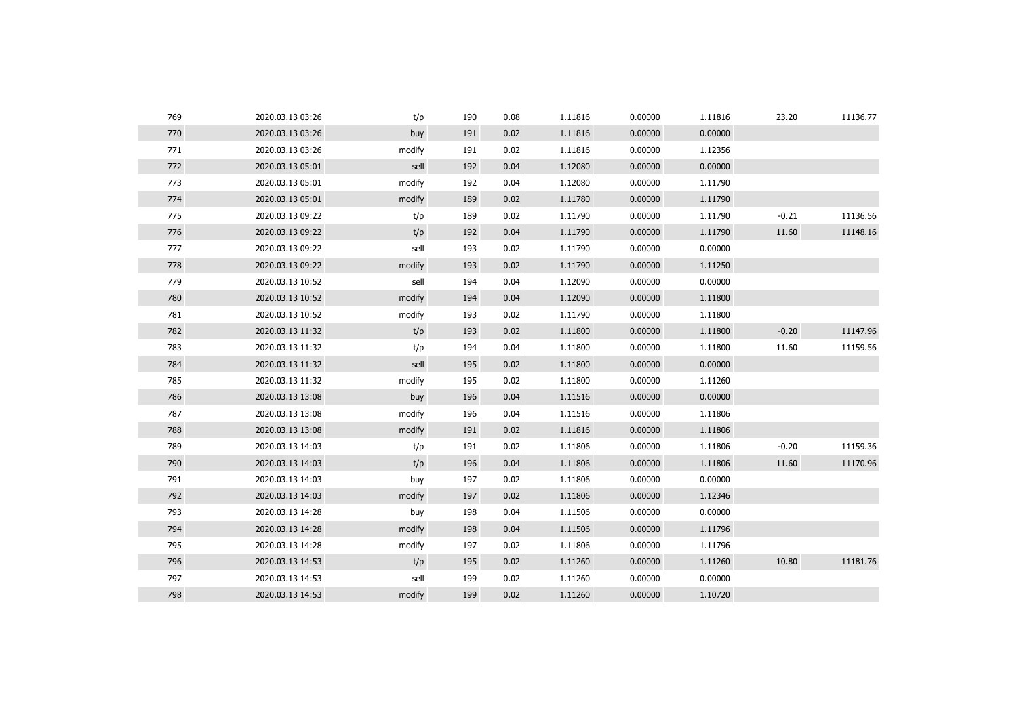| 769 | 2020.03.13 03:26 | t/p    | 190 | 0.08 | 1.11816 | 0.00000 | 1.11816 | 23.20   | 11136.77 |
|-----|------------------|--------|-----|------|---------|---------|---------|---------|----------|
| 770 | 2020.03.13 03:26 | buy    | 191 | 0.02 | 1.11816 | 0.00000 | 0.00000 |         |          |
| 771 | 2020.03.13 03:26 | modify | 191 | 0.02 | 1.11816 | 0.00000 | 1.12356 |         |          |
| 772 | 2020.03.13 05:01 | sell   | 192 | 0.04 | 1.12080 | 0.00000 | 0.00000 |         |          |
| 773 | 2020.03.13 05:01 | modify | 192 | 0.04 | 1.12080 | 0.00000 | 1.11790 |         |          |
| 774 | 2020.03.13 05:01 | modify | 189 | 0.02 | 1.11780 | 0.00000 | 1.11790 |         |          |
| 775 | 2020.03.13 09:22 | t/p    | 189 | 0.02 | 1.11790 | 0.00000 | 1.11790 | $-0.21$ | 11136.56 |
| 776 | 2020.03.13 09:22 | t/p    | 192 | 0.04 | 1.11790 | 0.00000 | 1.11790 | 11.60   | 11148.16 |
| 777 | 2020.03.13 09:22 | sell   | 193 | 0.02 | 1.11790 | 0.00000 | 0.00000 |         |          |
| 778 | 2020.03.13 09:22 | modify | 193 | 0.02 | 1.11790 | 0.00000 | 1.11250 |         |          |
| 779 | 2020.03.13 10:52 | sell   | 194 | 0.04 | 1.12090 | 0.00000 | 0.00000 |         |          |
| 780 | 2020.03.13 10:52 | modify | 194 | 0.04 | 1.12090 | 0.00000 | 1.11800 |         |          |
| 781 | 2020.03.13 10:52 | modify | 193 | 0.02 | 1.11790 | 0.00000 | 1.11800 |         |          |
| 782 | 2020.03.13 11:32 | t/p    | 193 | 0.02 | 1.11800 | 0.00000 | 1.11800 | $-0.20$ | 11147.96 |
| 783 | 2020.03.13 11:32 | t/p    | 194 | 0.04 | 1.11800 | 0.00000 | 1.11800 | 11.60   | 11159.56 |
| 784 | 2020.03.13 11:32 | sell   | 195 | 0.02 | 1.11800 | 0.00000 | 0.00000 |         |          |
| 785 | 2020.03.13 11:32 | modify | 195 | 0.02 | 1.11800 | 0.00000 | 1.11260 |         |          |
| 786 | 2020.03.13 13:08 | buy    | 196 | 0.04 | 1.11516 | 0.00000 | 0.00000 |         |          |
| 787 | 2020.03.13 13:08 | modify | 196 | 0.04 | 1.11516 | 0.00000 | 1.11806 |         |          |
| 788 | 2020.03.13 13:08 | modify | 191 | 0.02 | 1.11816 | 0.00000 | 1.11806 |         |          |
| 789 | 2020.03.13 14:03 | t/p    | 191 | 0.02 | 1.11806 | 0.00000 | 1.11806 | $-0.20$ | 11159.36 |
| 790 | 2020.03.13 14:03 | t/p    | 196 | 0.04 | 1.11806 | 0.00000 | 1.11806 | 11.60   | 11170.96 |
| 791 | 2020.03.13 14:03 | buy    | 197 | 0.02 | 1.11806 | 0.00000 | 0.00000 |         |          |
| 792 | 2020.03.13 14:03 | modify | 197 | 0.02 | 1.11806 | 0.00000 | 1.12346 |         |          |
| 793 | 2020.03.13 14:28 | buy    | 198 | 0.04 | 1.11506 | 0.00000 | 0.00000 |         |          |
| 794 | 2020.03.13 14:28 | modify | 198 | 0.04 | 1.11506 | 0.00000 | 1.11796 |         |          |
| 795 | 2020.03.13 14:28 | modify | 197 | 0.02 | 1.11806 | 0.00000 | 1.11796 |         |          |
| 796 | 2020.03.13 14:53 | t/p    | 195 | 0.02 | 1.11260 | 0.00000 | 1.11260 | 10.80   | 11181.76 |
| 797 | 2020.03.13 14:53 | sell   | 199 | 0.02 | 1.11260 | 0.00000 | 0.00000 |         |          |
| 798 | 2020.03.13 14:53 | modify | 199 | 0.02 | 1.11260 | 0.00000 | 1.10720 |         |          |
|     |                  |        |     |      |         |         |         |         |          |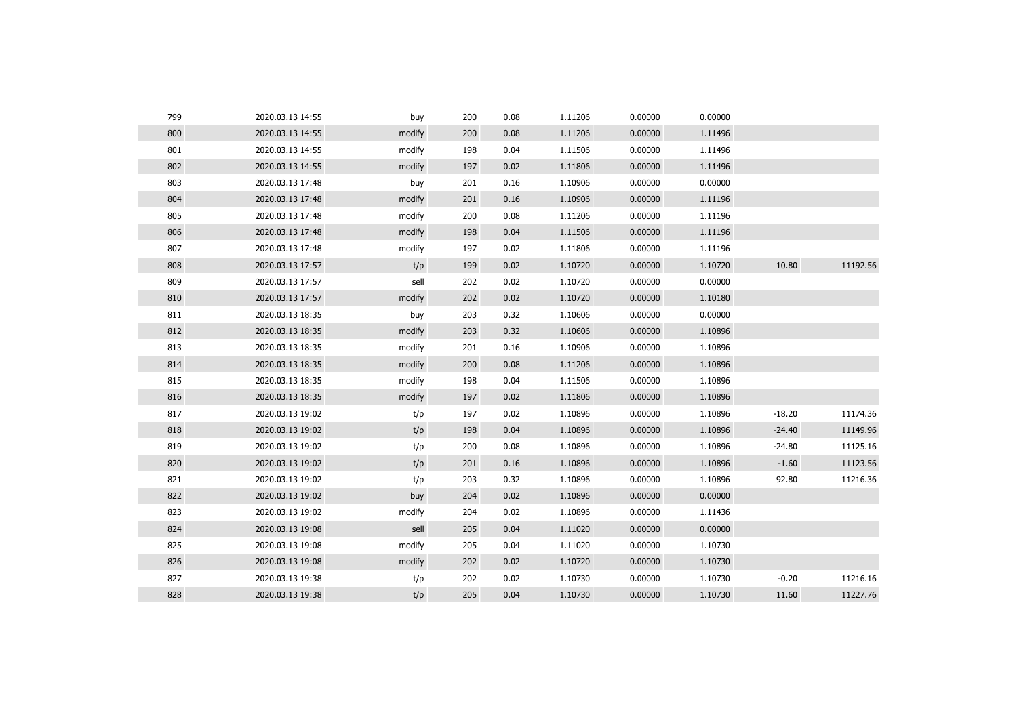| 799 | 2020.03.13 14:55 | buy    | 200 | 0.08 | 1.11206 | 0.00000 | 0.00000 |          |          |
|-----|------------------|--------|-----|------|---------|---------|---------|----------|----------|
| 800 | 2020.03.13 14:55 | modify | 200 | 0.08 | 1.11206 | 0.00000 | 1.11496 |          |          |
| 801 | 2020.03.13 14:55 | modify | 198 | 0.04 | 1.11506 | 0.00000 | 1.11496 |          |          |
| 802 | 2020.03.13 14:55 | modify | 197 | 0.02 | 1.11806 | 0.00000 | 1.11496 |          |          |
| 803 | 2020.03.13 17:48 | buy    | 201 | 0.16 | 1.10906 | 0.00000 | 0.00000 |          |          |
| 804 | 2020.03.13 17:48 | modify | 201 | 0.16 | 1.10906 | 0.00000 | 1.11196 |          |          |
| 805 | 2020.03.13 17:48 | modify | 200 | 0.08 | 1.11206 | 0.00000 | 1.11196 |          |          |
| 806 | 2020.03.13 17:48 | modify | 198 | 0.04 | 1.11506 | 0.00000 | 1.11196 |          |          |
| 807 | 2020.03.13 17:48 | modify | 197 | 0.02 | 1.11806 | 0.00000 | 1.11196 |          |          |
| 808 | 2020.03.13 17:57 | t/p    | 199 | 0.02 | 1.10720 | 0.00000 | 1.10720 | 10.80    | 11192.56 |
| 809 | 2020.03.13 17:57 | sell   | 202 | 0.02 | 1.10720 | 0.00000 | 0.00000 |          |          |
| 810 | 2020.03.13 17:57 | modify | 202 | 0.02 | 1.10720 | 0.00000 | 1.10180 |          |          |
| 811 | 2020.03.13 18:35 | buy    | 203 | 0.32 | 1.10606 | 0.00000 | 0.00000 |          |          |
| 812 | 2020.03.13 18:35 | modify | 203 | 0.32 | 1.10606 | 0.00000 | 1.10896 |          |          |
| 813 | 2020.03.13 18:35 | modify | 201 | 0.16 | 1.10906 | 0.00000 | 1.10896 |          |          |
| 814 | 2020.03.13 18:35 | modify | 200 | 0.08 | 1.11206 | 0.00000 | 1.10896 |          |          |
| 815 | 2020.03.13 18:35 | modify | 198 | 0.04 | 1.11506 | 0.00000 | 1.10896 |          |          |
| 816 | 2020.03.13 18:35 | modify | 197 | 0.02 | 1.11806 | 0.00000 | 1.10896 |          |          |
| 817 | 2020.03.13 19:02 | t/p    | 197 | 0.02 | 1.10896 | 0.00000 | 1.10896 | $-18.20$ | 11174.36 |
| 818 | 2020.03.13 19:02 | t/p    | 198 | 0.04 | 1.10896 | 0.00000 | 1.10896 | $-24.40$ | 11149.96 |
| 819 | 2020.03.13 19:02 | t/p    | 200 | 0.08 | 1.10896 | 0.00000 | 1.10896 | $-24.80$ | 11125.16 |
| 820 | 2020.03.13 19:02 | t/p    | 201 | 0.16 | 1.10896 | 0.00000 | 1.10896 | $-1.60$  | 11123.56 |
| 821 | 2020.03.13 19:02 | t/p    | 203 | 0.32 | 1.10896 | 0.00000 | 1.10896 | 92.80    | 11216.36 |
| 822 | 2020.03.13 19:02 | buy    | 204 | 0.02 | 1.10896 | 0.00000 | 0.00000 |          |          |
| 823 | 2020.03.13 19:02 | modify | 204 | 0.02 | 1.10896 | 0.00000 | 1.11436 |          |          |
| 824 | 2020.03.13 19:08 | sell   | 205 | 0.04 | 1.11020 | 0.00000 | 0.00000 |          |          |
| 825 | 2020.03.13 19:08 | modify | 205 | 0.04 | 1.11020 | 0.00000 | 1.10730 |          |          |
| 826 | 2020.03.13 19:08 | modify | 202 | 0.02 | 1.10720 | 0.00000 | 1.10730 |          |          |
| 827 | 2020.03.13 19:38 | t/p    | 202 | 0.02 | 1.10730 | 0.00000 | 1.10730 | $-0.20$  | 11216.16 |
| 828 | 2020.03.13 19:38 | t/p    | 205 | 0.04 | 1.10730 | 0.00000 | 1.10730 | 11.60    | 11227.76 |
|     |                  |        |     |      |         |         |         |          |          |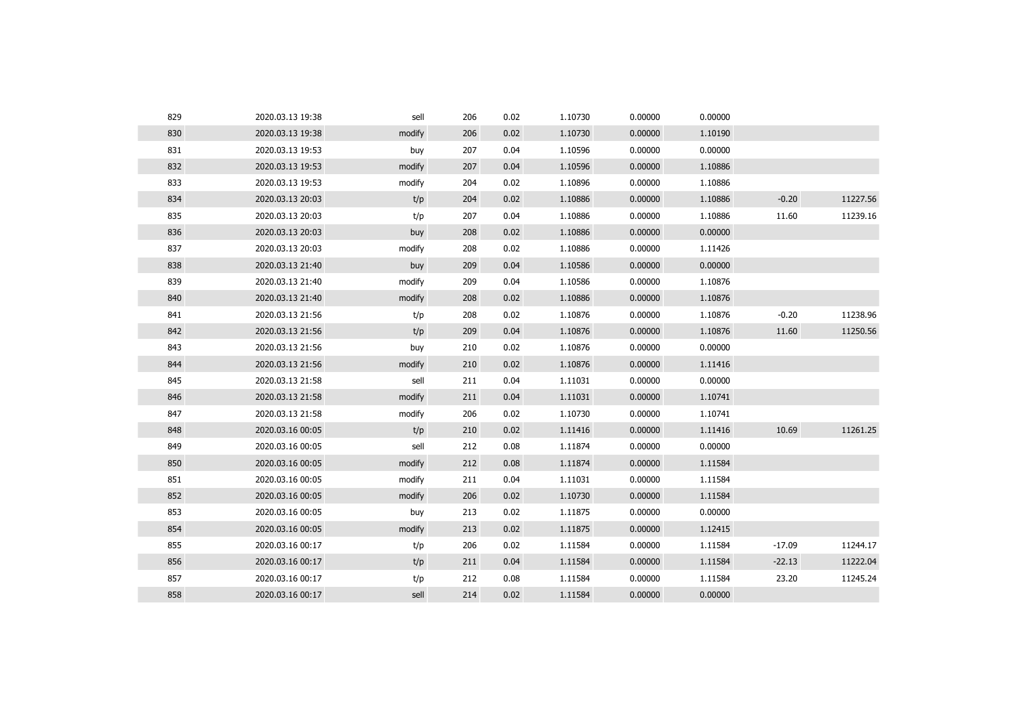| 829 | 2020.03.13 19:38 | sell   | 206 | 0.02 | 1.10730 | 0.00000 | 0.00000 |          |          |
|-----|------------------|--------|-----|------|---------|---------|---------|----------|----------|
| 830 | 2020.03.13 19:38 | modify | 206 | 0.02 | 1.10730 | 0.00000 | 1.10190 |          |          |
| 831 | 2020.03.13 19:53 | buy    | 207 | 0.04 | 1.10596 | 0.00000 | 0.00000 |          |          |
| 832 | 2020.03.13 19:53 | modify | 207 | 0.04 | 1.10596 | 0.00000 | 1.10886 |          |          |
| 833 | 2020.03.13 19:53 | modify | 204 | 0.02 | 1.10896 | 0.00000 | 1.10886 |          |          |
| 834 | 2020.03.13 20:03 | t/p    | 204 | 0.02 | 1.10886 | 0.00000 | 1.10886 | $-0.20$  | 11227.56 |
| 835 | 2020.03.13 20:03 | t/p    | 207 | 0.04 | 1.10886 | 0.00000 | 1.10886 | 11.60    | 11239.16 |
| 836 | 2020.03.13 20:03 | buy    | 208 | 0.02 | 1.10886 | 0.00000 | 0.00000 |          |          |
| 837 | 2020.03.13 20:03 | modify | 208 | 0.02 | 1.10886 | 0.00000 | 1.11426 |          |          |
| 838 | 2020.03.13 21:40 | buy    | 209 | 0.04 | 1.10586 | 0.00000 | 0.00000 |          |          |
| 839 | 2020.03.13 21:40 | modify | 209 | 0.04 | 1.10586 | 0.00000 | 1.10876 |          |          |
| 840 | 2020.03.13 21:40 | modify | 208 | 0.02 | 1.10886 | 0.00000 | 1.10876 |          |          |
| 841 | 2020.03.13 21:56 | t/p    | 208 | 0.02 | 1.10876 | 0.00000 | 1.10876 | $-0.20$  | 11238.96 |
| 842 | 2020.03.13 21:56 | t/p    | 209 | 0.04 | 1.10876 | 0.00000 | 1.10876 | 11.60    | 11250.56 |
| 843 | 2020.03.13 21:56 | buy    | 210 | 0.02 | 1.10876 | 0.00000 | 0.00000 |          |          |
| 844 | 2020.03.13 21:56 | modify | 210 | 0.02 | 1.10876 | 0.00000 | 1.11416 |          |          |
| 845 | 2020.03.13 21:58 | sell   | 211 | 0.04 | 1.11031 | 0.00000 | 0.00000 |          |          |
| 846 | 2020.03.13 21:58 | modify | 211 | 0.04 | 1.11031 | 0.00000 | 1.10741 |          |          |
| 847 | 2020.03.13 21:58 | modify | 206 | 0.02 | 1.10730 | 0.00000 | 1.10741 |          |          |
| 848 | 2020.03.16 00:05 | t/p    | 210 | 0.02 | 1.11416 | 0.00000 | 1.11416 | 10.69    | 11261.25 |
| 849 | 2020.03.16 00:05 | sell   | 212 | 0.08 | 1.11874 | 0.00000 | 0.00000 |          |          |
| 850 | 2020.03.16 00:05 | modify | 212 | 0.08 | 1.11874 | 0.00000 | 1.11584 |          |          |
| 851 | 2020.03.16 00:05 | modify | 211 | 0.04 | 1.11031 | 0.00000 | 1.11584 |          |          |
| 852 | 2020.03.16 00:05 | modify | 206 | 0.02 | 1.10730 | 0.00000 | 1.11584 |          |          |
| 853 | 2020.03.16 00:05 | buy    | 213 | 0.02 | 1.11875 | 0.00000 | 0.00000 |          |          |
| 854 | 2020.03.16 00:05 | modify | 213 | 0.02 | 1.11875 | 0.00000 | 1.12415 |          |          |
| 855 | 2020.03.16 00:17 | t/p    | 206 | 0.02 | 1.11584 | 0.00000 | 1.11584 | $-17.09$ | 11244.17 |
| 856 | 2020.03.16 00:17 | t/p    | 211 | 0.04 | 1.11584 | 0.00000 | 1.11584 | $-22.13$ | 11222.04 |
| 857 | 2020.03.16 00:17 | t/p    | 212 | 0.08 | 1.11584 | 0.00000 | 1.11584 | 23.20    | 11245.24 |
| 858 | 2020.03.16 00:17 | sell   | 214 | 0.02 | 1.11584 | 0.00000 | 0.00000 |          |          |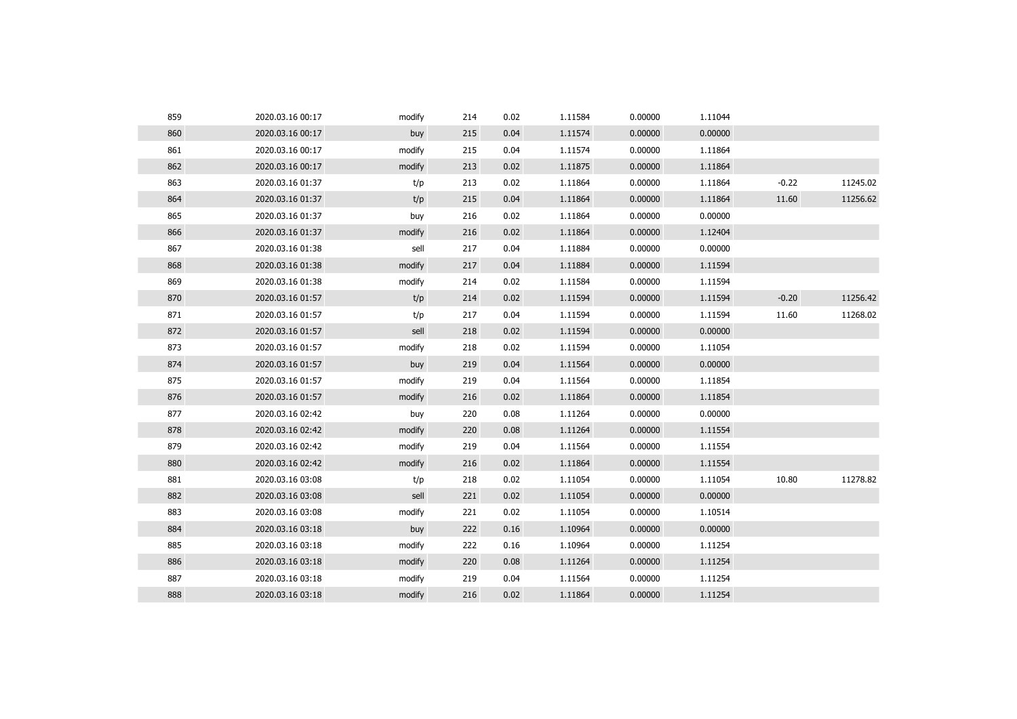| 859 | 2020.03.16 00:17 | modify | 214 | 0.02 | 1.11584 | 0.00000 | 1.11044 |         |          |
|-----|------------------|--------|-----|------|---------|---------|---------|---------|----------|
| 860 | 2020.03.16 00:17 | buy    | 215 | 0.04 | 1.11574 | 0.00000 | 0.00000 |         |          |
| 861 | 2020.03.16 00:17 | modify | 215 | 0.04 | 1.11574 | 0.00000 | 1.11864 |         |          |
| 862 | 2020.03.16 00:17 | modify | 213 | 0.02 | 1.11875 | 0.00000 | 1.11864 |         |          |
| 863 | 2020.03.16 01:37 | t/p    | 213 | 0.02 | 1.11864 | 0.00000 | 1.11864 | $-0.22$ | 11245.02 |
| 864 | 2020.03.16 01:37 | t/p    | 215 | 0.04 | 1.11864 | 0.00000 | 1.11864 | 11.60   | 11256.62 |
| 865 | 2020.03.16 01:37 | buy    | 216 | 0.02 | 1.11864 | 0.00000 | 0.00000 |         |          |
| 866 | 2020.03.16 01:37 | modify | 216 | 0.02 | 1.11864 | 0.00000 | 1.12404 |         |          |
| 867 | 2020.03.16 01:38 | sell   | 217 | 0.04 | 1.11884 | 0.00000 | 0.00000 |         |          |
| 868 | 2020.03.16 01:38 | modify | 217 | 0.04 | 1.11884 | 0.00000 | 1.11594 |         |          |
| 869 | 2020.03.16 01:38 | modify | 214 | 0.02 | 1.11584 | 0.00000 | 1.11594 |         |          |
| 870 | 2020.03.16 01:57 | t/p    | 214 | 0.02 | 1.11594 | 0.00000 | 1.11594 | $-0.20$ | 11256.42 |
| 871 | 2020.03.16 01:57 | t/p    | 217 | 0.04 | 1.11594 | 0.00000 | 1.11594 | 11.60   | 11268.02 |
| 872 | 2020.03.16 01:57 | sell   | 218 | 0.02 | 1.11594 | 0.00000 | 0.00000 |         |          |
| 873 | 2020.03.16 01:57 | modify | 218 | 0.02 | 1.11594 | 0.00000 | 1.11054 |         |          |
| 874 | 2020.03.16 01:57 | buy    | 219 | 0.04 | 1.11564 | 0.00000 | 0.00000 |         |          |
| 875 | 2020.03.16 01:57 | modify | 219 | 0.04 | 1.11564 | 0.00000 | 1.11854 |         |          |
| 876 | 2020.03.16 01:57 | modify | 216 | 0.02 | 1.11864 | 0.00000 | 1.11854 |         |          |
| 877 | 2020.03.16 02:42 | buy    | 220 | 0.08 | 1.11264 | 0.00000 | 0.00000 |         |          |
| 878 | 2020.03.16 02:42 | modify | 220 | 0.08 | 1.11264 | 0.00000 | 1.11554 |         |          |
| 879 | 2020.03.16 02:42 | modify | 219 | 0.04 | 1.11564 | 0.00000 | 1.11554 |         |          |
| 880 | 2020.03.16 02:42 | modify | 216 | 0.02 | 1.11864 | 0.00000 | 1.11554 |         |          |
| 881 | 2020.03.16 03:08 | t/p    | 218 | 0.02 | 1.11054 | 0.00000 | 1.11054 | 10.80   | 11278.82 |
| 882 | 2020.03.16 03:08 | sell   | 221 | 0.02 | 1.11054 | 0.00000 | 0.00000 |         |          |
| 883 | 2020.03.16 03:08 | modify | 221 | 0.02 | 1.11054 | 0.00000 | 1.10514 |         |          |
| 884 | 2020.03.16 03:18 | buy    | 222 | 0.16 | 1.10964 | 0.00000 | 0.00000 |         |          |
| 885 | 2020.03.16 03:18 | modify | 222 | 0.16 | 1.10964 | 0.00000 | 1.11254 |         |          |
| 886 | 2020.03.16 03:18 | modify | 220 | 0.08 | 1.11264 | 0.00000 | 1.11254 |         |          |
| 887 | 2020.03.16 03:18 | modify | 219 | 0.04 | 1.11564 | 0.00000 | 1.11254 |         |          |
| 888 | 2020.03.16 03:18 | modify | 216 | 0.02 | 1.11864 | 0.00000 | 1.11254 |         |          |
|     |                  |        |     |      |         |         |         |         |          |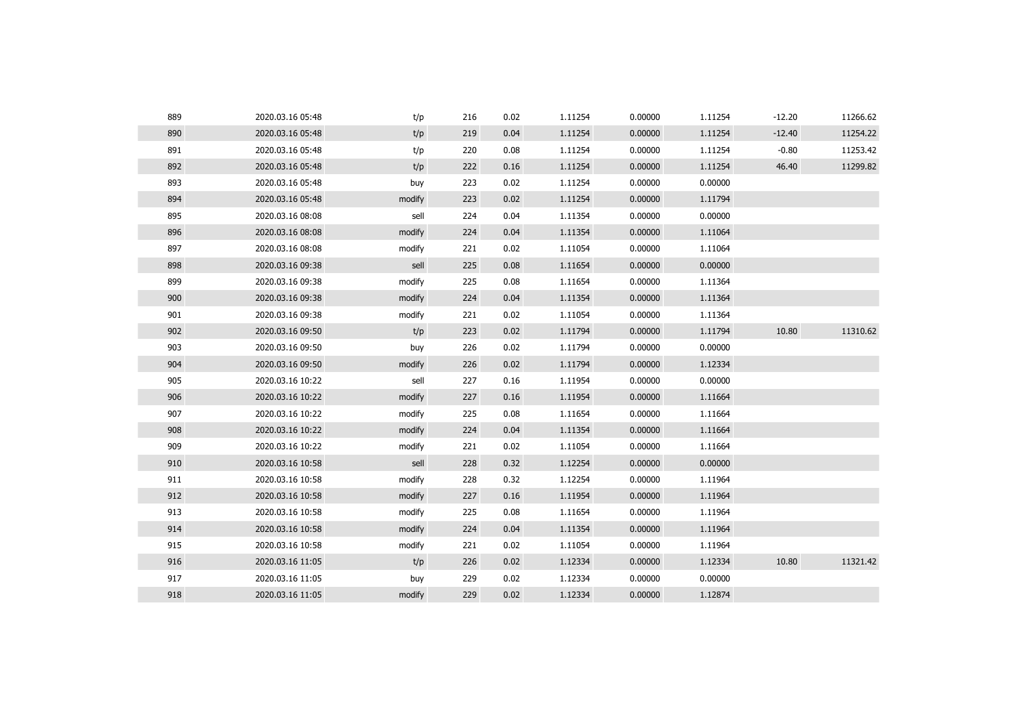| 889 | 2020.03.16 05:48 | t/p    | 216 | 0.02 | 1.11254 | 0.00000 | 1.11254 | $-12.20$ | 11266.62 |
|-----|------------------|--------|-----|------|---------|---------|---------|----------|----------|
| 890 | 2020.03.16 05:48 | t/p    | 219 | 0.04 | 1.11254 | 0.00000 | 1.11254 | $-12.40$ | 11254.22 |
| 891 | 2020.03.16 05:48 | t/p    | 220 | 0.08 | 1.11254 | 0.00000 | 1.11254 | $-0.80$  | 11253.42 |
| 892 | 2020.03.16 05:48 | t/p    | 222 | 0.16 | 1.11254 | 0.00000 | 1.11254 | 46.40    | 11299.82 |
| 893 | 2020.03.16 05:48 | buy    | 223 | 0.02 | 1.11254 | 0.00000 | 0.00000 |          |          |
| 894 | 2020.03.16 05:48 | modify | 223 | 0.02 | 1.11254 | 0.00000 | 1.11794 |          |          |
| 895 | 2020.03.16 08:08 | sell   | 224 | 0.04 | 1.11354 | 0.00000 | 0.00000 |          |          |
| 896 | 2020.03.16 08:08 | modify | 224 | 0.04 | 1.11354 | 0.00000 | 1.11064 |          |          |
| 897 | 2020.03.16 08:08 | modify | 221 | 0.02 | 1.11054 | 0.00000 | 1.11064 |          |          |
| 898 | 2020.03.16 09:38 | sell   | 225 | 0.08 | 1.11654 | 0.00000 | 0.00000 |          |          |
| 899 | 2020.03.16 09:38 | modify | 225 | 0.08 | 1.11654 | 0.00000 | 1.11364 |          |          |
| 900 | 2020.03.16 09:38 | modify | 224 | 0.04 | 1.11354 | 0.00000 | 1.11364 |          |          |
| 901 | 2020.03.16 09:38 | modify | 221 | 0.02 | 1.11054 | 0.00000 | 1.11364 |          |          |
| 902 | 2020.03.16 09:50 | t/p    | 223 | 0.02 | 1.11794 | 0.00000 | 1.11794 | 10.80    | 11310.62 |
| 903 | 2020.03.16 09:50 | buy    | 226 | 0.02 | 1.11794 | 0.00000 | 0.00000 |          |          |
| 904 | 2020.03.16 09:50 | modify | 226 | 0.02 | 1.11794 | 0.00000 | 1.12334 |          |          |
| 905 | 2020.03.16 10:22 | sell   | 227 | 0.16 | 1.11954 | 0.00000 | 0.00000 |          |          |
| 906 | 2020.03.16 10:22 | modify | 227 | 0.16 | 1.11954 | 0.00000 | 1.11664 |          |          |
| 907 | 2020.03.16 10:22 | modify | 225 | 0.08 | 1.11654 | 0.00000 | 1.11664 |          |          |
| 908 | 2020.03.16 10:22 | modify | 224 | 0.04 | 1.11354 | 0.00000 | 1.11664 |          |          |
| 909 | 2020.03.16 10:22 | modify | 221 | 0.02 | 1.11054 | 0.00000 | 1.11664 |          |          |
| 910 | 2020.03.16 10:58 | sell   | 228 | 0.32 | 1.12254 | 0.00000 | 0.00000 |          |          |
| 911 | 2020.03.16 10:58 | modify | 228 | 0.32 | 1.12254 | 0.00000 | 1.11964 |          |          |
| 912 | 2020.03.16 10:58 | modify | 227 | 0.16 | 1.11954 | 0.00000 | 1.11964 |          |          |
| 913 | 2020.03.16 10:58 | modify | 225 | 0.08 | 1.11654 | 0.00000 | 1.11964 |          |          |
| 914 | 2020.03.16 10:58 | modify | 224 | 0.04 | 1.11354 | 0.00000 | 1.11964 |          |          |
| 915 | 2020.03.16 10:58 | modify | 221 | 0.02 | 1.11054 | 0.00000 | 1.11964 |          |          |
| 916 | 2020.03.16 11:05 | t/p    | 226 | 0.02 | 1.12334 | 0.00000 | 1.12334 | 10.80    | 11321.42 |
| 917 | 2020.03.16 11:05 | buy    | 229 | 0.02 | 1.12334 | 0.00000 | 0.00000 |          |          |
| 918 | 2020.03.16 11:05 | modify | 229 | 0.02 | 1.12334 | 0.00000 | 1.12874 |          |          |
|     |                  |        |     |      |         |         |         |          |          |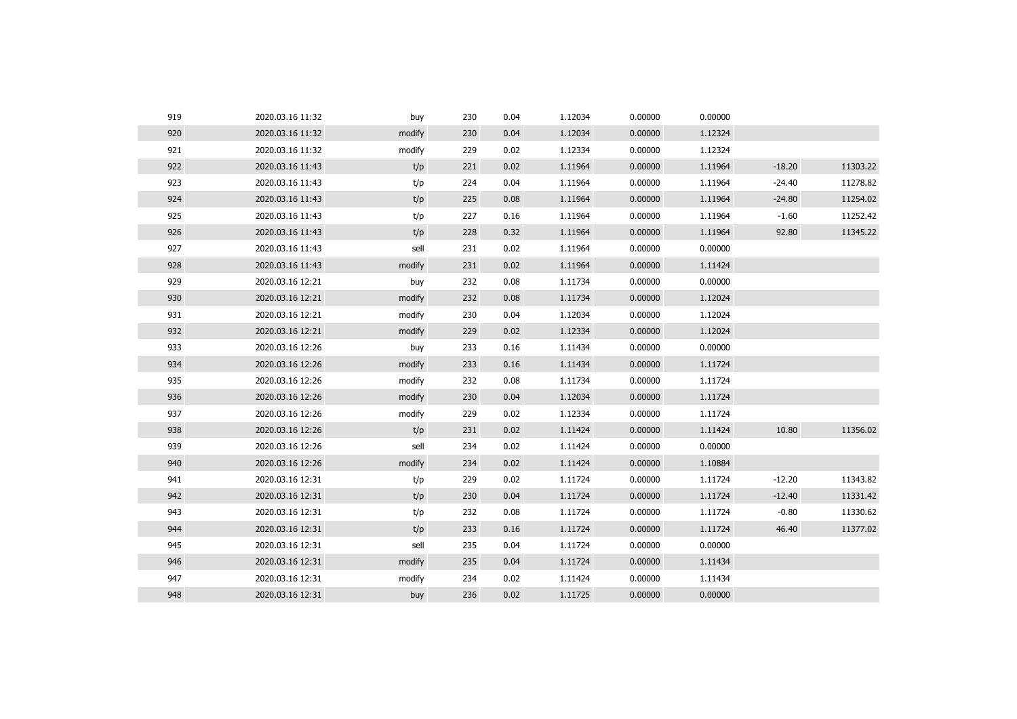| 919 | 2020.03.16 11:32 | buy    | 230 | 0.04 | 1.12034 | 0.00000 | 0.00000 |          |          |
|-----|------------------|--------|-----|------|---------|---------|---------|----------|----------|
| 920 | 2020.03.16 11:32 | modify | 230 | 0.04 | 1.12034 | 0.00000 | 1.12324 |          |          |
| 921 | 2020.03.16 11:32 | modify | 229 | 0.02 | 1.12334 | 0.00000 | 1.12324 |          |          |
| 922 | 2020.03.16 11:43 | t/p    | 221 | 0.02 | 1.11964 | 0.00000 | 1.11964 | $-18.20$ | 11303.22 |
| 923 | 2020.03.16 11:43 | t/p    | 224 | 0.04 | 1.11964 | 0.00000 | 1.11964 | $-24.40$ | 11278.82 |
| 924 | 2020.03.16 11:43 | t/p    | 225 | 0.08 | 1.11964 | 0.00000 | 1.11964 | $-24.80$ | 11254.02 |
| 925 | 2020.03.16 11:43 | t/p    | 227 | 0.16 | 1.11964 | 0.00000 | 1.11964 | $-1.60$  | 11252.42 |
| 926 | 2020.03.16 11:43 | t/p    | 228 | 0.32 | 1.11964 | 0.00000 | 1.11964 | 92.80    | 11345.22 |
| 927 | 2020.03.16 11:43 | sell   | 231 | 0.02 | 1.11964 | 0.00000 | 0.00000 |          |          |
| 928 | 2020.03.16 11:43 | modify | 231 | 0.02 | 1.11964 | 0.00000 | 1.11424 |          |          |
| 929 | 2020.03.16 12:21 | buy    | 232 | 0.08 | 1.11734 | 0.00000 | 0.00000 |          |          |
| 930 | 2020.03.16 12:21 | modify | 232 | 0.08 | 1.11734 | 0.00000 | 1.12024 |          |          |
| 931 | 2020.03.16 12:21 | modify | 230 | 0.04 | 1.12034 | 0.00000 | 1.12024 |          |          |
| 932 | 2020.03.16 12:21 | modify | 229 | 0.02 | 1.12334 | 0.00000 | 1.12024 |          |          |
| 933 | 2020.03.16 12:26 | buy    | 233 | 0.16 | 1.11434 | 0.00000 | 0.00000 |          |          |
| 934 | 2020.03.16 12:26 | modify | 233 | 0.16 | 1.11434 | 0.00000 | 1.11724 |          |          |
| 935 | 2020.03.16 12:26 | modify | 232 | 0.08 | 1.11734 | 0.00000 | 1.11724 |          |          |
| 936 | 2020.03.16 12:26 | modify | 230 | 0.04 | 1.12034 | 0.00000 | 1.11724 |          |          |
| 937 | 2020.03.16 12:26 | modify | 229 | 0.02 | 1.12334 | 0.00000 | 1.11724 |          |          |
| 938 | 2020.03.16 12:26 | t/p    | 231 | 0.02 | 1.11424 | 0.00000 | 1.11424 | 10.80    | 11356.02 |
| 939 | 2020.03.16 12:26 | sell   | 234 | 0.02 | 1.11424 | 0.00000 | 0.00000 |          |          |
| 940 | 2020.03.16 12:26 | modify | 234 | 0.02 | 1.11424 | 0.00000 | 1.10884 |          |          |
| 941 | 2020.03.16 12:31 | t/p    | 229 | 0.02 | 1.11724 | 0.00000 | 1.11724 | $-12.20$ | 11343.82 |
| 942 | 2020.03.16 12:31 | t/p    | 230 | 0.04 | 1.11724 | 0.00000 | 1.11724 | $-12.40$ | 11331.42 |
| 943 | 2020.03.16 12:31 | t/p    | 232 | 0.08 | 1.11724 | 0.00000 | 1.11724 | $-0.80$  | 11330.62 |
| 944 | 2020.03.16 12:31 | t/p    | 233 | 0.16 | 1.11724 | 0.00000 | 1.11724 | 46.40    | 11377.02 |
| 945 | 2020.03.16 12:31 | sell   | 235 | 0.04 | 1.11724 | 0.00000 | 0.00000 |          |          |
| 946 | 2020.03.16 12:31 | modify | 235 | 0.04 | 1.11724 | 0.00000 | 1.11434 |          |          |
| 947 | 2020.03.16 12:31 | modify | 234 | 0.02 | 1.11424 | 0.00000 | 1.11434 |          |          |
| 948 | 2020.03.16 12:31 | buy    | 236 | 0.02 | 1.11725 | 0.00000 | 0.00000 |          |          |
|     |                  |        |     |      |         |         |         |          |          |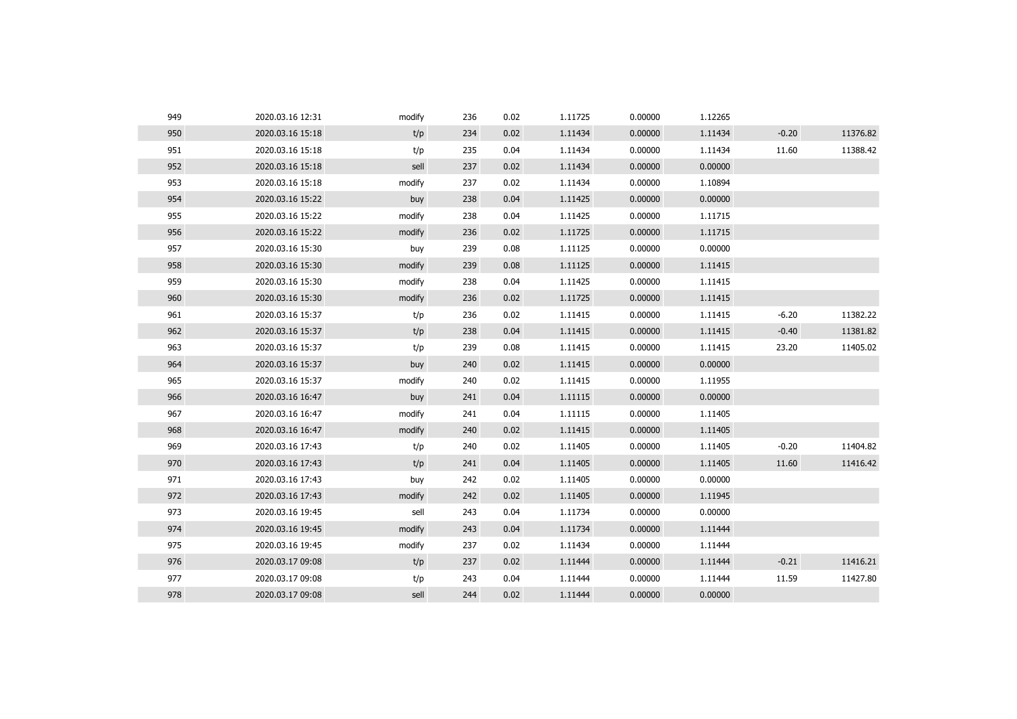| 949 | 2020.03.16 12:31 | modify | 236 | 0.02 | 1.11725 | 0.00000 | 1.12265 |         |          |
|-----|------------------|--------|-----|------|---------|---------|---------|---------|----------|
| 950 | 2020.03.16 15:18 | t/p    | 234 | 0.02 | 1.11434 | 0.00000 | 1.11434 | $-0.20$ | 11376.82 |
| 951 | 2020.03.16 15:18 | t/p    | 235 | 0.04 | 1.11434 | 0.00000 | 1.11434 | 11.60   | 11388.42 |
| 952 | 2020.03.16 15:18 | sell   | 237 | 0.02 | 1.11434 | 0.00000 | 0.00000 |         |          |
| 953 | 2020.03.16 15:18 | modify | 237 | 0.02 | 1.11434 | 0.00000 | 1.10894 |         |          |
| 954 | 2020.03.16 15:22 | buy    | 238 | 0.04 | 1.11425 | 0.00000 | 0.00000 |         |          |
| 955 | 2020.03.16 15:22 | modify | 238 | 0.04 | 1.11425 | 0.00000 | 1.11715 |         |          |
| 956 | 2020.03.16 15:22 | modify | 236 | 0.02 | 1.11725 | 0.00000 | 1.11715 |         |          |
| 957 | 2020.03.16 15:30 | buy    | 239 | 0.08 | 1.11125 | 0.00000 | 0.00000 |         |          |
| 958 | 2020.03.16 15:30 | modify | 239 | 0.08 | 1.11125 | 0.00000 | 1.11415 |         |          |
| 959 | 2020.03.16 15:30 | modify | 238 | 0.04 | 1.11425 | 0.00000 | 1.11415 |         |          |
| 960 | 2020.03.16 15:30 | modify | 236 | 0.02 | 1.11725 | 0.00000 | 1.11415 |         |          |
| 961 | 2020.03.16 15:37 | t/p    | 236 | 0.02 | 1.11415 | 0.00000 | 1.11415 | $-6.20$ | 11382.22 |
| 962 | 2020.03.16 15:37 | t/p    | 238 | 0.04 | 1.11415 | 0.00000 | 1.11415 | $-0.40$ | 11381.82 |
| 963 | 2020.03.16 15:37 | t/p    | 239 | 0.08 | 1.11415 | 0.00000 | 1.11415 | 23.20   | 11405.02 |
| 964 | 2020.03.16 15:37 | buy    | 240 | 0.02 | 1.11415 | 0.00000 | 0.00000 |         |          |
| 965 | 2020.03.16 15:37 | modify | 240 | 0.02 | 1.11415 | 0.00000 | 1.11955 |         |          |
| 966 | 2020.03.16 16:47 | buy    | 241 | 0.04 | 1.11115 | 0.00000 | 0.00000 |         |          |
| 967 | 2020.03.16 16:47 | modify | 241 | 0.04 | 1.11115 | 0.00000 | 1.11405 |         |          |
| 968 | 2020.03.16 16:47 | modify | 240 | 0.02 | 1.11415 | 0.00000 | 1.11405 |         |          |
| 969 | 2020.03.16 17:43 | t/p    | 240 | 0.02 | 1.11405 | 0.00000 | 1.11405 | $-0.20$ | 11404.82 |
| 970 | 2020.03.16 17:43 | t/p    | 241 | 0.04 | 1.11405 | 0.00000 | 1.11405 | 11.60   | 11416.42 |
| 971 | 2020.03.16 17:43 | buy    | 242 | 0.02 | 1.11405 | 0.00000 | 0.00000 |         |          |
| 972 | 2020.03.16 17:43 | modify | 242 | 0.02 | 1.11405 | 0.00000 | 1.11945 |         |          |
| 973 | 2020.03.16 19:45 | sell   | 243 | 0.04 | 1.11734 | 0.00000 | 0.00000 |         |          |
| 974 | 2020.03.16 19:45 | modify | 243 | 0.04 | 1.11734 | 0.00000 | 1.11444 |         |          |
| 975 | 2020.03.16 19:45 | modify | 237 | 0.02 | 1.11434 | 0.00000 | 1.11444 |         |          |
| 976 | 2020.03.17 09:08 | t/p    | 237 | 0.02 | 1.11444 | 0.00000 | 1.11444 | $-0.21$ | 11416.21 |
| 977 | 2020.03.17 09:08 | t/p    | 243 | 0.04 | 1.11444 | 0.00000 | 1.11444 | 11.59   | 11427.80 |
| 978 | 2020.03.17 09:08 | sell   | 244 | 0.02 | 1.11444 | 0.00000 | 0.00000 |         |          |
|     |                  |        |     |      |         |         |         |         |          |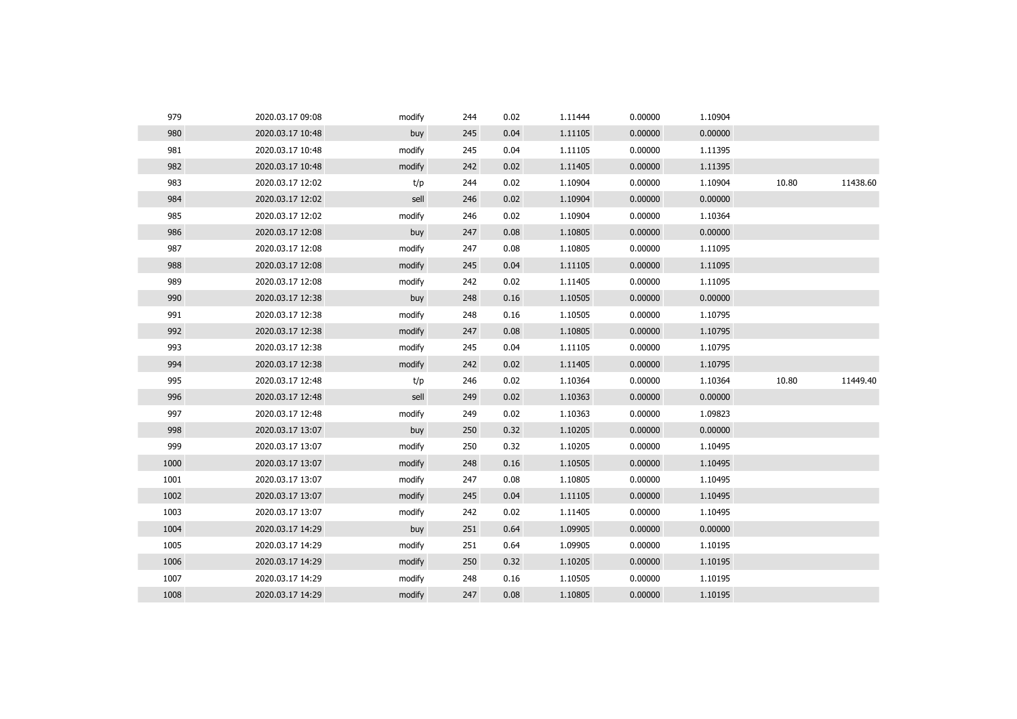| 979  | 2020.03.17 09:08 | modify | 244 | 0.02 | 1.11444 | 0.00000 | 1.10904 |       |          |
|------|------------------|--------|-----|------|---------|---------|---------|-------|----------|
| 980  | 2020.03.17 10:48 | buy    | 245 | 0.04 | 1.11105 | 0.00000 | 0.00000 |       |          |
| 981  | 2020.03.17 10:48 | modify | 245 | 0.04 | 1.11105 | 0.00000 | 1.11395 |       |          |
| 982  | 2020.03.17 10:48 | modify | 242 | 0.02 | 1.11405 | 0.00000 | 1.11395 |       |          |
| 983  | 2020.03.17 12:02 | t/p    | 244 | 0.02 | 1.10904 | 0.00000 | 1.10904 | 10.80 | 11438.60 |
| 984  | 2020.03.17 12:02 | sell   | 246 | 0.02 | 1.10904 | 0.00000 | 0.00000 |       |          |
| 985  | 2020.03.17 12:02 | modify | 246 | 0.02 | 1.10904 | 0.00000 | 1.10364 |       |          |
| 986  | 2020.03.17 12:08 | buy    | 247 | 0.08 | 1.10805 | 0.00000 | 0.00000 |       |          |
| 987  | 2020.03.17 12:08 | modify | 247 | 0.08 | 1.10805 | 0.00000 | 1.11095 |       |          |
| 988  | 2020.03.17 12:08 | modify | 245 | 0.04 | 1.11105 | 0.00000 | 1.11095 |       |          |
| 989  | 2020.03.17 12:08 | modify | 242 | 0.02 | 1.11405 | 0.00000 | 1.11095 |       |          |
| 990  | 2020.03.17 12:38 | buy    | 248 | 0.16 | 1.10505 | 0.00000 | 0.00000 |       |          |
| 991  | 2020.03.17 12:38 | modify | 248 | 0.16 | 1.10505 | 0.00000 | 1.10795 |       |          |
| 992  | 2020.03.17 12:38 | modify | 247 | 0.08 | 1.10805 | 0.00000 | 1.10795 |       |          |
| 993  | 2020.03.17 12:38 | modify | 245 | 0.04 | 1.11105 | 0.00000 | 1.10795 |       |          |
| 994  | 2020.03.17 12:38 | modify | 242 | 0.02 | 1.11405 | 0.00000 | 1.10795 |       |          |
| 995  | 2020.03.17 12:48 | t/p    | 246 | 0.02 | 1.10364 | 0.00000 | 1.10364 | 10.80 | 11449.40 |
| 996  | 2020.03.17 12:48 | sell   | 249 | 0.02 | 1.10363 | 0.00000 | 0.00000 |       |          |
| 997  | 2020.03.17 12:48 | modify | 249 | 0.02 | 1.10363 | 0.00000 | 1.09823 |       |          |
| 998  | 2020.03.17 13:07 | buy    | 250 | 0.32 | 1.10205 | 0.00000 | 0.00000 |       |          |
| 999  | 2020.03.17 13:07 | modify | 250 | 0.32 | 1.10205 | 0.00000 | 1.10495 |       |          |
| 1000 | 2020.03.17 13:07 | modify | 248 | 0.16 | 1.10505 | 0.00000 | 1.10495 |       |          |
| 1001 | 2020.03.17 13:07 | modify | 247 | 0.08 | 1.10805 | 0.00000 | 1.10495 |       |          |
| 1002 | 2020.03.17 13:07 | modify | 245 | 0.04 | 1.11105 | 0.00000 | 1.10495 |       |          |
| 1003 | 2020.03.17 13:07 | modify | 242 | 0.02 | 1.11405 | 0.00000 | 1.10495 |       |          |
| 1004 | 2020.03.17 14:29 | buy    | 251 | 0.64 | 1.09905 | 0.00000 | 0.00000 |       |          |
| 1005 | 2020.03.17 14:29 | modify | 251 | 0.64 | 1.09905 | 0.00000 | 1.10195 |       |          |
| 1006 | 2020.03.17 14:29 | modify | 250 | 0.32 | 1.10205 | 0.00000 | 1.10195 |       |          |
| 1007 | 2020.03.17 14:29 | modify | 248 | 0.16 | 1.10505 | 0.00000 | 1.10195 |       |          |
| 1008 | 2020.03.17 14:29 | modify | 247 | 0.08 | 1.10805 | 0.00000 | 1.10195 |       |          |
|      |                  |        |     |      |         |         |         |       |          |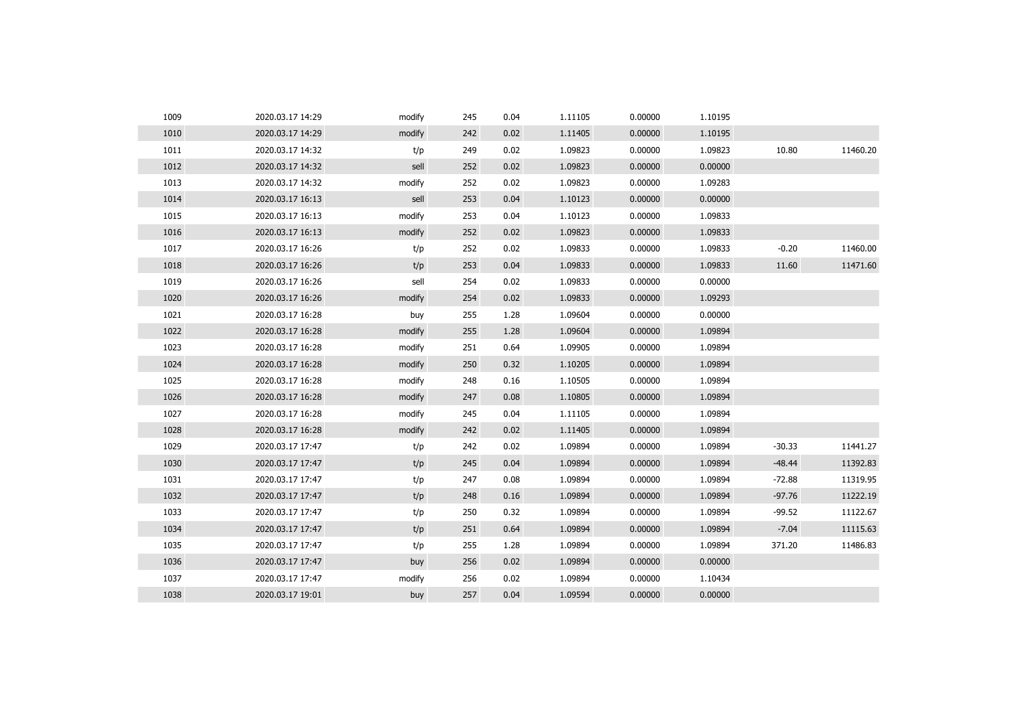| 1009 | 2020.03.17 14:29 | modify | 245 | 0.04 | 1.11105 | 0.00000 | 1.10195 |          |          |
|------|------------------|--------|-----|------|---------|---------|---------|----------|----------|
| 1010 | 2020.03.17 14:29 | modify | 242 | 0.02 | 1.11405 | 0.00000 | 1.10195 |          |          |
| 1011 | 2020.03.17 14:32 | t/p    | 249 | 0.02 | 1.09823 | 0.00000 | 1.09823 | 10.80    | 11460.20 |
| 1012 | 2020.03.17 14:32 | sell   | 252 | 0.02 | 1.09823 | 0.00000 | 0.00000 |          |          |
| 1013 | 2020.03.17 14:32 | modify | 252 | 0.02 | 1.09823 | 0.00000 | 1.09283 |          |          |
| 1014 | 2020.03.17 16:13 | sell   | 253 | 0.04 | 1.10123 | 0.00000 | 0.00000 |          |          |
| 1015 | 2020.03.17 16:13 | modify | 253 | 0.04 | 1.10123 | 0.00000 | 1.09833 |          |          |
| 1016 | 2020.03.17 16:13 | modify | 252 | 0.02 | 1.09823 | 0.00000 | 1.09833 |          |          |
| 1017 | 2020.03.17 16:26 | t/p    | 252 | 0.02 | 1.09833 | 0.00000 | 1.09833 | $-0.20$  | 11460.00 |
| 1018 | 2020.03.17 16:26 | t/p    | 253 | 0.04 | 1.09833 | 0.00000 | 1.09833 | 11.60    | 11471.60 |
| 1019 | 2020.03.17 16:26 | sell   | 254 | 0.02 | 1.09833 | 0.00000 | 0.00000 |          |          |
| 1020 | 2020.03.17 16:26 | modify | 254 | 0.02 | 1.09833 | 0.00000 | 1.09293 |          |          |
| 1021 | 2020.03.17 16:28 | buy    | 255 | 1.28 | 1.09604 | 0.00000 | 0.00000 |          |          |
| 1022 | 2020.03.17 16:28 | modify | 255 | 1.28 | 1.09604 | 0.00000 | 1.09894 |          |          |
| 1023 | 2020.03.17 16:28 | modify | 251 | 0.64 | 1.09905 | 0.00000 | 1.09894 |          |          |
| 1024 | 2020.03.17 16:28 | modify | 250 | 0.32 | 1.10205 | 0.00000 | 1.09894 |          |          |
| 1025 | 2020.03.17 16:28 | modify | 248 | 0.16 | 1.10505 | 0.00000 | 1.09894 |          |          |
| 1026 | 2020.03.17 16:28 | modify | 247 | 0.08 | 1.10805 | 0.00000 | 1.09894 |          |          |
| 1027 | 2020.03.17 16:28 | modify | 245 | 0.04 | 1.11105 | 0.00000 | 1.09894 |          |          |
| 1028 | 2020.03.17 16:28 | modify | 242 | 0.02 | 1.11405 | 0.00000 | 1.09894 |          |          |
| 1029 | 2020.03.17 17:47 | t/p    | 242 | 0.02 | 1.09894 | 0.00000 | 1.09894 | $-30.33$ | 11441.27 |
| 1030 | 2020.03.17 17:47 | t/p    | 245 | 0.04 | 1.09894 | 0.00000 | 1.09894 | $-48.44$ | 11392.83 |
| 1031 | 2020.03.17 17:47 | t/p    | 247 | 0.08 | 1.09894 | 0.00000 | 1.09894 | $-72.88$ | 11319.95 |
| 1032 | 2020.03.17 17:47 | t/p    | 248 | 0.16 | 1.09894 | 0.00000 | 1.09894 | $-97.76$ | 11222.19 |
| 1033 | 2020.03.17 17:47 | t/p    | 250 | 0.32 | 1.09894 | 0.00000 | 1.09894 | $-99.52$ | 11122.67 |
| 1034 | 2020.03.17 17:47 | t/p    | 251 | 0.64 | 1.09894 | 0.00000 | 1.09894 | $-7.04$  | 11115.63 |
| 1035 | 2020.03.17 17:47 | t/p    | 255 | 1.28 | 1.09894 | 0.00000 | 1.09894 | 371.20   | 11486.83 |
| 1036 | 2020.03.17 17:47 | buy    | 256 | 0.02 | 1.09894 | 0.00000 | 0.00000 |          |          |
| 1037 | 2020.03.17 17:47 | modify | 256 | 0.02 | 1.09894 | 0.00000 | 1.10434 |          |          |
| 1038 | 2020.03.17 19:01 | buy    | 257 | 0.04 | 1.09594 | 0.00000 | 0.00000 |          |          |
|      |                  |        |     |      |         |         |         |          |          |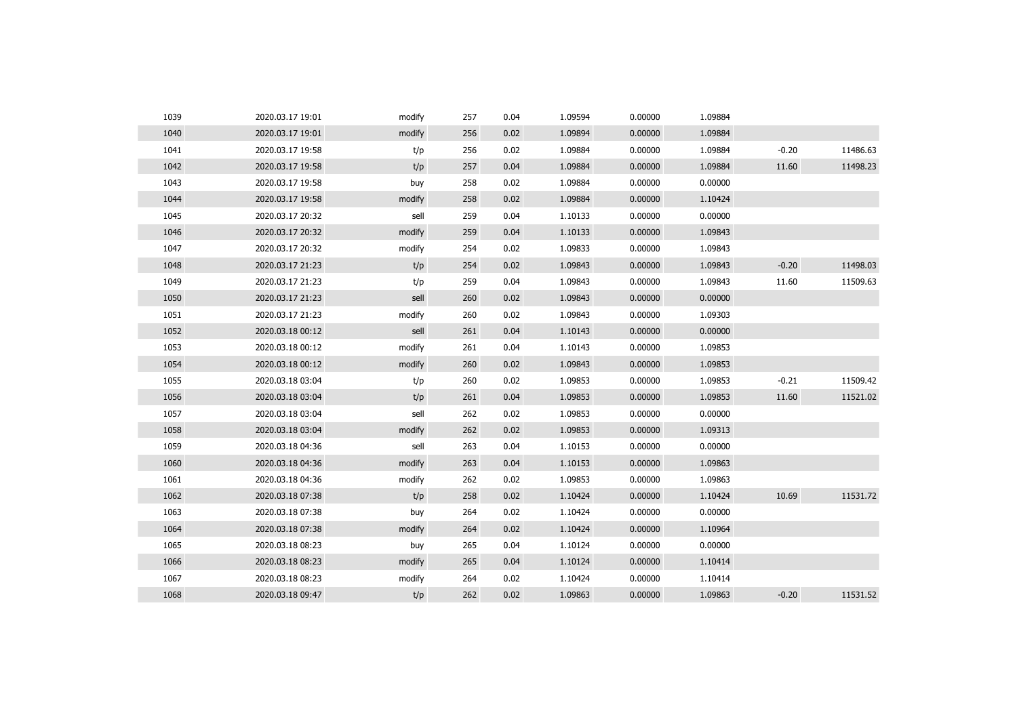| 1039 | 2020.03.17 19:01 | modify | 257 | 0.04 | 1.09594 | 0.00000 | 1.09884 |         |          |
|------|------------------|--------|-----|------|---------|---------|---------|---------|----------|
| 1040 | 2020.03.17 19:01 | modify | 256 | 0.02 | 1.09894 | 0.00000 | 1.09884 |         |          |
| 1041 | 2020.03.17 19:58 | t/p    | 256 | 0.02 | 1.09884 | 0.00000 | 1.09884 | $-0.20$ | 11486.63 |
| 1042 | 2020.03.17 19:58 | t/p    | 257 | 0.04 | 1.09884 | 0.00000 | 1.09884 | 11.60   | 11498.23 |
| 1043 | 2020.03.17 19:58 | buy    | 258 | 0.02 | 1.09884 | 0.00000 | 0.00000 |         |          |
| 1044 | 2020.03.17 19:58 | modify | 258 | 0.02 | 1.09884 | 0.00000 | 1.10424 |         |          |
| 1045 | 2020.03.17 20:32 | sell   | 259 | 0.04 | 1.10133 | 0.00000 | 0.00000 |         |          |
| 1046 | 2020.03.17 20:32 | modify | 259 | 0.04 | 1.10133 | 0.00000 | 1.09843 |         |          |
| 1047 | 2020.03.17 20:32 | modify | 254 | 0.02 | 1.09833 | 0.00000 | 1.09843 |         |          |
| 1048 | 2020.03.17 21:23 | t/p    | 254 | 0.02 | 1.09843 | 0.00000 | 1.09843 | $-0.20$ | 11498.03 |
| 1049 | 2020.03.17 21:23 | t/p    | 259 | 0.04 | 1.09843 | 0.00000 | 1.09843 | 11.60   | 11509.63 |
| 1050 | 2020.03.17 21:23 | sell   | 260 | 0.02 | 1.09843 | 0.00000 | 0.00000 |         |          |
| 1051 | 2020.03.17 21:23 | modify | 260 | 0.02 | 1.09843 | 0.00000 | 1.09303 |         |          |
| 1052 | 2020.03.18 00:12 | sell   | 261 | 0.04 | 1.10143 | 0.00000 | 0.00000 |         |          |
| 1053 | 2020.03.18 00:12 | modify | 261 | 0.04 | 1.10143 | 0.00000 | 1.09853 |         |          |
| 1054 | 2020.03.18 00:12 | modify | 260 | 0.02 | 1.09843 | 0.00000 | 1.09853 |         |          |
| 1055 | 2020.03.18 03:04 | t/p    | 260 | 0.02 | 1.09853 | 0.00000 | 1.09853 | $-0.21$ | 11509.42 |
| 1056 | 2020.03.18 03:04 | t/p    | 261 | 0.04 | 1.09853 | 0.00000 | 1.09853 | 11.60   | 11521.02 |
| 1057 | 2020.03.18 03:04 | sell   | 262 | 0.02 | 1.09853 | 0.00000 | 0.00000 |         |          |
| 1058 | 2020.03.18 03:04 | modify | 262 | 0.02 | 1.09853 | 0.00000 | 1.09313 |         |          |
| 1059 | 2020.03.18 04:36 | sell   | 263 | 0.04 | 1.10153 | 0.00000 | 0.00000 |         |          |
| 1060 | 2020.03.18 04:36 | modify | 263 | 0.04 | 1.10153 | 0.00000 | 1.09863 |         |          |
| 1061 | 2020.03.18 04:36 | modify | 262 | 0.02 | 1.09853 | 0.00000 | 1.09863 |         |          |
| 1062 | 2020.03.18 07:38 | t/p    | 258 | 0.02 | 1.10424 | 0.00000 | 1.10424 | 10.69   | 11531.72 |
| 1063 | 2020.03.18 07:38 | buy    | 264 | 0.02 | 1.10424 | 0.00000 | 0.00000 |         |          |
| 1064 | 2020.03.18 07:38 | modify | 264 | 0.02 | 1.10424 | 0.00000 | 1.10964 |         |          |
| 1065 | 2020.03.18 08:23 | buy    | 265 | 0.04 | 1.10124 | 0.00000 | 0.00000 |         |          |
| 1066 | 2020.03.18 08:23 | modify | 265 | 0.04 | 1.10124 | 0.00000 | 1.10414 |         |          |
| 1067 | 2020.03.18 08:23 | modify | 264 | 0.02 | 1.10424 | 0.00000 | 1.10414 |         |          |
| 1068 | 2020.03.18 09:47 | t/p    | 262 | 0.02 | 1.09863 | 0.00000 | 1.09863 | $-0.20$ | 11531.52 |
|      |                  |        |     |      |         |         |         |         |          |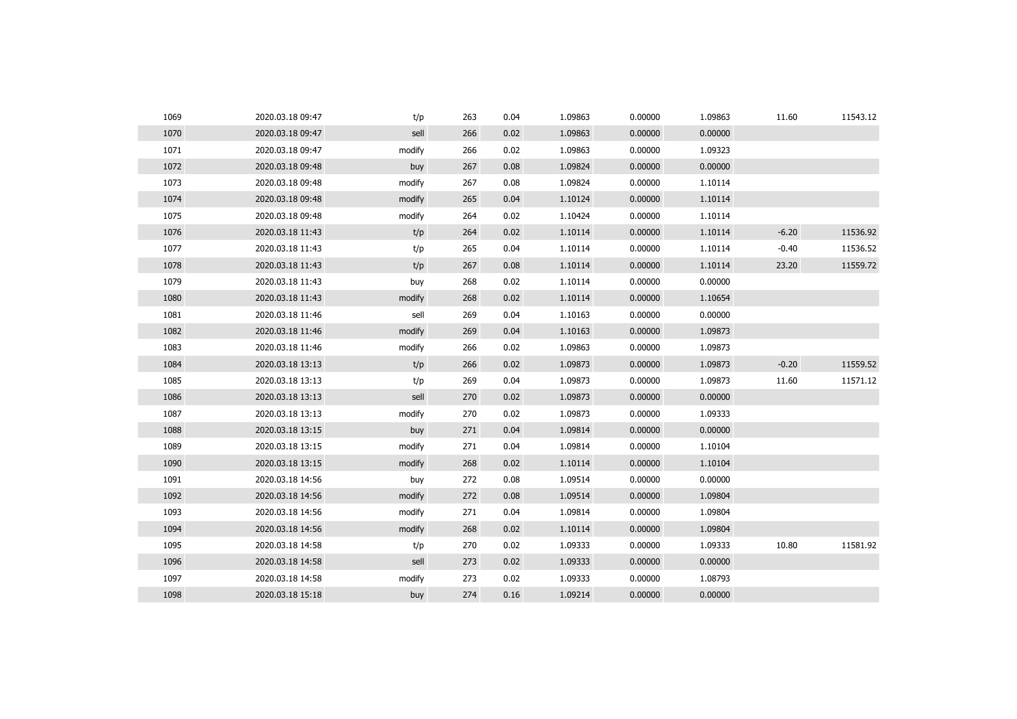| 1069 | 2020.03.18 09:47 | t/p    | 263 | 0.04 | 1.09863 | 0.00000 | 1.09863 | 11.60   | 11543.12 |
|------|------------------|--------|-----|------|---------|---------|---------|---------|----------|
| 1070 | 2020.03.18 09:47 | sell   | 266 | 0.02 | 1.09863 | 0.00000 | 0.00000 |         |          |
| 1071 | 2020.03.18 09:47 | modify | 266 | 0.02 | 1.09863 | 0.00000 | 1.09323 |         |          |
| 1072 | 2020.03.18 09:48 | buy    | 267 | 0.08 | 1.09824 | 0.00000 | 0.00000 |         |          |
| 1073 | 2020.03.18 09:48 | modify | 267 | 0.08 | 1.09824 | 0.00000 | 1.10114 |         |          |
| 1074 | 2020.03.18 09:48 | modify | 265 | 0.04 | 1.10124 | 0.00000 | 1.10114 |         |          |
| 1075 | 2020.03.18 09:48 | modify | 264 | 0.02 | 1.10424 | 0.00000 | 1.10114 |         |          |
| 1076 | 2020.03.18 11:43 | t/p    | 264 | 0.02 | 1.10114 | 0.00000 | 1.10114 | $-6.20$ | 11536.92 |
| 1077 | 2020.03.18 11:43 | t/p    | 265 | 0.04 | 1.10114 | 0.00000 | 1.10114 | $-0.40$ | 11536.52 |
| 1078 | 2020.03.18 11:43 | t/p    | 267 | 0.08 | 1.10114 | 0.00000 | 1.10114 | 23.20   | 11559.72 |
| 1079 | 2020.03.18 11:43 | buy    | 268 | 0.02 | 1.10114 | 0.00000 | 0.00000 |         |          |
| 1080 | 2020.03.18 11:43 | modify | 268 | 0.02 | 1.10114 | 0.00000 | 1.10654 |         |          |
| 1081 | 2020.03.18 11:46 | sell   | 269 | 0.04 | 1.10163 | 0.00000 | 0.00000 |         |          |
| 1082 | 2020.03.18 11:46 | modify | 269 | 0.04 | 1.10163 | 0.00000 | 1.09873 |         |          |
| 1083 | 2020.03.18 11:46 | modify | 266 | 0.02 | 1.09863 | 0.00000 | 1.09873 |         |          |
| 1084 | 2020.03.18 13:13 | t/p    | 266 | 0.02 | 1.09873 | 0.00000 | 1.09873 | $-0.20$ | 11559.52 |
| 1085 | 2020.03.18 13:13 | t/p    | 269 | 0.04 | 1.09873 | 0.00000 | 1.09873 | 11.60   | 11571.12 |
| 1086 | 2020.03.18 13:13 | sell   | 270 | 0.02 | 1.09873 | 0.00000 | 0.00000 |         |          |
| 1087 | 2020.03.18 13:13 | modify | 270 | 0.02 | 1.09873 | 0.00000 | 1.09333 |         |          |
| 1088 | 2020.03.18 13:15 | buy    | 271 | 0.04 | 1.09814 | 0.00000 | 0.00000 |         |          |
| 1089 | 2020.03.18 13:15 | modify | 271 | 0.04 | 1.09814 | 0.00000 | 1.10104 |         |          |
| 1090 | 2020.03.18 13:15 | modify | 268 | 0.02 | 1.10114 | 0.00000 | 1.10104 |         |          |
| 1091 | 2020.03.18 14:56 | buy    | 272 | 0.08 | 1.09514 | 0.00000 | 0.00000 |         |          |
| 1092 | 2020.03.18 14:56 | modify | 272 | 0.08 | 1.09514 | 0.00000 | 1.09804 |         |          |
| 1093 | 2020.03.18 14:56 | modify | 271 | 0.04 | 1.09814 | 0.00000 | 1.09804 |         |          |
| 1094 | 2020.03.18 14:56 | modify | 268 | 0.02 | 1.10114 | 0.00000 | 1.09804 |         |          |
| 1095 | 2020.03.18 14:58 | t/p    | 270 | 0.02 | 1.09333 | 0.00000 | 1.09333 | 10.80   | 11581.92 |
| 1096 | 2020.03.18 14:58 | sell   | 273 | 0.02 | 1.09333 | 0.00000 | 0.00000 |         |          |
| 1097 | 2020.03.18 14:58 | modify | 273 | 0.02 | 1.09333 | 0.00000 | 1.08793 |         |          |
| 1098 | 2020.03.18 15:18 | buy    | 274 | 0.16 | 1.09214 | 0.00000 | 0.00000 |         |          |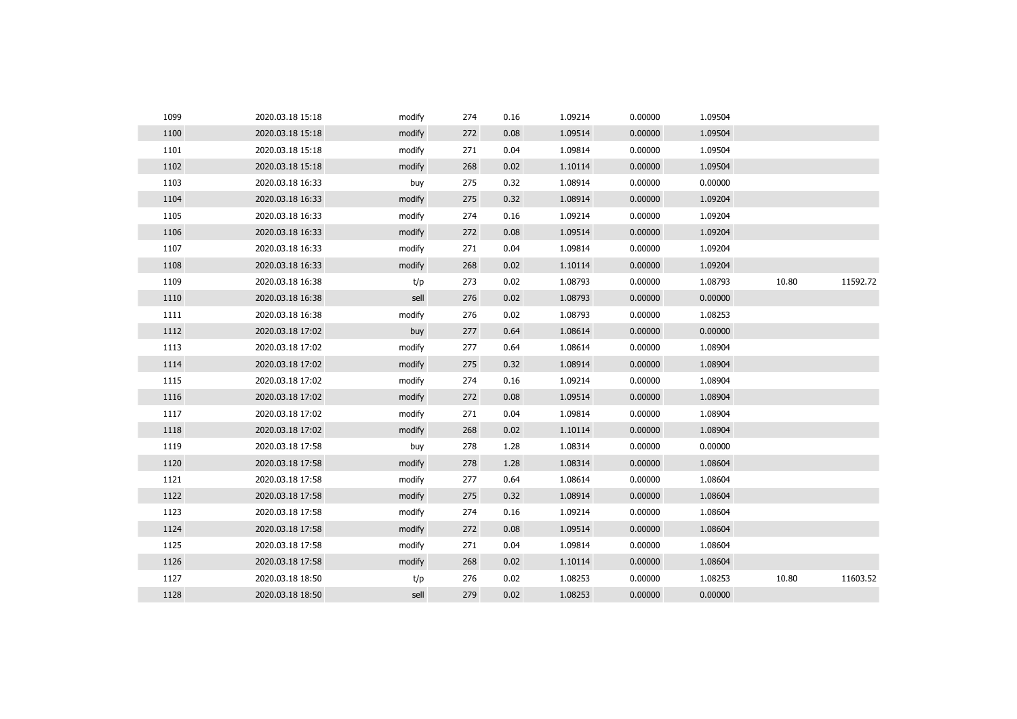| 1099 | 2020.03.18 15:18 | modify | 274 | 0.16 | 1.09214 | 0.00000 | 1.09504 |       |          |
|------|------------------|--------|-----|------|---------|---------|---------|-------|----------|
| 1100 | 2020.03.18 15:18 | modify | 272 | 0.08 | 1.09514 | 0.00000 | 1.09504 |       |          |
| 1101 | 2020.03.18 15:18 | modify | 271 | 0.04 | 1.09814 | 0.00000 | 1.09504 |       |          |
| 1102 | 2020.03.18 15:18 | modify | 268 | 0.02 | 1.10114 | 0.00000 | 1.09504 |       |          |
| 1103 | 2020.03.18 16:33 | buy    | 275 | 0.32 | 1.08914 | 0.00000 | 0.00000 |       |          |
| 1104 | 2020.03.18 16:33 | modify | 275 | 0.32 | 1.08914 | 0.00000 | 1.09204 |       |          |
| 1105 | 2020.03.18 16:33 | modify | 274 | 0.16 | 1.09214 | 0.00000 | 1.09204 |       |          |
| 1106 | 2020.03.18 16:33 | modify | 272 | 0.08 | 1.09514 | 0.00000 | 1.09204 |       |          |
| 1107 | 2020.03.18 16:33 | modify | 271 | 0.04 | 1.09814 | 0.00000 | 1.09204 |       |          |
| 1108 | 2020.03.18 16:33 | modify | 268 | 0.02 | 1.10114 | 0.00000 | 1.09204 |       |          |
| 1109 | 2020.03.18 16:38 | t/p    | 273 | 0.02 | 1.08793 | 0.00000 | 1.08793 | 10.80 | 11592.72 |
| 1110 | 2020.03.18 16:38 | sell   | 276 | 0.02 | 1.08793 | 0.00000 | 0.00000 |       |          |
| 1111 | 2020.03.18 16:38 | modify | 276 | 0.02 | 1.08793 | 0.00000 | 1.08253 |       |          |
| 1112 | 2020.03.18 17:02 | buy    | 277 | 0.64 | 1.08614 | 0.00000 | 0.00000 |       |          |
| 1113 | 2020.03.18 17:02 | modify | 277 | 0.64 | 1.08614 | 0.00000 | 1.08904 |       |          |
| 1114 | 2020.03.18 17:02 | modify | 275 | 0.32 | 1.08914 | 0.00000 | 1.08904 |       |          |
| 1115 | 2020.03.18 17:02 | modify | 274 | 0.16 | 1.09214 | 0.00000 | 1.08904 |       |          |
| 1116 | 2020.03.18 17:02 | modify | 272 | 0.08 | 1.09514 | 0.00000 | 1.08904 |       |          |
| 1117 | 2020.03.18 17:02 | modify | 271 | 0.04 | 1.09814 | 0.00000 | 1.08904 |       |          |
| 1118 | 2020.03.18 17:02 | modify | 268 | 0.02 | 1.10114 | 0.00000 | 1.08904 |       |          |
| 1119 | 2020.03.18 17:58 | buy    | 278 | 1.28 | 1.08314 | 0.00000 | 0.00000 |       |          |
| 1120 | 2020.03.18 17:58 | modify | 278 | 1.28 | 1.08314 | 0.00000 | 1.08604 |       |          |
| 1121 | 2020.03.18 17:58 | modify | 277 | 0.64 | 1.08614 | 0.00000 | 1.08604 |       |          |
| 1122 | 2020.03.18 17:58 | modify | 275 | 0.32 | 1.08914 | 0.00000 | 1.08604 |       |          |
| 1123 | 2020.03.18 17:58 | modify | 274 | 0.16 | 1.09214 | 0.00000 | 1.08604 |       |          |
| 1124 | 2020.03.18 17:58 | modify | 272 | 0.08 | 1.09514 | 0.00000 | 1.08604 |       |          |
| 1125 | 2020.03.18 17:58 | modify | 271 | 0.04 | 1.09814 | 0.00000 | 1.08604 |       |          |
| 1126 | 2020.03.18 17:58 | modify | 268 | 0.02 | 1.10114 | 0.00000 | 1.08604 |       |          |
| 1127 | 2020.03.18 18:50 | t/p    | 276 | 0.02 | 1.08253 | 0.00000 | 1.08253 | 10.80 | 11603.52 |
| 1128 | 2020.03.18 18:50 | sell   | 279 | 0.02 | 1.08253 | 0.00000 | 0.00000 |       |          |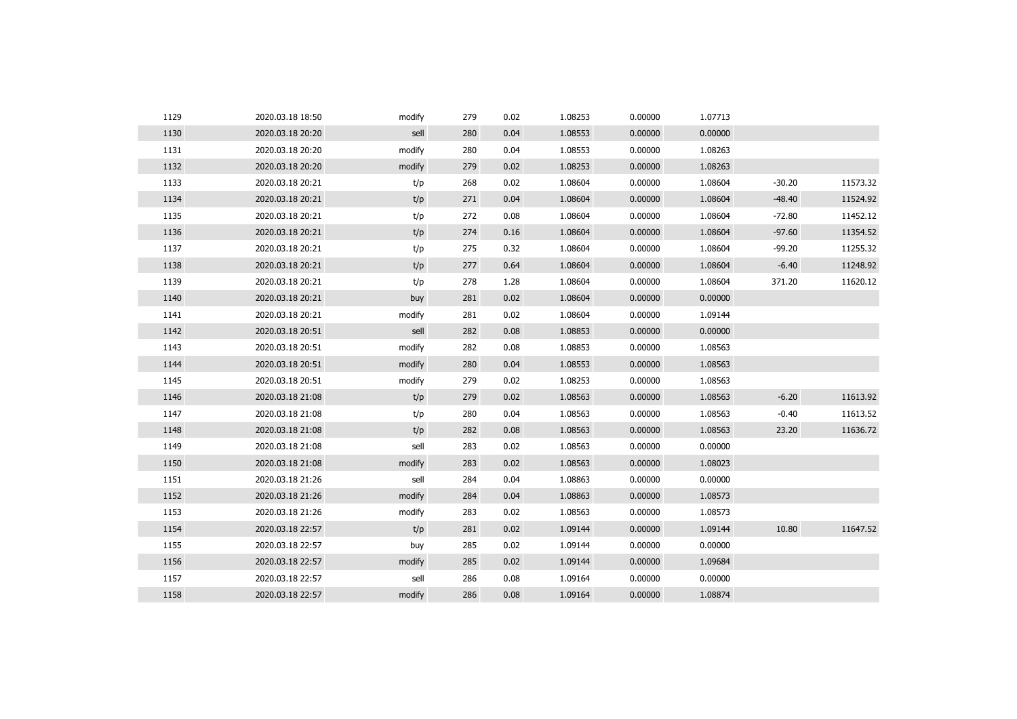| 1129 | 2020.03.18 18:50 | modify | 279 | 0.02 | 1.08253 | 0.00000 | 1.07713 |          |          |
|------|------------------|--------|-----|------|---------|---------|---------|----------|----------|
| 1130 | 2020.03.18 20:20 | sell   | 280 | 0.04 | 1.08553 | 0.00000 | 0.00000 |          |          |
| 1131 | 2020.03.18 20:20 | modify | 280 | 0.04 | 1.08553 | 0.00000 | 1.08263 |          |          |
| 1132 | 2020.03.18 20:20 | modify | 279 | 0.02 | 1.08253 | 0.00000 | 1.08263 |          |          |
| 1133 | 2020.03.18 20:21 | t/p    | 268 | 0.02 | 1.08604 | 0.00000 | 1.08604 | $-30.20$ | 11573.32 |
| 1134 | 2020.03.18 20:21 | t/p    | 271 | 0.04 | 1.08604 | 0.00000 | 1.08604 | $-48.40$ | 11524.92 |
| 1135 | 2020.03.18 20:21 | t/p    | 272 | 0.08 | 1.08604 | 0.00000 | 1.08604 | $-72.80$ | 11452.12 |
| 1136 | 2020.03.18 20:21 | t/p    | 274 | 0.16 | 1.08604 | 0.00000 | 1.08604 | $-97.60$ | 11354.52 |
| 1137 | 2020.03.18 20:21 | t/p    | 275 | 0.32 | 1.08604 | 0.00000 | 1.08604 | $-99.20$ | 11255.32 |
| 1138 | 2020.03.18 20:21 | t/p    | 277 | 0.64 | 1.08604 | 0.00000 | 1.08604 | $-6.40$  | 11248.92 |
| 1139 | 2020.03.18 20:21 | t/p    | 278 | 1.28 | 1.08604 | 0.00000 | 1.08604 | 371.20   | 11620.12 |
| 1140 | 2020.03.18 20:21 | buy    | 281 | 0.02 | 1.08604 | 0.00000 | 0.00000 |          |          |
| 1141 | 2020.03.18 20:21 | modify | 281 | 0.02 | 1.08604 | 0.00000 | 1.09144 |          |          |
| 1142 | 2020.03.18 20:51 | sell   | 282 | 0.08 | 1.08853 | 0.00000 | 0.00000 |          |          |
| 1143 | 2020.03.18 20:51 | modify | 282 | 0.08 | 1.08853 | 0.00000 | 1.08563 |          |          |
| 1144 | 2020.03.18 20:51 | modify | 280 | 0.04 | 1.08553 | 0.00000 | 1.08563 |          |          |
| 1145 | 2020.03.18 20:51 | modify | 279 | 0.02 | 1.08253 | 0.00000 | 1.08563 |          |          |
| 1146 | 2020.03.18 21:08 | t/p    | 279 | 0.02 | 1.08563 | 0.00000 | 1.08563 | $-6.20$  | 11613.92 |
| 1147 | 2020.03.18 21:08 | t/p    | 280 | 0.04 | 1.08563 | 0.00000 | 1.08563 | $-0.40$  | 11613.52 |
| 1148 | 2020.03.18 21:08 | t/p    | 282 | 0.08 | 1.08563 | 0.00000 | 1.08563 | 23.20    | 11636.72 |
| 1149 | 2020.03.18 21:08 | sell   | 283 | 0.02 | 1.08563 | 0.00000 | 0.00000 |          |          |
| 1150 | 2020.03.18 21:08 | modify | 283 | 0.02 | 1.08563 | 0.00000 | 1.08023 |          |          |
| 1151 | 2020.03.18 21:26 | sell   | 284 | 0.04 | 1.08863 | 0.00000 | 0.00000 |          |          |
| 1152 | 2020.03.18 21:26 | modify | 284 | 0.04 | 1.08863 | 0.00000 | 1.08573 |          |          |
| 1153 | 2020.03.18 21:26 | modify | 283 | 0.02 | 1.08563 | 0.00000 | 1.08573 |          |          |
| 1154 | 2020.03.18 22:57 | t/p    | 281 | 0.02 | 1.09144 | 0.00000 | 1.09144 | 10.80    | 11647.52 |
| 1155 | 2020.03.18 22:57 | buy    | 285 | 0.02 | 1.09144 | 0.00000 | 0.00000 |          |          |
| 1156 | 2020.03.18 22:57 | modify | 285 | 0.02 | 1.09144 | 0.00000 | 1.09684 |          |          |
| 1157 | 2020.03.18 22:57 | sell   | 286 | 0.08 | 1.09164 | 0.00000 | 0.00000 |          |          |
| 1158 | 2020.03.18 22:57 | modify | 286 | 0.08 | 1.09164 | 0.00000 | 1.08874 |          |          |
|      |                  |        |     |      |         |         |         |          |          |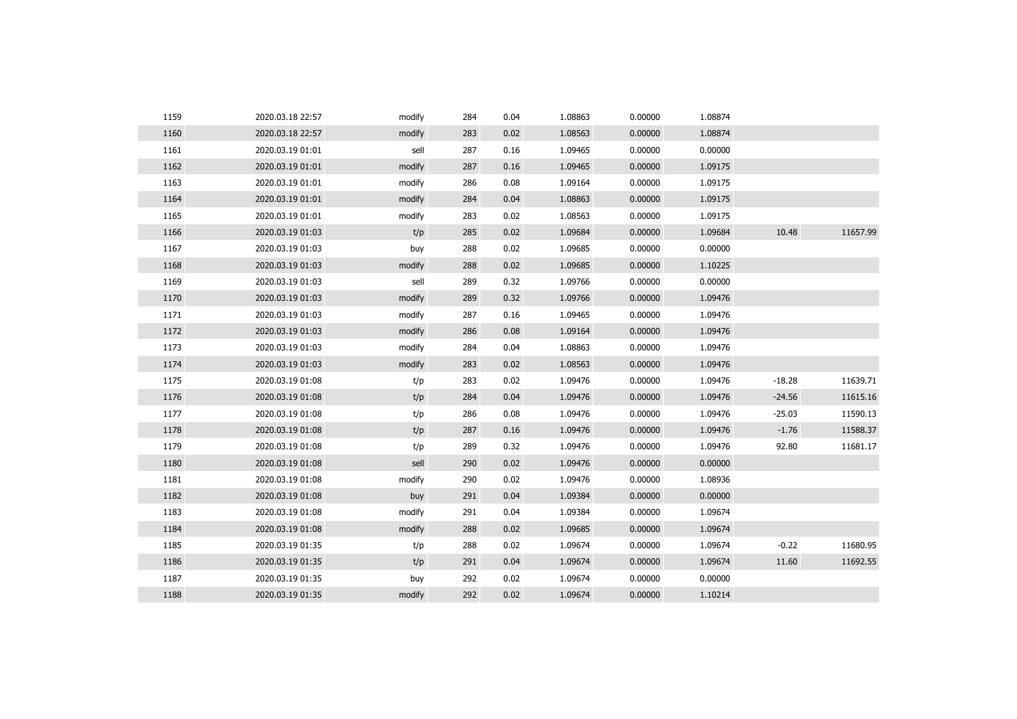| 1159 | 2020.03.18 22:57 | modify | 284 | 0.04 | 1.08863 | 0.00000 | 1.08874 |          |          |
|------|------------------|--------|-----|------|---------|---------|---------|----------|----------|
| 1160 | 2020.03.18 22:57 | modify | 283 | 0.02 | 1.08563 | 0.00000 | 1.08874 |          |          |
| 1161 | 2020.03.19 01:01 | sell   | 287 | 0.16 | 1.09465 | 0.00000 | 0.00000 |          |          |
| 1162 | 2020.03.19 01:01 | modify | 287 | 0.16 | 1.09465 | 0.00000 | 1.09175 |          |          |
| 1163 | 2020.03.19 01:01 | modify | 286 | 0.08 | 1.09164 | 0.00000 | 1.09175 |          |          |
| 1164 | 2020.03.19 01:01 | modify | 284 | 0.04 | 1.08863 | 0.00000 | 1.09175 |          |          |
| 1165 | 2020.03.19 01:01 | modify | 283 | 0.02 | 1.08563 | 0.00000 | 1.09175 |          |          |
| 1166 | 2020.03.19 01:03 | t/p    | 285 | 0.02 | 1.09684 | 0.00000 | 1.09684 | 10.48    | 11657.99 |
| 1167 | 2020.03.19 01:03 | buy    | 288 | 0.02 | 1.09685 | 0.00000 | 0.00000 |          |          |
| 1168 | 2020.03.19 01:03 | modify | 288 | 0.02 | 1.09685 | 0.00000 | 1.10225 |          |          |
| 1169 | 2020.03.19 01:03 | sell   | 289 | 0.32 | 1.09766 | 0.00000 | 0.00000 |          |          |
| 1170 | 2020.03.19 01:03 | modify | 289 | 0.32 | 1.09766 | 0.00000 | 1.09476 |          |          |
| 1171 | 2020.03.19 01:03 | modify | 287 | 0.16 | 1.09465 | 0.00000 | 1.09476 |          |          |
| 1172 | 2020.03.19 01:03 | modify | 286 | 0.08 | 1.09164 | 0.00000 | 1.09476 |          |          |
| 1173 | 2020.03.19 01:03 | modify | 284 | 0.04 | 1.08863 | 0.00000 | 1.09476 |          |          |
| 1174 | 2020.03.19 01:03 | modify | 283 | 0.02 | 1.08563 | 0.00000 | 1.09476 |          |          |
| 1175 | 2020.03.19 01:08 | t/p    | 283 | 0.02 | 1.09476 | 0.00000 | 1.09476 | $-18.28$ | 11639.71 |
| 1176 | 2020.03.19 01:08 | t/p    | 284 | 0.04 | 1.09476 | 0.00000 | 1.09476 | $-24.56$ | 11615.16 |
| 1177 | 2020.03.19 01:08 | t/p    | 286 | 0.08 | 1.09476 | 0.00000 | 1.09476 | $-25.03$ | 11590.13 |
| 1178 | 2020.03.19 01:08 | t/p    | 287 | 0.16 | 1.09476 | 0.00000 | 1.09476 | $-1.76$  | 11588.37 |
| 1179 | 2020.03.19 01:08 | t/p    | 289 | 0.32 | 1.09476 | 0.00000 | 1.09476 | 92.80    | 11681.17 |
| 1180 | 2020.03.19 01:08 | sell   | 290 | 0.02 | 1.09476 | 0.00000 | 0.00000 |          |          |
| 1181 | 2020.03.19 01:08 | modify | 290 | 0.02 | 1.09476 | 0.00000 | 1.08936 |          |          |
| 1182 | 2020.03.19 01:08 | buy    | 291 | 0.04 | 1.09384 | 0.00000 | 0.00000 |          |          |
| 1183 | 2020.03.19 01:08 | modify | 291 | 0.04 | 1.09384 | 0.00000 | 1.09674 |          |          |
| 1184 | 2020.03.19 01:08 | modify | 288 | 0.02 | 1.09685 | 0.00000 | 1.09674 |          |          |
| 1185 | 2020.03.19 01:35 | t/p    | 288 | 0.02 | 1.09674 | 0.00000 | 1.09674 | $-0.22$  | 11680.95 |
| 1186 | 2020.03.19 01:35 | t/p    | 291 | 0.04 | 1.09674 | 0.00000 | 1.09674 | 11.60    | 11692.55 |
| 1187 | 2020.03.19 01:35 | buy    | 292 | 0.02 | 1.09674 | 0.00000 | 0.00000 |          |          |
| 1188 | 2020.03.19 01:35 | modify | 292 | 0.02 | 1.09674 | 0.00000 | 1.10214 |          |          |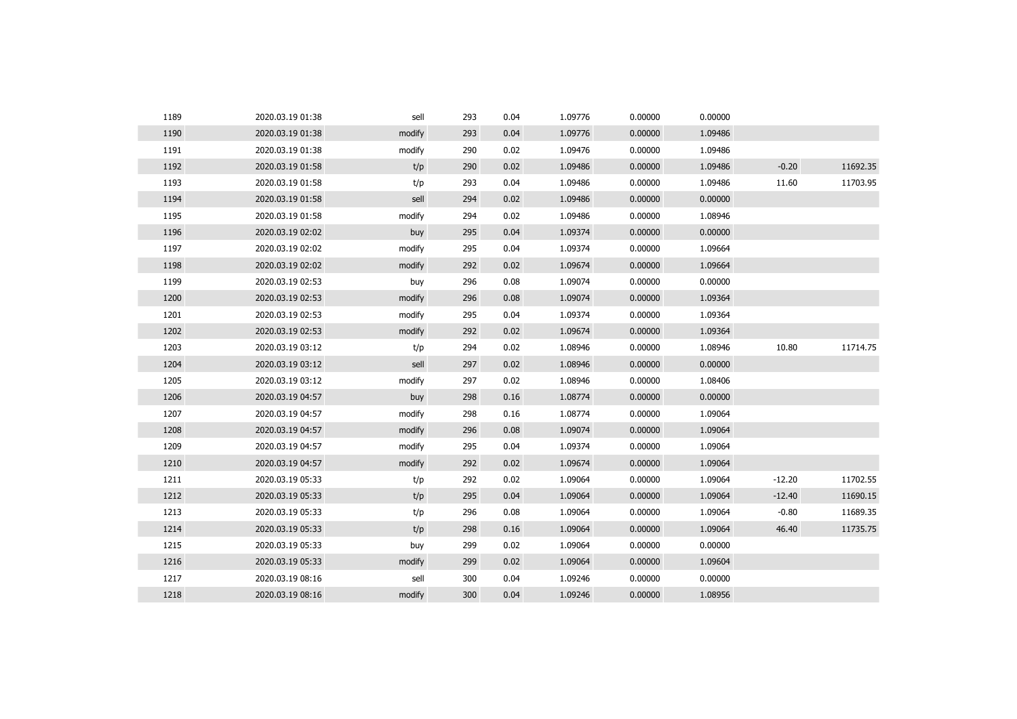| 1189 | 2020.03.19 01:38 | sell   | 293 | 0.04 | 1.09776 | 0.00000 | 0.00000 |          |          |
|------|------------------|--------|-----|------|---------|---------|---------|----------|----------|
| 1190 | 2020.03.19 01:38 | modify | 293 | 0.04 | 1.09776 | 0.00000 | 1.09486 |          |          |
| 1191 | 2020.03.19 01:38 | modify | 290 | 0.02 | 1.09476 | 0.00000 | 1.09486 |          |          |
| 1192 | 2020.03.19 01:58 | t/p    | 290 | 0.02 | 1.09486 | 0.00000 | 1.09486 | $-0.20$  | 11692.35 |
| 1193 | 2020.03.19 01:58 | t/p    | 293 | 0.04 | 1.09486 | 0.00000 | 1.09486 | 11.60    | 11703.95 |
| 1194 | 2020.03.19 01:58 | sell   | 294 | 0.02 | 1.09486 | 0.00000 | 0.00000 |          |          |
| 1195 | 2020.03.19 01:58 | modify | 294 | 0.02 | 1.09486 | 0.00000 | 1.08946 |          |          |
| 1196 | 2020.03.19 02:02 | buy    | 295 | 0.04 | 1.09374 | 0.00000 | 0.00000 |          |          |
| 1197 | 2020.03.19 02:02 | modify | 295 | 0.04 | 1.09374 | 0.00000 | 1.09664 |          |          |
| 1198 | 2020.03.19 02:02 | modify | 292 | 0.02 | 1.09674 | 0.00000 | 1.09664 |          |          |
| 1199 | 2020.03.19 02:53 | buy    | 296 | 0.08 | 1.09074 | 0.00000 | 0.00000 |          |          |
| 1200 | 2020.03.19 02:53 | modify | 296 | 0.08 | 1.09074 | 0.00000 | 1.09364 |          |          |
| 1201 | 2020.03.19 02:53 | modify | 295 | 0.04 | 1.09374 | 0.00000 | 1.09364 |          |          |
| 1202 | 2020.03.19 02:53 | modify | 292 | 0.02 | 1.09674 | 0.00000 | 1.09364 |          |          |
| 1203 | 2020.03.19 03:12 | t/p    | 294 | 0.02 | 1.08946 | 0.00000 | 1.08946 | 10.80    | 11714.75 |
| 1204 | 2020.03.19 03:12 | sell   | 297 | 0.02 | 1.08946 | 0.00000 | 0.00000 |          |          |
| 1205 | 2020.03.19 03:12 | modify | 297 | 0.02 | 1.08946 | 0.00000 | 1.08406 |          |          |
| 1206 | 2020.03.19 04:57 | buy    | 298 | 0.16 | 1.08774 | 0.00000 | 0.00000 |          |          |
| 1207 | 2020.03.19 04:57 | modify | 298 | 0.16 | 1.08774 | 0.00000 | 1.09064 |          |          |
| 1208 | 2020.03.19 04:57 | modify | 296 | 0.08 | 1.09074 | 0.00000 | 1.09064 |          |          |
| 1209 | 2020.03.19 04:57 | modify | 295 | 0.04 | 1.09374 | 0.00000 | 1.09064 |          |          |
| 1210 | 2020.03.19 04:57 | modify | 292 | 0.02 | 1.09674 | 0.00000 | 1.09064 |          |          |
| 1211 | 2020.03.19 05:33 | t/p    | 292 | 0.02 | 1.09064 | 0.00000 | 1.09064 | $-12.20$ | 11702.55 |
| 1212 | 2020.03.19 05:33 | t/p    | 295 | 0.04 | 1.09064 | 0.00000 | 1.09064 | $-12.40$ | 11690.15 |
| 1213 | 2020.03.19 05:33 | t/p    | 296 | 0.08 | 1.09064 | 0.00000 | 1.09064 | $-0.80$  | 11689.35 |
| 1214 | 2020.03.19 05:33 | t/p    | 298 | 0.16 | 1.09064 | 0.00000 | 1.09064 | 46.40    | 11735.75 |
| 1215 | 2020.03.19 05:33 | buy    | 299 | 0.02 | 1.09064 | 0.00000 | 0.00000 |          |          |
| 1216 | 2020.03.19 05:33 | modify | 299 | 0.02 | 1.09064 | 0.00000 | 1.09604 |          |          |
| 1217 | 2020.03.19 08:16 | sell   | 300 | 0.04 | 1.09246 | 0.00000 | 0.00000 |          |          |
| 1218 | 2020.03.19 08:16 | modify | 300 | 0.04 | 1.09246 | 0.00000 | 1.08956 |          |          |
|      |                  |        |     |      |         |         |         |          |          |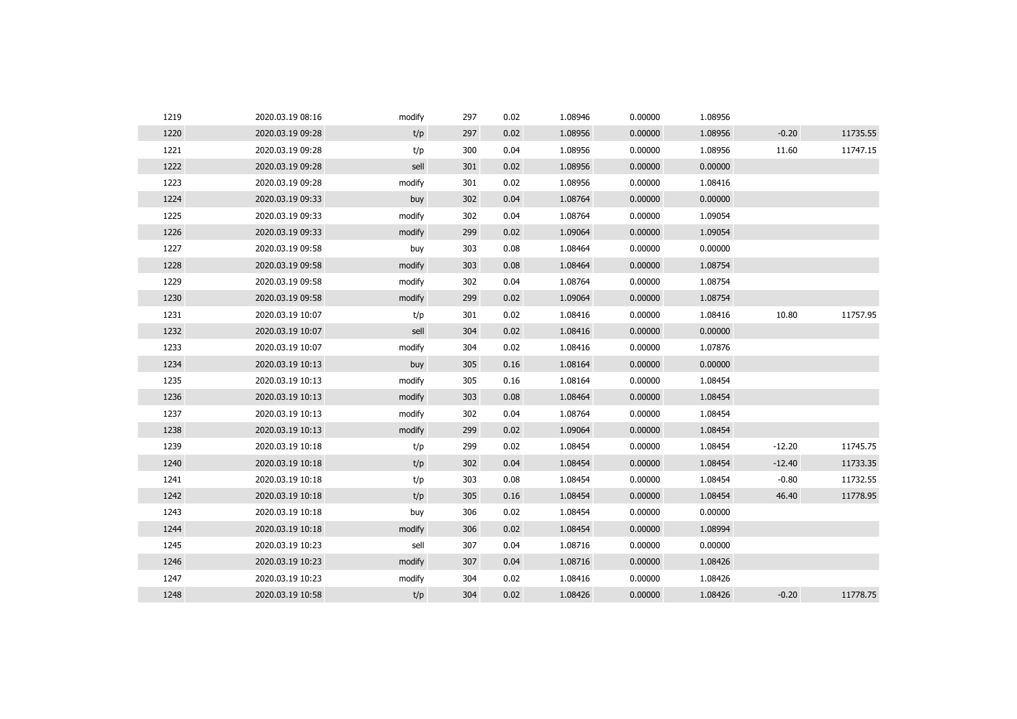| 1219 | 2020.03.19 08:16 | modify | 297 | 0.02 | 1.08946 | 0.00000 | 1.08956 |          |          |
|------|------------------|--------|-----|------|---------|---------|---------|----------|----------|
| 1220 | 2020.03.19 09:28 | t/p    | 297 | 0.02 | 1.08956 | 0.00000 | 1.08956 | $-0.20$  | 11735.55 |
| 1221 | 2020.03.19 09:28 | t/p    | 300 | 0.04 | 1.08956 | 0.00000 | 1.08956 | 11.60    | 11747.15 |
| 1222 | 2020.03.19 09:28 | sell   | 301 | 0.02 | 1.08956 | 0.00000 | 0.00000 |          |          |
| 1223 | 2020.03.19 09:28 | modify | 301 | 0.02 | 1.08956 | 0.00000 | 1.08416 |          |          |
| 1224 | 2020.03.19 09:33 | buy    | 302 | 0.04 | 1.08764 | 0.00000 | 0.00000 |          |          |
| 1225 | 2020.03.19 09:33 | modify | 302 | 0.04 | 1.08764 | 0.00000 | 1.09054 |          |          |
| 1226 | 2020.03.19 09:33 | modify | 299 | 0.02 | 1.09064 | 0.00000 | 1.09054 |          |          |
| 1227 | 2020.03.19 09:58 | buy    | 303 | 0.08 | 1.08464 | 0.00000 | 0.00000 |          |          |
| 1228 | 2020.03.19 09:58 | modify | 303 | 0.08 | 1.08464 | 0.00000 | 1.08754 |          |          |
| 1229 | 2020.03.19 09:58 | modify | 302 | 0.04 | 1.08764 | 0.00000 | 1.08754 |          |          |
| 1230 | 2020.03.19 09:58 | modify | 299 | 0.02 | 1.09064 | 0.00000 | 1.08754 |          |          |
| 1231 | 2020.03.19 10:07 | t/p    | 301 | 0.02 | 1.08416 | 0.00000 | 1.08416 | 10.80    | 11757.95 |
| 1232 | 2020.03.19 10:07 | sell   | 304 | 0.02 | 1.08416 | 0.00000 | 0.00000 |          |          |
| 1233 | 2020.03.19 10:07 | modify | 304 | 0.02 | 1.08416 | 0.00000 | 1.07876 |          |          |
| 1234 | 2020.03.19 10:13 | buy    | 305 | 0.16 | 1.08164 | 0.00000 | 0.00000 |          |          |
| 1235 | 2020.03.19 10:13 | modify | 305 | 0.16 | 1.08164 | 0.00000 | 1.08454 |          |          |
| 1236 | 2020.03.19 10:13 | modify | 303 | 0.08 | 1.08464 | 0.00000 | 1.08454 |          |          |
| 1237 | 2020.03.19 10:13 | modify | 302 | 0.04 | 1.08764 | 0.00000 | 1.08454 |          |          |
| 1238 | 2020.03.19 10:13 | modify | 299 | 0.02 | 1.09064 | 0.00000 | 1.08454 |          |          |
| 1239 | 2020.03.19 10:18 | t/p    | 299 | 0.02 | 1.08454 | 0.00000 | 1.08454 | $-12.20$ | 11745.75 |
| 1240 | 2020.03.19 10:18 | t/p    | 302 | 0.04 | 1.08454 | 0.00000 | 1.08454 | $-12.40$ | 11733.35 |
| 1241 | 2020.03.19 10:18 | t/p    | 303 | 0.08 | 1.08454 | 0.00000 | 1.08454 | $-0.80$  | 11732.55 |
| 1242 | 2020.03.19 10:18 | t/p    | 305 | 0.16 | 1.08454 | 0.00000 | 1.08454 | 46.40    | 11778.95 |
| 1243 | 2020.03.19 10:18 | buy    | 306 | 0.02 | 1.08454 | 0.00000 | 0.00000 |          |          |
| 1244 | 2020.03.19 10:18 | modify | 306 | 0.02 | 1.08454 | 0.00000 | 1.08994 |          |          |
| 1245 | 2020.03.19 10:23 | sell   | 307 | 0.04 | 1.08716 | 0.00000 | 0.00000 |          |          |
| 1246 | 2020.03.19 10:23 | modify | 307 | 0.04 | 1.08716 | 0.00000 | 1.08426 |          |          |
| 1247 | 2020.03.19 10:23 | modify | 304 | 0.02 | 1.08416 | 0.00000 | 1.08426 |          |          |
| 1248 | 2020.03.19 10:58 | t/p    | 304 | 0.02 | 1.08426 | 0.00000 | 1.08426 | $-0.20$  | 11778.75 |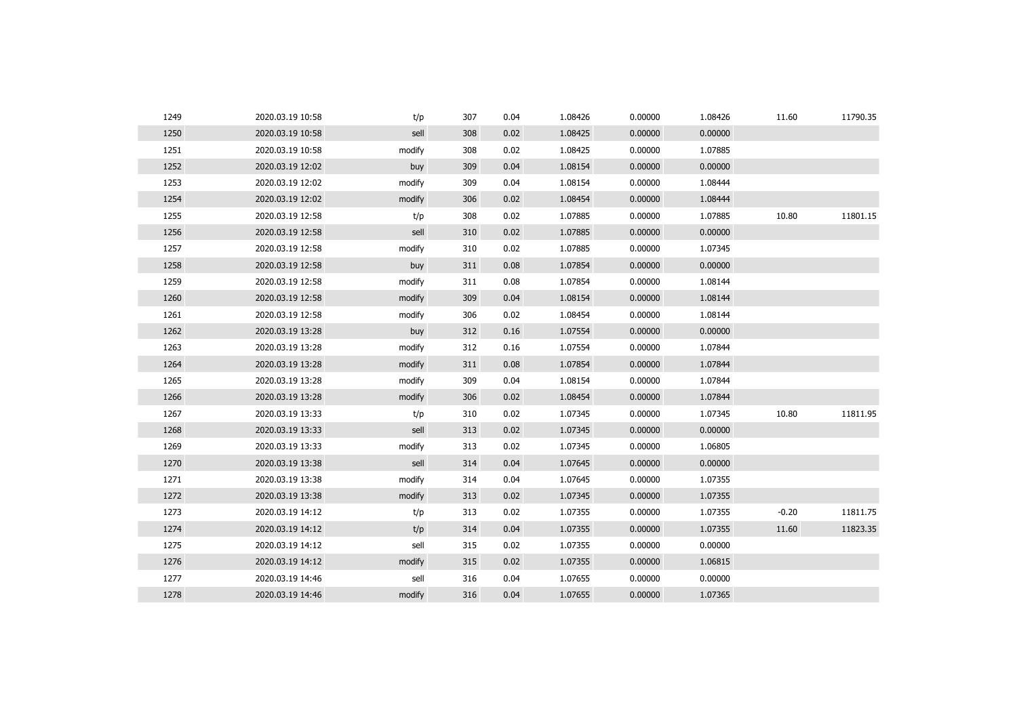| 1249 | 2020.03.19 10:58 | t/p    | 307 | 0.04 | 1.08426 | 0.00000 | 1.08426 | 11.60   | 11790.35 |
|------|------------------|--------|-----|------|---------|---------|---------|---------|----------|
| 1250 | 2020.03.19 10:58 | sell   | 308 | 0.02 | 1.08425 | 0.00000 | 0.00000 |         |          |
| 1251 | 2020.03.19 10:58 | modify | 308 | 0.02 | 1.08425 | 0.00000 | 1.07885 |         |          |
| 1252 | 2020.03.19 12:02 | buy    | 309 | 0.04 | 1.08154 | 0.00000 | 0.00000 |         |          |
| 1253 | 2020.03.19 12:02 | modify | 309 | 0.04 | 1.08154 | 0.00000 | 1.08444 |         |          |
| 1254 | 2020.03.19 12:02 | modify | 306 | 0.02 | 1.08454 | 0.00000 | 1.08444 |         |          |
| 1255 | 2020.03.19 12:58 | t/p    | 308 | 0.02 | 1.07885 | 0.00000 | 1.07885 | 10.80   | 11801.15 |
| 1256 | 2020.03.19 12:58 | sell   | 310 | 0.02 | 1.07885 | 0.00000 | 0.00000 |         |          |
| 1257 | 2020.03.19 12:58 | modify | 310 | 0.02 | 1.07885 | 0.00000 | 1.07345 |         |          |
| 1258 | 2020.03.19 12:58 | buy    | 311 | 0.08 | 1.07854 | 0.00000 | 0.00000 |         |          |
| 1259 | 2020.03.19 12:58 | modify | 311 | 0.08 | 1.07854 | 0.00000 | 1.08144 |         |          |
| 1260 | 2020.03.19 12:58 | modify | 309 | 0.04 | 1.08154 | 0.00000 | 1.08144 |         |          |
| 1261 | 2020.03.19 12:58 | modify | 306 | 0.02 | 1.08454 | 0.00000 | 1.08144 |         |          |
| 1262 | 2020.03.19 13:28 | buy    | 312 | 0.16 | 1.07554 | 0.00000 | 0.00000 |         |          |
| 1263 | 2020.03.19 13:28 | modify | 312 | 0.16 | 1.07554 | 0.00000 | 1.07844 |         |          |
| 1264 | 2020.03.19 13:28 | modify | 311 | 0.08 | 1.07854 | 0.00000 | 1.07844 |         |          |
| 1265 | 2020.03.19 13:28 | modify | 309 | 0.04 | 1.08154 | 0.00000 | 1.07844 |         |          |
| 1266 | 2020.03.19 13:28 | modify | 306 | 0.02 | 1.08454 | 0.00000 | 1.07844 |         |          |
| 1267 | 2020.03.19 13:33 | t/p    | 310 | 0.02 | 1.07345 | 0.00000 | 1.07345 | 10.80   | 11811.95 |
| 1268 | 2020.03.19 13:33 | sell   | 313 | 0.02 | 1.07345 | 0.00000 | 0.00000 |         |          |
| 1269 | 2020.03.19 13:33 | modify | 313 | 0.02 | 1.07345 | 0.00000 | 1.06805 |         |          |
| 1270 | 2020.03.19 13:38 | sell   | 314 | 0.04 | 1.07645 | 0.00000 | 0.00000 |         |          |
| 1271 | 2020.03.19 13:38 | modify | 314 | 0.04 | 1.07645 | 0.00000 | 1.07355 |         |          |
| 1272 | 2020.03.19 13:38 | modify | 313 | 0.02 | 1.07345 | 0.00000 | 1.07355 |         |          |
| 1273 | 2020.03.19 14:12 | t/p    | 313 | 0.02 | 1.07355 | 0.00000 | 1.07355 | $-0.20$ | 11811.75 |
| 1274 | 2020.03.19 14:12 | t/p    | 314 | 0.04 | 1.07355 | 0.00000 | 1.07355 | 11.60   | 11823.35 |
| 1275 | 2020.03.19 14:12 | sell   | 315 | 0.02 | 1.07355 | 0.00000 | 0.00000 |         |          |
| 1276 | 2020.03.19 14:12 | modify | 315 | 0.02 | 1.07355 | 0.00000 | 1.06815 |         |          |
| 1277 | 2020.03.19 14:46 | sell   | 316 | 0.04 | 1.07655 | 0.00000 | 0.00000 |         |          |
| 1278 | 2020.03.19 14:46 | modify | 316 | 0.04 | 1.07655 | 0.00000 | 1.07365 |         |          |
|      |                  |        |     |      |         |         |         |         |          |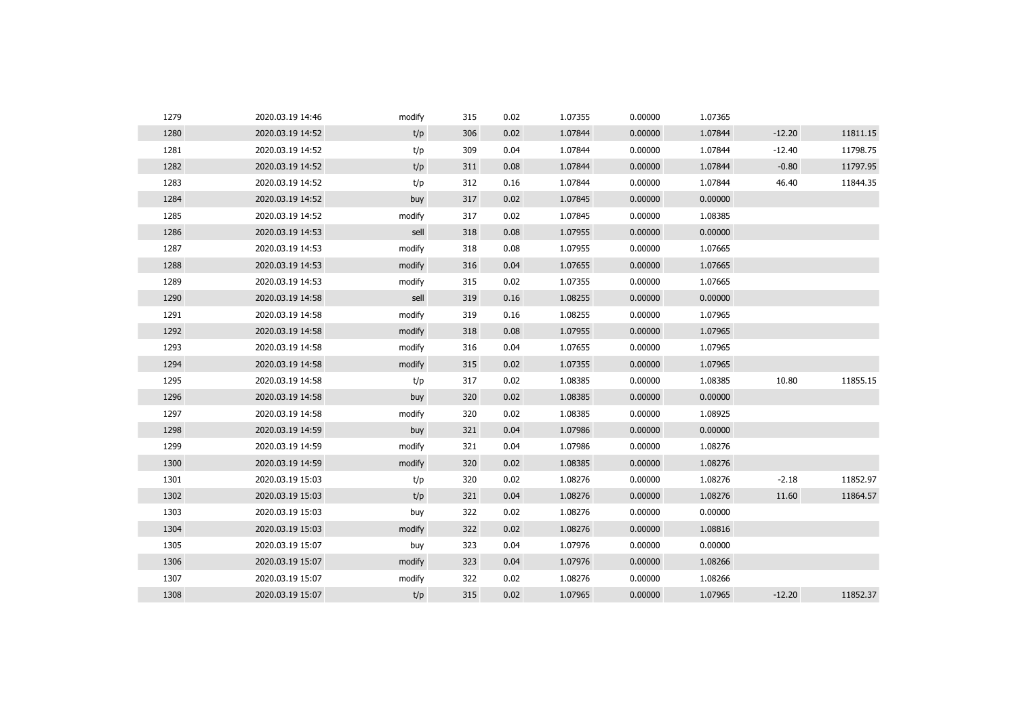| 1279 | 2020.03.19 14:46 | modify | 315 | 0.02 | 1.07355 | 0.00000 | 1.07365 |          |          |
|------|------------------|--------|-----|------|---------|---------|---------|----------|----------|
| 1280 | 2020.03.19 14:52 | t/p    | 306 | 0.02 | 1.07844 | 0.00000 | 1.07844 | $-12.20$ | 11811.15 |
| 1281 | 2020.03.19 14:52 | t/p    | 309 | 0.04 | 1.07844 | 0.00000 | 1.07844 | $-12.40$ | 11798.75 |
| 1282 | 2020.03.19 14:52 | t/p    | 311 | 0.08 | 1.07844 | 0.00000 | 1.07844 | $-0.80$  | 11797.95 |
| 1283 | 2020.03.19 14:52 | t/p    | 312 | 0.16 | 1.07844 | 0.00000 | 1.07844 | 46.40    | 11844.35 |
| 1284 | 2020.03.19 14:52 | buy    | 317 | 0.02 | 1.07845 | 0.00000 | 0.00000 |          |          |
| 1285 | 2020.03.19 14:52 | modify | 317 | 0.02 | 1.07845 | 0.00000 | 1.08385 |          |          |
| 1286 | 2020.03.19 14:53 | sell   | 318 | 0.08 | 1.07955 | 0.00000 | 0.00000 |          |          |
| 1287 | 2020.03.19 14:53 | modify | 318 | 0.08 | 1.07955 | 0.00000 | 1.07665 |          |          |
| 1288 | 2020.03.19 14:53 | modify | 316 | 0.04 | 1.07655 | 0.00000 | 1.07665 |          |          |
| 1289 | 2020.03.19 14:53 | modify | 315 | 0.02 | 1.07355 | 0.00000 | 1.07665 |          |          |
| 1290 | 2020.03.19 14:58 | sell   | 319 | 0.16 | 1.08255 | 0.00000 | 0.00000 |          |          |
| 1291 | 2020.03.19 14:58 | modify | 319 | 0.16 | 1.08255 | 0.00000 | 1.07965 |          |          |
| 1292 | 2020.03.19 14:58 | modify | 318 | 0.08 | 1.07955 | 0.00000 | 1.07965 |          |          |
| 1293 | 2020.03.19 14:58 | modify | 316 | 0.04 | 1.07655 | 0.00000 | 1.07965 |          |          |
| 1294 | 2020.03.19 14:58 | modify | 315 | 0.02 | 1.07355 | 0.00000 | 1.07965 |          |          |
| 1295 | 2020.03.19 14:58 | t/p    | 317 | 0.02 | 1.08385 | 0.00000 | 1.08385 | 10.80    | 11855.15 |
| 1296 | 2020.03.19 14:58 | buy    | 320 | 0.02 | 1.08385 | 0.00000 | 0.00000 |          |          |
| 1297 | 2020.03.19 14:58 | modify | 320 | 0.02 | 1.08385 | 0.00000 | 1.08925 |          |          |
| 1298 | 2020.03.19 14:59 | buy    | 321 | 0.04 | 1.07986 | 0.00000 | 0.00000 |          |          |
| 1299 | 2020.03.19 14:59 | modify | 321 | 0.04 | 1.07986 | 0.00000 | 1.08276 |          |          |
| 1300 | 2020.03.19 14:59 | modify | 320 | 0.02 | 1.08385 | 0.00000 | 1.08276 |          |          |
| 1301 | 2020.03.19 15:03 | t/p    | 320 | 0.02 | 1.08276 | 0.00000 | 1.08276 | $-2.18$  | 11852.97 |
| 1302 | 2020.03.19 15:03 | t/p    | 321 | 0.04 | 1.08276 | 0.00000 | 1.08276 | 11.60    | 11864.57 |
| 1303 | 2020.03.19 15:03 | buy    | 322 | 0.02 | 1.08276 | 0.00000 | 0.00000 |          |          |
| 1304 | 2020.03.19 15:03 | modify | 322 | 0.02 | 1.08276 | 0.00000 | 1.08816 |          |          |
| 1305 | 2020.03.19 15:07 | buy    | 323 | 0.04 | 1.07976 | 0.00000 | 0.00000 |          |          |
| 1306 | 2020.03.19 15:07 | modify | 323 | 0.04 | 1.07976 | 0.00000 | 1.08266 |          |          |
| 1307 | 2020.03.19 15:07 | modify | 322 | 0.02 | 1.08276 | 0.00000 | 1.08266 |          |          |
| 1308 | 2020.03.19 15:07 | t/p    | 315 | 0.02 | 1.07965 | 0.00000 | 1.07965 | $-12.20$ | 11852.37 |
|      |                  |        |     |      |         |         |         |          |          |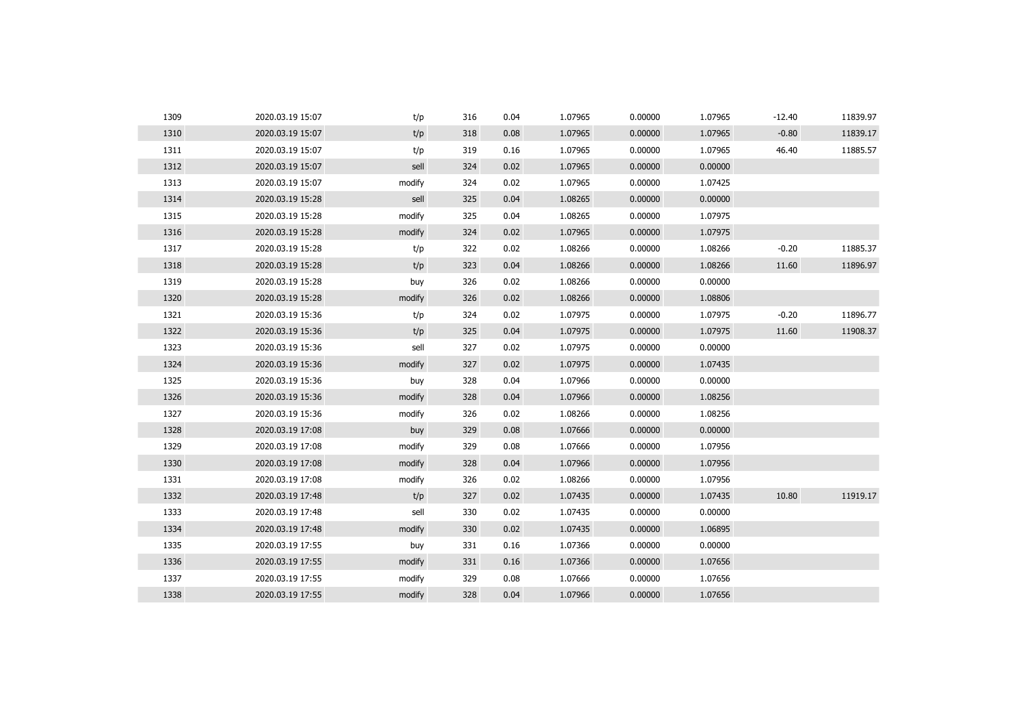|                                                                                    | $-12.40$ | 11839.97 |
|------------------------------------------------------------------------------------|----------|----------|
| 1310<br>1.07965<br>2020.03.19 15:07<br>t/p<br>318<br>0.08<br>1.07965<br>0.00000    | $-0.80$  | 11839.17 |
| 1311<br>2020.03.19 15:07<br>t/p<br>319<br>0.16<br>1.07965<br>0.00000<br>1.07965    | 46.40    | 11885.57 |
| 1312<br>2020.03.19 15:07<br>sell<br>324<br>0.02<br>1.07965<br>0.00000<br>0.00000   |          |          |
| 1313<br>2020.03.19 15:07<br>modify<br>324<br>0.02<br>1.07965<br>0.00000<br>1.07425 |          |          |
| 1314<br>sell<br>325<br>0.04<br>1.08265<br>0.00000<br>0.00000<br>2020.03.19 15:28   |          |          |
| 1315<br>2020.03.19 15:28<br>modify<br>325<br>0.04<br>1.08265<br>0.00000<br>1.07975 |          |          |
| 1316<br>0.02<br>1.07965<br>0.00000<br>1.07975<br>2020.03.19 15:28<br>modify<br>324 |          |          |
| 1317<br>322<br>0.02<br>1.08266<br>0.00000<br>1.08266<br>2020.03.19 15:28<br>t/p    | $-0.20$  | 11885.37 |
| 1318<br>t/p<br>1.08266<br>0.00000<br>1.08266<br>2020.03.19 15:28<br>323<br>0.04    | 11.60    | 11896.97 |
| 1319<br>0.02<br>1.08266<br>0.00000<br>0.00000<br>2020.03.19 15:28<br>buy<br>326    |          |          |
| 1320<br>0.02<br>1.08266<br>0.00000<br>2020.03.19 15:28<br>modify<br>326<br>1.08806 |          |          |
| 1321<br>1.07975<br>0.00000<br>1.07975<br>2020.03.19 15:36<br>t/p<br>324<br>0.02    | $-0.20$  | 11896.77 |
| 1322<br>2020.03.19 15:36<br>t/p<br>325<br>0.04<br>1.07975<br>0.00000<br>1.07975    | 11.60    | 11908.37 |
| 1323<br>sell<br>2020.03.19 15:36<br>327<br>0.02<br>1.07975<br>0.00000<br>0.00000   |          |          |
| 1324<br>2020.03.19 15:36<br>327<br>0.02<br>1.07975<br>0.00000<br>1.07435<br>modify |          |          |
| 1325<br>1.07966<br>2020.03.19 15:36<br>328<br>0.04<br>0.00000<br>0.00000<br>buy    |          |          |
| 1326<br>2020.03.19 15:36<br>328<br>0.04<br>1.07966<br>0.00000<br>1.08256<br>modify |          |          |
| 1327<br>2020.03.19 15:36<br>modify<br>0.02<br>1.08266<br>0.00000<br>1.08256<br>326 |          |          |
| 1328<br>0.08<br>1.07666<br>0.00000<br>0.00000<br>2020.03.19 17:08<br>buy<br>329    |          |          |
| 1329<br>2020.03.19 17:08<br>modify<br>329<br>0.08<br>1.07666<br>0.00000<br>1.07956 |          |          |
| 1330<br>0.04<br>1.07966<br>0.00000<br>1.07956<br>2020.03.19 17:08<br>modify<br>328 |          |          |
| 1331<br>2020.03.19 17:08<br>modify<br>0.02<br>1.08266<br>0.00000<br>1.07956<br>326 |          |          |
| 1332<br>t/p<br>0.02<br>1.07435<br>0.00000<br>1.07435<br>2020.03.19 17:48<br>327    | 10.80    | 11919.17 |
| 1333<br>sell<br>0.02<br>1.07435<br>0.00000<br>0.00000<br>2020.03.19 17:48<br>330   |          |          |
| 1334<br>1.07435<br>0.00000<br>1.06895<br>2020.03.19 17:48<br>modify<br>330<br>0.02 |          |          |
| 1335<br>1.07366<br>0.00000<br>0.00000<br>2020.03.19 17:55<br>331<br>0.16<br>buy    |          |          |
| 1336<br>1.07366<br>2020.03.19 17:55<br>331<br>0.16<br>0.00000<br>1.07656<br>modify |          |          |
| 1337<br>1.07656<br>2020.03.19 17:55<br>modify<br>329<br>0.08<br>1.07666<br>0.00000 |          |          |
| 1338<br>2020.03.19 17:55<br>modify<br>328<br>0.04<br>1.07966<br>0.00000<br>1.07656 |          |          |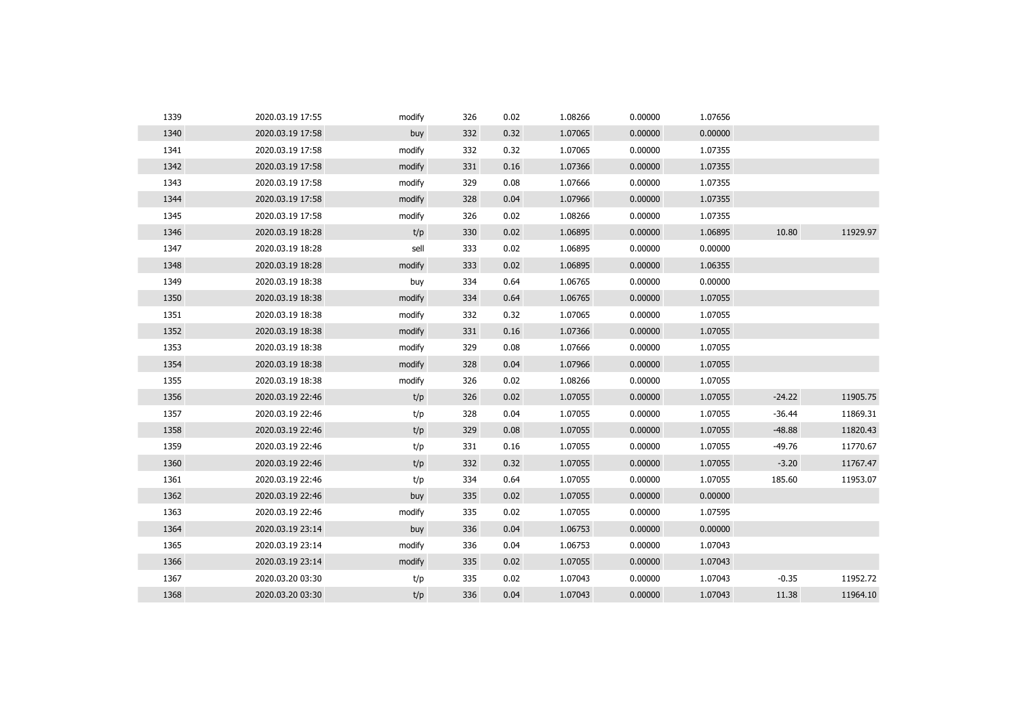| 1339 | 2020.03.19 17:55 | modify | 326 | 0.02 | 1.08266 | 0.00000 | 1.07656 |          |          |
|------|------------------|--------|-----|------|---------|---------|---------|----------|----------|
| 1340 | 2020.03.19 17:58 | buy    | 332 | 0.32 | 1.07065 | 0.00000 | 0.00000 |          |          |
| 1341 | 2020.03.19 17:58 | modify | 332 | 0.32 | 1.07065 | 0.00000 | 1.07355 |          |          |
| 1342 | 2020.03.19 17:58 | modify | 331 | 0.16 | 1.07366 | 0.00000 | 1.07355 |          |          |
| 1343 | 2020.03.19 17:58 | modify | 329 | 0.08 | 1.07666 | 0.00000 | 1.07355 |          |          |
| 1344 | 2020.03.19 17:58 | modify | 328 | 0.04 | 1.07966 | 0.00000 | 1.07355 |          |          |
| 1345 | 2020.03.19 17:58 | modify | 326 | 0.02 | 1.08266 | 0.00000 | 1.07355 |          |          |
| 1346 | 2020.03.19 18:28 | t/p    | 330 | 0.02 | 1.06895 | 0.00000 | 1.06895 | 10.80    | 11929.97 |
| 1347 | 2020.03.19 18:28 | sell   | 333 | 0.02 | 1.06895 | 0.00000 | 0.00000 |          |          |
| 1348 | 2020.03.19 18:28 | modify | 333 | 0.02 | 1.06895 | 0.00000 | 1.06355 |          |          |
| 1349 | 2020.03.19 18:38 | buy    | 334 | 0.64 | 1.06765 | 0.00000 | 0.00000 |          |          |
| 1350 | 2020.03.19 18:38 | modify | 334 | 0.64 | 1.06765 | 0.00000 | 1.07055 |          |          |
| 1351 | 2020.03.19 18:38 | modify | 332 | 0.32 | 1.07065 | 0.00000 | 1.07055 |          |          |
| 1352 | 2020.03.19 18:38 | modify | 331 | 0.16 | 1.07366 | 0.00000 | 1.07055 |          |          |
| 1353 | 2020.03.19 18:38 | modify | 329 | 0.08 | 1.07666 | 0.00000 | 1.07055 |          |          |
| 1354 | 2020.03.19 18:38 | modify | 328 | 0.04 | 1.07966 | 0.00000 | 1.07055 |          |          |
| 1355 | 2020.03.19 18:38 | modify | 326 | 0.02 | 1.08266 | 0.00000 | 1.07055 |          |          |
| 1356 | 2020.03.19 22:46 | t/p    | 326 | 0.02 | 1.07055 | 0.00000 | 1.07055 | $-24.22$ | 11905.75 |
| 1357 | 2020.03.19 22:46 | t/p    | 328 | 0.04 | 1.07055 | 0.00000 | 1.07055 | $-36.44$ | 11869.31 |
| 1358 | 2020.03.19 22:46 | t/p    | 329 | 0.08 | 1.07055 | 0.00000 | 1.07055 | $-48.88$ | 11820.43 |
| 1359 | 2020.03.19 22:46 | t/p    | 331 | 0.16 | 1.07055 | 0.00000 | 1.07055 | $-49.76$ | 11770.67 |
| 1360 | 2020.03.19 22:46 | t/p    | 332 | 0.32 | 1.07055 | 0.00000 | 1.07055 | $-3.20$  | 11767.47 |
| 1361 | 2020.03.19 22:46 | t/p    | 334 | 0.64 | 1.07055 | 0.00000 | 1.07055 | 185.60   | 11953.07 |
| 1362 | 2020.03.19 22:46 | buy    | 335 | 0.02 | 1.07055 | 0.00000 | 0.00000 |          |          |
| 1363 | 2020.03.19 22:46 | modify | 335 | 0.02 | 1.07055 | 0.00000 | 1.07595 |          |          |
| 1364 | 2020.03.19 23:14 | buy    | 336 | 0.04 | 1.06753 | 0.00000 | 0.00000 |          |          |
| 1365 | 2020.03.19 23:14 | modify | 336 | 0.04 | 1.06753 | 0.00000 | 1.07043 |          |          |
| 1366 | 2020.03.19 23:14 | modify | 335 | 0.02 | 1.07055 | 0.00000 | 1.07043 |          |          |
| 1367 | 2020.03.20 03:30 | t/p    | 335 | 0.02 | 1.07043 | 0.00000 | 1.07043 | $-0.35$  | 11952.72 |
| 1368 | 2020.03.20 03:30 | t/p    | 336 | 0.04 | 1.07043 | 0.00000 | 1.07043 | 11.38    | 11964.10 |
|      |                  |        |     |      |         |         |         |          |          |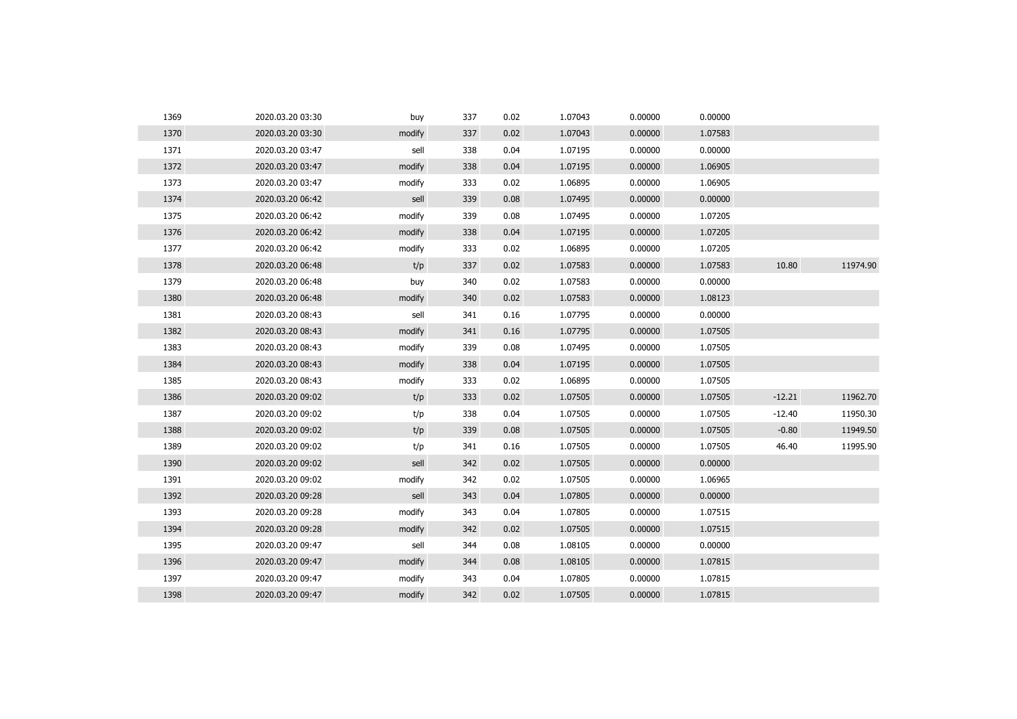| 1369 | 2020.03.20 03:30 | buy    | 337 | 0.02 | 1.07043 | 0.00000 | 0.00000 |          |          |
|------|------------------|--------|-----|------|---------|---------|---------|----------|----------|
| 1370 | 2020.03.20 03:30 | modify | 337 | 0.02 | 1.07043 | 0.00000 | 1.07583 |          |          |
| 1371 | 2020.03.20 03:47 | sell   | 338 | 0.04 | 1.07195 | 0.00000 | 0.00000 |          |          |
| 1372 | 2020.03.20 03:47 | modify | 338 | 0.04 | 1.07195 | 0.00000 | 1.06905 |          |          |
| 1373 | 2020.03.20 03:47 | modify | 333 | 0.02 | 1.06895 | 0.00000 | 1.06905 |          |          |
| 1374 | 2020.03.20 06:42 | sell   | 339 | 0.08 | 1.07495 | 0.00000 | 0.00000 |          |          |
| 1375 | 2020.03.20 06:42 | modify | 339 | 0.08 | 1.07495 | 0.00000 | 1.07205 |          |          |
| 1376 | 2020.03.20 06:42 | modify | 338 | 0.04 | 1.07195 | 0.00000 | 1.07205 |          |          |
| 1377 | 2020.03.20 06:42 | modify | 333 | 0.02 | 1.06895 | 0.00000 | 1.07205 |          |          |
| 1378 | 2020.03.20 06:48 | t/p    | 337 | 0.02 | 1.07583 | 0.00000 | 1.07583 | 10.80    | 11974.90 |
| 1379 | 2020.03.20 06:48 | buy    | 340 | 0.02 | 1.07583 | 0.00000 | 0.00000 |          |          |
| 1380 | 2020.03.20 06:48 | modify | 340 | 0.02 | 1.07583 | 0.00000 | 1.08123 |          |          |
| 1381 | 2020.03.20 08:43 | sell   | 341 | 0.16 | 1.07795 | 0.00000 | 0.00000 |          |          |
| 1382 | 2020.03.20 08:43 | modify | 341 | 0.16 | 1.07795 | 0.00000 | 1.07505 |          |          |
| 1383 | 2020.03.20 08:43 | modify | 339 | 0.08 | 1.07495 | 0.00000 | 1.07505 |          |          |
| 1384 | 2020.03.20 08:43 | modify | 338 | 0.04 | 1.07195 | 0.00000 | 1.07505 |          |          |
| 1385 | 2020.03.20 08:43 | modify | 333 | 0.02 | 1.06895 | 0.00000 | 1.07505 |          |          |
| 1386 | 2020.03.20 09:02 | t/p    | 333 | 0.02 | 1.07505 | 0.00000 | 1.07505 | $-12.21$ | 11962.70 |
| 1387 | 2020.03.20 09:02 | t/p    | 338 | 0.04 | 1.07505 | 0.00000 | 1.07505 | $-12.40$ | 11950.30 |
| 1388 | 2020.03.20 09:02 | t/p    | 339 | 0.08 | 1.07505 | 0.00000 | 1.07505 | $-0.80$  | 11949.50 |
| 1389 | 2020.03.20 09:02 | t/p    | 341 | 0.16 | 1.07505 | 0.00000 | 1.07505 | 46.40    | 11995.90 |
| 1390 | 2020.03.20 09:02 | sell   | 342 | 0.02 | 1.07505 | 0.00000 | 0.00000 |          |          |
| 1391 | 2020.03.20 09:02 | modify | 342 | 0.02 | 1.07505 | 0.00000 | 1.06965 |          |          |
| 1392 | 2020.03.20 09:28 | sell   | 343 | 0.04 | 1.07805 | 0.00000 | 0.00000 |          |          |
| 1393 | 2020.03.20 09:28 | modify | 343 | 0.04 | 1.07805 | 0.00000 | 1.07515 |          |          |
| 1394 | 2020.03.20 09:28 | modify | 342 | 0.02 | 1.07505 | 0.00000 | 1.07515 |          |          |
| 1395 | 2020.03.20 09:47 | sell   | 344 | 0.08 | 1.08105 | 0.00000 | 0.00000 |          |          |
| 1396 | 2020.03.20 09:47 | modify | 344 | 0.08 | 1.08105 | 0.00000 | 1.07815 |          |          |
| 1397 | 2020.03.20 09:47 | modify | 343 | 0.04 | 1.07805 | 0.00000 | 1.07815 |          |          |
| 1398 | 2020.03.20 09:47 | modify | 342 | 0.02 | 1.07505 | 0.00000 | 1.07815 |          |          |
|      |                  |        |     |      |         |         |         |          |          |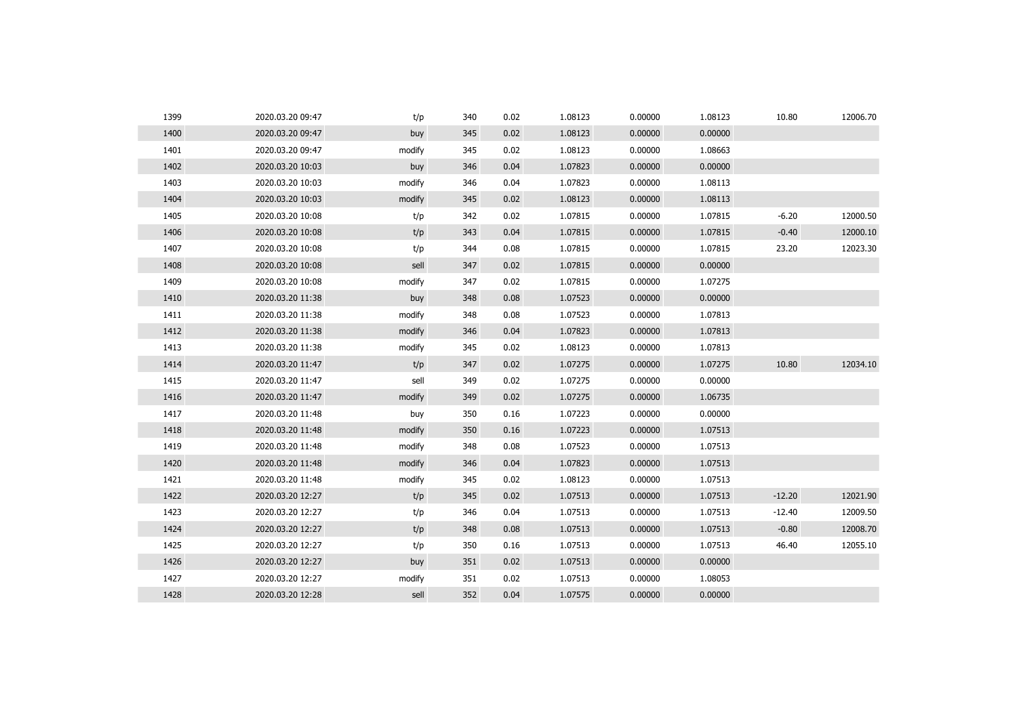| 1399 | 2020.03.20 09:47 | t/p    | 340 | 0.02 | 1.08123 | 0.00000 | 1.08123 | 10.80    | 12006.70 |
|------|------------------|--------|-----|------|---------|---------|---------|----------|----------|
| 1400 | 2020.03.20 09:47 | buy    | 345 | 0.02 | 1.08123 | 0.00000 | 0.00000 |          |          |
| 1401 | 2020.03.20 09:47 | modify | 345 | 0.02 | 1.08123 | 0.00000 | 1.08663 |          |          |
| 1402 | 2020.03.20 10:03 | buy    | 346 | 0.04 | 1.07823 | 0.00000 | 0.00000 |          |          |
| 1403 | 2020.03.20 10:03 | modify | 346 | 0.04 | 1.07823 | 0.00000 | 1.08113 |          |          |
| 1404 | 2020.03.20 10:03 | modify | 345 | 0.02 | 1.08123 | 0.00000 | 1.08113 |          |          |
| 1405 | 2020.03.20 10:08 | t/p    | 342 | 0.02 | 1.07815 | 0.00000 | 1.07815 | $-6.20$  | 12000.50 |
| 1406 | 2020.03.20 10:08 | t/p    | 343 | 0.04 | 1.07815 | 0.00000 | 1.07815 | $-0.40$  | 12000.10 |
| 1407 | 2020.03.20 10:08 | t/p    | 344 | 0.08 | 1.07815 | 0.00000 | 1.07815 | 23.20    | 12023.30 |
| 1408 | 2020.03.20 10:08 | sell   | 347 | 0.02 | 1.07815 | 0.00000 | 0.00000 |          |          |
| 1409 | 2020.03.20 10:08 | modify | 347 | 0.02 | 1.07815 | 0.00000 | 1.07275 |          |          |
| 1410 | 2020.03.20 11:38 | buy    | 348 | 0.08 | 1.07523 | 0.00000 | 0.00000 |          |          |
| 1411 | 2020.03.20 11:38 | modify | 348 | 0.08 | 1.07523 | 0.00000 | 1.07813 |          |          |
| 1412 | 2020.03.20 11:38 | modify | 346 | 0.04 | 1.07823 | 0.00000 | 1.07813 |          |          |
| 1413 | 2020.03.20 11:38 | modify | 345 | 0.02 | 1.08123 | 0.00000 | 1.07813 |          |          |
| 1414 | 2020.03.20 11:47 | t/p    | 347 | 0.02 | 1.07275 | 0.00000 | 1.07275 | 10.80    | 12034.10 |
| 1415 | 2020.03.20 11:47 | sell   | 349 | 0.02 | 1.07275 | 0.00000 | 0.00000 |          |          |
| 1416 | 2020.03.20 11:47 | modify | 349 | 0.02 | 1.07275 | 0.00000 | 1.06735 |          |          |
| 1417 | 2020.03.20 11:48 | buy    | 350 | 0.16 | 1.07223 | 0.00000 | 0.00000 |          |          |
| 1418 | 2020.03.20 11:48 | modify | 350 | 0.16 | 1.07223 | 0.00000 | 1.07513 |          |          |
| 1419 | 2020.03.20 11:48 | modify | 348 | 0.08 | 1.07523 | 0.00000 | 1.07513 |          |          |
| 1420 | 2020.03.20 11:48 | modify | 346 | 0.04 | 1.07823 | 0.00000 | 1.07513 |          |          |
| 1421 | 2020.03.20 11:48 | modify | 345 | 0.02 | 1.08123 | 0.00000 | 1.07513 |          |          |
| 1422 | 2020.03.20 12:27 | t/p    | 345 | 0.02 | 1.07513 | 0.00000 | 1.07513 | $-12.20$ | 12021.90 |
| 1423 | 2020.03.20 12:27 | t/p    | 346 | 0.04 | 1.07513 | 0.00000 | 1.07513 | $-12.40$ | 12009.50 |
| 1424 | 2020.03.20 12:27 | t/p    | 348 | 0.08 | 1.07513 | 0.00000 | 1.07513 | $-0.80$  | 12008.70 |
| 1425 | 2020.03.20 12:27 | t/p    | 350 | 0.16 | 1.07513 | 0.00000 | 1.07513 | 46.40    | 12055.10 |
| 1426 | 2020.03.20 12:27 | buy    | 351 | 0.02 | 1.07513 | 0.00000 | 0.00000 |          |          |
| 1427 | 2020.03.20 12:27 | modify | 351 | 0.02 | 1.07513 | 0.00000 | 1.08053 |          |          |
| 1428 | 2020.03.20 12:28 | sell   | 352 | 0.04 | 1.07575 | 0.00000 | 0.00000 |          |          |
|      |                  |        |     |      |         |         |         |          |          |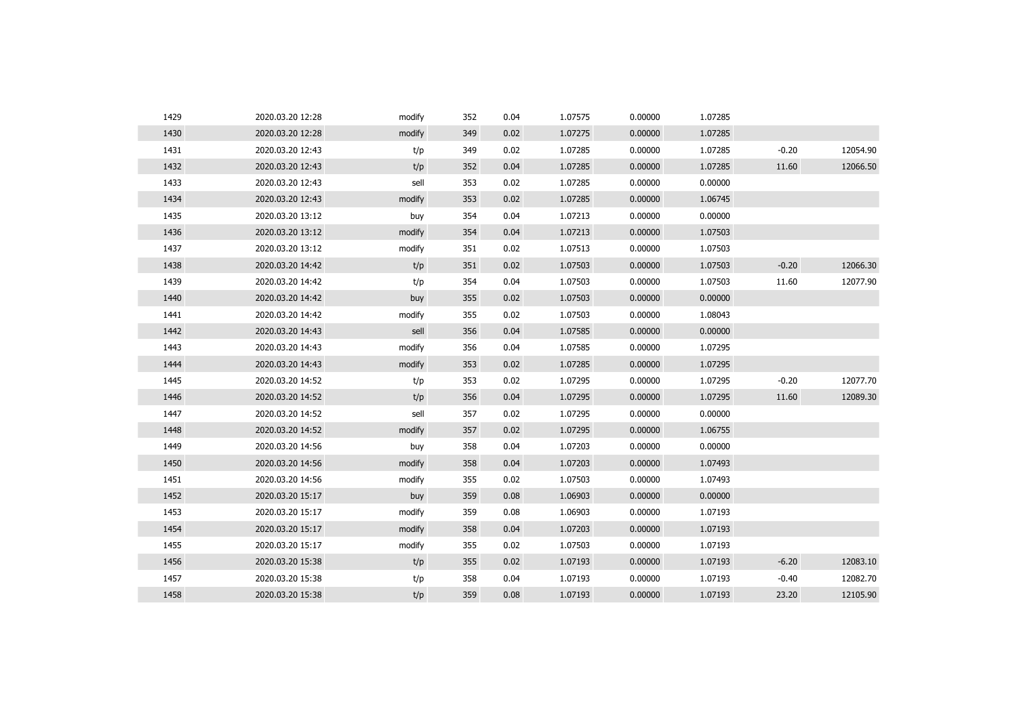| 1429 | 2020.03.20 12:28 | modify | 352 | 0.04 | 1.07575 | 0.00000 | 1.07285 |         |          |
|------|------------------|--------|-----|------|---------|---------|---------|---------|----------|
| 1430 | 2020.03.20 12:28 | modify | 349 | 0.02 | 1.07275 | 0.00000 | 1.07285 |         |          |
| 1431 | 2020.03.20 12:43 | t/p    | 349 | 0.02 | 1.07285 | 0.00000 | 1.07285 | $-0.20$ | 12054.90 |
| 1432 | 2020.03.20 12:43 | t/p    | 352 | 0.04 | 1.07285 | 0.00000 | 1.07285 | 11.60   | 12066.50 |
| 1433 | 2020.03.20 12:43 | sell   | 353 | 0.02 | 1.07285 | 0.00000 | 0.00000 |         |          |
| 1434 | 2020.03.20 12:43 | modify | 353 | 0.02 | 1.07285 | 0.00000 | 1.06745 |         |          |
| 1435 | 2020.03.20 13:12 | buy    | 354 | 0.04 | 1.07213 | 0.00000 | 0.00000 |         |          |
| 1436 | 2020.03.20 13:12 | modify | 354 | 0.04 | 1.07213 | 0.00000 | 1.07503 |         |          |
| 1437 | 2020.03.20 13:12 | modify | 351 | 0.02 | 1.07513 | 0.00000 | 1.07503 |         |          |
| 1438 | 2020.03.20 14:42 | t/p    | 351 | 0.02 | 1.07503 | 0.00000 | 1.07503 | $-0.20$ | 12066.30 |
| 1439 | 2020.03.20 14:42 | t/p    | 354 | 0.04 | 1.07503 | 0.00000 | 1.07503 | 11.60   | 12077.90 |
| 1440 | 2020.03.20 14:42 | buy    | 355 | 0.02 | 1.07503 | 0.00000 | 0.00000 |         |          |
| 1441 | 2020.03.20 14:42 | modify | 355 | 0.02 | 1.07503 | 0.00000 | 1.08043 |         |          |
| 1442 | 2020.03.20 14:43 | sell   | 356 | 0.04 | 1.07585 | 0.00000 | 0.00000 |         |          |
| 1443 | 2020.03.20 14:43 | modify | 356 | 0.04 | 1.07585 | 0.00000 | 1.07295 |         |          |
| 1444 | 2020.03.20 14:43 | modify | 353 | 0.02 | 1.07285 | 0.00000 | 1.07295 |         |          |
| 1445 | 2020.03.20 14:52 | t/p    | 353 | 0.02 | 1.07295 | 0.00000 | 1.07295 | $-0.20$ | 12077.70 |
| 1446 | 2020.03.20 14:52 | t/p    | 356 | 0.04 | 1.07295 | 0.00000 | 1.07295 | 11.60   | 12089.30 |
| 1447 | 2020.03.20 14:52 | sell   | 357 | 0.02 | 1.07295 | 0.00000 | 0.00000 |         |          |
| 1448 | 2020.03.20 14:52 | modify | 357 | 0.02 | 1.07295 | 0.00000 | 1.06755 |         |          |
| 1449 | 2020.03.20 14:56 | buy    | 358 | 0.04 | 1.07203 | 0.00000 | 0.00000 |         |          |
| 1450 | 2020.03.20 14:56 | modify | 358 | 0.04 | 1.07203 | 0.00000 | 1.07493 |         |          |
| 1451 | 2020.03.20 14:56 | modify | 355 | 0.02 | 1.07503 | 0.00000 | 1.07493 |         |          |
| 1452 | 2020.03.20 15:17 | buy    | 359 | 0.08 | 1.06903 | 0.00000 | 0.00000 |         |          |
| 1453 | 2020.03.20 15:17 | modify | 359 | 0.08 | 1.06903 | 0.00000 | 1.07193 |         |          |
| 1454 | 2020.03.20 15:17 | modify | 358 | 0.04 | 1.07203 | 0.00000 | 1.07193 |         |          |
| 1455 | 2020.03.20 15:17 | modify | 355 | 0.02 | 1.07503 | 0.00000 | 1.07193 |         |          |
| 1456 | 2020.03.20 15:38 | t/p    | 355 | 0.02 | 1.07193 | 0.00000 | 1.07193 | $-6.20$ | 12083.10 |
| 1457 | 2020.03.20 15:38 | t/p    | 358 | 0.04 | 1.07193 | 0.00000 | 1.07193 | $-0.40$ | 12082.70 |
| 1458 | 2020.03.20 15:38 | t/p    | 359 | 0.08 | 1.07193 | 0.00000 | 1.07193 | 23.20   | 12105.90 |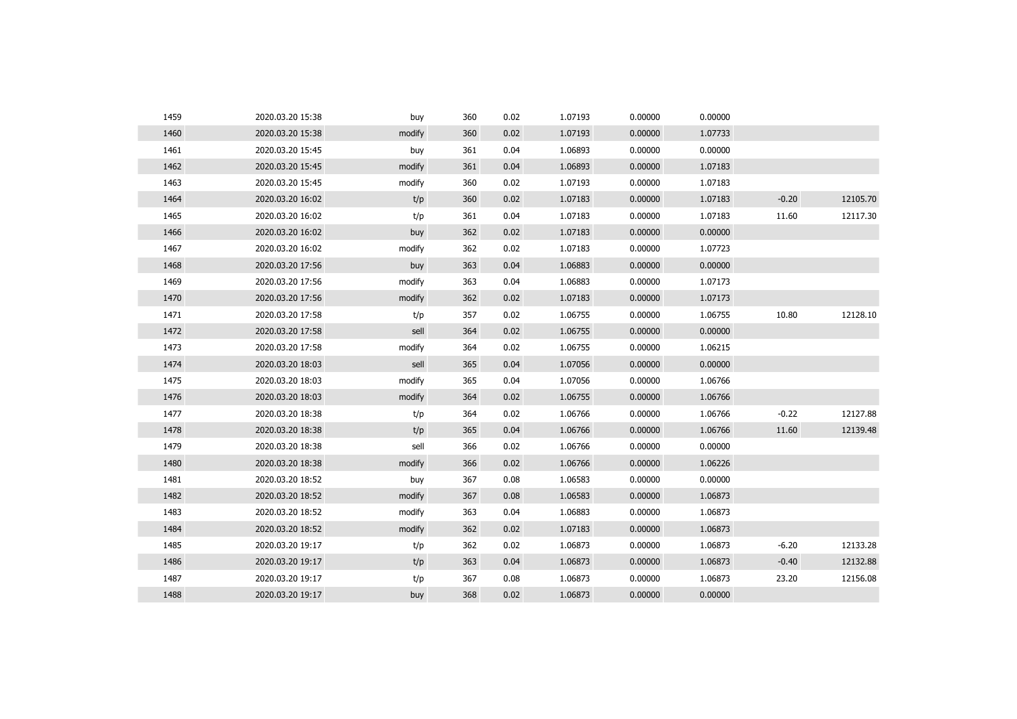| 1459 | 2020.03.20 15:38 | buy    | 360 | 0.02 | 1.07193 | 0.00000 | 0.00000 |         |          |
|------|------------------|--------|-----|------|---------|---------|---------|---------|----------|
| 1460 | 2020.03.20 15:38 | modify | 360 | 0.02 | 1.07193 | 0.00000 | 1.07733 |         |          |
| 1461 | 2020.03.20 15:45 | buy    | 361 | 0.04 | 1.06893 | 0.00000 | 0.00000 |         |          |
| 1462 | 2020.03.20 15:45 | modify | 361 | 0.04 | 1.06893 | 0.00000 | 1.07183 |         |          |
| 1463 | 2020.03.20 15:45 | modify | 360 | 0.02 | 1.07193 | 0.00000 | 1.07183 |         |          |
| 1464 | 2020.03.20 16:02 | t/p    | 360 | 0.02 | 1.07183 | 0.00000 | 1.07183 | $-0.20$ | 12105.70 |
| 1465 | 2020.03.20 16:02 | t/p    | 361 | 0.04 | 1.07183 | 0.00000 | 1.07183 | 11.60   | 12117.30 |
| 1466 | 2020.03.20 16:02 | buy    | 362 | 0.02 | 1.07183 | 0.00000 | 0.00000 |         |          |
| 1467 | 2020.03.20 16:02 | modify | 362 | 0.02 | 1.07183 | 0.00000 | 1.07723 |         |          |
| 1468 | 2020.03.20 17:56 | buy    | 363 | 0.04 | 1.06883 | 0.00000 | 0.00000 |         |          |
| 1469 | 2020.03.20 17:56 | modify | 363 | 0.04 | 1.06883 | 0.00000 | 1.07173 |         |          |
| 1470 | 2020.03.20 17:56 | modify | 362 | 0.02 | 1.07183 | 0.00000 | 1.07173 |         |          |
| 1471 | 2020.03.20 17:58 | t/p    | 357 | 0.02 | 1.06755 | 0.00000 | 1.06755 | 10.80   | 12128.10 |
| 1472 | 2020.03.20 17:58 | sell   | 364 | 0.02 | 1.06755 | 0.00000 | 0.00000 |         |          |
| 1473 | 2020.03.20 17:58 | modify | 364 | 0.02 | 1.06755 | 0.00000 | 1.06215 |         |          |
| 1474 | 2020.03.20 18:03 | sell   | 365 | 0.04 | 1.07056 | 0.00000 | 0.00000 |         |          |
| 1475 | 2020.03.20 18:03 | modify | 365 | 0.04 | 1.07056 | 0.00000 | 1.06766 |         |          |
| 1476 | 2020.03.20 18:03 | modify | 364 | 0.02 | 1.06755 | 0.00000 | 1.06766 |         |          |
| 1477 | 2020.03.20 18:38 | t/p    | 364 | 0.02 | 1.06766 | 0.00000 | 1.06766 | $-0.22$ | 12127.88 |
| 1478 | 2020.03.20 18:38 | t/p    | 365 | 0.04 | 1.06766 | 0.00000 | 1.06766 | 11.60   | 12139.48 |
| 1479 | 2020.03.20 18:38 | sell   | 366 | 0.02 | 1.06766 | 0.00000 | 0.00000 |         |          |
| 1480 | 2020.03.20 18:38 | modify | 366 | 0.02 | 1.06766 | 0.00000 | 1.06226 |         |          |
| 1481 | 2020.03.20 18:52 | buy    | 367 | 0.08 | 1.06583 | 0.00000 | 0.00000 |         |          |
| 1482 | 2020.03.20 18:52 | modify | 367 | 0.08 | 1.06583 | 0.00000 | 1.06873 |         |          |
| 1483 | 2020.03.20 18:52 | modify | 363 | 0.04 | 1.06883 | 0.00000 | 1.06873 |         |          |
| 1484 | 2020.03.20 18:52 | modify | 362 | 0.02 | 1.07183 | 0.00000 | 1.06873 |         |          |
| 1485 | 2020.03.20 19:17 | t/p    | 362 | 0.02 | 1.06873 | 0.00000 | 1.06873 | $-6.20$ | 12133.28 |
| 1486 | 2020.03.20 19:17 | t/p    | 363 | 0.04 | 1.06873 | 0.00000 | 1.06873 | $-0.40$ | 12132.88 |
| 1487 | 2020.03.20 19:17 | t/p    | 367 | 0.08 | 1.06873 | 0.00000 | 1.06873 | 23.20   | 12156.08 |
| 1488 | 2020.03.20 19:17 | buy    | 368 | 0.02 | 1.06873 | 0.00000 | 0.00000 |         |          |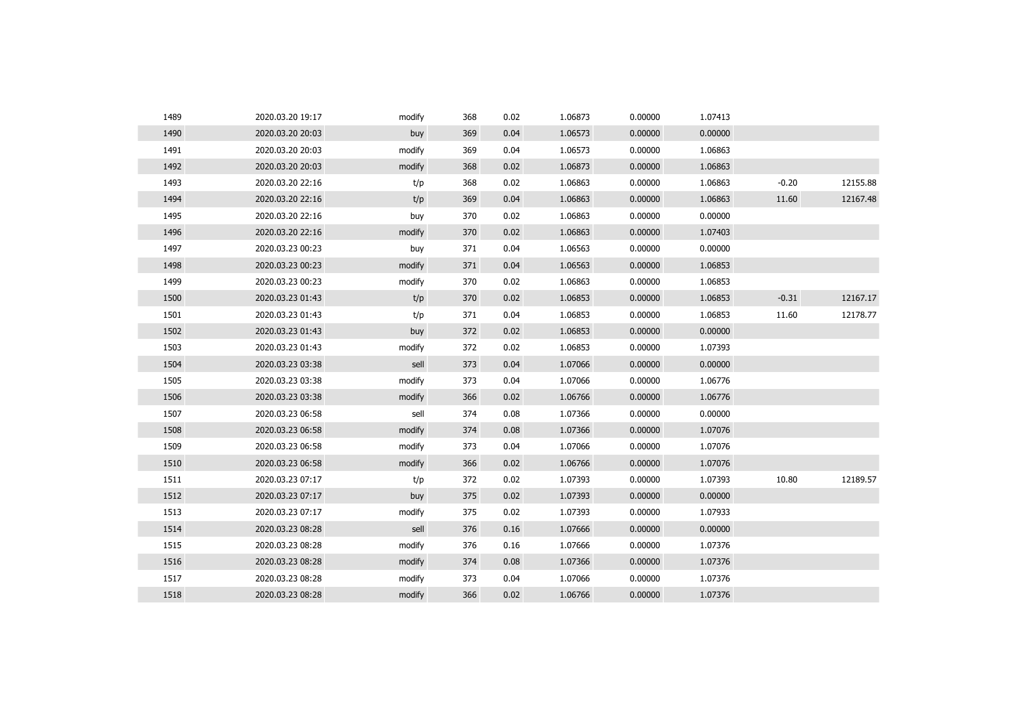| 1489 | 2020.03.20 19:17 | modify | 368 | 0.02 | 1.06873 | 0.00000 | 1.07413 |         |          |
|------|------------------|--------|-----|------|---------|---------|---------|---------|----------|
| 1490 | 2020.03.20 20:03 | buy    | 369 | 0.04 | 1.06573 | 0.00000 | 0.00000 |         |          |
| 1491 | 2020.03.20 20:03 | modify | 369 | 0.04 | 1.06573 | 0.00000 | 1.06863 |         |          |
| 1492 | 2020.03.20 20:03 | modify | 368 | 0.02 | 1.06873 | 0.00000 | 1.06863 |         |          |
| 1493 | 2020.03.20 22:16 | t/p    | 368 | 0.02 | 1.06863 | 0.00000 | 1.06863 | $-0.20$ | 12155.88 |
| 1494 | 2020.03.20 22:16 | t/p    | 369 | 0.04 | 1.06863 | 0.00000 | 1.06863 | 11.60   | 12167.48 |
| 1495 | 2020.03.20 22:16 | buy    | 370 | 0.02 | 1.06863 | 0.00000 | 0.00000 |         |          |
| 1496 | 2020.03.20 22:16 | modify | 370 | 0.02 | 1.06863 | 0.00000 | 1.07403 |         |          |
| 1497 | 2020.03.23 00:23 | buy    | 371 | 0.04 | 1.06563 | 0.00000 | 0.00000 |         |          |
| 1498 | 2020.03.23 00:23 | modify | 371 | 0.04 | 1.06563 | 0.00000 | 1.06853 |         |          |
| 1499 | 2020.03.23 00:23 | modify | 370 | 0.02 | 1.06863 | 0.00000 | 1.06853 |         |          |
| 1500 | 2020.03.23 01:43 | t/p    | 370 | 0.02 | 1.06853 | 0.00000 | 1.06853 | $-0.31$ | 12167.17 |
| 1501 | 2020.03.23 01:43 | t/p    | 371 | 0.04 | 1.06853 | 0.00000 | 1.06853 | 11.60   | 12178.77 |
| 1502 | 2020.03.23 01:43 | buy    | 372 | 0.02 | 1.06853 | 0.00000 | 0.00000 |         |          |
| 1503 | 2020.03.23 01:43 | modify | 372 | 0.02 | 1.06853 | 0.00000 | 1.07393 |         |          |
| 1504 | 2020.03.23 03:38 | sell   | 373 | 0.04 | 1.07066 | 0.00000 | 0.00000 |         |          |
| 1505 | 2020.03.23 03:38 | modify | 373 | 0.04 | 1.07066 | 0.00000 | 1.06776 |         |          |
| 1506 | 2020.03.23 03:38 | modify | 366 | 0.02 | 1.06766 | 0.00000 | 1.06776 |         |          |
| 1507 | 2020.03.23 06:58 | sell   | 374 | 0.08 | 1.07366 | 0.00000 | 0.00000 |         |          |
| 1508 | 2020.03.23 06:58 | modify | 374 | 0.08 | 1.07366 | 0.00000 | 1.07076 |         |          |
| 1509 | 2020.03.23 06:58 | modify | 373 | 0.04 | 1.07066 | 0.00000 | 1.07076 |         |          |
| 1510 | 2020.03.23 06:58 | modify | 366 | 0.02 | 1.06766 | 0.00000 | 1.07076 |         |          |
| 1511 | 2020.03.23 07:17 | t/p    | 372 | 0.02 | 1.07393 | 0.00000 | 1.07393 | 10.80   | 12189.57 |
| 1512 | 2020.03.23 07:17 | buy    | 375 | 0.02 | 1.07393 | 0.00000 | 0.00000 |         |          |
| 1513 | 2020.03.23 07:17 | modify | 375 | 0.02 | 1.07393 | 0.00000 | 1.07933 |         |          |
| 1514 | 2020.03.23 08:28 | sell   | 376 | 0.16 | 1.07666 | 0.00000 | 0.00000 |         |          |
| 1515 | 2020.03.23 08:28 | modify | 376 | 0.16 | 1.07666 | 0.00000 | 1.07376 |         |          |
| 1516 | 2020.03.23 08:28 | modify | 374 | 0.08 | 1.07366 | 0.00000 | 1.07376 |         |          |
| 1517 | 2020.03.23 08:28 | modify | 373 | 0.04 | 1.07066 | 0.00000 | 1.07376 |         |          |
| 1518 | 2020.03.23 08:28 | modify | 366 | 0.02 | 1.06766 | 0.00000 | 1.07376 |         |          |
|      |                  |        |     |      |         |         |         |         |          |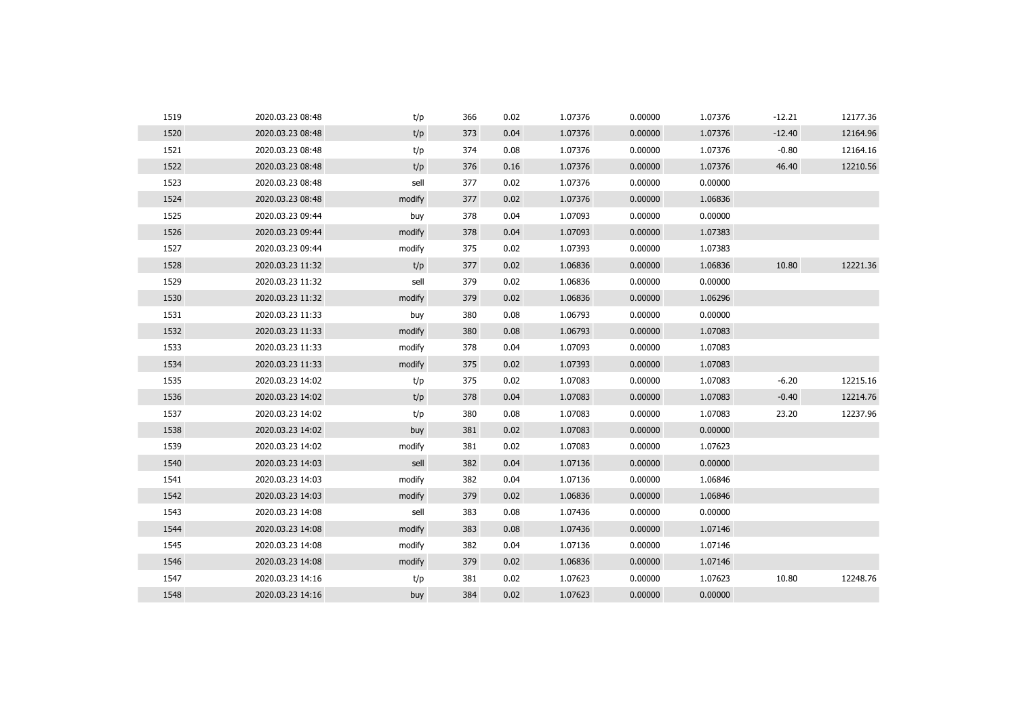| 1519<br>366<br>0.02<br>1.07376<br>0.00000<br>1.07376<br>$-12.21$<br>2020.03.23 08:48<br>t/p | 12177.36 |
|---------------------------------------------------------------------------------------------|----------|
| 1520<br>t/p<br>2020.03.23 08:48<br>373<br>0.04<br>1.07376<br>0.00000<br>1.07376<br>$-12.40$ | 12164.96 |
| 1521<br>t/p<br>1.07376<br>$-0.80$<br>2020.03.23 08:48<br>374<br>0.08<br>0.00000<br>1.07376  | 12164.16 |
| 1522<br>t/p<br>0.16<br>1.07376<br>0.00000<br>1.07376<br>46.40<br>2020.03.23 08:48<br>376    | 12210.56 |
| 1523<br>sell<br>1.07376<br>2020.03.23 08:48<br>377<br>0.02<br>0.00000<br>0.00000            |          |
| 1524<br>modify<br>0.02<br>1.07376<br>0.00000<br>1.06836<br>2020.03.23 08:48<br>377          |          |
| 1525<br>2020.03.23 09:44<br>378<br>0.04<br>1.07093<br>0.00000<br>0.00000<br>buy             |          |
| 1526<br>0.04<br>1.07093<br>0.00000<br>1.07383<br>2020.03.23 09:44<br>modify<br>378          |          |
| 1527<br>modify<br>375<br>0.02<br>1.07393<br>0.00000<br>1.07383<br>2020.03.23 09:44          |          |
| 1528<br>t/p<br>0.00000<br>1.06836<br>10.80<br>2020.03.23 11:32<br>377<br>0.02<br>1.06836    | 12221.36 |
| 1529<br>sell<br>379<br>0.02<br>1.06836<br>0.00000<br>0.00000<br>2020.03.23 11:32            |          |
| 1530<br>0.02<br>1.06836<br>0.00000<br>1.06296<br>2020.03.23 11:32<br>modify<br>379          |          |
| 1531<br>0.08<br>1.06793<br>0.00000<br>0.00000<br>2020.03.23 11:33<br>buy<br>380             |          |
| 1532<br>0.00000<br>1.07083<br>2020.03.23 11:33<br>modify<br>380<br>0.08<br>1.06793          |          |
| 1533<br>1.07093<br>0.00000<br>1.07083<br>2020.03.23 11:33<br>modify<br>378<br>0.04          |          |
| 1534<br>2020.03.23 11:33<br>modify<br>375<br>0.02<br>1.07393<br>0.00000<br>1.07083          |          |
| 1535<br>$-6.20$<br>0.02<br>1.07083<br>0.00000<br>1.07083<br>2020.03.23 14:02<br>t/p<br>375  | 12215.16 |
| 1536<br>t/p<br>2020.03.23 14:02<br>378<br>0.04<br>1.07083<br>0.00000<br>1.07083<br>$-0.40$  | 12214.76 |
| 1537<br>0.00000<br>2020.03.23 14:02<br>t/p<br>380<br>0.08<br>1.07083<br>1.07083<br>23.20    | 12237.96 |
| 1538<br>0.02<br>1.07083<br>0.00000<br>0.00000<br>2020.03.23 14:02<br>buy<br>381             |          |
| 1539<br>2020.03.23 14:02<br>modify<br>381<br>0.02<br>1.07083<br>0.00000<br>1.07623          |          |
| 1540<br>sell<br>0.04<br>1.07136<br>0.00000<br>0.00000<br>2020.03.23 14:03<br>382            |          |
| 1541<br>2020.03.23 14:03<br>modify<br>382<br>0.04<br>1.07136<br>0.00000<br>1.06846          |          |
| 1542<br>0.02<br>1.06836<br>0.00000<br>1.06846<br>2020.03.23 14:03<br>modify<br>379          |          |
| 1543<br>sell<br>0.08<br>1.07436<br>0.00000<br>0.00000<br>2020.03.23 14:08<br>383            |          |
| 1544<br>1.07436<br>0.00000<br>1.07146<br>2020.03.23 14:08<br>modify<br>383<br>0.08          |          |
| 1545<br>0.04<br>1.07136<br>0.00000<br>1.07146<br>2020.03.23 14:08<br>modify<br>382          |          |
| 1546<br>1.06836<br>0.00000<br>2020.03.23 14:08<br>modify<br>379<br>0.02<br>1.07146          |          |
| 1547<br>0.02<br>1.07623<br>0.00000<br>1.07623<br>10.80<br>2020.03.23 14:16<br>t/p<br>381    | 12248.76 |
| 1548<br>0.00000<br>2020.03.23 14:16<br>384<br>0.02<br>1.07623<br>0.00000<br>buy             |          |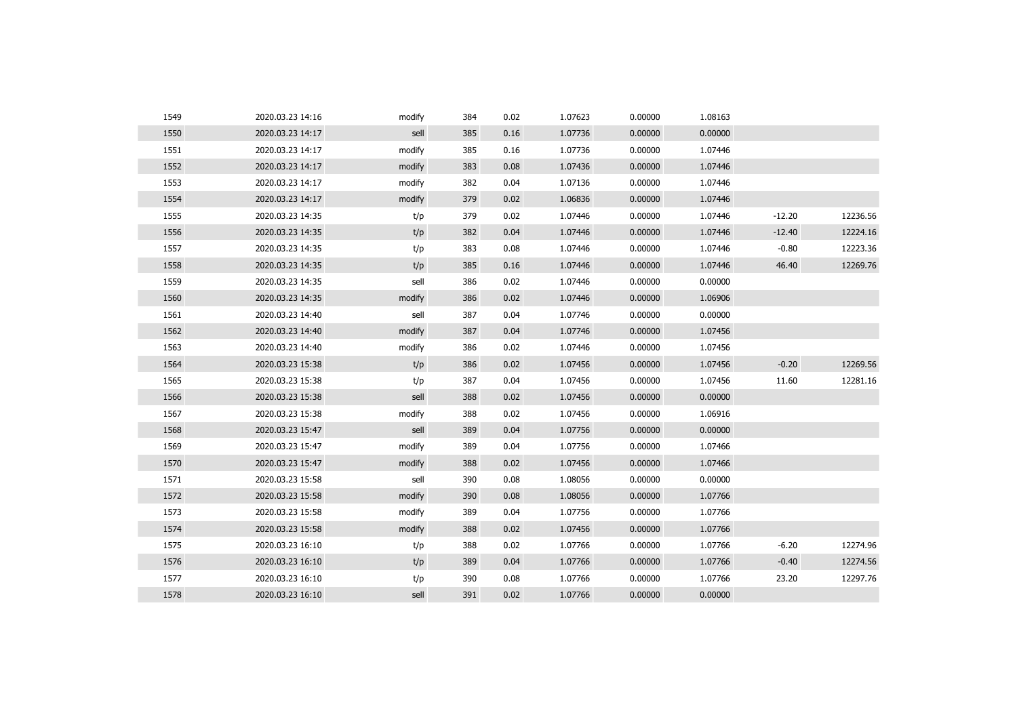| 1549 | 2020.03.23 14:16 | modify | 384 | 0.02 | 1.07623 | 0.00000 | 1.08163 |          |          |
|------|------------------|--------|-----|------|---------|---------|---------|----------|----------|
| 1550 | 2020.03.23 14:17 | sell   | 385 | 0.16 | 1.07736 | 0.00000 | 0.00000 |          |          |
| 1551 | 2020.03.23 14:17 | modify | 385 | 0.16 | 1.07736 | 0.00000 | 1.07446 |          |          |
| 1552 | 2020.03.23 14:17 | modify | 383 | 0.08 | 1.07436 | 0.00000 | 1.07446 |          |          |
| 1553 | 2020.03.23 14:17 | modify | 382 | 0.04 | 1.07136 | 0.00000 | 1.07446 |          |          |
| 1554 | 2020.03.23 14:17 | modify | 379 | 0.02 | 1.06836 | 0.00000 | 1.07446 |          |          |
| 1555 | 2020.03.23 14:35 | t/p    | 379 | 0.02 | 1.07446 | 0.00000 | 1.07446 | $-12.20$ | 12236.56 |
| 1556 | 2020.03.23 14:35 | t/p    | 382 | 0.04 | 1.07446 | 0.00000 | 1.07446 | $-12.40$ | 12224.16 |
| 1557 | 2020.03.23 14:35 | t/p    | 383 | 0.08 | 1.07446 | 0.00000 | 1.07446 | $-0.80$  | 12223.36 |
| 1558 | 2020.03.23 14:35 | t/p    | 385 | 0.16 | 1.07446 | 0.00000 | 1.07446 | 46.40    | 12269.76 |
| 1559 | 2020.03.23 14:35 | sell   | 386 | 0.02 | 1.07446 | 0.00000 | 0.00000 |          |          |
| 1560 | 2020.03.23 14:35 | modify | 386 | 0.02 | 1.07446 | 0.00000 | 1.06906 |          |          |
| 1561 | 2020.03.23 14:40 | sell   | 387 | 0.04 | 1.07746 | 0.00000 | 0.00000 |          |          |
| 1562 | 2020.03.23 14:40 | modify | 387 | 0.04 | 1.07746 | 0.00000 | 1.07456 |          |          |
| 1563 | 2020.03.23 14:40 | modify | 386 | 0.02 | 1.07446 | 0.00000 | 1.07456 |          |          |
| 1564 | 2020.03.23 15:38 | t/p    | 386 | 0.02 | 1.07456 | 0.00000 | 1.07456 | $-0.20$  | 12269.56 |
| 1565 | 2020.03.23 15:38 | t/p    | 387 | 0.04 | 1.07456 | 0.00000 | 1.07456 | 11.60    | 12281.16 |
| 1566 | 2020.03.23 15:38 | sell   | 388 | 0.02 | 1.07456 | 0.00000 | 0.00000 |          |          |
| 1567 | 2020.03.23 15:38 | modify | 388 | 0.02 | 1.07456 | 0.00000 | 1.06916 |          |          |
| 1568 | 2020.03.23 15:47 | sell   | 389 | 0.04 | 1.07756 | 0.00000 | 0.00000 |          |          |
| 1569 | 2020.03.23 15:47 | modify | 389 | 0.04 | 1.07756 | 0.00000 | 1.07466 |          |          |
| 1570 | 2020.03.23 15:47 | modify | 388 | 0.02 | 1.07456 | 0.00000 | 1.07466 |          |          |
| 1571 | 2020.03.23 15:58 | sell   | 390 | 0.08 | 1.08056 | 0.00000 | 0.00000 |          |          |
| 1572 | 2020.03.23 15:58 | modify | 390 | 0.08 | 1.08056 | 0.00000 | 1.07766 |          |          |
| 1573 | 2020.03.23 15:58 | modify | 389 | 0.04 | 1.07756 | 0.00000 | 1.07766 |          |          |
| 1574 | 2020.03.23 15:58 | modify | 388 | 0.02 | 1.07456 | 0.00000 | 1.07766 |          |          |
| 1575 | 2020.03.23 16:10 | t/p    | 388 | 0.02 | 1.07766 | 0.00000 | 1.07766 | $-6.20$  | 12274.96 |
| 1576 | 2020.03.23 16:10 | t/p    | 389 | 0.04 | 1.07766 | 0.00000 | 1.07766 | $-0.40$  | 12274.56 |
| 1577 | 2020.03.23 16:10 | t/p    | 390 | 0.08 | 1.07766 | 0.00000 | 1.07766 | 23.20    | 12297.76 |
| 1578 | 2020.03.23 16:10 | sell   | 391 | 0.02 | 1.07766 | 0.00000 | 0.00000 |          |          |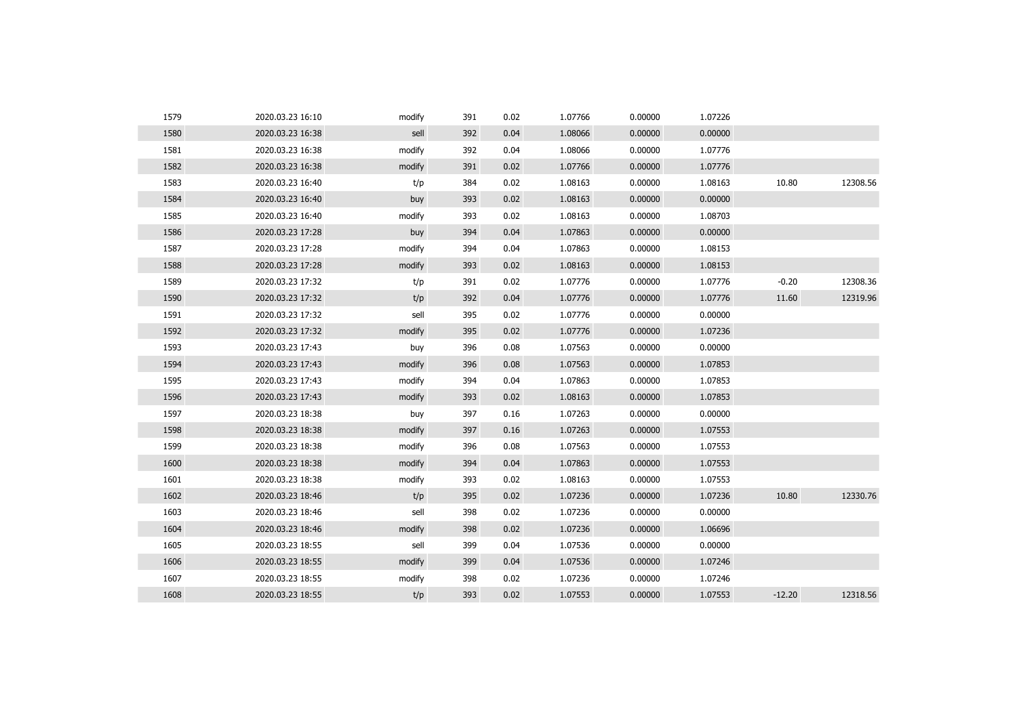| 1579 | 2020.03.23 16:10 | modify | 391 | 0.02 | 1.07766 | 0.00000 | 1.07226 |          |          |
|------|------------------|--------|-----|------|---------|---------|---------|----------|----------|
| 1580 | 2020.03.23 16:38 | sell   | 392 | 0.04 | 1.08066 | 0.00000 | 0.00000 |          |          |
| 1581 | 2020.03.23 16:38 | modify | 392 | 0.04 | 1.08066 | 0.00000 | 1.07776 |          |          |
| 1582 | 2020.03.23 16:38 | modify | 391 | 0.02 | 1.07766 | 0.00000 | 1.07776 |          |          |
| 1583 | 2020.03.23 16:40 | t/p    | 384 | 0.02 | 1.08163 | 0.00000 | 1.08163 | 10.80    | 12308.56 |
| 1584 | 2020.03.23 16:40 | buy    | 393 | 0.02 | 1.08163 | 0.00000 | 0.00000 |          |          |
| 1585 | 2020.03.23 16:40 | modify | 393 | 0.02 | 1.08163 | 0.00000 | 1.08703 |          |          |
| 1586 | 2020.03.23 17:28 | buy    | 394 | 0.04 | 1.07863 | 0.00000 | 0.00000 |          |          |
| 1587 | 2020.03.23 17:28 | modify | 394 | 0.04 | 1.07863 | 0.00000 | 1.08153 |          |          |
| 1588 | 2020.03.23 17:28 | modify | 393 | 0.02 | 1.08163 | 0.00000 | 1.08153 |          |          |
| 1589 | 2020.03.23 17:32 | t/p    | 391 | 0.02 | 1.07776 | 0.00000 | 1.07776 | $-0.20$  | 12308.36 |
| 1590 | 2020.03.23 17:32 | t/p    | 392 | 0.04 | 1.07776 | 0.00000 | 1.07776 | 11.60    | 12319.96 |
| 1591 | 2020.03.23 17:32 | sell   | 395 | 0.02 | 1.07776 | 0.00000 | 0.00000 |          |          |
| 1592 | 2020.03.23 17:32 | modify | 395 | 0.02 | 1.07776 | 0.00000 | 1.07236 |          |          |
| 1593 | 2020.03.23 17:43 | buy    | 396 | 0.08 | 1.07563 | 0.00000 | 0.00000 |          |          |
| 1594 | 2020.03.23 17:43 | modify | 396 | 0.08 | 1.07563 | 0.00000 | 1.07853 |          |          |
| 1595 | 2020.03.23 17:43 | modify | 394 | 0.04 | 1.07863 | 0.00000 | 1.07853 |          |          |
| 1596 | 2020.03.23 17:43 | modify | 393 | 0.02 | 1.08163 | 0.00000 | 1.07853 |          |          |
| 1597 | 2020.03.23 18:38 | buy    | 397 | 0.16 | 1.07263 | 0.00000 | 0.00000 |          |          |
| 1598 | 2020.03.23 18:38 | modify | 397 | 0.16 | 1.07263 | 0.00000 | 1.07553 |          |          |
| 1599 | 2020.03.23 18:38 | modify | 396 | 0.08 | 1.07563 | 0.00000 | 1.07553 |          |          |
| 1600 | 2020.03.23 18:38 | modify | 394 | 0.04 | 1.07863 | 0.00000 | 1.07553 |          |          |
| 1601 | 2020.03.23 18:38 | modify | 393 | 0.02 | 1.08163 | 0.00000 | 1.07553 |          |          |
| 1602 | 2020.03.23 18:46 | t/p    | 395 | 0.02 | 1.07236 | 0.00000 | 1.07236 | 10.80    | 12330.76 |
| 1603 | 2020.03.23 18:46 | sell   | 398 | 0.02 | 1.07236 | 0.00000 | 0.00000 |          |          |
| 1604 | 2020.03.23 18:46 | modify | 398 | 0.02 | 1.07236 | 0.00000 | 1.06696 |          |          |
| 1605 | 2020.03.23 18:55 | sell   | 399 | 0.04 | 1.07536 | 0.00000 | 0.00000 |          |          |
| 1606 | 2020.03.23 18:55 | modify | 399 | 0.04 | 1.07536 | 0.00000 | 1.07246 |          |          |
| 1607 | 2020.03.23 18:55 | modify | 398 | 0.02 | 1.07236 | 0.00000 | 1.07246 |          |          |
| 1608 | 2020.03.23 18:55 | t/p    | 393 | 0.02 | 1.07553 | 0.00000 | 1.07553 | $-12.20$ | 12318.56 |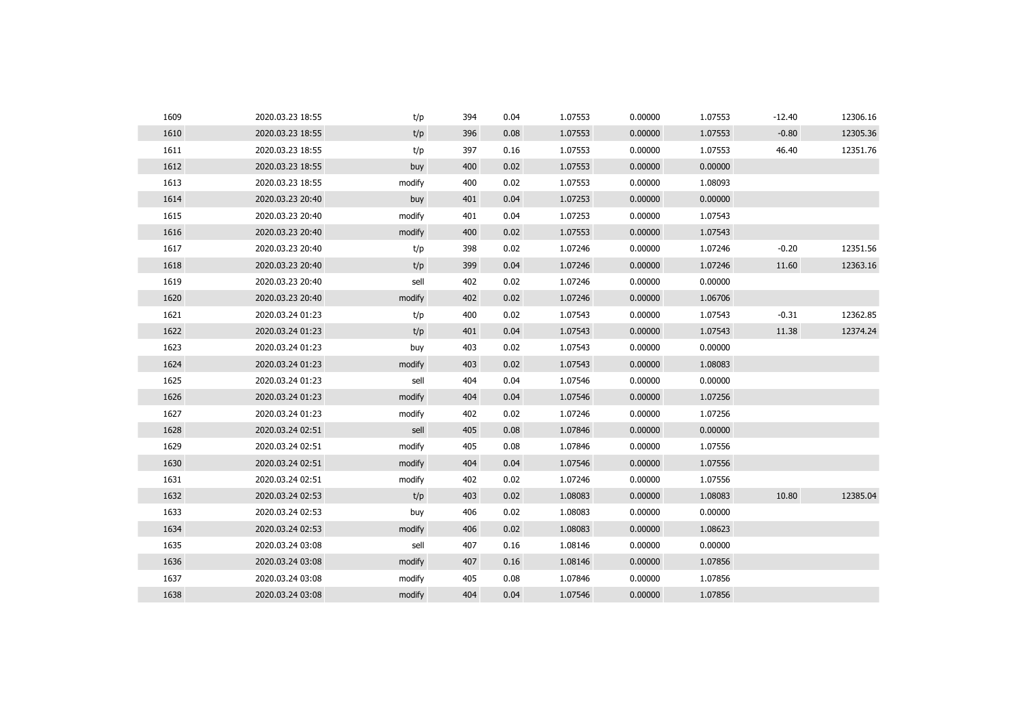| 1609 | 2020.03.23 18:55 | t/p    | 394 | 0.04 | 1.07553 | 0.00000 | 1.07553 | $-12.40$ | 12306.16 |
|------|------------------|--------|-----|------|---------|---------|---------|----------|----------|
| 1610 | 2020.03.23 18:55 | t/p    | 396 | 0.08 | 1.07553 | 0.00000 | 1.07553 | $-0.80$  | 12305.36 |
| 1611 | 2020.03.23 18:55 | t/p    | 397 | 0.16 | 1.07553 | 0.00000 | 1.07553 | 46.40    | 12351.76 |
| 1612 | 2020.03.23 18:55 | buy    | 400 | 0.02 | 1.07553 | 0.00000 | 0.00000 |          |          |
| 1613 | 2020.03.23 18:55 | modify | 400 | 0.02 | 1.07553 | 0.00000 | 1.08093 |          |          |
| 1614 | 2020.03.23 20:40 | buy    | 401 | 0.04 | 1.07253 | 0.00000 | 0.00000 |          |          |
| 1615 | 2020.03.23 20:40 | modify | 401 | 0.04 | 1.07253 | 0.00000 | 1.07543 |          |          |
| 1616 | 2020.03.23 20:40 | modify | 400 | 0.02 | 1.07553 | 0.00000 | 1.07543 |          |          |
| 1617 | 2020.03.23 20:40 | t/p    | 398 | 0.02 | 1.07246 | 0.00000 | 1.07246 | $-0.20$  | 12351.56 |
| 1618 | 2020.03.23 20:40 | t/p    | 399 | 0.04 | 1.07246 | 0.00000 | 1.07246 | 11.60    | 12363.16 |
| 1619 | 2020.03.23 20:40 | sell   | 402 | 0.02 | 1.07246 | 0.00000 | 0.00000 |          |          |
| 1620 | 2020.03.23 20:40 | modify | 402 | 0.02 | 1.07246 | 0.00000 | 1.06706 |          |          |
| 1621 | 2020.03.24 01:23 | t/p    | 400 | 0.02 | 1.07543 | 0.00000 | 1.07543 | $-0.31$  | 12362.85 |
| 1622 | 2020.03.24 01:23 | t/p    | 401 | 0.04 | 1.07543 | 0.00000 | 1.07543 | 11.38    | 12374.24 |
| 1623 | 2020.03.24 01:23 | buy    | 403 | 0.02 | 1.07543 | 0.00000 | 0.00000 |          |          |
| 1624 | 2020.03.24 01:23 | modify | 403 | 0.02 | 1.07543 | 0.00000 | 1.08083 |          |          |
| 1625 | 2020.03.24 01:23 | sell   | 404 | 0.04 | 1.07546 | 0.00000 | 0.00000 |          |          |
| 1626 | 2020.03.24 01:23 | modify | 404 | 0.04 | 1.07546 | 0.00000 | 1.07256 |          |          |
| 1627 | 2020.03.24 01:23 | modify | 402 | 0.02 | 1.07246 | 0.00000 | 1.07256 |          |          |
| 1628 | 2020.03.24 02:51 | sell   | 405 | 0.08 | 1.07846 | 0.00000 | 0.00000 |          |          |
| 1629 | 2020.03.24 02:51 | modify | 405 | 0.08 | 1.07846 | 0.00000 | 1.07556 |          |          |
| 1630 | 2020.03.24 02:51 | modify | 404 | 0.04 | 1.07546 | 0.00000 | 1.07556 |          |          |
| 1631 | 2020.03.24 02:51 | modify | 402 | 0.02 | 1.07246 | 0.00000 | 1.07556 |          |          |
| 1632 | 2020.03.24 02:53 | t/p    | 403 | 0.02 | 1.08083 | 0.00000 | 1.08083 | 10.80    | 12385.04 |
| 1633 | 2020.03.24 02:53 | buy    | 406 | 0.02 | 1.08083 | 0.00000 | 0.00000 |          |          |
| 1634 | 2020.03.24 02:53 | modify | 406 | 0.02 | 1.08083 | 0.00000 | 1.08623 |          |          |
| 1635 | 2020.03.24 03:08 | sell   | 407 | 0.16 | 1.08146 | 0.00000 | 0.00000 |          |          |
| 1636 | 2020.03.24 03:08 | modify | 407 | 0.16 | 1.08146 | 0.00000 | 1.07856 |          |          |
| 1637 | 2020.03.24 03:08 | modify | 405 | 0.08 | 1.07846 | 0.00000 | 1.07856 |          |          |
| 1638 | 2020.03.24 03:08 | modify | 404 | 0.04 | 1.07546 | 0.00000 | 1.07856 |          |          |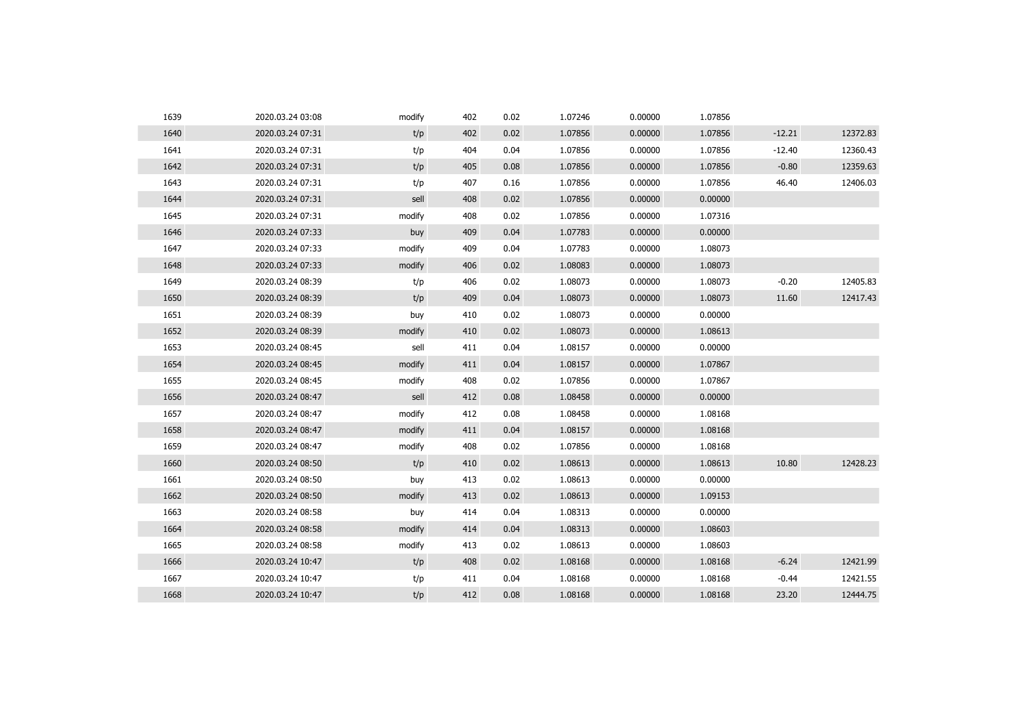| 1639 | 2020.03.24 03:08 | modify | 402 | 0.02 | 1.07246 | 0.00000 | 1.07856 |          |          |
|------|------------------|--------|-----|------|---------|---------|---------|----------|----------|
| 1640 | 2020.03.24 07:31 | t/p    | 402 | 0.02 | 1.07856 | 0.00000 | 1.07856 | $-12.21$ | 12372.83 |
| 1641 | 2020.03.24 07:31 | t/p    | 404 | 0.04 | 1.07856 | 0.00000 | 1.07856 | $-12.40$ | 12360.43 |
| 1642 | 2020.03.24 07:31 | t/p    | 405 | 0.08 | 1.07856 | 0.00000 | 1.07856 | $-0.80$  | 12359.63 |
| 1643 | 2020.03.24 07:31 | t/p    | 407 | 0.16 | 1.07856 | 0.00000 | 1.07856 | 46.40    | 12406.03 |
| 1644 | 2020.03.24 07:31 | sell   | 408 | 0.02 | 1.07856 | 0.00000 | 0.00000 |          |          |
| 1645 | 2020.03.24 07:31 | modify | 408 | 0.02 | 1.07856 | 0.00000 | 1.07316 |          |          |
| 1646 | 2020.03.24 07:33 | buy    | 409 | 0.04 | 1.07783 | 0.00000 | 0.00000 |          |          |
| 1647 | 2020.03.24 07:33 | modify | 409 | 0.04 | 1.07783 | 0.00000 | 1.08073 |          |          |
| 1648 | 2020.03.24 07:33 | modify | 406 | 0.02 | 1.08083 | 0.00000 | 1.08073 |          |          |
| 1649 | 2020.03.24 08:39 | t/p    | 406 | 0.02 | 1.08073 | 0.00000 | 1.08073 | $-0.20$  | 12405.83 |
| 1650 | 2020.03.24 08:39 | t/p    | 409 | 0.04 | 1.08073 | 0.00000 | 1.08073 | 11.60    | 12417.43 |
| 1651 | 2020.03.24 08:39 | buy    | 410 | 0.02 | 1.08073 | 0.00000 | 0.00000 |          |          |
| 1652 | 2020.03.24 08:39 | modify | 410 | 0.02 | 1.08073 | 0.00000 | 1.08613 |          |          |
| 1653 | 2020.03.24 08:45 | sell   | 411 | 0.04 | 1.08157 | 0.00000 | 0.00000 |          |          |
| 1654 | 2020.03.24 08:45 | modify | 411 | 0.04 | 1.08157 | 0.00000 | 1.07867 |          |          |
| 1655 | 2020.03.24 08:45 | modify | 408 | 0.02 | 1.07856 | 0.00000 | 1.07867 |          |          |
| 1656 | 2020.03.24 08:47 | sell   | 412 | 0.08 | 1.08458 | 0.00000 | 0.00000 |          |          |
| 1657 | 2020.03.24 08:47 | modify | 412 | 0.08 | 1.08458 | 0.00000 | 1.08168 |          |          |
| 1658 | 2020.03.24 08:47 | modify | 411 | 0.04 | 1.08157 | 0.00000 | 1.08168 |          |          |
| 1659 | 2020.03.24 08:47 | modify | 408 | 0.02 | 1.07856 | 0.00000 | 1.08168 |          |          |
| 1660 | 2020.03.24 08:50 | t/p    | 410 | 0.02 | 1.08613 | 0.00000 | 1.08613 | 10.80    | 12428.23 |
| 1661 | 2020.03.24 08:50 | buy    | 413 | 0.02 | 1.08613 | 0.00000 | 0.00000 |          |          |
| 1662 | 2020.03.24 08:50 | modify | 413 | 0.02 | 1.08613 | 0.00000 | 1.09153 |          |          |
| 1663 | 2020.03.24 08:58 | buy    | 414 | 0.04 | 1.08313 | 0.00000 | 0.00000 |          |          |
| 1664 | 2020.03.24 08:58 | modify | 414 | 0.04 | 1.08313 | 0.00000 | 1.08603 |          |          |
| 1665 | 2020.03.24 08:58 | modify | 413 | 0.02 | 1.08613 | 0.00000 | 1.08603 |          |          |
| 1666 | 2020.03.24 10:47 | t/p    | 408 | 0.02 | 1.08168 | 0.00000 | 1.08168 | $-6.24$  | 12421.99 |
| 1667 | 2020.03.24 10:47 | t/p    | 411 | 0.04 | 1.08168 | 0.00000 | 1.08168 | $-0.44$  | 12421.55 |
| 1668 | 2020.03.24 10:47 | t/p    | 412 | 0.08 | 1.08168 | 0.00000 | 1.08168 | 23.20    | 12444.75 |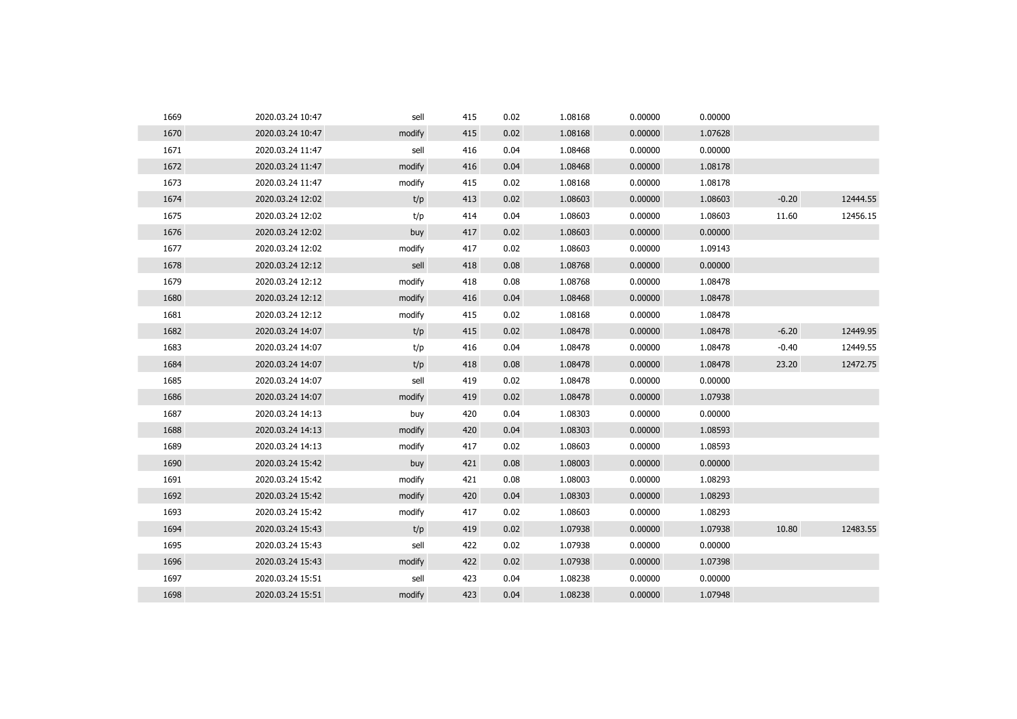| 1669 | 2020.03.24 10:47 | sell   | 415 | 0.02 | 1.08168 | 0.00000 | 0.00000 |         |          |
|------|------------------|--------|-----|------|---------|---------|---------|---------|----------|
| 1670 | 2020.03.24 10:47 | modify | 415 | 0.02 | 1.08168 | 0.00000 | 1.07628 |         |          |
| 1671 | 2020.03.24 11:47 | sell   | 416 | 0.04 | 1.08468 | 0.00000 | 0.00000 |         |          |
| 1672 | 2020.03.24 11:47 | modify | 416 | 0.04 | 1.08468 | 0.00000 | 1.08178 |         |          |
| 1673 | 2020.03.24 11:47 | modify | 415 | 0.02 | 1.08168 | 0.00000 | 1.08178 |         |          |
| 1674 | 2020.03.24 12:02 | t/p    | 413 | 0.02 | 1.08603 | 0.00000 | 1.08603 | $-0.20$ | 12444.55 |
| 1675 | 2020.03.24 12:02 | t/p    | 414 | 0.04 | 1.08603 | 0.00000 | 1.08603 | 11.60   | 12456.15 |
| 1676 | 2020.03.24 12:02 | buy    | 417 | 0.02 | 1.08603 | 0.00000 | 0.00000 |         |          |
| 1677 | 2020.03.24 12:02 | modify | 417 | 0.02 | 1.08603 | 0.00000 | 1.09143 |         |          |
| 1678 | 2020.03.24 12:12 | sell   | 418 | 0.08 | 1.08768 | 0.00000 | 0.00000 |         |          |
| 1679 | 2020.03.24 12:12 | modify | 418 | 0.08 | 1.08768 | 0.00000 | 1.08478 |         |          |
| 1680 | 2020.03.24 12:12 | modify | 416 | 0.04 | 1.08468 | 0.00000 | 1.08478 |         |          |
| 1681 | 2020.03.24 12:12 | modify | 415 | 0.02 | 1.08168 | 0.00000 | 1.08478 |         |          |
| 1682 | 2020.03.24 14:07 | t/p    | 415 | 0.02 | 1.08478 | 0.00000 | 1.08478 | $-6.20$ | 12449.95 |
| 1683 | 2020.03.24 14:07 | t/p    | 416 | 0.04 | 1.08478 | 0.00000 | 1.08478 | $-0.40$ | 12449.55 |
| 1684 | 2020.03.24 14:07 | t/p    | 418 | 0.08 | 1.08478 | 0.00000 | 1.08478 | 23.20   | 12472.75 |
| 1685 | 2020.03.24 14:07 | sell   | 419 | 0.02 | 1.08478 | 0.00000 | 0.00000 |         |          |
| 1686 | 2020.03.24 14:07 | modify | 419 | 0.02 | 1.08478 | 0.00000 | 1.07938 |         |          |
| 1687 | 2020.03.24 14:13 | buy    | 420 | 0.04 | 1.08303 | 0.00000 | 0.00000 |         |          |
| 1688 | 2020.03.24 14:13 | modify | 420 | 0.04 | 1.08303 | 0.00000 | 1.08593 |         |          |
| 1689 | 2020.03.24 14:13 | modify | 417 | 0.02 | 1.08603 | 0.00000 | 1.08593 |         |          |
| 1690 | 2020.03.24 15:42 | buy    | 421 | 0.08 | 1.08003 | 0.00000 | 0.00000 |         |          |
| 1691 | 2020.03.24 15:42 | modify | 421 | 0.08 | 1.08003 | 0.00000 | 1.08293 |         |          |
| 1692 | 2020.03.24 15:42 | modify | 420 | 0.04 | 1.08303 | 0.00000 | 1.08293 |         |          |
| 1693 | 2020.03.24 15:42 | modify | 417 | 0.02 | 1.08603 | 0.00000 | 1.08293 |         |          |
| 1694 | 2020.03.24 15:43 | t/p    | 419 | 0.02 | 1.07938 | 0.00000 | 1.07938 | 10.80   | 12483.55 |
| 1695 | 2020.03.24 15:43 | sell   | 422 | 0.02 | 1.07938 | 0.00000 | 0.00000 |         |          |
| 1696 | 2020.03.24 15:43 | modify | 422 | 0.02 | 1.07938 | 0.00000 | 1.07398 |         |          |
| 1697 | 2020.03.24 15:51 | sell   | 423 | 0.04 | 1.08238 | 0.00000 | 0.00000 |         |          |
| 1698 | 2020.03.24 15:51 | modify | 423 | 0.04 | 1.08238 | 0.00000 | 1.07948 |         |          |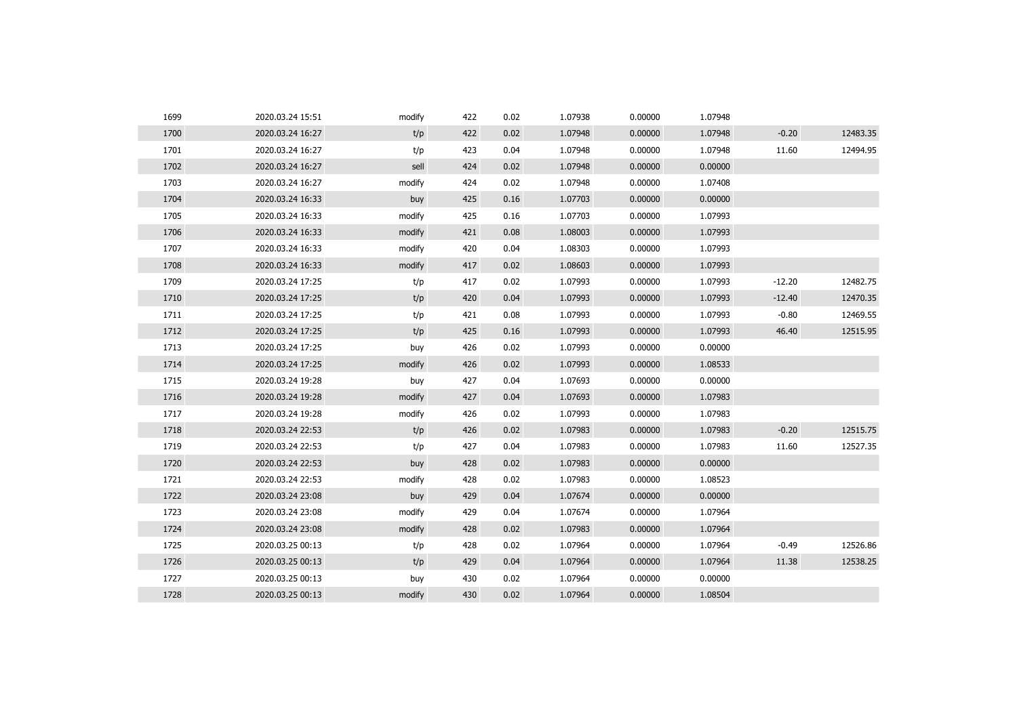| 1699 | 2020.03.24 15:51 | modify | 422 | 0.02 | 1.07938 | 0.00000 | 1.07948 |          |          |
|------|------------------|--------|-----|------|---------|---------|---------|----------|----------|
| 1700 | 2020.03.24 16:27 | t/p    | 422 | 0.02 | 1.07948 | 0.00000 | 1.07948 | $-0.20$  | 12483.35 |
| 1701 | 2020.03.24 16:27 | t/p    | 423 | 0.04 | 1.07948 | 0.00000 | 1.07948 | 11.60    | 12494.95 |
| 1702 | 2020.03.24 16:27 | sell   | 424 | 0.02 | 1.07948 | 0.00000 | 0.00000 |          |          |
| 1703 | 2020.03.24 16:27 | modify | 424 | 0.02 | 1.07948 | 0.00000 | 1.07408 |          |          |
| 1704 | 2020.03.24 16:33 | buy    | 425 | 0.16 | 1.07703 | 0.00000 | 0.00000 |          |          |
| 1705 | 2020.03.24 16:33 | modify | 425 | 0.16 | 1.07703 | 0.00000 | 1.07993 |          |          |
| 1706 | 2020.03.24 16:33 | modify | 421 | 0.08 | 1.08003 | 0.00000 | 1.07993 |          |          |
| 1707 | 2020.03.24 16:33 | modify | 420 | 0.04 | 1.08303 | 0.00000 | 1.07993 |          |          |
| 1708 | 2020.03.24 16:33 | modify | 417 | 0.02 | 1.08603 | 0.00000 | 1.07993 |          |          |
| 1709 | 2020.03.24 17:25 | t/p    | 417 | 0.02 | 1.07993 | 0.00000 | 1.07993 | $-12.20$ | 12482.75 |
| 1710 | 2020.03.24 17:25 | t/p    | 420 | 0.04 | 1.07993 | 0.00000 | 1.07993 | $-12.40$ | 12470.35 |
| 1711 | 2020.03.24 17:25 | t/p    | 421 | 0.08 | 1.07993 | 0.00000 | 1.07993 | $-0.80$  | 12469.55 |
| 1712 | 2020.03.24 17:25 | t/p    | 425 | 0.16 | 1.07993 | 0.00000 | 1.07993 | 46.40    | 12515.95 |
| 1713 | 2020.03.24 17:25 | buy    | 426 | 0.02 | 1.07993 | 0.00000 | 0.00000 |          |          |
| 1714 | 2020.03.24 17:25 | modify | 426 | 0.02 | 1.07993 | 0.00000 | 1.08533 |          |          |
| 1715 | 2020.03.24 19:28 | buy    | 427 | 0.04 | 1.07693 | 0.00000 | 0.00000 |          |          |
| 1716 | 2020.03.24 19:28 | modify | 427 | 0.04 | 1.07693 | 0.00000 | 1.07983 |          |          |
| 1717 | 2020.03.24 19:28 | modify | 426 | 0.02 | 1.07993 | 0.00000 | 1.07983 |          |          |
| 1718 | 2020.03.24 22:53 | t/p    | 426 | 0.02 | 1.07983 | 0.00000 | 1.07983 | $-0.20$  | 12515.75 |
| 1719 | 2020.03.24 22:53 | t/p    | 427 | 0.04 | 1.07983 | 0.00000 | 1.07983 | 11.60    | 12527.35 |
| 1720 | 2020.03.24 22:53 | buy    | 428 | 0.02 | 1.07983 | 0.00000 | 0.00000 |          |          |
| 1721 | 2020.03.24 22:53 | modify | 428 | 0.02 | 1.07983 | 0.00000 | 1.08523 |          |          |
| 1722 | 2020.03.24 23:08 | buy    | 429 | 0.04 | 1.07674 | 0.00000 | 0.00000 |          |          |
| 1723 | 2020.03.24 23:08 | modify | 429 | 0.04 | 1.07674 | 0.00000 | 1.07964 |          |          |
| 1724 | 2020.03.24 23:08 | modify | 428 | 0.02 | 1.07983 | 0.00000 | 1.07964 |          |          |
| 1725 | 2020.03.25 00:13 | t/p    | 428 | 0.02 | 1.07964 | 0.00000 | 1.07964 | $-0.49$  | 12526.86 |
| 1726 | 2020.03.25 00:13 | t/p    | 429 | 0.04 | 1.07964 | 0.00000 | 1.07964 | 11.38    | 12538.25 |
| 1727 | 2020.03.25 00:13 | buy    | 430 | 0.02 | 1.07964 | 0.00000 | 0.00000 |          |          |
| 1728 | 2020.03.25 00:13 | modify | 430 | 0.02 | 1.07964 | 0.00000 | 1.08504 |          |          |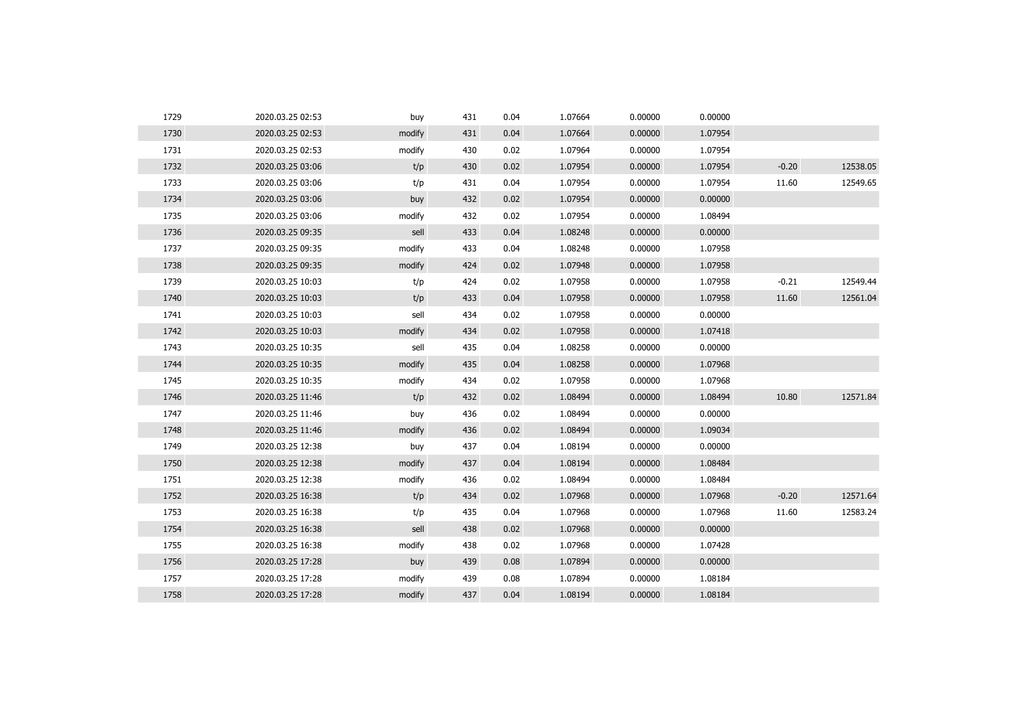| 1729 | 2020.03.25 02:53 | buy    | 431 | 0.04 | 1.07664 | 0.00000 | 0.00000 |         |          |
|------|------------------|--------|-----|------|---------|---------|---------|---------|----------|
| 1730 | 2020.03.25 02:53 | modify | 431 | 0.04 | 1.07664 | 0.00000 | 1.07954 |         |          |
| 1731 | 2020.03.25 02:53 | modify | 430 | 0.02 | 1.07964 | 0.00000 | 1.07954 |         |          |
| 1732 | 2020.03.25 03:06 | t/p    | 430 | 0.02 | 1.07954 | 0.00000 | 1.07954 | $-0.20$ | 12538.05 |
| 1733 | 2020.03.25 03:06 | t/p    | 431 | 0.04 | 1.07954 | 0.00000 | 1.07954 | 11.60   | 12549.65 |
| 1734 | 2020.03.25 03:06 | buy    | 432 | 0.02 | 1.07954 | 0.00000 | 0.00000 |         |          |
| 1735 | 2020.03.25 03:06 | modify | 432 | 0.02 | 1.07954 | 0.00000 | 1.08494 |         |          |
| 1736 | 2020.03.25 09:35 | sell   | 433 | 0.04 | 1.08248 | 0.00000 | 0.00000 |         |          |
| 1737 | 2020.03.25 09:35 | modify | 433 | 0.04 | 1.08248 | 0.00000 | 1.07958 |         |          |
| 1738 | 2020.03.25 09:35 | modify | 424 | 0.02 | 1.07948 | 0.00000 | 1.07958 |         |          |
| 1739 | 2020.03.25 10:03 | t/p    | 424 | 0.02 | 1.07958 | 0.00000 | 1.07958 | $-0.21$ | 12549.44 |
| 1740 | 2020.03.25 10:03 | t/p    | 433 | 0.04 | 1.07958 | 0.00000 | 1.07958 | 11.60   | 12561.04 |
| 1741 | 2020.03.25 10:03 | sell   | 434 | 0.02 | 1.07958 | 0.00000 | 0.00000 |         |          |
| 1742 | 2020.03.25 10:03 | modify | 434 | 0.02 | 1.07958 | 0.00000 | 1.07418 |         |          |
| 1743 | 2020.03.25 10:35 | sell   | 435 | 0.04 | 1.08258 | 0.00000 | 0.00000 |         |          |
| 1744 | 2020.03.25 10:35 | modify | 435 | 0.04 | 1.08258 | 0.00000 | 1.07968 |         |          |
| 1745 | 2020.03.25 10:35 | modify | 434 | 0.02 | 1.07958 | 0.00000 | 1.07968 |         |          |
| 1746 | 2020.03.25 11:46 | t/p    | 432 | 0.02 | 1.08494 | 0.00000 | 1.08494 | 10.80   | 12571.84 |
| 1747 | 2020.03.25 11:46 | buy    | 436 | 0.02 | 1.08494 | 0.00000 | 0.00000 |         |          |
| 1748 | 2020.03.25 11:46 | modify | 436 | 0.02 | 1.08494 | 0.00000 | 1.09034 |         |          |
| 1749 | 2020.03.25 12:38 | buy    | 437 | 0.04 | 1.08194 | 0.00000 | 0.00000 |         |          |
| 1750 | 2020.03.25 12:38 | modify | 437 | 0.04 | 1.08194 | 0.00000 | 1.08484 |         |          |
| 1751 | 2020.03.25 12:38 | modify | 436 | 0.02 | 1.08494 | 0.00000 | 1.08484 |         |          |
| 1752 | 2020.03.25 16:38 | t/p    | 434 | 0.02 | 1.07968 | 0.00000 | 1.07968 | $-0.20$ | 12571.64 |
| 1753 | 2020.03.25 16:38 | t/p    | 435 | 0.04 | 1.07968 | 0.00000 | 1.07968 | 11.60   | 12583.24 |
| 1754 | 2020.03.25 16:38 | sell   | 438 | 0.02 | 1.07968 | 0.00000 | 0.00000 |         |          |
| 1755 | 2020.03.25 16:38 | modify | 438 | 0.02 | 1.07968 | 0.00000 | 1.07428 |         |          |
| 1756 | 2020.03.25 17:28 | buy    | 439 | 0.08 | 1.07894 | 0.00000 | 0.00000 |         |          |
| 1757 | 2020.03.25 17:28 | modify | 439 | 0.08 | 1.07894 | 0.00000 | 1.08184 |         |          |
| 1758 | 2020.03.25 17:28 | modify | 437 | 0.04 | 1.08194 | 0.00000 | 1.08184 |         |          |
|      |                  |        |     |      |         |         |         |         |          |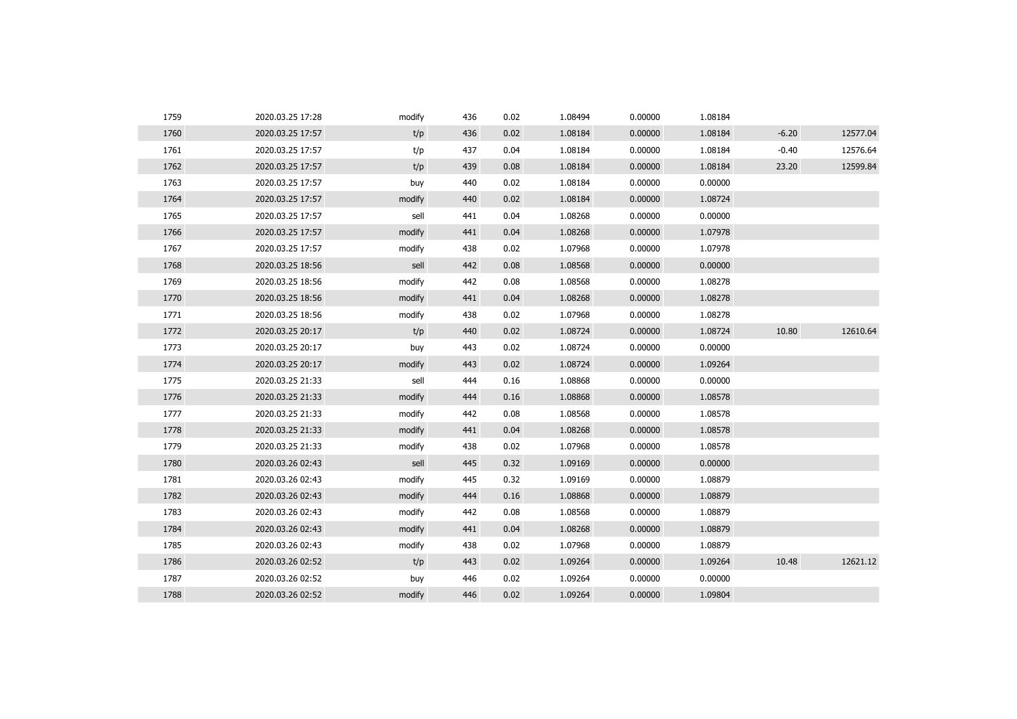| 1759 | 2020.03.25 17:28 | modify | 436 | 0.02 | 1.08494 | 0.00000 | 1.08184 |         |          |
|------|------------------|--------|-----|------|---------|---------|---------|---------|----------|
| 1760 | 2020.03.25 17:57 | t/p    | 436 | 0.02 | 1.08184 | 0.00000 | 1.08184 | $-6.20$ | 12577.04 |
| 1761 | 2020.03.25 17:57 | t/p    | 437 | 0.04 | 1.08184 | 0.00000 | 1.08184 | $-0.40$ | 12576.64 |
| 1762 | 2020.03.25 17:57 | t/p    | 439 | 0.08 | 1.08184 | 0.00000 | 1.08184 | 23.20   | 12599.84 |
| 1763 | 2020.03.25 17:57 | buy    | 440 | 0.02 | 1.08184 | 0.00000 | 0.00000 |         |          |
| 1764 | 2020.03.25 17:57 | modify | 440 | 0.02 | 1.08184 | 0.00000 | 1.08724 |         |          |
| 1765 | 2020.03.25 17:57 | sell   | 441 | 0.04 | 1.08268 | 0.00000 | 0.00000 |         |          |
| 1766 | 2020.03.25 17:57 | modify | 441 | 0.04 | 1.08268 | 0.00000 | 1.07978 |         |          |
| 1767 | 2020.03.25 17:57 | modify | 438 | 0.02 | 1.07968 | 0.00000 | 1.07978 |         |          |
| 1768 | 2020.03.25 18:56 | sell   | 442 | 0.08 | 1.08568 | 0.00000 | 0.00000 |         |          |
| 1769 | 2020.03.25 18:56 | modify | 442 | 0.08 | 1.08568 | 0.00000 | 1.08278 |         |          |
| 1770 | 2020.03.25 18:56 | modify | 441 | 0.04 | 1.08268 | 0.00000 | 1.08278 |         |          |
| 1771 | 2020.03.25 18:56 | modify | 438 | 0.02 | 1.07968 | 0.00000 | 1.08278 |         |          |
| 1772 | 2020.03.25 20:17 | t/p    | 440 | 0.02 | 1.08724 | 0.00000 | 1.08724 | 10.80   | 12610.64 |
| 1773 | 2020.03.25 20:17 | buy    | 443 | 0.02 | 1.08724 | 0.00000 | 0.00000 |         |          |
| 1774 | 2020.03.25 20:17 | modify | 443 | 0.02 | 1.08724 | 0.00000 | 1.09264 |         |          |
| 1775 | 2020.03.25 21:33 | sell   | 444 | 0.16 | 1.08868 | 0.00000 | 0.00000 |         |          |
| 1776 | 2020.03.25 21:33 | modify | 444 | 0.16 | 1.08868 | 0.00000 | 1.08578 |         |          |
| 1777 | 2020.03.25 21:33 | modify | 442 | 0.08 | 1.08568 | 0.00000 | 1.08578 |         |          |
| 1778 | 2020.03.25 21:33 | modify | 441 | 0.04 | 1.08268 | 0.00000 | 1.08578 |         |          |
| 1779 | 2020.03.25 21:33 | modify | 438 | 0.02 | 1.07968 | 0.00000 | 1.08578 |         |          |
| 1780 | 2020.03.26 02:43 | sell   | 445 | 0.32 | 1.09169 | 0.00000 | 0.00000 |         |          |
| 1781 | 2020.03.26 02:43 | modify | 445 | 0.32 | 1.09169 | 0.00000 | 1.08879 |         |          |
| 1782 | 2020.03.26 02:43 | modify | 444 | 0.16 | 1.08868 | 0.00000 | 1.08879 |         |          |
| 1783 | 2020.03.26 02:43 | modify | 442 | 0.08 | 1.08568 | 0.00000 | 1.08879 |         |          |
| 1784 | 2020.03.26 02:43 | modify | 441 | 0.04 | 1.08268 | 0.00000 | 1.08879 |         |          |
| 1785 | 2020.03.26 02:43 | modify | 438 | 0.02 | 1.07968 | 0.00000 | 1.08879 |         |          |
| 1786 | 2020.03.26 02:52 | t/p    | 443 | 0.02 | 1.09264 | 0.00000 | 1.09264 | 10.48   | 12621.12 |
| 1787 | 2020.03.26 02:52 | buy    | 446 | 0.02 | 1.09264 | 0.00000 | 0.00000 |         |          |
| 1788 | 2020.03.26 02:52 | modify | 446 | 0.02 | 1.09264 | 0.00000 | 1.09804 |         |          |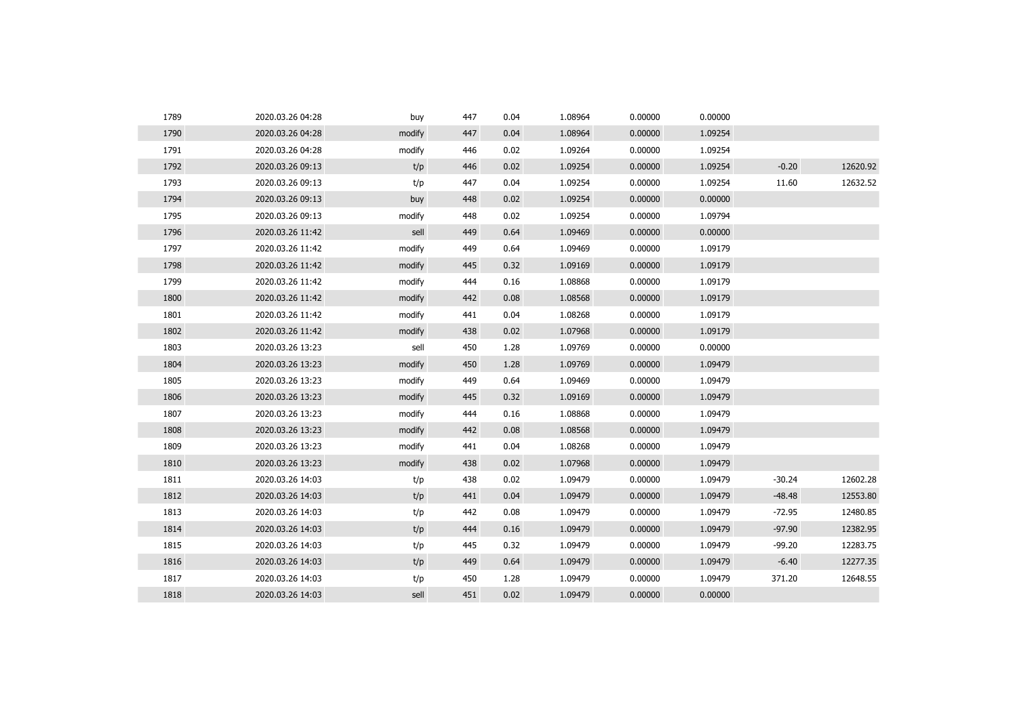| 1789 | 2020.03.26 04:28 | buy    | 447 | 0.04 | 1.08964 | 0.00000 | 0.00000 |          |          |
|------|------------------|--------|-----|------|---------|---------|---------|----------|----------|
| 1790 | 2020.03.26 04:28 | modify | 447 | 0.04 | 1.08964 | 0.00000 | 1.09254 |          |          |
| 1791 | 2020.03.26 04:28 | modify | 446 | 0.02 | 1.09264 | 0.00000 | 1.09254 |          |          |
| 1792 | 2020.03.26 09:13 | t/p    | 446 | 0.02 | 1.09254 | 0.00000 | 1.09254 | $-0.20$  | 12620.92 |
| 1793 | 2020.03.26 09:13 | t/p    | 447 | 0.04 | 1.09254 | 0.00000 | 1.09254 | 11.60    | 12632.52 |
| 1794 | 2020.03.26 09:13 | buy    | 448 | 0.02 | 1.09254 | 0.00000 | 0.00000 |          |          |
| 1795 | 2020.03.26 09:13 | modify | 448 | 0.02 | 1.09254 | 0.00000 | 1.09794 |          |          |
| 1796 | 2020.03.26 11:42 | sell   | 449 | 0.64 | 1.09469 | 0.00000 | 0.00000 |          |          |
| 1797 | 2020.03.26 11:42 | modify | 449 | 0.64 | 1.09469 | 0.00000 | 1.09179 |          |          |
| 1798 | 2020.03.26 11:42 | modify | 445 | 0.32 | 1.09169 | 0.00000 | 1.09179 |          |          |
| 1799 | 2020.03.26 11:42 | modify | 444 | 0.16 | 1.08868 | 0.00000 | 1.09179 |          |          |
| 1800 | 2020.03.26 11:42 | modify | 442 | 0.08 | 1.08568 | 0.00000 | 1.09179 |          |          |
| 1801 | 2020.03.26 11:42 | modify | 441 | 0.04 | 1.08268 | 0.00000 | 1.09179 |          |          |
| 1802 | 2020.03.26 11:42 | modify | 438 | 0.02 | 1.07968 | 0.00000 | 1.09179 |          |          |
| 1803 | 2020.03.26 13:23 | sell   | 450 | 1.28 | 1.09769 | 0.00000 | 0.00000 |          |          |
| 1804 | 2020.03.26 13:23 | modify | 450 | 1.28 | 1.09769 | 0.00000 | 1.09479 |          |          |
| 1805 | 2020.03.26 13:23 | modify | 449 | 0.64 | 1.09469 | 0.00000 | 1.09479 |          |          |
| 1806 | 2020.03.26 13:23 | modify | 445 | 0.32 | 1.09169 | 0.00000 | 1.09479 |          |          |
| 1807 | 2020.03.26 13:23 | modify | 444 | 0.16 | 1.08868 | 0.00000 | 1.09479 |          |          |
| 1808 | 2020.03.26 13:23 | modify | 442 | 0.08 | 1.08568 | 0.00000 | 1.09479 |          |          |
| 1809 | 2020.03.26 13:23 | modify | 441 | 0.04 | 1.08268 | 0.00000 | 1.09479 |          |          |
| 1810 | 2020.03.26 13:23 | modify | 438 | 0.02 | 1.07968 | 0.00000 | 1.09479 |          |          |
| 1811 | 2020.03.26 14:03 | t/p    | 438 | 0.02 | 1.09479 | 0.00000 | 1.09479 | $-30.24$ | 12602.28 |
| 1812 | 2020.03.26 14:03 | t/p    | 441 | 0.04 | 1.09479 | 0.00000 | 1.09479 | $-48.48$ | 12553.80 |
| 1813 | 2020.03.26 14:03 | t/p    | 442 | 0.08 | 1.09479 | 0.00000 | 1.09479 | $-72.95$ | 12480.85 |
| 1814 | 2020.03.26 14:03 | t/p    | 444 | 0.16 | 1.09479 | 0.00000 | 1.09479 | $-97.90$ | 12382.95 |
| 1815 | 2020.03.26 14:03 | t/p    | 445 | 0.32 | 1.09479 | 0.00000 | 1.09479 | $-99.20$ | 12283.75 |
| 1816 | 2020.03.26 14:03 | t/p    | 449 | 0.64 | 1.09479 | 0.00000 | 1.09479 | $-6.40$  | 12277.35 |
| 1817 | 2020.03.26 14:03 | t/p    | 450 | 1.28 | 1.09479 | 0.00000 | 1.09479 | 371.20   | 12648.55 |
| 1818 | 2020.03.26 14:03 | sell   | 451 | 0.02 | 1.09479 | 0.00000 | 0.00000 |          |          |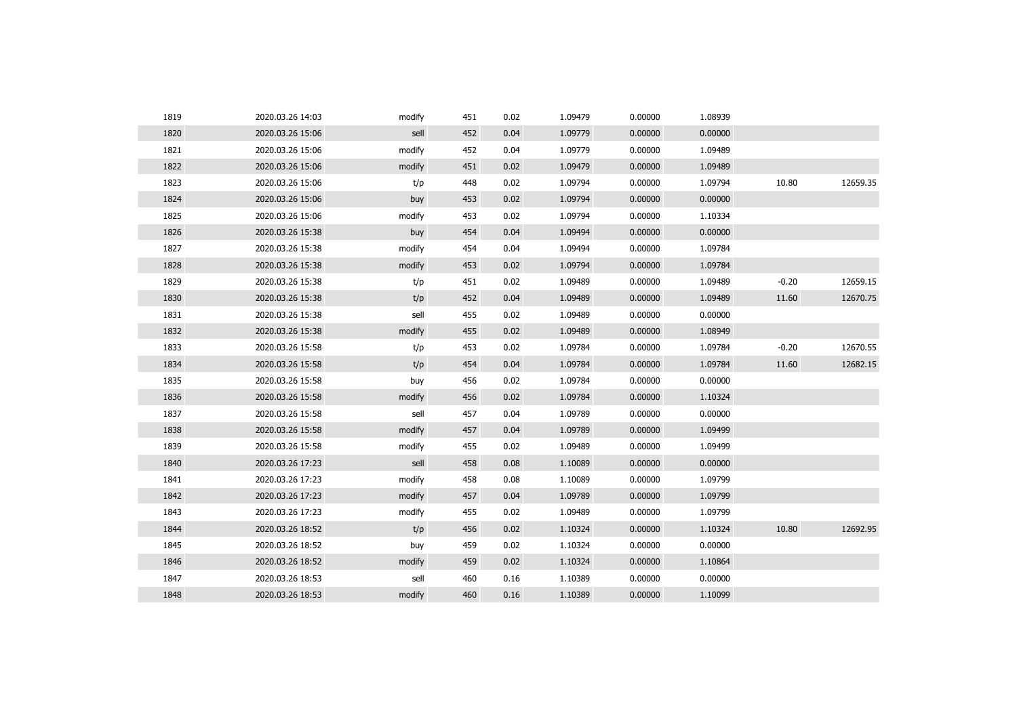| 1819 | 2020.03.26 14:03 | modify | 451 | 0.02 | 1.09479 | 0.00000 | 1.08939 |         |          |
|------|------------------|--------|-----|------|---------|---------|---------|---------|----------|
| 1820 | 2020.03.26 15:06 | sell   | 452 | 0.04 | 1.09779 | 0.00000 | 0.00000 |         |          |
| 1821 | 2020.03.26 15:06 | modify | 452 | 0.04 | 1.09779 | 0.00000 | 1.09489 |         |          |
| 1822 | 2020.03.26 15:06 | modify | 451 | 0.02 | 1.09479 | 0.00000 | 1.09489 |         |          |
| 1823 | 2020.03.26 15:06 | t/p    | 448 | 0.02 | 1.09794 | 0.00000 | 1.09794 | 10.80   | 12659.35 |
| 1824 | 2020.03.26 15:06 | buy    | 453 | 0.02 | 1.09794 | 0.00000 | 0.00000 |         |          |
| 1825 | 2020.03.26 15:06 | modify | 453 | 0.02 | 1.09794 | 0.00000 | 1.10334 |         |          |
| 1826 | 2020.03.26 15:38 | buy    | 454 | 0.04 | 1.09494 | 0.00000 | 0.00000 |         |          |
| 1827 | 2020.03.26 15:38 | modify | 454 | 0.04 | 1.09494 | 0.00000 | 1.09784 |         |          |
| 1828 | 2020.03.26 15:38 | modify | 453 | 0.02 | 1.09794 | 0.00000 | 1.09784 |         |          |
| 1829 | 2020.03.26 15:38 | t/p    | 451 | 0.02 | 1.09489 | 0.00000 | 1.09489 | $-0.20$ | 12659.15 |
| 1830 | 2020.03.26 15:38 | t/p    | 452 | 0.04 | 1.09489 | 0.00000 | 1.09489 | 11.60   | 12670.75 |
| 1831 | 2020.03.26 15:38 | sell   | 455 | 0.02 | 1.09489 | 0.00000 | 0.00000 |         |          |
| 1832 | 2020.03.26 15:38 | modify | 455 | 0.02 | 1.09489 | 0.00000 | 1.08949 |         |          |
| 1833 | 2020.03.26 15:58 | t/p    | 453 | 0.02 | 1.09784 | 0.00000 | 1.09784 | $-0.20$ | 12670.55 |
| 1834 | 2020.03.26 15:58 | t/p    | 454 | 0.04 | 1.09784 | 0.00000 | 1.09784 | 11.60   | 12682.15 |
| 1835 | 2020.03.26 15:58 | buy    | 456 | 0.02 | 1.09784 | 0.00000 | 0.00000 |         |          |
| 1836 | 2020.03.26 15:58 | modify | 456 | 0.02 | 1.09784 | 0.00000 | 1.10324 |         |          |
| 1837 | 2020.03.26 15:58 | sell   | 457 | 0.04 | 1.09789 | 0.00000 | 0.00000 |         |          |
| 1838 | 2020.03.26 15:58 | modify | 457 | 0.04 | 1.09789 | 0.00000 | 1.09499 |         |          |
| 1839 | 2020.03.26 15:58 | modify | 455 | 0.02 | 1.09489 | 0.00000 | 1.09499 |         |          |
| 1840 | 2020.03.26 17:23 | sell   | 458 | 0.08 | 1.10089 | 0.00000 | 0.00000 |         |          |
| 1841 | 2020.03.26 17:23 | modify | 458 | 0.08 | 1.10089 | 0.00000 | 1.09799 |         |          |
| 1842 | 2020.03.26 17:23 | modify | 457 | 0.04 | 1.09789 | 0.00000 | 1.09799 |         |          |
| 1843 | 2020.03.26 17:23 | modify | 455 | 0.02 | 1.09489 | 0.00000 | 1.09799 |         |          |
| 1844 | 2020.03.26 18:52 | t/p    | 456 | 0.02 | 1.10324 | 0.00000 | 1.10324 | 10.80   | 12692.95 |
| 1845 | 2020.03.26 18:52 | buy    | 459 | 0.02 | 1.10324 | 0.00000 | 0.00000 |         |          |
| 1846 | 2020.03.26 18:52 | modify | 459 | 0.02 | 1.10324 | 0.00000 | 1.10864 |         |          |
| 1847 | 2020.03.26 18:53 | sell   | 460 | 0.16 | 1.10389 | 0.00000 | 0.00000 |         |          |
| 1848 | 2020.03.26 18:53 | modify | 460 | 0.16 | 1.10389 | 0.00000 | 1.10099 |         |          |
|      |                  |        |     |      |         |         |         |         |          |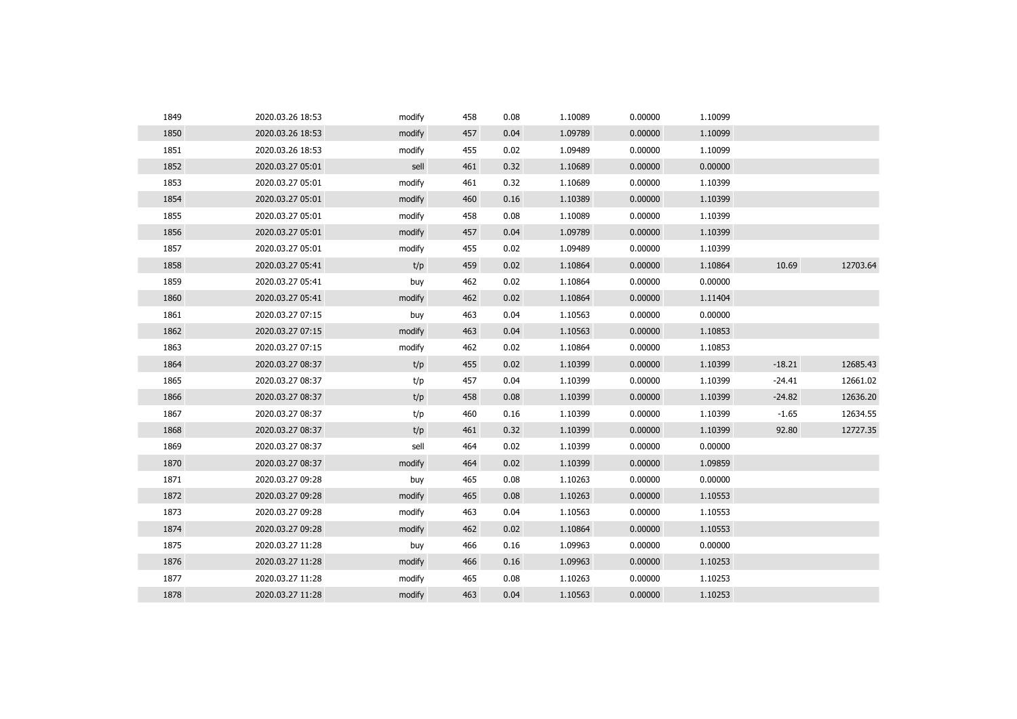| 1849 | 2020.03.26 18:53 | modify | 458 | 0.08 | 1.10089 | 0.00000 | 1.10099 |          |          |
|------|------------------|--------|-----|------|---------|---------|---------|----------|----------|
| 1850 | 2020.03.26 18:53 | modify | 457 | 0.04 | 1.09789 | 0.00000 | 1.10099 |          |          |
| 1851 | 2020.03.26 18:53 | modify | 455 | 0.02 | 1.09489 | 0.00000 | 1.10099 |          |          |
| 1852 | 2020.03.27 05:01 | sell   | 461 | 0.32 | 1.10689 | 0.00000 | 0.00000 |          |          |
| 1853 | 2020.03.27 05:01 | modify | 461 | 0.32 | 1.10689 | 0.00000 | 1.10399 |          |          |
| 1854 | 2020.03.27 05:01 | modify | 460 | 0.16 | 1.10389 | 0.00000 | 1.10399 |          |          |
| 1855 | 2020.03.27 05:01 | modify | 458 | 0.08 | 1.10089 | 0.00000 | 1.10399 |          |          |
| 1856 | 2020.03.27 05:01 | modify | 457 | 0.04 | 1.09789 | 0.00000 | 1.10399 |          |          |
| 1857 | 2020.03.27 05:01 | modify | 455 | 0.02 | 1.09489 | 0.00000 | 1.10399 |          |          |
| 1858 | 2020.03.27 05:41 | t/p    | 459 | 0.02 | 1.10864 | 0.00000 | 1.10864 | 10.69    | 12703.64 |
| 1859 | 2020.03.27 05:41 | buy    | 462 | 0.02 | 1.10864 | 0.00000 | 0.00000 |          |          |
| 1860 | 2020.03.27 05:41 | modify | 462 | 0.02 | 1.10864 | 0.00000 | 1.11404 |          |          |
| 1861 | 2020.03.27 07:15 | buy    | 463 | 0.04 | 1.10563 | 0.00000 | 0.00000 |          |          |
| 1862 | 2020.03.27 07:15 | modify | 463 | 0.04 | 1.10563 | 0.00000 | 1.10853 |          |          |
| 1863 | 2020.03.27 07:15 | modify | 462 | 0.02 | 1.10864 | 0.00000 | 1.10853 |          |          |
| 1864 | 2020.03.27 08:37 | t/p    | 455 | 0.02 | 1.10399 | 0.00000 | 1.10399 | $-18.21$ | 12685.43 |
| 1865 | 2020.03.27 08:37 | t/p    | 457 | 0.04 | 1.10399 | 0.00000 | 1.10399 | $-24.41$ | 12661.02 |
| 1866 | 2020.03.27 08:37 | t/p    | 458 | 0.08 | 1.10399 | 0.00000 | 1.10399 | $-24.82$ | 12636.20 |
| 1867 | 2020.03.27 08:37 | t/p    | 460 | 0.16 | 1.10399 | 0.00000 | 1.10399 | $-1.65$  | 12634.55 |
| 1868 | 2020.03.27 08:37 | t/p    | 461 | 0.32 | 1.10399 | 0.00000 | 1.10399 | 92.80    | 12727.35 |
| 1869 | 2020.03.27 08:37 | sell   | 464 | 0.02 | 1.10399 | 0.00000 | 0.00000 |          |          |
| 1870 | 2020.03.27 08:37 | modify | 464 | 0.02 | 1.10399 | 0.00000 | 1.09859 |          |          |
| 1871 | 2020.03.27 09:28 | buy    | 465 | 0.08 | 1.10263 | 0.00000 | 0.00000 |          |          |
| 1872 | 2020.03.27 09:28 | modify | 465 | 0.08 | 1.10263 | 0.00000 | 1.10553 |          |          |
| 1873 | 2020.03.27 09:28 | modify | 463 | 0.04 | 1.10563 | 0.00000 | 1.10553 |          |          |
| 1874 | 2020.03.27 09:28 | modify | 462 | 0.02 | 1.10864 | 0.00000 | 1.10553 |          |          |
| 1875 | 2020.03.27 11:28 | buy    | 466 | 0.16 | 1.09963 | 0.00000 | 0.00000 |          |          |
| 1876 | 2020.03.27 11:28 | modify | 466 | 0.16 | 1.09963 | 0.00000 | 1.10253 |          |          |
| 1877 | 2020.03.27 11:28 | modify | 465 | 0.08 | 1.10263 | 0.00000 | 1.10253 |          |          |
| 1878 | 2020.03.27 11:28 | modify | 463 | 0.04 | 1.10563 | 0.00000 | 1.10253 |          |          |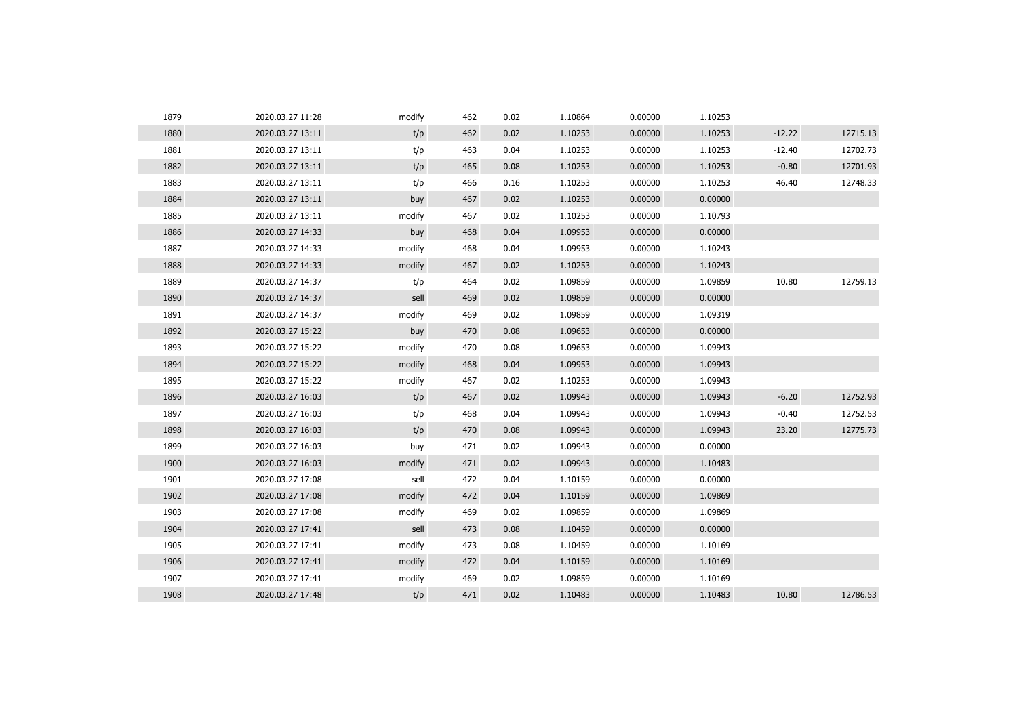| 1879 | 2020.03.27 11:28 | modify | 462 | 0.02 | 1.10864 | 0.00000 | 1.10253 |          |          |
|------|------------------|--------|-----|------|---------|---------|---------|----------|----------|
| 1880 | 2020.03.27 13:11 | t/p    | 462 | 0.02 | 1.10253 | 0.00000 | 1.10253 | $-12.22$ | 12715.13 |
| 1881 | 2020.03.27 13:11 | t/p    | 463 | 0.04 | 1.10253 | 0.00000 | 1.10253 | $-12.40$ | 12702.73 |
| 1882 | 2020.03.27 13:11 | t/p    | 465 | 0.08 | 1.10253 | 0.00000 | 1.10253 | $-0.80$  | 12701.93 |
| 1883 | 2020.03.27 13:11 | t/p    | 466 | 0.16 | 1.10253 | 0.00000 | 1.10253 | 46.40    | 12748.33 |
| 1884 | 2020.03.27 13:11 | buy    | 467 | 0.02 | 1.10253 | 0.00000 | 0.00000 |          |          |
| 1885 | 2020.03.27 13:11 | modify | 467 | 0.02 | 1.10253 | 0.00000 | 1.10793 |          |          |
| 1886 | 2020.03.27 14:33 | buy    | 468 | 0.04 | 1.09953 | 0.00000 | 0.00000 |          |          |
| 1887 | 2020.03.27 14:33 | modify | 468 | 0.04 | 1.09953 | 0.00000 | 1.10243 |          |          |
| 1888 | 2020.03.27 14:33 | modify | 467 | 0.02 | 1.10253 | 0.00000 | 1.10243 |          |          |
| 1889 | 2020.03.27 14:37 | t/p    | 464 | 0.02 | 1.09859 | 0.00000 | 1.09859 | 10.80    | 12759.13 |
| 1890 | 2020.03.27 14:37 | sell   | 469 | 0.02 | 1.09859 | 0.00000 | 0.00000 |          |          |
| 1891 | 2020.03.27 14:37 | modify | 469 | 0.02 | 1.09859 | 0.00000 | 1.09319 |          |          |
| 1892 | 2020.03.27 15:22 | buy    | 470 | 0.08 | 1.09653 | 0.00000 | 0.00000 |          |          |
| 1893 | 2020.03.27 15:22 | modify | 470 | 0.08 | 1.09653 | 0.00000 | 1.09943 |          |          |
| 1894 | 2020.03.27 15:22 | modify | 468 | 0.04 | 1.09953 | 0.00000 | 1.09943 |          |          |
| 1895 | 2020.03.27 15:22 | modify | 467 | 0.02 | 1.10253 | 0.00000 | 1.09943 |          |          |
| 1896 | 2020.03.27 16:03 | t/p    | 467 | 0.02 | 1.09943 | 0.00000 | 1.09943 | $-6.20$  | 12752.93 |
| 1897 | 2020.03.27 16:03 | t/p    | 468 | 0.04 | 1.09943 | 0.00000 | 1.09943 | $-0.40$  | 12752.53 |
| 1898 | 2020.03.27 16:03 | t/p    | 470 | 0.08 | 1.09943 | 0.00000 | 1.09943 | 23.20    | 12775.73 |
| 1899 | 2020.03.27 16:03 | buy    | 471 | 0.02 | 1.09943 | 0.00000 | 0.00000 |          |          |
| 1900 | 2020.03.27 16:03 | modify | 471 | 0.02 | 1.09943 | 0.00000 | 1.10483 |          |          |
| 1901 | 2020.03.27 17:08 | sell   | 472 | 0.04 | 1.10159 | 0.00000 | 0.00000 |          |          |
| 1902 | 2020.03.27 17:08 | modify | 472 | 0.04 | 1.10159 | 0.00000 | 1.09869 |          |          |
| 1903 | 2020.03.27 17:08 | modify | 469 | 0.02 | 1.09859 | 0.00000 | 1.09869 |          |          |
| 1904 | 2020.03.27 17:41 | sell   | 473 | 0.08 | 1.10459 | 0.00000 | 0.00000 |          |          |
| 1905 | 2020.03.27 17:41 | modify | 473 | 0.08 | 1.10459 | 0.00000 | 1.10169 |          |          |
| 1906 | 2020.03.27 17:41 | modify | 472 | 0.04 | 1.10159 | 0.00000 | 1.10169 |          |          |
| 1907 | 2020.03.27 17:41 | modify | 469 | 0.02 | 1.09859 | 0.00000 | 1.10169 |          |          |
| 1908 | 2020.03.27 17:48 | t/p    | 471 | 0.02 | 1.10483 | 0.00000 | 1.10483 | 10.80    | 12786.53 |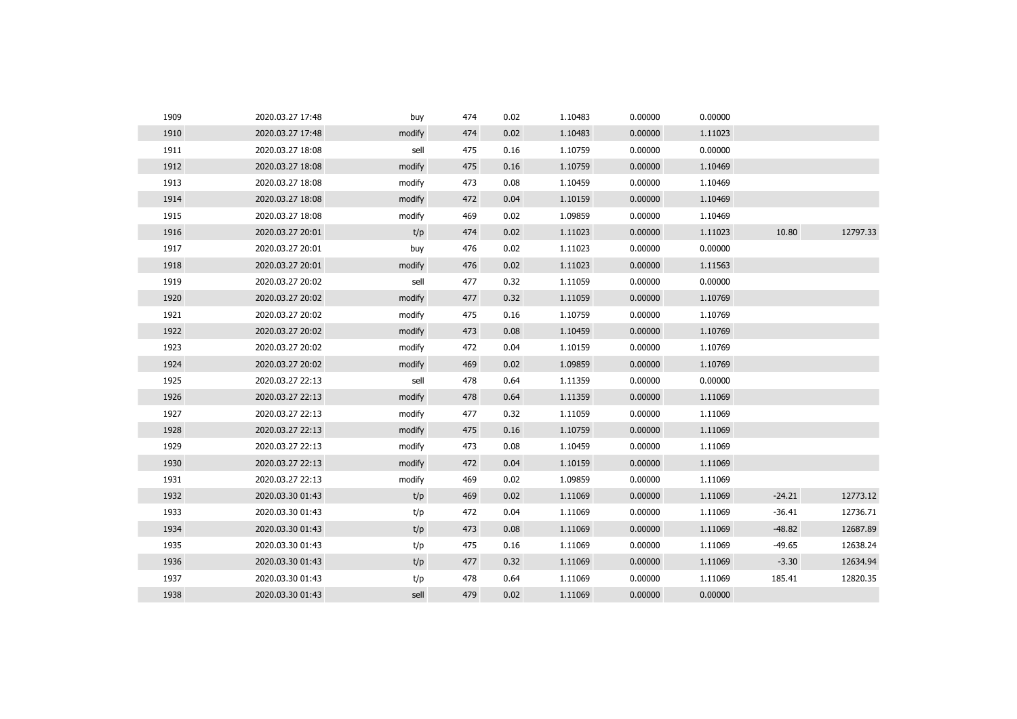| 1909 | 2020.03.27 17:48 | buy    | 474 | 0.02 | 1.10483 | 0.00000 | 0.00000 |          |          |
|------|------------------|--------|-----|------|---------|---------|---------|----------|----------|
| 1910 | 2020.03.27 17:48 | modify | 474 | 0.02 | 1.10483 | 0.00000 | 1.11023 |          |          |
| 1911 | 2020.03.27 18:08 | sell   | 475 | 0.16 | 1.10759 | 0.00000 | 0.00000 |          |          |
| 1912 | 2020.03.27 18:08 | modify | 475 | 0.16 | 1.10759 | 0.00000 | 1.10469 |          |          |
| 1913 | 2020.03.27 18:08 | modify | 473 | 0.08 | 1.10459 | 0.00000 | 1.10469 |          |          |
| 1914 | 2020.03.27 18:08 | modify | 472 | 0.04 | 1.10159 | 0.00000 | 1.10469 |          |          |
| 1915 | 2020.03.27 18:08 | modify | 469 | 0.02 | 1.09859 | 0.00000 | 1.10469 |          |          |
| 1916 | 2020.03.27 20:01 | t/p    | 474 | 0.02 | 1.11023 | 0.00000 | 1.11023 | 10.80    | 12797.33 |
| 1917 | 2020.03.27 20:01 | buy    | 476 | 0.02 | 1.11023 | 0.00000 | 0.00000 |          |          |
| 1918 | 2020.03.27 20:01 | modify | 476 | 0.02 | 1.11023 | 0.00000 | 1.11563 |          |          |
| 1919 | 2020.03.27 20:02 | sell   | 477 | 0.32 | 1.11059 | 0.00000 | 0.00000 |          |          |
| 1920 | 2020.03.27 20:02 | modify | 477 | 0.32 | 1.11059 | 0.00000 | 1.10769 |          |          |
| 1921 | 2020.03.27 20:02 | modify | 475 | 0.16 | 1.10759 | 0.00000 | 1.10769 |          |          |
| 1922 | 2020.03.27 20:02 | modify | 473 | 0.08 | 1.10459 | 0.00000 | 1.10769 |          |          |
| 1923 | 2020.03.27 20:02 | modify | 472 | 0.04 | 1.10159 | 0.00000 | 1.10769 |          |          |
| 1924 | 2020.03.27 20:02 | modify | 469 | 0.02 | 1.09859 | 0.00000 | 1.10769 |          |          |
| 1925 | 2020.03.27 22:13 | sell   | 478 | 0.64 | 1.11359 | 0.00000 | 0.00000 |          |          |
| 1926 | 2020.03.27 22:13 | modify | 478 | 0.64 | 1.11359 | 0.00000 | 1.11069 |          |          |
| 1927 | 2020.03.27 22:13 | modify | 477 | 0.32 | 1.11059 | 0.00000 | 1.11069 |          |          |
| 1928 | 2020.03.27 22:13 | modify | 475 | 0.16 | 1.10759 | 0.00000 | 1.11069 |          |          |
| 1929 | 2020.03.27 22:13 | modify | 473 | 0.08 | 1.10459 | 0.00000 | 1.11069 |          |          |
| 1930 | 2020.03.27 22:13 | modify | 472 | 0.04 | 1.10159 | 0.00000 | 1.11069 |          |          |
| 1931 | 2020.03.27 22:13 | modify | 469 | 0.02 | 1.09859 | 0.00000 | 1.11069 |          |          |
| 1932 | 2020.03.30 01:43 | t/p    | 469 | 0.02 | 1.11069 | 0.00000 | 1.11069 | $-24.21$ | 12773.12 |
| 1933 | 2020.03.30 01:43 | t/p    | 472 | 0.04 | 1.11069 | 0.00000 | 1.11069 | $-36.41$ | 12736.71 |
| 1934 | 2020.03.30 01:43 | t/p    | 473 | 0.08 | 1.11069 | 0.00000 | 1.11069 | $-48.82$ | 12687.89 |
| 1935 | 2020.03.30 01:43 | t/p    | 475 | 0.16 | 1.11069 | 0.00000 | 1.11069 | $-49.65$ | 12638.24 |
| 1936 | 2020.03.30 01:43 | t/p    | 477 | 0.32 | 1.11069 | 0.00000 | 1.11069 | $-3.30$  | 12634.94 |
| 1937 | 2020.03.30 01:43 | t/p    | 478 | 0.64 | 1.11069 | 0.00000 | 1.11069 | 185.41   | 12820.35 |
| 1938 | 2020.03.30 01:43 | sell   | 479 | 0.02 | 1.11069 | 0.00000 | 0.00000 |          |          |
|      |                  |        |     |      |         |         |         |          |          |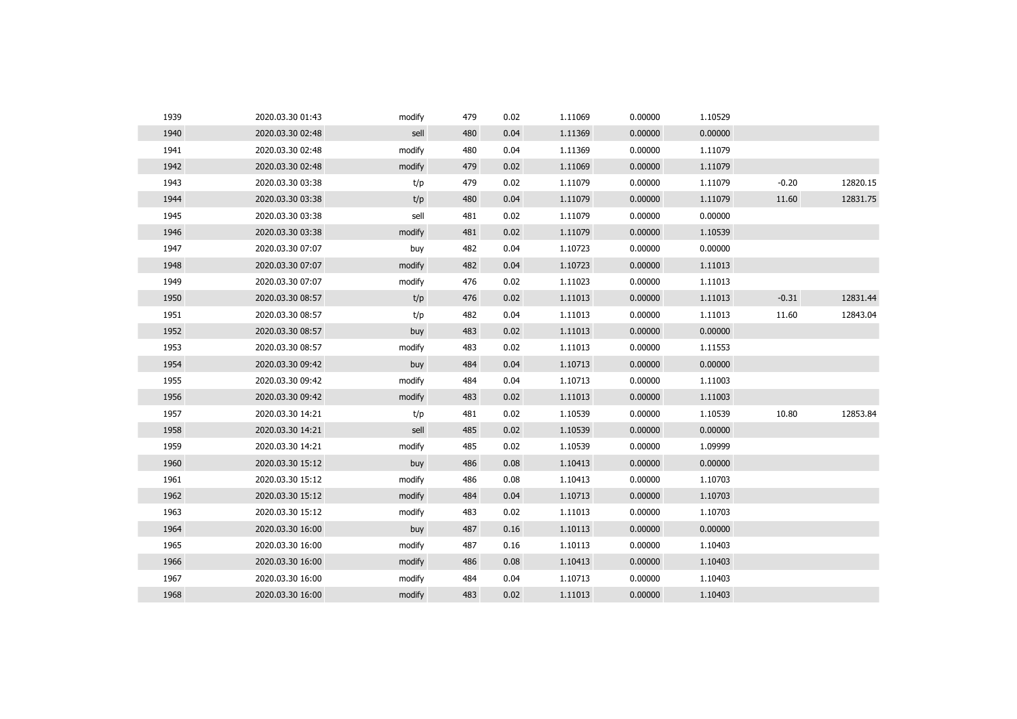| 1939 | 2020.03.30 01:43 | modify | 479 | 0.02 | 1.11069 | 0.00000 | 1.10529 |         |          |
|------|------------------|--------|-----|------|---------|---------|---------|---------|----------|
| 1940 | 2020.03.30 02:48 | sell   | 480 | 0.04 | 1.11369 | 0.00000 | 0.00000 |         |          |
| 1941 | 2020.03.30 02:48 | modify | 480 | 0.04 | 1.11369 | 0.00000 | 1.11079 |         |          |
| 1942 | 2020.03.30 02:48 | modify | 479 | 0.02 | 1.11069 | 0.00000 | 1.11079 |         |          |
| 1943 | 2020.03.30 03:38 | t/p    | 479 | 0.02 | 1.11079 | 0.00000 | 1.11079 | $-0.20$ | 12820.15 |
| 1944 | 2020.03.30 03:38 | t/p    | 480 | 0.04 | 1.11079 | 0.00000 | 1.11079 | 11.60   | 12831.75 |
| 1945 | 2020.03.30 03:38 | sell   | 481 | 0.02 | 1.11079 | 0.00000 | 0.00000 |         |          |
| 1946 | 2020.03.30 03:38 | modify | 481 | 0.02 | 1.11079 | 0.00000 | 1.10539 |         |          |
| 1947 | 2020.03.30 07:07 | buy    | 482 | 0.04 | 1.10723 | 0.00000 | 0.00000 |         |          |
| 1948 | 2020.03.30 07:07 | modify | 482 | 0.04 | 1.10723 | 0.00000 | 1.11013 |         |          |
| 1949 | 2020.03.30 07:07 | modify | 476 | 0.02 | 1.11023 | 0.00000 | 1.11013 |         |          |
| 1950 | 2020.03.30 08:57 | t/p    | 476 | 0.02 | 1.11013 | 0.00000 | 1.11013 | $-0.31$ | 12831.44 |
| 1951 | 2020.03.30 08:57 | t/p    | 482 | 0.04 | 1.11013 | 0.00000 | 1.11013 | 11.60   | 12843.04 |
| 1952 | 2020.03.30 08:57 | buy    | 483 | 0.02 | 1.11013 | 0.00000 | 0.00000 |         |          |
| 1953 | 2020.03.30 08:57 | modify | 483 | 0.02 | 1.11013 | 0.00000 | 1.11553 |         |          |
| 1954 | 2020.03.30 09:42 | buy    | 484 | 0.04 | 1.10713 | 0.00000 | 0.00000 |         |          |
| 1955 | 2020.03.30 09:42 | modify | 484 | 0.04 | 1.10713 | 0.00000 | 1.11003 |         |          |
| 1956 | 2020.03.30 09:42 | modify | 483 | 0.02 | 1.11013 | 0.00000 | 1.11003 |         |          |
| 1957 | 2020.03.30 14:21 | t/p    | 481 | 0.02 | 1.10539 | 0.00000 | 1.10539 | 10.80   | 12853.84 |
| 1958 | 2020.03.30 14:21 | sell   | 485 | 0.02 | 1.10539 | 0.00000 | 0.00000 |         |          |
| 1959 | 2020.03.30 14:21 | modify | 485 | 0.02 | 1.10539 | 0.00000 | 1.09999 |         |          |
| 1960 | 2020.03.30 15:12 | buy    | 486 | 0.08 | 1.10413 | 0.00000 | 0.00000 |         |          |
| 1961 | 2020.03.30 15:12 | modify | 486 | 0.08 | 1.10413 | 0.00000 | 1.10703 |         |          |
| 1962 | 2020.03.30 15:12 | modify | 484 | 0.04 | 1.10713 | 0.00000 | 1.10703 |         |          |
| 1963 | 2020.03.30 15:12 | modify | 483 | 0.02 | 1.11013 | 0.00000 | 1.10703 |         |          |
| 1964 | 2020.03.30 16:00 | buy    | 487 | 0.16 | 1.10113 | 0.00000 | 0.00000 |         |          |
| 1965 | 2020.03.30 16:00 | modify | 487 | 0.16 | 1.10113 | 0.00000 | 1.10403 |         |          |
| 1966 | 2020.03.30 16:00 | modify | 486 | 0.08 | 1.10413 | 0.00000 | 1.10403 |         |          |
| 1967 | 2020.03.30 16:00 | modify | 484 | 0.04 | 1.10713 | 0.00000 | 1.10403 |         |          |
| 1968 | 2020.03.30 16:00 | modify | 483 | 0.02 | 1.11013 | 0.00000 | 1.10403 |         |          |
|      |                  |        |     |      |         |         |         |         |          |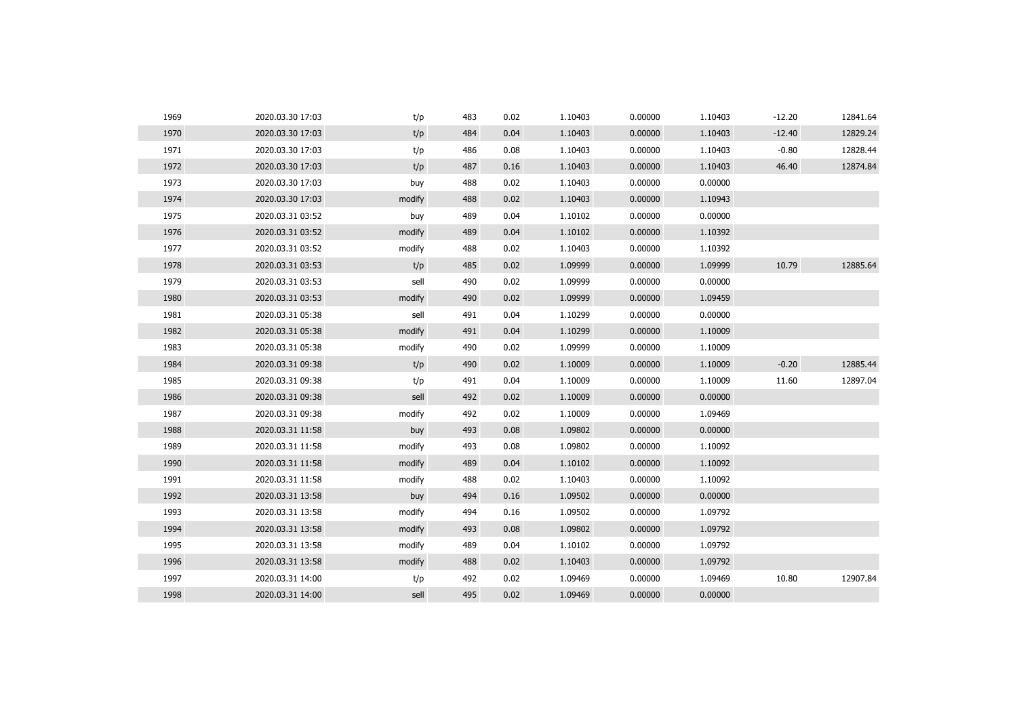| 1969 | 2020.03.30 17:03 | t/p    | 483 | 0.02 | 1.10403 | 0.00000 | 1.10403 | $-12.20$ | 12841.64 |
|------|------------------|--------|-----|------|---------|---------|---------|----------|----------|
| 1970 | 2020.03.30 17:03 | t/p    | 484 | 0.04 | 1.10403 | 0.00000 | 1.10403 | $-12.40$ | 12829.24 |
| 1971 | 2020.03.30 17:03 | t/p    | 486 | 0.08 | 1.10403 | 0.00000 | 1.10403 | $-0.80$  | 12828.44 |
| 1972 | 2020.03.30 17:03 | t/p    | 487 | 0.16 | 1.10403 | 0.00000 | 1.10403 | 46.40    | 12874.84 |
| 1973 | 2020.03.30 17:03 | buy    | 488 | 0.02 | 1.10403 | 0.00000 | 0.00000 |          |          |
| 1974 | 2020.03.30 17:03 | modify | 488 | 0.02 | 1.10403 | 0.00000 | 1.10943 |          |          |
| 1975 | 2020.03.31 03:52 | buy    | 489 | 0.04 | 1.10102 | 0.00000 | 0.00000 |          |          |
| 1976 | 2020.03.31 03:52 | modify | 489 | 0.04 | 1.10102 | 0.00000 | 1.10392 |          |          |
| 1977 | 2020.03.31 03:52 | modify | 488 | 0.02 | 1.10403 | 0.00000 | 1.10392 |          |          |
| 1978 | 2020.03.31 03:53 | t/p    | 485 | 0.02 | 1.09999 | 0.00000 | 1.09999 | 10.79    | 12885.64 |
| 1979 | 2020.03.31 03:53 | sell   | 490 | 0.02 | 1.09999 | 0.00000 | 0.00000 |          |          |
| 1980 | 2020.03.31 03:53 | modify | 490 | 0.02 | 1.09999 | 0.00000 | 1.09459 |          |          |
| 1981 | 2020.03.31 05:38 | sell   | 491 | 0.04 | 1.10299 | 0.00000 | 0.00000 |          |          |
| 1982 | 2020.03.31 05:38 | modify | 491 | 0.04 | 1.10299 | 0.00000 | 1.10009 |          |          |
| 1983 | 2020.03.31 05:38 | modify | 490 | 0.02 | 1.09999 | 0.00000 | 1.10009 |          |          |
| 1984 | 2020.03.31 09:38 | t/p    | 490 | 0.02 | 1.10009 | 0.00000 | 1.10009 | $-0.20$  | 12885.44 |
| 1985 | 2020.03.31 09:38 | t/p    | 491 | 0.04 | 1.10009 | 0.00000 | 1.10009 | 11.60    | 12897.04 |
| 1986 | 2020.03.31 09:38 | sell   | 492 | 0.02 | 1.10009 | 0.00000 | 0.00000 |          |          |
| 1987 | 2020.03.31 09:38 | modify | 492 | 0.02 | 1.10009 | 0.00000 | 1.09469 |          |          |
| 1988 | 2020.03.31 11:58 | buy    | 493 | 0.08 | 1.09802 | 0.00000 | 0.00000 |          |          |
| 1989 | 2020.03.31 11:58 | modify | 493 | 0.08 | 1.09802 | 0.00000 | 1.10092 |          |          |
| 1990 | 2020.03.31 11:58 | modify | 489 | 0.04 | 1.10102 | 0.00000 | 1.10092 |          |          |
| 1991 | 2020.03.31 11:58 | modify | 488 | 0.02 | 1.10403 | 0.00000 | 1.10092 |          |          |
| 1992 | 2020.03.31 13:58 | buy    | 494 | 0.16 | 1.09502 | 0.00000 | 0.00000 |          |          |
| 1993 | 2020.03.31 13:58 | modify | 494 | 0.16 | 1.09502 | 0.00000 | 1.09792 |          |          |
| 1994 | 2020.03.31 13:58 | modify | 493 | 0.08 | 1.09802 | 0.00000 | 1.09792 |          |          |
| 1995 | 2020.03.31 13:58 | modify | 489 | 0.04 | 1.10102 | 0.00000 | 1.09792 |          |          |
| 1996 | 2020.03.31 13:58 | modify | 488 | 0.02 | 1.10403 | 0.00000 | 1.09792 |          |          |
| 1997 | 2020.03.31 14:00 | t/p    | 492 | 0.02 | 1.09469 | 0.00000 | 1.09469 | 10.80    | 12907.84 |
| 1998 | 2020.03.31 14:00 | sell   | 495 | 0.02 | 1.09469 | 0.00000 | 0.00000 |          |          |
|      |                  |        |     |      |         |         |         |          |          |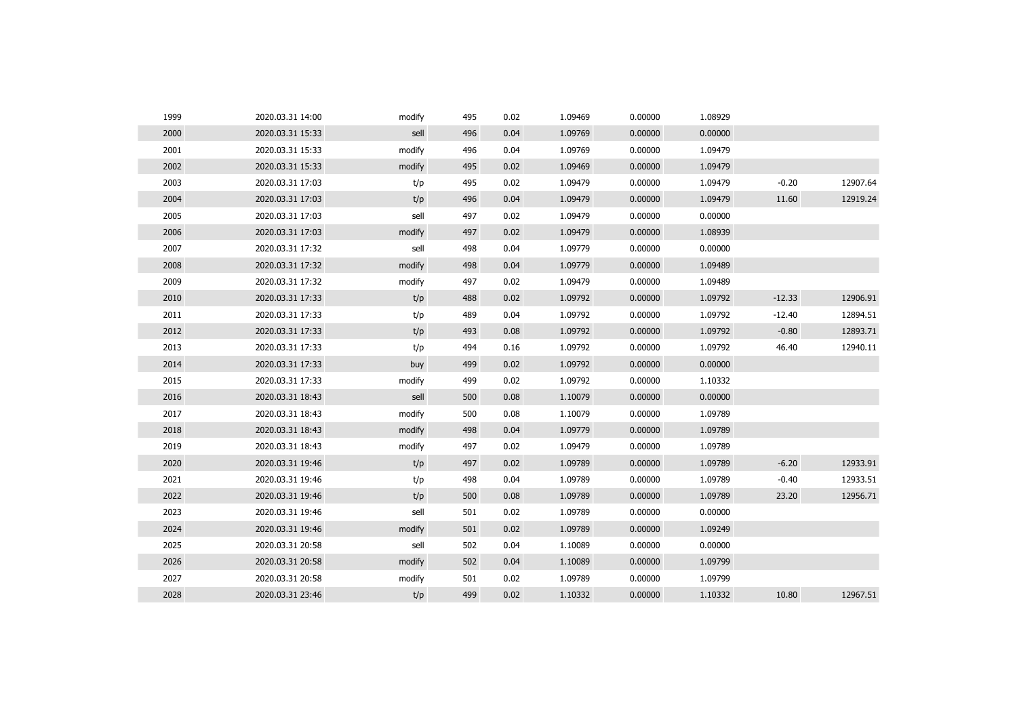| 1999 | 2020.03.31 14:00 | modify | 495 | 0.02 | 1.09469 | 0.00000 | 1.08929 |          |          |
|------|------------------|--------|-----|------|---------|---------|---------|----------|----------|
| 2000 | 2020.03.31 15:33 | sell   | 496 | 0.04 | 1.09769 | 0.00000 | 0.00000 |          |          |
| 2001 | 2020.03.31 15:33 | modify | 496 | 0.04 | 1.09769 | 0.00000 | 1.09479 |          |          |
| 2002 | 2020.03.31 15:33 | modify | 495 | 0.02 | 1.09469 | 0.00000 | 1.09479 |          |          |
| 2003 | 2020.03.31 17:03 | t/p    | 495 | 0.02 | 1.09479 | 0.00000 | 1.09479 | $-0.20$  | 12907.64 |
| 2004 | 2020.03.31 17:03 | t/p    | 496 | 0.04 | 1.09479 | 0.00000 | 1.09479 | 11.60    | 12919.24 |
| 2005 | 2020.03.31 17:03 | sell   | 497 | 0.02 | 1.09479 | 0.00000 | 0.00000 |          |          |
| 2006 | 2020.03.31 17:03 | modify | 497 | 0.02 | 1.09479 | 0.00000 | 1.08939 |          |          |
| 2007 | 2020.03.31 17:32 | sell   | 498 | 0.04 | 1.09779 | 0.00000 | 0.00000 |          |          |
| 2008 | 2020.03.31 17:32 | modify | 498 | 0.04 | 1.09779 | 0.00000 | 1.09489 |          |          |
| 2009 | 2020.03.31 17:32 | modify | 497 | 0.02 | 1.09479 | 0.00000 | 1.09489 |          |          |
| 2010 | 2020.03.31 17:33 | t/p    | 488 | 0.02 | 1.09792 | 0.00000 | 1.09792 | $-12.33$ | 12906.91 |
| 2011 | 2020.03.31 17:33 | t/p    | 489 | 0.04 | 1.09792 | 0.00000 | 1.09792 | $-12.40$ | 12894.51 |
| 2012 | 2020.03.31 17:33 | t/p    | 493 | 0.08 | 1.09792 | 0.00000 | 1.09792 | $-0.80$  | 12893.71 |
| 2013 | 2020.03.31 17:33 | t/p    | 494 | 0.16 | 1.09792 | 0.00000 | 1.09792 | 46.40    | 12940.11 |
| 2014 | 2020.03.31 17:33 | buy    | 499 | 0.02 | 1.09792 | 0.00000 | 0.00000 |          |          |
| 2015 | 2020.03.31 17:33 | modify | 499 | 0.02 | 1.09792 | 0.00000 | 1.10332 |          |          |
| 2016 | 2020.03.31 18:43 | sell   | 500 | 0.08 | 1.10079 | 0.00000 | 0.00000 |          |          |
| 2017 | 2020.03.31 18:43 | modify | 500 | 0.08 | 1.10079 | 0.00000 | 1.09789 |          |          |
| 2018 | 2020.03.31 18:43 | modify | 498 | 0.04 | 1.09779 | 0.00000 | 1.09789 |          |          |
| 2019 | 2020.03.31 18:43 | modify | 497 | 0.02 | 1.09479 | 0.00000 | 1.09789 |          |          |
| 2020 | 2020.03.31 19:46 | t/p    | 497 | 0.02 | 1.09789 | 0.00000 | 1.09789 | $-6.20$  | 12933.91 |
| 2021 | 2020.03.31 19:46 | t/p    | 498 | 0.04 | 1.09789 | 0.00000 | 1.09789 | $-0.40$  | 12933.51 |
| 2022 | 2020.03.31 19:46 | t/p    | 500 | 0.08 | 1.09789 | 0.00000 | 1.09789 | 23.20    | 12956.71 |
| 2023 | 2020.03.31 19:46 | sell   | 501 | 0.02 | 1.09789 | 0.00000 | 0.00000 |          |          |
| 2024 | 2020.03.31 19:46 | modify | 501 | 0.02 | 1.09789 | 0.00000 | 1.09249 |          |          |
| 2025 | 2020.03.31 20:58 | sell   | 502 | 0.04 | 1.10089 | 0.00000 | 0.00000 |          |          |
| 2026 | 2020.03.31 20:58 | modify | 502 | 0.04 | 1.10089 | 0.00000 | 1.09799 |          |          |
| 2027 | 2020.03.31 20:58 | modify | 501 | 0.02 | 1.09789 | 0.00000 | 1.09799 |          |          |
| 2028 | 2020.03.31 23:46 | t/p    | 499 | 0.02 | 1.10332 | 0.00000 | 1.10332 | 10.80    | 12967.51 |
|      |                  |        |     |      |         |         |         |          |          |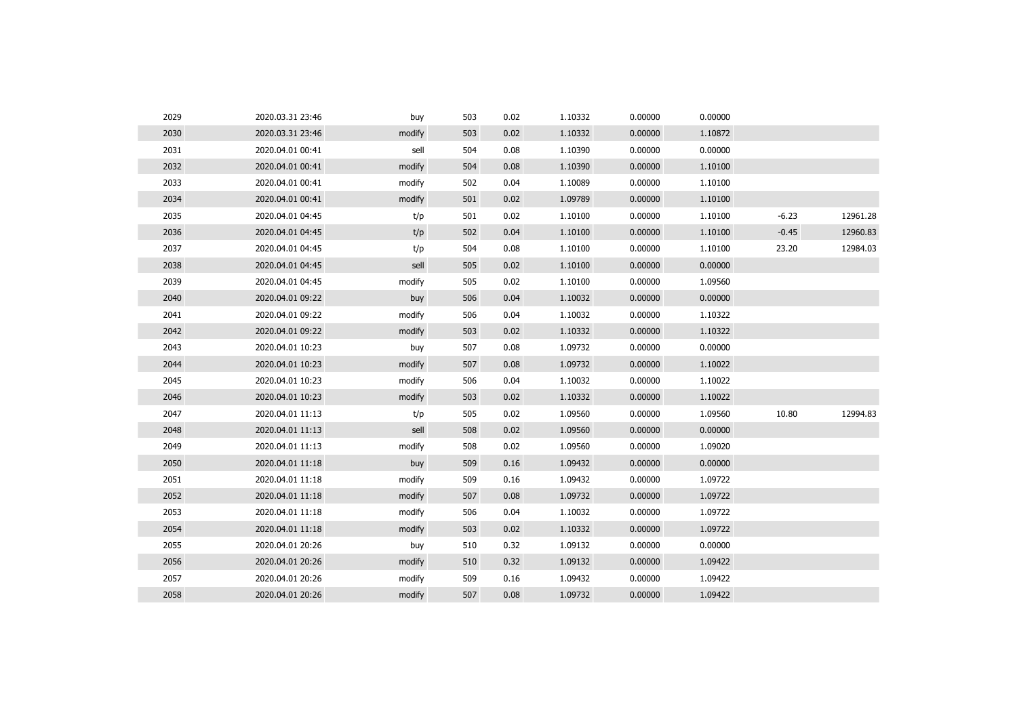| 2029 | 2020.03.31 23:46 | buy    | 503 | 0.02 | 1.10332 | 0.00000 | 0.00000 |         |          |
|------|------------------|--------|-----|------|---------|---------|---------|---------|----------|
| 2030 | 2020.03.31 23:46 | modify | 503 | 0.02 | 1.10332 | 0.00000 | 1.10872 |         |          |
| 2031 | 2020.04.01 00:41 | sell   | 504 | 0.08 | 1.10390 | 0.00000 | 0.00000 |         |          |
| 2032 | 2020.04.01 00:41 | modify | 504 | 0.08 | 1.10390 | 0.00000 | 1.10100 |         |          |
| 2033 | 2020.04.01 00:41 | modify | 502 | 0.04 | 1.10089 | 0.00000 | 1.10100 |         |          |
| 2034 | 2020.04.01 00:41 | modify | 501 | 0.02 | 1.09789 | 0.00000 | 1.10100 |         |          |
| 2035 | 2020.04.01 04:45 | t/p    | 501 | 0.02 | 1.10100 | 0.00000 | 1.10100 | $-6.23$ | 12961.28 |
| 2036 | 2020.04.01 04:45 | t/p    | 502 | 0.04 | 1.10100 | 0.00000 | 1.10100 | $-0.45$ | 12960.83 |
| 2037 | 2020.04.01 04:45 | t/p    | 504 | 0.08 | 1.10100 | 0.00000 | 1.10100 | 23.20   | 12984.03 |
| 2038 | 2020.04.01 04:45 | sell   | 505 | 0.02 | 1.10100 | 0.00000 | 0.00000 |         |          |
| 2039 | 2020.04.01 04:45 | modify | 505 | 0.02 | 1.10100 | 0.00000 | 1.09560 |         |          |
| 2040 | 2020.04.01 09:22 | buy    | 506 | 0.04 | 1.10032 | 0.00000 | 0.00000 |         |          |
| 2041 | 2020.04.01 09:22 | modify | 506 | 0.04 | 1.10032 | 0.00000 | 1.10322 |         |          |
| 2042 | 2020.04.01 09:22 | modify | 503 | 0.02 | 1.10332 | 0.00000 | 1.10322 |         |          |
| 2043 | 2020.04.01 10:23 | buy    | 507 | 0.08 | 1.09732 | 0.00000 | 0.00000 |         |          |
| 2044 | 2020.04.01 10:23 | modify | 507 | 0.08 | 1.09732 | 0.00000 | 1.10022 |         |          |
| 2045 | 2020.04.01 10:23 | modify | 506 | 0.04 | 1.10032 | 0.00000 | 1.10022 |         |          |
| 2046 | 2020.04.01 10:23 | modify | 503 | 0.02 | 1.10332 | 0.00000 | 1.10022 |         |          |
| 2047 | 2020.04.01 11:13 | t/p    | 505 | 0.02 | 1.09560 | 0.00000 | 1.09560 | 10.80   | 12994.83 |
| 2048 | 2020.04.01 11:13 | sell   | 508 | 0.02 | 1.09560 | 0.00000 | 0.00000 |         |          |
| 2049 | 2020.04.01 11:13 | modify | 508 | 0.02 | 1.09560 | 0.00000 | 1.09020 |         |          |
| 2050 | 2020.04.01 11:18 | buy    | 509 | 0.16 | 1.09432 | 0.00000 | 0.00000 |         |          |
| 2051 | 2020.04.01 11:18 | modify | 509 | 0.16 | 1.09432 | 0.00000 | 1.09722 |         |          |
| 2052 | 2020.04.01 11:18 | modify | 507 | 0.08 | 1.09732 | 0.00000 | 1.09722 |         |          |
| 2053 | 2020.04.01 11:18 | modify | 506 | 0.04 | 1.10032 | 0.00000 | 1.09722 |         |          |
| 2054 | 2020.04.01 11:18 | modify | 503 | 0.02 | 1.10332 | 0.00000 | 1.09722 |         |          |
| 2055 | 2020.04.01 20:26 | buy    | 510 | 0.32 | 1.09132 | 0.00000 | 0.00000 |         |          |
| 2056 | 2020.04.01 20:26 | modify | 510 | 0.32 | 1.09132 | 0.00000 | 1.09422 |         |          |
| 2057 | 2020.04.01 20:26 | modify | 509 | 0.16 | 1.09432 | 0.00000 | 1.09422 |         |          |
| 2058 | 2020.04.01 20:26 | modify | 507 | 0.08 | 1.09732 | 0.00000 | 1.09422 |         |          |
|      |                  |        |     |      |         |         |         |         |          |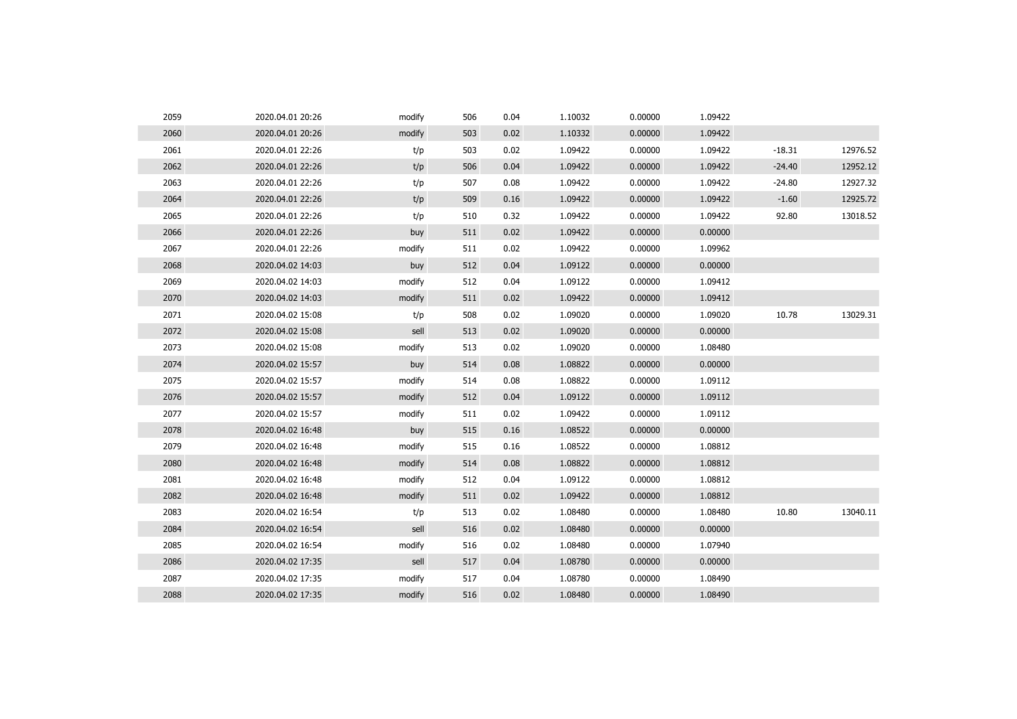| 2059 | 2020.04.01 20:26 | modify | 506 | 0.04 | 1.10032 | 0.00000 | 1.09422 |          |          |
|------|------------------|--------|-----|------|---------|---------|---------|----------|----------|
| 2060 | 2020.04.01 20:26 | modify | 503 | 0.02 | 1.10332 | 0.00000 | 1.09422 |          |          |
| 2061 | 2020.04.01 22:26 | t/p    | 503 | 0.02 | 1.09422 | 0.00000 | 1.09422 | $-18.31$ | 12976.52 |
| 2062 | 2020.04.01 22:26 | t/p    | 506 | 0.04 | 1.09422 | 0.00000 | 1.09422 | $-24.40$ | 12952.12 |
| 2063 | 2020.04.01 22:26 | t/p    | 507 | 0.08 | 1.09422 | 0.00000 | 1.09422 | $-24.80$ | 12927.32 |
| 2064 | 2020.04.01 22:26 | t/p    | 509 | 0.16 | 1.09422 | 0.00000 | 1.09422 | $-1.60$  | 12925.72 |
| 2065 | 2020.04.01 22:26 | t/p    | 510 | 0.32 | 1.09422 | 0.00000 | 1.09422 | 92.80    | 13018.52 |
| 2066 | 2020.04.01 22:26 | buy    | 511 | 0.02 | 1.09422 | 0.00000 | 0.00000 |          |          |
| 2067 | 2020.04.01 22:26 | modify | 511 | 0.02 | 1.09422 | 0.00000 | 1.09962 |          |          |
| 2068 | 2020.04.02 14:03 | buy    | 512 | 0.04 | 1.09122 | 0.00000 | 0.00000 |          |          |
| 2069 | 2020.04.02 14:03 | modify | 512 | 0.04 | 1.09122 | 0.00000 | 1.09412 |          |          |
| 2070 | 2020.04.02 14:03 | modify | 511 | 0.02 | 1.09422 | 0.00000 | 1.09412 |          |          |
| 2071 | 2020.04.02 15:08 | t/p    | 508 | 0.02 | 1.09020 | 0.00000 | 1.09020 | 10.78    | 13029.31 |
| 2072 | 2020.04.02 15:08 | sell   | 513 | 0.02 | 1.09020 | 0.00000 | 0.00000 |          |          |
| 2073 | 2020.04.02 15:08 | modify | 513 | 0.02 | 1.09020 | 0.00000 | 1.08480 |          |          |
| 2074 | 2020.04.02 15:57 | buy    | 514 | 0.08 | 1.08822 | 0.00000 | 0.00000 |          |          |
| 2075 | 2020.04.02 15:57 | modify | 514 | 0.08 | 1.08822 | 0.00000 | 1.09112 |          |          |
| 2076 | 2020.04.02 15:57 | modify | 512 | 0.04 | 1.09122 | 0.00000 | 1.09112 |          |          |
| 2077 | 2020.04.02 15:57 | modify | 511 | 0.02 | 1.09422 | 0.00000 | 1.09112 |          |          |
| 2078 | 2020.04.02 16:48 | buy    | 515 | 0.16 | 1.08522 | 0.00000 | 0.00000 |          |          |
| 2079 | 2020.04.02 16:48 | modify | 515 | 0.16 | 1.08522 | 0.00000 | 1.08812 |          |          |
| 2080 | 2020.04.02 16:48 | modify | 514 | 0.08 | 1.08822 | 0.00000 | 1.08812 |          |          |
| 2081 | 2020.04.02 16:48 | modify | 512 | 0.04 | 1.09122 | 0.00000 | 1.08812 |          |          |
| 2082 | 2020.04.02 16:48 | modify | 511 | 0.02 | 1.09422 | 0.00000 | 1.08812 |          |          |
| 2083 | 2020.04.02 16:54 | t/p    | 513 | 0.02 | 1.08480 | 0.00000 | 1.08480 | 10.80    | 13040.11 |
| 2084 | 2020.04.02 16:54 | sell   | 516 | 0.02 | 1.08480 | 0.00000 | 0.00000 |          |          |
| 2085 | 2020.04.02 16:54 | modify | 516 | 0.02 | 1.08480 | 0.00000 | 1.07940 |          |          |
| 2086 | 2020.04.02 17:35 | sell   | 517 | 0.04 | 1.08780 | 0.00000 | 0.00000 |          |          |
| 2087 | 2020.04.02 17:35 | modify | 517 | 0.04 | 1.08780 | 0.00000 | 1.08490 |          |          |
| 2088 | 2020.04.02 17:35 | modify | 516 | 0.02 | 1.08480 | 0.00000 | 1.08490 |          |          |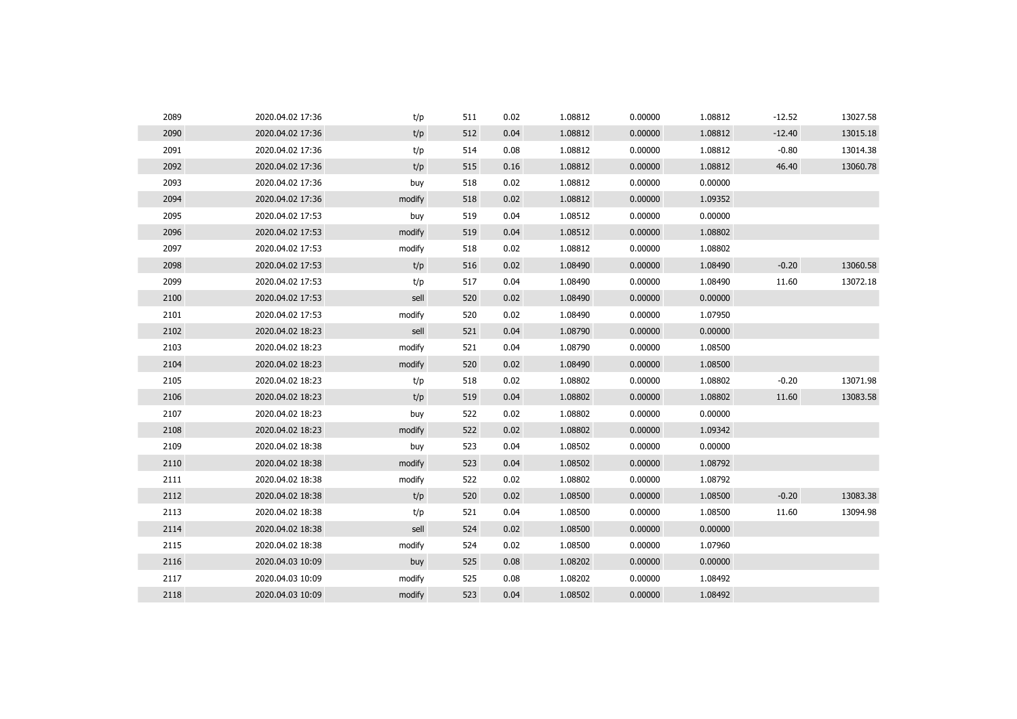| 2089 | 2020.04.02 17:36 | t/p    | 511 | 0.02 | 1.08812 | 0.00000 | 1.08812 | $-12.52$ | 13027.58 |
|------|------------------|--------|-----|------|---------|---------|---------|----------|----------|
| 2090 | 2020.04.02 17:36 | t/p    | 512 | 0.04 | 1.08812 | 0.00000 | 1.08812 | $-12.40$ | 13015.18 |
| 2091 | 2020.04.02 17:36 | t/p    | 514 | 0.08 | 1.08812 | 0.00000 | 1.08812 | $-0.80$  | 13014.38 |
| 2092 | 2020.04.02 17:36 | t/p    | 515 | 0.16 | 1.08812 | 0.00000 | 1.08812 | 46.40    | 13060.78 |
| 2093 | 2020.04.02 17:36 | buy    | 518 | 0.02 | 1.08812 | 0.00000 | 0.00000 |          |          |
| 2094 | 2020.04.02 17:36 | modify | 518 | 0.02 | 1.08812 | 0.00000 | 1.09352 |          |          |
| 2095 | 2020.04.02 17:53 | buy    | 519 | 0.04 | 1.08512 | 0.00000 | 0.00000 |          |          |
| 2096 | 2020.04.02 17:53 | modify | 519 | 0.04 | 1.08512 | 0.00000 | 1.08802 |          |          |
| 2097 | 2020.04.02 17:53 | modify | 518 | 0.02 | 1.08812 | 0.00000 | 1.08802 |          |          |
| 2098 | 2020.04.02 17:53 | t/p    | 516 | 0.02 | 1.08490 | 0.00000 | 1.08490 | $-0.20$  | 13060.58 |
| 2099 | 2020.04.02 17:53 | t/p    | 517 | 0.04 | 1.08490 | 0.00000 | 1.08490 | 11.60    | 13072.18 |
| 2100 | 2020.04.02 17:53 | sell   | 520 | 0.02 | 1.08490 | 0.00000 | 0.00000 |          |          |
| 2101 | 2020.04.02 17:53 | modify | 520 | 0.02 | 1.08490 | 0.00000 | 1.07950 |          |          |
| 2102 | 2020.04.02 18:23 | sell   | 521 | 0.04 | 1.08790 | 0.00000 | 0.00000 |          |          |
| 2103 | 2020.04.02 18:23 | modify | 521 | 0.04 | 1.08790 | 0.00000 | 1.08500 |          |          |
| 2104 | 2020.04.02 18:23 | modify | 520 | 0.02 | 1.08490 | 0.00000 | 1.08500 |          |          |
| 2105 | 2020.04.02 18:23 | t/p    | 518 | 0.02 | 1.08802 | 0.00000 | 1.08802 | $-0.20$  | 13071.98 |
| 2106 | 2020.04.02 18:23 | t/p    | 519 | 0.04 | 1.08802 | 0.00000 | 1.08802 | 11.60    | 13083.58 |
| 2107 | 2020.04.02 18:23 | buy    | 522 | 0.02 | 1.08802 | 0.00000 | 0.00000 |          |          |
| 2108 | 2020.04.02 18:23 | modify | 522 | 0.02 | 1.08802 | 0.00000 | 1.09342 |          |          |
| 2109 | 2020.04.02 18:38 | buy    | 523 | 0.04 | 1.08502 | 0.00000 | 0.00000 |          |          |
| 2110 | 2020.04.02 18:38 | modify | 523 | 0.04 | 1.08502 | 0.00000 | 1.08792 |          |          |
| 2111 | 2020.04.02 18:38 | modify | 522 | 0.02 | 1.08802 | 0.00000 | 1.08792 |          |          |
| 2112 | 2020.04.02 18:38 | t/p    | 520 | 0.02 | 1.08500 | 0.00000 | 1.08500 | $-0.20$  | 13083.38 |
| 2113 | 2020.04.02 18:38 | t/p    | 521 | 0.04 | 1.08500 | 0.00000 | 1.08500 | 11.60    | 13094.98 |
| 2114 | 2020.04.02 18:38 | sell   | 524 | 0.02 | 1.08500 | 0.00000 | 0.00000 |          |          |
| 2115 | 2020.04.02 18:38 | modify | 524 | 0.02 | 1.08500 | 0.00000 | 1.07960 |          |          |
| 2116 | 2020.04.03 10:09 | buy    | 525 | 0.08 | 1.08202 | 0.00000 | 0.00000 |          |          |
| 2117 | 2020.04.03 10:09 | modify | 525 | 0.08 | 1.08202 | 0.00000 | 1.08492 |          |          |
| 2118 | 2020.04.03 10:09 | modify | 523 | 0.04 | 1.08502 | 0.00000 | 1.08492 |          |          |
|      |                  |        |     |      |         |         |         |          |          |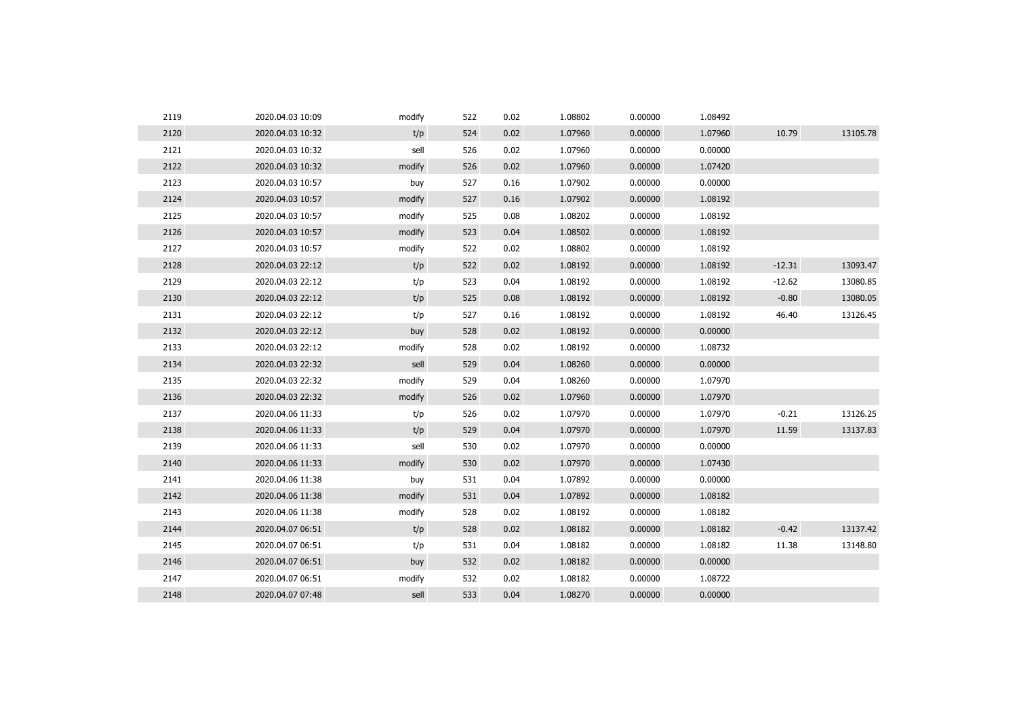| 2119 | 2020.04.03 10:09 | modify | 522 | 0.02 | 1.08802 | 0.00000 | 1.08492 |          |          |
|------|------------------|--------|-----|------|---------|---------|---------|----------|----------|
| 2120 | 2020.04.03 10:32 | t/p    | 524 | 0.02 | 1.07960 | 0.00000 | 1.07960 | 10.79    | 13105.78 |
| 2121 | 2020.04.03 10:32 | sell   | 526 | 0.02 | 1.07960 | 0.00000 | 0.00000 |          |          |
| 2122 | 2020.04.03 10:32 | modify | 526 | 0.02 | 1.07960 | 0.00000 | 1.07420 |          |          |
| 2123 | 2020.04.03 10:57 | buy    | 527 | 0.16 | 1.07902 | 0.00000 | 0.00000 |          |          |
| 2124 | 2020.04.03 10:57 | modify | 527 | 0.16 | 1.07902 | 0.00000 | 1.08192 |          |          |
| 2125 | 2020.04.03 10:57 | modify | 525 | 0.08 | 1.08202 | 0.00000 | 1.08192 |          |          |
| 2126 | 2020.04.03 10:57 | modify | 523 | 0.04 | 1.08502 | 0.00000 | 1.08192 |          |          |
| 2127 | 2020.04.03 10:57 | modify | 522 | 0.02 | 1.08802 | 0.00000 | 1.08192 |          |          |
| 2128 | 2020.04.03 22:12 | t/p    | 522 | 0.02 | 1.08192 | 0.00000 | 1.08192 | $-12.31$ | 13093.47 |
| 2129 | 2020.04.03 22:12 | t/p    | 523 | 0.04 | 1.08192 | 0.00000 | 1.08192 | $-12.62$ | 13080.85 |
| 2130 | 2020.04.03 22:12 | t/p    | 525 | 0.08 | 1.08192 | 0.00000 | 1.08192 | $-0.80$  | 13080.05 |
| 2131 | 2020.04.03 22:12 | t/p    | 527 | 0.16 | 1.08192 | 0.00000 | 1.08192 | 46.40    | 13126.45 |
| 2132 | 2020.04.03 22:12 | buy    | 528 | 0.02 | 1.08192 | 0.00000 | 0.00000 |          |          |
| 2133 | 2020.04.03 22:12 | modify | 528 | 0.02 | 1.08192 | 0.00000 | 1.08732 |          |          |
| 2134 | 2020.04.03 22:32 | sell   | 529 | 0.04 | 1.08260 | 0.00000 | 0.00000 |          |          |
| 2135 | 2020.04.03 22:32 | modify | 529 | 0.04 | 1.08260 | 0.00000 | 1.07970 |          |          |
| 2136 | 2020.04.03 22:32 | modify | 526 | 0.02 | 1.07960 | 0.00000 | 1.07970 |          |          |
| 2137 | 2020.04.06 11:33 | t/p    | 526 | 0.02 | 1.07970 | 0.00000 | 1.07970 | $-0.21$  | 13126.25 |
| 2138 | 2020.04.06 11:33 | t/p    | 529 | 0.04 | 1.07970 | 0.00000 | 1.07970 | 11.59    | 13137.83 |
| 2139 | 2020.04.06 11:33 | sell   | 530 | 0.02 | 1.07970 | 0.00000 | 0.00000 |          |          |
| 2140 | 2020.04.06 11:33 | modify | 530 | 0.02 | 1.07970 | 0.00000 | 1.07430 |          |          |
| 2141 | 2020.04.06 11:38 | buy    | 531 | 0.04 | 1.07892 | 0.00000 | 0.00000 |          |          |
| 2142 | 2020.04.06 11:38 | modify | 531 | 0.04 | 1.07892 | 0.00000 | 1.08182 |          |          |
| 2143 | 2020.04.06 11:38 | modify | 528 | 0.02 | 1.08192 | 0.00000 | 1.08182 |          |          |
| 2144 | 2020.04.07 06:51 | t/p    | 528 | 0.02 | 1.08182 | 0.00000 | 1.08182 | $-0.42$  | 13137.42 |
| 2145 | 2020.04.07 06:51 | t/p    | 531 | 0.04 | 1.08182 | 0.00000 | 1.08182 | 11.38    | 13148.80 |
| 2146 | 2020.04.07 06:51 | buy    | 532 | 0.02 | 1.08182 | 0.00000 | 0.00000 |          |          |
| 2147 | 2020.04.07 06:51 | modify | 532 | 0.02 | 1.08182 | 0.00000 | 1.08722 |          |          |
| 2148 | 2020.04.07 07:48 | sell   | 533 | 0.04 | 1.08270 | 0.00000 | 0.00000 |          |          |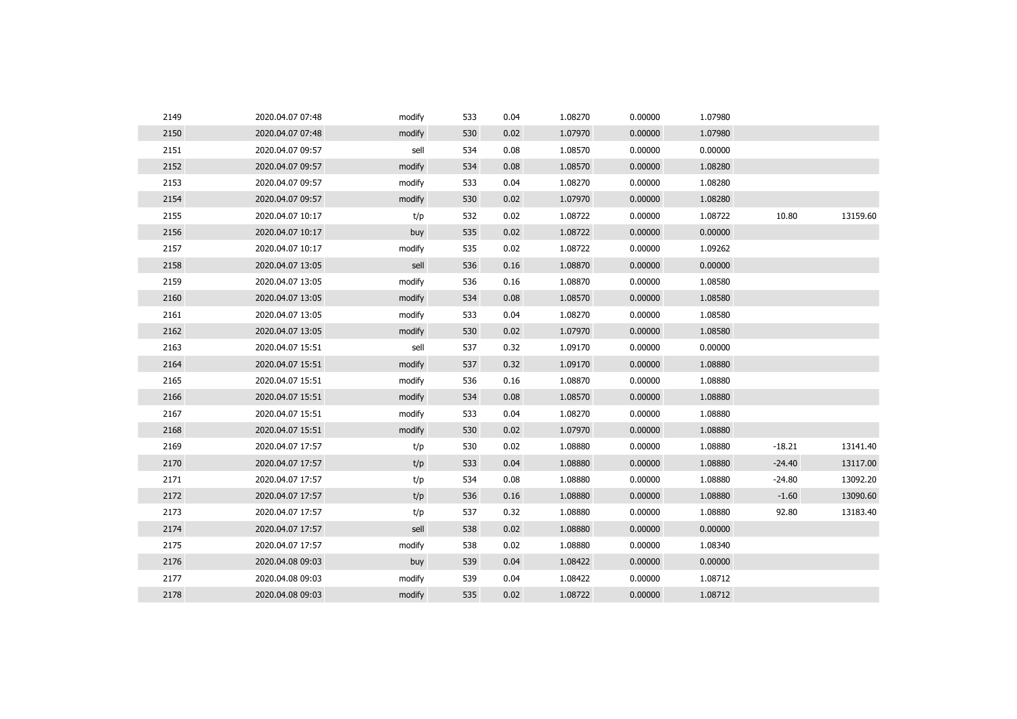| 2149 | 2020.04.07 07:48 | modify | 533 | 0.04 | 1.08270 | 0.00000 | 1.07980 |          |          |
|------|------------------|--------|-----|------|---------|---------|---------|----------|----------|
| 2150 | 2020.04.07 07:48 | modify | 530 | 0.02 | 1.07970 | 0.00000 | 1.07980 |          |          |
| 2151 | 2020.04.07 09:57 | sell   | 534 | 0.08 | 1.08570 | 0.00000 | 0.00000 |          |          |
| 2152 | 2020.04.07 09:57 | modify | 534 | 0.08 | 1.08570 | 0.00000 | 1.08280 |          |          |
| 2153 | 2020.04.07 09:57 | modify | 533 | 0.04 | 1.08270 | 0.00000 | 1.08280 |          |          |
| 2154 | 2020.04.07 09:57 | modify | 530 | 0.02 | 1.07970 | 0.00000 | 1.08280 |          |          |
| 2155 | 2020.04.07 10:17 | t/p    | 532 | 0.02 | 1.08722 | 0.00000 | 1.08722 | 10.80    | 13159.60 |
| 2156 | 2020.04.07 10:17 | buy    | 535 | 0.02 | 1.08722 | 0.00000 | 0.00000 |          |          |
| 2157 | 2020.04.07 10:17 | modify | 535 | 0.02 | 1.08722 | 0.00000 | 1.09262 |          |          |
| 2158 | 2020.04.07 13:05 | sell   | 536 | 0.16 | 1.08870 | 0.00000 | 0.00000 |          |          |
| 2159 | 2020.04.07 13:05 | modify | 536 | 0.16 | 1.08870 | 0.00000 | 1.08580 |          |          |
| 2160 | 2020.04.07 13:05 | modify | 534 | 0.08 | 1.08570 | 0.00000 | 1.08580 |          |          |
| 2161 | 2020.04.07 13:05 | modify | 533 | 0.04 | 1.08270 | 0.00000 | 1.08580 |          |          |
| 2162 | 2020.04.07 13:05 | modify | 530 | 0.02 | 1.07970 | 0.00000 | 1.08580 |          |          |
| 2163 | 2020.04.07 15:51 | sell   | 537 | 0.32 | 1.09170 | 0.00000 | 0.00000 |          |          |
| 2164 | 2020.04.07 15:51 | modify | 537 | 0.32 | 1.09170 | 0.00000 | 1.08880 |          |          |
| 2165 | 2020.04.07 15:51 | modify | 536 | 0.16 | 1.08870 | 0.00000 | 1.08880 |          |          |
| 2166 | 2020.04.07 15:51 | modify | 534 | 0.08 | 1.08570 | 0.00000 | 1.08880 |          |          |
| 2167 | 2020.04.07 15:51 | modify | 533 | 0.04 | 1.08270 | 0.00000 | 1.08880 |          |          |
| 2168 | 2020.04.07 15:51 | modify | 530 | 0.02 | 1.07970 | 0.00000 | 1.08880 |          |          |
| 2169 | 2020.04.07 17:57 | t/p    | 530 | 0.02 | 1.08880 | 0.00000 | 1.08880 | $-18.21$ | 13141.40 |
| 2170 | 2020.04.07 17:57 | t/p    | 533 | 0.04 | 1.08880 | 0.00000 | 1.08880 | $-24.40$ | 13117.00 |
| 2171 | 2020.04.07 17:57 | t/p    | 534 | 0.08 | 1.08880 | 0.00000 | 1.08880 | $-24.80$ | 13092.20 |
| 2172 | 2020.04.07 17:57 | t/p    | 536 | 0.16 | 1.08880 | 0.00000 | 1.08880 | $-1.60$  | 13090.60 |
| 2173 | 2020.04.07 17:57 | t/p    | 537 | 0.32 | 1.08880 | 0.00000 | 1.08880 | 92.80    | 13183.40 |
| 2174 | 2020.04.07 17:57 | sell   | 538 | 0.02 | 1.08880 | 0.00000 | 0.00000 |          |          |
| 2175 | 2020.04.07 17:57 | modify | 538 | 0.02 | 1.08880 | 0.00000 | 1.08340 |          |          |
| 2176 | 2020.04.08 09:03 | buy    | 539 | 0.04 | 1.08422 | 0.00000 | 0.00000 |          |          |
| 2177 | 2020.04.08 09:03 | modify | 539 | 0.04 | 1.08422 | 0.00000 | 1.08712 |          |          |
| 2178 | 2020.04.08 09:03 | modify | 535 | 0.02 | 1.08722 | 0.00000 | 1.08712 |          |          |
|      |                  |        |     |      |         |         |         |          |          |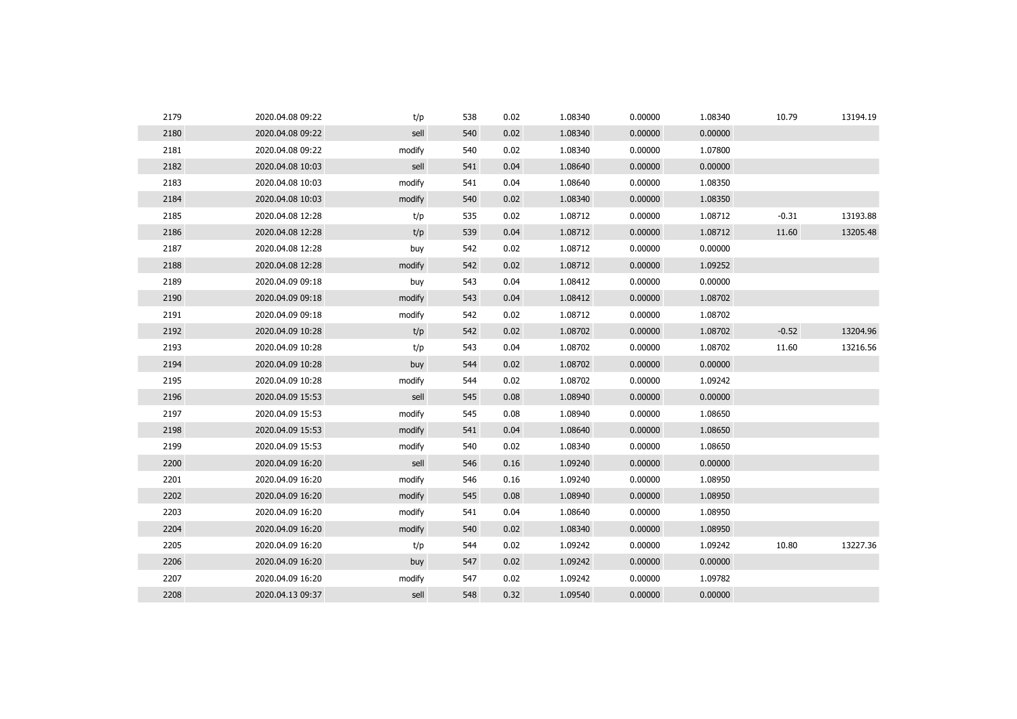| 2179 | 2020.04.08 09:22 | t/p    | 538 | 0.02 | 1.08340 | 0.00000 | 1.08340 | 10.79   | 13194.19 |
|------|------------------|--------|-----|------|---------|---------|---------|---------|----------|
| 2180 | 2020.04.08 09:22 | sell   | 540 | 0.02 | 1.08340 | 0.00000 | 0.00000 |         |          |
| 2181 | 2020.04.08 09:22 | modify | 540 | 0.02 | 1.08340 | 0.00000 | 1.07800 |         |          |
| 2182 | 2020.04.08 10:03 | sell   | 541 | 0.04 | 1.08640 | 0.00000 | 0.00000 |         |          |
| 2183 | 2020.04.08 10:03 | modify | 541 | 0.04 | 1.08640 | 0.00000 | 1.08350 |         |          |
| 2184 | 2020.04.08 10:03 | modify | 540 | 0.02 | 1.08340 | 0.00000 | 1.08350 |         |          |
| 2185 | 2020.04.08 12:28 | t/p    | 535 | 0.02 | 1.08712 | 0.00000 | 1.08712 | $-0.31$ | 13193.88 |
| 2186 | 2020.04.08 12:28 | t/p    | 539 | 0.04 | 1.08712 | 0.00000 | 1.08712 | 11.60   | 13205.48 |
| 2187 | 2020.04.08 12:28 | buy    | 542 | 0.02 | 1.08712 | 0.00000 | 0.00000 |         |          |
| 2188 | 2020.04.08 12:28 | modify | 542 | 0.02 | 1.08712 | 0.00000 | 1.09252 |         |          |
| 2189 | 2020.04.09 09:18 | buy    | 543 | 0.04 | 1.08412 | 0.00000 | 0.00000 |         |          |
| 2190 | 2020.04.09 09:18 | modify | 543 | 0.04 | 1.08412 | 0.00000 | 1.08702 |         |          |
| 2191 | 2020.04.09 09:18 | modify | 542 | 0.02 | 1.08712 | 0.00000 | 1.08702 |         |          |
| 2192 | 2020.04.09 10:28 | t/p    | 542 | 0.02 | 1.08702 | 0.00000 | 1.08702 | $-0.52$ | 13204.96 |
| 2193 | 2020.04.09 10:28 | t/p    | 543 | 0.04 | 1.08702 | 0.00000 | 1.08702 | 11.60   | 13216.56 |
| 2194 | 2020.04.09 10:28 | buy    | 544 | 0.02 | 1.08702 | 0.00000 | 0.00000 |         |          |
| 2195 | 2020.04.09 10:28 | modify | 544 | 0.02 | 1.08702 | 0.00000 | 1.09242 |         |          |
| 2196 | 2020.04.09 15:53 | sell   | 545 | 0.08 | 1.08940 | 0.00000 | 0.00000 |         |          |
| 2197 | 2020.04.09 15:53 | modify | 545 | 0.08 | 1.08940 | 0.00000 | 1.08650 |         |          |
| 2198 | 2020.04.09 15:53 | modify | 541 | 0.04 | 1.08640 | 0.00000 | 1.08650 |         |          |
| 2199 | 2020.04.09 15:53 | modify | 540 | 0.02 | 1.08340 | 0.00000 | 1.08650 |         |          |
| 2200 | 2020.04.09 16:20 | sell   | 546 | 0.16 | 1.09240 | 0.00000 | 0.00000 |         |          |
| 2201 | 2020.04.09 16:20 | modify | 546 | 0.16 | 1.09240 | 0.00000 | 1.08950 |         |          |
| 2202 | 2020.04.09 16:20 | modify | 545 | 0.08 | 1.08940 | 0.00000 | 1.08950 |         |          |
| 2203 | 2020.04.09 16:20 | modify | 541 | 0.04 | 1.08640 | 0.00000 | 1.08950 |         |          |
| 2204 | 2020.04.09 16:20 | modify | 540 | 0.02 | 1.08340 | 0.00000 | 1.08950 |         |          |
| 2205 | 2020.04.09 16:20 | t/p    | 544 | 0.02 | 1.09242 | 0.00000 | 1.09242 | 10.80   | 13227.36 |
| 2206 | 2020.04.09 16:20 | buy    | 547 | 0.02 | 1.09242 | 0.00000 | 0.00000 |         |          |
| 2207 | 2020.04.09 16:20 | modify | 547 | 0.02 | 1.09242 | 0.00000 | 1.09782 |         |          |
| 2208 | 2020.04.13 09:37 | sell   | 548 | 0.32 | 1.09540 | 0.00000 | 0.00000 |         |          |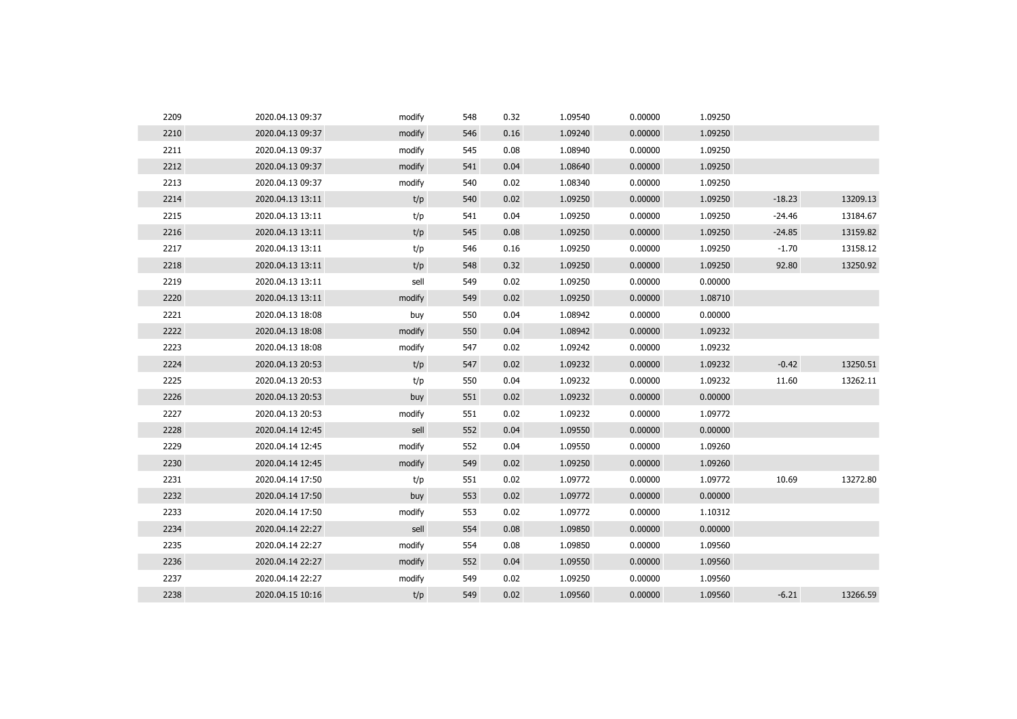| 2209 | 2020.04.13 09:37 | modify | 548 | 0.32 | 1.09540 | 0.00000 | 1.09250 |          |          |
|------|------------------|--------|-----|------|---------|---------|---------|----------|----------|
| 2210 | 2020.04.13 09:37 | modify | 546 | 0.16 | 1.09240 | 0.00000 | 1.09250 |          |          |
| 2211 | 2020.04.13 09:37 | modify | 545 | 0.08 | 1.08940 | 0.00000 | 1.09250 |          |          |
| 2212 | 2020.04.13 09:37 | modify | 541 | 0.04 | 1.08640 | 0.00000 | 1.09250 |          |          |
| 2213 | 2020.04.13 09:37 | modify | 540 | 0.02 | 1.08340 | 0.00000 | 1.09250 |          |          |
| 2214 | 2020.04.13 13:11 | t/p    | 540 | 0.02 | 1.09250 | 0.00000 | 1.09250 | $-18.23$ | 13209.13 |
| 2215 | 2020.04.13 13:11 | t/p    | 541 | 0.04 | 1.09250 | 0.00000 | 1.09250 | $-24.46$ | 13184.67 |
| 2216 | 2020.04.13 13:11 | t/p    | 545 | 0.08 | 1.09250 | 0.00000 | 1.09250 | $-24.85$ | 13159.82 |
| 2217 | 2020.04.13 13:11 | t/p    | 546 | 0.16 | 1.09250 | 0.00000 | 1.09250 | $-1.70$  | 13158.12 |
| 2218 | 2020.04.13 13:11 | t/p    | 548 | 0.32 | 1.09250 | 0.00000 | 1.09250 | 92.80    | 13250.92 |
| 2219 | 2020.04.13 13:11 | sell   | 549 | 0.02 | 1.09250 | 0.00000 | 0.00000 |          |          |
| 2220 | 2020.04.13 13:11 | modify | 549 | 0.02 | 1.09250 | 0.00000 | 1.08710 |          |          |
| 2221 | 2020.04.13 18:08 | buy    | 550 | 0.04 | 1.08942 | 0.00000 | 0.00000 |          |          |
| 2222 | 2020.04.13 18:08 | modify | 550 | 0.04 | 1.08942 | 0.00000 | 1.09232 |          |          |
| 2223 | 2020.04.13 18:08 | modify | 547 | 0.02 | 1.09242 | 0.00000 | 1.09232 |          |          |
| 2224 | 2020.04.13 20:53 | t/p    | 547 | 0.02 | 1.09232 | 0.00000 | 1.09232 | $-0.42$  | 13250.51 |
| 2225 | 2020.04.13 20:53 | t/p    | 550 | 0.04 | 1.09232 | 0.00000 | 1.09232 | 11.60    | 13262.11 |
| 2226 | 2020.04.13 20:53 | buy    | 551 | 0.02 | 1.09232 | 0.00000 | 0.00000 |          |          |
| 2227 | 2020.04.13 20:53 | modify | 551 | 0.02 | 1.09232 | 0.00000 | 1.09772 |          |          |
| 2228 | 2020.04.14 12:45 | sell   | 552 | 0.04 | 1.09550 | 0.00000 | 0.00000 |          |          |
| 2229 | 2020.04.14 12:45 | modify | 552 | 0.04 | 1.09550 | 0.00000 | 1.09260 |          |          |
| 2230 | 2020.04.14 12:45 | modify | 549 | 0.02 | 1.09250 | 0.00000 | 1.09260 |          |          |
| 2231 | 2020.04.14 17:50 | t/p    | 551 | 0.02 | 1.09772 | 0.00000 | 1.09772 | 10.69    | 13272.80 |
| 2232 | 2020.04.14 17:50 | buy    | 553 | 0.02 | 1.09772 | 0.00000 | 0.00000 |          |          |
| 2233 | 2020.04.14 17:50 | modify | 553 | 0.02 | 1.09772 | 0.00000 | 1.10312 |          |          |
| 2234 | 2020.04.14 22:27 | sell   | 554 | 0.08 | 1.09850 | 0.00000 | 0.00000 |          |          |
| 2235 | 2020.04.14 22:27 | modify | 554 | 0.08 | 1.09850 | 0.00000 | 1.09560 |          |          |
| 2236 | 2020.04.14 22:27 | modify | 552 | 0.04 | 1.09550 | 0.00000 | 1.09560 |          |          |
| 2237 | 2020.04.14 22:27 | modify | 549 | 0.02 | 1.09250 | 0.00000 | 1.09560 |          |          |
| 2238 | 2020.04.15 10:16 | t/p    | 549 | 0.02 | 1.09560 | 0.00000 | 1.09560 | $-6.21$  | 13266.59 |
|      |                  |        |     |      |         |         |         |          |          |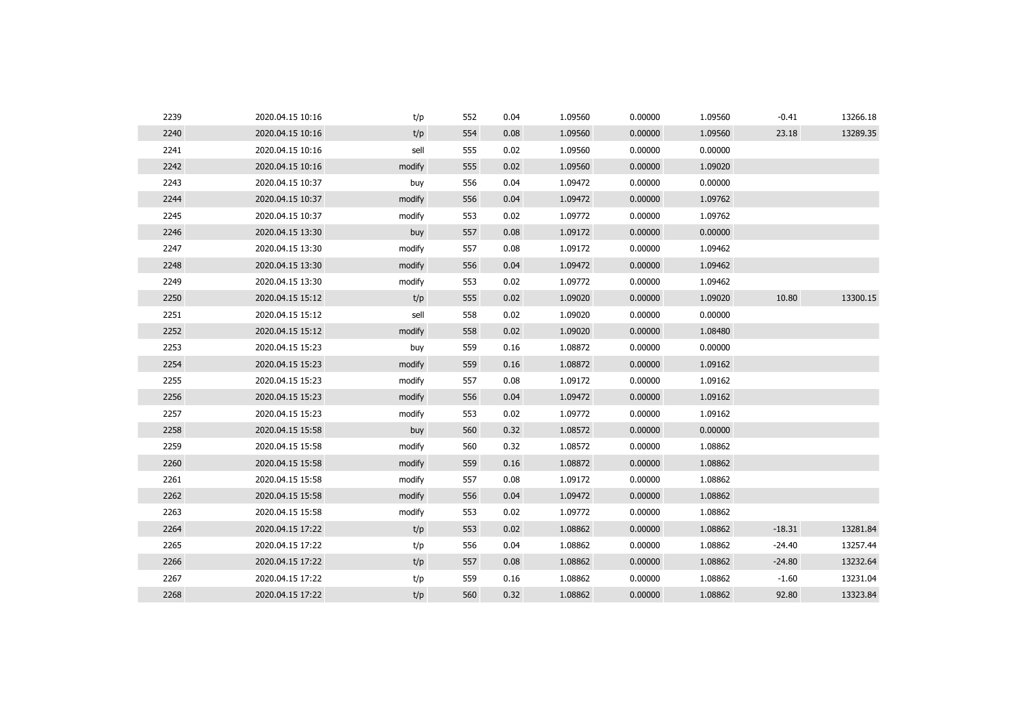| 2240<br>0.00000<br>2020.04.15 10:16<br>t/p<br>554<br>0.08<br>1.09560<br>1.09560<br>23.18<br>2241<br>sell<br>1.09560<br>0.00000<br>2020.04.15 10:16<br>555<br>0.02<br>0.00000<br>2242<br>0.02<br>1.09560<br>0.00000<br>1.09020<br>2020.04.15 10:16<br>modify<br>555<br>2243<br>556<br>0.04<br>1.09472<br>0.00000<br>0.00000<br>2020.04.15 10:37<br>buy<br>2244<br>0.00000<br>1.09762<br>2020.04.15 10:37<br>modify<br>556<br>0.04<br>1.09472<br>2245<br>1.09772<br>0.00000<br>1.09762<br>2020.04.15 10:37<br>modify<br>553<br>0.02<br>2246<br>0.00000<br>557<br>0.08<br>1.09172<br>0.00000<br>2020.04.15 13:30<br>buy<br>2247<br>0.00000<br>2020.04.15 13:30<br>modify<br>557<br>0.08<br>1.09172<br>1.09462<br>2248<br>0.04<br>1.09472<br>0.00000<br>1.09462<br>2020.04.15 13:30<br>modify<br>556<br>2249<br>2020.04.15 13:30<br>modify<br>553<br>0.02<br>1.09772<br>0.00000<br>1.09462<br>2250<br>1.09020<br>0.00000<br>1.09020<br>10.80<br>2020.04.15 15:12<br>t/p<br>555<br>0.02<br>2251<br>sell<br>558<br>0.02<br>1.09020<br>0.00000<br>0.00000<br>2020.04.15 15:12<br>2252<br>0.00000<br>2020.04.15 15:12<br>modify<br>558<br>0.02<br>1.09020<br>1.08480<br>2253<br>1.08872<br>0.00000<br>2020.04.15 15:23<br>559<br>0.16<br>0.00000<br>buy<br>2254<br>2020.04.15 15:23<br>559<br>0.16<br>1.08872<br>0.00000<br>1.09162<br>modify<br>2255<br>2020.04.15 15:23<br>modify<br>557<br>0.08<br>1.09172<br>0.00000<br>1.09162<br>2256<br>2020.04.15 15:23<br>0.04<br>1.09472<br>0.00000<br>1.09162<br>modify<br>556<br>2257<br>2020.04.15 15:23<br>modify<br>553<br>0.02<br>1.09772<br>0.00000<br>1.09162<br>2258<br>0.00000<br>2020.04.15 15:58<br>buy<br>560<br>0.32<br>1.08572<br>0.00000<br>2259<br>modify<br>0.32<br>1.08572<br>0.00000<br>1.08862<br>2020.04.15 15:58<br>560<br>2260<br>2020.04.15 15:58<br>modify<br>559<br>0.16<br>1.08872<br>0.00000<br>1.08862<br>2261<br>1.09172<br>0.00000<br>1.08862<br>2020.04.15 15:58<br>modify<br>557<br>0.08<br>2262<br>modify<br>556<br>0.04<br>1.09472<br>0.00000<br>1.08862<br>2020.04.15 15:58<br>2263<br>2020.04.15 15:58<br>modify<br>553<br>0.02<br>1.09772<br>0.00000<br>1.08862<br>2264<br>t/p<br>1.08862<br>0.00000<br>1.08862<br>$-18.31$<br>2020.04.15 17:22<br>553<br>0.02<br>2265<br>t/p<br>0.04<br>1.08862<br>0.00000<br>1.08862<br>$-24.40$<br>2020.04.15 17:22<br>556<br>2266<br>1.08862<br>0.00000<br>$-24.80$<br>2020.04.15 17:22<br>t/p<br>557<br>0.08<br>1.08862<br>2267<br>t/p<br>1.08862<br>0.00000<br>1.08862<br>$-1.60$<br>2020.04.15 17:22<br>559<br>0.16<br>2268<br>92.80<br>2020.04.15 17:22<br>t/p<br>560<br>0.32<br>1.08862<br>0.00000<br>1.08862 | 2239 | 2020.04.15 10:16 | t/p | 552 | 0.04 | 1.09560 | 0.00000 | 1.09560 | $-0.41$ | 13266.18 |
|---------------------------------------------------------------------------------------------------------------------------------------------------------------------------------------------------------------------------------------------------------------------------------------------------------------------------------------------------------------------------------------------------------------------------------------------------------------------------------------------------------------------------------------------------------------------------------------------------------------------------------------------------------------------------------------------------------------------------------------------------------------------------------------------------------------------------------------------------------------------------------------------------------------------------------------------------------------------------------------------------------------------------------------------------------------------------------------------------------------------------------------------------------------------------------------------------------------------------------------------------------------------------------------------------------------------------------------------------------------------------------------------------------------------------------------------------------------------------------------------------------------------------------------------------------------------------------------------------------------------------------------------------------------------------------------------------------------------------------------------------------------------------------------------------------------------------------------------------------------------------------------------------------------------------------------------------------------------------------------------------------------------------------------------------------------------------------------------------------------------------------------------------------------------------------------------------------------------------------------------------------------------------------------------------------------------------------------------------------------------------------------------------------------------------------------------------------------------------------------------------------------------------------------------------------------------------------------------------------------------------------|------|------------------|-----|-----|------|---------|---------|---------|---------|----------|
|                                                                                                                                                                                                                                                                                                                                                                                                                                                                                                                                                                                                                                                                                                                                                                                                                                                                                                                                                                                                                                                                                                                                                                                                                                                                                                                                                                                                                                                                                                                                                                                                                                                                                                                                                                                                                                                                                                                                                                                                                                                                                                                                                                                                                                                                                                                                                                                                                                                                                                                                                                                                                                 |      |                  |     |     |      |         |         |         |         | 13289.35 |
|                                                                                                                                                                                                                                                                                                                                                                                                                                                                                                                                                                                                                                                                                                                                                                                                                                                                                                                                                                                                                                                                                                                                                                                                                                                                                                                                                                                                                                                                                                                                                                                                                                                                                                                                                                                                                                                                                                                                                                                                                                                                                                                                                                                                                                                                                                                                                                                                                                                                                                                                                                                                                                 |      |                  |     |     |      |         |         |         |         |          |
|                                                                                                                                                                                                                                                                                                                                                                                                                                                                                                                                                                                                                                                                                                                                                                                                                                                                                                                                                                                                                                                                                                                                                                                                                                                                                                                                                                                                                                                                                                                                                                                                                                                                                                                                                                                                                                                                                                                                                                                                                                                                                                                                                                                                                                                                                                                                                                                                                                                                                                                                                                                                                                 |      |                  |     |     |      |         |         |         |         |          |
|                                                                                                                                                                                                                                                                                                                                                                                                                                                                                                                                                                                                                                                                                                                                                                                                                                                                                                                                                                                                                                                                                                                                                                                                                                                                                                                                                                                                                                                                                                                                                                                                                                                                                                                                                                                                                                                                                                                                                                                                                                                                                                                                                                                                                                                                                                                                                                                                                                                                                                                                                                                                                                 |      |                  |     |     |      |         |         |         |         |          |
|                                                                                                                                                                                                                                                                                                                                                                                                                                                                                                                                                                                                                                                                                                                                                                                                                                                                                                                                                                                                                                                                                                                                                                                                                                                                                                                                                                                                                                                                                                                                                                                                                                                                                                                                                                                                                                                                                                                                                                                                                                                                                                                                                                                                                                                                                                                                                                                                                                                                                                                                                                                                                                 |      |                  |     |     |      |         |         |         |         |          |
|                                                                                                                                                                                                                                                                                                                                                                                                                                                                                                                                                                                                                                                                                                                                                                                                                                                                                                                                                                                                                                                                                                                                                                                                                                                                                                                                                                                                                                                                                                                                                                                                                                                                                                                                                                                                                                                                                                                                                                                                                                                                                                                                                                                                                                                                                                                                                                                                                                                                                                                                                                                                                                 |      |                  |     |     |      |         |         |         |         |          |
|                                                                                                                                                                                                                                                                                                                                                                                                                                                                                                                                                                                                                                                                                                                                                                                                                                                                                                                                                                                                                                                                                                                                                                                                                                                                                                                                                                                                                                                                                                                                                                                                                                                                                                                                                                                                                                                                                                                                                                                                                                                                                                                                                                                                                                                                                                                                                                                                                                                                                                                                                                                                                                 |      |                  |     |     |      |         |         |         |         |          |
|                                                                                                                                                                                                                                                                                                                                                                                                                                                                                                                                                                                                                                                                                                                                                                                                                                                                                                                                                                                                                                                                                                                                                                                                                                                                                                                                                                                                                                                                                                                                                                                                                                                                                                                                                                                                                                                                                                                                                                                                                                                                                                                                                                                                                                                                                                                                                                                                                                                                                                                                                                                                                                 |      |                  |     |     |      |         |         |         |         |          |
|                                                                                                                                                                                                                                                                                                                                                                                                                                                                                                                                                                                                                                                                                                                                                                                                                                                                                                                                                                                                                                                                                                                                                                                                                                                                                                                                                                                                                                                                                                                                                                                                                                                                                                                                                                                                                                                                                                                                                                                                                                                                                                                                                                                                                                                                                                                                                                                                                                                                                                                                                                                                                                 |      |                  |     |     |      |         |         |         |         |          |
|                                                                                                                                                                                                                                                                                                                                                                                                                                                                                                                                                                                                                                                                                                                                                                                                                                                                                                                                                                                                                                                                                                                                                                                                                                                                                                                                                                                                                                                                                                                                                                                                                                                                                                                                                                                                                                                                                                                                                                                                                                                                                                                                                                                                                                                                                                                                                                                                                                                                                                                                                                                                                                 |      |                  |     |     |      |         |         |         |         |          |
|                                                                                                                                                                                                                                                                                                                                                                                                                                                                                                                                                                                                                                                                                                                                                                                                                                                                                                                                                                                                                                                                                                                                                                                                                                                                                                                                                                                                                                                                                                                                                                                                                                                                                                                                                                                                                                                                                                                                                                                                                                                                                                                                                                                                                                                                                                                                                                                                                                                                                                                                                                                                                                 |      |                  |     |     |      |         |         |         |         | 13300.15 |
|                                                                                                                                                                                                                                                                                                                                                                                                                                                                                                                                                                                                                                                                                                                                                                                                                                                                                                                                                                                                                                                                                                                                                                                                                                                                                                                                                                                                                                                                                                                                                                                                                                                                                                                                                                                                                                                                                                                                                                                                                                                                                                                                                                                                                                                                                                                                                                                                                                                                                                                                                                                                                                 |      |                  |     |     |      |         |         |         |         |          |
|                                                                                                                                                                                                                                                                                                                                                                                                                                                                                                                                                                                                                                                                                                                                                                                                                                                                                                                                                                                                                                                                                                                                                                                                                                                                                                                                                                                                                                                                                                                                                                                                                                                                                                                                                                                                                                                                                                                                                                                                                                                                                                                                                                                                                                                                                                                                                                                                                                                                                                                                                                                                                                 |      |                  |     |     |      |         |         |         |         |          |
|                                                                                                                                                                                                                                                                                                                                                                                                                                                                                                                                                                                                                                                                                                                                                                                                                                                                                                                                                                                                                                                                                                                                                                                                                                                                                                                                                                                                                                                                                                                                                                                                                                                                                                                                                                                                                                                                                                                                                                                                                                                                                                                                                                                                                                                                                                                                                                                                                                                                                                                                                                                                                                 |      |                  |     |     |      |         |         |         |         |          |
|                                                                                                                                                                                                                                                                                                                                                                                                                                                                                                                                                                                                                                                                                                                                                                                                                                                                                                                                                                                                                                                                                                                                                                                                                                                                                                                                                                                                                                                                                                                                                                                                                                                                                                                                                                                                                                                                                                                                                                                                                                                                                                                                                                                                                                                                                                                                                                                                                                                                                                                                                                                                                                 |      |                  |     |     |      |         |         |         |         |          |
|                                                                                                                                                                                                                                                                                                                                                                                                                                                                                                                                                                                                                                                                                                                                                                                                                                                                                                                                                                                                                                                                                                                                                                                                                                                                                                                                                                                                                                                                                                                                                                                                                                                                                                                                                                                                                                                                                                                                                                                                                                                                                                                                                                                                                                                                                                                                                                                                                                                                                                                                                                                                                                 |      |                  |     |     |      |         |         |         |         |          |
|                                                                                                                                                                                                                                                                                                                                                                                                                                                                                                                                                                                                                                                                                                                                                                                                                                                                                                                                                                                                                                                                                                                                                                                                                                                                                                                                                                                                                                                                                                                                                                                                                                                                                                                                                                                                                                                                                                                                                                                                                                                                                                                                                                                                                                                                                                                                                                                                                                                                                                                                                                                                                                 |      |                  |     |     |      |         |         |         |         |          |
|                                                                                                                                                                                                                                                                                                                                                                                                                                                                                                                                                                                                                                                                                                                                                                                                                                                                                                                                                                                                                                                                                                                                                                                                                                                                                                                                                                                                                                                                                                                                                                                                                                                                                                                                                                                                                                                                                                                                                                                                                                                                                                                                                                                                                                                                                                                                                                                                                                                                                                                                                                                                                                 |      |                  |     |     |      |         |         |         |         |          |
|                                                                                                                                                                                                                                                                                                                                                                                                                                                                                                                                                                                                                                                                                                                                                                                                                                                                                                                                                                                                                                                                                                                                                                                                                                                                                                                                                                                                                                                                                                                                                                                                                                                                                                                                                                                                                                                                                                                                                                                                                                                                                                                                                                                                                                                                                                                                                                                                                                                                                                                                                                                                                                 |      |                  |     |     |      |         |         |         |         |          |
|                                                                                                                                                                                                                                                                                                                                                                                                                                                                                                                                                                                                                                                                                                                                                                                                                                                                                                                                                                                                                                                                                                                                                                                                                                                                                                                                                                                                                                                                                                                                                                                                                                                                                                                                                                                                                                                                                                                                                                                                                                                                                                                                                                                                                                                                                                                                                                                                                                                                                                                                                                                                                                 |      |                  |     |     |      |         |         |         |         |          |
|                                                                                                                                                                                                                                                                                                                                                                                                                                                                                                                                                                                                                                                                                                                                                                                                                                                                                                                                                                                                                                                                                                                                                                                                                                                                                                                                                                                                                                                                                                                                                                                                                                                                                                                                                                                                                                                                                                                                                                                                                                                                                                                                                                                                                                                                                                                                                                                                                                                                                                                                                                                                                                 |      |                  |     |     |      |         |         |         |         |          |
|                                                                                                                                                                                                                                                                                                                                                                                                                                                                                                                                                                                                                                                                                                                                                                                                                                                                                                                                                                                                                                                                                                                                                                                                                                                                                                                                                                                                                                                                                                                                                                                                                                                                                                                                                                                                                                                                                                                                                                                                                                                                                                                                                                                                                                                                                                                                                                                                                                                                                                                                                                                                                                 |      |                  |     |     |      |         |         |         |         |          |
|                                                                                                                                                                                                                                                                                                                                                                                                                                                                                                                                                                                                                                                                                                                                                                                                                                                                                                                                                                                                                                                                                                                                                                                                                                                                                                                                                                                                                                                                                                                                                                                                                                                                                                                                                                                                                                                                                                                                                                                                                                                                                                                                                                                                                                                                                                                                                                                                                                                                                                                                                                                                                                 |      |                  |     |     |      |         |         |         |         |          |
|                                                                                                                                                                                                                                                                                                                                                                                                                                                                                                                                                                                                                                                                                                                                                                                                                                                                                                                                                                                                                                                                                                                                                                                                                                                                                                                                                                                                                                                                                                                                                                                                                                                                                                                                                                                                                                                                                                                                                                                                                                                                                                                                                                                                                                                                                                                                                                                                                                                                                                                                                                                                                                 |      |                  |     |     |      |         |         |         |         |          |
|                                                                                                                                                                                                                                                                                                                                                                                                                                                                                                                                                                                                                                                                                                                                                                                                                                                                                                                                                                                                                                                                                                                                                                                                                                                                                                                                                                                                                                                                                                                                                                                                                                                                                                                                                                                                                                                                                                                                                                                                                                                                                                                                                                                                                                                                                                                                                                                                                                                                                                                                                                                                                                 |      |                  |     |     |      |         |         |         |         | 13281.84 |
|                                                                                                                                                                                                                                                                                                                                                                                                                                                                                                                                                                                                                                                                                                                                                                                                                                                                                                                                                                                                                                                                                                                                                                                                                                                                                                                                                                                                                                                                                                                                                                                                                                                                                                                                                                                                                                                                                                                                                                                                                                                                                                                                                                                                                                                                                                                                                                                                                                                                                                                                                                                                                                 |      |                  |     |     |      |         |         |         |         | 13257.44 |
|                                                                                                                                                                                                                                                                                                                                                                                                                                                                                                                                                                                                                                                                                                                                                                                                                                                                                                                                                                                                                                                                                                                                                                                                                                                                                                                                                                                                                                                                                                                                                                                                                                                                                                                                                                                                                                                                                                                                                                                                                                                                                                                                                                                                                                                                                                                                                                                                                                                                                                                                                                                                                                 |      |                  |     |     |      |         |         |         |         | 13232.64 |
|                                                                                                                                                                                                                                                                                                                                                                                                                                                                                                                                                                                                                                                                                                                                                                                                                                                                                                                                                                                                                                                                                                                                                                                                                                                                                                                                                                                                                                                                                                                                                                                                                                                                                                                                                                                                                                                                                                                                                                                                                                                                                                                                                                                                                                                                                                                                                                                                                                                                                                                                                                                                                                 |      |                  |     |     |      |         |         |         |         | 13231.04 |
|                                                                                                                                                                                                                                                                                                                                                                                                                                                                                                                                                                                                                                                                                                                                                                                                                                                                                                                                                                                                                                                                                                                                                                                                                                                                                                                                                                                                                                                                                                                                                                                                                                                                                                                                                                                                                                                                                                                                                                                                                                                                                                                                                                                                                                                                                                                                                                                                                                                                                                                                                                                                                                 |      |                  |     |     |      |         |         |         |         | 13323.84 |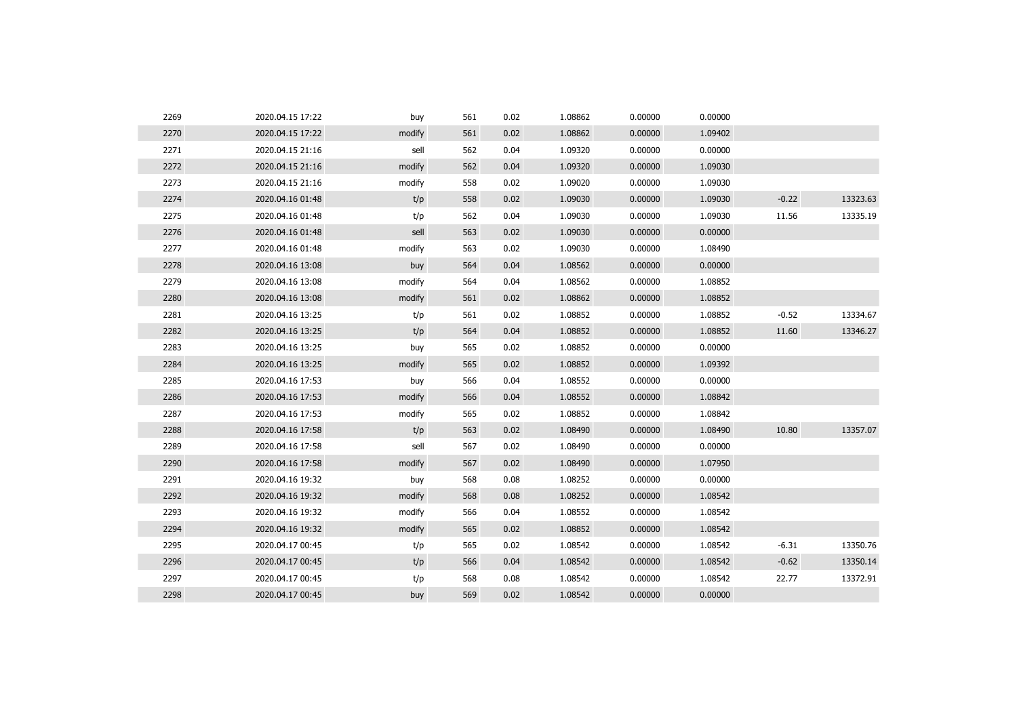| 2269 | 2020.04.15 17:22 | buy    | 561 | 0.02 | 1.08862 | 0.00000 | 0.00000 |         |          |
|------|------------------|--------|-----|------|---------|---------|---------|---------|----------|
| 2270 | 2020.04.15 17:22 | modify | 561 | 0.02 | 1.08862 | 0.00000 | 1.09402 |         |          |
| 2271 | 2020.04.15 21:16 | sell   | 562 | 0.04 | 1.09320 | 0.00000 | 0.00000 |         |          |
| 2272 | 2020.04.15 21:16 | modify | 562 | 0.04 | 1.09320 | 0.00000 | 1.09030 |         |          |
| 2273 | 2020.04.15 21:16 | modify | 558 | 0.02 | 1.09020 | 0.00000 | 1.09030 |         |          |
| 2274 | 2020.04.16 01:48 | t/p    | 558 | 0.02 | 1.09030 | 0.00000 | 1.09030 | $-0.22$ | 13323.63 |
| 2275 | 2020.04.16 01:48 | t/p    | 562 | 0.04 | 1.09030 | 0.00000 | 1.09030 | 11.56   | 13335.19 |
| 2276 | 2020.04.16 01:48 | sell   | 563 | 0.02 | 1.09030 | 0.00000 | 0.00000 |         |          |
| 2277 | 2020.04.16 01:48 | modify | 563 | 0.02 | 1.09030 | 0.00000 | 1.08490 |         |          |
| 2278 | 2020.04.16 13:08 | buy    | 564 | 0.04 | 1.08562 | 0.00000 | 0.00000 |         |          |
| 2279 | 2020.04.16 13:08 | modify | 564 | 0.04 | 1.08562 | 0.00000 | 1.08852 |         |          |
| 2280 | 2020.04.16 13:08 | modify | 561 | 0.02 | 1.08862 | 0.00000 | 1.08852 |         |          |
| 2281 | 2020.04.16 13:25 | t/p    | 561 | 0.02 | 1.08852 | 0.00000 | 1.08852 | $-0.52$ | 13334.67 |
| 2282 | 2020.04.16 13:25 | t/p    | 564 | 0.04 | 1.08852 | 0.00000 | 1.08852 | 11.60   | 13346.27 |
| 2283 | 2020.04.16 13:25 | buy    | 565 | 0.02 | 1.08852 | 0.00000 | 0.00000 |         |          |
| 2284 | 2020.04.16 13:25 | modify | 565 | 0.02 | 1.08852 | 0.00000 | 1.09392 |         |          |
| 2285 | 2020.04.16 17:53 | buy    | 566 | 0.04 | 1.08552 | 0.00000 | 0.00000 |         |          |
| 2286 | 2020.04.16 17:53 | modify | 566 | 0.04 | 1.08552 | 0.00000 | 1.08842 |         |          |
| 2287 | 2020.04.16 17:53 | modify | 565 | 0.02 | 1.08852 | 0.00000 | 1.08842 |         |          |
| 2288 | 2020.04.16 17:58 | t/p    | 563 | 0.02 | 1.08490 | 0.00000 | 1.08490 | 10.80   | 13357.07 |
| 2289 | 2020.04.16 17:58 | sell   | 567 | 0.02 | 1.08490 | 0.00000 | 0.00000 |         |          |
| 2290 | 2020.04.16 17:58 | modify | 567 | 0.02 | 1.08490 | 0.00000 | 1.07950 |         |          |
| 2291 | 2020.04.16 19:32 | buy    | 568 | 0.08 | 1.08252 | 0.00000 | 0.00000 |         |          |
| 2292 | 2020.04.16 19:32 | modify | 568 | 0.08 | 1.08252 | 0.00000 | 1.08542 |         |          |
| 2293 | 2020.04.16 19:32 | modify | 566 | 0.04 | 1.08552 | 0.00000 | 1.08542 |         |          |
| 2294 | 2020.04.16 19:32 | modify | 565 | 0.02 | 1.08852 | 0.00000 | 1.08542 |         |          |
| 2295 | 2020.04.17 00:45 | t/p    | 565 | 0.02 | 1.08542 | 0.00000 | 1.08542 | $-6.31$ | 13350.76 |
| 2296 | 2020.04.17 00:45 | t/p    | 566 | 0.04 | 1.08542 | 0.00000 | 1.08542 | $-0.62$ | 13350.14 |
| 2297 | 2020.04.17 00:45 | t/p    | 568 | 0.08 | 1.08542 | 0.00000 | 1.08542 | 22.77   | 13372.91 |
| 2298 | 2020.04.17 00:45 | buy    | 569 | 0.02 | 1.08542 | 0.00000 | 0.00000 |         |          |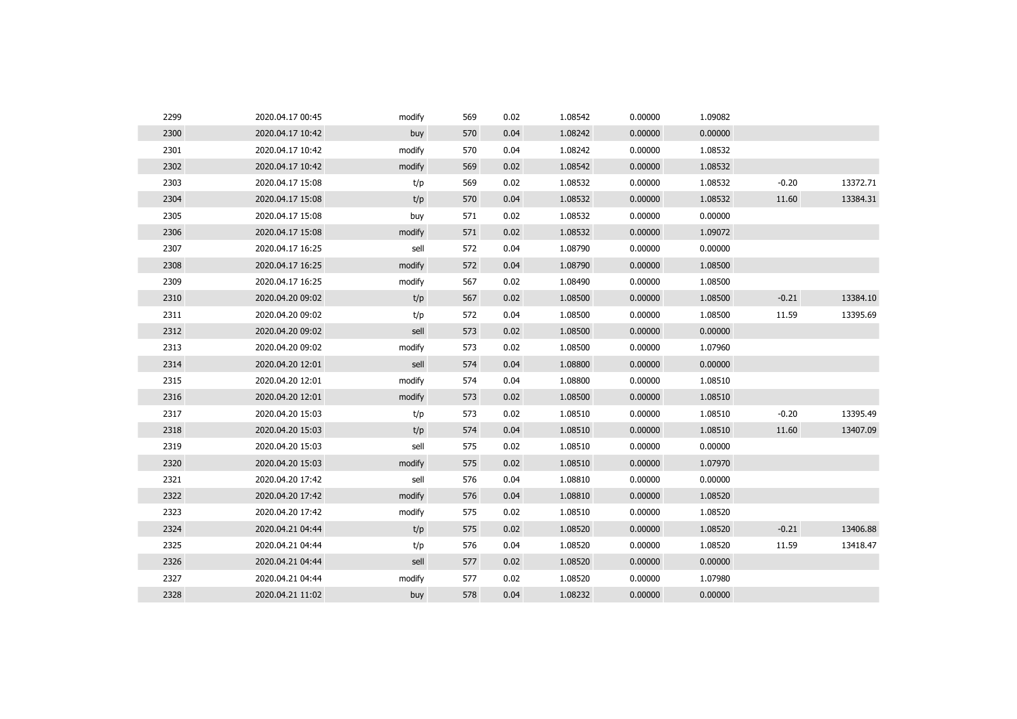| 2299 | 2020.04.17 00:45 | modify | 569 | 0.02 | 1.08542 | 0.00000 | 1.09082 |         |          |
|------|------------------|--------|-----|------|---------|---------|---------|---------|----------|
| 2300 | 2020.04.17 10:42 | buy    | 570 | 0.04 | 1.08242 | 0.00000 | 0.00000 |         |          |
| 2301 | 2020.04.17 10:42 | modify | 570 | 0.04 | 1.08242 | 0.00000 | 1.08532 |         |          |
| 2302 | 2020.04.17 10:42 | modify | 569 | 0.02 | 1.08542 | 0.00000 | 1.08532 |         |          |
| 2303 | 2020.04.17 15:08 | t/p    | 569 | 0.02 | 1.08532 | 0.00000 | 1.08532 | $-0.20$ | 13372.71 |
| 2304 | 2020.04.17 15:08 | t/p    | 570 | 0.04 | 1.08532 | 0.00000 | 1.08532 | 11.60   | 13384.31 |
| 2305 | 2020.04.17 15:08 | buy    | 571 | 0.02 | 1.08532 | 0.00000 | 0.00000 |         |          |
| 2306 | 2020.04.17 15:08 | modify | 571 | 0.02 | 1.08532 | 0.00000 | 1.09072 |         |          |
| 2307 | 2020.04.17 16:25 | sell   | 572 | 0.04 | 1.08790 | 0.00000 | 0.00000 |         |          |
| 2308 | 2020.04.17 16:25 | modify | 572 | 0.04 | 1.08790 | 0.00000 | 1.08500 |         |          |
| 2309 | 2020.04.17 16:25 | modify | 567 | 0.02 | 1.08490 | 0.00000 | 1.08500 |         |          |
| 2310 | 2020.04.20 09:02 | t/p    | 567 | 0.02 | 1.08500 | 0.00000 | 1.08500 | $-0.21$ | 13384.10 |
| 2311 | 2020.04.20 09:02 | t/p    | 572 | 0.04 | 1.08500 | 0.00000 | 1.08500 | 11.59   | 13395.69 |
| 2312 | 2020.04.20 09:02 | sell   | 573 | 0.02 | 1.08500 | 0.00000 | 0.00000 |         |          |
| 2313 | 2020.04.20 09:02 | modify | 573 | 0.02 | 1.08500 | 0.00000 | 1.07960 |         |          |
| 2314 | 2020.04.20 12:01 | sell   | 574 | 0.04 | 1.08800 | 0.00000 | 0.00000 |         |          |
| 2315 | 2020.04.20 12:01 | modify | 574 | 0.04 | 1.08800 | 0.00000 | 1.08510 |         |          |
| 2316 | 2020.04.20 12:01 | modify | 573 | 0.02 | 1.08500 | 0.00000 | 1.08510 |         |          |
| 2317 | 2020.04.20 15:03 | t/p    | 573 | 0.02 | 1.08510 | 0.00000 | 1.08510 | $-0.20$ | 13395.49 |
| 2318 | 2020.04.20 15:03 | t/p    | 574 | 0.04 | 1.08510 | 0.00000 | 1.08510 | 11.60   | 13407.09 |
| 2319 | 2020.04.20 15:03 | sell   | 575 | 0.02 | 1.08510 | 0.00000 | 0.00000 |         |          |
| 2320 | 2020.04.20 15:03 | modify | 575 | 0.02 | 1.08510 | 0.00000 | 1.07970 |         |          |
| 2321 | 2020.04.20 17:42 | sell   | 576 | 0.04 | 1.08810 | 0.00000 | 0.00000 |         |          |
| 2322 | 2020.04.20 17:42 | modify | 576 | 0.04 | 1.08810 | 0.00000 | 1.08520 |         |          |
| 2323 | 2020.04.20 17:42 | modify | 575 | 0.02 | 1.08510 | 0.00000 | 1.08520 |         |          |
| 2324 | 2020.04.21 04:44 | t/p    | 575 | 0.02 | 1.08520 | 0.00000 | 1.08520 | $-0.21$ | 13406.88 |
| 2325 | 2020.04.21 04:44 | t/p    | 576 | 0.04 | 1.08520 | 0.00000 | 1.08520 | 11.59   | 13418.47 |
| 2326 | 2020.04.21 04:44 | sell   | 577 | 0.02 | 1.08520 | 0.00000 | 0.00000 |         |          |
| 2327 | 2020.04.21 04:44 | modify | 577 | 0.02 | 1.08520 | 0.00000 | 1.07980 |         |          |
| 2328 | 2020.04.21 11:02 | buy    | 578 | 0.04 | 1.08232 | 0.00000 | 0.00000 |         |          |
|      |                  |        |     |      |         |         |         |         |          |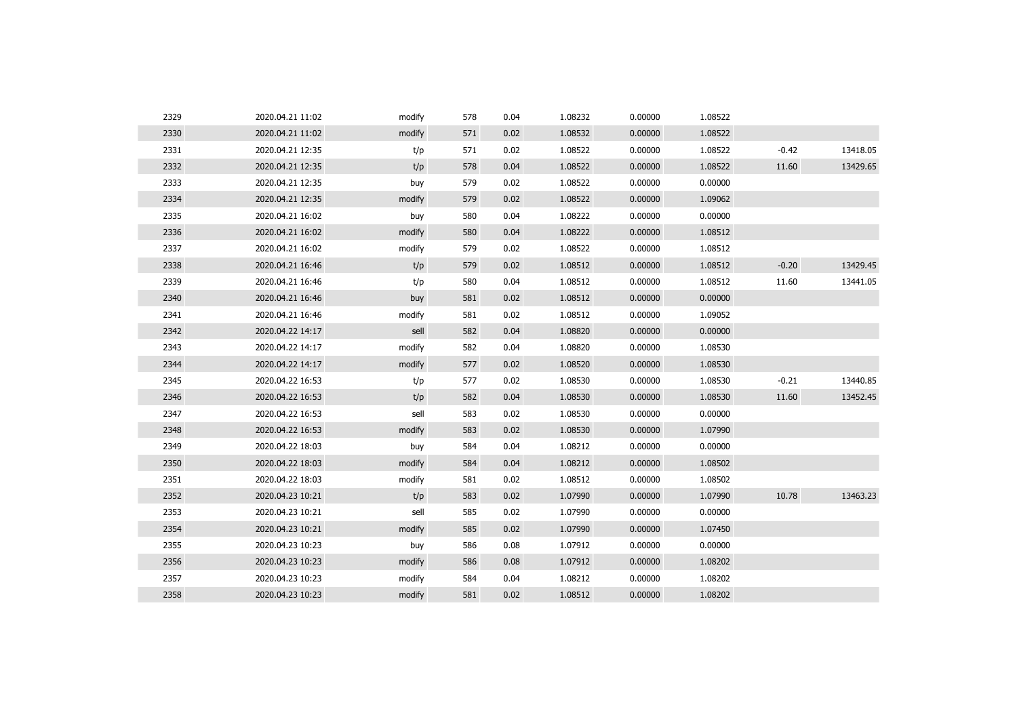| 2329 | 2020.04.21 11:02 | modify | 578 | 0.04 | 1.08232 | 0.00000 | 1.08522 |         |          |
|------|------------------|--------|-----|------|---------|---------|---------|---------|----------|
| 2330 | 2020.04.21 11:02 | modify | 571 | 0.02 | 1.08532 | 0.00000 | 1.08522 |         |          |
| 2331 | 2020.04.21 12:35 | t/p    | 571 | 0.02 | 1.08522 | 0.00000 | 1.08522 | $-0.42$ | 13418.05 |
| 2332 | 2020.04.21 12:35 | t/p    | 578 | 0.04 | 1.08522 | 0.00000 | 1.08522 | 11.60   | 13429.65 |
| 2333 | 2020.04.21 12:35 | buy    | 579 | 0.02 | 1.08522 | 0.00000 | 0.00000 |         |          |
| 2334 | 2020.04.21 12:35 | modify | 579 | 0.02 | 1.08522 | 0.00000 | 1.09062 |         |          |
| 2335 | 2020.04.21 16:02 | buy    | 580 | 0.04 | 1.08222 | 0.00000 | 0.00000 |         |          |
| 2336 | 2020.04.21 16:02 | modify | 580 | 0.04 | 1.08222 | 0.00000 | 1.08512 |         |          |
| 2337 | 2020.04.21 16:02 | modify | 579 | 0.02 | 1.08522 | 0.00000 | 1.08512 |         |          |
| 2338 | 2020.04.21 16:46 | t/p    | 579 | 0.02 | 1.08512 | 0.00000 | 1.08512 | $-0.20$ | 13429.45 |
| 2339 | 2020.04.21 16:46 | t/p    | 580 | 0.04 | 1.08512 | 0.00000 | 1.08512 | 11.60   | 13441.05 |
| 2340 | 2020.04.21 16:46 | buy    | 581 | 0.02 | 1.08512 | 0.00000 | 0.00000 |         |          |
| 2341 | 2020.04.21 16:46 | modify | 581 | 0.02 | 1.08512 | 0.00000 | 1.09052 |         |          |
| 2342 | 2020.04.22 14:17 | sell   | 582 | 0.04 | 1.08820 | 0.00000 | 0.00000 |         |          |
| 2343 | 2020.04.22 14:17 | modify | 582 | 0.04 | 1.08820 | 0.00000 | 1.08530 |         |          |
| 2344 | 2020.04.22 14:17 | modify | 577 | 0.02 | 1.08520 | 0.00000 | 1.08530 |         |          |
| 2345 | 2020.04.22 16:53 | t/p    | 577 | 0.02 | 1.08530 | 0.00000 | 1.08530 | $-0.21$ | 13440.85 |
| 2346 | 2020.04.22 16:53 | t/p    | 582 | 0.04 | 1.08530 | 0.00000 | 1.08530 | 11.60   | 13452.45 |
| 2347 | 2020.04.22 16:53 | sell   | 583 | 0.02 | 1.08530 | 0.00000 | 0.00000 |         |          |
| 2348 | 2020.04.22 16:53 | modify | 583 | 0.02 | 1.08530 | 0.00000 | 1.07990 |         |          |
| 2349 | 2020.04.22 18:03 | buy    | 584 | 0.04 | 1.08212 | 0.00000 | 0.00000 |         |          |
| 2350 | 2020.04.22 18:03 | modify | 584 | 0.04 | 1.08212 | 0.00000 | 1.08502 |         |          |
| 2351 | 2020.04.22 18:03 | modify | 581 | 0.02 | 1.08512 | 0.00000 | 1.08502 |         |          |
| 2352 | 2020.04.23 10:21 | t/p    | 583 | 0.02 | 1.07990 | 0.00000 | 1.07990 | 10.78   | 13463.23 |
| 2353 | 2020.04.23 10:21 | sell   | 585 | 0.02 | 1.07990 | 0.00000 | 0.00000 |         |          |
| 2354 | 2020.04.23 10:21 | modify | 585 | 0.02 | 1.07990 | 0.00000 | 1.07450 |         |          |
| 2355 | 2020.04.23 10:23 | buy    | 586 | 0.08 | 1.07912 | 0.00000 | 0.00000 |         |          |
| 2356 | 2020.04.23 10:23 | modify | 586 | 0.08 | 1.07912 | 0.00000 | 1.08202 |         |          |
| 2357 | 2020.04.23 10:23 | modify | 584 | 0.04 | 1.08212 | 0.00000 | 1.08202 |         |          |
| 2358 | 2020.04.23 10:23 | modify | 581 | 0.02 | 1.08512 | 0.00000 | 1.08202 |         |          |
|      |                  |        |     |      |         |         |         |         |          |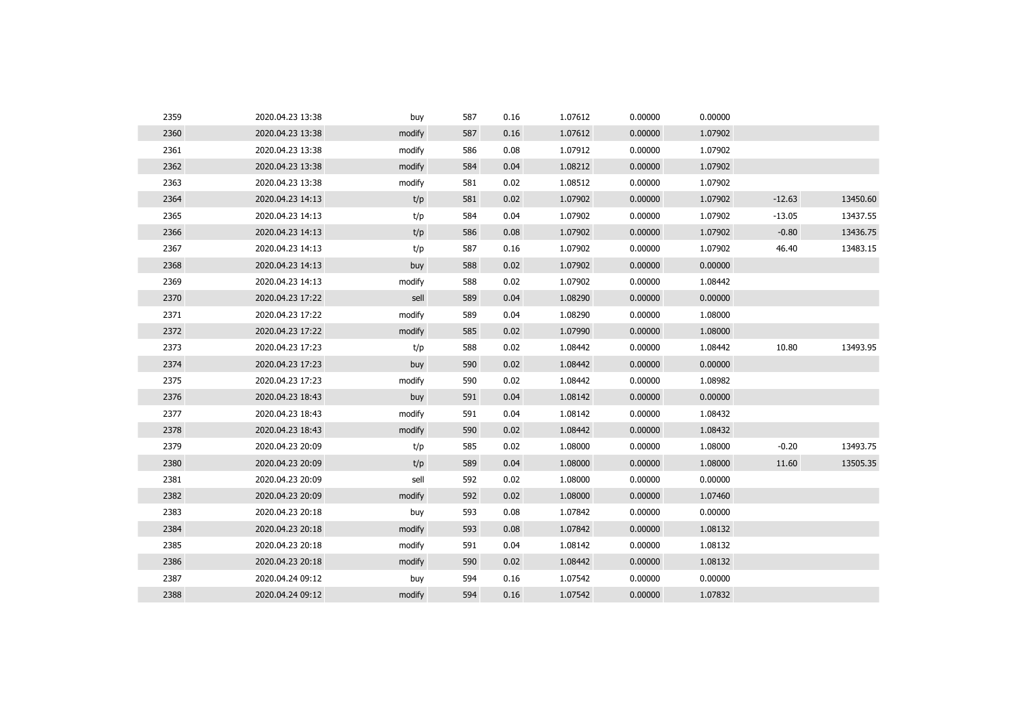| 2359 | 2020.04.23 13:38 | buy    | 587 | 0.16 | 1.07612 | 0.00000 | 0.00000 |          |          |
|------|------------------|--------|-----|------|---------|---------|---------|----------|----------|
| 2360 | 2020.04.23 13:38 | modify | 587 | 0.16 | 1.07612 | 0.00000 | 1.07902 |          |          |
| 2361 | 2020.04.23 13:38 | modify | 586 | 0.08 | 1.07912 | 0.00000 | 1.07902 |          |          |
| 2362 | 2020.04.23 13:38 | modify | 584 | 0.04 | 1.08212 | 0.00000 | 1.07902 |          |          |
| 2363 | 2020.04.23 13:38 | modify | 581 | 0.02 | 1.08512 | 0.00000 | 1.07902 |          |          |
| 2364 | 2020.04.23 14:13 | t/p    | 581 | 0.02 | 1.07902 | 0.00000 | 1.07902 | $-12.63$ | 13450.60 |
| 2365 | 2020.04.23 14:13 | t/p    | 584 | 0.04 | 1.07902 | 0.00000 | 1.07902 | $-13.05$ | 13437.55 |
| 2366 | 2020.04.23 14:13 | t/p    | 586 | 0.08 | 1.07902 | 0.00000 | 1.07902 | $-0.80$  | 13436.75 |
| 2367 | 2020.04.23 14:13 | t/p    | 587 | 0.16 | 1.07902 | 0.00000 | 1.07902 | 46.40    | 13483.15 |
| 2368 | 2020.04.23 14:13 | buy    | 588 | 0.02 | 1.07902 | 0.00000 | 0.00000 |          |          |
| 2369 | 2020.04.23 14:13 | modify | 588 | 0.02 | 1.07902 | 0.00000 | 1.08442 |          |          |
| 2370 | 2020.04.23 17:22 | sell   | 589 | 0.04 | 1.08290 | 0.00000 | 0.00000 |          |          |
| 2371 | 2020.04.23 17:22 | modify | 589 | 0.04 | 1.08290 | 0.00000 | 1.08000 |          |          |
| 2372 | 2020.04.23 17:22 | modify | 585 | 0.02 | 1.07990 | 0.00000 | 1.08000 |          |          |
| 2373 | 2020.04.23 17:23 | t/p    | 588 | 0.02 | 1.08442 | 0.00000 | 1.08442 | 10.80    | 13493.95 |
| 2374 | 2020.04.23 17:23 | buy    | 590 | 0.02 | 1.08442 | 0.00000 | 0.00000 |          |          |
| 2375 | 2020.04.23 17:23 | modify | 590 | 0.02 | 1.08442 | 0.00000 | 1.08982 |          |          |
| 2376 | 2020.04.23 18:43 | buy    | 591 | 0.04 | 1.08142 | 0.00000 | 0.00000 |          |          |
| 2377 | 2020.04.23 18:43 | modify | 591 | 0.04 | 1.08142 | 0.00000 | 1.08432 |          |          |
| 2378 | 2020.04.23 18:43 | modify | 590 | 0.02 | 1.08442 | 0.00000 | 1.08432 |          |          |
| 2379 | 2020.04.23 20:09 | t/p    | 585 | 0.02 | 1.08000 | 0.00000 | 1.08000 | $-0.20$  | 13493.75 |
| 2380 | 2020.04.23 20:09 | t/p    | 589 | 0.04 | 1.08000 | 0.00000 | 1.08000 | 11.60    | 13505.35 |
| 2381 | 2020.04.23 20:09 | sell   | 592 | 0.02 | 1.08000 | 0.00000 | 0.00000 |          |          |
| 2382 | 2020.04.23 20:09 | modify | 592 | 0.02 | 1.08000 | 0.00000 | 1.07460 |          |          |
| 2383 | 2020.04.23 20:18 | buy    | 593 | 0.08 | 1.07842 | 0.00000 | 0.00000 |          |          |
| 2384 | 2020.04.23 20:18 | modify | 593 | 0.08 | 1.07842 | 0.00000 | 1.08132 |          |          |
| 2385 | 2020.04.23 20:18 | modify | 591 | 0.04 | 1.08142 | 0.00000 | 1.08132 |          |          |
| 2386 | 2020.04.23 20:18 | modify | 590 | 0.02 | 1.08442 | 0.00000 | 1.08132 |          |          |
| 2387 | 2020.04.24 09:12 | buy    | 594 | 0.16 | 1.07542 | 0.00000 | 0.00000 |          |          |
| 2388 | 2020.04.24 09:12 | modify | 594 | 0.16 | 1.07542 | 0.00000 | 1.07832 |          |          |
|      |                  |        |     |      |         |         |         |          |          |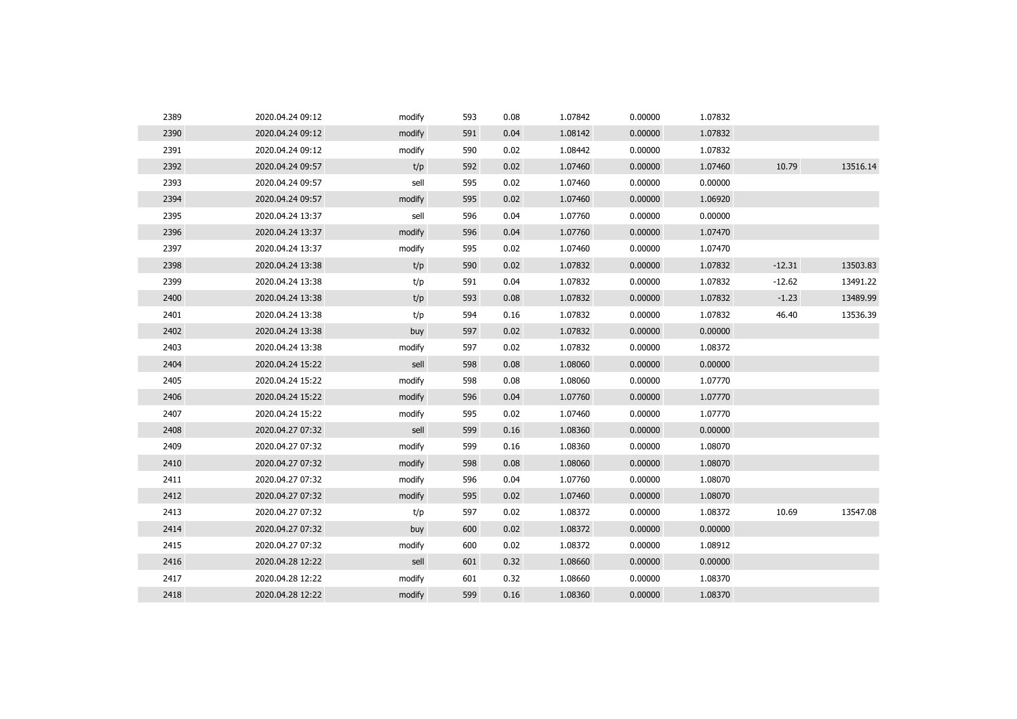| 2389 | 2020.04.24 09:12 | modify | 593 | 0.08 | 1.07842 | 0.00000 | 1.07832 |          |          |
|------|------------------|--------|-----|------|---------|---------|---------|----------|----------|
| 2390 | 2020.04.24 09:12 | modify | 591 | 0.04 | 1.08142 | 0.00000 | 1.07832 |          |          |
| 2391 | 2020.04.24 09:12 | modify | 590 | 0.02 | 1.08442 | 0.00000 | 1.07832 |          |          |
| 2392 | 2020.04.24 09:57 | t/p    | 592 | 0.02 | 1.07460 | 0.00000 | 1.07460 | 10.79    | 13516.14 |
| 2393 | 2020.04.24 09:57 | sell   | 595 | 0.02 | 1.07460 | 0.00000 | 0.00000 |          |          |
| 2394 | 2020.04.24 09:57 | modify | 595 | 0.02 | 1.07460 | 0.00000 | 1.06920 |          |          |
| 2395 | 2020.04.24 13:37 | sell   | 596 | 0.04 | 1.07760 | 0.00000 | 0.00000 |          |          |
| 2396 | 2020.04.24 13:37 | modify | 596 | 0.04 | 1.07760 | 0.00000 | 1.07470 |          |          |
| 2397 | 2020.04.24 13:37 | modify | 595 | 0.02 | 1.07460 | 0.00000 | 1.07470 |          |          |
| 2398 | 2020.04.24 13:38 | t/p    | 590 | 0.02 | 1.07832 | 0.00000 | 1.07832 | $-12.31$ | 13503.83 |
| 2399 | 2020.04.24 13:38 | t/p    | 591 | 0.04 | 1.07832 | 0.00000 | 1.07832 | $-12.62$ | 13491.22 |
| 2400 | 2020.04.24 13:38 | t/p    | 593 | 0.08 | 1.07832 | 0.00000 | 1.07832 | $-1.23$  | 13489.99 |
| 2401 | 2020.04.24 13:38 | t/p    | 594 | 0.16 | 1.07832 | 0.00000 | 1.07832 | 46.40    | 13536.39 |
| 2402 | 2020.04.24 13:38 | buy    | 597 | 0.02 | 1.07832 | 0.00000 | 0.00000 |          |          |
| 2403 | 2020.04.24 13:38 | modify | 597 | 0.02 | 1.07832 | 0.00000 | 1.08372 |          |          |
| 2404 | 2020.04.24 15:22 | sell   | 598 | 0.08 | 1.08060 | 0.00000 | 0.00000 |          |          |
| 2405 | 2020.04.24 15:22 | modify | 598 | 0.08 | 1.08060 | 0.00000 | 1.07770 |          |          |
| 2406 | 2020.04.24 15:22 | modify | 596 | 0.04 | 1.07760 | 0.00000 | 1.07770 |          |          |
| 2407 | 2020.04.24 15:22 | modify | 595 | 0.02 | 1.07460 | 0.00000 | 1.07770 |          |          |
| 2408 | 2020.04.27 07:32 | sell   | 599 | 0.16 | 1.08360 | 0.00000 | 0.00000 |          |          |
| 2409 | 2020.04.27 07:32 | modify | 599 | 0.16 | 1.08360 | 0.00000 | 1.08070 |          |          |
| 2410 | 2020.04.27 07:32 | modify | 598 | 0.08 | 1.08060 | 0.00000 | 1.08070 |          |          |
| 2411 | 2020.04.27 07:32 | modify | 596 | 0.04 | 1.07760 | 0.00000 | 1.08070 |          |          |
| 2412 | 2020.04.27 07:32 | modify | 595 | 0.02 | 1.07460 | 0.00000 | 1.08070 |          |          |
| 2413 | 2020.04.27 07:32 | t/p    | 597 | 0.02 | 1.08372 | 0.00000 | 1.08372 | 10.69    | 13547.08 |
| 2414 | 2020.04.27 07:32 | buy    | 600 | 0.02 | 1.08372 | 0.00000 | 0.00000 |          |          |
| 2415 | 2020.04.27 07:32 | modify | 600 | 0.02 | 1.08372 | 0.00000 | 1.08912 |          |          |
| 2416 | 2020.04.28 12:22 | sell   | 601 | 0.32 | 1.08660 | 0.00000 | 0.00000 |          |          |
| 2417 | 2020.04.28 12:22 | modify | 601 | 0.32 | 1.08660 | 0.00000 | 1.08370 |          |          |
| 2418 | 2020.04.28 12:22 | modify | 599 | 0.16 | 1.08360 | 0.00000 | 1.08370 |          |          |
|      |                  |        |     |      |         |         |         |          |          |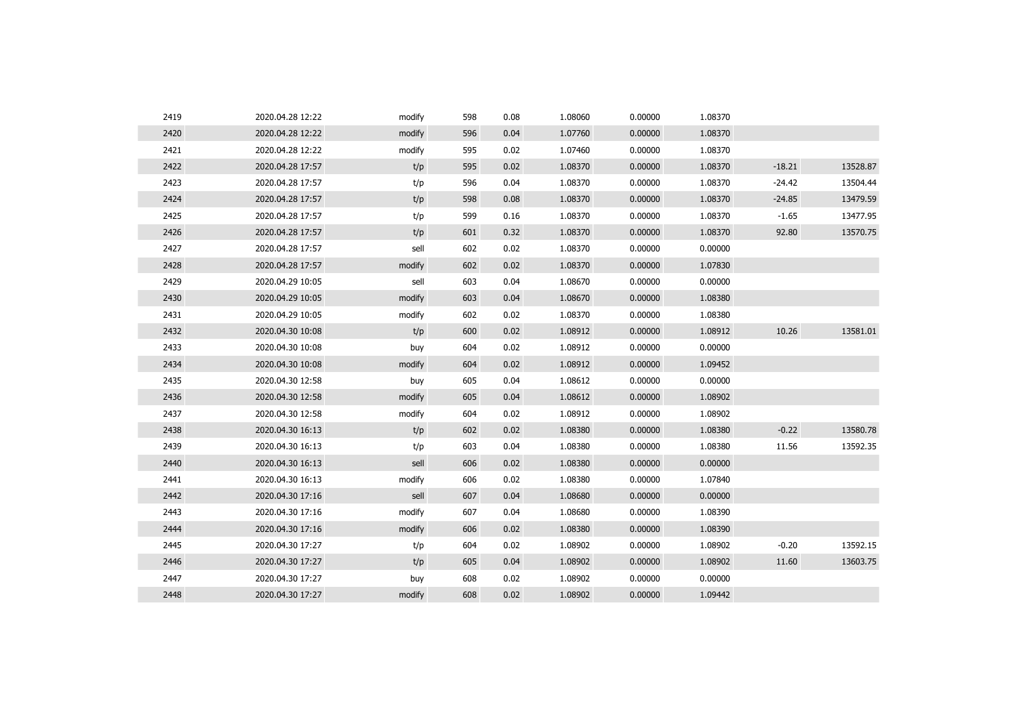| 2419 | 2020.04.28 12:22 | modify | 598 | 0.08 | 1.08060 | 0.00000 | 1.08370 |          |          |
|------|------------------|--------|-----|------|---------|---------|---------|----------|----------|
| 2420 | 2020.04.28 12:22 | modify | 596 | 0.04 | 1.07760 | 0.00000 | 1.08370 |          |          |
| 2421 | 2020.04.28 12:22 | modify | 595 | 0.02 | 1.07460 | 0.00000 | 1.08370 |          |          |
| 2422 | 2020.04.28 17:57 | t/p    | 595 | 0.02 | 1.08370 | 0.00000 | 1.08370 | $-18.21$ | 13528.87 |
| 2423 | 2020.04.28 17:57 | t/p    | 596 | 0.04 | 1.08370 | 0.00000 | 1.08370 | $-24.42$ | 13504.44 |
| 2424 | 2020.04.28 17:57 | t/p    | 598 | 0.08 | 1.08370 | 0.00000 | 1.08370 | $-24.85$ | 13479.59 |
| 2425 | 2020.04.28 17:57 | t/p    | 599 | 0.16 | 1.08370 | 0.00000 | 1.08370 | $-1.65$  | 13477.95 |
| 2426 | 2020.04.28 17:57 | t/p    | 601 | 0.32 | 1.08370 | 0.00000 | 1.08370 | 92.80    | 13570.75 |
| 2427 | 2020.04.28 17:57 | sell   | 602 | 0.02 | 1.08370 | 0.00000 | 0.00000 |          |          |
| 2428 | 2020.04.28 17:57 | modify | 602 | 0.02 | 1.08370 | 0.00000 | 1.07830 |          |          |
| 2429 | 2020.04.29 10:05 | sell   | 603 | 0.04 | 1.08670 | 0.00000 | 0.00000 |          |          |
| 2430 | 2020.04.29 10:05 | modify | 603 | 0.04 | 1.08670 | 0.00000 | 1.08380 |          |          |
| 2431 | 2020.04.29 10:05 | modify | 602 | 0.02 | 1.08370 | 0.00000 | 1.08380 |          |          |
| 2432 | 2020.04.30 10:08 | t/p    | 600 | 0.02 | 1.08912 | 0.00000 | 1.08912 | 10.26    | 13581.01 |
| 2433 | 2020.04.30 10:08 | buy    | 604 | 0.02 | 1.08912 | 0.00000 | 0.00000 |          |          |
| 2434 | 2020.04.30 10:08 | modify | 604 | 0.02 | 1.08912 | 0.00000 | 1.09452 |          |          |
| 2435 | 2020.04.30 12:58 | buy    | 605 | 0.04 | 1.08612 | 0.00000 | 0.00000 |          |          |
| 2436 | 2020.04.30 12:58 | modify | 605 | 0.04 | 1.08612 | 0.00000 | 1.08902 |          |          |
| 2437 | 2020.04.30 12:58 | modify | 604 | 0.02 | 1.08912 | 0.00000 | 1.08902 |          |          |
| 2438 | 2020.04.30 16:13 | t/p    | 602 | 0.02 | 1.08380 | 0.00000 | 1.08380 | $-0.22$  | 13580.78 |
| 2439 | 2020.04.30 16:13 | t/p    | 603 | 0.04 | 1.08380 | 0.00000 | 1.08380 | 11.56    | 13592.35 |
| 2440 | 2020.04.30 16:13 | sell   | 606 | 0.02 | 1.08380 | 0.00000 | 0.00000 |          |          |
| 2441 | 2020.04.30 16:13 | modify | 606 | 0.02 | 1.08380 | 0.00000 | 1.07840 |          |          |
| 2442 | 2020.04.30 17:16 | sell   | 607 | 0.04 | 1.08680 | 0.00000 | 0.00000 |          |          |
| 2443 | 2020.04.30 17:16 | modify | 607 | 0.04 | 1.08680 | 0.00000 | 1.08390 |          |          |
| 2444 | 2020.04.30 17:16 | modify | 606 | 0.02 | 1.08380 | 0.00000 | 1.08390 |          |          |
| 2445 | 2020.04.30 17:27 | t/p    | 604 | 0.02 | 1.08902 | 0.00000 | 1.08902 | $-0.20$  | 13592.15 |
| 2446 | 2020.04.30 17:27 | t/p    | 605 | 0.04 | 1.08902 | 0.00000 | 1.08902 | 11.60    | 13603.75 |
| 2447 | 2020.04.30 17:27 | buy    | 608 | 0.02 | 1.08902 | 0.00000 | 0.00000 |          |          |
| 2448 | 2020.04.30 17:27 | modify | 608 | 0.02 | 1.08902 | 0.00000 | 1.09442 |          |          |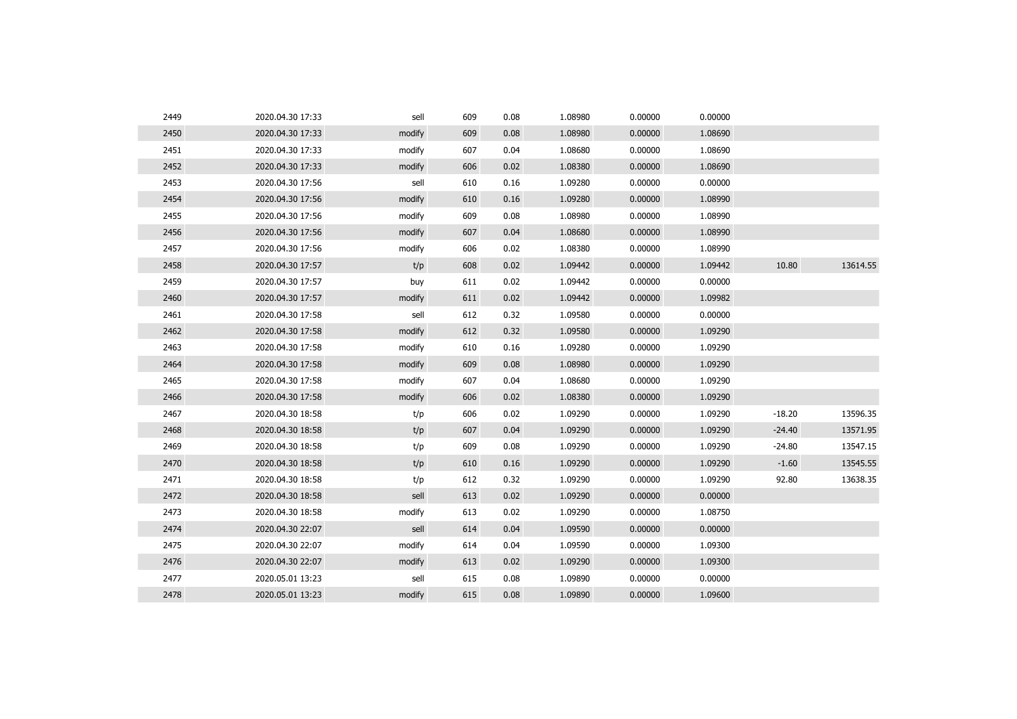| 2449 | 2020.04.30 17:33 | sell   | 609 | 0.08 | 1.08980 | 0.00000 | 0.00000 |          |          |
|------|------------------|--------|-----|------|---------|---------|---------|----------|----------|
| 2450 | 2020.04.30 17:33 | modify | 609 | 0.08 | 1.08980 | 0.00000 | 1.08690 |          |          |
| 2451 | 2020.04.30 17:33 | modify | 607 | 0.04 | 1.08680 | 0.00000 | 1.08690 |          |          |
| 2452 | 2020.04.30 17:33 | modify | 606 | 0.02 | 1.08380 | 0.00000 | 1.08690 |          |          |
| 2453 | 2020.04.30 17:56 | sell   | 610 | 0.16 | 1.09280 | 0.00000 | 0.00000 |          |          |
| 2454 | 2020.04.30 17:56 | modify | 610 | 0.16 | 1.09280 | 0.00000 | 1.08990 |          |          |
| 2455 | 2020.04.30 17:56 | modify | 609 | 0.08 | 1.08980 | 0.00000 | 1.08990 |          |          |
| 2456 | 2020.04.30 17:56 | modify | 607 | 0.04 | 1.08680 | 0.00000 | 1.08990 |          |          |
| 2457 | 2020.04.30 17:56 | modify | 606 | 0.02 | 1.08380 | 0.00000 | 1.08990 |          |          |
| 2458 | 2020.04.30 17:57 | t/p    | 608 | 0.02 | 1.09442 | 0.00000 | 1.09442 | 10.80    | 13614.55 |
| 2459 | 2020.04.30 17:57 | buy    | 611 | 0.02 | 1.09442 | 0.00000 | 0.00000 |          |          |
| 2460 | 2020.04.30 17:57 | modify | 611 | 0.02 | 1.09442 | 0.00000 | 1.09982 |          |          |
| 2461 | 2020.04.30 17:58 | sell   | 612 | 0.32 | 1.09580 | 0.00000 | 0.00000 |          |          |
| 2462 | 2020.04.30 17:58 | modify | 612 | 0.32 | 1.09580 | 0.00000 | 1.09290 |          |          |
| 2463 | 2020.04.30 17:58 | modify | 610 | 0.16 | 1.09280 | 0.00000 | 1.09290 |          |          |
| 2464 | 2020.04.30 17:58 | modify | 609 | 0.08 | 1.08980 | 0.00000 | 1.09290 |          |          |
| 2465 | 2020.04.30 17:58 | modify | 607 | 0.04 | 1.08680 | 0.00000 | 1.09290 |          |          |
| 2466 | 2020.04.30 17:58 | modify | 606 | 0.02 | 1.08380 | 0.00000 | 1.09290 |          |          |
| 2467 | 2020.04.30 18:58 | t/p    | 606 | 0.02 | 1.09290 | 0.00000 | 1.09290 | $-18.20$ | 13596.35 |
| 2468 | 2020.04.30 18:58 | t/p    | 607 | 0.04 | 1.09290 | 0.00000 | 1.09290 | $-24.40$ | 13571.95 |
| 2469 | 2020.04.30 18:58 | t/p    | 609 | 0.08 | 1.09290 | 0.00000 | 1.09290 | $-24.80$ | 13547.15 |
| 2470 | 2020.04.30 18:58 | t/p    | 610 | 0.16 | 1.09290 | 0.00000 | 1.09290 | $-1.60$  | 13545.55 |
| 2471 | 2020.04.30 18:58 | t/p    | 612 | 0.32 | 1.09290 | 0.00000 | 1.09290 | 92.80    | 13638.35 |
| 2472 | 2020.04.30 18:58 | sell   | 613 | 0.02 | 1.09290 | 0.00000 | 0.00000 |          |          |
| 2473 | 2020.04.30 18:58 | modify | 613 | 0.02 | 1.09290 | 0.00000 | 1.08750 |          |          |
| 2474 | 2020.04.30 22:07 | sell   | 614 | 0.04 | 1.09590 | 0.00000 | 0.00000 |          |          |
| 2475 | 2020.04.30 22:07 | modify | 614 | 0.04 | 1.09590 | 0.00000 | 1.09300 |          |          |
| 2476 | 2020.04.30 22:07 | modify | 613 | 0.02 | 1.09290 | 0.00000 | 1.09300 |          |          |
| 2477 | 2020.05.01 13:23 | sell   | 615 | 0.08 | 1.09890 | 0.00000 | 0.00000 |          |          |
| 2478 | 2020.05.01 13:23 | modify | 615 | 0.08 | 1.09890 | 0.00000 | 1.09600 |          |          |
|      |                  |        |     |      |         |         |         |          |          |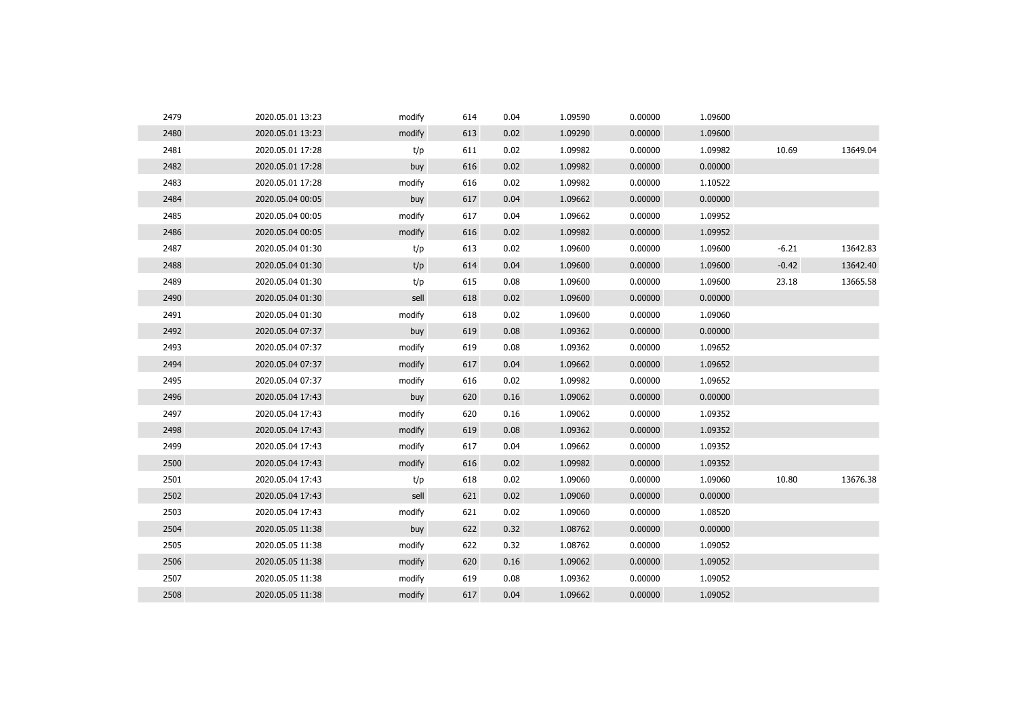| 2479 | 2020.05.01 13:23 | modify | 614 | 0.04 | 1.09590 | 0.00000 | 1.09600 |         |          |
|------|------------------|--------|-----|------|---------|---------|---------|---------|----------|
| 2480 | 2020.05.01 13:23 | modify | 613 | 0.02 | 1.09290 | 0.00000 | 1.09600 |         |          |
| 2481 | 2020.05.01 17:28 | t/p    | 611 | 0.02 | 1.09982 | 0.00000 | 1.09982 | 10.69   | 13649.04 |
| 2482 | 2020.05.01 17:28 | buy    | 616 | 0.02 | 1.09982 | 0.00000 | 0.00000 |         |          |
| 2483 | 2020.05.01 17:28 | modify | 616 | 0.02 | 1.09982 | 0.00000 | 1.10522 |         |          |
| 2484 | 2020.05.04 00:05 | buy    | 617 | 0.04 | 1.09662 | 0.00000 | 0.00000 |         |          |
| 2485 | 2020.05.04 00:05 | modify | 617 | 0.04 | 1.09662 | 0.00000 | 1.09952 |         |          |
| 2486 | 2020.05.04 00:05 | modify | 616 | 0.02 | 1.09982 | 0.00000 | 1.09952 |         |          |
| 2487 | 2020.05.04 01:30 | t/p    | 613 | 0.02 | 1.09600 | 0.00000 | 1.09600 | $-6.21$ | 13642.83 |
| 2488 | 2020.05.04 01:30 | t/p    | 614 | 0.04 | 1.09600 | 0.00000 | 1.09600 | $-0.42$ | 13642.40 |
| 2489 | 2020.05.04 01:30 | t/p    | 615 | 0.08 | 1.09600 | 0.00000 | 1.09600 | 23.18   | 13665.58 |
| 2490 | 2020.05.04 01:30 | sell   | 618 | 0.02 | 1.09600 | 0.00000 | 0.00000 |         |          |
| 2491 | 2020.05.04 01:30 | modify | 618 | 0.02 | 1.09600 | 0.00000 | 1.09060 |         |          |
| 2492 | 2020.05.04 07:37 | buy    | 619 | 0.08 | 1.09362 | 0.00000 | 0.00000 |         |          |
| 2493 | 2020.05.04 07:37 | modify | 619 | 0.08 | 1.09362 | 0.00000 | 1.09652 |         |          |
| 2494 | 2020.05.04 07:37 | modify | 617 | 0.04 | 1.09662 | 0.00000 | 1.09652 |         |          |
| 2495 | 2020.05.04 07:37 | modify | 616 | 0.02 | 1.09982 | 0.00000 | 1.09652 |         |          |
| 2496 | 2020.05.04 17:43 | buy    | 620 | 0.16 | 1.09062 | 0.00000 | 0.00000 |         |          |
| 2497 | 2020.05.04 17:43 | modify | 620 | 0.16 | 1.09062 | 0.00000 | 1.09352 |         |          |
| 2498 | 2020.05.04 17:43 | modify | 619 | 0.08 | 1.09362 | 0.00000 | 1.09352 |         |          |
| 2499 | 2020.05.04 17:43 | modify | 617 | 0.04 | 1.09662 | 0.00000 | 1.09352 |         |          |
| 2500 | 2020.05.04 17:43 | modify | 616 | 0.02 | 1.09982 | 0.00000 | 1.09352 |         |          |
| 2501 | 2020.05.04 17:43 | t/p    | 618 | 0.02 | 1.09060 | 0.00000 | 1.09060 | 10.80   | 13676.38 |
| 2502 | 2020.05.04 17:43 | sell   | 621 | 0.02 | 1.09060 | 0.00000 | 0.00000 |         |          |
| 2503 | 2020.05.04 17:43 | modify | 621 | 0.02 | 1.09060 | 0.00000 | 1.08520 |         |          |
| 2504 | 2020.05.05 11:38 | buy    | 622 | 0.32 | 1.08762 | 0.00000 | 0.00000 |         |          |
| 2505 | 2020.05.05 11:38 | modify | 622 | 0.32 | 1.08762 | 0.00000 | 1.09052 |         |          |
| 2506 | 2020.05.05 11:38 | modify | 620 | 0.16 | 1.09062 | 0.00000 | 1.09052 |         |          |
| 2507 | 2020.05.05 11:38 | modify | 619 | 0.08 | 1.09362 | 0.00000 | 1.09052 |         |          |
| 2508 | 2020.05.05 11:38 | modify | 617 | 0.04 | 1.09662 | 0.00000 | 1.09052 |         |          |
|      |                  |        |     |      |         |         |         |         |          |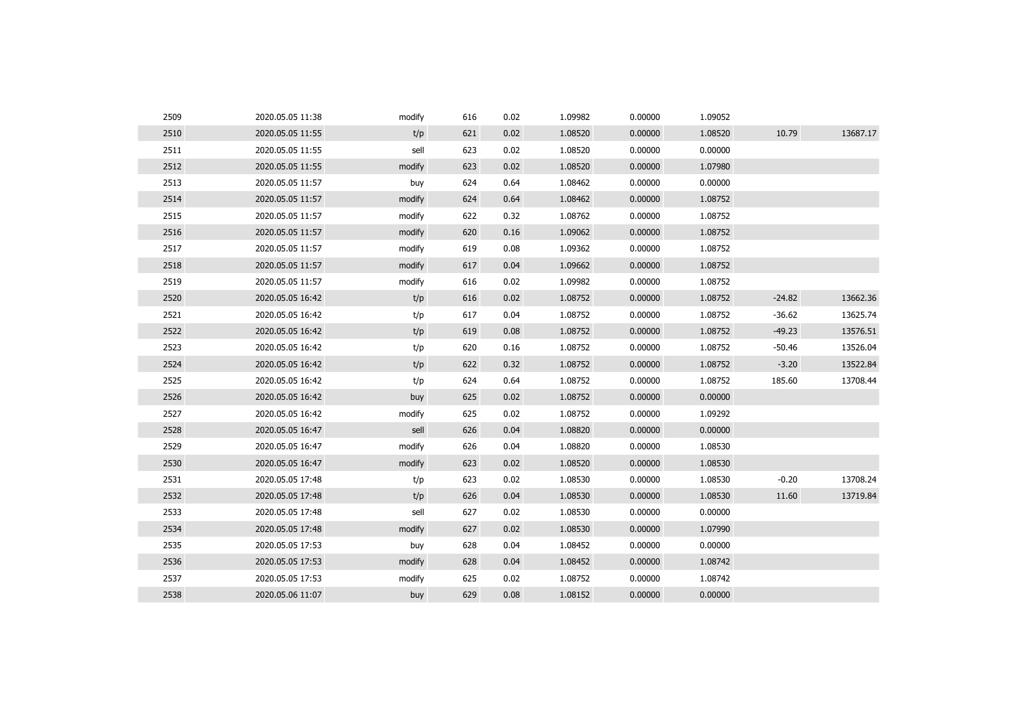| 2509 | 2020.05.05 11:38 | modify | 616 | 0.02 | 1.09982 | 0.00000 | 1.09052 |          |          |
|------|------------------|--------|-----|------|---------|---------|---------|----------|----------|
| 2510 | 2020.05.05 11:55 | t/p    | 621 | 0.02 | 1.08520 | 0.00000 | 1.08520 | 10.79    | 13687.17 |
| 2511 | 2020.05.05 11:55 | sell   | 623 | 0.02 | 1.08520 | 0.00000 | 0.00000 |          |          |
| 2512 | 2020.05.05 11:55 | modify | 623 | 0.02 | 1.08520 | 0.00000 | 1.07980 |          |          |
| 2513 | 2020.05.05 11:57 | buy    | 624 | 0.64 | 1.08462 | 0.00000 | 0.00000 |          |          |
| 2514 | 2020.05.05 11:57 | modify | 624 | 0.64 | 1.08462 | 0.00000 | 1.08752 |          |          |
| 2515 | 2020.05.05 11:57 | modify | 622 | 0.32 | 1.08762 | 0.00000 | 1.08752 |          |          |
| 2516 | 2020.05.05 11:57 | modify | 620 | 0.16 | 1.09062 | 0.00000 | 1.08752 |          |          |
| 2517 | 2020.05.05 11:57 | modify | 619 | 0.08 | 1.09362 | 0.00000 | 1.08752 |          |          |
| 2518 | 2020.05.05 11:57 | modify | 617 | 0.04 | 1.09662 | 0.00000 | 1.08752 |          |          |
| 2519 | 2020.05.05 11:57 | modify | 616 | 0.02 | 1.09982 | 0.00000 | 1.08752 |          |          |
| 2520 | 2020.05.05 16:42 | t/p    | 616 | 0.02 | 1.08752 | 0.00000 | 1.08752 | $-24.82$ | 13662.36 |
| 2521 | 2020.05.05 16:42 | t/p    | 617 | 0.04 | 1.08752 | 0.00000 | 1.08752 | $-36.62$ | 13625.74 |
| 2522 | 2020.05.05 16:42 | t/p    | 619 | 0.08 | 1.08752 | 0.00000 | 1.08752 | $-49.23$ | 13576.51 |
| 2523 | 2020.05.05 16:42 | t/p    | 620 | 0.16 | 1.08752 | 0.00000 | 1.08752 | $-50.46$ | 13526.04 |
| 2524 | 2020.05.05 16:42 | t/p    | 622 | 0.32 | 1.08752 | 0.00000 | 1.08752 | $-3.20$  | 13522.84 |
| 2525 | 2020.05.05 16:42 | t/p    | 624 | 0.64 | 1.08752 | 0.00000 | 1.08752 | 185.60   | 13708.44 |
| 2526 | 2020.05.05 16:42 | buy    | 625 | 0.02 | 1.08752 | 0.00000 | 0.00000 |          |          |
| 2527 | 2020.05.05 16:42 | modify | 625 | 0.02 | 1.08752 | 0.00000 | 1.09292 |          |          |
| 2528 | 2020.05.05 16:47 | sell   | 626 | 0.04 | 1.08820 | 0.00000 | 0.00000 |          |          |
| 2529 | 2020.05.05 16:47 | modify | 626 | 0.04 | 1.08820 | 0.00000 | 1.08530 |          |          |
| 2530 | 2020.05.05 16:47 | modify | 623 | 0.02 | 1.08520 | 0.00000 | 1.08530 |          |          |
| 2531 | 2020.05.05 17:48 | t/p    | 623 | 0.02 | 1.08530 | 0.00000 | 1.08530 | $-0.20$  | 13708.24 |
| 2532 | 2020.05.05 17:48 | t/p    | 626 | 0.04 | 1.08530 | 0.00000 | 1.08530 | 11.60    | 13719.84 |
| 2533 | 2020.05.05 17:48 | sell   | 627 | 0.02 | 1.08530 | 0.00000 | 0.00000 |          |          |
| 2534 | 2020.05.05 17:48 | modify | 627 | 0.02 | 1.08530 | 0.00000 | 1.07990 |          |          |
| 2535 | 2020.05.05 17:53 | buy    | 628 | 0.04 | 1.08452 | 0.00000 | 0.00000 |          |          |
| 2536 | 2020.05.05 17:53 | modify | 628 | 0.04 | 1.08452 | 0.00000 | 1.08742 |          |          |
| 2537 | 2020.05.05 17:53 | modify | 625 | 0.02 | 1.08752 | 0.00000 | 1.08742 |          |          |
| 2538 | 2020.05.06 11:07 | buy    | 629 | 0.08 | 1.08152 | 0.00000 | 0.00000 |          |          |
|      |                  |        |     |      |         |         |         |          |          |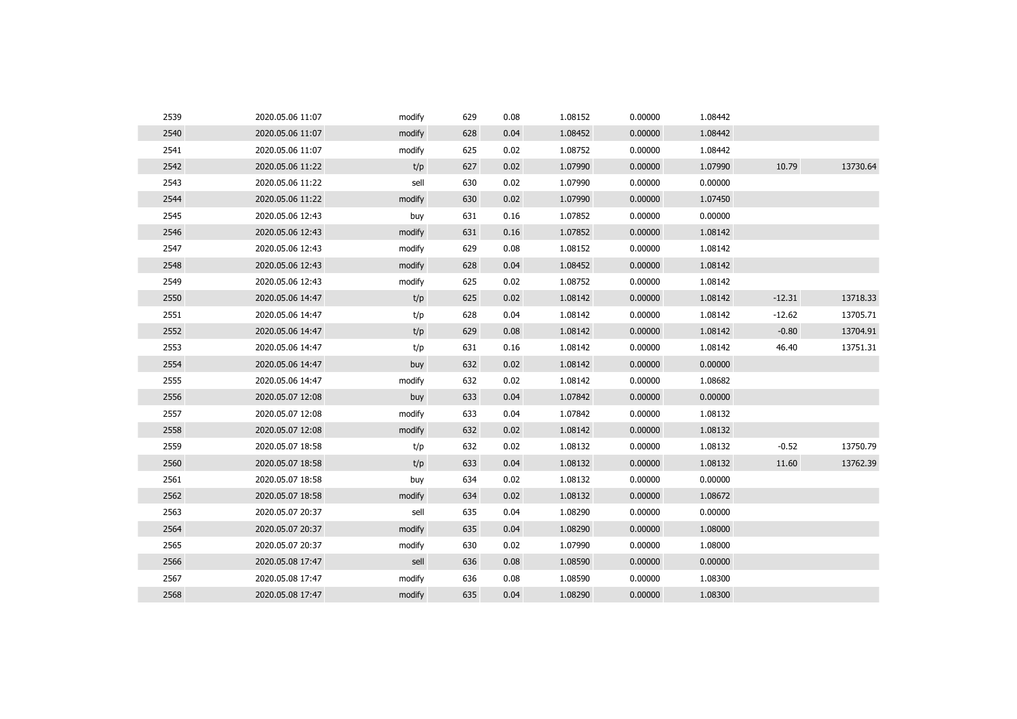| 2539 | 2020.05.06 11:07 | modify | 629 | 0.08 | 1.08152 | 0.00000 | 1.08442 |          |          |
|------|------------------|--------|-----|------|---------|---------|---------|----------|----------|
| 2540 | 2020.05.06 11:07 | modify | 628 | 0.04 | 1.08452 | 0.00000 | 1.08442 |          |          |
| 2541 | 2020.05.06 11:07 | modify | 625 | 0.02 | 1.08752 | 0.00000 | 1.08442 |          |          |
| 2542 | 2020.05.06 11:22 | t/p    | 627 | 0.02 | 1.07990 | 0.00000 | 1.07990 | 10.79    | 13730.64 |
| 2543 | 2020.05.06 11:22 | sell   | 630 | 0.02 | 1.07990 | 0.00000 | 0.00000 |          |          |
| 2544 | 2020.05.06 11:22 | modify | 630 | 0.02 | 1.07990 | 0.00000 | 1.07450 |          |          |
| 2545 | 2020.05.06 12:43 | buy    | 631 | 0.16 | 1.07852 | 0.00000 | 0.00000 |          |          |
| 2546 | 2020.05.06 12:43 | modify | 631 | 0.16 | 1.07852 | 0.00000 | 1.08142 |          |          |
| 2547 | 2020.05.06 12:43 | modify | 629 | 0.08 | 1.08152 | 0.00000 | 1.08142 |          |          |
| 2548 | 2020.05.06 12:43 | modify | 628 | 0.04 | 1.08452 | 0.00000 | 1.08142 |          |          |
| 2549 | 2020.05.06 12:43 | modify | 625 | 0.02 | 1.08752 | 0.00000 | 1.08142 |          |          |
| 2550 | 2020.05.06 14:47 | t/p    | 625 | 0.02 | 1.08142 | 0.00000 | 1.08142 | $-12.31$ | 13718.33 |
| 2551 | 2020.05.06 14:47 | t/p    | 628 | 0.04 | 1.08142 | 0.00000 | 1.08142 | $-12.62$ | 13705.71 |
| 2552 | 2020.05.06 14:47 | t/p    | 629 | 0.08 | 1.08142 | 0.00000 | 1.08142 | $-0.80$  | 13704.91 |
| 2553 | 2020.05.06 14:47 | t/p    | 631 | 0.16 | 1.08142 | 0.00000 | 1.08142 | 46.40    | 13751.31 |
| 2554 | 2020.05.06 14:47 | buy    | 632 | 0.02 | 1.08142 | 0.00000 | 0.00000 |          |          |
| 2555 | 2020.05.06 14:47 | modify | 632 | 0.02 | 1.08142 | 0.00000 | 1.08682 |          |          |
| 2556 | 2020.05.07 12:08 | buy    | 633 | 0.04 | 1.07842 | 0.00000 | 0.00000 |          |          |
| 2557 | 2020.05.07 12:08 | modify | 633 | 0.04 | 1.07842 | 0.00000 | 1.08132 |          |          |
| 2558 | 2020.05.07 12:08 | modify | 632 | 0.02 | 1.08142 | 0.00000 | 1.08132 |          |          |
| 2559 | 2020.05.07 18:58 | t/p    | 632 | 0.02 | 1.08132 | 0.00000 | 1.08132 | $-0.52$  | 13750.79 |
| 2560 | 2020.05.07 18:58 | t/p    | 633 | 0.04 | 1.08132 | 0.00000 | 1.08132 | 11.60    | 13762.39 |
| 2561 | 2020.05.07 18:58 | buy    | 634 | 0.02 | 1.08132 | 0.00000 | 0.00000 |          |          |
| 2562 | 2020.05.07 18:58 | modify | 634 | 0.02 | 1.08132 | 0.00000 | 1.08672 |          |          |
| 2563 | 2020.05.07 20:37 | sell   | 635 | 0.04 | 1.08290 | 0.00000 | 0.00000 |          |          |
| 2564 | 2020.05.07 20:37 | modify | 635 | 0.04 | 1.08290 | 0.00000 | 1.08000 |          |          |
| 2565 | 2020.05.07 20:37 | modify | 630 | 0.02 | 1.07990 | 0.00000 | 1.08000 |          |          |
| 2566 | 2020.05.08 17:47 | sell   | 636 | 0.08 | 1.08590 | 0.00000 | 0.00000 |          |          |
| 2567 | 2020.05.08 17:47 | modify | 636 | 0.08 | 1.08590 | 0.00000 | 1.08300 |          |          |
| 2568 | 2020.05.08 17:47 | modify | 635 | 0.04 | 1.08290 | 0.00000 | 1.08300 |          |          |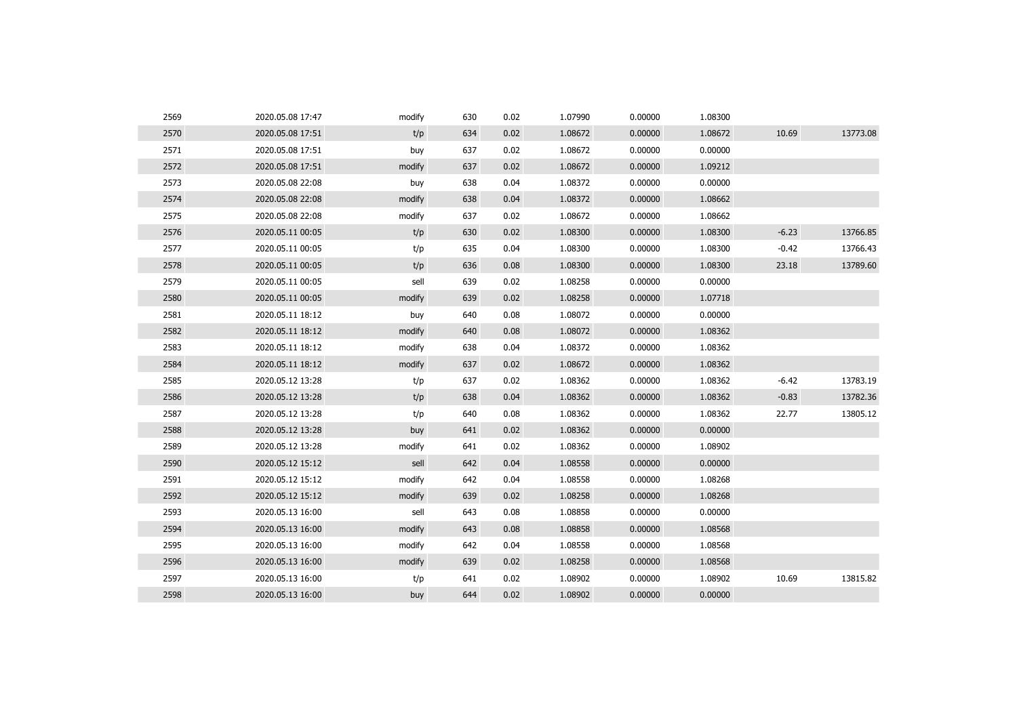| 2569 | 2020.05.08 17:47 | modify | 630 | 0.02 | 1.07990 | 0.00000 | 1.08300 |         |          |
|------|------------------|--------|-----|------|---------|---------|---------|---------|----------|
| 2570 | 2020.05.08 17:51 | t/p    | 634 | 0.02 | 1.08672 | 0.00000 | 1.08672 | 10.69   | 13773.08 |
| 2571 | 2020.05.08 17:51 | buy    | 637 | 0.02 | 1.08672 | 0.00000 | 0.00000 |         |          |
| 2572 | 2020.05.08 17:51 | modify | 637 | 0.02 | 1.08672 | 0.00000 | 1.09212 |         |          |
| 2573 | 2020.05.08 22:08 | buy    | 638 | 0.04 | 1.08372 | 0.00000 | 0.00000 |         |          |
| 2574 | 2020.05.08 22:08 | modify | 638 | 0.04 | 1.08372 | 0.00000 | 1.08662 |         |          |
| 2575 | 2020.05.08 22:08 | modify | 637 | 0.02 | 1.08672 | 0.00000 | 1.08662 |         |          |
| 2576 | 2020.05.11 00:05 | t/p    | 630 | 0.02 | 1.08300 | 0.00000 | 1.08300 | $-6.23$ | 13766.85 |
| 2577 | 2020.05.11 00:05 | t/p    | 635 | 0.04 | 1.08300 | 0.00000 | 1.08300 | $-0.42$ | 13766.43 |
| 2578 | 2020.05.11 00:05 | t/p    | 636 | 0.08 | 1.08300 | 0.00000 | 1.08300 | 23.18   | 13789.60 |
| 2579 | 2020.05.11 00:05 | sell   | 639 | 0.02 | 1.08258 | 0.00000 | 0.00000 |         |          |
| 2580 | 2020.05.11 00:05 | modify | 639 | 0.02 | 1.08258 | 0.00000 | 1.07718 |         |          |
| 2581 | 2020.05.11 18:12 | buy    | 640 | 0.08 | 1.08072 | 0.00000 | 0.00000 |         |          |
| 2582 | 2020.05.11 18:12 | modify | 640 | 0.08 | 1.08072 | 0.00000 | 1.08362 |         |          |
| 2583 | 2020.05.11 18:12 | modify | 638 | 0.04 | 1.08372 | 0.00000 | 1.08362 |         |          |
| 2584 | 2020.05.11 18:12 | modify | 637 | 0.02 | 1.08672 | 0.00000 | 1.08362 |         |          |
| 2585 | 2020.05.12 13:28 | t/p    | 637 | 0.02 | 1.08362 | 0.00000 | 1.08362 | $-6.42$ | 13783.19 |
| 2586 | 2020.05.12 13:28 | t/p    | 638 | 0.04 | 1.08362 | 0.00000 | 1.08362 | $-0.83$ | 13782.36 |
| 2587 | 2020.05.12 13:28 | t/p    | 640 | 0.08 | 1.08362 | 0.00000 | 1.08362 | 22.77   | 13805.12 |
| 2588 | 2020.05.12 13:28 | buy    | 641 | 0.02 | 1.08362 | 0.00000 | 0.00000 |         |          |
| 2589 | 2020.05.12 13:28 | modify | 641 | 0.02 | 1.08362 | 0.00000 | 1.08902 |         |          |
| 2590 | 2020.05.12 15:12 | sell   | 642 | 0.04 | 1.08558 | 0.00000 | 0.00000 |         |          |
| 2591 | 2020.05.12 15:12 | modify | 642 | 0.04 | 1.08558 | 0.00000 | 1.08268 |         |          |
| 2592 | 2020.05.12 15:12 | modify | 639 | 0.02 | 1.08258 | 0.00000 | 1.08268 |         |          |
| 2593 | 2020.05.13 16:00 | sell   | 643 | 0.08 | 1.08858 | 0.00000 | 0.00000 |         |          |
| 2594 | 2020.05.13 16:00 | modify | 643 | 0.08 | 1.08858 | 0.00000 | 1.08568 |         |          |
| 2595 | 2020.05.13 16:00 | modify | 642 | 0.04 | 1.08558 | 0.00000 | 1.08568 |         |          |
| 2596 | 2020.05.13 16:00 | modify | 639 | 0.02 | 1.08258 | 0.00000 | 1.08568 |         |          |
| 2597 | 2020.05.13 16:00 | t/p    | 641 | 0.02 | 1.08902 | 0.00000 | 1.08902 | 10.69   | 13815.82 |
| 2598 | 2020.05.13 16:00 | buy    | 644 | 0.02 | 1.08902 | 0.00000 | 0.00000 |         |          |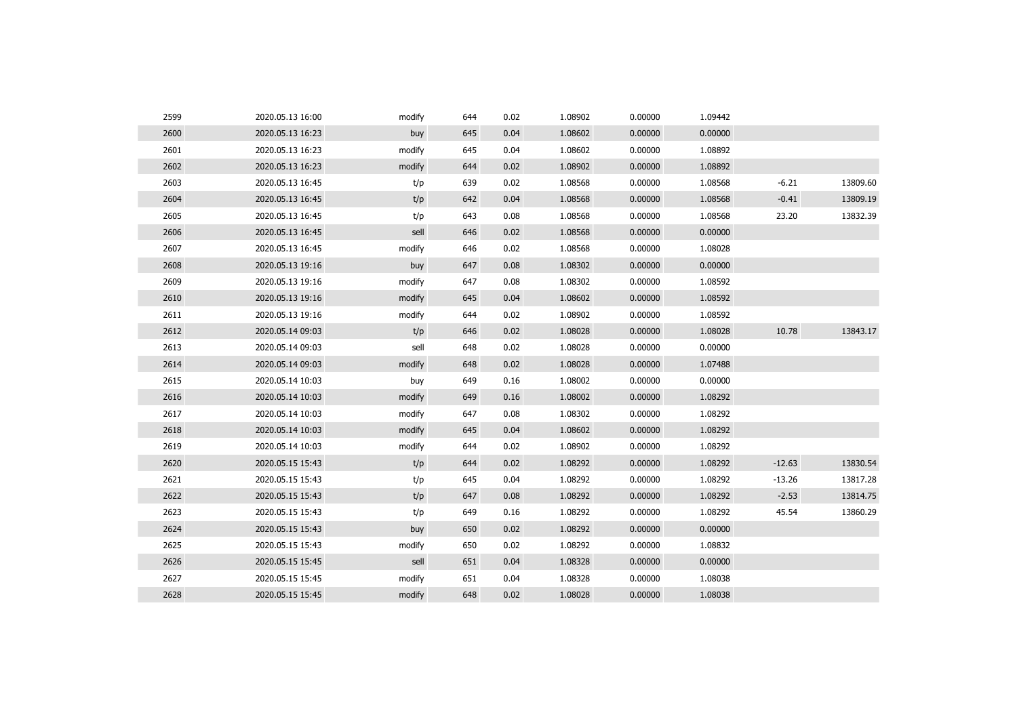| 2599 | 2020.05.13 16:00 | modify | 644 | 0.02 | 1.08902 | 0.00000 | 1.09442 |          |          |
|------|------------------|--------|-----|------|---------|---------|---------|----------|----------|
| 2600 | 2020.05.13 16:23 | buy    | 645 | 0.04 | 1.08602 | 0.00000 | 0.00000 |          |          |
| 2601 | 2020.05.13 16:23 | modify | 645 | 0.04 | 1.08602 | 0.00000 | 1.08892 |          |          |
| 2602 | 2020.05.13 16:23 | modify | 644 | 0.02 | 1.08902 | 0.00000 | 1.08892 |          |          |
| 2603 | 2020.05.13 16:45 | t/p    | 639 | 0.02 | 1.08568 | 0.00000 | 1.08568 | $-6.21$  | 13809.60 |
| 2604 | 2020.05.13 16:45 | t/p    | 642 | 0.04 | 1.08568 | 0.00000 | 1.08568 | $-0.41$  | 13809.19 |
| 2605 | 2020.05.13 16:45 | t/p    | 643 | 0.08 | 1.08568 | 0.00000 | 1.08568 | 23.20    | 13832.39 |
| 2606 | 2020.05.13 16:45 | sell   | 646 | 0.02 | 1.08568 | 0.00000 | 0.00000 |          |          |
| 2607 | 2020.05.13 16:45 | modify | 646 | 0.02 | 1.08568 | 0.00000 | 1.08028 |          |          |
| 2608 | 2020.05.13 19:16 | buy    | 647 | 0.08 | 1.08302 | 0.00000 | 0.00000 |          |          |
| 2609 | 2020.05.13 19:16 | modify | 647 | 0.08 | 1.08302 | 0.00000 | 1.08592 |          |          |
| 2610 | 2020.05.13 19:16 | modify | 645 | 0.04 | 1.08602 | 0.00000 | 1.08592 |          |          |
| 2611 | 2020.05.13 19:16 | modify | 644 | 0.02 | 1.08902 | 0.00000 | 1.08592 |          |          |
| 2612 | 2020.05.14 09:03 | t/p    | 646 | 0.02 | 1.08028 | 0.00000 | 1.08028 | 10.78    | 13843.17 |
| 2613 | 2020.05.14 09:03 | sell   | 648 | 0.02 | 1.08028 | 0.00000 | 0.00000 |          |          |
| 2614 | 2020.05.14 09:03 | modify | 648 | 0.02 | 1.08028 | 0.00000 | 1.07488 |          |          |
| 2615 | 2020.05.14 10:03 | buy    | 649 | 0.16 | 1.08002 | 0.00000 | 0.00000 |          |          |
| 2616 | 2020.05.14 10:03 | modify | 649 | 0.16 | 1.08002 | 0.00000 | 1.08292 |          |          |
| 2617 | 2020.05.14 10:03 | modify | 647 | 0.08 | 1.08302 | 0.00000 | 1.08292 |          |          |
| 2618 | 2020.05.14 10:03 | modify | 645 | 0.04 | 1.08602 | 0.00000 | 1.08292 |          |          |
| 2619 | 2020.05.14 10:03 | modify | 644 | 0.02 | 1.08902 | 0.00000 | 1.08292 |          |          |
| 2620 | 2020.05.15 15:43 | t/p    | 644 | 0.02 | 1.08292 | 0.00000 | 1.08292 | $-12.63$ | 13830.54 |
| 2621 | 2020.05.15 15:43 | t/p    | 645 | 0.04 | 1.08292 | 0.00000 | 1.08292 | $-13.26$ | 13817.28 |
| 2622 | 2020.05.15 15:43 | t/p    | 647 | 0.08 | 1.08292 | 0.00000 | 1.08292 | $-2.53$  | 13814.75 |
| 2623 | 2020.05.15 15:43 | t/p    | 649 | 0.16 | 1.08292 | 0.00000 | 1.08292 | 45.54    | 13860.29 |
| 2624 | 2020.05.15 15:43 | buy    | 650 | 0.02 | 1.08292 | 0.00000 | 0.00000 |          |          |
| 2625 | 2020.05.15 15:43 | modify | 650 | 0.02 | 1.08292 | 0.00000 | 1.08832 |          |          |
| 2626 | 2020.05.15 15:45 | sell   | 651 | 0.04 | 1.08328 | 0.00000 | 0.00000 |          |          |
| 2627 | 2020.05.15 15:45 | modify | 651 | 0.04 | 1.08328 | 0.00000 | 1.08038 |          |          |
| 2628 | 2020.05.15 15:45 | modify | 648 | 0.02 | 1.08028 | 0.00000 | 1.08038 |          |          |
|      |                  |        |     |      |         |         |         |          |          |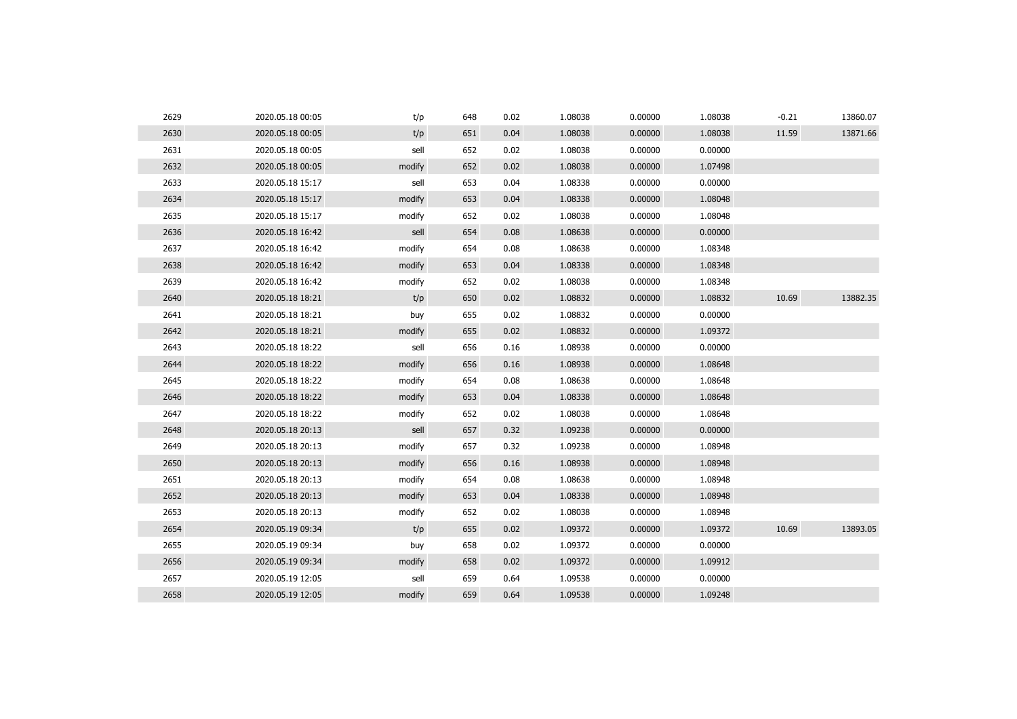| 2629 | 2020.05.18 00:05 | t/p    | 648 | 0.02 | 1.08038 | 0.00000 | 1.08038 | $-0.21$ | 13860.07 |
|------|------------------|--------|-----|------|---------|---------|---------|---------|----------|
| 2630 | 2020.05.18 00:05 | t/p    | 651 | 0.04 | 1.08038 | 0.00000 | 1.08038 | 11.59   | 13871.66 |
| 2631 | 2020.05.18 00:05 | sell   | 652 | 0.02 | 1.08038 | 0.00000 | 0.00000 |         |          |
| 2632 | 2020.05.18 00:05 | modify | 652 | 0.02 | 1.08038 | 0.00000 | 1.07498 |         |          |
| 2633 | 2020.05.18 15:17 | sell   | 653 | 0.04 | 1.08338 | 0.00000 | 0.00000 |         |          |
| 2634 | 2020.05.18 15:17 | modify | 653 | 0.04 | 1.08338 | 0.00000 | 1.08048 |         |          |
| 2635 | 2020.05.18 15:17 | modify | 652 | 0.02 | 1.08038 | 0.00000 | 1.08048 |         |          |
| 2636 | 2020.05.18 16:42 | sell   | 654 | 0.08 | 1.08638 | 0.00000 | 0.00000 |         |          |
| 2637 | 2020.05.18 16:42 | modify | 654 | 0.08 | 1.08638 | 0.00000 | 1.08348 |         |          |
| 2638 | 2020.05.18 16:42 | modify | 653 | 0.04 | 1.08338 | 0.00000 | 1.08348 |         |          |
| 2639 | 2020.05.18 16:42 | modify | 652 | 0.02 | 1.08038 | 0.00000 | 1.08348 |         |          |
| 2640 | 2020.05.18 18:21 | t/p    | 650 | 0.02 | 1.08832 | 0.00000 | 1.08832 | 10.69   | 13882.35 |
| 2641 | 2020.05.18 18:21 | buy    | 655 | 0.02 | 1.08832 | 0.00000 | 0.00000 |         |          |
| 2642 | 2020.05.18 18:21 | modify | 655 | 0.02 | 1.08832 | 0.00000 | 1.09372 |         |          |
| 2643 | 2020.05.18 18:22 | sell   | 656 | 0.16 | 1.08938 | 0.00000 | 0.00000 |         |          |
| 2644 | 2020.05.18 18:22 | modify | 656 | 0.16 | 1.08938 | 0.00000 | 1.08648 |         |          |
| 2645 | 2020.05.18 18:22 | modify | 654 | 0.08 | 1.08638 | 0.00000 | 1.08648 |         |          |
| 2646 | 2020.05.18 18:22 | modify | 653 | 0.04 | 1.08338 | 0.00000 | 1.08648 |         |          |
| 2647 | 2020.05.18 18:22 | modify | 652 | 0.02 | 1.08038 | 0.00000 | 1.08648 |         |          |
| 2648 | 2020.05.18 20:13 | sell   | 657 | 0.32 | 1.09238 | 0.00000 | 0.00000 |         |          |
| 2649 | 2020.05.18 20:13 | modify | 657 | 0.32 | 1.09238 | 0.00000 | 1.08948 |         |          |
| 2650 | 2020.05.18 20:13 | modify | 656 | 0.16 | 1.08938 | 0.00000 | 1.08948 |         |          |
| 2651 | 2020.05.18 20:13 | modify | 654 | 0.08 | 1.08638 | 0.00000 | 1.08948 |         |          |
| 2652 | 2020.05.18 20:13 | modify | 653 | 0.04 | 1.08338 | 0.00000 | 1.08948 |         |          |
| 2653 | 2020.05.18 20:13 | modify | 652 | 0.02 | 1.08038 | 0.00000 | 1.08948 |         |          |
| 2654 | 2020.05.19 09:34 | t/p    | 655 | 0.02 | 1.09372 | 0.00000 | 1.09372 | 10.69   | 13893.05 |
| 2655 | 2020.05.19 09:34 | buy    | 658 | 0.02 | 1.09372 | 0.00000 | 0.00000 |         |          |
| 2656 | 2020.05.19 09:34 | modify | 658 | 0.02 | 1.09372 | 0.00000 | 1.09912 |         |          |
| 2657 | 2020.05.19 12:05 | sell   | 659 | 0.64 | 1.09538 | 0.00000 | 0.00000 |         |          |
| 2658 | 2020.05.19 12:05 | modify | 659 | 0.64 | 1.09538 | 0.00000 | 1.09248 |         |          |
|      |                  |        |     |      |         |         |         |         |          |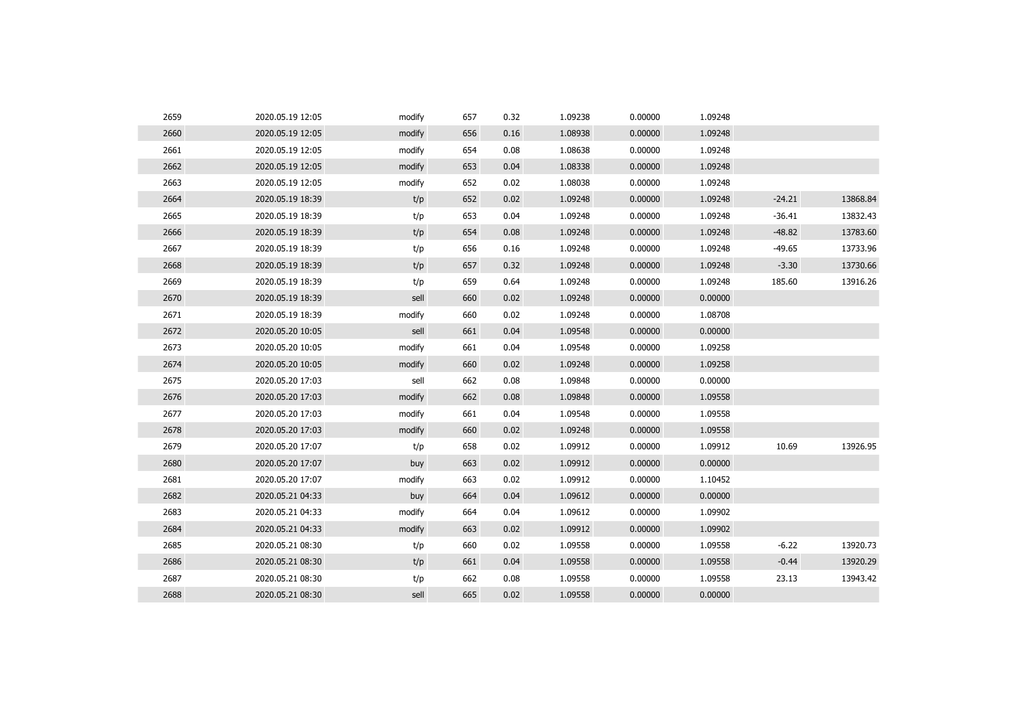| 2659 | 2020.05.19 12:05 | modify | 657 | 0.32 | 1.09238 | 0.00000 | 1.09248 |          |          |
|------|------------------|--------|-----|------|---------|---------|---------|----------|----------|
| 2660 | 2020.05.19 12:05 | modify | 656 | 0.16 | 1.08938 | 0.00000 | 1.09248 |          |          |
| 2661 | 2020.05.19 12:05 | modify | 654 | 0.08 | 1.08638 | 0.00000 | 1.09248 |          |          |
| 2662 | 2020.05.19 12:05 | modify | 653 | 0.04 | 1.08338 | 0.00000 | 1.09248 |          |          |
| 2663 | 2020.05.19 12:05 | modify | 652 | 0.02 | 1.08038 | 0.00000 | 1.09248 |          |          |
| 2664 | 2020.05.19 18:39 | t/p    | 652 | 0.02 | 1.09248 | 0.00000 | 1.09248 | $-24.21$ | 13868.84 |
| 2665 | 2020.05.19 18:39 | t/p    | 653 | 0.04 | 1.09248 | 0.00000 | 1.09248 | $-36.41$ | 13832.43 |
| 2666 | 2020.05.19 18:39 | t/p    | 654 | 0.08 | 1.09248 | 0.00000 | 1.09248 | $-48.82$ | 13783.60 |
| 2667 | 2020.05.19 18:39 | t/p    | 656 | 0.16 | 1.09248 | 0.00000 | 1.09248 | $-49.65$ | 13733.96 |
| 2668 | 2020.05.19 18:39 | t/p    | 657 | 0.32 | 1.09248 | 0.00000 | 1.09248 | $-3.30$  | 13730.66 |
| 2669 | 2020.05.19 18:39 | t/p    | 659 | 0.64 | 1.09248 | 0.00000 | 1.09248 | 185.60   | 13916.26 |
| 2670 | 2020.05.19 18:39 | sell   | 660 | 0.02 | 1.09248 | 0.00000 | 0.00000 |          |          |
| 2671 | 2020.05.19 18:39 | modify | 660 | 0.02 | 1.09248 | 0.00000 | 1.08708 |          |          |
| 2672 | 2020.05.20 10:05 | sell   | 661 | 0.04 | 1.09548 | 0.00000 | 0.00000 |          |          |
| 2673 | 2020.05.20 10:05 | modify | 661 | 0.04 | 1.09548 | 0.00000 | 1.09258 |          |          |
| 2674 | 2020.05.20 10:05 | modify | 660 | 0.02 | 1.09248 | 0.00000 | 1.09258 |          |          |
| 2675 | 2020.05.20 17:03 | sell   | 662 | 0.08 | 1.09848 | 0.00000 | 0.00000 |          |          |
| 2676 | 2020.05.20 17:03 | modify | 662 | 0.08 | 1.09848 | 0.00000 | 1.09558 |          |          |
| 2677 | 2020.05.20 17:03 | modify | 661 | 0.04 | 1.09548 | 0.00000 | 1.09558 |          |          |
| 2678 | 2020.05.20 17:03 | modify | 660 | 0.02 | 1.09248 | 0.00000 | 1.09558 |          |          |
| 2679 | 2020.05.20 17:07 | t/p    | 658 | 0.02 | 1.09912 | 0.00000 | 1.09912 | 10.69    | 13926.95 |
| 2680 | 2020.05.20 17:07 | buy    | 663 | 0.02 | 1.09912 | 0.00000 | 0.00000 |          |          |
| 2681 | 2020.05.20 17:07 | modify | 663 | 0.02 | 1.09912 | 0.00000 | 1.10452 |          |          |
| 2682 | 2020.05.21 04:33 | buy    | 664 | 0.04 | 1.09612 | 0.00000 | 0.00000 |          |          |
| 2683 | 2020.05.21 04:33 | modify | 664 | 0.04 | 1.09612 | 0.00000 | 1.09902 |          |          |
| 2684 | 2020.05.21 04:33 | modify | 663 | 0.02 | 1.09912 | 0.00000 | 1.09902 |          |          |
| 2685 | 2020.05.21 08:30 | t/p    | 660 | 0.02 | 1.09558 | 0.00000 | 1.09558 | $-6.22$  | 13920.73 |
| 2686 | 2020.05.21 08:30 | t/p    | 661 | 0.04 | 1.09558 | 0.00000 | 1.09558 | $-0.44$  | 13920.29 |
| 2687 | 2020.05.21 08:30 | t/p    | 662 | 0.08 | 1.09558 | 0.00000 | 1.09558 | 23.13    | 13943.42 |
| 2688 | 2020.05.21 08:30 | sell   | 665 | 0.02 | 1.09558 | 0.00000 | 0.00000 |          |          |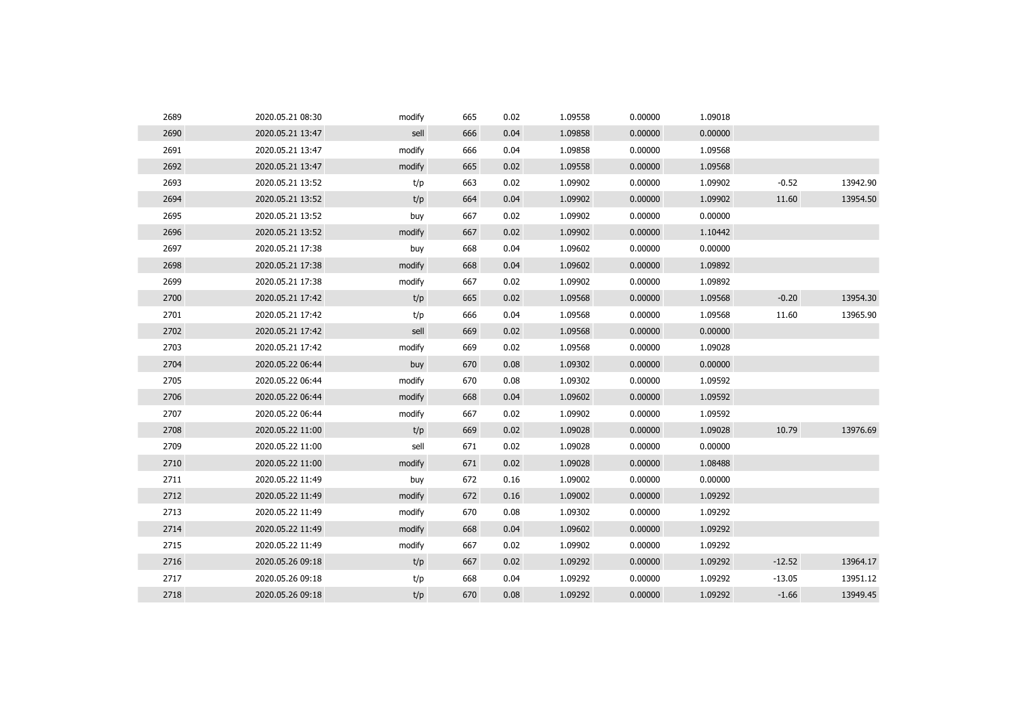| 2689 | 2020.05.21 08:30 | modify | 665 | 0.02 | 1.09558 | 0.00000 | 1.09018 |          |          |
|------|------------------|--------|-----|------|---------|---------|---------|----------|----------|
| 2690 | 2020.05.21 13:47 | sell   | 666 | 0.04 | 1.09858 | 0.00000 | 0.00000 |          |          |
| 2691 | 2020.05.21 13:47 | modify | 666 | 0.04 | 1.09858 | 0.00000 | 1.09568 |          |          |
| 2692 | 2020.05.21 13:47 | modify | 665 | 0.02 | 1.09558 | 0.00000 | 1.09568 |          |          |
| 2693 | 2020.05.21 13:52 | t/p    | 663 | 0.02 | 1.09902 | 0.00000 | 1.09902 | $-0.52$  | 13942.90 |
| 2694 | 2020.05.21 13:52 | t/p    | 664 | 0.04 | 1.09902 | 0.00000 | 1.09902 | 11.60    | 13954.50 |
| 2695 | 2020.05.21 13:52 | buy    | 667 | 0.02 | 1.09902 | 0.00000 | 0.00000 |          |          |
| 2696 | 2020.05.21 13:52 | modify | 667 | 0.02 | 1.09902 | 0.00000 | 1.10442 |          |          |
| 2697 | 2020.05.21 17:38 | buy    | 668 | 0.04 | 1.09602 | 0.00000 | 0.00000 |          |          |
| 2698 | 2020.05.21 17:38 | modify | 668 | 0.04 | 1.09602 | 0.00000 | 1.09892 |          |          |
| 2699 | 2020.05.21 17:38 | modify | 667 | 0.02 | 1.09902 | 0.00000 | 1.09892 |          |          |
| 2700 | 2020.05.21 17:42 | t/p    | 665 | 0.02 | 1.09568 | 0.00000 | 1.09568 | $-0.20$  | 13954.30 |
| 2701 | 2020.05.21 17:42 | t/p    | 666 | 0.04 | 1.09568 | 0.00000 | 1.09568 | 11.60    | 13965.90 |
| 2702 | 2020.05.21 17:42 | sell   | 669 | 0.02 | 1.09568 | 0.00000 | 0.00000 |          |          |
| 2703 | 2020.05.21 17:42 | modify | 669 | 0.02 | 1.09568 | 0.00000 | 1.09028 |          |          |
| 2704 | 2020.05.22 06:44 | buy    | 670 | 0.08 | 1.09302 | 0.00000 | 0.00000 |          |          |
| 2705 | 2020.05.22 06:44 | modify | 670 | 0.08 | 1.09302 | 0.00000 | 1.09592 |          |          |
| 2706 | 2020.05.22 06:44 | modify | 668 | 0.04 | 1.09602 | 0.00000 | 1.09592 |          |          |
| 2707 | 2020.05.22 06:44 | modify | 667 | 0.02 | 1.09902 | 0.00000 | 1.09592 |          |          |
| 2708 | 2020.05.22 11:00 | t/p    | 669 | 0.02 | 1.09028 | 0.00000 | 1.09028 | 10.79    | 13976.69 |
| 2709 | 2020.05.22 11:00 | sell   | 671 | 0.02 | 1.09028 | 0.00000 | 0.00000 |          |          |
| 2710 | 2020.05.22 11:00 | modify | 671 | 0.02 | 1.09028 | 0.00000 | 1.08488 |          |          |
| 2711 | 2020.05.22 11:49 | buy    | 672 | 0.16 | 1.09002 | 0.00000 | 0.00000 |          |          |
| 2712 | 2020.05.22 11:49 | modify | 672 | 0.16 | 1.09002 | 0.00000 | 1.09292 |          |          |
| 2713 | 2020.05.22 11:49 | modify | 670 | 0.08 | 1.09302 | 0.00000 | 1.09292 |          |          |
| 2714 | 2020.05.22 11:49 | modify | 668 | 0.04 | 1.09602 | 0.00000 | 1.09292 |          |          |
| 2715 | 2020.05.22 11:49 | modify | 667 | 0.02 | 1.09902 | 0.00000 | 1.09292 |          |          |
| 2716 | 2020.05.26 09:18 | t/p    | 667 | 0.02 | 1.09292 | 0.00000 | 1.09292 | $-12.52$ | 13964.17 |
| 2717 | 2020.05.26 09:18 | t/p    | 668 | 0.04 | 1.09292 | 0.00000 | 1.09292 | $-13.05$ | 13951.12 |
| 2718 | 2020.05.26 09:18 | t/p    | 670 | 0.08 | 1.09292 | 0.00000 | 1.09292 | $-1.66$  | 13949.45 |
|      |                  |        |     |      |         |         |         |          |          |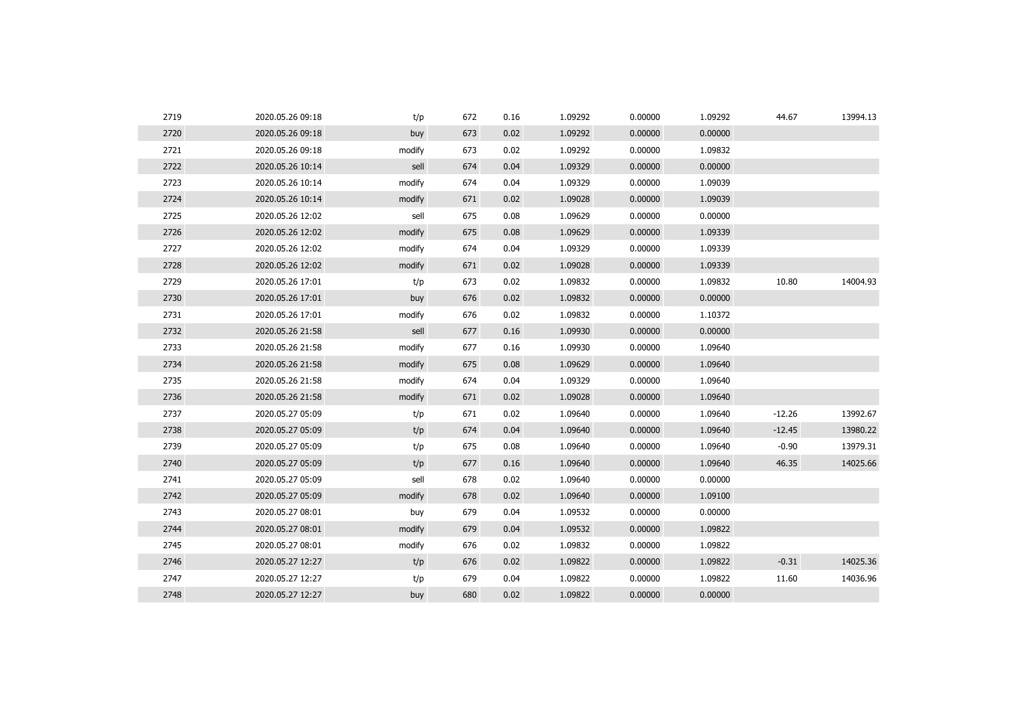| 2719 | 2020.05.26 09:18 | t/p    | 672 | 0.16 | 1.09292 | 0.00000 | 1.09292 | 44.67    | 13994.13 |
|------|------------------|--------|-----|------|---------|---------|---------|----------|----------|
| 2720 | 2020.05.26 09:18 | buy    | 673 | 0.02 | 1.09292 | 0.00000 | 0.00000 |          |          |
| 2721 | 2020.05.26 09:18 | modify | 673 | 0.02 | 1.09292 | 0.00000 | 1.09832 |          |          |
| 2722 | 2020.05.26 10:14 | sell   | 674 | 0.04 | 1.09329 | 0.00000 | 0.00000 |          |          |
| 2723 | 2020.05.26 10:14 | modify | 674 | 0.04 | 1.09329 | 0.00000 | 1.09039 |          |          |
| 2724 | 2020.05.26 10:14 | modify | 671 | 0.02 | 1.09028 | 0.00000 | 1.09039 |          |          |
| 2725 | 2020.05.26 12:02 | sell   | 675 | 0.08 | 1.09629 | 0.00000 | 0.00000 |          |          |
| 2726 | 2020.05.26 12:02 | modify | 675 | 0.08 | 1.09629 | 0.00000 | 1.09339 |          |          |
| 2727 | 2020.05.26 12:02 | modify | 674 | 0.04 | 1.09329 | 0.00000 | 1.09339 |          |          |
| 2728 | 2020.05.26 12:02 | modify | 671 | 0.02 | 1.09028 | 0.00000 | 1.09339 |          |          |
| 2729 | 2020.05.26 17:01 | t/p    | 673 | 0.02 | 1.09832 | 0.00000 | 1.09832 | 10.80    | 14004.93 |
| 2730 | 2020.05.26 17:01 | buy    | 676 | 0.02 | 1.09832 | 0.00000 | 0.00000 |          |          |
| 2731 | 2020.05.26 17:01 | modify | 676 | 0.02 | 1.09832 | 0.00000 | 1.10372 |          |          |
| 2732 | 2020.05.26 21:58 | sell   | 677 | 0.16 | 1.09930 | 0.00000 | 0.00000 |          |          |
| 2733 | 2020.05.26 21:58 | modify | 677 | 0.16 | 1.09930 | 0.00000 | 1.09640 |          |          |
| 2734 | 2020.05.26 21:58 | modify | 675 | 0.08 | 1.09629 | 0.00000 | 1.09640 |          |          |
| 2735 | 2020.05.26 21:58 | modify | 674 | 0.04 | 1.09329 | 0.00000 | 1.09640 |          |          |
| 2736 | 2020.05.26 21:58 | modify | 671 | 0.02 | 1.09028 | 0.00000 | 1.09640 |          |          |
| 2737 | 2020.05.27 05:09 | t/p    | 671 | 0.02 | 1.09640 | 0.00000 | 1.09640 | $-12.26$ | 13992.67 |
| 2738 | 2020.05.27 05:09 | t/p    | 674 | 0.04 | 1.09640 | 0.00000 | 1.09640 | $-12.45$ | 13980.22 |
| 2739 | 2020.05.27 05:09 | t/p    | 675 | 0.08 | 1.09640 | 0.00000 | 1.09640 | $-0.90$  | 13979.31 |
| 2740 | 2020.05.27 05:09 | t/p    | 677 | 0.16 | 1.09640 | 0.00000 | 1.09640 | 46.35    | 14025.66 |
| 2741 | 2020.05.27 05:09 | sell   | 678 | 0.02 | 1.09640 | 0.00000 | 0.00000 |          |          |
| 2742 | 2020.05.27 05:09 | modify | 678 | 0.02 | 1.09640 | 0.00000 | 1.09100 |          |          |
| 2743 | 2020.05.27 08:01 | buy    | 679 | 0.04 | 1.09532 | 0.00000 | 0.00000 |          |          |
| 2744 | 2020.05.27 08:01 | modify | 679 | 0.04 | 1.09532 | 0.00000 | 1.09822 |          |          |
| 2745 | 2020.05.27 08:01 | modify | 676 | 0.02 | 1.09832 | 0.00000 | 1.09822 |          |          |
| 2746 | 2020.05.27 12:27 | t/p    | 676 | 0.02 | 1.09822 | 0.00000 | 1.09822 | $-0.31$  | 14025.36 |
| 2747 | 2020.05.27 12:27 | t/p    | 679 | 0.04 | 1.09822 | 0.00000 | 1.09822 | 11.60    | 14036.96 |
| 2748 | 2020.05.27 12:27 | buy    | 680 | 0.02 | 1.09822 | 0.00000 | 0.00000 |          |          |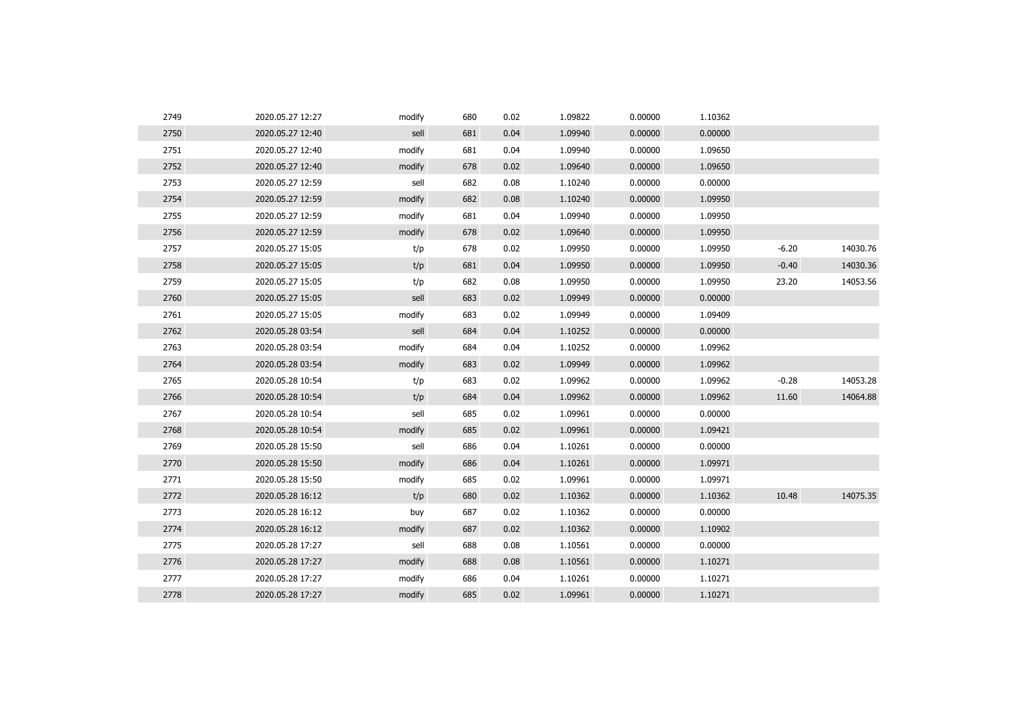| 2749 | 2020.05.27 12:27 | modify | 680 | 0.02 | 1.09822 | 0.00000 | 1.10362 |         |          |
|------|------------------|--------|-----|------|---------|---------|---------|---------|----------|
| 2750 | 2020.05.27 12:40 | sell   | 681 | 0.04 | 1.09940 | 0.00000 | 0.00000 |         |          |
| 2751 | 2020.05.27 12:40 | modify | 681 | 0.04 | 1.09940 | 0.00000 | 1.09650 |         |          |
| 2752 | 2020.05.27 12:40 | modify | 678 | 0.02 | 1.09640 | 0.00000 | 1.09650 |         |          |
| 2753 | 2020.05.27 12:59 | sell   | 682 | 0.08 | 1.10240 | 0.00000 | 0.00000 |         |          |
| 2754 | 2020.05.27 12:59 | modify | 682 | 0.08 | 1.10240 | 0.00000 | 1.09950 |         |          |
| 2755 | 2020.05.27 12:59 | modify | 681 | 0.04 | 1.09940 | 0.00000 | 1.09950 |         |          |
| 2756 | 2020.05.27 12:59 | modify | 678 | 0.02 | 1.09640 | 0.00000 | 1.09950 |         |          |
| 2757 | 2020.05.27 15:05 | t/p    | 678 | 0.02 | 1.09950 | 0.00000 | 1.09950 | $-6.20$ | 14030.76 |
| 2758 | 2020.05.27 15:05 | t/p    | 681 | 0.04 | 1.09950 | 0.00000 | 1.09950 | $-0.40$ | 14030.36 |
| 2759 | 2020.05.27 15:05 | t/p    | 682 | 0.08 | 1.09950 | 0.00000 | 1.09950 | 23.20   | 14053.56 |
| 2760 | 2020.05.27 15:05 | sell   | 683 | 0.02 | 1.09949 | 0.00000 | 0.00000 |         |          |
| 2761 | 2020.05.27 15:05 | modify | 683 | 0.02 | 1.09949 | 0.00000 | 1.09409 |         |          |
| 2762 | 2020.05.28 03:54 | sell   | 684 | 0.04 | 1.10252 | 0.00000 | 0.00000 |         |          |
| 2763 | 2020.05.28 03:54 | modify | 684 | 0.04 | 1.10252 | 0.00000 | 1.09962 |         |          |
| 2764 | 2020.05.28 03:54 | modify | 683 | 0.02 | 1.09949 | 0.00000 | 1.09962 |         |          |
| 2765 | 2020.05.28 10:54 | t/p    | 683 | 0.02 | 1.09962 | 0.00000 | 1.09962 | $-0.28$ | 14053.28 |
| 2766 | 2020.05.28 10:54 | t/p    | 684 | 0.04 | 1.09962 | 0.00000 | 1.09962 | 11.60   | 14064.88 |
| 2767 | 2020.05.28 10:54 | sell   | 685 | 0.02 | 1.09961 | 0.00000 | 0.00000 |         |          |
| 2768 | 2020.05.28 10:54 | modify | 685 | 0.02 | 1.09961 | 0.00000 | 1.09421 |         |          |
| 2769 | 2020.05.28 15:50 | sell   | 686 | 0.04 | 1.10261 | 0.00000 | 0.00000 |         |          |
| 2770 | 2020.05.28 15:50 | modify | 686 | 0.04 | 1.10261 | 0.00000 | 1.09971 |         |          |
| 2771 | 2020.05.28 15:50 | modify | 685 | 0.02 | 1.09961 | 0.00000 | 1.09971 |         |          |
| 2772 | 2020.05.28 16:12 | t/p    | 680 | 0.02 | 1.10362 | 0.00000 | 1.10362 | 10.48   | 14075.35 |
| 2773 | 2020.05.28 16:12 | buy    | 687 | 0.02 | 1.10362 | 0.00000 | 0.00000 |         |          |
| 2774 | 2020.05.28 16:12 | modify | 687 | 0.02 | 1.10362 | 0.00000 | 1.10902 |         |          |
| 2775 | 2020.05.28 17:27 | sell   | 688 | 0.08 | 1.10561 | 0.00000 | 0.00000 |         |          |
| 2776 | 2020.05.28 17:27 | modify | 688 | 0.08 | 1.10561 | 0.00000 | 1.10271 |         |          |
| 2777 | 2020.05.28 17:27 | modify | 686 | 0.04 | 1.10261 | 0.00000 | 1.10271 |         |          |
| 2778 | 2020.05.28 17:27 | modify | 685 | 0.02 | 1.09961 | 0.00000 | 1.10271 |         |          |
|      |                  |        |     |      |         |         |         |         |          |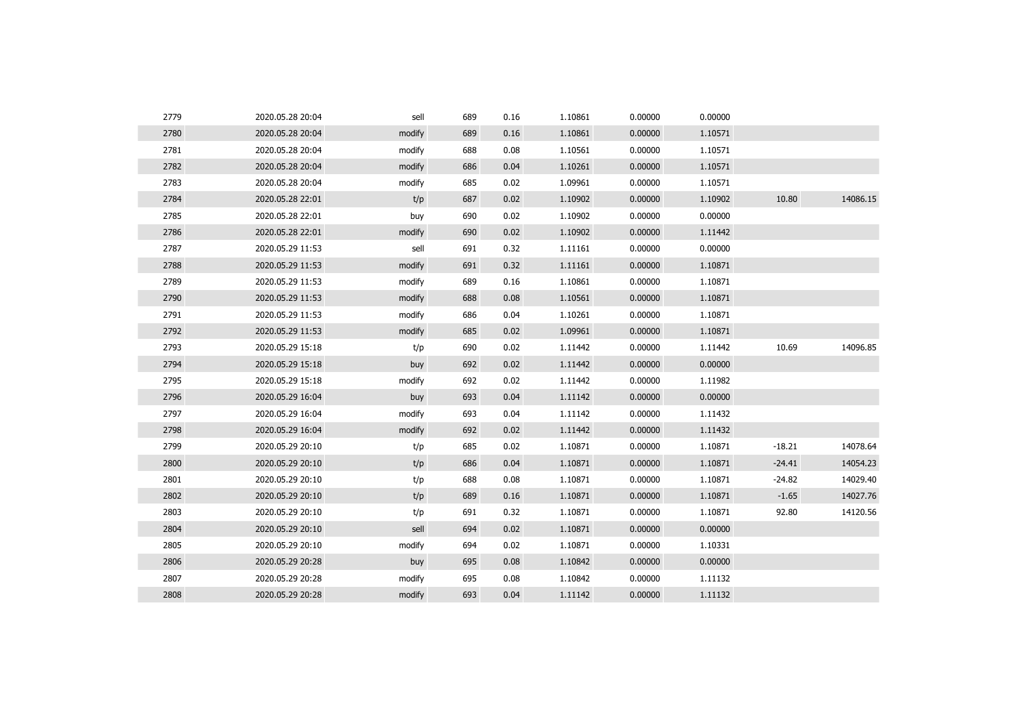| 2779 | 2020.05.28 20:04 | sell   | 689 | 0.16 | 1.10861 | 0.00000 | 0.00000 |          |          |
|------|------------------|--------|-----|------|---------|---------|---------|----------|----------|
| 2780 | 2020.05.28 20:04 | modify | 689 | 0.16 | 1.10861 | 0.00000 | 1.10571 |          |          |
| 2781 | 2020.05.28 20:04 | modify | 688 | 0.08 | 1.10561 | 0.00000 | 1.10571 |          |          |
| 2782 | 2020.05.28 20:04 | modify | 686 | 0.04 | 1.10261 | 0.00000 | 1.10571 |          |          |
| 2783 | 2020.05.28 20:04 | modify | 685 | 0.02 | 1.09961 | 0.00000 | 1.10571 |          |          |
| 2784 | 2020.05.28 22:01 | t/p    | 687 | 0.02 | 1.10902 | 0.00000 | 1.10902 | 10.80    | 14086.15 |
| 2785 | 2020.05.28 22:01 | buy    | 690 | 0.02 | 1.10902 | 0.00000 | 0.00000 |          |          |
| 2786 | 2020.05.28 22:01 | modify | 690 | 0.02 | 1.10902 | 0.00000 | 1.11442 |          |          |
| 2787 | 2020.05.29 11:53 | sell   | 691 | 0.32 | 1.11161 | 0.00000 | 0.00000 |          |          |
| 2788 | 2020.05.29 11:53 | modify | 691 | 0.32 | 1.11161 | 0.00000 | 1.10871 |          |          |
| 2789 | 2020.05.29 11:53 | modify | 689 | 0.16 | 1.10861 | 0.00000 | 1.10871 |          |          |
| 2790 | 2020.05.29 11:53 | modify | 688 | 0.08 | 1.10561 | 0.00000 | 1.10871 |          |          |
| 2791 | 2020.05.29 11:53 | modify | 686 | 0.04 | 1.10261 | 0.00000 | 1.10871 |          |          |
| 2792 | 2020.05.29 11:53 | modify | 685 | 0.02 | 1.09961 | 0.00000 | 1.10871 |          |          |
| 2793 | 2020.05.29 15:18 | t/p    | 690 | 0.02 | 1.11442 | 0.00000 | 1.11442 | 10.69    | 14096.85 |
| 2794 | 2020.05.29 15:18 | buy    | 692 | 0.02 | 1.11442 | 0.00000 | 0.00000 |          |          |
| 2795 | 2020.05.29 15:18 | modify | 692 | 0.02 | 1.11442 | 0.00000 | 1.11982 |          |          |
| 2796 | 2020.05.29 16:04 | buy    | 693 | 0.04 | 1.11142 | 0.00000 | 0.00000 |          |          |
| 2797 | 2020.05.29 16:04 | modify | 693 | 0.04 | 1.11142 | 0.00000 | 1.11432 |          |          |
| 2798 | 2020.05.29 16:04 | modify | 692 | 0.02 | 1.11442 | 0.00000 | 1.11432 |          |          |
| 2799 | 2020.05.29 20:10 | t/p    | 685 | 0.02 | 1.10871 | 0.00000 | 1.10871 | $-18.21$ | 14078.64 |
| 2800 | 2020.05.29 20:10 | t/p    | 686 | 0.04 | 1.10871 | 0.00000 | 1.10871 | $-24.41$ | 14054.23 |
| 2801 | 2020.05.29 20:10 | t/p    | 688 | 0.08 | 1.10871 | 0.00000 | 1.10871 | $-24.82$ | 14029.40 |
| 2802 | 2020.05.29 20:10 | t/p    | 689 | 0.16 | 1.10871 | 0.00000 | 1.10871 | $-1.65$  | 14027.76 |
| 2803 | 2020.05.29 20:10 | t/p    | 691 | 0.32 | 1.10871 | 0.00000 | 1.10871 | 92.80    | 14120.56 |
| 2804 | 2020.05.29 20:10 | sell   | 694 | 0.02 | 1.10871 | 0.00000 | 0.00000 |          |          |
| 2805 | 2020.05.29 20:10 | modify | 694 | 0.02 | 1.10871 | 0.00000 | 1.10331 |          |          |
| 2806 | 2020.05.29 20:28 | buy    | 695 | 0.08 | 1.10842 | 0.00000 | 0.00000 |          |          |
| 2807 | 2020.05.29 20:28 | modify | 695 | 0.08 | 1.10842 | 0.00000 | 1.11132 |          |          |
| 2808 | 2020.05.29 20:28 | modify | 693 | 0.04 | 1.11142 | 0.00000 | 1.11132 |          |          |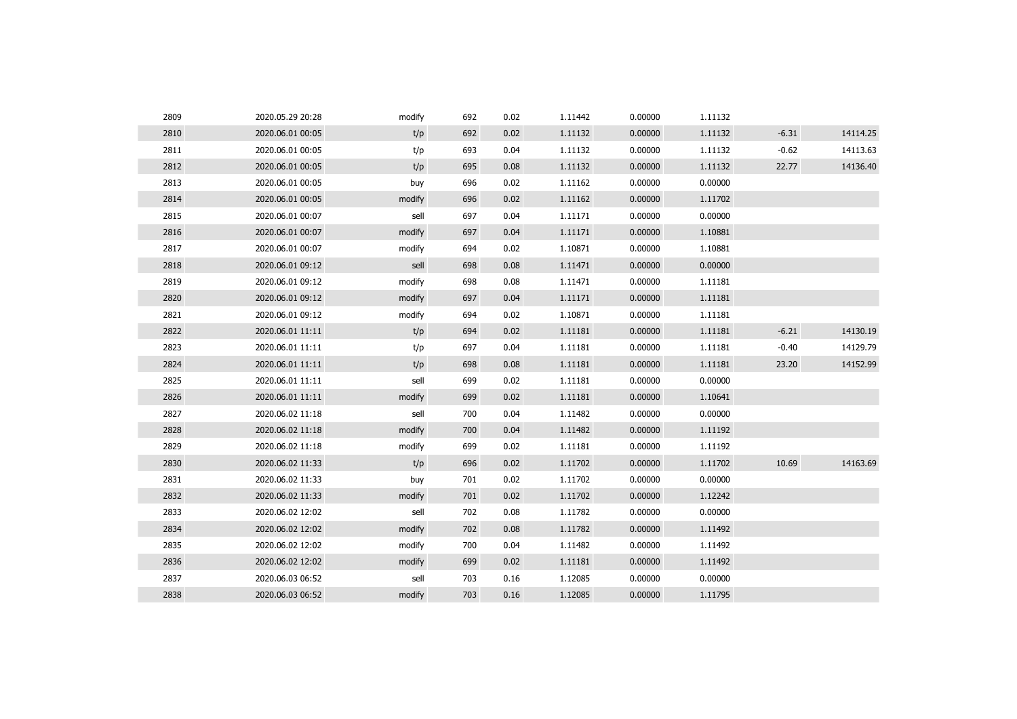| 2809 | 2020.05.29 20:28 | modify | 692 | 0.02 | 1.11442 | 0.00000 | 1.11132 |         |          |
|------|------------------|--------|-----|------|---------|---------|---------|---------|----------|
| 2810 | 2020.06.01 00:05 | t/p    | 692 | 0.02 | 1.11132 | 0.00000 | 1.11132 | $-6.31$ | 14114.25 |
| 2811 | 2020.06.01 00:05 | t/p    | 693 | 0.04 | 1.11132 | 0.00000 | 1.11132 | $-0.62$ | 14113.63 |
| 2812 | 2020.06.01 00:05 | t/p    | 695 | 0.08 | 1.11132 | 0.00000 | 1.11132 | 22.77   | 14136.40 |
| 2813 | 2020.06.01 00:05 | buy    | 696 | 0.02 | 1.11162 | 0.00000 | 0.00000 |         |          |
| 2814 | 2020.06.01 00:05 | modify | 696 | 0.02 | 1.11162 | 0.00000 | 1.11702 |         |          |
| 2815 | 2020.06.01 00:07 | sell   | 697 | 0.04 | 1.11171 | 0.00000 | 0.00000 |         |          |
| 2816 | 2020.06.01 00:07 | modify | 697 | 0.04 | 1.11171 | 0.00000 | 1.10881 |         |          |
| 2817 | 2020.06.01 00:07 | modify | 694 | 0.02 | 1.10871 | 0.00000 | 1.10881 |         |          |
| 2818 | 2020.06.01 09:12 | sell   | 698 | 0.08 | 1.11471 | 0.00000 | 0.00000 |         |          |
| 2819 | 2020.06.01 09:12 | modify | 698 | 0.08 | 1.11471 | 0.00000 | 1.11181 |         |          |
| 2820 | 2020.06.01 09:12 | modify | 697 | 0.04 | 1.11171 | 0.00000 | 1.11181 |         |          |
| 2821 | 2020.06.01 09:12 | modify | 694 | 0.02 | 1.10871 | 0.00000 | 1.11181 |         |          |
| 2822 | 2020.06.01 11:11 | t/p    | 694 | 0.02 | 1.11181 | 0.00000 | 1.11181 | $-6.21$ | 14130.19 |
| 2823 | 2020.06.01 11:11 | t/p    | 697 | 0.04 | 1.11181 | 0.00000 | 1.11181 | $-0.40$ | 14129.79 |
| 2824 | 2020.06.01 11:11 | t/p    | 698 | 0.08 | 1.11181 | 0.00000 | 1.11181 | 23.20   | 14152.99 |
| 2825 | 2020.06.01 11:11 | sell   | 699 | 0.02 | 1.11181 | 0.00000 | 0.00000 |         |          |
| 2826 | 2020.06.01 11:11 | modify | 699 | 0.02 | 1.11181 | 0.00000 | 1.10641 |         |          |
| 2827 | 2020.06.02 11:18 | sell   | 700 | 0.04 | 1.11482 | 0.00000 | 0.00000 |         |          |
| 2828 | 2020.06.02 11:18 | modify | 700 | 0.04 | 1.11482 | 0.00000 | 1.11192 |         |          |
| 2829 | 2020.06.02 11:18 | modify | 699 | 0.02 | 1.11181 | 0.00000 | 1.11192 |         |          |
| 2830 | 2020.06.02 11:33 | t/p    | 696 | 0.02 | 1.11702 | 0.00000 | 1.11702 | 10.69   | 14163.69 |
| 2831 | 2020.06.02 11:33 | buy    | 701 | 0.02 | 1.11702 | 0.00000 | 0.00000 |         |          |
| 2832 | 2020.06.02 11:33 | modify | 701 | 0.02 | 1.11702 | 0.00000 | 1.12242 |         |          |
| 2833 | 2020.06.02 12:02 | sell   | 702 | 0.08 | 1.11782 | 0.00000 | 0.00000 |         |          |
| 2834 | 2020.06.02 12:02 | modify | 702 | 0.08 | 1.11782 | 0.00000 | 1.11492 |         |          |
| 2835 | 2020.06.02 12:02 | modify | 700 | 0.04 | 1.11482 | 0.00000 | 1.11492 |         |          |
| 2836 | 2020.06.02 12:02 | modify | 699 | 0.02 | 1.11181 | 0.00000 | 1.11492 |         |          |
| 2837 | 2020.06.03 06:52 | sell   | 703 | 0.16 | 1.12085 | 0.00000 | 0.00000 |         |          |
| 2838 | 2020.06.03 06:52 | modify | 703 | 0.16 | 1.12085 | 0.00000 | 1.11795 |         |          |
|      |                  |        |     |      |         |         |         |         |          |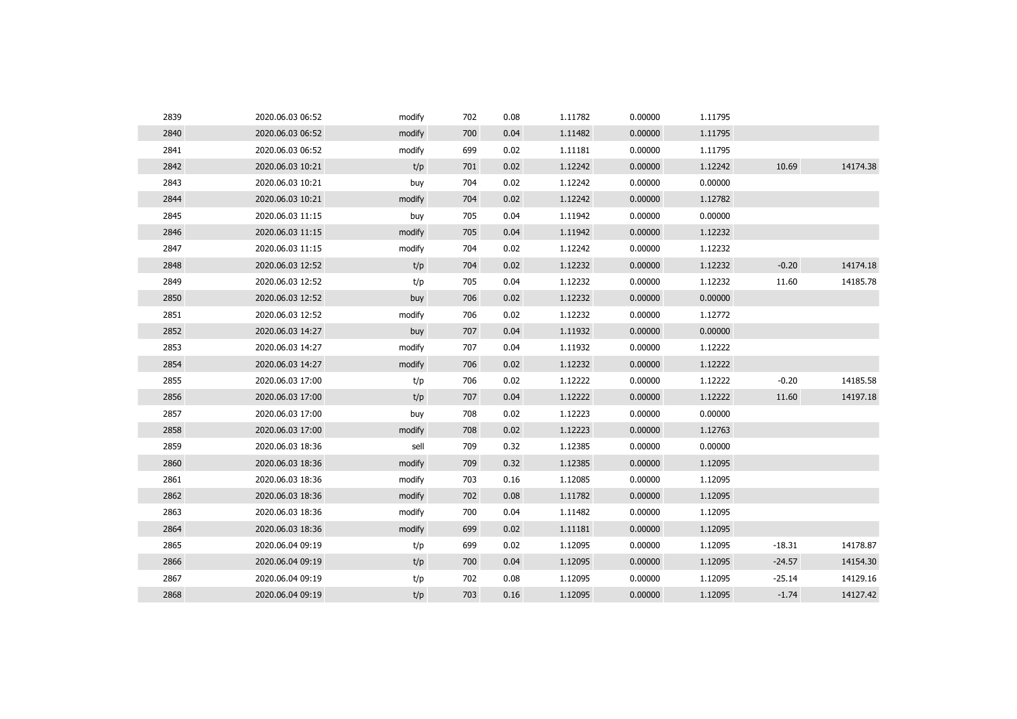| 2839 | 2020.06.03 06:52 | modify | 702 | 0.08 | 1.11782 | 0.00000 | 1.11795 |          |          |
|------|------------------|--------|-----|------|---------|---------|---------|----------|----------|
| 2840 | 2020.06.03 06:52 | modify | 700 | 0.04 | 1.11482 | 0.00000 | 1.11795 |          |          |
| 2841 | 2020.06.03 06:52 | modify | 699 | 0.02 | 1.11181 | 0.00000 | 1.11795 |          |          |
| 2842 | 2020.06.03 10:21 | t/p    | 701 | 0.02 | 1.12242 | 0.00000 | 1.12242 | 10.69    | 14174.38 |
| 2843 | 2020.06.03 10:21 | buy    | 704 | 0.02 | 1.12242 | 0.00000 | 0.00000 |          |          |
| 2844 | 2020.06.03 10:21 | modify | 704 | 0.02 | 1.12242 | 0.00000 | 1.12782 |          |          |
| 2845 | 2020.06.03 11:15 | buy    | 705 | 0.04 | 1.11942 | 0.00000 | 0.00000 |          |          |
| 2846 | 2020.06.03 11:15 | modify | 705 | 0.04 | 1.11942 | 0.00000 | 1.12232 |          |          |
| 2847 | 2020.06.03 11:15 | modify | 704 | 0.02 | 1.12242 | 0.00000 | 1.12232 |          |          |
| 2848 | 2020.06.03 12:52 | t/p    | 704 | 0.02 | 1.12232 | 0.00000 | 1.12232 | $-0.20$  | 14174.18 |
| 2849 | 2020.06.03 12:52 | t/p    | 705 | 0.04 | 1.12232 | 0.00000 | 1.12232 | 11.60    | 14185.78 |
| 2850 | 2020.06.03 12:52 | buy    | 706 | 0.02 | 1.12232 | 0.00000 | 0.00000 |          |          |
| 2851 | 2020.06.03 12:52 | modify | 706 | 0.02 | 1.12232 | 0.00000 | 1.12772 |          |          |
| 2852 | 2020.06.03 14:27 | buy    | 707 | 0.04 | 1.11932 | 0.00000 | 0.00000 |          |          |
| 2853 | 2020.06.03 14:27 | modify | 707 | 0.04 | 1.11932 | 0.00000 | 1.12222 |          |          |
| 2854 | 2020.06.03 14:27 | modify | 706 | 0.02 | 1.12232 | 0.00000 | 1.12222 |          |          |
| 2855 | 2020.06.03 17:00 | t/p    | 706 | 0.02 | 1.12222 | 0.00000 | 1.12222 | $-0.20$  | 14185.58 |
| 2856 | 2020.06.03 17:00 | t/p    | 707 | 0.04 | 1.12222 | 0.00000 | 1.12222 | 11.60    | 14197.18 |
| 2857 | 2020.06.03 17:00 | buy    | 708 | 0.02 | 1.12223 | 0.00000 | 0.00000 |          |          |
| 2858 | 2020.06.03 17:00 | modify | 708 | 0.02 | 1.12223 | 0.00000 | 1.12763 |          |          |
| 2859 | 2020.06.03 18:36 | sell   | 709 | 0.32 | 1.12385 | 0.00000 | 0.00000 |          |          |
| 2860 | 2020.06.03 18:36 | modify | 709 | 0.32 | 1.12385 | 0.00000 | 1.12095 |          |          |
| 2861 | 2020.06.03 18:36 | modify | 703 | 0.16 | 1.12085 | 0.00000 | 1.12095 |          |          |
| 2862 | 2020.06.03 18:36 | modify | 702 | 0.08 | 1.11782 | 0.00000 | 1.12095 |          |          |
| 2863 | 2020.06.03 18:36 | modify | 700 | 0.04 | 1.11482 | 0.00000 | 1.12095 |          |          |
| 2864 | 2020.06.03 18:36 | modify | 699 | 0.02 | 1.11181 | 0.00000 | 1.12095 |          |          |
| 2865 | 2020.06.04 09:19 | t/p    | 699 | 0.02 | 1.12095 | 0.00000 | 1.12095 | $-18.31$ | 14178.87 |
| 2866 | 2020.06.04 09:19 | t/p    | 700 | 0.04 | 1.12095 | 0.00000 | 1.12095 | $-24.57$ | 14154.30 |
| 2867 | 2020.06.04 09:19 | t/p    | 702 | 0.08 | 1.12095 | 0.00000 | 1.12095 | $-25.14$ | 14129.16 |
| 2868 | 2020.06.04 09:19 | t/p    | 703 | 0.16 | 1.12095 | 0.00000 | 1.12095 | $-1.74$  | 14127.42 |
|      |                  |        |     |      |         |         |         |          |          |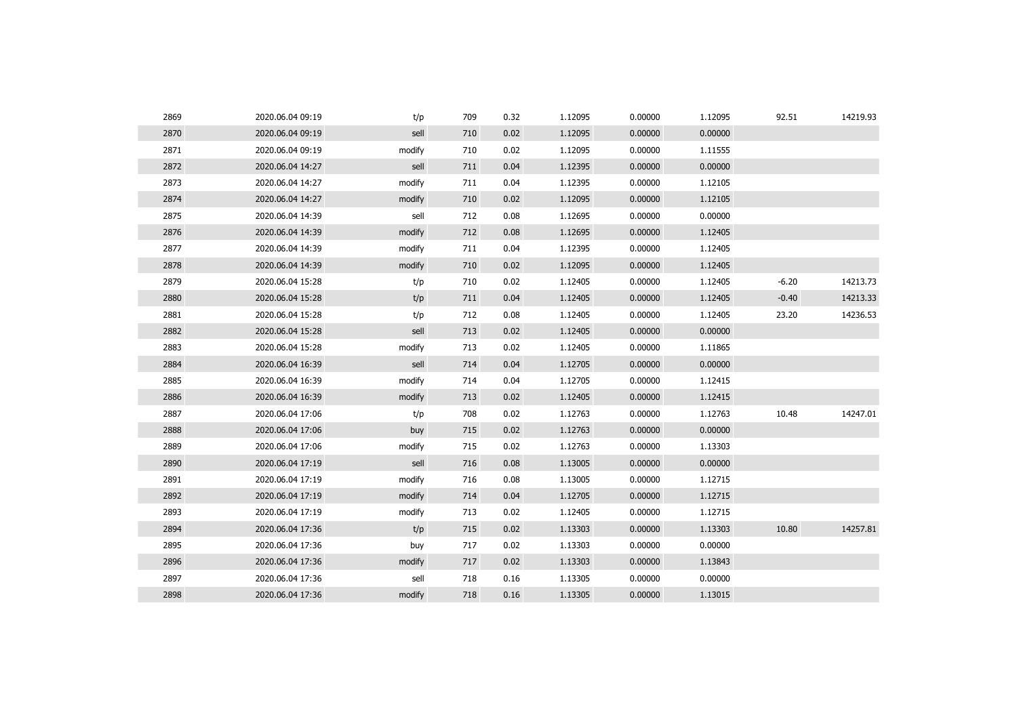| 2869 | 2020.06.04 09:19 | t/p    | 709 | 0.32 | 1.12095 | 0.00000 | 1.12095 | 92.51   | 14219.93 |
|------|------------------|--------|-----|------|---------|---------|---------|---------|----------|
| 2870 | 2020.06.04 09:19 | sell   | 710 | 0.02 | 1.12095 | 0.00000 | 0.00000 |         |          |
| 2871 | 2020.06.04 09:19 | modify | 710 | 0.02 | 1.12095 | 0.00000 | 1.11555 |         |          |
| 2872 | 2020.06.04 14:27 | sell   | 711 | 0.04 | 1.12395 | 0.00000 | 0.00000 |         |          |
| 2873 | 2020.06.04 14:27 | modify | 711 | 0.04 | 1.12395 | 0.00000 | 1.12105 |         |          |
| 2874 | 2020.06.04 14:27 | modify | 710 | 0.02 | 1.12095 | 0.00000 | 1.12105 |         |          |
| 2875 | 2020.06.04 14:39 | sell   | 712 | 0.08 | 1.12695 | 0.00000 | 0.00000 |         |          |
| 2876 | 2020.06.04 14:39 | modify | 712 | 0.08 | 1.12695 | 0.00000 | 1.12405 |         |          |
| 2877 | 2020.06.04 14:39 | modify | 711 | 0.04 | 1.12395 | 0.00000 | 1.12405 |         |          |
| 2878 | 2020.06.04 14:39 | modify | 710 | 0.02 | 1.12095 | 0.00000 | 1.12405 |         |          |
| 2879 | 2020.06.04 15:28 | t/p    | 710 | 0.02 | 1.12405 | 0.00000 | 1.12405 | $-6.20$ | 14213.73 |
| 2880 | 2020.06.04 15:28 | t/p    | 711 | 0.04 | 1.12405 | 0.00000 | 1.12405 | $-0.40$ | 14213.33 |
| 2881 | 2020.06.04 15:28 | t/p    | 712 | 0.08 | 1.12405 | 0.00000 | 1.12405 | 23.20   | 14236.53 |
| 2882 | 2020.06.04 15:28 | sell   | 713 | 0.02 | 1.12405 | 0.00000 | 0.00000 |         |          |
| 2883 | 2020.06.04 15:28 | modify | 713 | 0.02 | 1.12405 | 0.00000 | 1.11865 |         |          |
| 2884 | 2020.06.04 16:39 | sell   | 714 | 0.04 | 1.12705 | 0.00000 | 0.00000 |         |          |
| 2885 | 2020.06.04 16:39 | modify | 714 | 0.04 | 1.12705 | 0.00000 | 1.12415 |         |          |
| 2886 | 2020.06.04 16:39 | modify | 713 | 0.02 | 1.12405 | 0.00000 | 1.12415 |         |          |
| 2887 | 2020.06.04 17:06 | t/p    | 708 | 0.02 | 1.12763 | 0.00000 | 1.12763 | 10.48   | 14247.01 |
| 2888 | 2020.06.04 17:06 | buy    | 715 | 0.02 | 1.12763 | 0.00000 | 0.00000 |         |          |
| 2889 | 2020.06.04 17:06 | modify | 715 | 0.02 | 1.12763 | 0.00000 | 1.13303 |         |          |
| 2890 | 2020.06.04 17:19 | sell   | 716 | 0.08 | 1.13005 | 0.00000 | 0.00000 |         |          |
| 2891 | 2020.06.04 17:19 | modify | 716 | 0.08 | 1.13005 | 0.00000 | 1.12715 |         |          |
| 2892 | 2020.06.04 17:19 | modify | 714 | 0.04 | 1.12705 | 0.00000 | 1.12715 |         |          |
| 2893 | 2020.06.04 17:19 | modify | 713 | 0.02 | 1.12405 | 0.00000 | 1.12715 |         |          |
| 2894 | 2020.06.04 17:36 | t/p    | 715 | 0.02 | 1.13303 | 0.00000 | 1.13303 | 10.80   | 14257.81 |
| 2895 | 2020.06.04 17:36 | buy    | 717 | 0.02 | 1.13303 | 0.00000 | 0.00000 |         |          |
| 2896 | 2020.06.04 17:36 | modify | 717 | 0.02 | 1.13303 | 0.00000 | 1.13843 |         |          |
| 2897 | 2020.06.04 17:36 | sell   | 718 | 0.16 | 1.13305 | 0.00000 | 0.00000 |         |          |
| 2898 | 2020.06.04 17:36 | modify | 718 | 0.16 | 1.13305 | 0.00000 | 1.13015 |         |          |
|      |                  |        |     |      |         |         |         |         |          |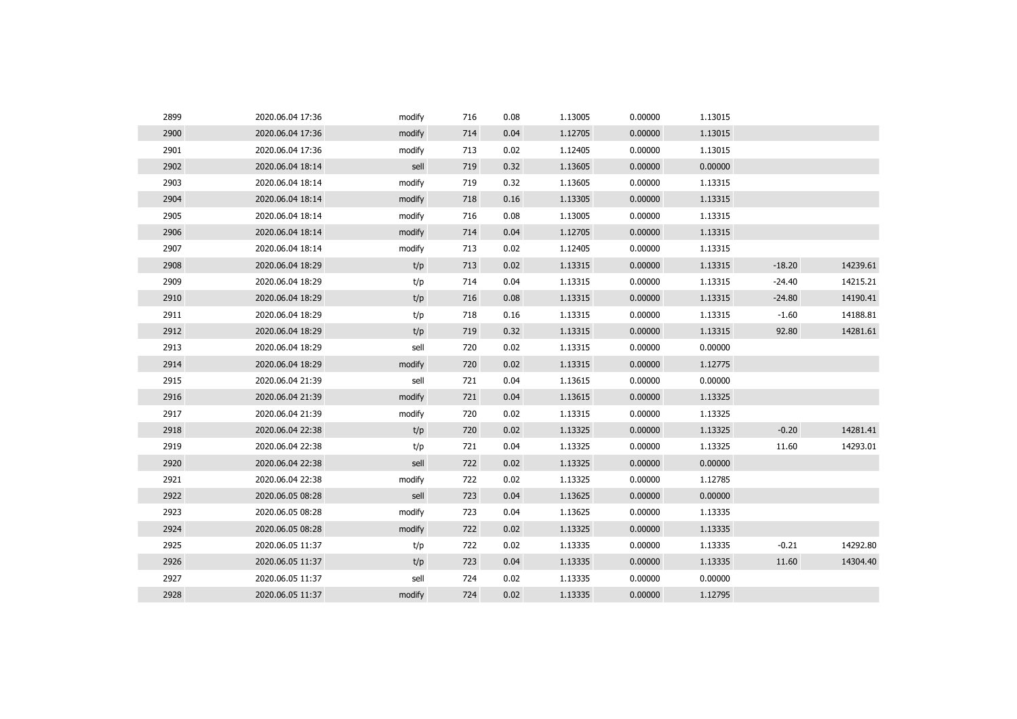| 2899 | 2020.06.04 17:36 | modify | 716 | 0.08 | 1.13005 | 0.00000 | 1.13015 |          |          |
|------|------------------|--------|-----|------|---------|---------|---------|----------|----------|
| 2900 | 2020.06.04 17:36 | modify | 714 | 0.04 | 1.12705 | 0.00000 | 1.13015 |          |          |
| 2901 | 2020.06.04 17:36 | modify | 713 | 0.02 | 1.12405 | 0.00000 | 1.13015 |          |          |
| 2902 | 2020.06.04 18:14 | sell   | 719 | 0.32 | 1.13605 | 0.00000 | 0.00000 |          |          |
| 2903 | 2020.06.04 18:14 | modify | 719 | 0.32 | 1.13605 | 0.00000 | 1.13315 |          |          |
| 2904 | 2020.06.04 18:14 | modify | 718 | 0.16 | 1.13305 | 0.00000 | 1.13315 |          |          |
| 2905 | 2020.06.04 18:14 | modify | 716 | 0.08 | 1.13005 | 0.00000 | 1.13315 |          |          |
| 2906 | 2020.06.04 18:14 | modify | 714 | 0.04 | 1.12705 | 0.00000 | 1.13315 |          |          |
| 2907 | 2020.06.04 18:14 | modify | 713 | 0.02 | 1.12405 | 0.00000 | 1.13315 |          |          |
| 2908 | 2020.06.04 18:29 | t/p    | 713 | 0.02 | 1.13315 | 0.00000 | 1.13315 | $-18.20$ | 14239.61 |
| 2909 | 2020.06.04 18:29 | t/p    | 714 | 0.04 | 1.13315 | 0.00000 | 1.13315 | $-24.40$ | 14215.21 |
| 2910 | 2020.06.04 18:29 | t/p    | 716 | 0.08 | 1.13315 | 0.00000 | 1.13315 | $-24.80$ | 14190.41 |
| 2911 | 2020.06.04 18:29 | t/p    | 718 | 0.16 | 1.13315 | 0.00000 | 1.13315 | $-1.60$  | 14188.81 |
| 2912 | 2020.06.04 18:29 | t/p    | 719 | 0.32 | 1.13315 | 0.00000 | 1.13315 | 92.80    | 14281.61 |
| 2913 | 2020.06.04 18:29 | sell   | 720 | 0.02 | 1.13315 | 0.00000 | 0.00000 |          |          |
| 2914 | 2020.06.04 18:29 | modify | 720 | 0.02 | 1.13315 | 0.00000 | 1.12775 |          |          |
| 2915 | 2020.06.04 21:39 | sell   | 721 | 0.04 | 1.13615 | 0.00000 | 0.00000 |          |          |
| 2916 | 2020.06.04 21:39 | modify | 721 | 0.04 | 1.13615 | 0.00000 | 1.13325 |          |          |
| 2917 | 2020.06.04 21:39 | modify | 720 | 0.02 | 1.13315 | 0.00000 | 1.13325 |          |          |
| 2918 | 2020.06.04 22:38 | t/p    | 720 | 0.02 | 1.13325 | 0.00000 | 1.13325 | $-0.20$  | 14281.41 |
| 2919 | 2020.06.04 22:38 | t/p    | 721 | 0.04 | 1.13325 | 0.00000 | 1.13325 | 11.60    | 14293.01 |
| 2920 | 2020.06.04 22:38 | sell   | 722 | 0.02 | 1.13325 | 0.00000 | 0.00000 |          |          |
| 2921 | 2020.06.04 22:38 | modify | 722 | 0.02 | 1.13325 | 0.00000 | 1.12785 |          |          |
| 2922 | 2020.06.05 08:28 | sell   | 723 | 0.04 | 1.13625 | 0.00000 | 0.00000 |          |          |
| 2923 | 2020.06.05 08:28 | modify | 723 | 0.04 | 1.13625 | 0.00000 | 1.13335 |          |          |
| 2924 | 2020.06.05 08:28 | modify | 722 | 0.02 | 1.13325 | 0.00000 | 1.13335 |          |          |
| 2925 | 2020.06.05 11:37 | t/p    | 722 | 0.02 | 1.13335 | 0.00000 | 1.13335 | $-0.21$  | 14292.80 |
| 2926 | 2020.06.05 11:37 | t/p    | 723 | 0.04 | 1.13335 | 0.00000 | 1.13335 | 11.60    | 14304.40 |
| 2927 | 2020.06.05 11:37 | sell   | 724 | 0.02 | 1.13335 | 0.00000 | 0.00000 |          |          |
| 2928 | 2020.06.05 11:37 | modify | 724 | 0.02 | 1.13335 | 0.00000 | 1.12795 |          |          |
|      |                  |        |     |      |         |         |         |          |          |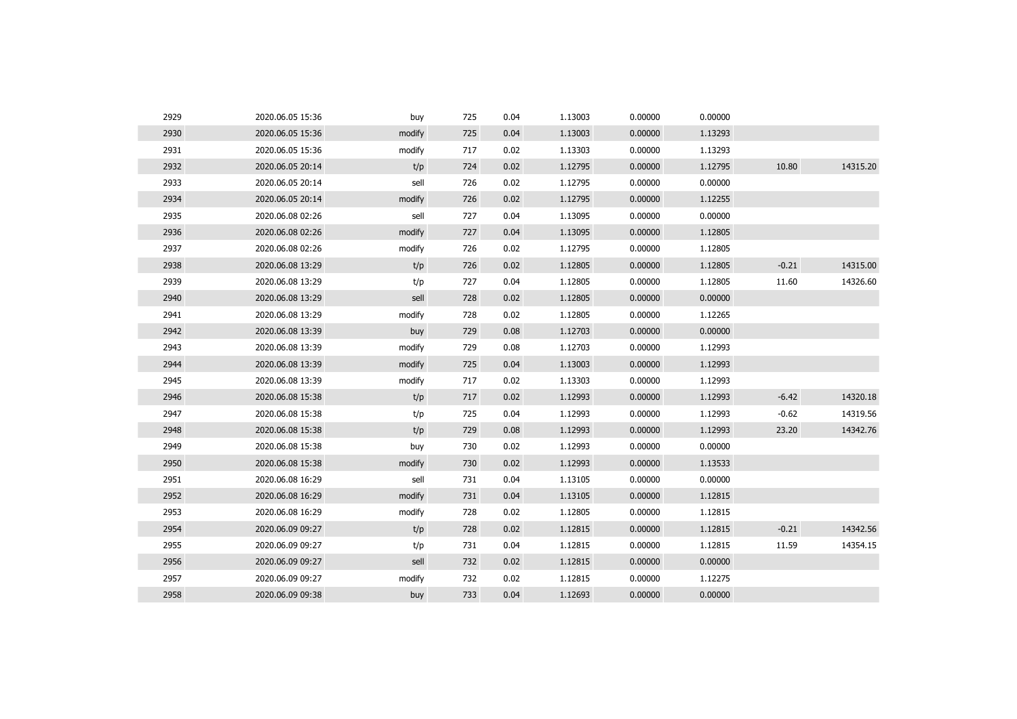| 2929 | 2020.06.05 15:36 | buy    | 725 | 0.04 | 1.13003 | 0.00000 | 0.00000 |         |          |
|------|------------------|--------|-----|------|---------|---------|---------|---------|----------|
| 2930 | 2020.06.05 15:36 | modify | 725 | 0.04 | 1.13003 | 0.00000 | 1.13293 |         |          |
| 2931 | 2020.06.05 15:36 | modify | 717 | 0.02 | 1.13303 | 0.00000 | 1.13293 |         |          |
| 2932 | 2020.06.05 20:14 | t/p    | 724 | 0.02 | 1.12795 | 0.00000 | 1.12795 | 10.80   | 14315.20 |
| 2933 | 2020.06.05 20:14 | sell   | 726 | 0.02 | 1.12795 | 0.00000 | 0.00000 |         |          |
| 2934 | 2020.06.05 20:14 | modify | 726 | 0.02 | 1.12795 | 0.00000 | 1.12255 |         |          |
| 2935 | 2020.06.08 02:26 | sell   | 727 | 0.04 | 1.13095 | 0.00000 | 0.00000 |         |          |
| 2936 | 2020.06.08 02:26 | modify | 727 | 0.04 | 1.13095 | 0.00000 | 1.12805 |         |          |
| 2937 | 2020.06.08 02:26 | modify | 726 | 0.02 | 1.12795 | 0.00000 | 1.12805 |         |          |
| 2938 | 2020.06.08 13:29 | t/p    | 726 | 0.02 | 1.12805 | 0.00000 | 1.12805 | $-0.21$ | 14315.00 |
| 2939 | 2020.06.08 13:29 | t/p    | 727 | 0.04 | 1.12805 | 0.00000 | 1.12805 | 11.60   | 14326.60 |
| 2940 | 2020.06.08 13:29 | sell   | 728 | 0.02 | 1.12805 | 0.00000 | 0.00000 |         |          |
| 2941 | 2020.06.08 13:29 | modify | 728 | 0.02 | 1.12805 | 0.00000 | 1.12265 |         |          |
| 2942 | 2020.06.08 13:39 | buy    | 729 | 0.08 | 1.12703 | 0.00000 | 0.00000 |         |          |
| 2943 | 2020.06.08 13:39 | modify | 729 | 0.08 | 1.12703 | 0.00000 | 1.12993 |         |          |
| 2944 | 2020.06.08 13:39 | modify | 725 | 0.04 | 1.13003 | 0.00000 | 1.12993 |         |          |
| 2945 | 2020.06.08 13:39 | modify | 717 | 0.02 | 1.13303 | 0.00000 | 1.12993 |         |          |
| 2946 | 2020.06.08 15:38 | t/p    | 717 | 0.02 | 1.12993 | 0.00000 | 1.12993 | $-6.42$ | 14320.18 |
| 2947 | 2020.06.08 15:38 | t/p    | 725 | 0.04 | 1.12993 | 0.00000 | 1.12993 | $-0.62$ | 14319.56 |
| 2948 | 2020.06.08 15:38 | t/p    | 729 | 0.08 | 1.12993 | 0.00000 | 1.12993 | 23.20   | 14342.76 |
| 2949 | 2020.06.08 15:38 | buy    | 730 | 0.02 | 1.12993 | 0.00000 | 0.00000 |         |          |
| 2950 | 2020.06.08 15:38 | modify | 730 | 0.02 | 1.12993 | 0.00000 | 1.13533 |         |          |
| 2951 | 2020.06.08 16:29 | sell   | 731 | 0.04 | 1.13105 | 0.00000 | 0.00000 |         |          |
| 2952 | 2020.06.08 16:29 | modify | 731 | 0.04 | 1.13105 | 0.00000 | 1.12815 |         |          |
| 2953 | 2020.06.08 16:29 | modify | 728 | 0.02 | 1.12805 | 0.00000 | 1.12815 |         |          |
| 2954 | 2020.06.09 09:27 | t/p    | 728 | 0.02 | 1.12815 | 0.00000 | 1.12815 | $-0.21$ | 14342.56 |
| 2955 | 2020.06.09 09:27 | t/p    | 731 | 0.04 | 1.12815 | 0.00000 | 1.12815 | 11.59   | 14354.15 |
| 2956 | 2020.06.09 09:27 | sell   | 732 | 0.02 | 1.12815 | 0.00000 | 0.00000 |         |          |
| 2957 | 2020.06.09 09:27 | modify | 732 | 0.02 | 1.12815 | 0.00000 | 1.12275 |         |          |
| 2958 | 2020.06.09 09:38 | buy    | 733 | 0.04 | 1.12693 | 0.00000 | 0.00000 |         |          |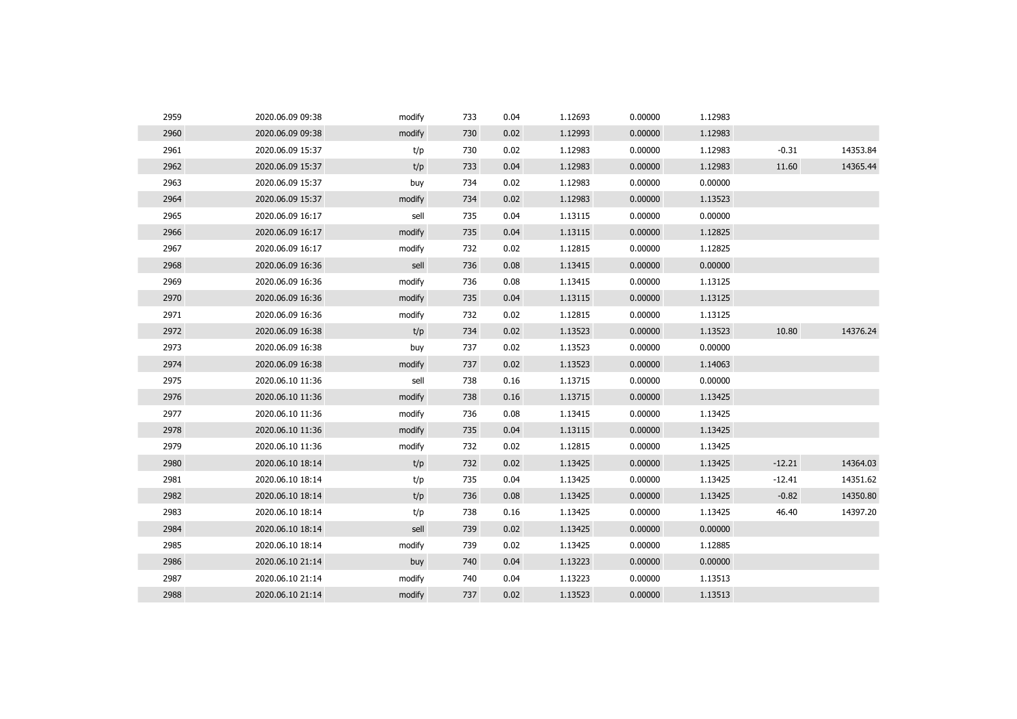| 2959 | 2020.06.09 09:38 | modify | 733 | 0.04 | 1.12693 | 0.00000 | 1.12983 |          |          |
|------|------------------|--------|-----|------|---------|---------|---------|----------|----------|
| 2960 | 2020.06.09 09:38 | modify | 730 | 0.02 | 1.12993 | 0.00000 | 1.12983 |          |          |
| 2961 | 2020.06.09 15:37 | t/p    | 730 | 0.02 | 1.12983 | 0.00000 | 1.12983 | $-0.31$  | 14353.84 |
| 2962 | 2020.06.09 15:37 | t/p    | 733 | 0.04 | 1.12983 | 0.00000 | 1.12983 | 11.60    | 14365.44 |
| 2963 | 2020.06.09 15:37 | buy    | 734 | 0.02 | 1.12983 | 0.00000 | 0.00000 |          |          |
| 2964 | 2020.06.09 15:37 | modify | 734 | 0.02 | 1.12983 | 0.00000 | 1.13523 |          |          |
| 2965 | 2020.06.09 16:17 | sell   | 735 | 0.04 | 1.13115 | 0.00000 | 0.00000 |          |          |
| 2966 | 2020.06.09 16:17 | modify | 735 | 0.04 | 1.13115 | 0.00000 | 1.12825 |          |          |
| 2967 | 2020.06.09 16:17 | modify | 732 | 0.02 | 1.12815 | 0.00000 | 1.12825 |          |          |
| 2968 | 2020.06.09 16:36 | sell   | 736 | 0.08 | 1.13415 | 0.00000 | 0.00000 |          |          |
| 2969 | 2020.06.09 16:36 | modify | 736 | 0.08 | 1.13415 | 0.00000 | 1.13125 |          |          |
| 2970 | 2020.06.09 16:36 | modify | 735 | 0.04 | 1.13115 | 0.00000 | 1.13125 |          |          |
| 2971 | 2020.06.09 16:36 | modify | 732 | 0.02 | 1.12815 | 0.00000 | 1.13125 |          |          |
| 2972 | 2020.06.09 16:38 | t/p    | 734 | 0.02 | 1.13523 | 0.00000 | 1.13523 | 10.80    | 14376.24 |
| 2973 | 2020.06.09 16:38 | buy    | 737 | 0.02 | 1.13523 | 0.00000 | 0.00000 |          |          |
| 2974 | 2020.06.09 16:38 | modify | 737 | 0.02 | 1.13523 | 0.00000 | 1.14063 |          |          |
| 2975 | 2020.06.10 11:36 | sell   | 738 | 0.16 | 1.13715 | 0.00000 | 0.00000 |          |          |
| 2976 | 2020.06.10 11:36 | modify | 738 | 0.16 | 1.13715 | 0.00000 | 1.13425 |          |          |
| 2977 | 2020.06.10 11:36 | modify | 736 | 0.08 | 1.13415 | 0.00000 | 1.13425 |          |          |
| 2978 | 2020.06.10 11:36 | modify | 735 | 0.04 | 1.13115 | 0.00000 | 1.13425 |          |          |
| 2979 | 2020.06.10 11:36 | modify | 732 | 0.02 | 1.12815 | 0.00000 | 1.13425 |          |          |
| 2980 | 2020.06.10 18:14 | t/p    | 732 | 0.02 | 1.13425 | 0.00000 | 1.13425 | $-12.21$ | 14364.03 |
| 2981 | 2020.06.10 18:14 | t/p    | 735 | 0.04 | 1.13425 | 0.00000 | 1.13425 | $-12.41$ | 14351.62 |
| 2982 | 2020.06.10 18:14 | t/p    | 736 | 0.08 | 1.13425 | 0.00000 | 1.13425 | $-0.82$  | 14350.80 |
| 2983 | 2020.06.10 18:14 | t/p    | 738 | 0.16 | 1.13425 | 0.00000 | 1.13425 | 46.40    | 14397.20 |
| 2984 | 2020.06.10 18:14 | sell   | 739 | 0.02 | 1.13425 | 0.00000 | 0.00000 |          |          |
| 2985 | 2020.06.10 18:14 | modify | 739 | 0.02 | 1.13425 | 0.00000 | 1.12885 |          |          |
| 2986 | 2020.06.10 21:14 | buy    | 740 | 0.04 | 1.13223 | 0.00000 | 0.00000 |          |          |
| 2987 | 2020.06.10 21:14 | modify | 740 | 0.04 | 1.13223 | 0.00000 | 1.13513 |          |          |
| 2988 | 2020.06.10 21:14 | modify | 737 | 0.02 | 1.13523 | 0.00000 | 1.13513 |          |          |
|      |                  |        |     |      |         |         |         |          |          |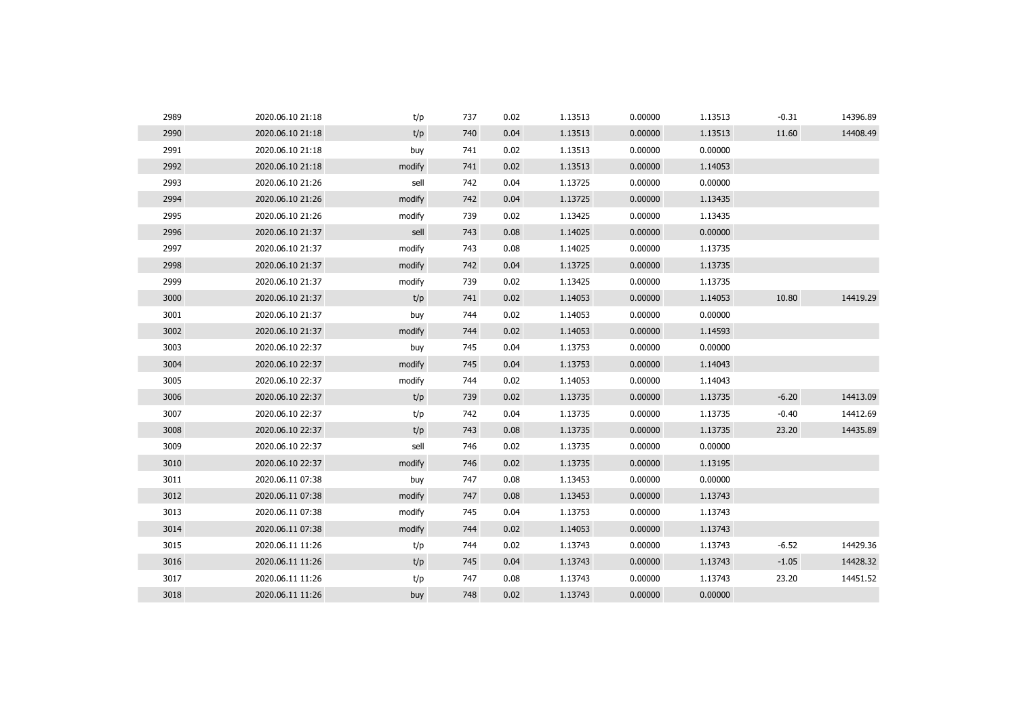| 2989 | 2020.06.10 21:18 | t/p    | 737 | 0.02 | 1.13513 | 0.00000 | 1.13513 | $-0.31$ | 14396.89 |
|------|------------------|--------|-----|------|---------|---------|---------|---------|----------|
| 2990 | 2020.06.10 21:18 | t/p    | 740 | 0.04 | 1.13513 | 0.00000 | 1.13513 | 11.60   | 14408.49 |
| 2991 | 2020.06.10 21:18 | buy    | 741 | 0.02 | 1.13513 | 0.00000 | 0.00000 |         |          |
| 2992 | 2020.06.10 21:18 | modify | 741 | 0.02 | 1.13513 | 0.00000 | 1.14053 |         |          |
| 2993 | 2020.06.10 21:26 | sell   | 742 | 0.04 | 1.13725 | 0.00000 | 0.00000 |         |          |
| 2994 | 2020.06.10 21:26 | modify | 742 | 0.04 | 1.13725 | 0.00000 | 1.13435 |         |          |
| 2995 | 2020.06.10 21:26 | modify | 739 | 0.02 | 1.13425 | 0.00000 | 1.13435 |         |          |
| 2996 | 2020.06.10 21:37 | sell   | 743 | 0.08 | 1.14025 | 0.00000 | 0.00000 |         |          |
| 2997 | 2020.06.10 21:37 | modify | 743 | 0.08 | 1.14025 | 0.00000 | 1.13735 |         |          |
| 2998 | 2020.06.10 21:37 | modify | 742 | 0.04 | 1.13725 | 0.00000 | 1.13735 |         |          |
| 2999 | 2020.06.10 21:37 | modify | 739 | 0.02 | 1.13425 | 0.00000 | 1.13735 |         |          |
| 3000 | 2020.06.10 21:37 | t/p    | 741 | 0.02 | 1.14053 | 0.00000 | 1.14053 | 10.80   | 14419.29 |
| 3001 | 2020.06.10 21:37 | buy    | 744 | 0.02 | 1.14053 | 0.00000 | 0.00000 |         |          |
| 3002 | 2020.06.10 21:37 | modify | 744 | 0.02 | 1.14053 | 0.00000 | 1.14593 |         |          |
| 3003 | 2020.06.10 22:37 | buy    | 745 | 0.04 | 1.13753 | 0.00000 | 0.00000 |         |          |
| 3004 | 2020.06.10 22:37 | modify | 745 | 0.04 | 1.13753 | 0.00000 | 1.14043 |         |          |
| 3005 | 2020.06.10 22:37 | modify | 744 | 0.02 | 1.14053 | 0.00000 | 1.14043 |         |          |
| 3006 | 2020.06.10 22:37 | t/p    | 739 | 0.02 | 1.13735 | 0.00000 | 1.13735 | $-6.20$ | 14413.09 |
| 3007 | 2020.06.10 22:37 | t/p    | 742 | 0.04 | 1.13735 | 0.00000 | 1.13735 | $-0.40$ | 14412.69 |
| 3008 | 2020.06.10 22:37 | t/p    | 743 | 0.08 | 1.13735 | 0.00000 | 1.13735 | 23.20   | 14435.89 |
| 3009 | 2020.06.10 22:37 | sell   | 746 | 0.02 | 1.13735 | 0.00000 | 0.00000 |         |          |
| 3010 | 2020.06.10 22:37 | modify | 746 | 0.02 | 1.13735 | 0.00000 | 1.13195 |         |          |
| 3011 | 2020.06.11 07:38 | buy    | 747 | 0.08 | 1.13453 | 0.00000 | 0.00000 |         |          |
| 3012 | 2020.06.11 07:38 | modify | 747 | 0.08 | 1.13453 | 0.00000 | 1.13743 |         |          |
| 3013 | 2020.06.11 07:38 | modify | 745 | 0.04 | 1.13753 | 0.00000 | 1.13743 |         |          |
| 3014 | 2020.06.11 07:38 | modify | 744 | 0.02 | 1.14053 | 0.00000 | 1.13743 |         |          |
| 3015 | 2020.06.11 11:26 | t/p    | 744 | 0.02 | 1.13743 | 0.00000 | 1.13743 | $-6.52$ | 14429.36 |
| 3016 | 2020.06.11 11:26 | t/p    | 745 | 0.04 | 1.13743 | 0.00000 | 1.13743 | $-1.05$ | 14428.32 |
| 3017 | 2020.06.11 11:26 | t/p    | 747 | 0.08 | 1.13743 | 0.00000 | 1.13743 | 23.20   | 14451.52 |
| 3018 | 2020.06.11 11:26 | buy    | 748 | 0.02 | 1.13743 | 0.00000 | 0.00000 |         |          |
|      |                  |        |     |      |         |         |         |         |          |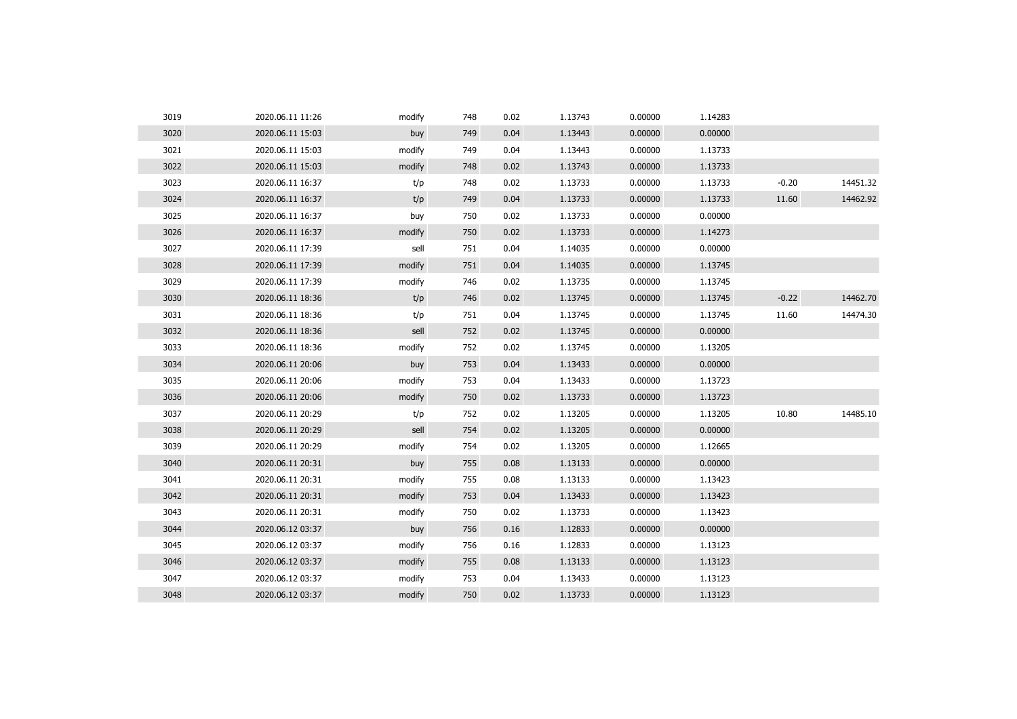| 3019 | 2020.06.11 11:26 | modify | 748 | 0.02 | 1.13743 | 0.00000 | 1.14283 |         |          |
|------|------------------|--------|-----|------|---------|---------|---------|---------|----------|
| 3020 | 2020.06.11 15:03 | buy    | 749 | 0.04 | 1.13443 | 0.00000 | 0.00000 |         |          |
| 3021 | 2020.06.11 15:03 | modify | 749 | 0.04 | 1.13443 | 0.00000 | 1.13733 |         |          |
| 3022 | 2020.06.11 15:03 | modify | 748 | 0.02 | 1.13743 | 0.00000 | 1.13733 |         |          |
| 3023 | 2020.06.11 16:37 | t/p    | 748 | 0.02 | 1.13733 | 0.00000 | 1.13733 | $-0.20$ | 14451.32 |
| 3024 | 2020.06.11 16:37 | t/p    | 749 | 0.04 | 1.13733 | 0.00000 | 1.13733 | 11.60   | 14462.92 |
| 3025 | 2020.06.11 16:37 | buy    | 750 | 0.02 | 1.13733 | 0.00000 | 0.00000 |         |          |
| 3026 | 2020.06.11 16:37 | modify | 750 | 0.02 | 1.13733 | 0.00000 | 1.14273 |         |          |
| 3027 | 2020.06.11 17:39 | sell   | 751 | 0.04 | 1.14035 | 0.00000 | 0.00000 |         |          |
| 3028 | 2020.06.11 17:39 | modify | 751 | 0.04 | 1.14035 | 0.00000 | 1.13745 |         |          |
| 3029 | 2020.06.11 17:39 | modify | 746 | 0.02 | 1.13735 | 0.00000 | 1.13745 |         |          |
| 3030 | 2020.06.11 18:36 | t/p    | 746 | 0.02 | 1.13745 | 0.00000 | 1.13745 | $-0.22$ | 14462.70 |
| 3031 | 2020.06.11 18:36 | t/p    | 751 | 0.04 | 1.13745 | 0.00000 | 1.13745 | 11.60   | 14474.30 |
| 3032 | 2020.06.11 18:36 | sell   | 752 | 0.02 | 1.13745 | 0.00000 | 0.00000 |         |          |
| 3033 | 2020.06.11 18:36 | modify | 752 | 0.02 | 1.13745 | 0.00000 | 1.13205 |         |          |
| 3034 | 2020.06.11 20:06 | buy    | 753 | 0.04 | 1.13433 | 0.00000 | 0.00000 |         |          |
| 3035 | 2020.06.11 20:06 | modify | 753 | 0.04 | 1.13433 | 0.00000 | 1.13723 |         |          |
| 3036 | 2020.06.11 20:06 | modify | 750 | 0.02 | 1.13733 | 0.00000 | 1.13723 |         |          |
| 3037 | 2020.06.11 20:29 | t/p    | 752 | 0.02 | 1.13205 | 0.00000 | 1.13205 | 10.80   | 14485.10 |
| 3038 | 2020.06.11 20:29 | sell   | 754 | 0.02 | 1.13205 | 0.00000 | 0.00000 |         |          |
| 3039 | 2020.06.11 20:29 | modify | 754 | 0.02 | 1.13205 | 0.00000 | 1.12665 |         |          |
| 3040 | 2020.06.11 20:31 | buy    | 755 | 0.08 | 1.13133 | 0.00000 | 0.00000 |         |          |
| 3041 | 2020.06.11 20:31 | modify | 755 | 0.08 | 1.13133 | 0.00000 | 1.13423 |         |          |
| 3042 | 2020.06.11 20:31 | modify | 753 | 0.04 | 1.13433 | 0.00000 | 1.13423 |         |          |
| 3043 | 2020.06.11 20:31 | modify | 750 | 0.02 | 1.13733 | 0.00000 | 1.13423 |         |          |
| 3044 | 2020.06.12 03:37 | buy    | 756 | 0.16 | 1.12833 | 0.00000 | 0.00000 |         |          |
| 3045 | 2020.06.12 03:37 | modify | 756 | 0.16 | 1.12833 | 0.00000 | 1.13123 |         |          |
| 3046 | 2020.06.12 03:37 | modify | 755 | 0.08 | 1.13133 | 0.00000 | 1.13123 |         |          |
| 3047 | 2020.06.12 03:37 | modify | 753 | 0.04 | 1.13433 | 0.00000 | 1.13123 |         |          |
| 3048 | 2020.06.12 03:37 | modify | 750 | 0.02 | 1.13733 | 0.00000 | 1.13123 |         |          |
|      |                  |        |     |      |         |         |         |         |          |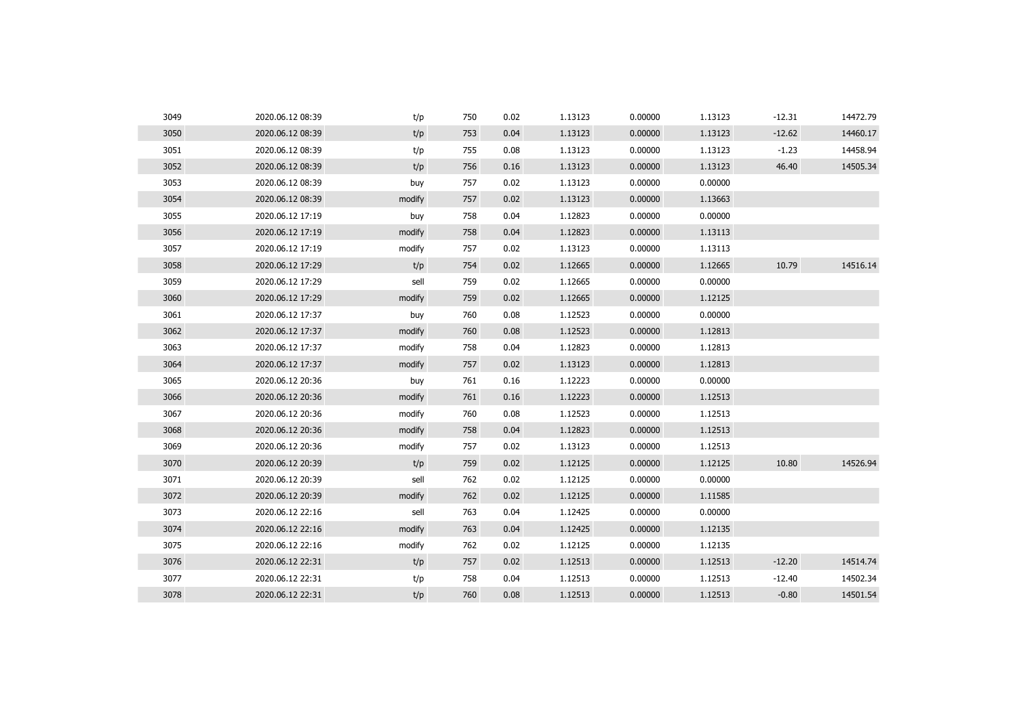| 3049 | 2020.06.12 08:39 | t/p    | 750 | 0.02 | 1.13123 | 0.00000 | 1.13123 | $-12.31$ | 14472.79 |
|------|------------------|--------|-----|------|---------|---------|---------|----------|----------|
| 3050 | 2020.06.12 08:39 | t/p    | 753 | 0.04 | 1.13123 | 0.00000 | 1.13123 | $-12.62$ | 14460.17 |
| 3051 | 2020.06.12 08:39 | t/p    | 755 | 0.08 | 1.13123 | 0.00000 | 1.13123 | $-1.23$  | 14458.94 |
| 3052 | 2020.06.12 08:39 | t/p    | 756 | 0.16 | 1.13123 | 0.00000 | 1.13123 | 46.40    | 14505.34 |
| 3053 | 2020.06.12 08:39 | buy    | 757 | 0.02 | 1.13123 | 0.00000 | 0.00000 |          |          |
| 3054 | 2020.06.12 08:39 | modify | 757 | 0.02 | 1.13123 | 0.00000 | 1.13663 |          |          |
| 3055 | 2020.06.12 17:19 | buy    | 758 | 0.04 | 1.12823 | 0.00000 | 0.00000 |          |          |
| 3056 | 2020.06.12 17:19 | modify | 758 | 0.04 | 1.12823 | 0.00000 | 1.13113 |          |          |
| 3057 | 2020.06.12 17:19 | modify | 757 | 0.02 | 1.13123 | 0.00000 | 1.13113 |          |          |
| 3058 | 2020.06.12 17:29 | t/p    | 754 | 0.02 | 1.12665 | 0.00000 | 1.12665 | 10.79    | 14516.14 |
| 3059 | 2020.06.12 17:29 | sell   | 759 | 0.02 | 1.12665 | 0.00000 | 0.00000 |          |          |
| 3060 | 2020.06.12 17:29 | modify | 759 | 0.02 | 1.12665 | 0.00000 | 1.12125 |          |          |
| 3061 | 2020.06.12 17:37 | buy    | 760 | 0.08 | 1.12523 | 0.00000 | 0.00000 |          |          |
| 3062 | 2020.06.12 17:37 | modify | 760 | 0.08 | 1.12523 | 0.00000 | 1.12813 |          |          |
| 3063 | 2020.06.12 17:37 | modify | 758 | 0.04 | 1.12823 | 0.00000 | 1.12813 |          |          |
| 3064 | 2020.06.12 17:37 | modify | 757 | 0.02 | 1.13123 | 0.00000 | 1.12813 |          |          |
| 3065 | 2020.06.12 20:36 | buy    | 761 | 0.16 | 1.12223 | 0.00000 | 0.00000 |          |          |
| 3066 | 2020.06.12 20:36 | modify | 761 | 0.16 | 1.12223 | 0.00000 | 1.12513 |          |          |
| 3067 | 2020.06.12 20:36 | modify | 760 | 0.08 | 1.12523 | 0.00000 | 1.12513 |          |          |
| 3068 | 2020.06.12 20:36 | modify | 758 | 0.04 | 1.12823 | 0.00000 | 1.12513 |          |          |
| 3069 | 2020.06.12 20:36 | modify | 757 | 0.02 | 1.13123 | 0.00000 | 1.12513 |          |          |
| 3070 | 2020.06.12 20:39 | t/p    | 759 | 0.02 | 1.12125 | 0.00000 | 1.12125 | 10.80    | 14526.94 |
| 3071 | 2020.06.12 20:39 | sell   | 762 | 0.02 | 1.12125 | 0.00000 | 0.00000 |          |          |
| 3072 | 2020.06.12 20:39 | modify | 762 | 0.02 | 1.12125 | 0.00000 | 1.11585 |          |          |
| 3073 | 2020.06.12 22:16 | sell   | 763 | 0.04 | 1.12425 | 0.00000 | 0.00000 |          |          |
| 3074 | 2020.06.12 22:16 | modify | 763 | 0.04 | 1.12425 | 0.00000 | 1.12135 |          |          |
| 3075 | 2020.06.12 22:16 | modify | 762 | 0.02 | 1.12125 | 0.00000 | 1.12135 |          |          |
| 3076 | 2020.06.12 22:31 | t/p    | 757 | 0.02 | 1.12513 | 0.00000 | 1.12513 | $-12.20$ | 14514.74 |
| 3077 | 2020.06.12 22:31 | t/p    | 758 | 0.04 | 1.12513 | 0.00000 | 1.12513 | $-12.40$ | 14502.34 |
| 3078 | 2020.06.12 22:31 | t/p    | 760 | 0.08 | 1.12513 | 0.00000 | 1.12513 | $-0.80$  | 14501.54 |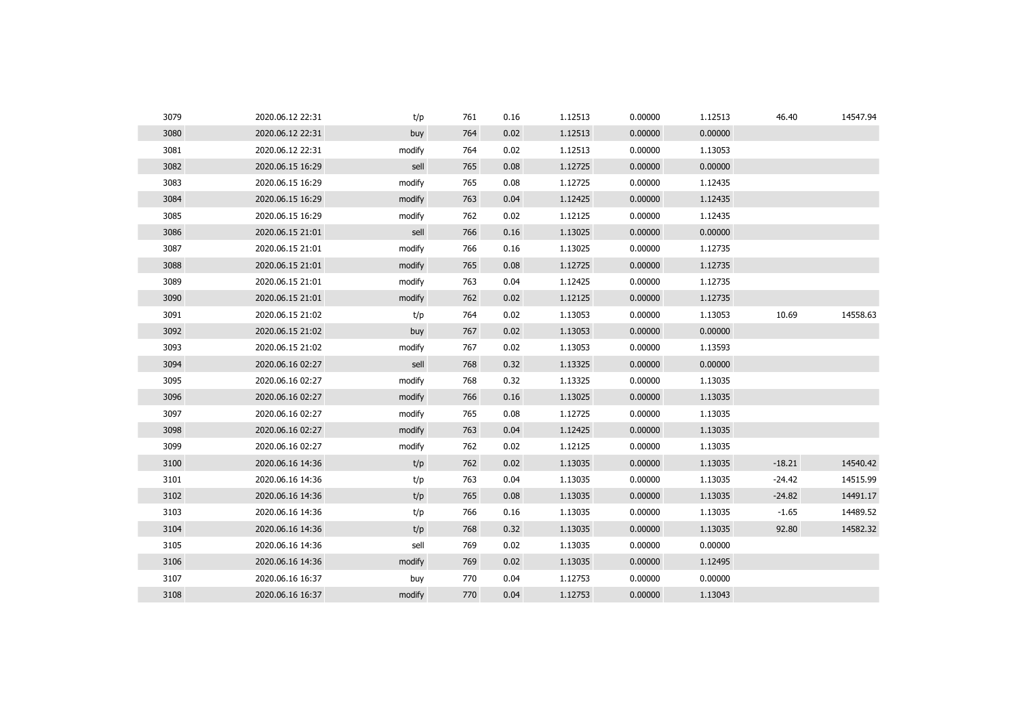| 3079 | 2020.06.12 22:31 | t/p    | 761 | 0.16 | 1.12513 | 0.00000 | 1.12513 | 46.40    | 14547.94 |
|------|------------------|--------|-----|------|---------|---------|---------|----------|----------|
| 3080 | 2020.06.12 22:31 | buy    | 764 | 0.02 | 1.12513 | 0.00000 | 0.00000 |          |          |
| 3081 | 2020.06.12 22:31 | modify | 764 | 0.02 | 1.12513 | 0.00000 | 1.13053 |          |          |
| 3082 | 2020.06.15 16:29 | sell   | 765 | 0.08 | 1.12725 | 0.00000 | 0.00000 |          |          |
| 3083 | 2020.06.15 16:29 | modify | 765 | 0.08 | 1.12725 | 0.00000 | 1.12435 |          |          |
| 3084 | 2020.06.15 16:29 | modify | 763 | 0.04 | 1.12425 | 0.00000 | 1.12435 |          |          |
| 3085 | 2020.06.15 16:29 | modify | 762 | 0.02 | 1.12125 | 0.00000 | 1.12435 |          |          |
| 3086 | 2020.06.15 21:01 | sell   | 766 | 0.16 | 1.13025 | 0.00000 | 0.00000 |          |          |
| 3087 | 2020.06.15 21:01 | modify | 766 | 0.16 | 1.13025 | 0.00000 | 1.12735 |          |          |
| 3088 | 2020.06.15 21:01 | modify | 765 | 0.08 | 1.12725 | 0.00000 | 1.12735 |          |          |
| 3089 | 2020.06.15 21:01 | modify | 763 | 0.04 | 1.12425 | 0.00000 | 1.12735 |          |          |
| 3090 | 2020.06.15 21:01 | modify | 762 | 0.02 | 1.12125 | 0.00000 | 1.12735 |          |          |
| 3091 | 2020.06.15 21:02 | t/p    | 764 | 0.02 | 1.13053 | 0.00000 | 1.13053 | 10.69    | 14558.63 |
| 3092 | 2020.06.15 21:02 | buy    | 767 | 0.02 | 1.13053 | 0.00000 | 0.00000 |          |          |
| 3093 | 2020.06.15 21:02 | modify | 767 | 0.02 | 1.13053 | 0.00000 | 1.13593 |          |          |
| 3094 | 2020.06.16 02:27 | sell   | 768 | 0.32 | 1.13325 | 0.00000 | 0.00000 |          |          |
| 3095 | 2020.06.16 02:27 | modify | 768 | 0.32 | 1.13325 | 0.00000 | 1.13035 |          |          |
| 3096 | 2020.06.16 02:27 | modify | 766 | 0.16 | 1.13025 | 0.00000 | 1.13035 |          |          |
| 3097 | 2020.06.16 02:27 | modify | 765 | 0.08 | 1.12725 | 0.00000 | 1.13035 |          |          |
| 3098 | 2020.06.16 02:27 | modify | 763 | 0.04 | 1.12425 | 0.00000 | 1.13035 |          |          |
| 3099 | 2020.06.16 02:27 | modify | 762 | 0.02 | 1.12125 | 0.00000 | 1.13035 |          |          |
| 3100 | 2020.06.16 14:36 | t/p    | 762 | 0.02 | 1.13035 | 0.00000 | 1.13035 | $-18.21$ | 14540.42 |
| 3101 | 2020.06.16 14:36 | t/p    | 763 | 0.04 | 1.13035 | 0.00000 | 1.13035 | $-24.42$ | 14515.99 |
| 3102 | 2020.06.16 14:36 | t/p    | 765 | 0.08 | 1.13035 | 0.00000 | 1.13035 | $-24.82$ | 14491.17 |
| 3103 | 2020.06.16 14:36 | t/p    | 766 | 0.16 | 1.13035 | 0.00000 | 1.13035 | $-1.65$  | 14489.52 |
| 3104 | 2020.06.16 14:36 | t/p    | 768 | 0.32 | 1.13035 | 0.00000 | 1.13035 | 92.80    | 14582.32 |
| 3105 | 2020.06.16 14:36 | sell   | 769 | 0.02 | 1.13035 | 0.00000 | 0.00000 |          |          |
| 3106 | 2020.06.16 14:36 | modify | 769 | 0.02 | 1.13035 | 0.00000 | 1.12495 |          |          |
| 3107 | 2020.06.16 16:37 | buy    | 770 | 0.04 | 1.12753 | 0.00000 | 0.00000 |          |          |
| 3108 | 2020.06.16 16:37 | modify | 770 | 0.04 | 1.12753 | 0.00000 | 1.13043 |          |          |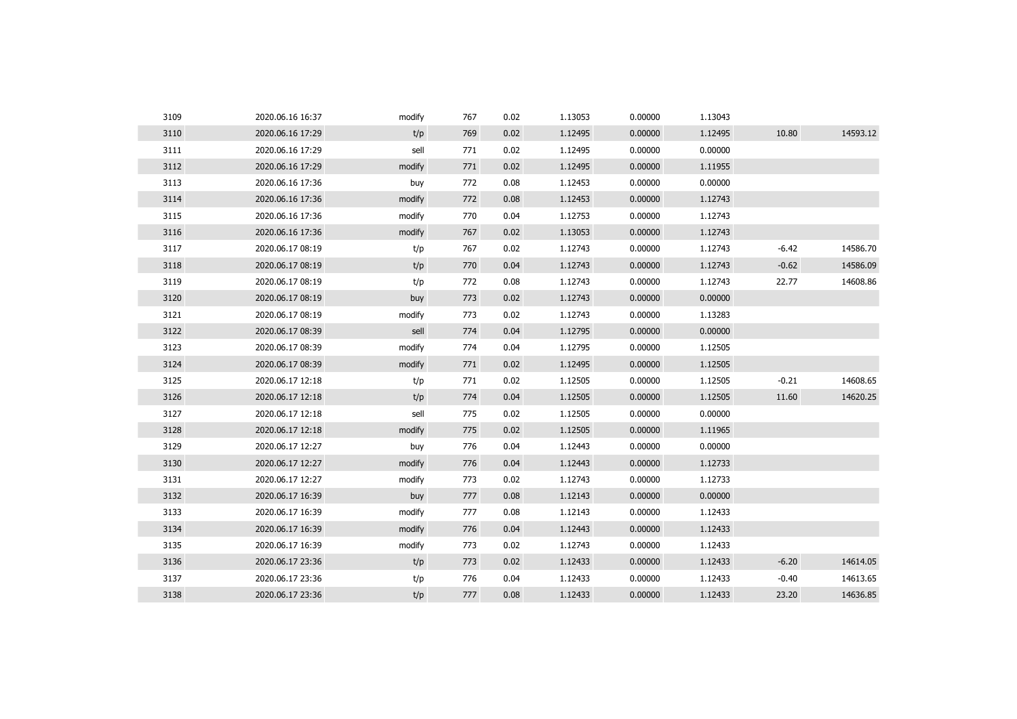| 3109 | 2020.06.16 16:37 | modify | 767 | 0.02 | 1.13053 | 0.00000 | 1.13043 |         |          |
|------|------------------|--------|-----|------|---------|---------|---------|---------|----------|
| 3110 | 2020.06.16 17:29 | t/p    | 769 | 0.02 | 1.12495 | 0.00000 | 1.12495 | 10.80   | 14593.12 |
| 3111 | 2020.06.16 17:29 | sell   | 771 | 0.02 | 1.12495 | 0.00000 | 0.00000 |         |          |
| 3112 | 2020.06.16 17:29 | modify | 771 | 0.02 | 1.12495 | 0.00000 | 1.11955 |         |          |
| 3113 | 2020.06.16 17:36 | buy    | 772 | 0.08 | 1.12453 | 0.00000 | 0.00000 |         |          |
| 3114 | 2020.06.16 17:36 | modify | 772 | 0.08 | 1.12453 | 0.00000 | 1.12743 |         |          |
| 3115 | 2020.06.16 17:36 | modify | 770 | 0.04 | 1.12753 | 0.00000 | 1.12743 |         |          |
| 3116 | 2020.06.16 17:36 | modify | 767 | 0.02 | 1.13053 | 0.00000 | 1.12743 |         |          |
| 3117 | 2020.06.17 08:19 | t/p    | 767 | 0.02 | 1.12743 | 0.00000 | 1.12743 | $-6.42$ | 14586.70 |
| 3118 | 2020.06.17 08:19 | t/p    | 770 | 0.04 | 1.12743 | 0.00000 | 1.12743 | $-0.62$ | 14586.09 |
| 3119 | 2020.06.17 08:19 | t/p    | 772 | 0.08 | 1.12743 | 0.00000 | 1.12743 | 22.77   | 14608.86 |
| 3120 | 2020.06.17 08:19 | buy    | 773 | 0.02 | 1.12743 | 0.00000 | 0.00000 |         |          |
| 3121 | 2020.06.17 08:19 | modify | 773 | 0.02 | 1.12743 | 0.00000 | 1.13283 |         |          |
| 3122 | 2020.06.17 08:39 | sell   | 774 | 0.04 | 1.12795 | 0.00000 | 0.00000 |         |          |
| 3123 | 2020.06.17 08:39 | modify | 774 | 0.04 | 1.12795 | 0.00000 | 1.12505 |         |          |
| 3124 | 2020.06.17 08:39 | modify | 771 | 0.02 | 1.12495 | 0.00000 | 1.12505 |         |          |
| 3125 | 2020.06.17 12:18 | t/p    | 771 | 0.02 | 1.12505 | 0.00000 | 1.12505 | $-0.21$ | 14608.65 |
| 3126 | 2020.06.17 12:18 | t/p    | 774 | 0.04 | 1.12505 | 0.00000 | 1.12505 | 11.60   | 14620.25 |
| 3127 | 2020.06.17 12:18 | sell   | 775 | 0.02 | 1.12505 | 0.00000 | 0.00000 |         |          |
| 3128 | 2020.06.17 12:18 | modify | 775 | 0.02 | 1.12505 | 0.00000 | 1.11965 |         |          |
| 3129 | 2020.06.17 12:27 | buy    | 776 | 0.04 | 1.12443 | 0.00000 | 0.00000 |         |          |
| 3130 | 2020.06.17 12:27 | modify | 776 | 0.04 | 1.12443 | 0.00000 | 1.12733 |         |          |
| 3131 | 2020.06.17 12:27 | modify | 773 | 0.02 | 1.12743 | 0.00000 | 1.12733 |         |          |
| 3132 | 2020.06.17 16:39 | buy    | 777 | 0.08 | 1.12143 | 0.00000 | 0.00000 |         |          |
| 3133 | 2020.06.17 16:39 | modify | 777 | 0.08 | 1.12143 | 0.00000 | 1.12433 |         |          |
| 3134 | 2020.06.17 16:39 | modify | 776 | 0.04 | 1.12443 | 0.00000 | 1.12433 |         |          |
| 3135 | 2020.06.17 16:39 | modify | 773 | 0.02 | 1.12743 | 0.00000 | 1.12433 |         |          |
| 3136 | 2020.06.17 23:36 | t/p    | 773 | 0.02 | 1.12433 | 0.00000 | 1.12433 | $-6.20$ | 14614.05 |
| 3137 | 2020.06.17 23:36 | t/p    | 776 | 0.04 | 1.12433 | 0.00000 | 1.12433 | $-0.40$ | 14613.65 |
| 3138 | 2020.06.17 23:36 | t/p    | 777 | 0.08 | 1.12433 | 0.00000 | 1.12433 | 23.20   | 14636.85 |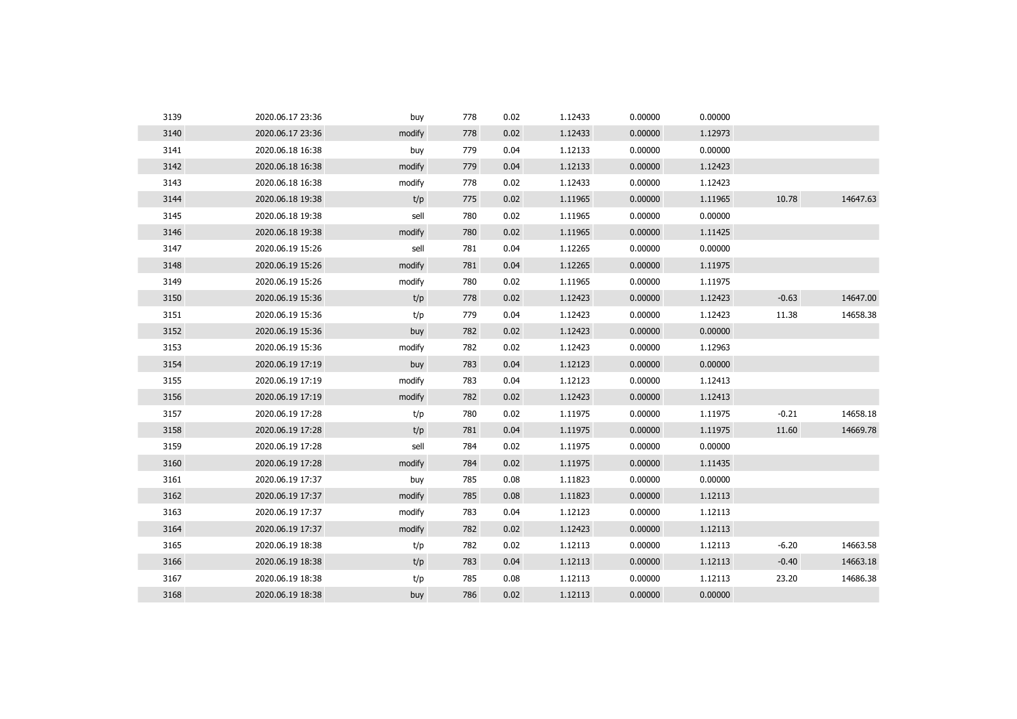| 3139 | 2020.06.17 23:36 | buy    | 778 | 0.02 | 1.12433 | 0.00000 | 0.00000 |         |          |
|------|------------------|--------|-----|------|---------|---------|---------|---------|----------|
| 3140 | 2020.06.17 23:36 | modify | 778 | 0.02 | 1.12433 | 0.00000 | 1.12973 |         |          |
| 3141 | 2020.06.18 16:38 | buy    | 779 | 0.04 | 1.12133 | 0.00000 | 0.00000 |         |          |
| 3142 | 2020.06.18 16:38 | modify | 779 | 0.04 | 1.12133 | 0.00000 | 1.12423 |         |          |
| 3143 | 2020.06.18 16:38 | modify | 778 | 0.02 | 1.12433 | 0.00000 | 1.12423 |         |          |
| 3144 | 2020.06.18 19:38 | t/p    | 775 | 0.02 | 1.11965 | 0.00000 | 1.11965 | 10.78   | 14647.63 |
| 3145 | 2020.06.18 19:38 | sell   | 780 | 0.02 | 1.11965 | 0.00000 | 0.00000 |         |          |
| 3146 | 2020.06.18 19:38 | modify | 780 | 0.02 | 1.11965 | 0.00000 | 1.11425 |         |          |
| 3147 | 2020.06.19 15:26 | sell   | 781 | 0.04 | 1.12265 | 0.00000 | 0.00000 |         |          |
| 3148 | 2020.06.19 15:26 | modify | 781 | 0.04 | 1.12265 | 0.00000 | 1.11975 |         |          |
| 3149 | 2020.06.19 15:26 | modify | 780 | 0.02 | 1.11965 | 0.00000 | 1.11975 |         |          |
| 3150 | 2020.06.19 15:36 | t/p    | 778 | 0.02 | 1.12423 | 0.00000 | 1.12423 | $-0.63$ | 14647.00 |
| 3151 | 2020.06.19 15:36 | t/p    | 779 | 0.04 | 1.12423 | 0.00000 | 1.12423 | 11.38   | 14658.38 |
| 3152 | 2020.06.19 15:36 | buy    | 782 | 0.02 | 1.12423 | 0.00000 | 0.00000 |         |          |
| 3153 | 2020.06.19 15:36 | modify | 782 | 0.02 | 1.12423 | 0.00000 | 1.12963 |         |          |
| 3154 | 2020.06.19 17:19 | buy    | 783 | 0.04 | 1.12123 | 0.00000 | 0.00000 |         |          |
| 3155 | 2020.06.19 17:19 | modify | 783 | 0.04 | 1.12123 | 0.00000 | 1.12413 |         |          |
| 3156 | 2020.06.19 17:19 | modify | 782 | 0.02 | 1.12423 | 0.00000 | 1.12413 |         |          |
| 3157 | 2020.06.19 17:28 | t/p    | 780 | 0.02 | 1.11975 | 0.00000 | 1.11975 | $-0.21$ | 14658.18 |
| 3158 | 2020.06.19 17:28 | t/p    | 781 | 0.04 | 1.11975 | 0.00000 | 1.11975 | 11.60   | 14669.78 |
| 3159 | 2020.06.19 17:28 | sell   | 784 | 0.02 | 1.11975 | 0.00000 | 0.00000 |         |          |
| 3160 | 2020.06.19 17:28 | modify | 784 | 0.02 | 1.11975 | 0.00000 | 1.11435 |         |          |
| 3161 | 2020.06.19 17:37 | buy    | 785 | 0.08 | 1.11823 | 0.00000 | 0.00000 |         |          |
| 3162 | 2020.06.19 17:37 | modify | 785 | 0.08 | 1.11823 | 0.00000 | 1.12113 |         |          |
| 3163 | 2020.06.19 17:37 | modify | 783 | 0.04 | 1.12123 | 0.00000 | 1.12113 |         |          |
| 3164 | 2020.06.19 17:37 | modify | 782 | 0.02 | 1.12423 | 0.00000 | 1.12113 |         |          |
| 3165 | 2020.06.19 18:38 | t/p    | 782 | 0.02 | 1.12113 | 0.00000 | 1.12113 | $-6.20$ | 14663.58 |
| 3166 | 2020.06.19 18:38 | t/p    | 783 | 0.04 | 1.12113 | 0.00000 | 1.12113 | $-0.40$ | 14663.18 |
| 3167 | 2020.06.19 18:38 | t/p    | 785 | 0.08 | 1.12113 | 0.00000 | 1.12113 | 23.20   | 14686.38 |
| 3168 | 2020.06.19 18:38 | buy    | 786 | 0.02 | 1.12113 | 0.00000 | 0.00000 |         |          |
|      |                  |        |     |      |         |         |         |         |          |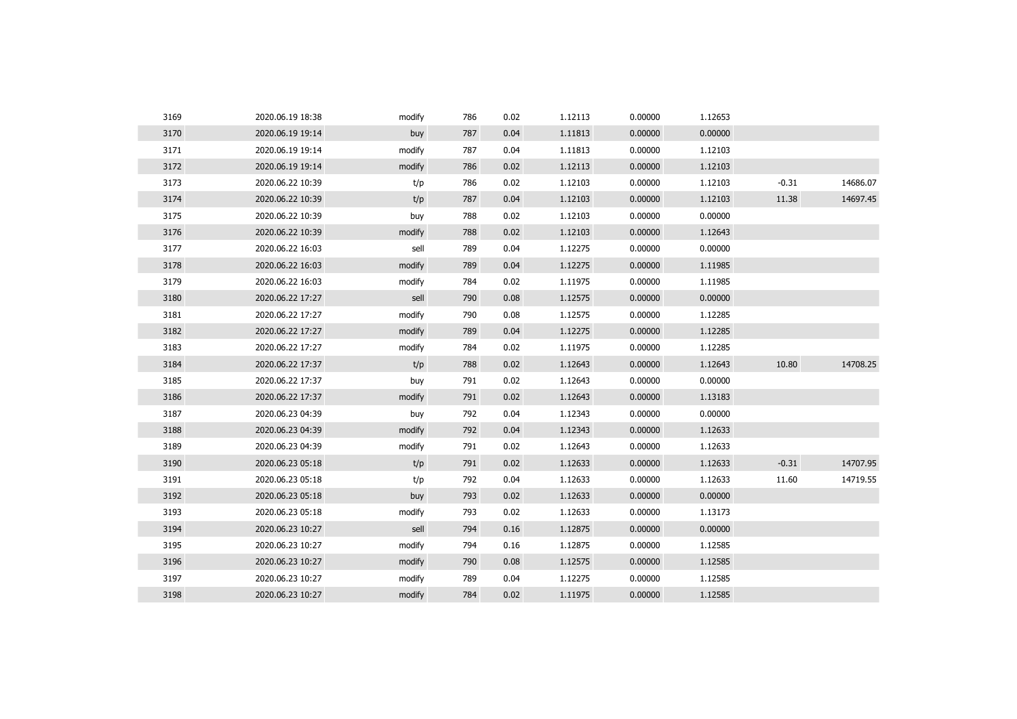| 3169 | 2020.06.19 18:38 | modify | 786 | 0.02 | 1.12113 | 0.00000 | 1.12653 |         |          |
|------|------------------|--------|-----|------|---------|---------|---------|---------|----------|
| 3170 | 2020.06.19 19:14 | buy    | 787 | 0.04 | 1.11813 | 0.00000 | 0.00000 |         |          |
| 3171 | 2020.06.19 19:14 | modify | 787 | 0.04 | 1.11813 | 0.00000 | 1.12103 |         |          |
| 3172 | 2020.06.19 19:14 | modify | 786 | 0.02 | 1.12113 | 0.00000 | 1.12103 |         |          |
| 3173 | 2020.06.22 10:39 | t/p    | 786 | 0.02 | 1.12103 | 0.00000 | 1.12103 | $-0.31$ | 14686.07 |
| 3174 | 2020.06.22 10:39 | t/p    | 787 | 0.04 | 1.12103 | 0.00000 | 1.12103 | 11.38   | 14697.45 |
| 3175 | 2020.06.22 10:39 | buy    | 788 | 0.02 | 1.12103 | 0.00000 | 0.00000 |         |          |
| 3176 | 2020.06.22 10:39 | modify | 788 | 0.02 | 1.12103 | 0.00000 | 1.12643 |         |          |
| 3177 | 2020.06.22 16:03 | sell   | 789 | 0.04 | 1.12275 | 0.00000 | 0.00000 |         |          |
| 3178 | 2020.06.22 16:03 | modify | 789 | 0.04 | 1.12275 | 0.00000 | 1.11985 |         |          |
| 3179 | 2020.06.22 16:03 | modify | 784 | 0.02 | 1.11975 | 0.00000 | 1.11985 |         |          |
| 3180 | 2020.06.22 17:27 | sell   | 790 | 0.08 | 1.12575 | 0.00000 | 0.00000 |         |          |
| 3181 | 2020.06.22 17:27 | modify | 790 | 0.08 | 1.12575 | 0.00000 | 1.12285 |         |          |
| 3182 | 2020.06.22 17:27 | modify | 789 | 0.04 | 1.12275 | 0.00000 | 1.12285 |         |          |
| 3183 | 2020.06.22 17:27 | modify | 784 | 0.02 | 1.11975 | 0.00000 | 1.12285 |         |          |
| 3184 | 2020.06.22 17:37 | t/p    | 788 | 0.02 | 1.12643 | 0.00000 | 1.12643 | 10.80   | 14708.25 |
| 3185 | 2020.06.22 17:37 | buy    | 791 | 0.02 | 1.12643 | 0.00000 | 0.00000 |         |          |
| 3186 | 2020.06.22 17:37 | modify | 791 | 0.02 | 1.12643 | 0.00000 | 1.13183 |         |          |
| 3187 | 2020.06.23 04:39 | buy    | 792 | 0.04 | 1.12343 | 0.00000 | 0.00000 |         |          |
| 3188 | 2020.06.23 04:39 | modify | 792 | 0.04 | 1.12343 | 0.00000 | 1.12633 |         |          |
| 3189 | 2020.06.23 04:39 | modify | 791 | 0.02 | 1.12643 | 0.00000 | 1.12633 |         |          |
| 3190 | 2020.06.23 05:18 | t/p    | 791 | 0.02 | 1.12633 | 0.00000 | 1.12633 | $-0.31$ | 14707.95 |
| 3191 | 2020.06.23 05:18 | t/p    | 792 | 0.04 | 1.12633 | 0.00000 | 1.12633 | 11.60   | 14719.55 |
| 3192 | 2020.06.23 05:18 | buy    | 793 | 0.02 | 1.12633 | 0.00000 | 0.00000 |         |          |
| 3193 | 2020.06.23 05:18 | modify | 793 | 0.02 | 1.12633 | 0.00000 | 1.13173 |         |          |
| 3194 | 2020.06.23 10:27 | sell   | 794 | 0.16 | 1.12875 | 0.00000 | 0.00000 |         |          |
| 3195 | 2020.06.23 10:27 | modify | 794 | 0.16 | 1.12875 | 0.00000 | 1.12585 |         |          |
| 3196 | 2020.06.23 10:27 | modify | 790 | 0.08 | 1.12575 | 0.00000 | 1.12585 |         |          |
| 3197 | 2020.06.23 10:27 | modify | 789 | 0.04 | 1.12275 | 0.00000 | 1.12585 |         |          |
| 3198 | 2020.06.23 10:27 | modify | 784 | 0.02 | 1.11975 | 0.00000 | 1.12585 |         |          |
|      |                  |        |     |      |         |         |         |         |          |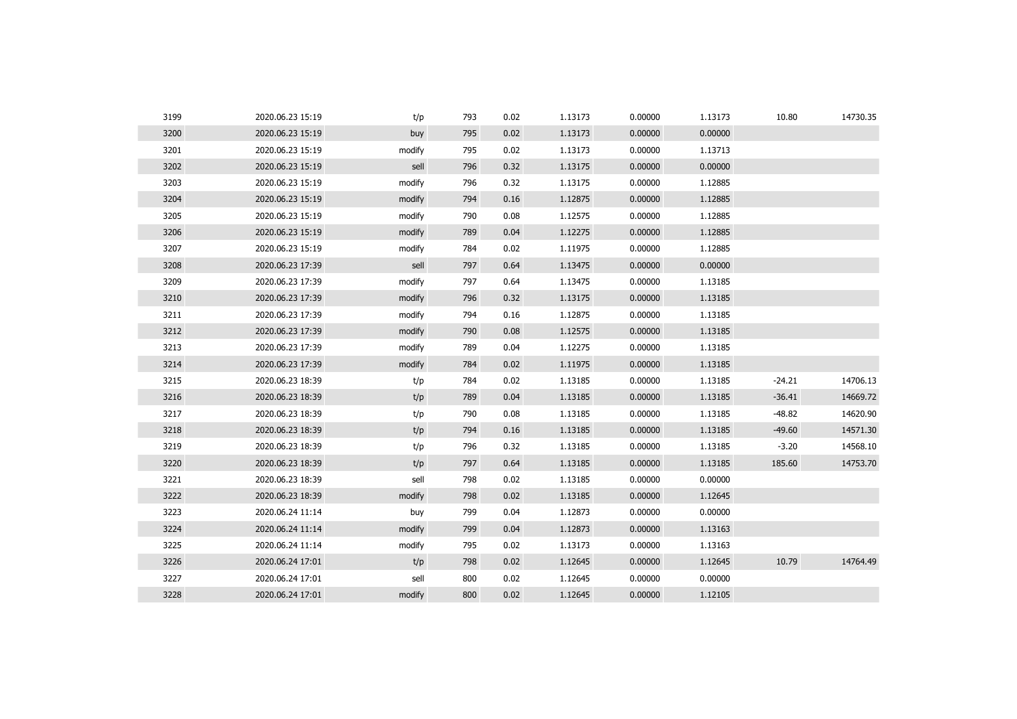| 3199 | 2020.06.23 15:19 | t/p    | 793 | 0.02 | 1.13173 | 0.00000 | 1.13173 | 10.80    | 14730.35 |
|------|------------------|--------|-----|------|---------|---------|---------|----------|----------|
| 3200 | 2020.06.23 15:19 | buy    | 795 | 0.02 | 1.13173 | 0.00000 | 0.00000 |          |          |
| 3201 | 2020.06.23 15:19 | modify | 795 | 0.02 | 1.13173 | 0.00000 | 1.13713 |          |          |
| 3202 | 2020.06.23 15:19 | sell   | 796 | 0.32 | 1.13175 | 0.00000 | 0.00000 |          |          |
| 3203 | 2020.06.23 15:19 | modify | 796 | 0.32 | 1.13175 | 0.00000 | 1.12885 |          |          |
| 3204 | 2020.06.23 15:19 | modify | 794 | 0.16 | 1.12875 | 0.00000 | 1.12885 |          |          |
| 3205 | 2020.06.23 15:19 | modify | 790 | 0.08 | 1.12575 | 0.00000 | 1.12885 |          |          |
| 3206 | 2020.06.23 15:19 | modify | 789 | 0.04 | 1.12275 | 0.00000 | 1.12885 |          |          |
| 3207 | 2020.06.23 15:19 | modify | 784 | 0.02 | 1.11975 | 0.00000 | 1.12885 |          |          |
| 3208 | 2020.06.23 17:39 | sell   | 797 | 0.64 | 1.13475 | 0.00000 | 0.00000 |          |          |
| 3209 | 2020.06.23 17:39 | modify | 797 | 0.64 | 1.13475 | 0.00000 | 1.13185 |          |          |
| 3210 | 2020.06.23 17:39 | modify | 796 | 0.32 | 1.13175 | 0.00000 | 1.13185 |          |          |
| 3211 | 2020.06.23 17:39 | modify | 794 | 0.16 | 1.12875 | 0.00000 | 1.13185 |          |          |
| 3212 | 2020.06.23 17:39 | modify | 790 | 0.08 | 1.12575 | 0.00000 | 1.13185 |          |          |
| 3213 | 2020.06.23 17:39 | modify | 789 | 0.04 | 1.12275 | 0.00000 | 1.13185 |          |          |
| 3214 | 2020.06.23 17:39 | modify | 784 | 0.02 | 1.11975 | 0.00000 | 1.13185 |          |          |
| 3215 | 2020.06.23 18:39 | t/p    | 784 | 0.02 | 1.13185 | 0.00000 | 1.13185 | $-24.21$ | 14706.13 |
| 3216 | 2020.06.23 18:39 | t/p    | 789 | 0.04 | 1.13185 | 0.00000 | 1.13185 | $-36.41$ | 14669.72 |
| 3217 | 2020.06.23 18:39 | t/p    | 790 | 0.08 | 1.13185 | 0.00000 | 1.13185 | $-48.82$ | 14620.90 |
| 3218 | 2020.06.23 18:39 | t/p    | 794 | 0.16 | 1.13185 | 0.00000 | 1.13185 | $-49.60$ | 14571.30 |
| 3219 | 2020.06.23 18:39 | t/p    | 796 | 0.32 | 1.13185 | 0.00000 | 1.13185 | $-3.20$  | 14568.10 |
| 3220 | 2020.06.23 18:39 | t/p    | 797 | 0.64 | 1.13185 | 0.00000 | 1.13185 | 185.60   | 14753.70 |
| 3221 | 2020.06.23 18:39 | sell   | 798 | 0.02 | 1.13185 | 0.00000 | 0.00000 |          |          |
| 3222 | 2020.06.23 18:39 | modify | 798 | 0.02 | 1.13185 | 0.00000 | 1.12645 |          |          |
| 3223 | 2020.06.24 11:14 | buy    | 799 | 0.04 | 1.12873 | 0.00000 | 0.00000 |          |          |
| 3224 | 2020.06.24 11:14 | modify | 799 | 0.04 | 1.12873 | 0.00000 | 1.13163 |          |          |
| 3225 | 2020.06.24 11:14 | modify | 795 | 0.02 | 1.13173 | 0.00000 | 1.13163 |          |          |
| 3226 | 2020.06.24 17:01 | t/p    | 798 | 0.02 | 1.12645 | 0.00000 | 1.12645 | 10.79    | 14764.49 |
| 3227 | 2020.06.24 17:01 | sell   | 800 | 0.02 | 1.12645 | 0.00000 | 0.00000 |          |          |
| 3228 | 2020.06.24 17:01 | modify | 800 | 0.02 | 1.12645 | 0.00000 | 1.12105 |          |          |
|      |                  |        |     |      |         |         |         |          |          |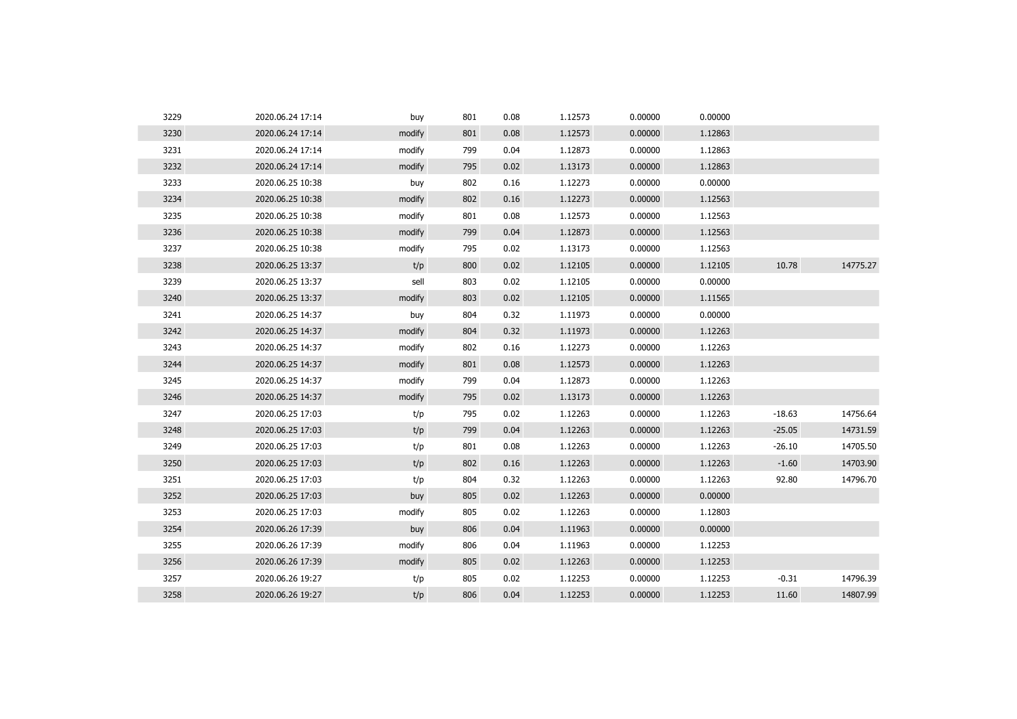| 3229 | 2020.06.24 17:14 | buy    | 801 | 0.08 | 1.12573 | 0.00000 | 0.00000 |          |          |
|------|------------------|--------|-----|------|---------|---------|---------|----------|----------|
| 3230 | 2020.06.24 17:14 | modify | 801 | 0.08 | 1.12573 | 0.00000 | 1.12863 |          |          |
| 3231 | 2020.06.24 17:14 | modify | 799 | 0.04 | 1.12873 | 0.00000 | 1.12863 |          |          |
| 3232 | 2020.06.24 17:14 | modify | 795 | 0.02 | 1.13173 | 0.00000 | 1.12863 |          |          |
| 3233 | 2020.06.25 10:38 | buy    | 802 | 0.16 | 1.12273 | 0.00000 | 0.00000 |          |          |
| 3234 | 2020.06.25 10:38 | modify | 802 | 0.16 | 1.12273 | 0.00000 | 1.12563 |          |          |
| 3235 | 2020.06.25 10:38 | modify | 801 | 0.08 | 1.12573 | 0.00000 | 1.12563 |          |          |
| 3236 | 2020.06.25 10:38 | modify | 799 | 0.04 | 1.12873 | 0.00000 | 1.12563 |          |          |
| 3237 | 2020.06.25 10:38 | modify | 795 | 0.02 | 1.13173 | 0.00000 | 1.12563 |          |          |
| 3238 | 2020.06.25 13:37 | t/p    | 800 | 0.02 | 1.12105 | 0.00000 | 1.12105 | 10.78    | 14775.27 |
| 3239 | 2020.06.25 13:37 | sell   | 803 | 0.02 | 1.12105 | 0.00000 | 0.00000 |          |          |
| 3240 | 2020.06.25 13:37 | modify | 803 | 0.02 | 1.12105 | 0.00000 | 1.11565 |          |          |
| 3241 | 2020.06.25 14:37 | buy    | 804 | 0.32 | 1.11973 | 0.00000 | 0.00000 |          |          |
| 3242 | 2020.06.25 14:37 | modify | 804 | 0.32 | 1.11973 | 0.00000 | 1.12263 |          |          |
| 3243 | 2020.06.25 14:37 | modify | 802 | 0.16 | 1.12273 | 0.00000 | 1.12263 |          |          |
| 3244 | 2020.06.25 14:37 | modify | 801 | 0.08 | 1.12573 | 0.00000 | 1.12263 |          |          |
| 3245 | 2020.06.25 14:37 | modify | 799 | 0.04 | 1.12873 | 0.00000 | 1.12263 |          |          |
| 3246 | 2020.06.25 14:37 | modify | 795 | 0.02 | 1.13173 | 0.00000 | 1.12263 |          |          |
| 3247 | 2020.06.25 17:03 | t/p    | 795 | 0.02 | 1.12263 | 0.00000 | 1.12263 | $-18.63$ | 14756.64 |
| 3248 | 2020.06.25 17:03 | t/p    | 799 | 0.04 | 1.12263 | 0.00000 | 1.12263 | $-25.05$ | 14731.59 |
| 3249 | 2020.06.25 17:03 | t/p    | 801 | 0.08 | 1.12263 | 0.00000 | 1.12263 | $-26.10$ | 14705.50 |
| 3250 | 2020.06.25 17:03 | t/p    | 802 | 0.16 | 1.12263 | 0.00000 | 1.12263 | $-1.60$  | 14703.90 |
| 3251 | 2020.06.25 17:03 | t/p    | 804 | 0.32 | 1.12263 | 0.00000 | 1.12263 | 92.80    | 14796.70 |
| 3252 | 2020.06.25 17:03 | buy    | 805 | 0.02 | 1.12263 | 0.00000 | 0.00000 |          |          |
| 3253 | 2020.06.25 17:03 | modify | 805 | 0.02 | 1.12263 | 0.00000 | 1.12803 |          |          |
| 3254 | 2020.06.26 17:39 | buy    | 806 | 0.04 | 1.11963 | 0.00000 | 0.00000 |          |          |
| 3255 | 2020.06.26 17:39 | modify | 806 | 0.04 | 1.11963 | 0.00000 | 1.12253 |          |          |
| 3256 | 2020.06.26 17:39 | modify | 805 | 0.02 | 1.12263 | 0.00000 | 1.12253 |          |          |
| 3257 | 2020.06.26 19:27 | t/p    | 805 | 0.02 | 1.12253 | 0.00000 | 1.12253 | $-0.31$  | 14796.39 |
| 3258 | 2020.06.26 19:27 | t/p    | 806 | 0.04 | 1.12253 | 0.00000 | 1.12253 | 11.60    | 14807.99 |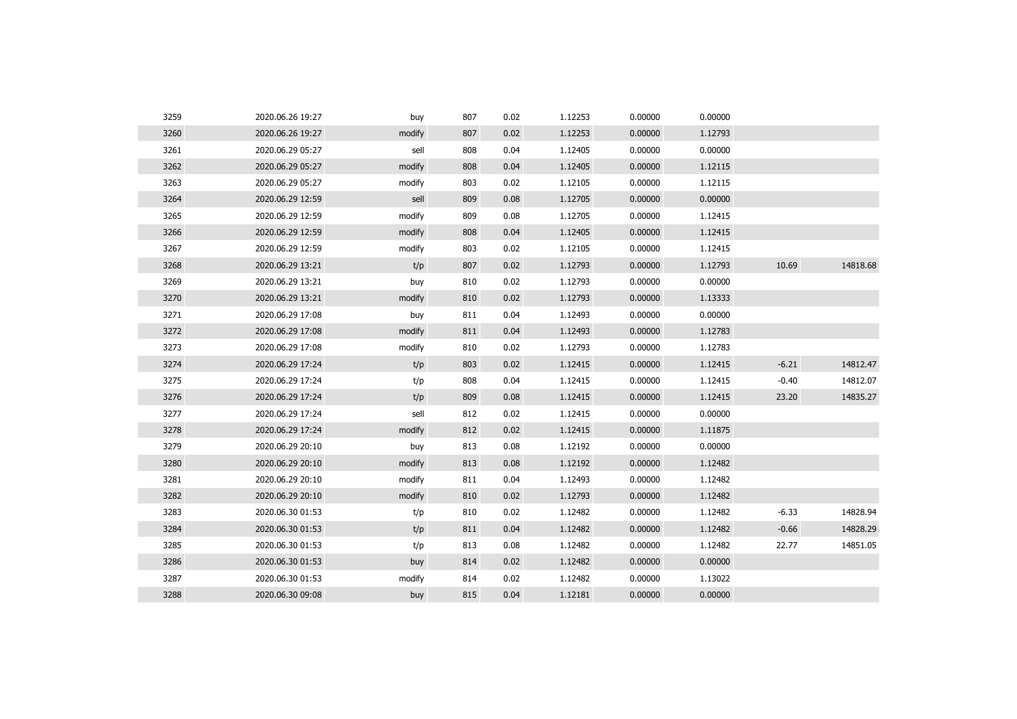| 3259 | 2020.06.26 19:27 | buy    | 807 | 0.02 | 1.12253 | 0.00000 | 0.00000 |         |          |
|------|------------------|--------|-----|------|---------|---------|---------|---------|----------|
| 3260 | 2020.06.26 19:27 | modify | 807 | 0.02 | 1.12253 | 0.00000 | 1.12793 |         |          |
| 3261 | 2020.06.29 05:27 | sell   | 808 | 0.04 | 1.12405 | 0.00000 | 0.00000 |         |          |
| 3262 | 2020.06.29 05:27 | modify | 808 | 0.04 | 1.12405 | 0.00000 | 1.12115 |         |          |
| 3263 | 2020.06.29 05:27 | modify | 803 | 0.02 | 1.12105 | 0.00000 | 1.12115 |         |          |
| 3264 | 2020.06.29 12:59 | sell   | 809 | 0.08 | 1.12705 | 0.00000 | 0.00000 |         |          |
| 3265 | 2020.06.29 12:59 | modify | 809 | 0.08 | 1.12705 | 0.00000 | 1.12415 |         |          |
| 3266 | 2020.06.29 12:59 | modify | 808 | 0.04 | 1.12405 | 0.00000 | 1.12415 |         |          |
| 3267 | 2020.06.29 12:59 | modify | 803 | 0.02 | 1.12105 | 0.00000 | 1.12415 |         |          |
| 3268 | 2020.06.29 13:21 | t/p    | 807 | 0.02 | 1.12793 | 0.00000 | 1.12793 | 10.69   | 14818.68 |
| 3269 | 2020.06.29 13:21 | buy    | 810 | 0.02 | 1.12793 | 0.00000 | 0.00000 |         |          |
| 3270 | 2020.06.29 13:21 | modify | 810 | 0.02 | 1.12793 | 0.00000 | 1.13333 |         |          |
| 3271 | 2020.06.29 17:08 | buy    | 811 | 0.04 | 1.12493 | 0.00000 | 0.00000 |         |          |
| 3272 | 2020.06.29 17:08 | modify | 811 | 0.04 | 1.12493 | 0.00000 | 1.12783 |         |          |
| 3273 | 2020.06.29 17:08 | modify | 810 | 0.02 | 1.12793 | 0.00000 | 1.12783 |         |          |
| 3274 | 2020.06.29 17:24 | t/p    | 803 | 0.02 | 1.12415 | 0.00000 | 1.12415 | $-6.21$ | 14812.47 |
| 3275 | 2020.06.29 17:24 | t/p    | 808 | 0.04 | 1.12415 | 0.00000 | 1.12415 | $-0.40$ | 14812.07 |
| 3276 | 2020.06.29 17:24 | t/p    | 809 | 0.08 | 1.12415 | 0.00000 | 1.12415 | 23.20   | 14835.27 |
| 3277 | 2020.06.29 17:24 | sell   | 812 | 0.02 | 1.12415 | 0.00000 | 0.00000 |         |          |
| 3278 | 2020.06.29 17:24 | modify | 812 | 0.02 | 1.12415 | 0.00000 | 1.11875 |         |          |
| 3279 | 2020.06.29 20:10 | buy    | 813 | 0.08 | 1.12192 | 0.00000 | 0.00000 |         |          |
| 3280 | 2020.06.29 20:10 | modify | 813 | 0.08 | 1.12192 | 0.00000 | 1.12482 |         |          |
| 3281 | 2020.06.29 20:10 | modify | 811 | 0.04 | 1.12493 | 0.00000 | 1.12482 |         |          |
| 3282 | 2020.06.29 20:10 | modify | 810 | 0.02 | 1.12793 | 0.00000 | 1.12482 |         |          |
| 3283 | 2020.06.30 01:53 | t/p    | 810 | 0.02 | 1.12482 | 0.00000 | 1.12482 | $-6.33$ | 14828.94 |
| 3284 | 2020.06.30 01:53 | t/p    | 811 | 0.04 | 1.12482 | 0.00000 | 1.12482 | $-0.66$ | 14828.29 |
| 3285 | 2020.06.30 01:53 | t/p    | 813 | 0.08 | 1.12482 | 0.00000 | 1.12482 | 22.77   | 14851.05 |
| 3286 | 2020.06.30 01:53 | buy    | 814 | 0.02 | 1.12482 | 0.00000 | 0.00000 |         |          |
| 3287 | 2020.06.30 01:53 | modify | 814 | 0.02 | 1.12482 | 0.00000 | 1.13022 |         |          |
| 3288 | 2020.06.30 09:08 | buy    | 815 | 0.04 | 1.12181 | 0.00000 | 0.00000 |         |          |
|      |                  |        |     |      |         |         |         |         |          |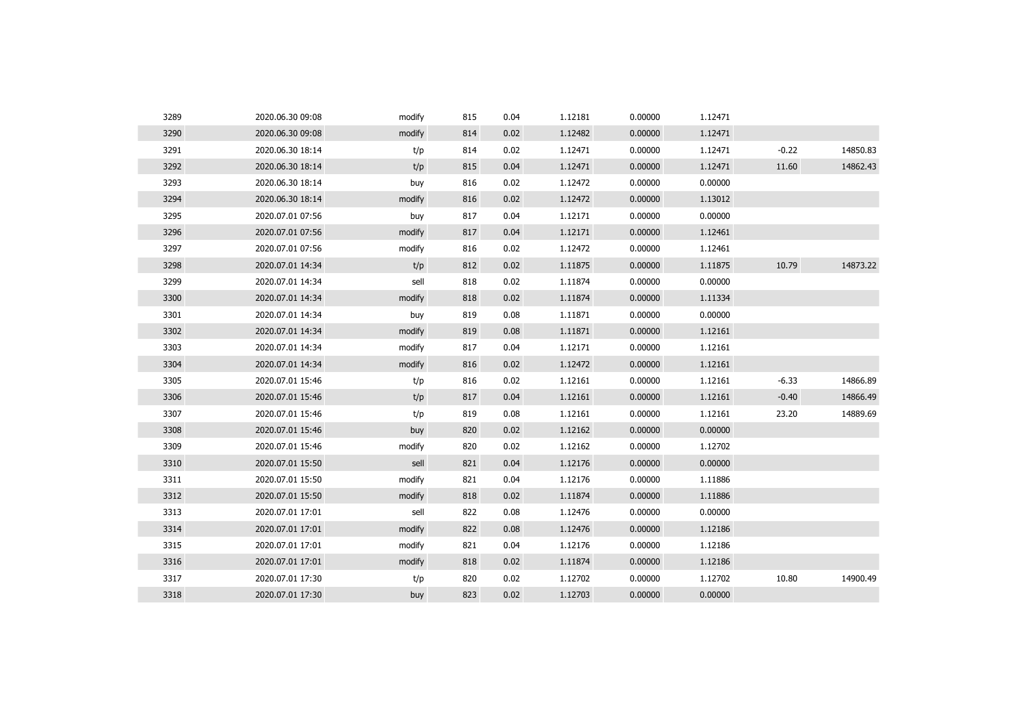| 3289 | 2020.06.30 09:08 | modify | 815 | 0.04 | 1.12181 | 0.00000 | 1.12471 |         |          |
|------|------------------|--------|-----|------|---------|---------|---------|---------|----------|
| 3290 | 2020.06.30 09:08 | modify | 814 | 0.02 | 1.12482 | 0.00000 | 1.12471 |         |          |
| 3291 | 2020.06.30 18:14 | t/p    | 814 | 0.02 | 1.12471 | 0.00000 | 1.12471 | $-0.22$ | 14850.83 |
| 3292 | 2020.06.30 18:14 | t/p    | 815 | 0.04 | 1.12471 | 0.00000 | 1.12471 | 11.60   | 14862.43 |
| 3293 | 2020.06.30 18:14 | buy    | 816 | 0.02 | 1.12472 | 0.00000 | 0.00000 |         |          |
| 3294 | 2020.06.30 18:14 | modify | 816 | 0.02 | 1.12472 | 0.00000 | 1.13012 |         |          |
| 3295 | 2020.07.01 07:56 | buy    | 817 | 0.04 | 1.12171 | 0.00000 | 0.00000 |         |          |
| 3296 | 2020.07.01 07:56 | modify | 817 | 0.04 | 1.12171 | 0.00000 | 1.12461 |         |          |
| 3297 | 2020.07.01 07:56 | modify | 816 | 0.02 | 1.12472 | 0.00000 | 1.12461 |         |          |
| 3298 | 2020.07.01 14:34 | t/p    | 812 | 0.02 | 1.11875 | 0.00000 | 1.11875 | 10.79   | 14873.22 |
| 3299 | 2020.07.01 14:34 | sell   | 818 | 0.02 | 1.11874 | 0.00000 | 0.00000 |         |          |
| 3300 | 2020.07.01 14:34 | modify | 818 | 0.02 | 1.11874 | 0.00000 | 1.11334 |         |          |
| 3301 | 2020.07.01 14:34 | buy    | 819 | 0.08 | 1.11871 | 0.00000 | 0.00000 |         |          |
| 3302 | 2020.07.01 14:34 | modify | 819 | 0.08 | 1.11871 | 0.00000 | 1.12161 |         |          |
| 3303 | 2020.07.01 14:34 | modify | 817 | 0.04 | 1.12171 | 0.00000 | 1.12161 |         |          |
| 3304 | 2020.07.01 14:34 | modify | 816 | 0.02 | 1.12472 | 0.00000 | 1.12161 |         |          |
| 3305 | 2020.07.01 15:46 | t/p    | 816 | 0.02 | 1.12161 | 0.00000 | 1.12161 | $-6.33$ | 14866.89 |
| 3306 | 2020.07.01 15:46 | t/p    | 817 | 0.04 | 1.12161 | 0.00000 | 1.12161 | $-0.40$ | 14866.49 |
| 3307 | 2020.07.01 15:46 | t/p    | 819 | 0.08 | 1.12161 | 0.00000 | 1.12161 | 23.20   | 14889.69 |
| 3308 | 2020.07.01 15:46 | buy    | 820 | 0.02 | 1.12162 | 0.00000 | 0.00000 |         |          |
| 3309 | 2020.07.01 15:46 | modify | 820 | 0.02 | 1.12162 | 0.00000 | 1.12702 |         |          |
| 3310 | 2020.07.01 15:50 | sell   | 821 | 0.04 | 1.12176 | 0.00000 | 0.00000 |         |          |
| 3311 | 2020.07.01 15:50 | modify | 821 | 0.04 | 1.12176 | 0.00000 | 1.11886 |         |          |
| 3312 | 2020.07.01 15:50 | modify | 818 | 0.02 | 1.11874 | 0.00000 | 1.11886 |         |          |
| 3313 | 2020.07.01 17:01 | sell   | 822 | 0.08 | 1.12476 | 0.00000 | 0.00000 |         |          |
| 3314 | 2020.07.01 17:01 | modify | 822 | 0.08 | 1.12476 | 0.00000 | 1.12186 |         |          |
| 3315 | 2020.07.01 17:01 | modify | 821 | 0.04 | 1.12176 | 0.00000 | 1.12186 |         |          |
| 3316 | 2020.07.01 17:01 | modify | 818 | 0.02 | 1.11874 | 0.00000 | 1.12186 |         |          |
| 3317 | 2020.07.01 17:30 | t/p    | 820 | 0.02 | 1.12702 | 0.00000 | 1.12702 | 10.80   | 14900.49 |
| 3318 | 2020.07.01 17:30 | buy    | 823 | 0.02 | 1.12703 | 0.00000 | 0.00000 |         |          |
|      |                  |        |     |      |         |         |         |         |          |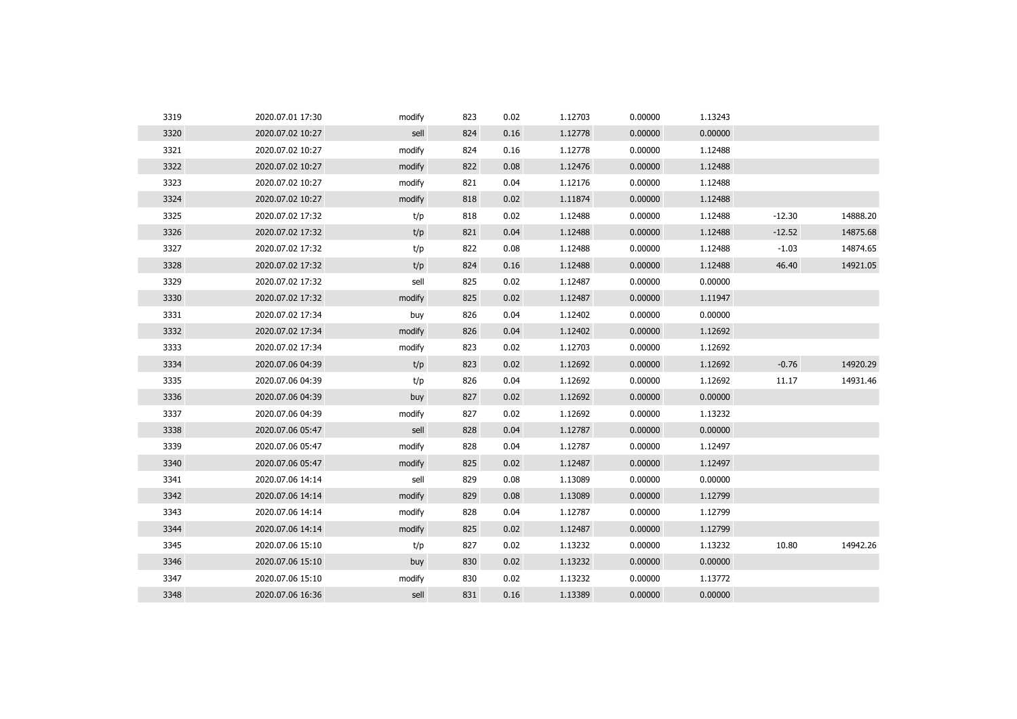| 3319 | 2020.07.01 17:30 | modify | 823 | 0.02 | 1.12703 | 0.00000 | 1.13243 |          |          |
|------|------------------|--------|-----|------|---------|---------|---------|----------|----------|
| 3320 | 2020.07.02 10:27 | sell   | 824 | 0.16 | 1.12778 | 0.00000 | 0.00000 |          |          |
| 3321 | 2020.07.02 10:27 | modify | 824 | 0.16 | 1.12778 | 0.00000 | 1.12488 |          |          |
| 3322 | 2020.07.02 10:27 | modify | 822 | 0.08 | 1.12476 | 0.00000 | 1.12488 |          |          |
| 3323 | 2020.07.02 10:27 | modify | 821 | 0.04 | 1.12176 | 0.00000 | 1.12488 |          |          |
| 3324 | 2020.07.02 10:27 | modify | 818 | 0.02 | 1.11874 | 0.00000 | 1.12488 |          |          |
| 3325 | 2020.07.02 17:32 | t/p    | 818 | 0.02 | 1.12488 | 0.00000 | 1.12488 | $-12.30$ | 14888.20 |
| 3326 | 2020.07.02 17:32 | t/p    | 821 | 0.04 | 1.12488 | 0.00000 | 1.12488 | $-12.52$ | 14875.68 |
| 3327 | 2020.07.02 17:32 | t/p    | 822 | 0.08 | 1.12488 | 0.00000 | 1.12488 | $-1.03$  | 14874.65 |
| 3328 | 2020.07.02 17:32 | t/p    | 824 | 0.16 | 1.12488 | 0.00000 | 1.12488 | 46.40    | 14921.05 |
| 3329 | 2020.07.02 17:32 | sell   | 825 | 0.02 | 1.12487 | 0.00000 | 0.00000 |          |          |
| 3330 | 2020.07.02 17:32 | modify | 825 | 0.02 | 1.12487 | 0.00000 | 1.11947 |          |          |
| 3331 | 2020.07.02 17:34 | buy    | 826 | 0.04 | 1.12402 | 0.00000 | 0.00000 |          |          |
| 3332 | 2020.07.02 17:34 | modify | 826 | 0.04 | 1.12402 | 0.00000 | 1.12692 |          |          |
| 3333 | 2020.07.02 17:34 | modify | 823 | 0.02 | 1.12703 | 0.00000 | 1.12692 |          |          |
| 3334 | 2020.07.06 04:39 | t/p    | 823 | 0.02 | 1.12692 | 0.00000 | 1.12692 | $-0.76$  | 14920.29 |
| 3335 | 2020.07.06 04:39 | t/p    | 826 | 0.04 | 1.12692 | 0.00000 | 1.12692 | 11.17    | 14931.46 |
| 3336 | 2020.07.06 04:39 | buy    | 827 | 0.02 | 1.12692 | 0.00000 | 0.00000 |          |          |
| 3337 | 2020.07.06 04:39 | modify | 827 | 0.02 | 1.12692 | 0.00000 | 1.13232 |          |          |
| 3338 | 2020.07.06 05:47 | sell   | 828 | 0.04 | 1.12787 | 0.00000 | 0.00000 |          |          |
| 3339 | 2020.07.06 05:47 | modify | 828 | 0.04 | 1.12787 | 0.00000 | 1.12497 |          |          |
| 3340 | 2020.07.06 05:47 | modify | 825 | 0.02 | 1.12487 | 0.00000 | 1.12497 |          |          |
| 3341 | 2020.07.06 14:14 | sell   | 829 | 0.08 | 1.13089 | 0.00000 | 0.00000 |          |          |
| 3342 | 2020.07.06 14:14 | modify | 829 | 0.08 | 1.13089 | 0.00000 | 1.12799 |          |          |
| 3343 | 2020.07.06 14:14 | modify | 828 | 0.04 | 1.12787 | 0.00000 | 1.12799 |          |          |
| 3344 | 2020.07.06 14:14 | modify | 825 | 0.02 | 1.12487 | 0.00000 | 1.12799 |          |          |
| 3345 | 2020.07.06 15:10 | t/p    | 827 | 0.02 | 1.13232 | 0.00000 | 1.13232 | 10.80    | 14942.26 |
| 3346 | 2020.07.06 15:10 | buy    | 830 | 0.02 | 1.13232 | 0.00000 | 0.00000 |          |          |
| 3347 | 2020.07.06 15:10 | modify | 830 | 0.02 | 1.13232 | 0.00000 | 1.13772 |          |          |
| 3348 | 2020.07.06 16:36 | sell   | 831 | 0.16 | 1.13389 | 0.00000 | 0.00000 |          |          |
|      |                  |        |     |      |         |         |         |          |          |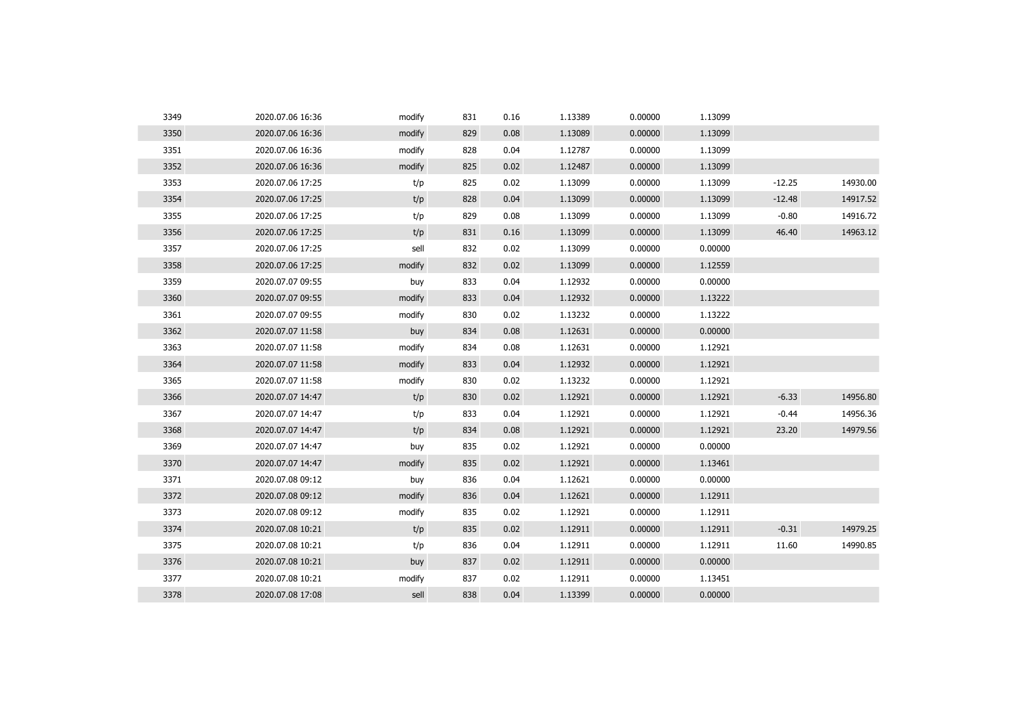| 3349 | 2020.07.06 16:36 | modify | 831 | 0.16 | 1.13389 | 0.00000 | 1.13099 |          |          |
|------|------------------|--------|-----|------|---------|---------|---------|----------|----------|
| 3350 | 2020.07.06 16:36 | modify | 829 | 0.08 | 1.13089 | 0.00000 | 1.13099 |          |          |
| 3351 | 2020.07.06 16:36 | modify | 828 | 0.04 | 1.12787 | 0.00000 | 1.13099 |          |          |
| 3352 | 2020.07.06 16:36 | modify | 825 | 0.02 | 1.12487 | 0.00000 | 1.13099 |          |          |
| 3353 | 2020.07.06 17:25 | t/p    | 825 | 0.02 | 1.13099 | 0.00000 | 1.13099 | $-12.25$ | 14930.00 |
| 3354 | 2020.07.06 17:25 | t/p    | 828 | 0.04 | 1.13099 | 0.00000 | 1.13099 | $-12.48$ | 14917.52 |
| 3355 | 2020.07.06 17:25 | t/p    | 829 | 0.08 | 1.13099 | 0.00000 | 1.13099 | $-0.80$  | 14916.72 |
| 3356 | 2020.07.06 17:25 | t/p    | 831 | 0.16 | 1.13099 | 0.00000 | 1.13099 | 46.40    | 14963.12 |
| 3357 | 2020.07.06 17:25 | sell   | 832 | 0.02 | 1.13099 | 0.00000 | 0.00000 |          |          |
| 3358 | 2020.07.06 17:25 | modify | 832 | 0.02 | 1.13099 | 0.00000 | 1.12559 |          |          |
| 3359 | 2020.07.07 09:55 | buy    | 833 | 0.04 | 1.12932 | 0.00000 | 0.00000 |          |          |
| 3360 | 2020.07.07 09:55 | modify | 833 | 0.04 | 1.12932 | 0.00000 | 1.13222 |          |          |
| 3361 | 2020.07.07 09:55 | modify | 830 | 0.02 | 1.13232 | 0.00000 | 1.13222 |          |          |
| 3362 | 2020.07.07 11:58 | buy    | 834 | 0.08 | 1.12631 | 0.00000 | 0.00000 |          |          |
| 3363 | 2020.07.07 11:58 | modify | 834 | 0.08 | 1.12631 | 0.00000 | 1.12921 |          |          |
| 3364 | 2020.07.07 11:58 | modify | 833 | 0.04 | 1.12932 | 0.00000 | 1.12921 |          |          |
| 3365 | 2020.07.07 11:58 | modify | 830 | 0.02 | 1.13232 | 0.00000 | 1.12921 |          |          |
| 3366 | 2020.07.07 14:47 | t/p    | 830 | 0.02 | 1.12921 | 0.00000 | 1.12921 | $-6.33$  | 14956.80 |
| 3367 | 2020.07.07 14:47 | t/p    | 833 | 0.04 | 1.12921 | 0.00000 | 1.12921 | $-0.44$  | 14956.36 |
| 3368 | 2020.07.07 14:47 | t/p    | 834 | 0.08 | 1.12921 | 0.00000 | 1.12921 | 23.20    | 14979.56 |
| 3369 | 2020.07.07 14:47 | buy    | 835 | 0.02 | 1.12921 | 0.00000 | 0.00000 |          |          |
| 3370 | 2020.07.07 14:47 | modify | 835 | 0.02 | 1.12921 | 0.00000 | 1.13461 |          |          |
| 3371 | 2020.07.08 09:12 | buy    | 836 | 0.04 | 1.12621 | 0.00000 | 0.00000 |          |          |
| 3372 | 2020.07.08 09:12 | modify | 836 | 0.04 | 1.12621 | 0.00000 | 1.12911 |          |          |
| 3373 | 2020.07.08 09:12 | modify | 835 | 0.02 | 1.12921 | 0.00000 | 1.12911 |          |          |
| 3374 | 2020.07.08 10:21 | t/p    | 835 | 0.02 | 1.12911 | 0.00000 | 1.12911 | $-0.31$  | 14979.25 |
| 3375 | 2020.07.08 10:21 | t/p    | 836 | 0.04 | 1.12911 | 0.00000 | 1.12911 | 11.60    | 14990.85 |
| 3376 | 2020.07.08 10:21 | buy    | 837 | 0.02 | 1.12911 | 0.00000 | 0.00000 |          |          |
| 3377 | 2020.07.08 10:21 | modify | 837 | 0.02 | 1.12911 | 0.00000 | 1.13451 |          |          |
| 3378 | 2020.07.08 17:08 | sell   | 838 | 0.04 | 1.13399 | 0.00000 | 0.00000 |          |          |
|      |                  |        |     |      |         |         |         |          |          |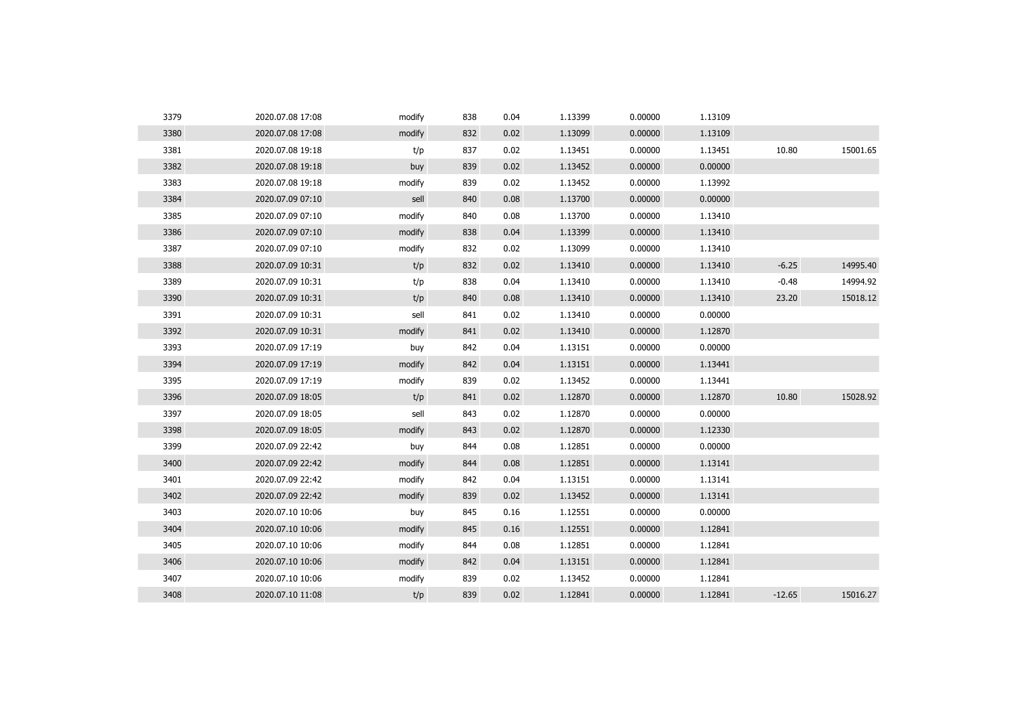| 3379 | 2020.07.08 17:08 | modify | 838 | 0.04 | 1.13399 | 0.00000 | 1.13109 |          |          |
|------|------------------|--------|-----|------|---------|---------|---------|----------|----------|
| 3380 | 2020.07.08 17:08 | modify | 832 | 0.02 | 1.13099 | 0.00000 | 1.13109 |          |          |
| 3381 | 2020.07.08 19:18 | t/p    | 837 | 0.02 | 1.13451 | 0.00000 | 1.13451 | 10.80    | 15001.65 |
| 3382 | 2020.07.08 19:18 | buy    | 839 | 0.02 | 1.13452 | 0.00000 | 0.00000 |          |          |
| 3383 | 2020.07.08 19:18 | modify | 839 | 0.02 | 1.13452 | 0.00000 | 1.13992 |          |          |
| 3384 | 2020.07.09 07:10 | sell   | 840 | 0.08 | 1.13700 | 0.00000 | 0.00000 |          |          |
| 3385 | 2020.07.09 07:10 | modify | 840 | 0.08 | 1.13700 | 0.00000 | 1.13410 |          |          |
| 3386 | 2020.07.09 07:10 | modify | 838 | 0.04 | 1.13399 | 0.00000 | 1.13410 |          |          |
| 3387 | 2020.07.09 07:10 | modify | 832 | 0.02 | 1.13099 | 0.00000 | 1.13410 |          |          |
| 3388 | 2020.07.09 10:31 | t/p    | 832 | 0.02 | 1.13410 | 0.00000 | 1.13410 | $-6.25$  | 14995.40 |
| 3389 | 2020.07.09 10:31 | t/p    | 838 | 0.04 | 1.13410 | 0.00000 | 1.13410 | $-0.48$  | 14994.92 |
| 3390 | 2020.07.09 10:31 | t/p    | 840 | 0.08 | 1.13410 | 0.00000 | 1.13410 | 23.20    | 15018.12 |
| 3391 | 2020.07.09 10:31 | sell   | 841 | 0.02 | 1.13410 | 0.00000 | 0.00000 |          |          |
| 3392 | 2020.07.09 10:31 | modify | 841 | 0.02 | 1.13410 | 0.00000 | 1.12870 |          |          |
| 3393 | 2020.07.09 17:19 | buy    | 842 | 0.04 | 1.13151 | 0.00000 | 0.00000 |          |          |
| 3394 | 2020.07.09 17:19 | modify | 842 | 0.04 | 1.13151 | 0.00000 | 1.13441 |          |          |
| 3395 | 2020.07.09 17:19 | modify | 839 | 0.02 | 1.13452 | 0.00000 | 1.13441 |          |          |
| 3396 | 2020.07.09 18:05 | t/p    | 841 | 0.02 | 1.12870 | 0.00000 | 1.12870 | 10.80    | 15028.92 |
| 3397 | 2020.07.09 18:05 | sell   | 843 | 0.02 | 1.12870 | 0.00000 | 0.00000 |          |          |
| 3398 | 2020.07.09 18:05 | modify | 843 | 0.02 | 1.12870 | 0.00000 | 1.12330 |          |          |
| 3399 | 2020.07.09 22:42 | buy    | 844 | 0.08 | 1.12851 | 0.00000 | 0.00000 |          |          |
| 3400 | 2020.07.09 22:42 | modify | 844 | 0.08 | 1.12851 | 0.00000 | 1.13141 |          |          |
| 3401 | 2020.07.09 22:42 | modify | 842 | 0.04 | 1.13151 | 0.00000 | 1.13141 |          |          |
| 3402 | 2020.07.09 22:42 | modify | 839 | 0.02 | 1.13452 | 0.00000 | 1.13141 |          |          |
| 3403 | 2020.07.10 10:06 | buy    | 845 | 0.16 | 1.12551 | 0.00000 | 0.00000 |          |          |
| 3404 | 2020.07.10 10:06 | modify | 845 | 0.16 | 1.12551 | 0.00000 | 1.12841 |          |          |
| 3405 | 2020.07.10 10:06 | modify | 844 | 0.08 | 1.12851 | 0.00000 | 1.12841 |          |          |
| 3406 | 2020.07.10 10:06 | modify | 842 | 0.04 | 1.13151 | 0.00000 | 1.12841 |          |          |
| 3407 | 2020.07.10 10:06 | modify | 839 | 0.02 | 1.13452 | 0.00000 | 1.12841 |          |          |
| 3408 | 2020.07.10 11:08 | t/p    | 839 | 0.02 | 1.12841 | 0.00000 | 1.12841 | $-12.65$ | 15016.27 |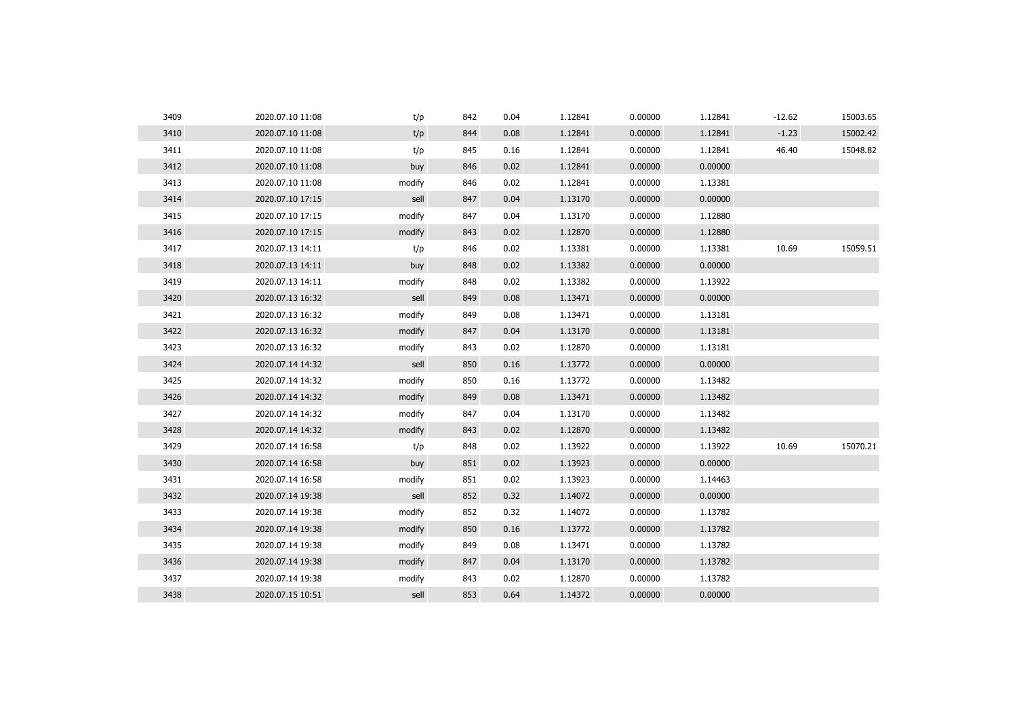| 3409 | 2020.07.10 11:08 | t/p    | 842 | 0.04 | 1.12841 | 0.00000 | 1.12841 | $-12.62$ | 15003.65 |
|------|------------------|--------|-----|------|---------|---------|---------|----------|----------|
| 3410 | 2020.07.10 11:08 | t/p    | 844 | 0.08 | 1.12841 | 0.00000 | 1.12841 | $-1.23$  | 15002.42 |
| 3411 | 2020.07.10 11:08 | t/p    | 845 | 0.16 | 1.12841 | 0.00000 | 1.12841 | 46.40    | 15048.82 |
| 3412 | 2020.07.10 11:08 | buy    | 846 | 0.02 | 1.12841 | 0.00000 | 0.00000 |          |          |
| 3413 | 2020.07.10 11:08 | modify | 846 | 0.02 | 1.12841 | 0.00000 | 1.13381 |          |          |
| 3414 | 2020.07.10 17:15 | sell   | 847 | 0.04 | 1.13170 | 0.00000 | 0.00000 |          |          |
| 3415 | 2020.07.10 17:15 | modify | 847 | 0.04 | 1.13170 | 0.00000 | 1.12880 |          |          |
| 3416 | 2020.07.10 17:15 | modify | 843 | 0.02 | 1.12870 | 0.00000 | 1.12880 |          |          |
| 3417 | 2020.07.13 14:11 | t/p    | 846 | 0.02 | 1.13381 | 0.00000 | 1.13381 | 10.69    | 15059.51 |
| 3418 | 2020.07.13 14:11 | buy    | 848 | 0.02 | 1.13382 | 0.00000 | 0.00000 |          |          |
| 3419 | 2020.07.13 14:11 | modify | 848 | 0.02 | 1.13382 | 0.00000 | 1.13922 |          |          |
| 3420 | 2020.07.13 16:32 | sell   | 849 | 0.08 | 1.13471 | 0.00000 | 0.00000 |          |          |
| 3421 | 2020.07.13 16:32 | modify | 849 | 0.08 | 1.13471 | 0.00000 | 1.13181 |          |          |
| 3422 | 2020.07.13 16:32 | modify | 847 | 0.04 | 1.13170 | 0.00000 | 1.13181 |          |          |
| 3423 | 2020.07.13 16:32 | modify | 843 | 0.02 | 1.12870 | 0.00000 | 1.13181 |          |          |
| 3424 | 2020.07.14 14:32 | sell   | 850 | 0.16 | 1.13772 | 0.00000 | 0.00000 |          |          |
| 3425 | 2020.07.14 14:32 | modify | 850 | 0.16 | 1.13772 | 0.00000 | 1.13482 |          |          |
| 3426 | 2020.07.14 14:32 | modify | 849 | 0.08 | 1.13471 | 0.00000 | 1.13482 |          |          |
| 3427 | 2020.07.14 14:32 | modify | 847 | 0.04 | 1.13170 | 0.00000 | 1.13482 |          |          |
| 3428 | 2020.07.14 14:32 | modify | 843 | 0.02 | 1.12870 | 0.00000 | 1.13482 |          |          |
| 3429 | 2020.07.14 16:58 | t/p    | 848 | 0.02 | 1.13922 | 0.00000 | 1.13922 | 10.69    | 15070.21 |
| 3430 | 2020.07.14 16:58 | buy    | 851 | 0.02 | 1.13923 | 0.00000 | 0.00000 |          |          |
| 3431 | 2020.07.14 16:58 | modify | 851 | 0.02 | 1.13923 | 0.00000 | 1.14463 |          |          |
| 3432 | 2020.07.14 19:38 | sell   | 852 | 0.32 | 1.14072 | 0.00000 | 0.00000 |          |          |
| 3433 | 2020.07.14 19:38 | modify | 852 | 0.32 | 1.14072 | 0.00000 | 1.13782 |          |          |
| 3434 | 2020.07.14 19:38 | modify | 850 | 0.16 | 1.13772 | 0.00000 | 1.13782 |          |          |
| 3435 | 2020.07.14 19:38 | modify | 849 | 0.08 | 1.13471 | 0.00000 | 1.13782 |          |          |
| 3436 | 2020.07.14 19:38 | modify | 847 | 0.04 | 1.13170 | 0.00000 | 1.13782 |          |          |
| 3437 | 2020.07.14 19:38 | modify | 843 | 0.02 | 1.12870 | 0.00000 | 1.13782 |          |          |
| 3438 | 2020.07.15 10:51 | sell   | 853 | 0.64 | 1.14372 | 0.00000 | 0.00000 |          |          |
|      |                  |        |     |      |         |         |         |          |          |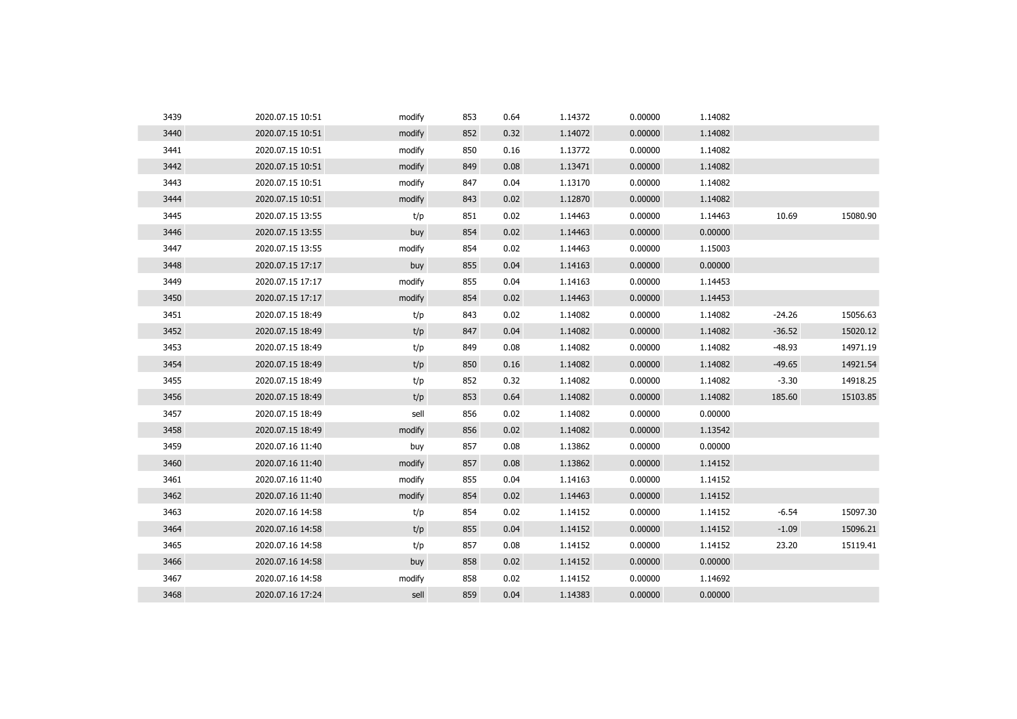| 3439 | 2020.07.15 10:51 | modify | 853 | 0.64 | 1.14372 | 0.00000 | 1.14082 |          |          |
|------|------------------|--------|-----|------|---------|---------|---------|----------|----------|
| 3440 | 2020.07.15 10:51 | modify | 852 | 0.32 | 1.14072 | 0.00000 | 1.14082 |          |          |
| 3441 | 2020.07.15 10:51 | modify | 850 | 0.16 | 1.13772 | 0.00000 | 1.14082 |          |          |
| 3442 | 2020.07.15 10:51 | modify | 849 | 0.08 | 1.13471 | 0.00000 | 1.14082 |          |          |
| 3443 | 2020.07.15 10:51 | modify | 847 | 0.04 | 1.13170 | 0.00000 | 1.14082 |          |          |
| 3444 | 2020.07.15 10:51 | modify | 843 | 0.02 | 1.12870 | 0.00000 | 1.14082 |          |          |
| 3445 | 2020.07.15 13:55 | t/p    | 851 | 0.02 | 1.14463 | 0.00000 | 1.14463 | 10.69    | 15080.90 |
| 3446 | 2020.07.15 13:55 | buy    | 854 | 0.02 | 1.14463 | 0.00000 | 0.00000 |          |          |
| 3447 | 2020.07.15 13:55 | modify | 854 | 0.02 | 1.14463 | 0.00000 | 1.15003 |          |          |
| 3448 | 2020.07.15 17:17 | buy    | 855 | 0.04 | 1.14163 | 0.00000 | 0.00000 |          |          |
| 3449 | 2020.07.15 17:17 | modify | 855 | 0.04 | 1.14163 | 0.00000 | 1.14453 |          |          |
| 3450 | 2020.07.15 17:17 | modify | 854 | 0.02 | 1.14463 | 0.00000 | 1.14453 |          |          |
| 3451 | 2020.07.15 18:49 | t/p    | 843 | 0.02 | 1.14082 | 0.00000 | 1.14082 | $-24.26$ | 15056.63 |
| 3452 | 2020.07.15 18:49 | t/p    | 847 | 0.04 | 1.14082 | 0.00000 | 1.14082 | $-36.52$ | 15020.12 |
| 3453 | 2020.07.15 18:49 | t/p    | 849 | 0.08 | 1.14082 | 0.00000 | 1.14082 | $-48.93$ | 14971.19 |
| 3454 | 2020.07.15 18:49 | t/p    | 850 | 0.16 | 1.14082 | 0.00000 | 1.14082 | $-49.65$ | 14921.54 |
| 3455 | 2020.07.15 18:49 | t/p    | 852 | 0.32 | 1.14082 | 0.00000 | 1.14082 | $-3.30$  | 14918.25 |
| 3456 | 2020.07.15 18:49 | t/p    | 853 | 0.64 | 1.14082 | 0.00000 | 1.14082 | 185.60   | 15103.85 |
| 3457 | 2020.07.15 18:49 | sell   | 856 | 0.02 | 1.14082 | 0.00000 | 0.00000 |          |          |
| 3458 | 2020.07.15 18:49 | modify | 856 | 0.02 | 1.14082 | 0.00000 | 1.13542 |          |          |
| 3459 | 2020.07.16 11:40 | buy    | 857 | 0.08 | 1.13862 | 0.00000 | 0.00000 |          |          |
| 3460 | 2020.07.16 11:40 | modify | 857 | 0.08 | 1.13862 | 0.00000 | 1.14152 |          |          |
| 3461 | 2020.07.16 11:40 | modify | 855 | 0.04 | 1.14163 | 0.00000 | 1.14152 |          |          |
| 3462 | 2020.07.16 11:40 | modify | 854 | 0.02 | 1.14463 | 0.00000 | 1.14152 |          |          |
| 3463 | 2020.07.16 14:58 | t/p    | 854 | 0.02 | 1.14152 | 0.00000 | 1.14152 | $-6.54$  | 15097.30 |
| 3464 | 2020.07.16 14:58 | t/p    | 855 | 0.04 | 1.14152 | 0.00000 | 1.14152 | $-1.09$  | 15096.21 |
| 3465 | 2020.07.16 14:58 | t/p    | 857 | 0.08 | 1.14152 | 0.00000 | 1.14152 | 23.20    | 15119.41 |
| 3466 | 2020.07.16 14:58 | buy    | 858 | 0.02 | 1.14152 | 0.00000 | 0.00000 |          |          |
| 3467 | 2020.07.16 14:58 | modify | 858 | 0.02 | 1.14152 | 0.00000 | 1.14692 |          |          |
| 3468 | 2020.07.16 17:24 | sell   | 859 | 0.04 | 1.14383 | 0.00000 | 0.00000 |          |          |
|      |                  |        |     |      |         |         |         |          |          |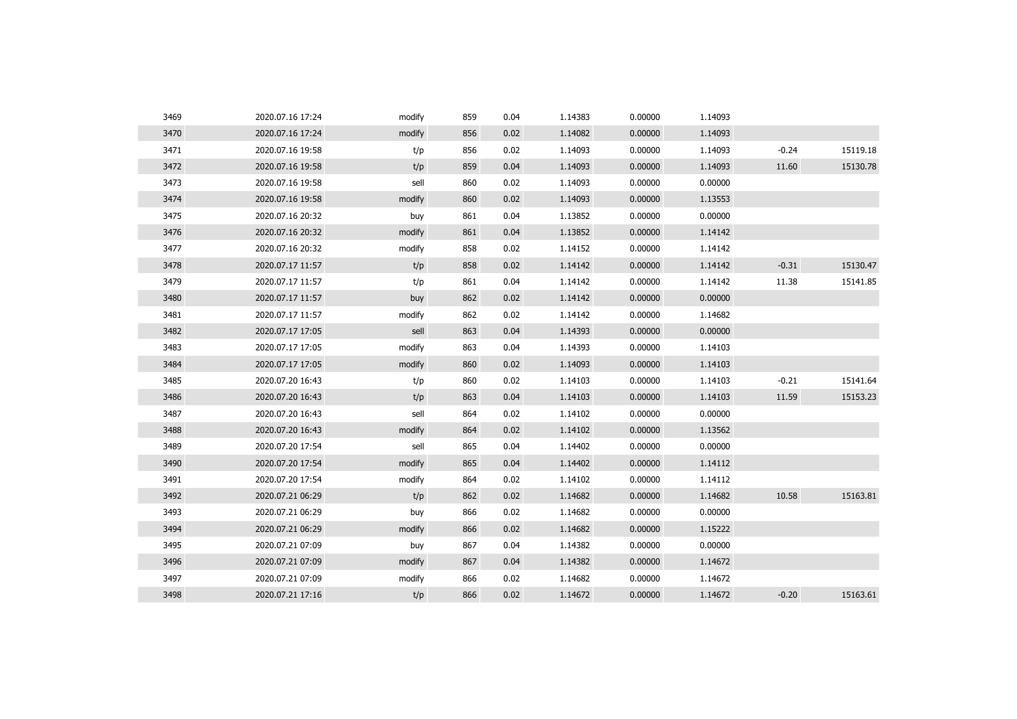| 3469 | 2020.07.16 17:24 | modify | 859 | 0.04 | 1.14383 | 0.00000 | 1.14093 |         |          |
|------|------------------|--------|-----|------|---------|---------|---------|---------|----------|
| 3470 | 2020.07.16 17:24 | modify | 856 | 0.02 | 1.14082 | 0.00000 | 1.14093 |         |          |
| 3471 | 2020.07.16 19:58 | t/p    | 856 | 0.02 | 1.14093 | 0.00000 | 1.14093 | $-0.24$ | 15119.18 |
| 3472 | 2020.07.16 19:58 | t/p    | 859 | 0.04 | 1.14093 | 0.00000 | 1.14093 | 11.60   | 15130.78 |
| 3473 | 2020.07.16 19:58 | sell   | 860 | 0.02 | 1.14093 | 0.00000 | 0.00000 |         |          |
| 3474 | 2020.07.16 19:58 | modify | 860 | 0.02 | 1.14093 | 0.00000 | 1.13553 |         |          |
| 3475 | 2020.07.16 20:32 | buy    | 861 | 0.04 | 1.13852 | 0.00000 | 0.00000 |         |          |
| 3476 | 2020.07.16 20:32 | modify | 861 | 0.04 | 1.13852 | 0.00000 | 1.14142 |         |          |
| 3477 | 2020.07.16 20:32 | modify | 858 | 0.02 | 1.14152 | 0.00000 | 1.14142 |         |          |
| 3478 | 2020.07.17 11:57 | t/p    | 858 | 0.02 | 1.14142 | 0.00000 | 1.14142 | $-0.31$ | 15130.47 |
| 3479 | 2020.07.17 11:57 | t/p    | 861 | 0.04 | 1.14142 | 0.00000 | 1.14142 | 11.38   | 15141.85 |
| 3480 | 2020.07.17 11:57 | buy    | 862 | 0.02 | 1.14142 | 0.00000 | 0.00000 |         |          |
| 3481 | 2020.07.17 11:57 | modify | 862 | 0.02 | 1.14142 | 0.00000 | 1.14682 |         |          |
| 3482 | 2020.07.17 17:05 | sell   | 863 | 0.04 | 1.14393 | 0.00000 | 0.00000 |         |          |
| 3483 | 2020.07.17 17:05 | modify | 863 | 0.04 | 1.14393 | 0.00000 | 1.14103 |         |          |
| 3484 | 2020.07.17 17:05 | modify | 860 | 0.02 | 1.14093 | 0.00000 | 1.14103 |         |          |
| 3485 | 2020.07.20 16:43 | t/p    | 860 | 0.02 | 1.14103 | 0.00000 | 1.14103 | $-0.21$ | 15141.64 |
| 3486 | 2020.07.20 16:43 | t/p    | 863 | 0.04 | 1.14103 | 0.00000 | 1.14103 | 11.59   | 15153.23 |
| 3487 | 2020.07.20 16:43 | sell   | 864 | 0.02 | 1.14102 | 0.00000 | 0.00000 |         |          |
| 3488 | 2020.07.20 16:43 | modify | 864 | 0.02 | 1.14102 | 0.00000 | 1.13562 |         |          |
| 3489 | 2020.07.20 17:54 | sell   | 865 | 0.04 | 1.14402 | 0.00000 | 0.00000 |         |          |
| 3490 | 2020.07.20 17:54 | modify | 865 | 0.04 | 1.14402 | 0.00000 | 1.14112 |         |          |
| 3491 | 2020.07.20 17:54 | modify | 864 | 0.02 | 1.14102 | 0.00000 | 1.14112 |         |          |
| 3492 | 2020.07.21 06:29 | t/p    | 862 | 0.02 | 1.14682 | 0.00000 | 1.14682 | 10.58   | 15163.81 |
| 3493 | 2020.07.21 06:29 | buy    | 866 | 0.02 | 1.14682 | 0.00000 | 0.00000 |         |          |
| 3494 | 2020.07.21 06:29 | modify | 866 | 0.02 | 1.14682 | 0.00000 | 1.15222 |         |          |
| 3495 | 2020.07.21 07:09 | buy    | 867 | 0.04 | 1.14382 | 0.00000 | 0.00000 |         |          |
| 3496 | 2020.07.21 07:09 | modify | 867 | 0.04 | 1.14382 | 0.00000 | 1.14672 |         |          |
| 3497 | 2020.07.21 07:09 | modify | 866 | 0.02 | 1.14682 | 0.00000 | 1.14672 |         |          |
| 3498 | 2020.07.21 17:16 | t/p    | 866 | 0.02 | 1.14672 | 0.00000 | 1.14672 | $-0.20$ | 15163.61 |
|      |                  |        |     |      |         |         |         |         |          |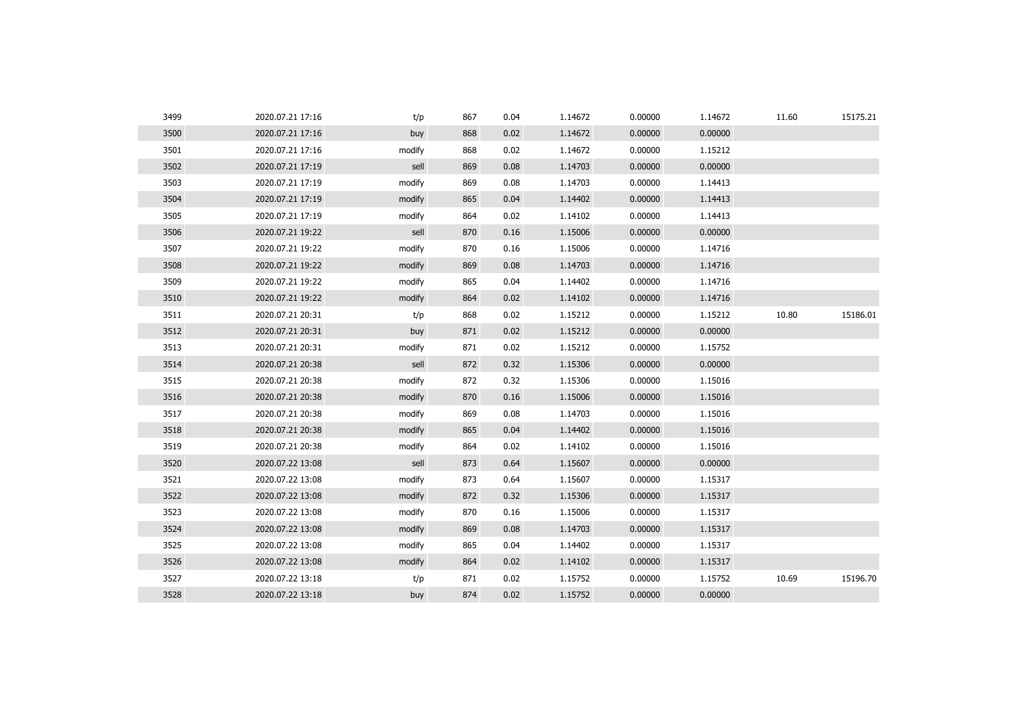| 3499 | 2020.07.21 17:16 | t/p    | 867 | 0.04 | 1.14672 | 0.00000 | 1.14672 | 11.60 | 15175.21 |
|------|------------------|--------|-----|------|---------|---------|---------|-------|----------|
| 3500 | 2020.07.21 17:16 | buy    | 868 | 0.02 | 1.14672 | 0.00000 | 0.00000 |       |          |
| 3501 | 2020.07.21 17:16 | modify | 868 | 0.02 | 1.14672 | 0.00000 | 1.15212 |       |          |
| 3502 | 2020.07.21 17:19 | sell   | 869 | 0.08 | 1.14703 | 0.00000 | 0.00000 |       |          |
| 3503 | 2020.07.21 17:19 | modify | 869 | 0.08 | 1.14703 | 0.00000 | 1.14413 |       |          |
| 3504 | 2020.07.21 17:19 | modify | 865 | 0.04 | 1.14402 | 0.00000 | 1.14413 |       |          |
| 3505 | 2020.07.21 17:19 | modify | 864 | 0.02 | 1.14102 | 0.00000 | 1.14413 |       |          |
| 3506 | 2020.07.21 19:22 | sell   | 870 | 0.16 | 1.15006 | 0.00000 | 0.00000 |       |          |
| 3507 | 2020.07.21 19:22 | modify | 870 | 0.16 | 1.15006 | 0.00000 | 1.14716 |       |          |
| 3508 | 2020.07.21 19:22 | modify | 869 | 0.08 | 1.14703 | 0.00000 | 1.14716 |       |          |
| 3509 | 2020.07.21 19:22 | modify | 865 | 0.04 | 1.14402 | 0.00000 | 1.14716 |       |          |
| 3510 | 2020.07.21 19:22 | modify | 864 | 0.02 | 1.14102 | 0.00000 | 1.14716 |       |          |
| 3511 | 2020.07.21 20:31 | t/p    | 868 | 0.02 | 1.15212 | 0.00000 | 1.15212 | 10.80 | 15186.01 |
| 3512 | 2020.07.21 20:31 | buy    | 871 | 0.02 | 1.15212 | 0.00000 | 0.00000 |       |          |
| 3513 | 2020.07.21 20:31 | modify | 871 | 0.02 | 1.15212 | 0.00000 | 1.15752 |       |          |
| 3514 | 2020.07.21 20:38 | sell   | 872 | 0.32 | 1.15306 | 0.00000 | 0.00000 |       |          |
| 3515 | 2020.07.21 20:38 | modify | 872 | 0.32 | 1.15306 | 0.00000 | 1.15016 |       |          |
| 3516 | 2020.07.21 20:38 | modify | 870 | 0.16 | 1.15006 | 0.00000 | 1.15016 |       |          |
| 3517 | 2020.07.21 20:38 | modify | 869 | 0.08 | 1.14703 | 0.00000 | 1.15016 |       |          |
| 3518 | 2020.07.21 20:38 | modify | 865 | 0.04 | 1.14402 | 0.00000 | 1.15016 |       |          |
| 3519 | 2020.07.21 20:38 | modify | 864 | 0.02 | 1.14102 | 0.00000 | 1.15016 |       |          |
| 3520 | 2020.07.22 13:08 | sell   | 873 | 0.64 | 1.15607 | 0.00000 | 0.00000 |       |          |
| 3521 | 2020.07.22 13:08 | modify | 873 | 0.64 | 1.15607 | 0.00000 | 1.15317 |       |          |
| 3522 | 2020.07.22 13:08 | modify | 872 | 0.32 | 1.15306 | 0.00000 | 1.15317 |       |          |
| 3523 | 2020.07.22 13:08 | modify | 870 | 0.16 | 1.15006 | 0.00000 | 1.15317 |       |          |
| 3524 | 2020.07.22 13:08 | modify | 869 | 0.08 | 1.14703 | 0.00000 | 1.15317 |       |          |
| 3525 | 2020.07.22 13:08 | modify | 865 | 0.04 | 1.14402 | 0.00000 | 1.15317 |       |          |
| 3526 | 2020.07.22 13:08 | modify | 864 | 0.02 | 1.14102 | 0.00000 | 1.15317 |       |          |
| 3527 | 2020.07.22 13:18 | t/p    | 871 | 0.02 | 1.15752 | 0.00000 | 1.15752 | 10.69 | 15196.70 |
| 3528 | 2020.07.22 13:18 | buy    | 874 | 0.02 | 1.15752 | 0.00000 | 0.00000 |       |          |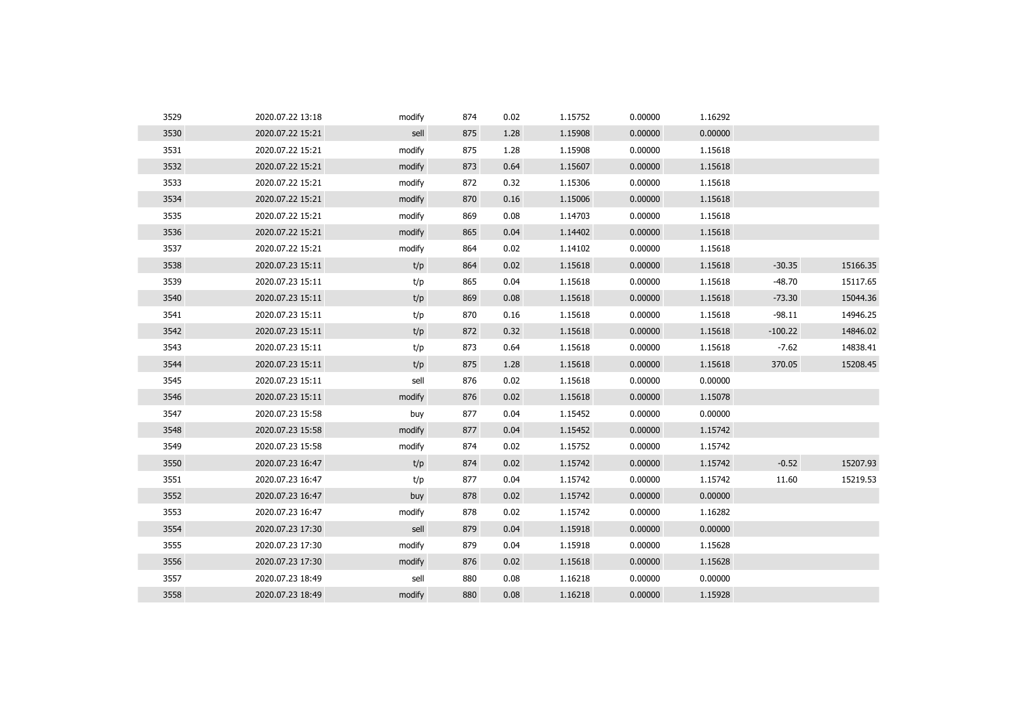| 3529 | 2020.07.22 13:18 | modify | 874 | 0.02 | 1.15752 | 0.00000 | 1.16292 |           |          |
|------|------------------|--------|-----|------|---------|---------|---------|-----------|----------|
| 3530 | 2020.07.22 15:21 | sell   | 875 | 1.28 | 1.15908 | 0.00000 | 0.00000 |           |          |
| 3531 | 2020.07.22 15:21 | modify | 875 | 1.28 | 1.15908 | 0.00000 | 1.15618 |           |          |
| 3532 | 2020.07.22 15:21 | modify | 873 | 0.64 | 1.15607 | 0.00000 | 1.15618 |           |          |
| 3533 | 2020.07.22 15:21 | modify | 872 | 0.32 | 1.15306 | 0.00000 | 1.15618 |           |          |
| 3534 | 2020.07.22 15:21 | modify | 870 | 0.16 | 1.15006 | 0.00000 | 1.15618 |           |          |
| 3535 | 2020.07.22 15:21 | modify | 869 | 0.08 | 1.14703 | 0.00000 | 1.15618 |           |          |
| 3536 | 2020.07.22 15:21 | modify | 865 | 0.04 | 1.14402 | 0.00000 | 1.15618 |           |          |
| 3537 | 2020.07.22 15:21 | modify | 864 | 0.02 | 1.14102 | 0.00000 | 1.15618 |           |          |
| 3538 | 2020.07.23 15:11 | t/p    | 864 | 0.02 | 1.15618 | 0.00000 | 1.15618 | $-30.35$  | 15166.35 |
| 3539 | 2020.07.23 15:11 | t/p    | 865 | 0.04 | 1.15618 | 0.00000 | 1.15618 | $-48.70$  | 15117.65 |
| 3540 | 2020.07.23 15:11 | t/p    | 869 | 0.08 | 1.15618 | 0.00000 | 1.15618 | $-73.30$  | 15044.36 |
| 3541 | 2020.07.23 15:11 | t/p    | 870 | 0.16 | 1.15618 | 0.00000 | 1.15618 | $-98.11$  | 14946.25 |
| 3542 | 2020.07.23 15:11 | t/p    | 872 | 0.32 | 1.15618 | 0.00000 | 1.15618 | $-100.22$ | 14846.02 |
| 3543 | 2020.07.23 15:11 | t/p    | 873 | 0.64 | 1.15618 | 0.00000 | 1.15618 | $-7.62$   | 14838.41 |
| 3544 | 2020.07.23 15:11 | t/p    | 875 | 1.28 | 1.15618 | 0.00000 | 1.15618 | 370.05    | 15208.45 |
| 3545 | 2020.07.23 15:11 | sell   | 876 | 0.02 | 1.15618 | 0.00000 | 0.00000 |           |          |
| 3546 | 2020.07.23 15:11 | modify | 876 | 0.02 | 1.15618 | 0.00000 | 1.15078 |           |          |
| 3547 | 2020.07.23 15:58 | buy    | 877 | 0.04 | 1.15452 | 0.00000 | 0.00000 |           |          |
| 3548 | 2020.07.23 15:58 | modify | 877 | 0.04 | 1.15452 | 0.00000 | 1.15742 |           |          |
| 3549 | 2020.07.23 15:58 | modify | 874 | 0.02 | 1.15752 | 0.00000 | 1.15742 |           |          |
| 3550 | 2020.07.23 16:47 | t/p    | 874 | 0.02 | 1.15742 | 0.00000 | 1.15742 | $-0.52$   | 15207.93 |
| 3551 | 2020.07.23 16:47 | t/p    | 877 | 0.04 | 1.15742 | 0.00000 | 1.15742 | 11.60     | 15219.53 |
| 3552 | 2020.07.23 16:47 | buy    | 878 | 0.02 | 1.15742 | 0.00000 | 0.00000 |           |          |
| 3553 | 2020.07.23 16:47 | modify | 878 | 0.02 | 1.15742 | 0.00000 | 1.16282 |           |          |
| 3554 | 2020.07.23 17:30 | sell   | 879 | 0.04 | 1.15918 | 0.00000 | 0.00000 |           |          |
| 3555 | 2020.07.23 17:30 | modify | 879 | 0.04 | 1.15918 | 0.00000 | 1.15628 |           |          |
| 3556 | 2020.07.23 17:30 | modify | 876 | 0.02 | 1.15618 | 0.00000 | 1.15628 |           |          |
| 3557 | 2020.07.23 18:49 | sell   | 880 | 0.08 | 1.16218 | 0.00000 | 0.00000 |           |          |
| 3558 | 2020.07.23 18:49 | modify | 880 | 0.08 | 1.16218 | 0.00000 | 1.15928 |           |          |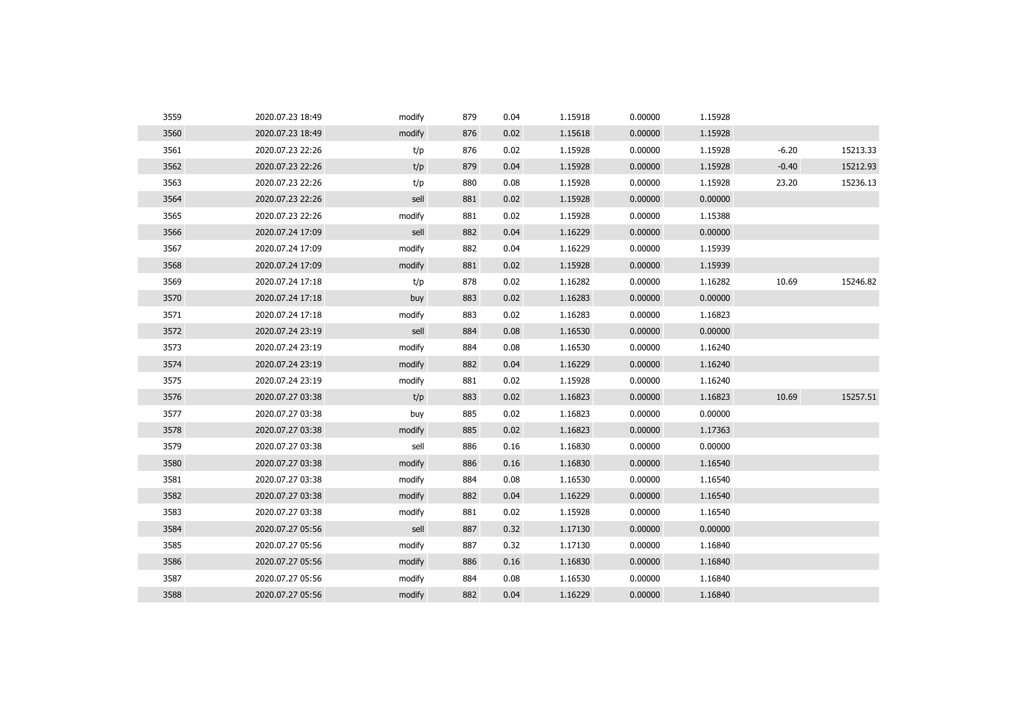| 3559 | 2020.07.23 18:49 | modify | 879 | 0.04 | 1.15918 | 0.00000 | 1.15928 |         |          |
|------|------------------|--------|-----|------|---------|---------|---------|---------|----------|
| 3560 | 2020.07.23 18:49 | modify | 876 | 0.02 | 1.15618 | 0.00000 | 1.15928 |         |          |
| 3561 | 2020.07.23 22:26 | t/p    | 876 | 0.02 | 1.15928 | 0.00000 | 1.15928 | $-6.20$ | 15213.33 |
| 3562 | 2020.07.23 22:26 | t/p    | 879 | 0.04 | 1.15928 | 0.00000 | 1.15928 | $-0.40$ | 15212.93 |
| 3563 | 2020.07.23 22:26 | t/p    | 880 | 0.08 | 1.15928 | 0.00000 | 1.15928 | 23.20   | 15236.13 |
| 3564 | 2020.07.23 22:26 | sell   | 881 | 0.02 | 1.15928 | 0.00000 | 0.00000 |         |          |
| 3565 | 2020.07.23 22:26 | modify | 881 | 0.02 | 1.15928 | 0.00000 | 1.15388 |         |          |
| 3566 | 2020.07.24 17:09 | sell   | 882 | 0.04 | 1.16229 | 0.00000 | 0.00000 |         |          |
| 3567 | 2020.07.24 17:09 | modify | 882 | 0.04 | 1.16229 | 0.00000 | 1.15939 |         |          |
| 3568 | 2020.07.24 17:09 | modify | 881 | 0.02 | 1.15928 | 0.00000 | 1.15939 |         |          |
| 3569 | 2020.07.24 17:18 | t/p    | 878 | 0.02 | 1.16282 | 0.00000 | 1.16282 | 10.69   | 15246.82 |
| 3570 | 2020.07.24 17:18 | buy    | 883 | 0.02 | 1.16283 | 0.00000 | 0.00000 |         |          |
| 3571 | 2020.07.24 17:18 | modify | 883 | 0.02 | 1.16283 | 0.00000 | 1.16823 |         |          |
| 3572 | 2020.07.24 23:19 | sell   | 884 | 0.08 | 1.16530 | 0.00000 | 0.00000 |         |          |
| 3573 | 2020.07.24 23:19 | modify | 884 | 0.08 | 1.16530 | 0.00000 | 1.16240 |         |          |
| 3574 | 2020.07.24 23:19 | modify | 882 | 0.04 | 1.16229 | 0.00000 | 1.16240 |         |          |
| 3575 | 2020.07.24 23:19 | modify | 881 | 0.02 | 1.15928 | 0.00000 | 1.16240 |         |          |
| 3576 | 2020.07.27 03:38 | t/p    | 883 | 0.02 | 1.16823 | 0.00000 | 1.16823 | 10.69   | 15257.51 |
| 3577 | 2020.07.27 03:38 | buy    | 885 | 0.02 | 1.16823 | 0.00000 | 0.00000 |         |          |
| 3578 | 2020.07.27 03:38 | modify | 885 | 0.02 | 1.16823 | 0.00000 | 1.17363 |         |          |
| 3579 | 2020.07.27 03:38 | sell   | 886 | 0.16 | 1.16830 | 0.00000 | 0.00000 |         |          |
| 3580 | 2020.07.27 03:38 | modify | 886 | 0.16 | 1.16830 | 0.00000 | 1.16540 |         |          |
| 3581 | 2020.07.27 03:38 | modify | 884 | 0.08 | 1.16530 | 0.00000 | 1.16540 |         |          |
| 3582 | 2020.07.27 03:38 | modify | 882 | 0.04 | 1.16229 | 0.00000 | 1.16540 |         |          |
| 3583 | 2020.07.27 03:38 | modify | 881 | 0.02 | 1.15928 | 0.00000 | 1.16540 |         |          |
| 3584 | 2020.07.27 05:56 | sell   | 887 | 0.32 | 1.17130 | 0.00000 | 0.00000 |         |          |
| 3585 | 2020.07.27 05:56 | modify | 887 | 0.32 | 1.17130 | 0.00000 | 1.16840 |         |          |
| 3586 | 2020.07.27 05:56 | modify | 886 | 0.16 | 1.16830 | 0.00000 | 1.16840 |         |          |
| 3587 | 2020.07.27 05:56 | modify | 884 | 0.08 | 1.16530 | 0.00000 | 1.16840 |         |          |
| 3588 | 2020.07.27 05:56 | modify | 882 | 0.04 | 1.16229 | 0.00000 | 1.16840 |         |          |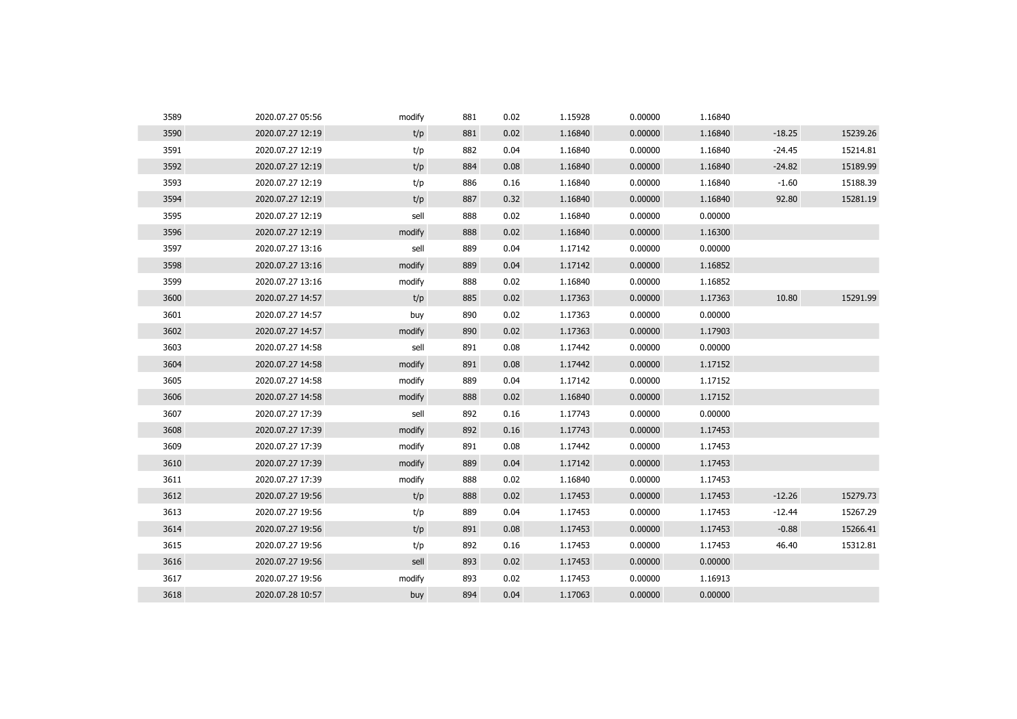| 3589 | 2020.07.27 05:56 | modify | 881 | 0.02 | 1.15928 | 0.00000 | 1.16840 |          |          |
|------|------------------|--------|-----|------|---------|---------|---------|----------|----------|
| 3590 | 2020.07.27 12:19 | t/p    | 881 | 0.02 | 1.16840 | 0.00000 | 1.16840 | $-18.25$ | 15239.26 |
| 3591 | 2020.07.27 12:19 | t/p    | 882 | 0.04 | 1.16840 | 0.00000 | 1.16840 | $-24.45$ | 15214.81 |
| 3592 | 2020.07.27 12:19 | t/p    | 884 | 0.08 | 1.16840 | 0.00000 | 1.16840 | $-24.82$ | 15189.99 |
| 3593 | 2020.07.27 12:19 | t/p    | 886 | 0.16 | 1.16840 | 0.00000 | 1.16840 | $-1.60$  | 15188.39 |
| 3594 | 2020.07.27 12:19 | t/p    | 887 | 0.32 | 1.16840 | 0.00000 | 1.16840 | 92.80    | 15281.19 |
| 3595 | 2020.07.27 12:19 | sell   | 888 | 0.02 | 1.16840 | 0.00000 | 0.00000 |          |          |
| 3596 | 2020.07.27 12:19 | modify | 888 | 0.02 | 1.16840 | 0.00000 | 1.16300 |          |          |
| 3597 | 2020.07.27 13:16 | sell   | 889 | 0.04 | 1.17142 | 0.00000 | 0.00000 |          |          |
| 3598 | 2020.07.27 13:16 | modify | 889 | 0.04 | 1.17142 | 0.00000 | 1.16852 |          |          |
| 3599 | 2020.07.27 13:16 | modify | 888 | 0.02 | 1.16840 | 0.00000 | 1.16852 |          |          |
| 3600 | 2020.07.27 14:57 | t/p    | 885 | 0.02 | 1.17363 | 0.00000 | 1.17363 | 10.80    | 15291.99 |
| 3601 | 2020.07.27 14:57 | buy    | 890 | 0.02 | 1.17363 | 0.00000 | 0.00000 |          |          |
| 3602 | 2020.07.27 14:57 | modify | 890 | 0.02 | 1.17363 | 0.00000 | 1.17903 |          |          |
| 3603 | 2020.07.27 14:58 | sell   | 891 | 0.08 | 1.17442 | 0.00000 | 0.00000 |          |          |
| 3604 | 2020.07.27 14:58 | modify | 891 | 0.08 | 1.17442 | 0.00000 | 1.17152 |          |          |
| 3605 | 2020.07.27 14:58 | modify | 889 | 0.04 | 1.17142 | 0.00000 | 1.17152 |          |          |
| 3606 | 2020.07.27 14:58 | modify | 888 | 0.02 | 1.16840 | 0.00000 | 1.17152 |          |          |
| 3607 | 2020.07.27 17:39 | sell   | 892 | 0.16 | 1.17743 | 0.00000 | 0.00000 |          |          |
| 3608 | 2020.07.27 17:39 | modify | 892 | 0.16 | 1.17743 | 0.00000 | 1.17453 |          |          |
| 3609 | 2020.07.27 17:39 | modify | 891 | 0.08 | 1.17442 | 0.00000 | 1.17453 |          |          |
| 3610 | 2020.07.27 17:39 | modify | 889 | 0.04 | 1.17142 | 0.00000 | 1.17453 |          |          |
| 3611 | 2020.07.27 17:39 | modify | 888 | 0.02 | 1.16840 | 0.00000 | 1.17453 |          |          |
| 3612 | 2020.07.27 19:56 | t/p    | 888 | 0.02 | 1.17453 | 0.00000 | 1.17453 | $-12.26$ | 15279.73 |
| 3613 | 2020.07.27 19:56 | t/p    | 889 | 0.04 | 1.17453 | 0.00000 | 1.17453 | $-12.44$ | 15267.29 |
| 3614 | 2020.07.27 19:56 | t/p    | 891 | 0.08 | 1.17453 | 0.00000 | 1.17453 | $-0.88$  | 15266.41 |
| 3615 | 2020.07.27 19:56 | t/p    | 892 | 0.16 | 1.17453 | 0.00000 | 1.17453 | 46.40    | 15312.81 |
| 3616 | 2020.07.27 19:56 | sell   | 893 | 0.02 | 1.17453 | 0.00000 | 0.00000 |          |          |
| 3617 | 2020.07.27 19:56 | modify | 893 | 0.02 | 1.17453 | 0.00000 | 1.16913 |          |          |
| 3618 | 2020.07.28 10:57 | buy    | 894 | 0.04 | 1.17063 | 0.00000 | 0.00000 |          |          |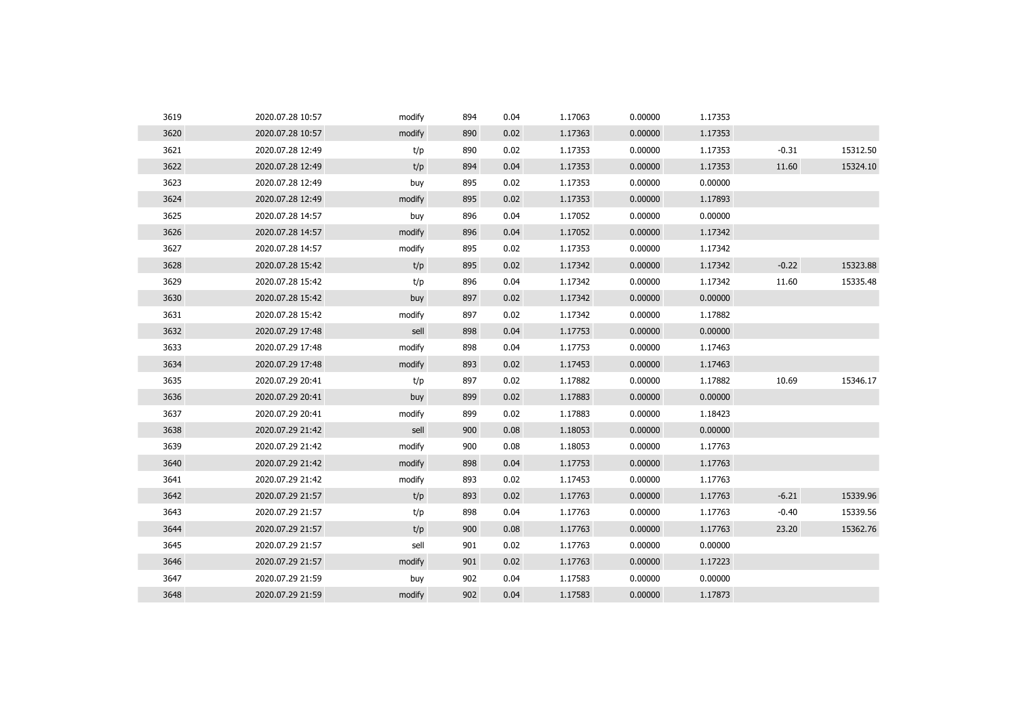| 3619 | 2020.07.28 10:57 | modify | 894 | 0.04 | 1.17063 | 0.00000 | 1.17353 |         |          |
|------|------------------|--------|-----|------|---------|---------|---------|---------|----------|
| 3620 | 2020.07.28 10:57 | modify | 890 | 0.02 | 1.17363 | 0.00000 | 1.17353 |         |          |
| 3621 | 2020.07.28 12:49 | t/p    | 890 | 0.02 | 1.17353 | 0.00000 | 1.17353 | $-0.31$ | 15312.50 |
| 3622 | 2020.07.28 12:49 | t/p    | 894 | 0.04 | 1.17353 | 0.00000 | 1.17353 | 11.60   | 15324.10 |
| 3623 | 2020.07.28 12:49 | buy    | 895 | 0.02 | 1.17353 | 0.00000 | 0.00000 |         |          |
| 3624 | 2020.07.28 12:49 | modify | 895 | 0.02 | 1.17353 | 0.00000 | 1.17893 |         |          |
| 3625 | 2020.07.28 14:57 | buy    | 896 | 0.04 | 1.17052 | 0.00000 | 0.00000 |         |          |
| 3626 | 2020.07.28 14:57 | modify | 896 | 0.04 | 1.17052 | 0.00000 | 1.17342 |         |          |
| 3627 | 2020.07.28 14:57 | modify | 895 | 0.02 | 1.17353 | 0.00000 | 1.17342 |         |          |
| 3628 | 2020.07.28 15:42 | t/p    | 895 | 0.02 | 1.17342 | 0.00000 | 1.17342 | $-0.22$ | 15323.88 |
| 3629 | 2020.07.28 15:42 | t/p    | 896 | 0.04 | 1.17342 | 0.00000 | 1.17342 | 11.60   | 15335.48 |
| 3630 | 2020.07.28 15:42 | buy    | 897 | 0.02 | 1.17342 | 0.00000 | 0.00000 |         |          |
| 3631 | 2020.07.28 15:42 | modify | 897 | 0.02 | 1.17342 | 0.00000 | 1.17882 |         |          |
| 3632 | 2020.07.29 17:48 | sell   | 898 | 0.04 | 1.17753 | 0.00000 | 0.00000 |         |          |
| 3633 | 2020.07.29 17:48 | modify | 898 | 0.04 | 1.17753 | 0.00000 | 1.17463 |         |          |
| 3634 | 2020.07.29 17:48 | modify | 893 | 0.02 | 1.17453 | 0.00000 | 1.17463 |         |          |
| 3635 | 2020.07.29 20:41 | t/p    | 897 | 0.02 | 1.17882 | 0.00000 | 1.17882 | 10.69   | 15346.17 |
| 3636 | 2020.07.29 20:41 | buy    | 899 | 0.02 | 1.17883 | 0.00000 | 0.00000 |         |          |
| 3637 | 2020.07.29 20:41 | modify | 899 | 0.02 | 1.17883 | 0.00000 | 1.18423 |         |          |
| 3638 | 2020.07.29 21:42 | sell   | 900 | 0.08 | 1.18053 | 0.00000 | 0.00000 |         |          |
| 3639 | 2020.07.29 21:42 | modify | 900 | 0.08 | 1.18053 | 0.00000 | 1.17763 |         |          |
| 3640 | 2020.07.29 21:42 | modify | 898 | 0.04 | 1.17753 | 0.00000 | 1.17763 |         |          |
| 3641 | 2020.07.29 21:42 | modify | 893 | 0.02 | 1.17453 | 0.00000 | 1.17763 |         |          |
| 3642 | 2020.07.29 21:57 | t/p    | 893 | 0.02 | 1.17763 | 0.00000 | 1.17763 | $-6.21$ | 15339.96 |
| 3643 | 2020.07.29 21:57 | t/p    | 898 | 0.04 | 1.17763 | 0.00000 | 1.17763 | $-0.40$ | 15339.56 |
| 3644 | 2020.07.29 21:57 | t/p    | 900 | 0.08 | 1.17763 | 0.00000 | 1.17763 | 23.20   | 15362.76 |
| 3645 | 2020.07.29 21:57 | sell   | 901 | 0.02 | 1.17763 | 0.00000 | 0.00000 |         |          |
| 3646 | 2020.07.29 21:57 | modify | 901 | 0.02 | 1.17763 | 0.00000 | 1.17223 |         |          |
| 3647 | 2020.07.29 21:59 | buy    | 902 | 0.04 | 1.17583 | 0.00000 | 0.00000 |         |          |
| 3648 | 2020.07.29 21:59 | modify | 902 | 0.04 | 1.17583 | 0.00000 | 1.17873 |         |          |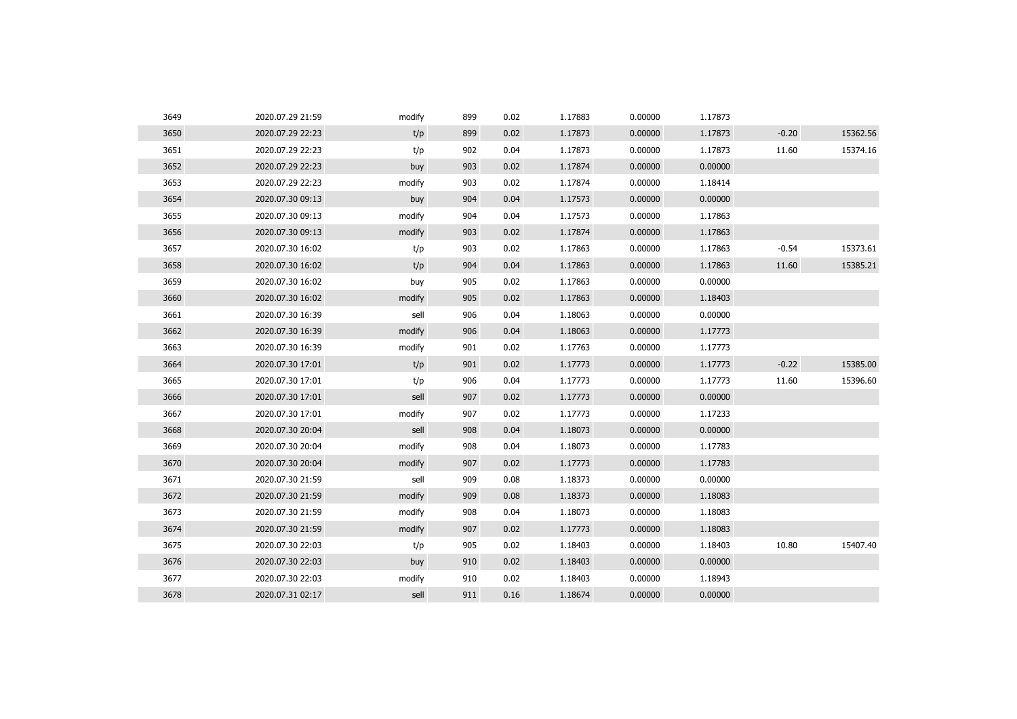| 3649 | 2020.07.29 21:59 | modify | 899 | 0.02 | 1.17883 | 0.00000 | 1.17873 |         |          |
|------|------------------|--------|-----|------|---------|---------|---------|---------|----------|
| 3650 | 2020.07.29 22:23 | t/p    | 899 | 0.02 | 1.17873 | 0.00000 | 1.17873 | $-0.20$ | 15362.56 |
| 3651 | 2020.07.29 22:23 | t/p    | 902 | 0.04 | 1.17873 | 0.00000 | 1.17873 | 11.60   | 15374.16 |
| 3652 | 2020.07.29 22:23 | buy    | 903 | 0.02 | 1.17874 | 0.00000 | 0.00000 |         |          |
| 3653 | 2020.07.29 22:23 | modify | 903 | 0.02 | 1.17874 | 0.00000 | 1.18414 |         |          |
| 3654 | 2020.07.30 09:13 | buy    | 904 | 0.04 | 1.17573 | 0.00000 | 0.00000 |         |          |
| 3655 | 2020.07.30 09:13 | modify | 904 | 0.04 | 1.17573 | 0.00000 | 1.17863 |         |          |
| 3656 | 2020.07.30 09:13 | modify | 903 | 0.02 | 1.17874 | 0.00000 | 1.17863 |         |          |
| 3657 | 2020.07.30 16:02 | t/p    | 903 | 0.02 | 1.17863 | 0.00000 | 1.17863 | $-0.54$ | 15373.61 |
| 3658 | 2020.07.30 16:02 | t/p    | 904 | 0.04 | 1.17863 | 0.00000 | 1.17863 | 11.60   | 15385.21 |
| 3659 | 2020.07.30 16:02 | buy    | 905 | 0.02 | 1.17863 | 0.00000 | 0.00000 |         |          |
| 3660 | 2020.07.30 16:02 | modify | 905 | 0.02 | 1.17863 | 0.00000 | 1.18403 |         |          |
| 3661 | 2020.07.30 16:39 | sell   | 906 | 0.04 | 1.18063 | 0.00000 | 0.00000 |         |          |
| 3662 | 2020.07.30 16:39 | modify | 906 | 0.04 | 1.18063 | 0.00000 | 1.17773 |         |          |
| 3663 | 2020.07.30 16:39 | modify | 901 | 0.02 | 1.17763 | 0.00000 | 1.17773 |         |          |
| 3664 | 2020.07.30 17:01 | t/p    | 901 | 0.02 | 1.17773 | 0.00000 | 1.17773 | $-0.22$ | 15385.00 |
| 3665 | 2020.07.30 17:01 | t/p    | 906 | 0.04 | 1.17773 | 0.00000 | 1.17773 | 11.60   | 15396.60 |
| 3666 | 2020.07.30 17:01 | sell   | 907 | 0.02 | 1.17773 | 0.00000 | 0.00000 |         |          |
| 3667 | 2020.07.30 17:01 | modify | 907 | 0.02 | 1.17773 | 0.00000 | 1.17233 |         |          |
| 3668 | 2020.07.30 20:04 | sell   | 908 | 0.04 | 1.18073 | 0.00000 | 0.00000 |         |          |
| 3669 | 2020.07.30 20:04 | modify | 908 | 0.04 | 1.18073 | 0.00000 | 1.17783 |         |          |
| 3670 | 2020.07.30 20:04 | modify | 907 | 0.02 | 1.17773 | 0.00000 | 1.17783 |         |          |
| 3671 | 2020.07.30 21:59 | sell   | 909 | 0.08 | 1.18373 | 0.00000 | 0.00000 |         |          |
| 3672 | 2020.07.30 21:59 | modify | 909 | 0.08 | 1.18373 | 0.00000 | 1.18083 |         |          |
| 3673 | 2020.07.30 21:59 | modify | 908 | 0.04 | 1.18073 | 0.00000 | 1.18083 |         |          |
| 3674 | 2020.07.30 21:59 | modify | 907 | 0.02 | 1.17773 | 0.00000 | 1.18083 |         |          |
| 3675 | 2020.07.30 22:03 | t/p    | 905 | 0.02 | 1.18403 | 0.00000 | 1.18403 | 10.80   | 15407.40 |
| 3676 | 2020.07.30 22:03 | buy    | 910 | 0.02 | 1.18403 | 0.00000 | 0.00000 |         |          |
| 3677 | 2020.07.30 22:03 | modify | 910 | 0.02 | 1.18403 | 0.00000 | 1.18943 |         |          |
|      | 2020.07.31 02:17 | sell   | 911 | 0.16 | 1.18674 | 0.00000 | 0.00000 |         |          |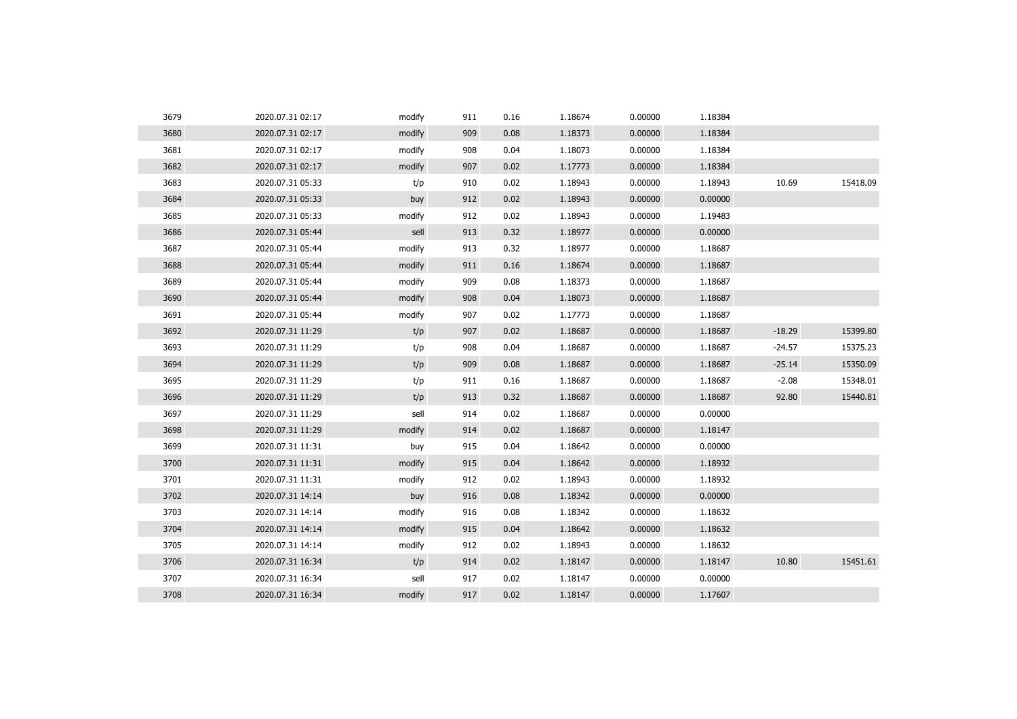| 3679 | 2020.07.31 02:17 | modify | 911 | 0.16 | 1.18674 | 0.00000 | 1.18384 |          |          |
|------|------------------|--------|-----|------|---------|---------|---------|----------|----------|
| 3680 | 2020.07.31 02:17 | modify | 909 | 0.08 | 1.18373 | 0.00000 | 1.18384 |          |          |
| 3681 | 2020.07.31 02:17 | modify | 908 | 0.04 | 1.18073 | 0.00000 | 1.18384 |          |          |
| 3682 | 2020.07.31 02:17 | modify | 907 | 0.02 | 1.17773 | 0.00000 | 1.18384 |          |          |
| 3683 | 2020.07.31 05:33 | t/p    | 910 | 0.02 | 1.18943 | 0.00000 | 1.18943 | 10.69    | 15418.09 |
| 3684 | 2020.07.31 05:33 | buy    | 912 | 0.02 | 1.18943 | 0.00000 | 0.00000 |          |          |
| 3685 | 2020.07.31 05:33 | modify | 912 | 0.02 | 1.18943 | 0.00000 | 1.19483 |          |          |
| 3686 | 2020.07.31 05:44 | sell   | 913 | 0.32 | 1.18977 | 0.00000 | 0.00000 |          |          |
| 3687 | 2020.07.31 05:44 | modify | 913 | 0.32 | 1.18977 | 0.00000 | 1.18687 |          |          |
| 3688 | 2020.07.31 05:44 | modify | 911 | 0.16 | 1.18674 | 0.00000 | 1.18687 |          |          |
| 3689 | 2020.07.31 05:44 | modify | 909 | 0.08 | 1.18373 | 0.00000 | 1.18687 |          |          |
| 3690 | 2020.07.31 05:44 | modify | 908 | 0.04 | 1.18073 | 0.00000 | 1.18687 |          |          |
| 3691 | 2020.07.31 05:44 | modify | 907 | 0.02 | 1.17773 | 0.00000 | 1.18687 |          |          |
| 3692 | 2020.07.31 11:29 | t/p    | 907 | 0.02 | 1.18687 | 0.00000 | 1.18687 | $-18.29$ | 15399.80 |
| 3693 | 2020.07.31 11:29 | t/p    | 908 | 0.04 | 1.18687 | 0.00000 | 1.18687 | $-24.57$ | 15375.23 |
| 3694 | 2020.07.31 11:29 | t/p    | 909 | 0.08 | 1.18687 | 0.00000 | 1.18687 | $-25.14$ | 15350.09 |
| 3695 | 2020.07.31 11:29 | t/p    | 911 | 0.16 | 1.18687 | 0.00000 | 1.18687 | $-2.08$  | 15348.01 |
| 3696 | 2020.07.31 11:29 | t/p    | 913 | 0.32 | 1.18687 | 0.00000 | 1.18687 | 92.80    | 15440.81 |
| 3697 | 2020.07.31 11:29 | sell   | 914 | 0.02 | 1.18687 | 0.00000 | 0.00000 |          |          |
| 3698 | 2020.07.31 11:29 | modify | 914 | 0.02 | 1.18687 | 0.00000 | 1.18147 |          |          |
| 3699 | 2020.07.31 11:31 | buy    | 915 | 0.04 | 1.18642 | 0.00000 | 0.00000 |          |          |
| 3700 | 2020.07.31 11:31 | modify | 915 | 0.04 | 1.18642 | 0.00000 | 1.18932 |          |          |
| 3701 | 2020.07.31 11:31 | modify | 912 | 0.02 | 1.18943 | 0.00000 | 1.18932 |          |          |
| 3702 | 2020.07.31 14:14 | buy    | 916 | 0.08 | 1.18342 | 0.00000 | 0.00000 |          |          |
| 3703 | 2020.07.31 14:14 | modify | 916 | 0.08 | 1.18342 | 0.00000 | 1.18632 |          |          |
| 3704 | 2020.07.31 14:14 | modify | 915 | 0.04 | 1.18642 | 0.00000 | 1.18632 |          |          |
| 3705 | 2020.07.31 14:14 | modify | 912 | 0.02 | 1.18943 | 0.00000 | 1.18632 |          |          |
| 3706 | 2020.07.31 16:34 | t/p    | 914 | 0.02 | 1.18147 | 0.00000 | 1.18147 | 10.80    | 15451.61 |
| 3707 | 2020.07.31 16:34 | sell   | 917 | 0.02 | 1.18147 | 0.00000 | 0.00000 |          |          |
| 3708 | 2020.07.31 16:34 | modify | 917 | 0.02 | 1.18147 | 0.00000 | 1.17607 |          |          |
|      |                  |        |     |      |         |         |         |          |          |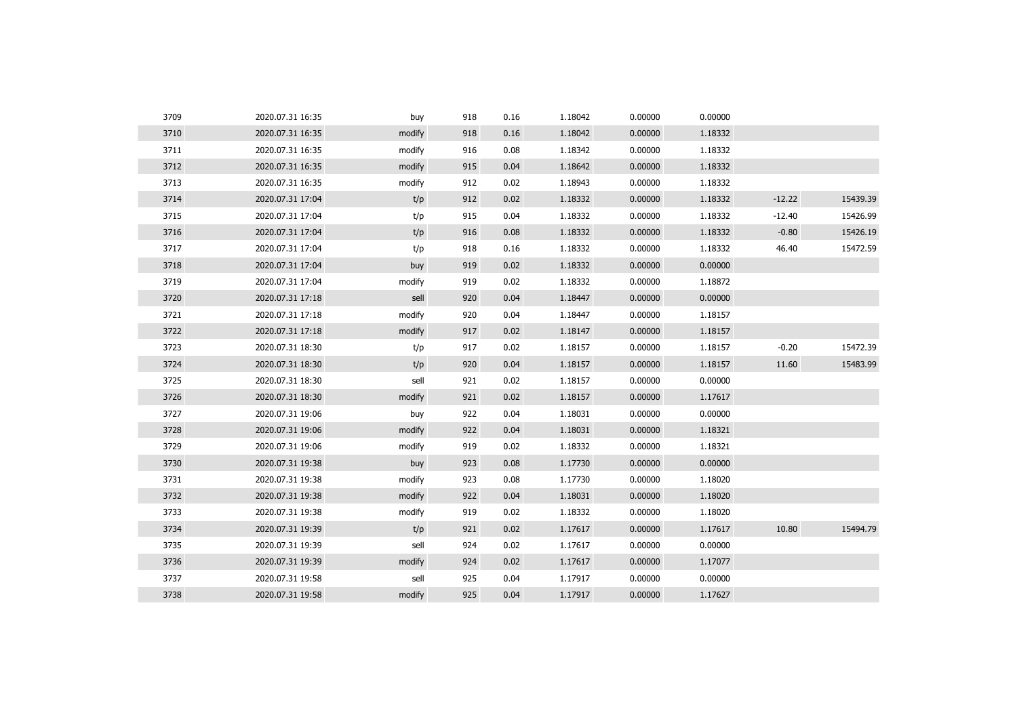| 3709 | 2020.07.31 16:35 | buy    | 918 | 0.16 | 1.18042 | 0.00000 | 0.00000 |          |          |
|------|------------------|--------|-----|------|---------|---------|---------|----------|----------|
| 3710 | 2020.07.31 16:35 | modify | 918 | 0.16 | 1.18042 | 0.00000 | 1.18332 |          |          |
| 3711 | 2020.07.31 16:35 | modify | 916 | 0.08 | 1.18342 | 0.00000 | 1.18332 |          |          |
| 3712 | 2020.07.31 16:35 | modify | 915 | 0.04 | 1.18642 | 0.00000 | 1.18332 |          |          |
| 3713 | 2020.07.31 16:35 | modify | 912 | 0.02 | 1.18943 | 0.00000 | 1.18332 |          |          |
| 3714 | 2020.07.31 17:04 | t/p    | 912 | 0.02 | 1.18332 | 0.00000 | 1.18332 | $-12.22$ | 15439.39 |
| 3715 | 2020.07.31 17:04 | t/p    | 915 | 0.04 | 1.18332 | 0.00000 | 1.18332 | $-12.40$ | 15426.99 |
| 3716 | 2020.07.31 17:04 | t/p    | 916 | 0.08 | 1.18332 | 0.00000 | 1.18332 | $-0.80$  | 15426.19 |
| 3717 | 2020.07.31 17:04 | t/p    | 918 | 0.16 | 1.18332 | 0.00000 | 1.18332 | 46.40    | 15472.59 |
| 3718 | 2020.07.31 17:04 | buy    | 919 | 0.02 | 1.18332 | 0.00000 | 0.00000 |          |          |
| 3719 | 2020.07.31 17:04 | modify | 919 | 0.02 | 1.18332 | 0.00000 | 1.18872 |          |          |
| 3720 | 2020.07.31 17:18 | sell   | 920 | 0.04 | 1.18447 | 0.00000 | 0.00000 |          |          |
| 3721 | 2020.07.31 17:18 | modify | 920 | 0.04 | 1.18447 | 0.00000 | 1.18157 |          |          |
| 3722 | 2020.07.31 17:18 | modify | 917 | 0.02 | 1.18147 | 0.00000 | 1.18157 |          |          |
| 3723 | 2020.07.31 18:30 | t/p    | 917 | 0.02 | 1.18157 | 0.00000 | 1.18157 | $-0.20$  | 15472.39 |
| 3724 | 2020.07.31 18:30 | t/p    | 920 | 0.04 | 1.18157 | 0.00000 | 1.18157 | 11.60    | 15483.99 |
| 3725 | 2020.07.31 18:30 | sell   | 921 | 0.02 | 1.18157 | 0.00000 | 0.00000 |          |          |
| 3726 | 2020.07.31 18:30 | modify | 921 | 0.02 | 1.18157 | 0.00000 | 1.17617 |          |          |
| 3727 | 2020.07.31 19:06 | buy    | 922 | 0.04 | 1.18031 | 0.00000 | 0.00000 |          |          |
| 3728 | 2020.07.31 19:06 | modify | 922 | 0.04 | 1.18031 | 0.00000 | 1.18321 |          |          |
| 3729 | 2020.07.31 19:06 | modify | 919 | 0.02 | 1.18332 | 0.00000 | 1.18321 |          |          |
| 3730 | 2020.07.31 19:38 | buy    | 923 | 0.08 | 1.17730 | 0.00000 | 0.00000 |          |          |
| 3731 | 2020.07.31 19:38 | modify | 923 | 0.08 | 1.17730 | 0.00000 | 1.18020 |          |          |
| 3732 | 2020.07.31 19:38 | modify | 922 | 0.04 | 1.18031 | 0.00000 | 1.18020 |          |          |
| 3733 | 2020.07.31 19:38 | modify | 919 | 0.02 | 1.18332 | 0.00000 | 1.18020 |          |          |
| 3734 | 2020.07.31 19:39 | t/p    | 921 | 0.02 | 1.17617 | 0.00000 | 1.17617 | 10.80    | 15494.79 |
| 3735 | 2020.07.31 19:39 | sell   | 924 | 0.02 | 1.17617 | 0.00000 | 0.00000 |          |          |
| 3736 | 2020.07.31 19:39 | modify | 924 | 0.02 | 1.17617 | 0.00000 | 1.17077 |          |          |
| 3737 | 2020.07.31 19:58 | sell   | 925 | 0.04 | 1.17917 | 0.00000 | 0.00000 |          |          |
| 3738 | 2020.07.31 19:58 | modify | 925 | 0.04 | 1.17917 | 0.00000 | 1.17627 |          |          |
|      |                  |        |     |      |         |         |         |          |          |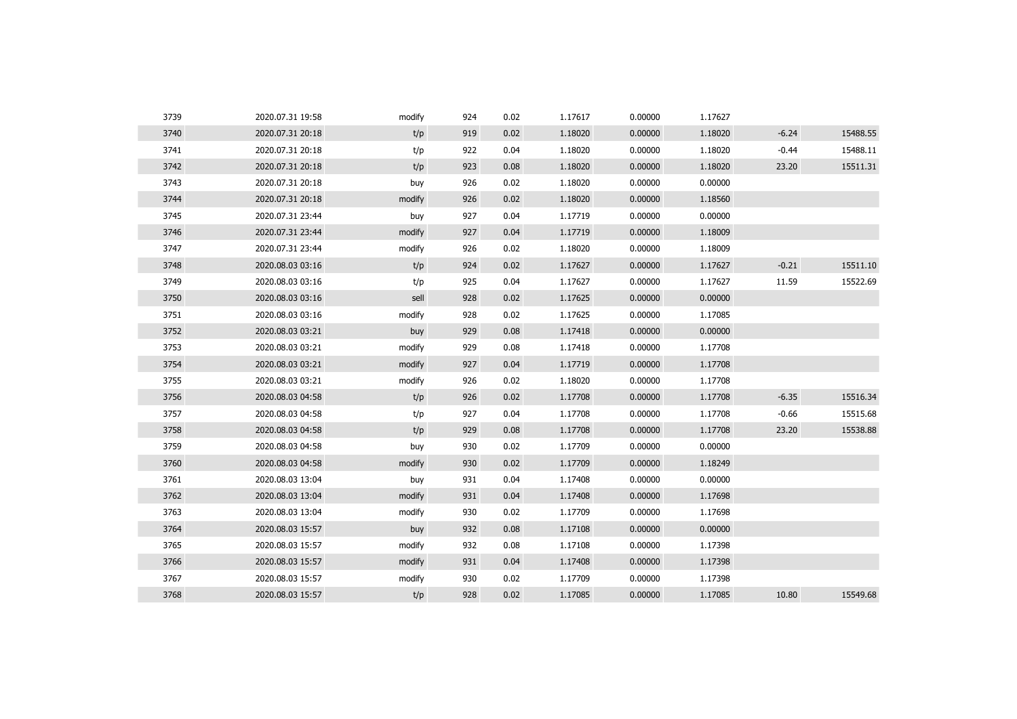| 3739 | 2020.07.31 19:58 | modify | 924 | 0.02 | 1.17617 | 0.00000 | 1.17627 |         |          |
|------|------------------|--------|-----|------|---------|---------|---------|---------|----------|
| 3740 | 2020.07.31 20:18 | t/p    | 919 | 0.02 | 1.18020 | 0.00000 | 1.18020 | $-6.24$ | 15488.55 |
| 3741 | 2020.07.31 20:18 | t/p    | 922 | 0.04 | 1.18020 | 0.00000 | 1.18020 | $-0.44$ | 15488.11 |
| 3742 | 2020.07.31 20:18 | t/p    | 923 | 0.08 | 1.18020 | 0.00000 | 1.18020 | 23.20   | 15511.31 |
| 3743 | 2020.07.31 20:18 | buy    | 926 | 0.02 | 1.18020 | 0.00000 | 0.00000 |         |          |
| 3744 | 2020.07.31 20:18 | modify | 926 | 0.02 | 1.18020 | 0.00000 | 1.18560 |         |          |
| 3745 | 2020.07.31 23:44 | buy    | 927 | 0.04 | 1.17719 | 0.00000 | 0.00000 |         |          |
| 3746 | 2020.07.31 23:44 | modify | 927 | 0.04 | 1.17719 | 0.00000 | 1.18009 |         |          |
| 3747 | 2020.07.31 23:44 | modify | 926 | 0.02 | 1.18020 | 0.00000 | 1.18009 |         |          |
| 3748 | 2020.08.03 03:16 | t/p    | 924 | 0.02 | 1.17627 | 0.00000 | 1.17627 | $-0.21$ | 15511.10 |
| 3749 | 2020.08.03 03:16 | t/p    | 925 | 0.04 | 1.17627 | 0.00000 | 1.17627 | 11.59   | 15522.69 |
| 3750 | 2020.08.03 03:16 | sell   | 928 | 0.02 | 1.17625 | 0.00000 | 0.00000 |         |          |
| 3751 | 2020.08.03 03:16 | modify | 928 | 0.02 | 1.17625 | 0.00000 | 1.17085 |         |          |
| 3752 | 2020.08.03 03:21 | buy    | 929 | 0.08 | 1.17418 | 0.00000 | 0.00000 |         |          |
| 3753 | 2020.08.03 03:21 | modify | 929 | 0.08 | 1.17418 | 0.00000 | 1.17708 |         |          |
| 3754 | 2020.08.03 03:21 | modify | 927 | 0.04 | 1.17719 | 0.00000 | 1.17708 |         |          |
| 3755 | 2020.08.03 03:21 | modify | 926 | 0.02 | 1.18020 | 0.00000 | 1.17708 |         |          |
| 3756 | 2020.08.03 04:58 | t/p    | 926 | 0.02 | 1.17708 | 0.00000 | 1.17708 | $-6.35$ | 15516.34 |
| 3757 | 2020.08.03 04:58 | t/p    | 927 | 0.04 | 1.17708 | 0.00000 | 1.17708 | $-0.66$ | 15515.68 |
| 3758 | 2020.08.03 04:58 | t/p    | 929 | 0.08 | 1.17708 | 0.00000 | 1.17708 | 23.20   | 15538.88 |
| 3759 | 2020.08.03 04:58 | buy    | 930 | 0.02 | 1.17709 | 0.00000 | 0.00000 |         |          |
| 3760 | 2020.08.03 04:58 | modify | 930 | 0.02 | 1.17709 | 0.00000 | 1.18249 |         |          |
| 3761 | 2020.08.03 13:04 | buy    | 931 | 0.04 | 1.17408 | 0.00000 | 0.00000 |         |          |
| 3762 | 2020.08.03 13:04 | modify | 931 | 0.04 | 1.17408 | 0.00000 | 1.17698 |         |          |
| 3763 | 2020.08.03 13:04 | modify | 930 | 0.02 | 1.17709 | 0.00000 | 1.17698 |         |          |
| 3764 | 2020.08.03 15:57 | buy    | 932 | 0.08 | 1.17108 | 0.00000 | 0.00000 |         |          |
| 3765 | 2020.08.03 15:57 | modify | 932 | 0.08 | 1.17108 | 0.00000 | 1.17398 |         |          |
| 3766 | 2020.08.03 15:57 | modify | 931 | 0.04 | 1.17408 | 0.00000 | 1.17398 |         |          |
| 3767 | 2020.08.03 15:57 | modify | 930 | 0.02 | 1.17709 | 0.00000 | 1.17398 |         |          |
| 3768 | 2020.08.03 15:57 | t/p    | 928 | 0.02 | 1.17085 | 0.00000 | 1.17085 | 10.80   | 15549.68 |
|      |                  |        |     |      |         |         |         |         |          |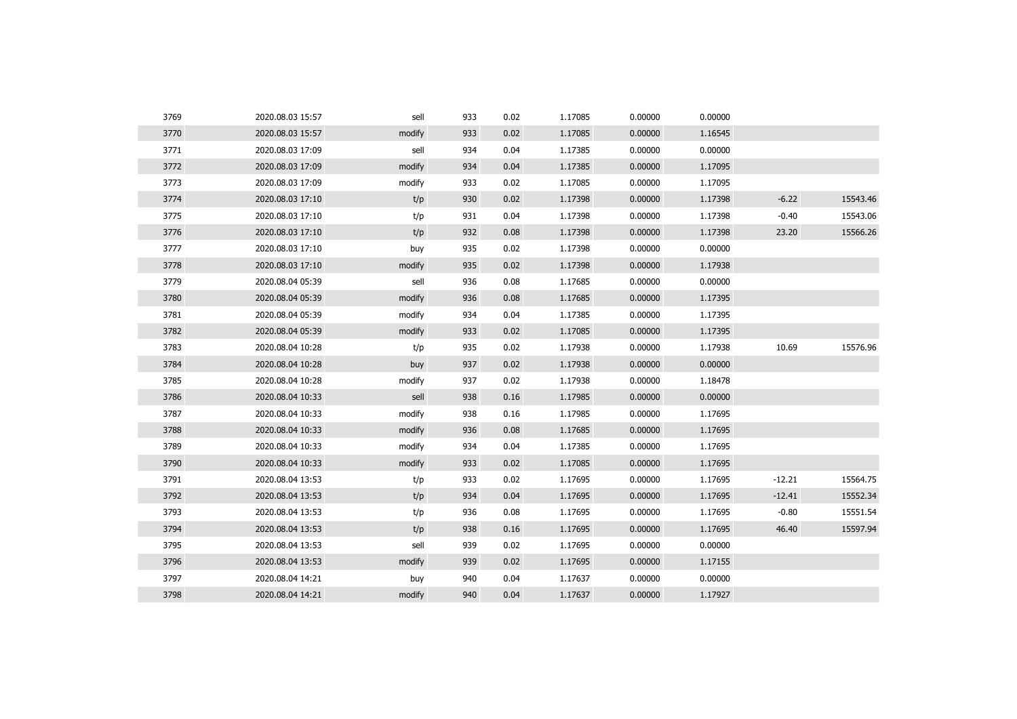| 3769 | 2020.08.03 15:57 | sell   | 933 | 0.02 | 1.17085 | 0.00000 | 0.00000 |          |          |
|------|------------------|--------|-----|------|---------|---------|---------|----------|----------|
| 3770 | 2020.08.03 15:57 | modify | 933 | 0.02 | 1.17085 | 0.00000 | 1.16545 |          |          |
| 3771 | 2020.08.03 17:09 | sell   | 934 | 0.04 | 1.17385 | 0.00000 | 0.00000 |          |          |
| 3772 | 2020.08.03 17:09 | modify | 934 | 0.04 | 1.17385 | 0.00000 | 1.17095 |          |          |
| 3773 | 2020.08.03 17:09 | modify | 933 | 0.02 | 1.17085 | 0.00000 | 1.17095 |          |          |
| 3774 | 2020.08.03 17:10 | t/p    | 930 | 0.02 | 1.17398 | 0.00000 | 1.17398 | $-6.22$  | 15543.46 |
| 3775 | 2020.08.03 17:10 | t/p    | 931 | 0.04 | 1.17398 | 0.00000 | 1.17398 | $-0.40$  | 15543.06 |
| 3776 | 2020.08.03 17:10 | t/p    | 932 | 0.08 | 1.17398 | 0.00000 | 1.17398 | 23.20    | 15566.26 |
| 3777 | 2020.08.03 17:10 | buy    | 935 | 0.02 | 1.17398 | 0.00000 | 0.00000 |          |          |
| 3778 | 2020.08.03 17:10 | modify | 935 | 0.02 | 1.17398 | 0.00000 | 1.17938 |          |          |
| 3779 | 2020.08.04 05:39 | sell   | 936 | 0.08 | 1.17685 | 0.00000 | 0.00000 |          |          |
| 3780 | 2020.08.04 05:39 | modify | 936 | 0.08 | 1.17685 | 0.00000 | 1.17395 |          |          |
| 3781 | 2020.08.04 05:39 | modify | 934 | 0.04 | 1.17385 | 0.00000 | 1.17395 |          |          |
| 3782 | 2020.08.04 05:39 | modify | 933 | 0.02 | 1.17085 | 0.00000 | 1.17395 |          |          |
| 3783 | 2020.08.04 10:28 | t/p    | 935 | 0.02 | 1.17938 | 0.00000 | 1.17938 | 10.69    | 15576.96 |
| 3784 | 2020.08.04 10:28 | buy    | 937 | 0.02 | 1.17938 | 0.00000 | 0.00000 |          |          |
| 3785 | 2020.08.04 10:28 | modify | 937 | 0.02 | 1.17938 | 0.00000 | 1.18478 |          |          |
| 3786 | 2020.08.04 10:33 | sell   | 938 | 0.16 | 1.17985 | 0.00000 | 0.00000 |          |          |
| 3787 | 2020.08.04 10:33 | modify | 938 | 0.16 | 1.17985 | 0.00000 | 1.17695 |          |          |
| 3788 | 2020.08.04 10:33 | modify | 936 | 0.08 | 1.17685 | 0.00000 | 1.17695 |          |          |
| 3789 | 2020.08.04 10:33 | modify | 934 | 0.04 | 1.17385 | 0.00000 | 1.17695 |          |          |
| 3790 | 2020.08.04 10:33 | modify | 933 | 0.02 | 1.17085 | 0.00000 | 1.17695 |          |          |
| 3791 | 2020.08.04 13:53 | t/p    | 933 | 0.02 | 1.17695 | 0.00000 | 1.17695 | $-12.21$ | 15564.75 |
| 3792 | 2020.08.04 13:53 | t/p    | 934 | 0.04 | 1.17695 | 0.00000 | 1.17695 | $-12.41$ | 15552.34 |
| 3793 | 2020.08.04 13:53 | t/p    | 936 | 0.08 | 1.17695 | 0.00000 | 1.17695 | $-0.80$  | 15551.54 |
| 3794 | 2020.08.04 13:53 | t/p    | 938 | 0.16 | 1.17695 | 0.00000 | 1.17695 | 46.40    | 15597.94 |
| 3795 | 2020.08.04 13:53 | sell   | 939 | 0.02 | 1.17695 | 0.00000 | 0.00000 |          |          |
| 3796 | 2020.08.04 13:53 | modify | 939 | 0.02 | 1.17695 | 0.00000 | 1.17155 |          |          |
| 3797 | 2020.08.04 14:21 | buy    | 940 | 0.04 | 1.17637 | 0.00000 | 0.00000 |          |          |
| 3798 | 2020.08.04 14:21 | modify | 940 | 0.04 | 1.17637 | 0.00000 | 1.17927 |          |          |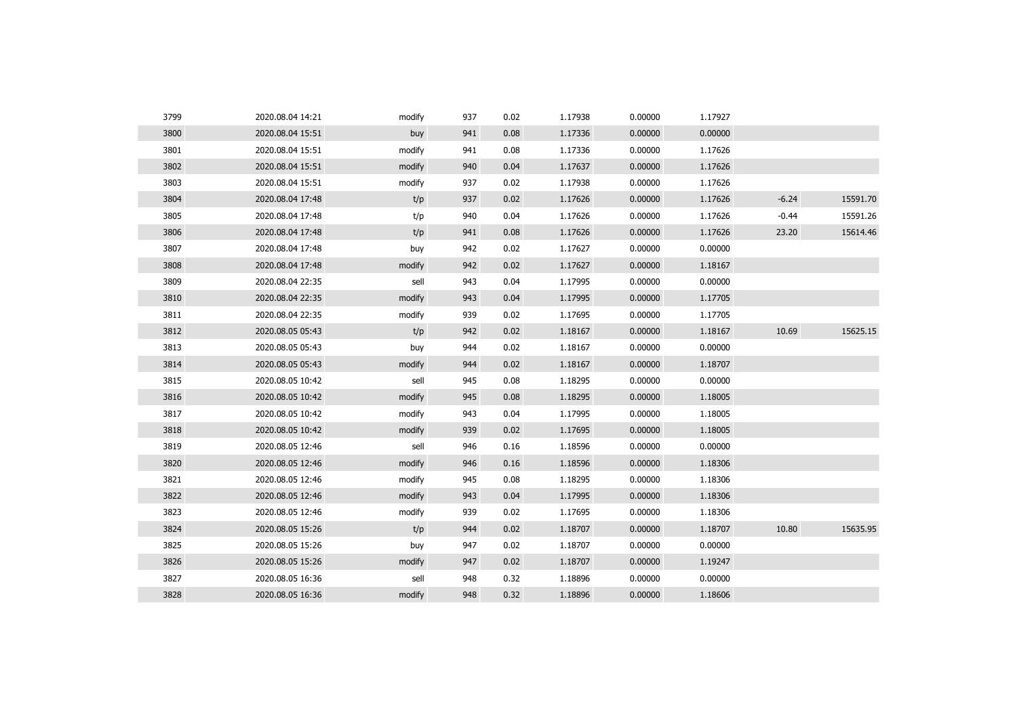| 3799 | 2020.08.04 14:21 | modify | 937 | 0.02 | 1.17938 | 0.00000 | 1.17927 |         |          |
|------|------------------|--------|-----|------|---------|---------|---------|---------|----------|
| 3800 | 2020.08.04 15:51 | buy    | 941 | 0.08 | 1.17336 | 0.00000 | 0.00000 |         |          |
| 3801 | 2020.08.04 15:51 | modify | 941 | 0.08 | 1.17336 | 0.00000 | 1.17626 |         |          |
| 3802 | 2020.08.04 15:51 | modify | 940 | 0.04 | 1.17637 | 0.00000 | 1.17626 |         |          |
| 3803 | 2020.08.04 15:51 | modify | 937 | 0.02 | 1.17938 | 0.00000 | 1.17626 |         |          |
| 3804 | 2020.08.04 17:48 | t/p    | 937 | 0.02 | 1.17626 | 0.00000 | 1.17626 | $-6.24$ | 15591.70 |
| 3805 | 2020.08.04 17:48 | t/p    | 940 | 0.04 | 1.17626 | 0.00000 | 1.17626 | $-0.44$ | 15591.26 |
| 3806 | 2020.08.04 17:48 | t/p    | 941 | 0.08 | 1.17626 | 0.00000 | 1.17626 | 23.20   | 15614.46 |
| 3807 | 2020.08.04 17:48 | buy    | 942 | 0.02 | 1.17627 | 0.00000 | 0.00000 |         |          |
| 3808 | 2020.08.04 17:48 | modify | 942 | 0.02 | 1.17627 | 0.00000 | 1.18167 |         |          |
| 3809 | 2020.08.04 22:35 | sell   | 943 | 0.04 | 1.17995 | 0.00000 | 0.00000 |         |          |
| 3810 | 2020.08.04 22:35 | modify | 943 | 0.04 | 1.17995 | 0.00000 | 1.17705 |         |          |
| 3811 | 2020.08.04 22:35 | modify | 939 | 0.02 | 1.17695 | 0.00000 | 1.17705 |         |          |
| 3812 | 2020.08.05 05:43 | t/p    | 942 | 0.02 | 1.18167 | 0.00000 | 1.18167 | 10.69   | 15625.15 |
| 3813 | 2020.08.05 05:43 | buy    | 944 | 0.02 | 1.18167 | 0.00000 | 0.00000 |         |          |
| 3814 | 2020.08.05 05:43 | modify | 944 | 0.02 | 1.18167 | 0.00000 | 1.18707 |         |          |
| 3815 | 2020.08.05 10:42 | sell   | 945 | 0.08 | 1.18295 | 0.00000 | 0.00000 |         |          |
| 3816 | 2020.08.05 10:42 | modify | 945 | 0.08 | 1.18295 | 0.00000 | 1.18005 |         |          |
| 3817 | 2020.08.05 10:42 | modify | 943 | 0.04 | 1.17995 | 0.00000 | 1.18005 |         |          |
| 3818 | 2020.08.05 10:42 | modify | 939 | 0.02 | 1.17695 | 0.00000 | 1.18005 |         |          |
| 3819 | 2020.08.05 12:46 | sell   | 946 | 0.16 | 1.18596 | 0.00000 | 0.00000 |         |          |
| 3820 | 2020.08.05 12:46 | modify | 946 | 0.16 | 1.18596 | 0.00000 | 1.18306 |         |          |
| 3821 | 2020.08.05 12:46 | modify | 945 | 0.08 | 1.18295 | 0.00000 | 1.18306 |         |          |
| 3822 | 2020.08.05 12:46 | modify | 943 | 0.04 | 1.17995 | 0.00000 | 1.18306 |         |          |
| 3823 | 2020.08.05 12:46 | modify | 939 | 0.02 | 1.17695 | 0.00000 | 1.18306 |         |          |
| 3824 | 2020.08.05 15:26 | t/p    | 944 | 0.02 | 1.18707 | 0.00000 | 1.18707 | 10.80   | 15635.95 |
| 3825 | 2020.08.05 15:26 | buy    | 947 | 0.02 | 1.18707 | 0.00000 | 0.00000 |         |          |
| 3826 | 2020.08.05 15:26 | modify | 947 | 0.02 | 1.18707 | 0.00000 | 1.19247 |         |          |
| 3827 | 2020.08.05 16:36 | sell   | 948 | 0.32 | 1.18896 | 0.00000 | 0.00000 |         |          |
| 3828 | 2020.08.05 16:36 | modify | 948 | 0.32 | 1.18896 | 0.00000 | 1.18606 |         |          |
|      |                  |        |     |      |         |         |         |         |          |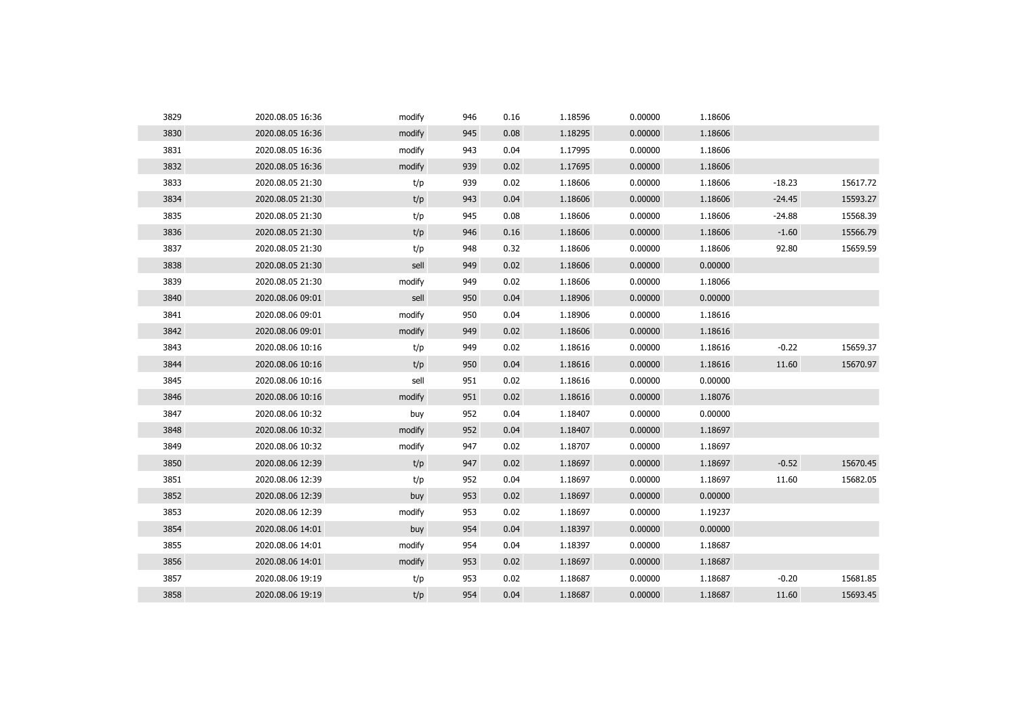| 3829 | 2020.08.05 16:36 | modify | 946 | 0.16 | 1.18596 | 0.00000 | 1.18606 |          |          |
|------|------------------|--------|-----|------|---------|---------|---------|----------|----------|
| 3830 | 2020.08.05 16:36 | modify | 945 | 0.08 | 1.18295 | 0.00000 | 1.18606 |          |          |
| 3831 | 2020.08.05 16:36 | modify | 943 | 0.04 | 1.17995 | 0.00000 | 1.18606 |          |          |
| 3832 | 2020.08.05 16:36 | modify | 939 | 0.02 | 1.17695 | 0.00000 | 1.18606 |          |          |
| 3833 | 2020.08.05 21:30 | t/p    | 939 | 0.02 | 1.18606 | 0.00000 | 1.18606 | $-18.23$ | 15617.72 |
| 3834 | 2020.08.05 21:30 | t/p    | 943 | 0.04 | 1.18606 | 0.00000 | 1.18606 | $-24.45$ | 15593.27 |
| 3835 | 2020.08.05 21:30 | t/p    | 945 | 0.08 | 1.18606 | 0.00000 | 1.18606 | $-24.88$ | 15568.39 |
| 3836 | 2020.08.05 21:30 | t/p    | 946 | 0.16 | 1.18606 | 0.00000 | 1.18606 | $-1.60$  | 15566.79 |
| 3837 | 2020.08.05 21:30 | t/p    | 948 | 0.32 | 1.18606 | 0.00000 | 1.18606 | 92.80    | 15659.59 |
| 3838 | 2020.08.05 21:30 | sell   | 949 | 0.02 | 1.18606 | 0.00000 | 0.00000 |          |          |
| 3839 | 2020.08.05 21:30 | modify | 949 | 0.02 | 1.18606 | 0.00000 | 1.18066 |          |          |
| 3840 | 2020.08.06 09:01 | sell   | 950 | 0.04 | 1.18906 | 0.00000 | 0.00000 |          |          |
| 3841 | 2020.08.06 09:01 | modify | 950 | 0.04 | 1.18906 | 0.00000 | 1.18616 |          |          |
| 3842 | 2020.08.06 09:01 | modify | 949 | 0.02 | 1.18606 | 0.00000 | 1.18616 |          |          |
| 3843 | 2020.08.06 10:16 | t/p    | 949 | 0.02 | 1.18616 | 0.00000 | 1.18616 | $-0.22$  | 15659.37 |
| 3844 | 2020.08.06 10:16 | t/p    | 950 | 0.04 | 1.18616 | 0.00000 | 1.18616 | 11.60    | 15670.97 |
| 3845 | 2020.08.06 10:16 | sell   | 951 | 0.02 | 1.18616 | 0.00000 | 0.00000 |          |          |
| 3846 | 2020.08.06 10:16 | modify | 951 | 0.02 | 1.18616 | 0.00000 | 1.18076 |          |          |
| 3847 | 2020.08.06 10:32 | buy    | 952 | 0.04 | 1.18407 | 0.00000 | 0.00000 |          |          |
| 3848 | 2020.08.06 10:32 | modify | 952 | 0.04 | 1.18407 | 0.00000 | 1.18697 |          |          |
| 3849 | 2020.08.06 10:32 | modify | 947 | 0.02 | 1.18707 | 0.00000 | 1.18697 |          |          |
| 3850 | 2020.08.06 12:39 | t/p    | 947 | 0.02 | 1.18697 | 0.00000 | 1.18697 | $-0.52$  | 15670.45 |
| 3851 | 2020.08.06 12:39 | t/p    | 952 | 0.04 | 1.18697 | 0.00000 | 1.18697 | 11.60    | 15682.05 |
| 3852 | 2020.08.06 12:39 | buy    | 953 | 0.02 | 1.18697 | 0.00000 | 0.00000 |          |          |
| 3853 | 2020.08.06 12:39 | modify | 953 | 0.02 | 1.18697 | 0.00000 | 1.19237 |          |          |
| 3854 | 2020.08.06 14:01 | buy    | 954 | 0.04 | 1.18397 | 0.00000 | 0.00000 |          |          |
| 3855 | 2020.08.06 14:01 | modify | 954 | 0.04 | 1.18397 | 0.00000 | 1.18687 |          |          |
| 3856 | 2020.08.06 14:01 | modify | 953 | 0.02 | 1.18697 | 0.00000 | 1.18687 |          |          |
| 3857 | 2020.08.06 19:19 | t/p    | 953 | 0.02 | 1.18687 | 0.00000 | 1.18687 | $-0.20$  | 15681.85 |
| 3858 | 2020.08.06 19:19 | t/p    | 954 | 0.04 | 1.18687 | 0.00000 | 1.18687 | 11.60    | 15693.45 |
|      |                  |        |     |      |         |         |         |          |          |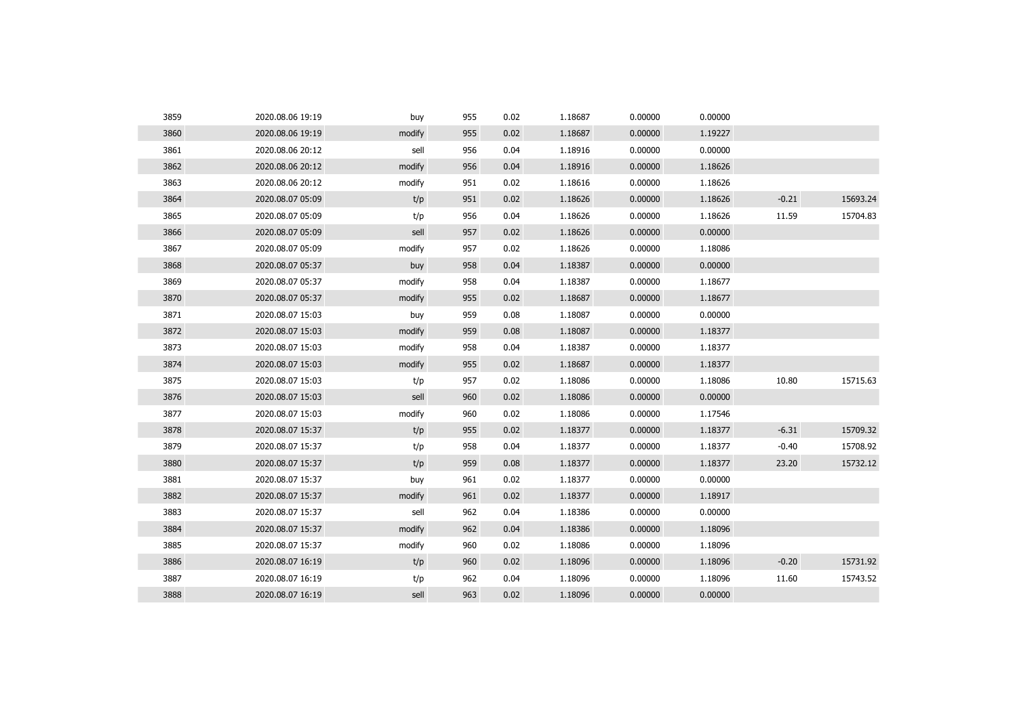| 3859 | 2020.08.06 19:19 | buy    | 955 | 0.02 | 1.18687 | 0.00000 | 0.00000 |         |          |
|------|------------------|--------|-----|------|---------|---------|---------|---------|----------|
| 3860 | 2020.08.06 19:19 | modify | 955 | 0.02 | 1.18687 | 0.00000 | 1.19227 |         |          |
| 3861 | 2020.08.06 20:12 | sell   | 956 | 0.04 | 1.18916 | 0.00000 | 0.00000 |         |          |
| 3862 | 2020.08.06 20:12 | modify | 956 | 0.04 | 1.18916 | 0.00000 | 1.18626 |         |          |
| 3863 | 2020.08.06 20:12 | modify | 951 | 0.02 | 1.18616 | 0.00000 | 1.18626 |         |          |
| 3864 | 2020.08.07 05:09 | t/p    | 951 | 0.02 | 1.18626 | 0.00000 | 1.18626 | $-0.21$ | 15693.24 |
| 3865 | 2020.08.07 05:09 | t/p    | 956 | 0.04 | 1.18626 | 0.00000 | 1.18626 | 11.59   | 15704.83 |
| 3866 | 2020.08.07 05:09 | sell   | 957 | 0.02 | 1.18626 | 0.00000 | 0.00000 |         |          |
| 3867 | 2020.08.07 05:09 | modify | 957 | 0.02 | 1.18626 | 0.00000 | 1.18086 |         |          |
| 3868 | 2020.08.07 05:37 | buy    | 958 | 0.04 | 1.18387 | 0.00000 | 0.00000 |         |          |
| 3869 | 2020.08.07 05:37 | modify | 958 | 0.04 | 1.18387 | 0.00000 | 1.18677 |         |          |
| 3870 | 2020.08.07 05:37 | modify | 955 | 0.02 | 1.18687 | 0.00000 | 1.18677 |         |          |
| 3871 | 2020.08.07 15:03 | buy    | 959 | 0.08 | 1.18087 | 0.00000 | 0.00000 |         |          |
| 3872 | 2020.08.07 15:03 | modify | 959 | 0.08 | 1.18087 | 0.00000 | 1.18377 |         |          |
| 3873 | 2020.08.07 15:03 | modify | 958 | 0.04 | 1.18387 | 0.00000 | 1.18377 |         |          |
| 3874 | 2020.08.07 15:03 | modify | 955 | 0.02 | 1.18687 | 0.00000 | 1.18377 |         |          |
| 3875 | 2020.08.07 15:03 | t/p    | 957 | 0.02 | 1.18086 | 0.00000 | 1.18086 | 10.80   | 15715.63 |
| 3876 | 2020.08.07 15:03 | sell   | 960 | 0.02 | 1.18086 | 0.00000 | 0.00000 |         |          |
| 3877 | 2020.08.07 15:03 | modify | 960 | 0.02 | 1.18086 | 0.00000 | 1.17546 |         |          |
| 3878 | 2020.08.07 15:37 | t/p    | 955 | 0.02 | 1.18377 | 0.00000 | 1.18377 | $-6.31$ | 15709.32 |
| 3879 | 2020.08.07 15:37 | t/p    | 958 | 0.04 | 1.18377 | 0.00000 | 1.18377 | $-0.40$ | 15708.92 |
| 3880 | 2020.08.07 15:37 | t/p    | 959 | 0.08 | 1.18377 | 0.00000 | 1.18377 | 23.20   | 15732.12 |
| 3881 | 2020.08.07 15:37 | buy    | 961 | 0.02 | 1.18377 | 0.00000 | 0.00000 |         |          |
| 3882 | 2020.08.07 15:37 | modify | 961 | 0.02 | 1.18377 | 0.00000 | 1.18917 |         |          |
| 3883 | 2020.08.07 15:37 | sell   | 962 | 0.04 | 1.18386 | 0.00000 | 0.00000 |         |          |
| 3884 | 2020.08.07 15:37 | modify | 962 | 0.04 | 1.18386 | 0.00000 | 1.18096 |         |          |
| 3885 | 2020.08.07 15:37 | modify | 960 | 0.02 | 1.18086 | 0.00000 | 1.18096 |         |          |
| 3886 | 2020.08.07 16:19 | t/p    | 960 | 0.02 | 1.18096 | 0.00000 | 1.18096 | $-0.20$ | 15731.92 |
| 3887 | 2020.08.07 16:19 | t/p    | 962 | 0.04 | 1.18096 | 0.00000 | 1.18096 | 11.60   | 15743.52 |
| 3888 | 2020.08.07 16:19 | sell   | 963 | 0.02 | 1.18096 | 0.00000 | 0.00000 |         |          |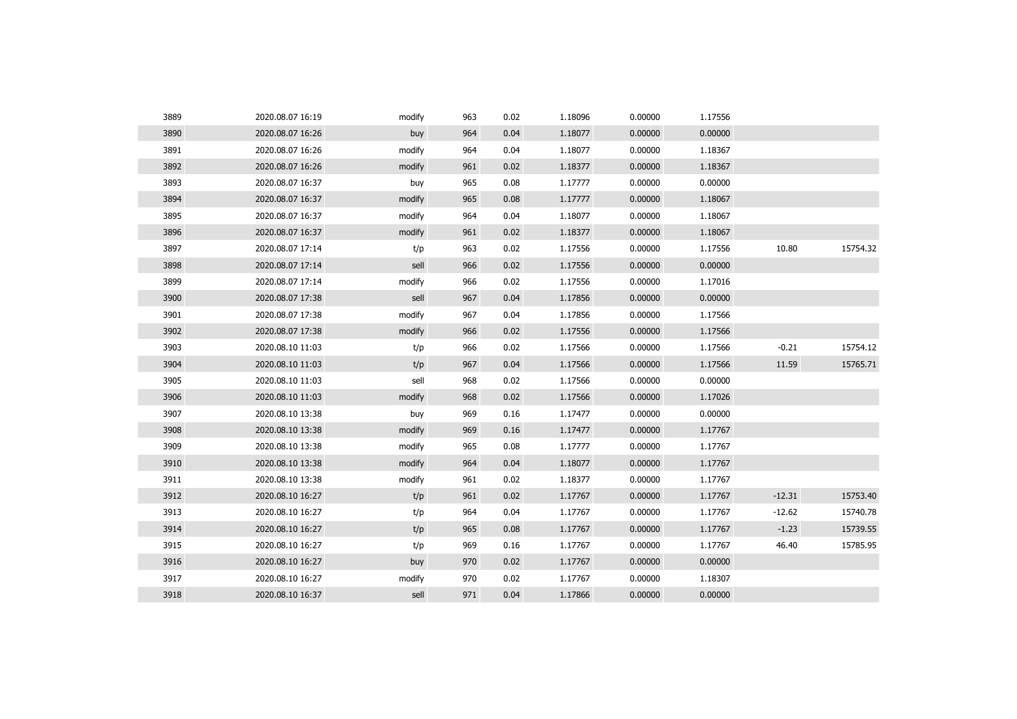| 3889 | 2020.08.07 16:19 | modify | 963 | 0.02 | 1.18096 | 0.00000 | 1.17556 |          |          |
|------|------------------|--------|-----|------|---------|---------|---------|----------|----------|
| 3890 | 2020.08.07 16:26 | buy    | 964 | 0.04 | 1.18077 | 0.00000 | 0.00000 |          |          |
| 3891 | 2020.08.07 16:26 | modify | 964 | 0.04 | 1.18077 | 0.00000 | 1.18367 |          |          |
| 3892 | 2020.08.07 16:26 | modify | 961 | 0.02 | 1.18377 | 0.00000 | 1.18367 |          |          |
| 3893 | 2020.08.07 16:37 | buy    | 965 | 0.08 | 1.17777 | 0.00000 | 0.00000 |          |          |
| 3894 | 2020.08.07 16:37 | modify | 965 | 0.08 | 1.17777 | 0.00000 | 1.18067 |          |          |
| 3895 | 2020.08.07 16:37 | modify | 964 | 0.04 | 1.18077 | 0.00000 | 1.18067 |          |          |
| 3896 | 2020.08.07 16:37 | modify | 961 | 0.02 | 1.18377 | 0.00000 | 1.18067 |          |          |
| 3897 | 2020.08.07 17:14 | t/p    | 963 | 0.02 | 1.17556 | 0.00000 | 1.17556 | 10.80    | 15754.32 |
| 3898 | 2020.08.07 17:14 | sell   | 966 | 0.02 | 1.17556 | 0.00000 | 0.00000 |          |          |
| 3899 | 2020.08.07 17:14 | modify | 966 | 0.02 | 1.17556 | 0.00000 | 1.17016 |          |          |
| 3900 | 2020.08.07 17:38 | sell   | 967 | 0.04 | 1.17856 | 0.00000 | 0.00000 |          |          |
| 3901 | 2020.08.07 17:38 | modify | 967 | 0.04 | 1.17856 | 0.00000 | 1.17566 |          |          |
| 3902 | 2020.08.07 17:38 | modify | 966 | 0.02 | 1.17556 | 0.00000 | 1.17566 |          |          |
| 3903 | 2020.08.10 11:03 | t/p    | 966 | 0.02 | 1.17566 | 0.00000 | 1.17566 | $-0.21$  | 15754.12 |
| 3904 | 2020.08.10 11:03 | t/p    | 967 | 0.04 | 1.17566 | 0.00000 | 1.17566 | 11.59    | 15765.71 |
| 3905 | 2020.08.10 11:03 | sell   | 968 | 0.02 | 1.17566 | 0.00000 | 0.00000 |          |          |
| 3906 | 2020.08.10 11:03 | modify | 968 | 0.02 | 1.17566 | 0.00000 | 1.17026 |          |          |
| 3907 | 2020.08.10 13:38 | buy    | 969 | 0.16 | 1.17477 | 0.00000 | 0.00000 |          |          |
| 3908 | 2020.08.10 13:38 | modify | 969 | 0.16 | 1.17477 | 0.00000 | 1.17767 |          |          |
| 3909 | 2020.08.10 13:38 | modify | 965 | 0.08 | 1.17777 | 0.00000 | 1.17767 |          |          |
| 3910 | 2020.08.10 13:38 | modify | 964 | 0.04 | 1.18077 | 0.00000 | 1.17767 |          |          |
| 3911 | 2020.08.10 13:38 | modify | 961 | 0.02 | 1.18377 | 0.00000 | 1.17767 |          |          |
| 3912 | 2020.08.10 16:27 | t/p    | 961 | 0.02 | 1.17767 | 0.00000 | 1.17767 | $-12.31$ | 15753.40 |
| 3913 | 2020.08.10 16:27 | t/p    | 964 | 0.04 | 1.17767 | 0.00000 | 1.17767 | $-12.62$ | 15740.78 |
| 3914 | 2020.08.10 16:27 | t/p    | 965 | 0.08 | 1.17767 | 0.00000 | 1.17767 | $-1.23$  | 15739.55 |
| 3915 | 2020.08.10 16:27 | t/p    | 969 | 0.16 | 1.17767 | 0.00000 | 1.17767 | 46.40    | 15785.95 |
| 3916 | 2020.08.10 16:27 | buy    | 970 | 0.02 | 1.17767 | 0.00000 | 0.00000 |          |          |
| 3917 | 2020.08.10 16:27 | modify | 970 | 0.02 | 1.17767 | 0.00000 | 1.18307 |          |          |
| 3918 | 2020.08.10 16:37 | sell   | 971 | 0.04 | 1.17866 | 0.00000 | 0.00000 |          |          |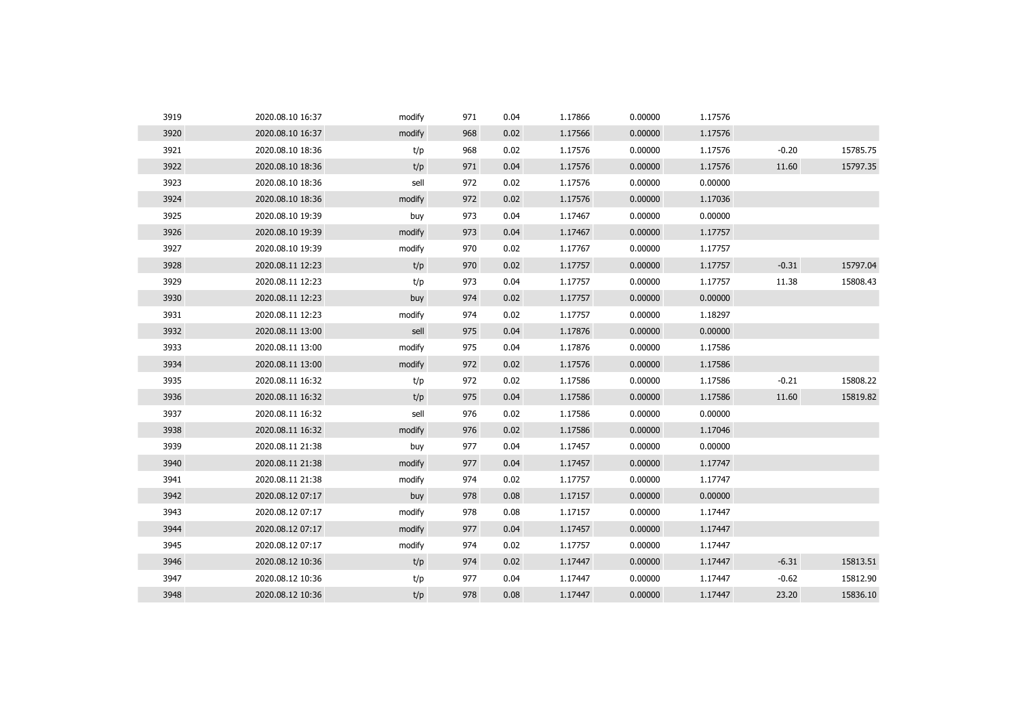| 3919 | 2020.08.10 16:37 | modify | 971 | 0.04 | 1.17866 | 0.00000 | 1.17576 |         |          |
|------|------------------|--------|-----|------|---------|---------|---------|---------|----------|
| 3920 | 2020.08.10 16:37 | modify | 968 | 0.02 | 1.17566 | 0.00000 | 1.17576 |         |          |
| 3921 | 2020.08.10 18:36 | t/p    | 968 | 0.02 | 1.17576 | 0.00000 | 1.17576 | $-0.20$ | 15785.75 |
| 3922 | 2020.08.10 18:36 | t/p    | 971 | 0.04 | 1.17576 | 0.00000 | 1.17576 | 11.60   | 15797.35 |
| 3923 | 2020.08.10 18:36 | sell   | 972 | 0.02 | 1.17576 | 0.00000 | 0.00000 |         |          |
| 3924 | 2020.08.10 18:36 | modify | 972 | 0.02 | 1.17576 | 0.00000 | 1.17036 |         |          |
| 3925 | 2020.08.10 19:39 | buy    | 973 | 0.04 | 1.17467 | 0.00000 | 0.00000 |         |          |
| 3926 | 2020.08.10 19:39 | modify | 973 | 0.04 | 1.17467 | 0.00000 | 1.17757 |         |          |
| 3927 | 2020.08.10 19:39 | modify | 970 | 0.02 | 1.17767 | 0.00000 | 1.17757 |         |          |
| 3928 | 2020.08.11 12:23 | t/p    | 970 | 0.02 | 1.17757 | 0.00000 | 1.17757 | $-0.31$ | 15797.04 |
| 3929 | 2020.08.11 12:23 | t/p    | 973 | 0.04 | 1.17757 | 0.00000 | 1.17757 | 11.38   | 15808.43 |
| 3930 | 2020.08.11 12:23 | buy    | 974 | 0.02 | 1.17757 | 0.00000 | 0.00000 |         |          |
| 3931 | 2020.08.11 12:23 | modify | 974 | 0.02 | 1.17757 | 0.00000 | 1.18297 |         |          |
| 3932 | 2020.08.11 13:00 | sell   | 975 | 0.04 | 1.17876 | 0.00000 | 0.00000 |         |          |
| 3933 | 2020.08.11 13:00 | modify | 975 | 0.04 | 1.17876 | 0.00000 | 1.17586 |         |          |
| 3934 | 2020.08.11 13:00 | modify | 972 | 0.02 | 1.17576 | 0.00000 | 1.17586 |         |          |
| 3935 | 2020.08.11 16:32 | t/p    | 972 | 0.02 | 1.17586 | 0.00000 | 1.17586 | $-0.21$ | 15808.22 |
| 3936 | 2020.08.11 16:32 | t/p    | 975 | 0.04 | 1.17586 | 0.00000 | 1.17586 | 11.60   | 15819.82 |
| 3937 | 2020.08.11 16:32 | sell   | 976 | 0.02 | 1.17586 | 0.00000 | 0.00000 |         |          |
| 3938 | 2020.08.11 16:32 | modify | 976 | 0.02 | 1.17586 | 0.00000 | 1.17046 |         |          |
| 3939 | 2020.08.11 21:38 | buy    | 977 | 0.04 | 1.17457 | 0.00000 | 0.00000 |         |          |
| 3940 | 2020.08.11 21:38 | modify | 977 | 0.04 | 1.17457 | 0.00000 | 1.17747 |         |          |
| 3941 | 2020.08.11 21:38 | modify | 974 | 0.02 | 1.17757 | 0.00000 | 1.17747 |         |          |
| 3942 | 2020.08.12 07:17 | buy    | 978 | 0.08 | 1.17157 | 0.00000 | 0.00000 |         |          |
| 3943 | 2020.08.12 07:17 | modify | 978 | 0.08 | 1.17157 | 0.00000 | 1.17447 |         |          |
| 3944 | 2020.08.12 07:17 | modify | 977 | 0.04 | 1.17457 | 0.00000 | 1.17447 |         |          |
| 3945 | 2020.08.12 07:17 | modify | 974 | 0.02 | 1.17757 | 0.00000 | 1.17447 |         |          |
| 3946 | 2020.08.12 10:36 | t/p    | 974 | 0.02 | 1.17447 | 0.00000 | 1.17447 | $-6.31$ | 15813.51 |
| 3947 | 2020.08.12 10:36 | t/p    | 977 | 0.04 | 1.17447 | 0.00000 | 1.17447 | $-0.62$ | 15812.90 |
| 3948 | 2020.08.12 10:36 | t/p    | 978 | 0.08 | 1.17447 | 0.00000 | 1.17447 | 23.20   | 15836.10 |
|      |                  |        |     |      |         |         |         |         |          |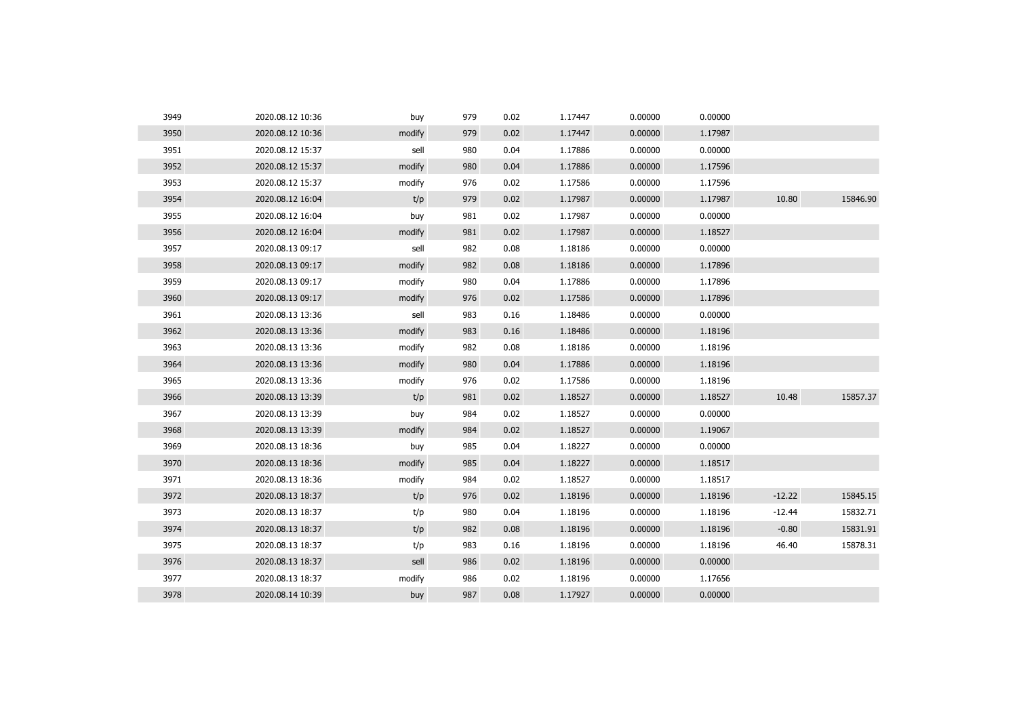| 3949 | 2020.08.12 10:36 | buy    | 979 | 0.02 | 1.17447 | 0.00000 | 0.00000 |          |          |
|------|------------------|--------|-----|------|---------|---------|---------|----------|----------|
| 3950 | 2020.08.12 10:36 | modify | 979 | 0.02 | 1.17447 | 0.00000 | 1.17987 |          |          |
| 3951 | 2020.08.12 15:37 | sell   | 980 | 0.04 | 1.17886 | 0.00000 | 0.00000 |          |          |
| 3952 | 2020.08.12 15:37 | modify | 980 | 0.04 | 1.17886 | 0.00000 | 1.17596 |          |          |
| 3953 | 2020.08.12 15:37 | modify | 976 | 0.02 | 1.17586 | 0.00000 | 1.17596 |          |          |
| 3954 | 2020.08.12 16:04 | t/p    | 979 | 0.02 | 1.17987 | 0.00000 | 1.17987 | 10.80    | 15846.90 |
| 3955 | 2020.08.12 16:04 | buy    | 981 | 0.02 | 1.17987 | 0.00000 | 0.00000 |          |          |
| 3956 | 2020.08.12 16:04 | modify | 981 | 0.02 | 1.17987 | 0.00000 | 1.18527 |          |          |
| 3957 | 2020.08.13 09:17 | sell   | 982 | 0.08 | 1.18186 | 0.00000 | 0.00000 |          |          |
| 3958 | 2020.08.13 09:17 | modify | 982 | 0.08 | 1.18186 | 0.00000 | 1.17896 |          |          |
| 3959 | 2020.08.13 09:17 | modify | 980 | 0.04 | 1.17886 | 0.00000 | 1.17896 |          |          |
| 3960 | 2020.08.13 09:17 | modify | 976 | 0.02 | 1.17586 | 0.00000 | 1.17896 |          |          |
| 3961 | 2020.08.13 13:36 | sell   | 983 | 0.16 | 1.18486 | 0.00000 | 0.00000 |          |          |
| 3962 | 2020.08.13 13:36 | modify | 983 | 0.16 | 1.18486 | 0.00000 | 1.18196 |          |          |
| 3963 | 2020.08.13 13:36 | modify | 982 | 0.08 | 1.18186 | 0.00000 | 1.18196 |          |          |
| 3964 | 2020.08.13 13:36 | modify | 980 | 0.04 | 1.17886 | 0.00000 | 1.18196 |          |          |
| 3965 | 2020.08.13 13:36 | modify | 976 | 0.02 | 1.17586 | 0.00000 | 1.18196 |          |          |
| 3966 | 2020.08.13 13:39 | t/p    | 981 | 0.02 | 1.18527 | 0.00000 | 1.18527 | 10.48    | 15857.37 |
| 3967 | 2020.08.13 13:39 | buy    | 984 | 0.02 | 1.18527 | 0.00000 | 0.00000 |          |          |
| 3968 | 2020.08.13 13:39 | modify | 984 | 0.02 | 1.18527 | 0.00000 | 1.19067 |          |          |
| 3969 | 2020.08.13 18:36 | buy    | 985 | 0.04 | 1.18227 | 0.00000 | 0.00000 |          |          |
| 3970 | 2020.08.13 18:36 | modify | 985 | 0.04 | 1.18227 | 0.00000 | 1.18517 |          |          |
| 3971 | 2020.08.13 18:36 | modify | 984 | 0.02 | 1.18527 | 0.00000 | 1.18517 |          |          |
| 3972 | 2020.08.13 18:37 | t/p    | 976 | 0.02 | 1.18196 | 0.00000 | 1.18196 | $-12.22$ | 15845.15 |
| 3973 | 2020.08.13 18:37 | t/p    | 980 | 0.04 | 1.18196 | 0.00000 | 1.18196 | $-12.44$ | 15832.71 |
| 3974 | 2020.08.13 18:37 | t/p    | 982 | 0.08 | 1.18196 | 0.00000 | 1.18196 | $-0.80$  | 15831.91 |
| 3975 | 2020.08.13 18:37 | t/p    | 983 | 0.16 | 1.18196 | 0.00000 | 1.18196 | 46.40    | 15878.31 |
| 3976 | 2020.08.13 18:37 | sell   | 986 | 0.02 | 1.18196 | 0.00000 | 0.00000 |          |          |
| 3977 | 2020.08.13 18:37 | modify | 986 | 0.02 | 1.18196 | 0.00000 | 1.17656 |          |          |
| 3978 | 2020.08.14 10:39 | buy    | 987 | 0.08 | 1.17927 | 0.00000 | 0.00000 |          |          |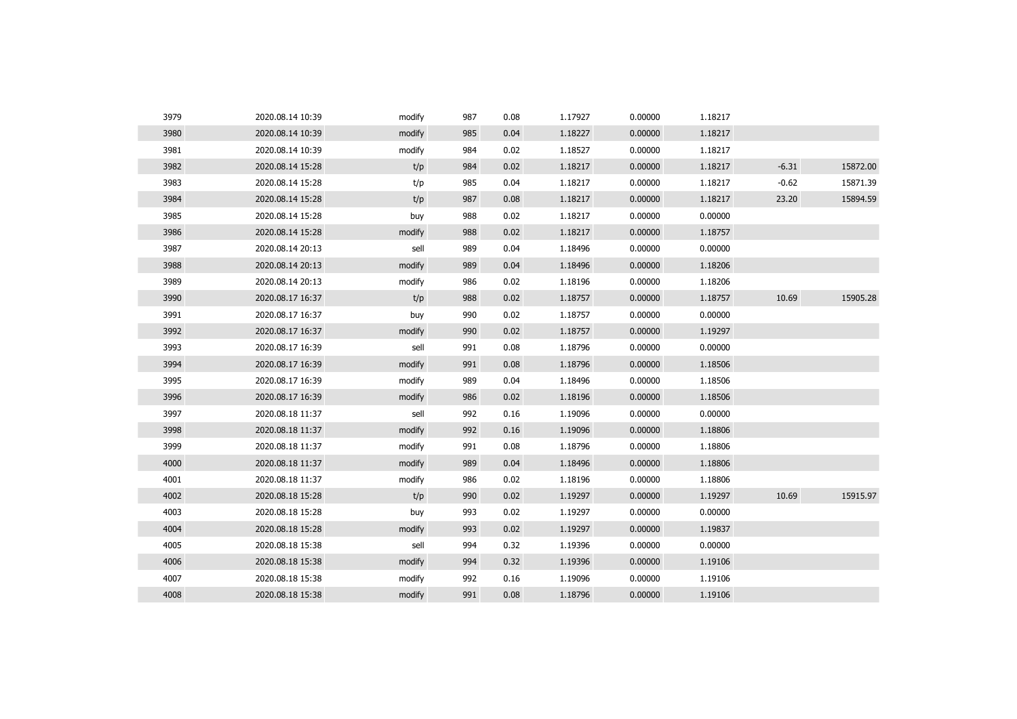| 3979 | 2020.08.14 10:39 | modify | 987 | 0.08 | 1.17927 | 0.00000 | 1.18217 |         |          |
|------|------------------|--------|-----|------|---------|---------|---------|---------|----------|
| 3980 | 2020.08.14 10:39 | modify | 985 | 0.04 | 1.18227 | 0.00000 | 1.18217 |         |          |
| 3981 | 2020.08.14 10:39 | modify | 984 | 0.02 | 1.18527 | 0.00000 | 1.18217 |         |          |
| 3982 | 2020.08.14 15:28 | t/p    | 984 | 0.02 | 1.18217 | 0.00000 | 1.18217 | $-6.31$ | 15872.00 |
| 3983 | 2020.08.14 15:28 | t/p    | 985 | 0.04 | 1.18217 | 0.00000 | 1.18217 | $-0.62$ | 15871.39 |
| 3984 | 2020.08.14 15:28 | t/p    | 987 | 0.08 | 1.18217 | 0.00000 | 1.18217 | 23.20   | 15894.59 |
| 3985 | 2020.08.14 15:28 | buy    | 988 | 0.02 | 1.18217 | 0.00000 | 0.00000 |         |          |
| 3986 | 2020.08.14 15:28 | modify | 988 | 0.02 | 1.18217 | 0.00000 | 1.18757 |         |          |
| 3987 | 2020.08.14 20:13 | sell   | 989 | 0.04 | 1.18496 | 0.00000 | 0.00000 |         |          |
| 3988 | 2020.08.14 20:13 | modify | 989 | 0.04 | 1.18496 | 0.00000 | 1.18206 |         |          |
| 3989 | 2020.08.14 20:13 | modify | 986 | 0.02 | 1.18196 | 0.00000 | 1.18206 |         |          |
| 3990 | 2020.08.17 16:37 | t/p    | 988 | 0.02 | 1.18757 | 0.00000 | 1.18757 | 10.69   | 15905.28 |
| 3991 | 2020.08.17 16:37 | buy    | 990 | 0.02 | 1.18757 | 0.00000 | 0.00000 |         |          |
| 3992 | 2020.08.17 16:37 | modify | 990 | 0.02 | 1.18757 | 0.00000 | 1.19297 |         |          |
| 3993 | 2020.08.17 16:39 | sell   | 991 | 0.08 | 1.18796 | 0.00000 | 0.00000 |         |          |
| 3994 | 2020.08.17 16:39 | modify | 991 | 0.08 | 1.18796 | 0.00000 | 1.18506 |         |          |
| 3995 | 2020.08.17 16:39 | modify | 989 | 0.04 | 1.18496 | 0.00000 | 1.18506 |         |          |
| 3996 | 2020.08.17 16:39 | modify | 986 | 0.02 | 1.18196 | 0.00000 | 1.18506 |         |          |
| 3997 | 2020.08.18 11:37 | sell   | 992 | 0.16 | 1.19096 | 0.00000 | 0.00000 |         |          |
| 3998 | 2020.08.18 11:37 | modify | 992 | 0.16 | 1.19096 | 0.00000 | 1.18806 |         |          |
| 3999 | 2020.08.18 11:37 | modify | 991 | 0.08 | 1.18796 | 0.00000 | 1.18806 |         |          |
| 4000 | 2020.08.18 11:37 | modify | 989 | 0.04 | 1.18496 | 0.00000 | 1.18806 |         |          |
| 4001 | 2020.08.18 11:37 | modify | 986 | 0.02 | 1.18196 | 0.00000 | 1.18806 |         |          |
| 4002 | 2020.08.18 15:28 | t/p    | 990 | 0.02 | 1.19297 | 0.00000 | 1.19297 | 10.69   | 15915.97 |
| 4003 | 2020.08.18 15:28 | buy    | 993 | 0.02 | 1.19297 | 0.00000 | 0.00000 |         |          |
| 4004 | 2020.08.18 15:28 | modify | 993 | 0.02 | 1.19297 | 0.00000 | 1.19837 |         |          |
| 4005 | 2020.08.18 15:38 | sell   | 994 | 0.32 | 1.19396 | 0.00000 | 0.00000 |         |          |
| 4006 | 2020.08.18 15:38 | modify | 994 | 0.32 | 1.19396 | 0.00000 | 1.19106 |         |          |
| 4007 | 2020.08.18 15:38 | modify | 992 | 0.16 | 1.19096 | 0.00000 | 1.19106 |         |          |
| 4008 | 2020.08.18 15:38 | modify | 991 | 0.08 | 1.18796 | 0.00000 | 1.19106 |         |          |
|      |                  |        |     |      |         |         |         |         |          |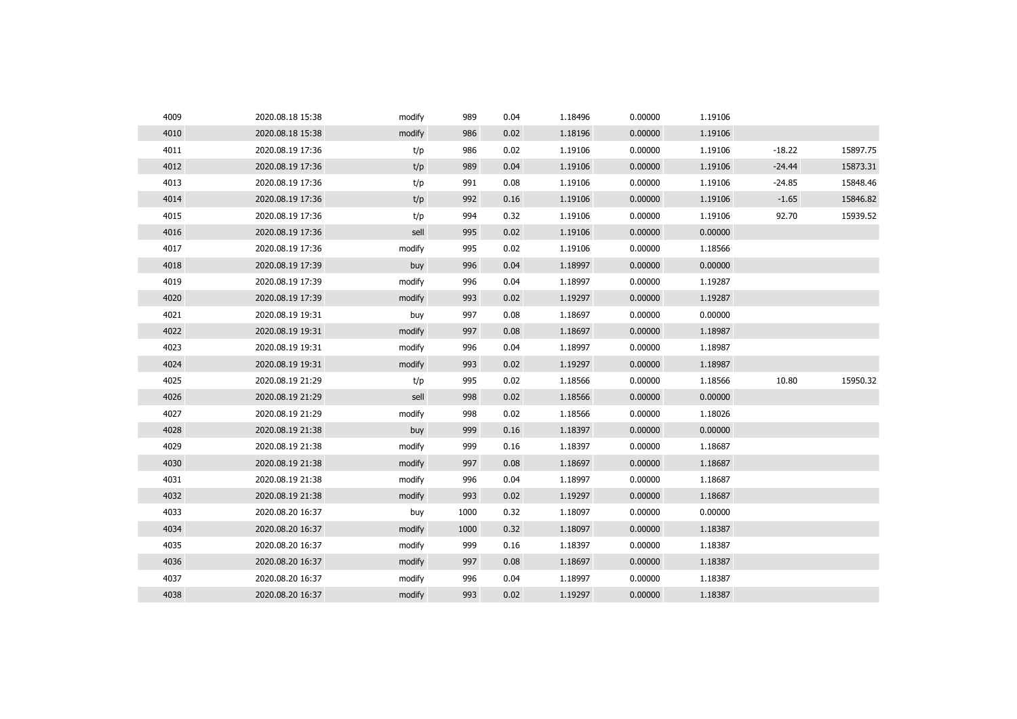| 4009 | 2020.08.18 15:38 | modify | 989  | 0.04 | 1.18496 | 0.00000 | 1.19106 |          |          |
|------|------------------|--------|------|------|---------|---------|---------|----------|----------|
| 4010 | 2020.08.18 15:38 | modify | 986  | 0.02 | 1.18196 | 0.00000 | 1.19106 |          |          |
| 4011 | 2020.08.19 17:36 | t/p    | 986  | 0.02 | 1.19106 | 0.00000 | 1.19106 | $-18.22$ | 15897.75 |
| 4012 | 2020.08.19 17:36 | t/p    | 989  | 0.04 | 1.19106 | 0.00000 | 1.19106 | $-24.44$ | 15873.31 |
| 4013 | 2020.08.19 17:36 | t/p    | 991  | 0.08 | 1.19106 | 0.00000 | 1.19106 | $-24.85$ | 15848.46 |
| 4014 | 2020.08.19 17:36 | t/p    | 992  | 0.16 | 1.19106 | 0.00000 | 1.19106 | $-1.65$  | 15846.82 |
| 4015 | 2020.08.19 17:36 | t/p    | 994  | 0.32 | 1.19106 | 0.00000 | 1.19106 | 92.70    | 15939.52 |
| 4016 | 2020.08.19 17:36 | sell   | 995  | 0.02 | 1.19106 | 0.00000 | 0.00000 |          |          |
| 4017 | 2020.08.19 17:36 | modify | 995  | 0.02 | 1.19106 | 0.00000 | 1.18566 |          |          |
| 4018 | 2020.08.19 17:39 | buy    | 996  | 0.04 | 1.18997 | 0.00000 | 0.00000 |          |          |
| 4019 | 2020.08.19 17:39 | modify | 996  | 0.04 | 1.18997 | 0.00000 | 1.19287 |          |          |
| 4020 | 2020.08.19 17:39 | modify | 993  | 0.02 | 1.19297 | 0.00000 | 1.19287 |          |          |
| 4021 | 2020.08.19 19:31 | buy    | 997  | 0.08 | 1.18697 | 0.00000 | 0.00000 |          |          |
| 4022 | 2020.08.19 19:31 | modify | 997  | 0.08 | 1.18697 | 0.00000 | 1.18987 |          |          |
| 4023 | 2020.08.19 19:31 | modify | 996  | 0.04 | 1.18997 | 0.00000 | 1.18987 |          |          |
| 4024 | 2020.08.19 19:31 | modify | 993  | 0.02 | 1.19297 | 0.00000 | 1.18987 |          |          |
| 4025 | 2020.08.19 21:29 | t/p    | 995  | 0.02 | 1.18566 | 0.00000 | 1.18566 | 10.80    | 15950.32 |
| 4026 | 2020.08.19 21:29 | sell   | 998  | 0.02 | 1.18566 | 0.00000 | 0.00000 |          |          |
| 4027 | 2020.08.19 21:29 | modify | 998  | 0.02 | 1.18566 | 0.00000 | 1.18026 |          |          |
| 4028 | 2020.08.19 21:38 | buy    | 999  | 0.16 | 1.18397 | 0.00000 | 0.00000 |          |          |
| 4029 | 2020.08.19 21:38 | modify | 999  | 0.16 | 1.18397 | 0.00000 | 1.18687 |          |          |
| 4030 | 2020.08.19 21:38 | modify | 997  | 0.08 | 1.18697 | 0.00000 | 1.18687 |          |          |
| 4031 | 2020.08.19 21:38 | modify | 996  | 0.04 | 1.18997 | 0.00000 | 1.18687 |          |          |
| 4032 | 2020.08.19 21:38 | modify | 993  | 0.02 | 1.19297 | 0.00000 | 1.18687 |          |          |
| 4033 | 2020.08.20 16:37 | buy    | 1000 | 0.32 | 1.18097 | 0.00000 | 0.00000 |          |          |
| 4034 | 2020.08.20 16:37 | modify | 1000 | 0.32 | 1.18097 | 0.00000 | 1.18387 |          |          |
| 4035 | 2020.08.20 16:37 | modify | 999  | 0.16 | 1.18397 | 0.00000 | 1.18387 |          |          |
| 4036 | 2020.08.20 16:37 | modify | 997  | 0.08 | 1.18697 | 0.00000 | 1.18387 |          |          |
| 4037 | 2020.08.20 16:37 | modify | 996  | 0.04 | 1.18997 | 0.00000 | 1.18387 |          |          |
| 4038 | 2020.08.20 16:37 | modify | 993  | 0.02 | 1.19297 | 0.00000 | 1.18387 |          |          |
|      |                  |        |      |      |         |         |         |          |          |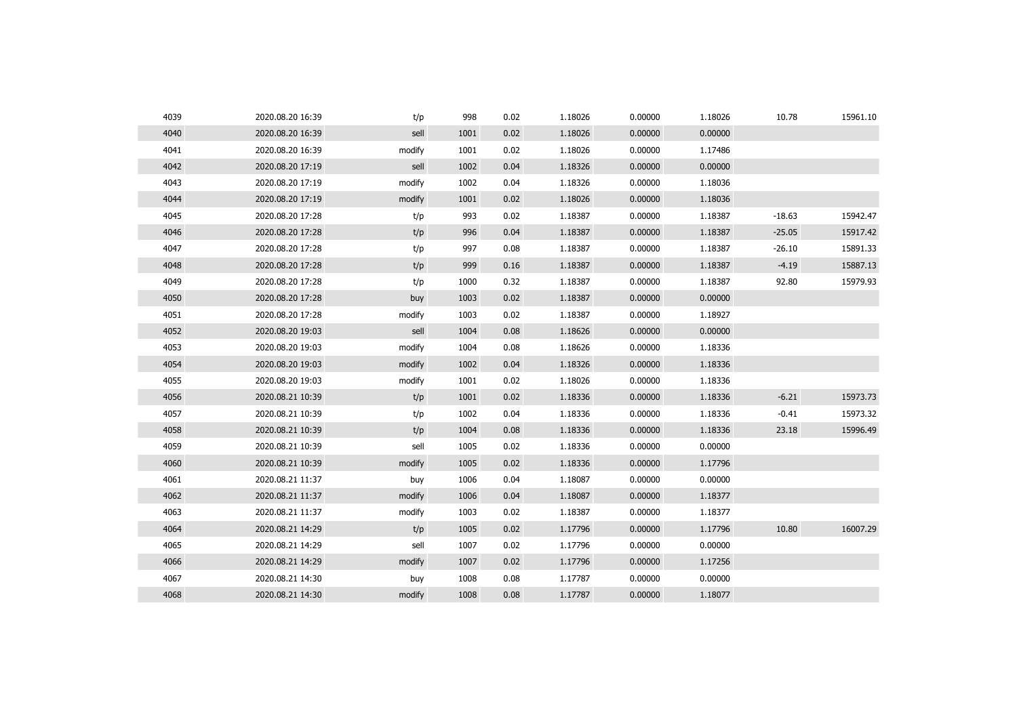| 4039 | 2020.08.20 16:39 | t/p    | 998  | 0.02 | 1.18026 | 0.00000 | 1.18026 | 10.78    | 15961.10 |
|------|------------------|--------|------|------|---------|---------|---------|----------|----------|
| 4040 | 2020.08.20 16:39 | sell   | 1001 | 0.02 | 1.18026 | 0.00000 | 0.00000 |          |          |
| 4041 | 2020.08.20 16:39 | modify | 1001 | 0.02 | 1.18026 | 0.00000 | 1.17486 |          |          |
| 4042 | 2020.08.20 17:19 | sell   | 1002 | 0.04 | 1.18326 | 0.00000 | 0.00000 |          |          |
| 4043 | 2020.08.20 17:19 | modify | 1002 | 0.04 | 1.18326 | 0.00000 | 1.18036 |          |          |
| 4044 | 2020.08.20 17:19 | modify | 1001 | 0.02 | 1.18026 | 0.00000 | 1.18036 |          |          |
| 4045 | 2020.08.20 17:28 | t/p    | 993  | 0.02 | 1.18387 | 0.00000 | 1.18387 | $-18.63$ | 15942.47 |
| 4046 | 2020.08.20 17:28 | t/p    | 996  | 0.04 | 1.18387 | 0.00000 | 1.18387 | $-25.05$ | 15917.42 |
| 4047 | 2020.08.20 17:28 | t/p    | 997  | 0.08 | 1.18387 | 0.00000 | 1.18387 | $-26.10$ | 15891.33 |
| 4048 | 2020.08.20 17:28 | t/p    | 999  | 0.16 | 1.18387 | 0.00000 | 1.18387 | $-4.19$  | 15887.13 |
| 4049 | 2020.08.20 17:28 | t/p    | 1000 | 0.32 | 1.18387 | 0.00000 | 1.18387 | 92.80    | 15979.93 |
| 4050 | 2020.08.20 17:28 | buy    | 1003 | 0.02 | 1.18387 | 0.00000 | 0.00000 |          |          |
| 4051 | 2020.08.20 17:28 | modify | 1003 | 0.02 | 1.18387 | 0.00000 | 1.18927 |          |          |
| 4052 | 2020.08.20 19:03 | sell   | 1004 | 0.08 | 1.18626 | 0.00000 | 0.00000 |          |          |
| 4053 | 2020.08.20 19:03 | modify | 1004 | 0.08 | 1.18626 | 0.00000 | 1.18336 |          |          |
| 4054 | 2020.08.20 19:03 | modify | 1002 | 0.04 | 1.18326 | 0.00000 | 1.18336 |          |          |
| 4055 | 2020.08.20 19:03 | modify | 1001 | 0.02 | 1.18026 | 0.00000 | 1.18336 |          |          |
| 4056 | 2020.08.21 10:39 | t/p    | 1001 | 0.02 | 1.18336 | 0.00000 | 1.18336 | $-6.21$  | 15973.73 |
| 4057 | 2020.08.21 10:39 | t/p    | 1002 | 0.04 | 1.18336 | 0.00000 | 1.18336 | $-0.41$  | 15973.32 |
| 4058 | 2020.08.21 10:39 | t/p    | 1004 | 0.08 | 1.18336 | 0.00000 | 1.18336 | 23.18    | 15996.49 |
| 4059 | 2020.08.21 10:39 | sell   | 1005 | 0.02 | 1.18336 | 0.00000 | 0.00000 |          |          |
| 4060 | 2020.08.21 10:39 | modify | 1005 | 0.02 | 1.18336 | 0.00000 | 1.17796 |          |          |
| 4061 | 2020.08.21 11:37 | buy    | 1006 | 0.04 | 1.18087 | 0.00000 | 0.00000 |          |          |
| 4062 | 2020.08.21 11:37 | modify | 1006 | 0.04 | 1.18087 | 0.00000 | 1.18377 |          |          |
| 4063 | 2020.08.21 11:37 | modify | 1003 | 0.02 | 1.18387 | 0.00000 | 1.18377 |          |          |
| 4064 | 2020.08.21 14:29 | t/p    | 1005 | 0.02 | 1.17796 | 0.00000 | 1.17796 | 10.80    | 16007.29 |
| 4065 | 2020.08.21 14:29 | sell   | 1007 | 0.02 | 1.17796 | 0.00000 | 0.00000 |          |          |
| 4066 | 2020.08.21 14:29 | modify | 1007 | 0.02 | 1.17796 | 0.00000 | 1.17256 |          |          |
| 4067 | 2020.08.21 14:30 | buy    | 1008 | 0.08 | 1.17787 | 0.00000 | 0.00000 |          |          |
| 4068 | 2020.08.21 14:30 | modify | 1008 | 0.08 | 1.17787 | 0.00000 | 1.18077 |          |          |
|      |                  |        |      |      |         |         |         |          |          |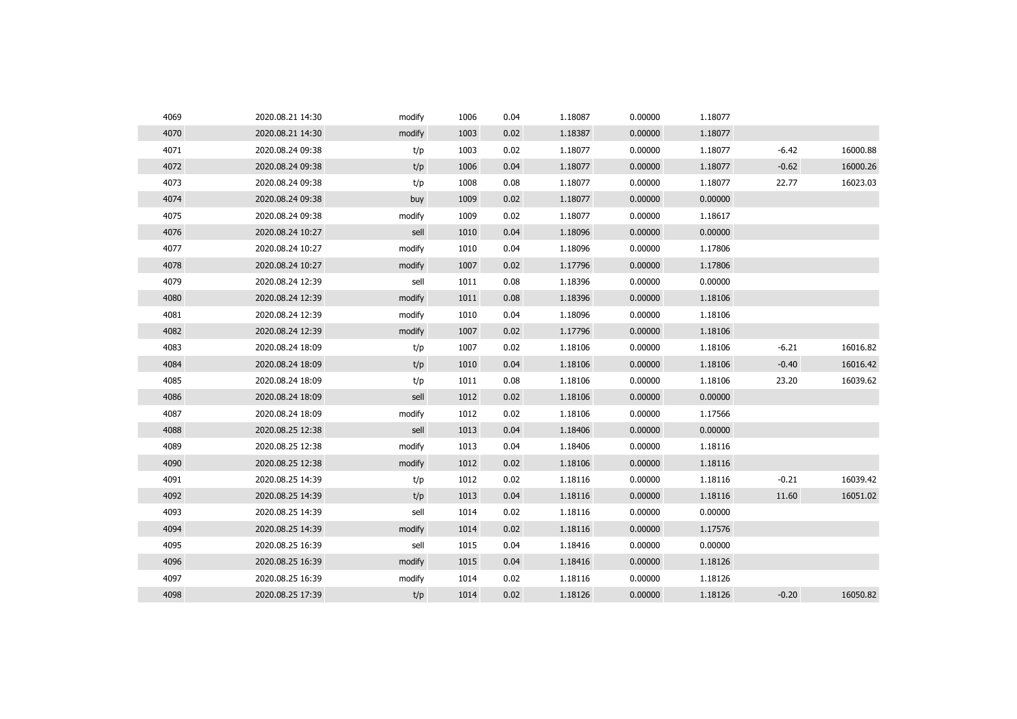| 4069 | 2020.08.21 14:30 | modify | 1006 | 0.04 | 1.18087 | 0.00000 | 1.18077 |         |          |
|------|------------------|--------|------|------|---------|---------|---------|---------|----------|
| 4070 | 2020.08.21 14:30 | modify | 1003 | 0.02 | 1.18387 | 0.00000 | 1.18077 |         |          |
| 4071 | 2020.08.24 09:38 | t/p    | 1003 | 0.02 | 1.18077 | 0.00000 | 1.18077 | $-6.42$ | 16000.88 |
| 4072 | 2020.08.24 09:38 | t/p    | 1006 | 0.04 | 1.18077 | 0.00000 | 1.18077 | $-0.62$ | 16000.26 |
| 4073 | 2020.08.24 09:38 | t/p    | 1008 | 0.08 | 1.18077 | 0.00000 | 1.18077 | 22.77   | 16023.03 |
| 4074 | 2020.08.24 09:38 | buy    | 1009 | 0.02 | 1.18077 | 0.00000 | 0.00000 |         |          |
| 4075 | 2020.08.24 09:38 | modify | 1009 | 0.02 | 1.18077 | 0.00000 | 1.18617 |         |          |
| 4076 | 2020.08.24 10:27 | sell   | 1010 | 0.04 | 1.18096 | 0.00000 | 0.00000 |         |          |
| 4077 | 2020.08.24 10:27 | modify | 1010 | 0.04 | 1.18096 | 0.00000 | 1.17806 |         |          |
| 4078 | 2020.08.24 10:27 | modify | 1007 | 0.02 | 1.17796 | 0.00000 | 1.17806 |         |          |
| 4079 | 2020.08.24 12:39 | sell   | 1011 | 0.08 | 1.18396 | 0.00000 | 0.00000 |         |          |
| 4080 | 2020.08.24 12:39 | modify | 1011 | 0.08 | 1.18396 | 0.00000 | 1.18106 |         |          |
| 4081 | 2020.08.24 12:39 | modify | 1010 | 0.04 | 1.18096 | 0.00000 | 1.18106 |         |          |
| 4082 | 2020.08.24 12:39 | modify | 1007 | 0.02 | 1.17796 | 0.00000 | 1.18106 |         |          |
| 4083 | 2020.08.24 18:09 | t/p    | 1007 | 0.02 | 1.18106 | 0.00000 | 1.18106 | $-6.21$ | 16016.82 |
| 4084 | 2020.08.24 18:09 | t/p    | 1010 | 0.04 | 1.18106 | 0.00000 | 1.18106 | $-0.40$ | 16016.42 |
| 4085 | 2020.08.24 18:09 | t/p    | 1011 | 0.08 | 1.18106 | 0.00000 | 1.18106 | 23.20   | 16039.62 |
| 4086 | 2020.08.24 18:09 | sell   | 1012 | 0.02 | 1.18106 | 0.00000 | 0.00000 |         |          |
| 4087 | 2020.08.24 18:09 | modify | 1012 | 0.02 | 1.18106 | 0.00000 | 1.17566 |         |          |
| 4088 | 2020.08.25 12:38 | sell   | 1013 | 0.04 | 1.18406 | 0.00000 | 0.00000 |         |          |
| 4089 | 2020.08.25 12:38 | modify | 1013 | 0.04 | 1.18406 | 0.00000 | 1.18116 |         |          |
| 4090 | 2020.08.25 12:38 | modify | 1012 | 0.02 | 1.18106 | 0.00000 | 1.18116 |         |          |
| 4091 | 2020.08.25 14:39 | t/p    | 1012 | 0.02 | 1.18116 | 0.00000 | 1.18116 | $-0.21$ | 16039.42 |
| 4092 | 2020.08.25 14:39 | t/p    | 1013 | 0.04 | 1.18116 | 0.00000 | 1.18116 | 11.60   | 16051.02 |
| 4093 | 2020.08.25 14:39 | sell   | 1014 | 0.02 | 1.18116 | 0.00000 | 0.00000 |         |          |
| 4094 | 2020.08.25 14:39 | modify | 1014 | 0.02 | 1.18116 | 0.00000 | 1.17576 |         |          |
| 4095 | 2020.08.25 16:39 | sell   | 1015 | 0.04 | 1.18416 | 0.00000 | 0.00000 |         |          |
| 4096 | 2020.08.25 16:39 | modify | 1015 | 0.04 | 1.18416 | 0.00000 | 1.18126 |         |          |
| 4097 | 2020.08.25 16:39 | modify | 1014 | 0.02 | 1.18116 | 0.00000 | 1.18126 |         |          |
| 4098 | 2020.08.25 17:39 | t/p    | 1014 | 0.02 | 1.18126 | 0.00000 | 1.18126 | $-0.20$ | 16050.82 |
|      |                  |        |      |      |         |         |         |         |          |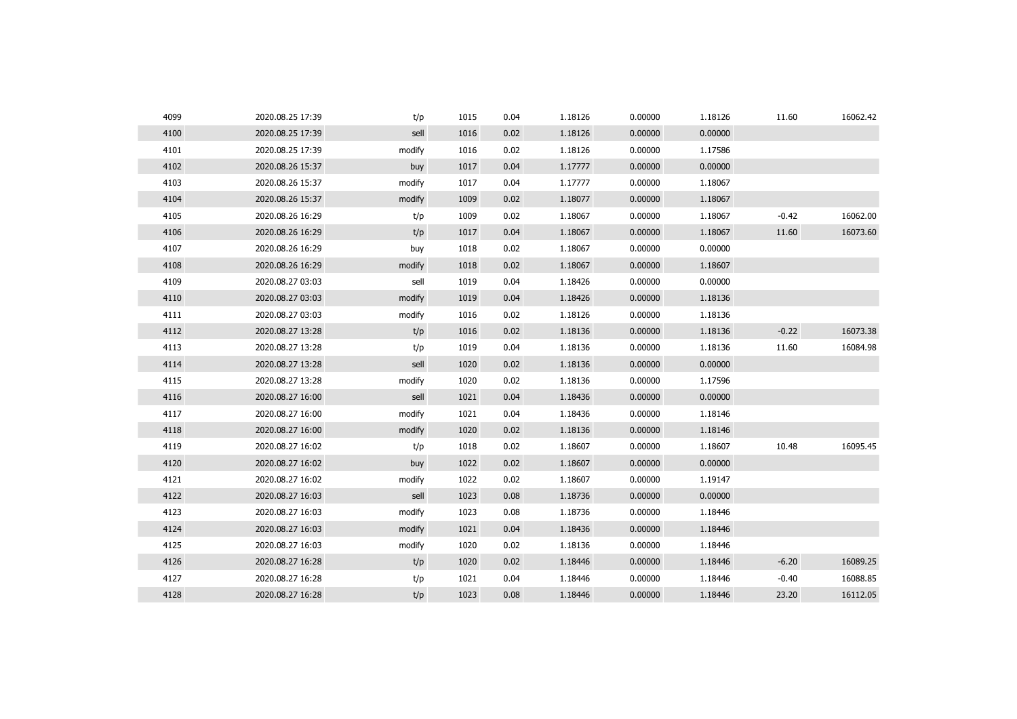| 4099 | 2020.08.25 17:39 | t/p    | 1015 | 0.04 | 1.18126 | 0.00000 | 1.18126 | 11.60   | 16062.42 |
|------|------------------|--------|------|------|---------|---------|---------|---------|----------|
| 4100 | 2020.08.25 17:39 | sell   | 1016 | 0.02 | 1.18126 | 0.00000 | 0.00000 |         |          |
| 4101 | 2020.08.25 17:39 | modify | 1016 | 0.02 | 1.18126 | 0.00000 | 1.17586 |         |          |
| 4102 | 2020.08.26 15:37 | buy    | 1017 | 0.04 | 1.17777 | 0.00000 | 0.00000 |         |          |
| 4103 | 2020.08.26 15:37 | modify | 1017 | 0.04 | 1.17777 | 0.00000 | 1.18067 |         |          |
| 4104 | 2020.08.26 15:37 | modify | 1009 | 0.02 | 1.18077 | 0.00000 | 1.18067 |         |          |
| 4105 | 2020.08.26 16:29 | t/p    | 1009 | 0.02 | 1.18067 | 0.00000 | 1.18067 | $-0.42$ | 16062.00 |
| 4106 | 2020.08.26 16:29 | t/p    | 1017 | 0.04 | 1.18067 | 0.00000 | 1.18067 | 11.60   | 16073.60 |
| 4107 | 2020.08.26 16:29 | buy    | 1018 | 0.02 | 1.18067 | 0.00000 | 0.00000 |         |          |
| 4108 | 2020.08.26 16:29 | modify | 1018 | 0.02 | 1.18067 | 0.00000 | 1.18607 |         |          |
| 4109 | 2020.08.27 03:03 | sell   | 1019 | 0.04 | 1.18426 | 0.00000 | 0.00000 |         |          |
| 4110 | 2020.08.27 03:03 | modify | 1019 | 0.04 | 1.18426 | 0.00000 | 1.18136 |         |          |
| 4111 | 2020.08.27 03:03 | modify | 1016 | 0.02 | 1.18126 | 0.00000 | 1.18136 |         |          |
| 4112 | 2020.08.27 13:28 | t/p    | 1016 | 0.02 | 1.18136 | 0.00000 | 1.18136 | $-0.22$ | 16073.38 |
| 4113 | 2020.08.27 13:28 | t/p    | 1019 | 0.04 | 1.18136 | 0.00000 | 1.18136 | 11.60   | 16084.98 |
| 4114 | 2020.08.27 13:28 | sell   | 1020 | 0.02 | 1.18136 | 0.00000 | 0.00000 |         |          |
| 4115 | 2020.08.27 13:28 | modify | 1020 | 0.02 | 1.18136 | 0.00000 | 1.17596 |         |          |
| 4116 | 2020.08.27 16:00 | sell   | 1021 | 0.04 | 1.18436 | 0.00000 | 0.00000 |         |          |
| 4117 | 2020.08.27 16:00 | modify | 1021 | 0.04 | 1.18436 | 0.00000 | 1.18146 |         |          |
| 4118 | 2020.08.27 16:00 | modify | 1020 | 0.02 | 1.18136 | 0.00000 | 1.18146 |         |          |
| 4119 | 2020.08.27 16:02 | t/p    | 1018 | 0.02 | 1.18607 | 0.00000 | 1.18607 | 10.48   | 16095.45 |
| 4120 | 2020.08.27 16:02 | buy    | 1022 | 0.02 | 1.18607 | 0.00000 | 0.00000 |         |          |
| 4121 | 2020.08.27 16:02 | modify | 1022 | 0.02 | 1.18607 | 0.00000 | 1.19147 |         |          |
| 4122 | 2020.08.27 16:03 | sell   | 1023 | 0.08 | 1.18736 | 0.00000 | 0.00000 |         |          |
| 4123 | 2020.08.27 16:03 | modify | 1023 | 0.08 | 1.18736 | 0.00000 | 1.18446 |         |          |
| 4124 | 2020.08.27 16:03 | modify | 1021 | 0.04 | 1.18436 | 0.00000 | 1.18446 |         |          |
| 4125 | 2020.08.27 16:03 | modify | 1020 | 0.02 | 1.18136 | 0.00000 | 1.18446 |         |          |
| 4126 | 2020.08.27 16:28 | t/p    | 1020 | 0.02 | 1.18446 | 0.00000 | 1.18446 | $-6.20$ | 16089.25 |
| 4127 | 2020.08.27 16:28 | t/p    | 1021 | 0.04 | 1.18446 | 0.00000 | 1.18446 | $-0.40$ | 16088.85 |
| 4128 | 2020.08.27 16:28 | t/p    | 1023 | 0.08 | 1.18446 | 0.00000 | 1.18446 | 23.20   | 16112.05 |
|      |                  |        |      |      |         |         |         |         |          |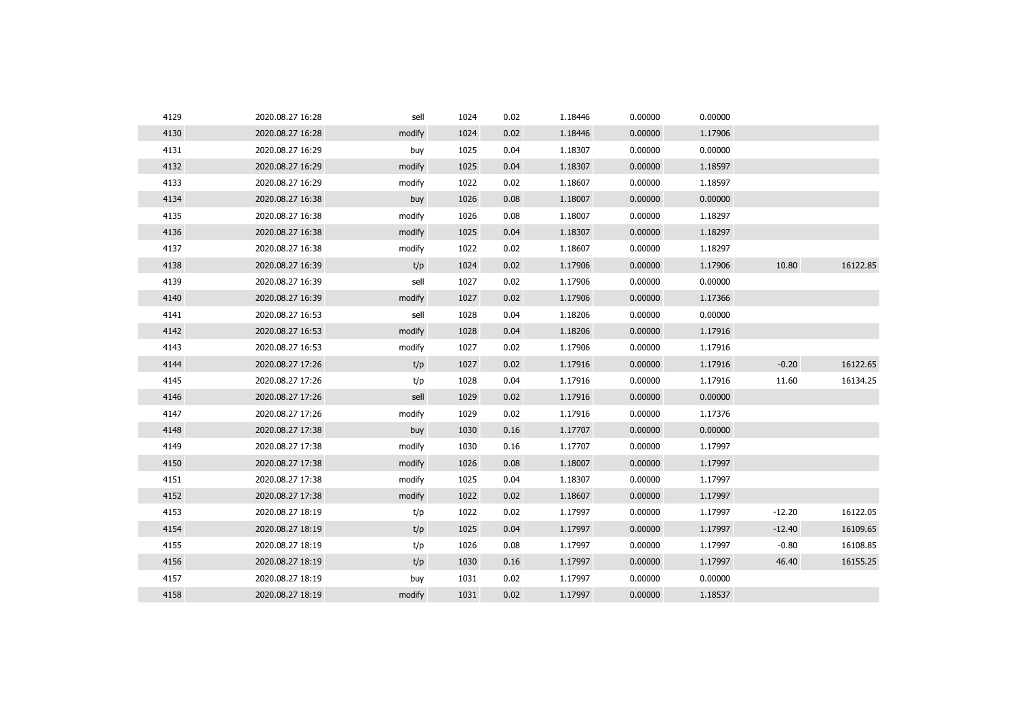| 4129 | 2020.08.27 16:28 | sell   | 1024 | 0.02 | 1.18446 | 0.00000 | 0.00000 |          |          |
|------|------------------|--------|------|------|---------|---------|---------|----------|----------|
| 4130 | 2020.08.27 16:28 | modify | 1024 | 0.02 | 1.18446 | 0.00000 | 1.17906 |          |          |
| 4131 | 2020.08.27 16:29 | buy    | 1025 | 0.04 | 1.18307 | 0.00000 | 0.00000 |          |          |
| 4132 | 2020.08.27 16:29 | modify | 1025 | 0.04 | 1.18307 | 0.00000 | 1.18597 |          |          |
| 4133 | 2020.08.27 16:29 | modify | 1022 | 0.02 | 1.18607 | 0.00000 | 1.18597 |          |          |
| 4134 | 2020.08.27 16:38 | buy    | 1026 | 0.08 | 1.18007 | 0.00000 | 0.00000 |          |          |
| 4135 | 2020.08.27 16:38 | modify | 1026 | 0.08 | 1.18007 | 0.00000 | 1.18297 |          |          |
| 4136 | 2020.08.27 16:38 | modify | 1025 | 0.04 | 1.18307 | 0.00000 | 1.18297 |          |          |
| 4137 | 2020.08.27 16:38 | modify | 1022 | 0.02 | 1.18607 | 0.00000 | 1.18297 |          |          |
| 4138 | 2020.08.27 16:39 | t/p    | 1024 | 0.02 | 1.17906 | 0.00000 | 1.17906 | 10.80    | 16122.85 |
| 4139 | 2020.08.27 16:39 | sell   | 1027 | 0.02 | 1.17906 | 0.00000 | 0.00000 |          |          |
| 4140 | 2020.08.27 16:39 | modify | 1027 | 0.02 | 1.17906 | 0.00000 | 1.17366 |          |          |
| 4141 | 2020.08.27 16:53 | sell   | 1028 | 0.04 | 1.18206 | 0.00000 | 0.00000 |          |          |
| 4142 | 2020.08.27 16:53 | modify | 1028 | 0.04 | 1.18206 | 0.00000 | 1.17916 |          |          |
| 4143 | 2020.08.27 16:53 | modify | 1027 | 0.02 | 1.17906 | 0.00000 | 1.17916 |          |          |
| 4144 | 2020.08.27 17:26 | t/p    | 1027 | 0.02 | 1.17916 | 0.00000 | 1.17916 | $-0.20$  | 16122.65 |
| 4145 | 2020.08.27 17:26 | t/p    | 1028 | 0.04 | 1.17916 | 0.00000 | 1.17916 | 11.60    | 16134.25 |
| 4146 | 2020.08.27 17:26 | sell   | 1029 | 0.02 | 1.17916 | 0.00000 | 0.00000 |          |          |
| 4147 | 2020.08.27 17:26 | modify | 1029 | 0.02 | 1.17916 | 0.00000 | 1.17376 |          |          |
| 4148 | 2020.08.27 17:38 | buy    | 1030 | 0.16 | 1.17707 | 0.00000 | 0.00000 |          |          |
| 4149 | 2020.08.27 17:38 | modify | 1030 | 0.16 | 1.17707 | 0.00000 | 1.17997 |          |          |
| 4150 | 2020.08.27 17:38 | modify | 1026 | 0.08 | 1.18007 | 0.00000 | 1.17997 |          |          |
| 4151 | 2020.08.27 17:38 | modify | 1025 | 0.04 | 1.18307 | 0.00000 | 1.17997 |          |          |
| 4152 | 2020.08.27 17:38 | modify | 1022 | 0.02 | 1.18607 | 0.00000 | 1.17997 |          |          |
| 4153 | 2020.08.27 18:19 | t/p    | 1022 | 0.02 | 1.17997 | 0.00000 | 1.17997 | $-12.20$ | 16122.05 |
| 4154 | 2020.08.27 18:19 | t/p    | 1025 | 0.04 | 1.17997 | 0.00000 | 1.17997 | $-12.40$ | 16109.65 |
| 4155 | 2020.08.27 18:19 | t/p    | 1026 | 0.08 | 1.17997 | 0.00000 | 1.17997 | $-0.80$  | 16108.85 |
| 4156 | 2020.08.27 18:19 | t/p    | 1030 | 0.16 | 1.17997 | 0.00000 | 1.17997 | 46.40    | 16155.25 |
| 4157 | 2020.08.27 18:19 | buy    | 1031 | 0.02 | 1.17997 | 0.00000 | 0.00000 |          |          |
| 4158 | 2020.08.27 18:19 | modify | 1031 | 0.02 | 1.17997 | 0.00000 | 1.18537 |          |          |
|      |                  |        |      |      |         |         |         |          |          |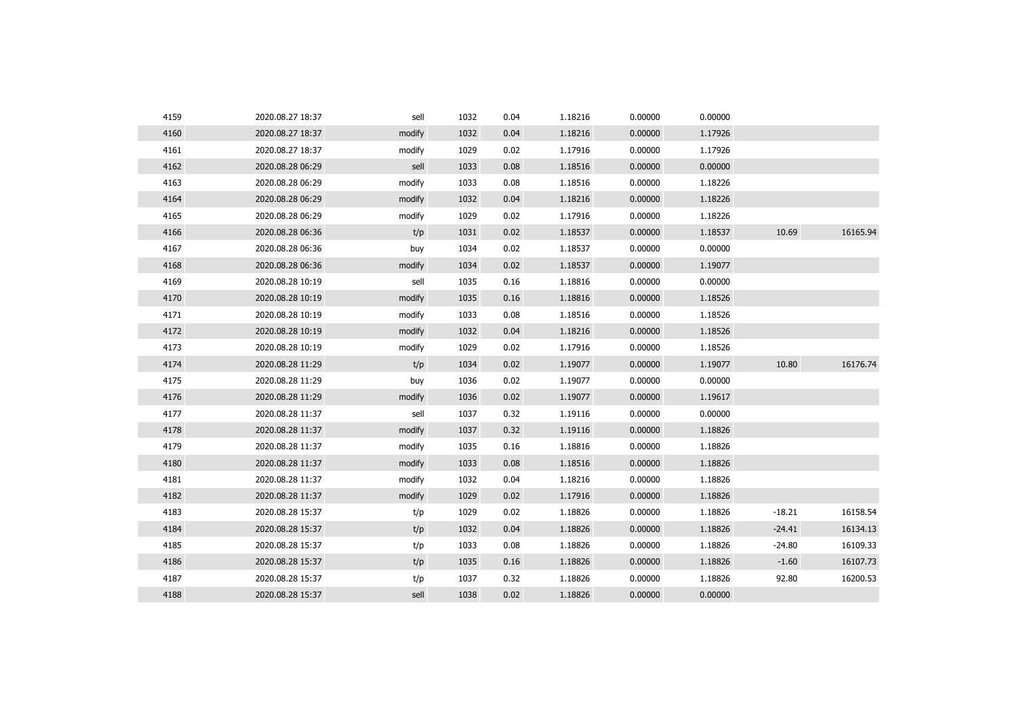| 4159 | 2020.08.27 18:37 | sell   | 1032 | 0.04 | 1.18216 | 0.00000 | 0.00000 |          |          |
|------|------------------|--------|------|------|---------|---------|---------|----------|----------|
| 4160 | 2020.08.27 18:37 | modify | 1032 | 0.04 | 1.18216 | 0.00000 | 1.17926 |          |          |
| 4161 | 2020.08.27 18:37 | modify | 1029 | 0.02 | 1.17916 | 0.00000 | 1.17926 |          |          |
| 4162 | 2020.08.28 06:29 | sell   | 1033 | 0.08 | 1.18516 | 0.00000 | 0.00000 |          |          |
| 4163 | 2020.08.28 06:29 | modify | 1033 | 0.08 | 1.18516 | 0.00000 | 1.18226 |          |          |
| 4164 | 2020.08.28 06:29 | modify | 1032 | 0.04 | 1.18216 | 0.00000 | 1.18226 |          |          |
| 4165 | 2020.08.28 06:29 | modify | 1029 | 0.02 | 1.17916 | 0.00000 | 1.18226 |          |          |
| 4166 | 2020.08.28 06:36 | t/p    | 1031 | 0.02 | 1.18537 | 0.00000 | 1.18537 | 10.69    | 16165.94 |
| 4167 | 2020.08.28 06:36 | buy    | 1034 | 0.02 | 1.18537 | 0.00000 | 0.00000 |          |          |
| 4168 | 2020.08.28 06:36 | modify | 1034 | 0.02 | 1.18537 | 0.00000 | 1.19077 |          |          |
| 4169 | 2020.08.28 10:19 | sell   | 1035 | 0.16 | 1.18816 | 0.00000 | 0.00000 |          |          |
| 4170 | 2020.08.28 10:19 | modify | 1035 | 0.16 | 1.18816 | 0.00000 | 1.18526 |          |          |
| 4171 | 2020.08.28 10:19 | modify | 1033 | 0.08 | 1.18516 | 0.00000 | 1.18526 |          |          |
| 4172 | 2020.08.28 10:19 | modify | 1032 | 0.04 | 1.18216 | 0.00000 | 1.18526 |          |          |
| 4173 | 2020.08.28 10:19 | modify | 1029 | 0.02 | 1.17916 | 0.00000 | 1.18526 |          |          |
| 4174 | 2020.08.28 11:29 | t/p    | 1034 | 0.02 | 1.19077 | 0.00000 | 1.19077 | 10.80    | 16176.74 |
| 4175 | 2020.08.28 11:29 | buy    | 1036 | 0.02 | 1.19077 | 0.00000 | 0.00000 |          |          |
| 4176 | 2020.08.28 11:29 | modify | 1036 | 0.02 | 1.19077 | 0.00000 | 1.19617 |          |          |
| 4177 | 2020.08.28 11:37 | sell   | 1037 | 0.32 | 1.19116 | 0.00000 | 0.00000 |          |          |
| 4178 | 2020.08.28 11:37 | modify | 1037 | 0.32 | 1.19116 | 0.00000 | 1.18826 |          |          |
| 4179 | 2020.08.28 11:37 | modify | 1035 | 0.16 | 1.18816 | 0.00000 | 1.18826 |          |          |
| 4180 | 2020.08.28 11:37 | modify | 1033 | 0.08 | 1.18516 | 0.00000 | 1.18826 |          |          |
| 4181 | 2020.08.28 11:37 | modify | 1032 | 0.04 | 1.18216 | 0.00000 | 1.18826 |          |          |
| 4182 | 2020.08.28 11:37 | modify | 1029 | 0.02 | 1.17916 | 0.00000 | 1.18826 |          |          |
| 4183 | 2020.08.28 15:37 | t/p    | 1029 | 0.02 | 1.18826 | 0.00000 | 1.18826 | $-18.21$ | 16158.54 |
| 4184 | 2020.08.28 15:37 | t/p    | 1032 | 0.04 | 1.18826 | 0.00000 | 1.18826 | $-24.41$ | 16134.13 |
| 4185 | 2020.08.28 15:37 | t/p    | 1033 | 0.08 | 1.18826 | 0.00000 | 1.18826 | $-24.80$ | 16109.33 |
| 4186 | 2020.08.28 15:37 | t/p    | 1035 | 0.16 | 1.18826 | 0.00000 | 1.18826 | $-1.60$  | 16107.73 |
| 4187 | 2020.08.28 15:37 | t/p    | 1037 | 0.32 | 1.18826 | 0.00000 | 1.18826 | 92.80    | 16200.53 |
| 4188 | 2020.08.28 15:37 | sell   | 1038 | 0.02 | 1.18826 | 0.00000 | 0.00000 |          |          |
|      |                  |        |      |      |         |         |         |          |          |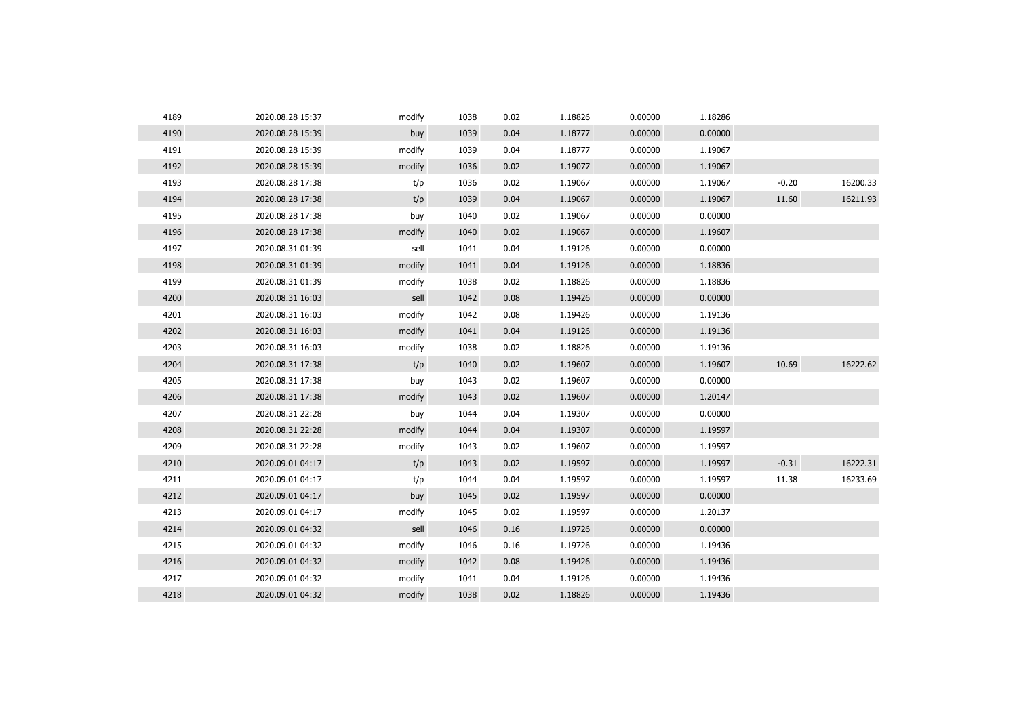| 4189 | 2020.08.28 15:37 | modify | 1038 | 0.02 | 1.18826 | 0.00000 | 1.18286 |         |          |
|------|------------------|--------|------|------|---------|---------|---------|---------|----------|
| 4190 | 2020.08.28 15:39 | buy    | 1039 | 0.04 | 1.18777 | 0.00000 | 0.00000 |         |          |
| 4191 | 2020.08.28 15:39 | modify | 1039 | 0.04 | 1.18777 | 0.00000 | 1.19067 |         |          |
| 4192 | 2020.08.28 15:39 | modify | 1036 | 0.02 | 1.19077 | 0.00000 | 1.19067 |         |          |
| 4193 | 2020.08.28 17:38 | t/p    | 1036 | 0.02 | 1.19067 | 0.00000 | 1.19067 | $-0.20$ | 16200.33 |
| 4194 | 2020.08.28 17:38 | t/p    | 1039 | 0.04 | 1.19067 | 0.00000 | 1.19067 | 11.60   | 16211.93 |
| 4195 | 2020.08.28 17:38 | buy    | 1040 | 0.02 | 1.19067 | 0.00000 | 0.00000 |         |          |
| 4196 | 2020.08.28 17:38 | modify | 1040 | 0.02 | 1.19067 | 0.00000 | 1.19607 |         |          |
| 4197 | 2020.08.31 01:39 | sell   | 1041 | 0.04 | 1.19126 | 0.00000 | 0.00000 |         |          |
| 4198 | 2020.08.31 01:39 | modify | 1041 | 0.04 | 1.19126 | 0.00000 | 1.18836 |         |          |
| 4199 | 2020.08.31 01:39 | modify | 1038 | 0.02 | 1.18826 | 0.00000 | 1.18836 |         |          |
| 4200 | 2020.08.31 16:03 | sell   | 1042 | 0.08 | 1.19426 | 0.00000 | 0.00000 |         |          |
| 4201 | 2020.08.31 16:03 | modify | 1042 | 0.08 | 1.19426 | 0.00000 | 1.19136 |         |          |
| 4202 | 2020.08.31 16:03 | modify | 1041 | 0.04 | 1.19126 | 0.00000 | 1.19136 |         |          |
| 4203 | 2020.08.31 16:03 | modify | 1038 | 0.02 | 1.18826 | 0.00000 | 1.19136 |         |          |
| 4204 | 2020.08.31 17:38 | t/p    | 1040 | 0.02 | 1.19607 | 0.00000 | 1.19607 | 10.69   | 16222.62 |
| 4205 | 2020.08.31 17:38 | buy    | 1043 | 0.02 | 1.19607 | 0.00000 | 0.00000 |         |          |
| 4206 | 2020.08.31 17:38 | modify | 1043 | 0.02 | 1.19607 | 0.00000 | 1.20147 |         |          |
| 4207 | 2020.08.31 22:28 | buy    | 1044 | 0.04 | 1.19307 | 0.00000 | 0.00000 |         |          |
| 4208 | 2020.08.31 22:28 | modify | 1044 | 0.04 | 1.19307 | 0.00000 | 1.19597 |         |          |
| 4209 | 2020.08.31 22:28 | modify | 1043 | 0.02 | 1.19607 | 0.00000 | 1.19597 |         |          |
| 4210 | 2020.09.01 04:17 | t/p    | 1043 | 0.02 | 1.19597 | 0.00000 | 1.19597 | $-0.31$ | 16222.31 |
| 4211 | 2020.09.01 04:17 | t/p    | 1044 | 0.04 | 1.19597 | 0.00000 | 1.19597 | 11.38   | 16233.69 |
| 4212 | 2020.09.01 04:17 | buy    | 1045 | 0.02 | 1.19597 | 0.00000 | 0.00000 |         |          |
| 4213 | 2020.09.01 04:17 | modify | 1045 | 0.02 | 1.19597 | 0.00000 | 1.20137 |         |          |
| 4214 | 2020.09.01 04:32 | sell   | 1046 | 0.16 | 1.19726 | 0.00000 | 0.00000 |         |          |
| 4215 | 2020.09.01 04:32 | modify | 1046 | 0.16 | 1.19726 | 0.00000 | 1.19436 |         |          |
| 4216 | 2020.09.01 04:32 | modify | 1042 | 0.08 | 1.19426 | 0.00000 | 1.19436 |         |          |
| 4217 | 2020.09.01 04:32 | modify | 1041 | 0.04 | 1.19126 | 0.00000 | 1.19436 |         |          |
| 4218 | 2020.09.01 04:32 | modify | 1038 | 0.02 | 1.18826 | 0.00000 | 1.19436 |         |          |
|      |                  |        |      |      |         |         |         |         |          |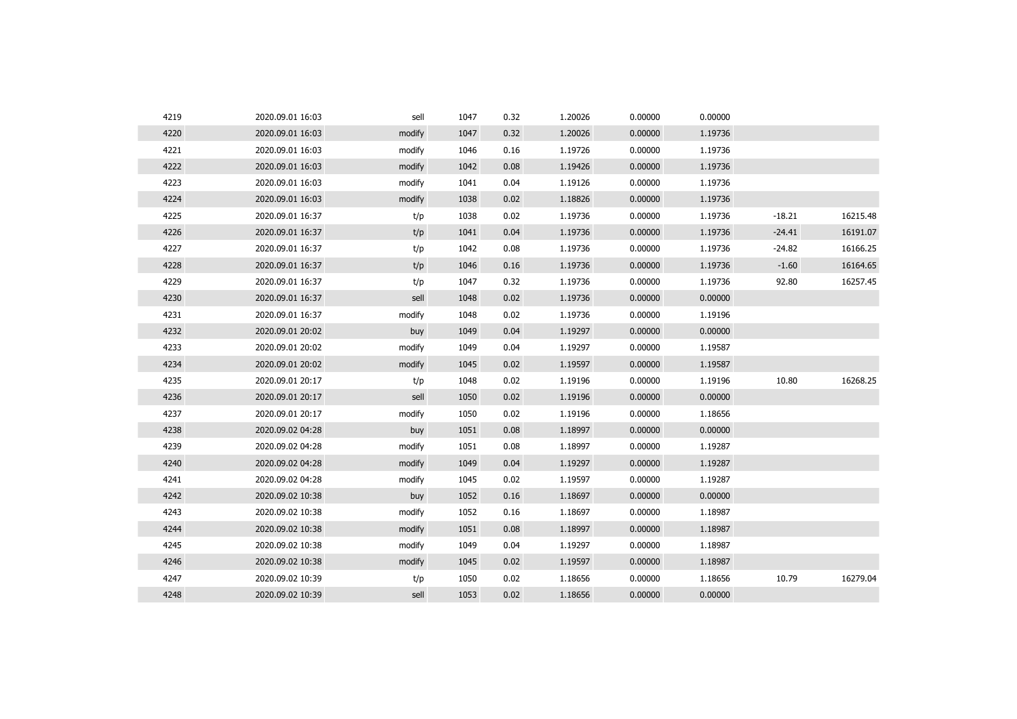| 4219 | 2020.09.01 16:03 | sell   | 1047 | 0.32 | 1.20026 | 0.00000 | 0.00000 |          |          |
|------|------------------|--------|------|------|---------|---------|---------|----------|----------|
| 4220 | 2020.09.01 16:03 | modify | 1047 | 0.32 | 1.20026 | 0.00000 | 1.19736 |          |          |
| 4221 | 2020.09.01 16:03 | modify | 1046 | 0.16 | 1.19726 | 0.00000 | 1.19736 |          |          |
| 4222 | 2020.09.01 16:03 | modify | 1042 | 0.08 | 1.19426 | 0.00000 | 1.19736 |          |          |
| 4223 | 2020.09.01 16:03 | modify | 1041 | 0.04 | 1.19126 | 0.00000 | 1.19736 |          |          |
| 4224 | 2020.09.01 16:03 | modify | 1038 | 0.02 | 1.18826 | 0.00000 | 1.19736 |          |          |
| 4225 | 2020.09.01 16:37 | t/p    | 1038 | 0.02 | 1.19736 | 0.00000 | 1.19736 | $-18.21$ | 16215.48 |
| 4226 | 2020.09.01 16:37 | t/p    | 1041 | 0.04 | 1.19736 | 0.00000 | 1.19736 | $-24.41$ | 16191.07 |
| 4227 | 2020.09.01 16:37 | t/p    | 1042 | 0.08 | 1.19736 | 0.00000 | 1.19736 | $-24.82$ | 16166.25 |
| 4228 | 2020.09.01 16:37 | t/p    | 1046 | 0.16 | 1.19736 | 0.00000 | 1.19736 | $-1.60$  | 16164.65 |
| 4229 | 2020.09.01 16:37 | t/p    | 1047 | 0.32 | 1.19736 | 0.00000 | 1.19736 | 92.80    | 16257.45 |
| 4230 | 2020.09.01 16:37 | sell   | 1048 | 0.02 | 1.19736 | 0.00000 | 0.00000 |          |          |
| 4231 | 2020.09.01 16:37 | modify | 1048 | 0.02 | 1.19736 | 0.00000 | 1.19196 |          |          |
| 4232 | 2020.09.01 20:02 | buy    | 1049 | 0.04 | 1.19297 | 0.00000 | 0.00000 |          |          |
| 4233 | 2020.09.01 20:02 | modify | 1049 | 0.04 | 1.19297 | 0.00000 | 1.19587 |          |          |
| 4234 | 2020.09.01 20:02 | modify | 1045 | 0.02 | 1.19597 | 0.00000 | 1.19587 |          |          |
| 4235 | 2020.09.01 20:17 | t/p    | 1048 | 0.02 | 1.19196 | 0.00000 | 1.19196 | 10.80    | 16268.25 |
| 4236 | 2020.09.01 20:17 | sell   | 1050 | 0.02 | 1.19196 | 0.00000 | 0.00000 |          |          |
| 4237 | 2020.09.01 20:17 | modify | 1050 | 0.02 | 1.19196 | 0.00000 | 1.18656 |          |          |
| 4238 | 2020.09.02 04:28 | buy    | 1051 | 0.08 | 1.18997 | 0.00000 | 0.00000 |          |          |
| 4239 | 2020.09.02 04:28 | modify | 1051 | 0.08 | 1.18997 | 0.00000 | 1.19287 |          |          |
| 4240 | 2020.09.02 04:28 | modify | 1049 | 0.04 | 1.19297 | 0.00000 | 1.19287 |          |          |
| 4241 | 2020.09.02 04:28 | modify | 1045 | 0.02 | 1.19597 | 0.00000 | 1.19287 |          |          |
| 4242 | 2020.09.02 10:38 | buy    | 1052 | 0.16 | 1.18697 | 0.00000 | 0.00000 |          |          |
| 4243 | 2020.09.02 10:38 | modify | 1052 | 0.16 | 1.18697 | 0.00000 | 1.18987 |          |          |
| 4244 | 2020.09.02 10:38 | modify | 1051 | 0.08 | 1.18997 | 0.00000 | 1.18987 |          |          |
| 4245 | 2020.09.02 10:38 | modify | 1049 | 0.04 | 1.19297 | 0.00000 | 1.18987 |          |          |
| 4246 | 2020.09.02 10:38 | modify | 1045 | 0.02 | 1.19597 | 0.00000 | 1.18987 |          |          |
| 4247 | 2020.09.02 10:39 | t/p    | 1050 | 0.02 | 1.18656 | 0.00000 | 1.18656 | 10.79    | 16279.04 |
| 4248 | 2020.09.02 10:39 | sell   | 1053 | 0.02 | 1.18656 | 0.00000 | 0.00000 |          |          |
|      |                  |        |      |      |         |         |         |          |          |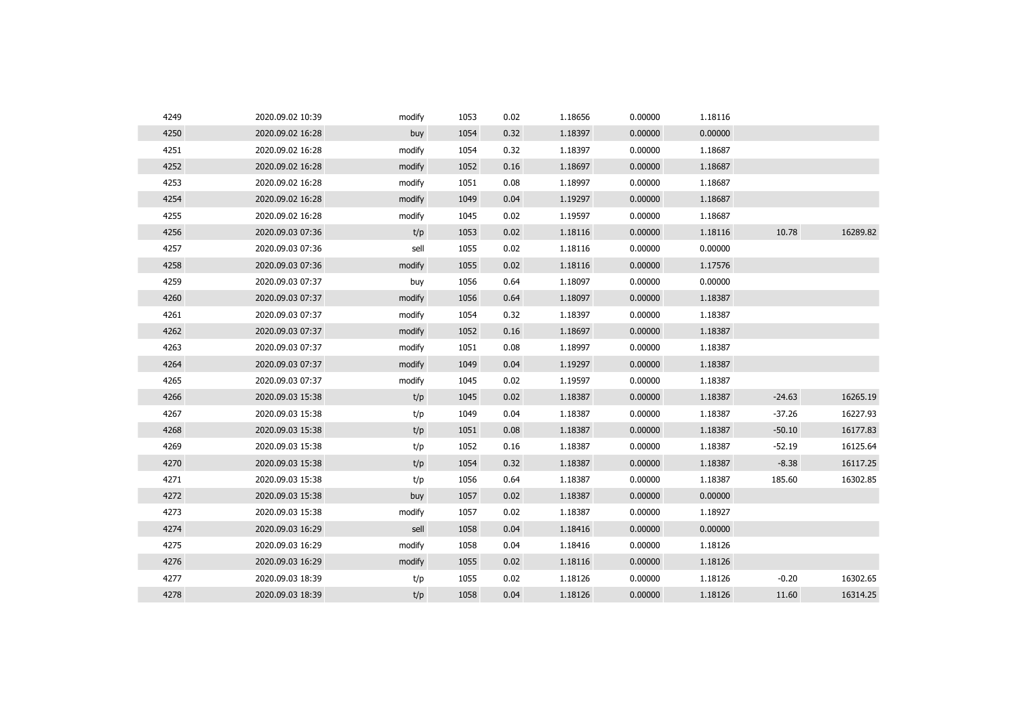| 4249 | 2020.09.02 10:39 | modify | 1053 | 0.02 | 1.18656 | 0.00000 | 1.18116 |          |          |
|------|------------------|--------|------|------|---------|---------|---------|----------|----------|
| 4250 | 2020.09.02 16:28 | buy    | 1054 | 0.32 | 1.18397 | 0.00000 | 0.00000 |          |          |
| 4251 | 2020.09.02 16:28 | modify | 1054 | 0.32 | 1.18397 | 0.00000 | 1.18687 |          |          |
| 4252 | 2020.09.02 16:28 | modify | 1052 | 0.16 | 1.18697 | 0.00000 | 1.18687 |          |          |
| 4253 | 2020.09.02 16:28 | modify | 1051 | 0.08 | 1.18997 | 0.00000 | 1.18687 |          |          |
| 4254 | 2020.09.02 16:28 | modify | 1049 | 0.04 | 1.19297 | 0.00000 | 1.18687 |          |          |
| 4255 | 2020.09.02 16:28 | modify | 1045 | 0.02 | 1.19597 | 0.00000 | 1.18687 |          |          |
| 4256 | 2020.09.03 07:36 | t/p    | 1053 | 0.02 | 1.18116 | 0.00000 | 1.18116 | 10.78    | 16289.82 |
| 4257 | 2020.09.03 07:36 | sell   | 1055 | 0.02 | 1.18116 | 0.00000 | 0.00000 |          |          |
| 4258 | 2020.09.03 07:36 | modify | 1055 | 0.02 | 1.18116 | 0.00000 | 1.17576 |          |          |
| 4259 | 2020.09.03 07:37 | buy    | 1056 | 0.64 | 1.18097 | 0.00000 | 0.00000 |          |          |
| 4260 | 2020.09.03 07:37 | modify | 1056 | 0.64 | 1.18097 | 0.00000 | 1.18387 |          |          |
| 4261 | 2020.09.03 07:37 | modify | 1054 | 0.32 | 1.18397 | 0.00000 | 1.18387 |          |          |
| 4262 | 2020.09.03 07:37 | modify | 1052 | 0.16 | 1.18697 | 0.00000 | 1.18387 |          |          |
| 4263 | 2020.09.03 07:37 | modify | 1051 | 0.08 | 1.18997 | 0.00000 | 1.18387 |          |          |
| 4264 | 2020.09.03 07:37 | modify | 1049 | 0.04 | 1.19297 | 0.00000 | 1.18387 |          |          |
| 4265 | 2020.09.03 07:37 | modify | 1045 | 0.02 | 1.19597 | 0.00000 | 1.18387 |          |          |
| 4266 | 2020.09.03 15:38 | t/p    | 1045 | 0.02 | 1.18387 | 0.00000 | 1.18387 | $-24.63$ | 16265.19 |
| 4267 | 2020.09.03 15:38 | t/p    | 1049 | 0.04 | 1.18387 | 0.00000 | 1.18387 | $-37.26$ | 16227.93 |
| 4268 | 2020.09.03 15:38 | t/p    | 1051 | 0.08 | 1.18387 | 0.00000 | 1.18387 | $-50.10$ | 16177.83 |
| 4269 | 2020.09.03 15:38 | t/p    | 1052 | 0.16 | 1.18387 | 0.00000 | 1.18387 | $-52.19$ | 16125.64 |
| 4270 | 2020.09.03 15:38 | t/p    | 1054 | 0.32 | 1.18387 | 0.00000 | 1.18387 | $-8.38$  | 16117.25 |
| 4271 | 2020.09.03 15:38 | t/p    | 1056 | 0.64 | 1.18387 | 0.00000 | 1.18387 | 185.60   | 16302.85 |
| 4272 | 2020.09.03 15:38 | buy    | 1057 | 0.02 | 1.18387 | 0.00000 | 0.00000 |          |          |
| 4273 | 2020.09.03 15:38 | modify | 1057 | 0.02 | 1.18387 | 0.00000 | 1.18927 |          |          |
| 4274 | 2020.09.03 16:29 | sell   | 1058 | 0.04 | 1.18416 | 0.00000 | 0.00000 |          |          |
| 4275 | 2020.09.03 16:29 | modify | 1058 | 0.04 | 1.18416 | 0.00000 | 1.18126 |          |          |
| 4276 | 2020.09.03 16:29 | modify | 1055 | 0.02 | 1.18116 | 0.00000 | 1.18126 |          |          |
| 4277 | 2020.09.03 18:39 | t/p    | 1055 | 0.02 | 1.18126 | 0.00000 | 1.18126 | $-0.20$  | 16302.65 |
| 4278 | 2020.09.03 18:39 | t/p    | 1058 | 0.04 | 1.18126 | 0.00000 | 1.18126 | 11.60    | 16314.25 |
|      |                  |        |      |      |         |         |         |          |          |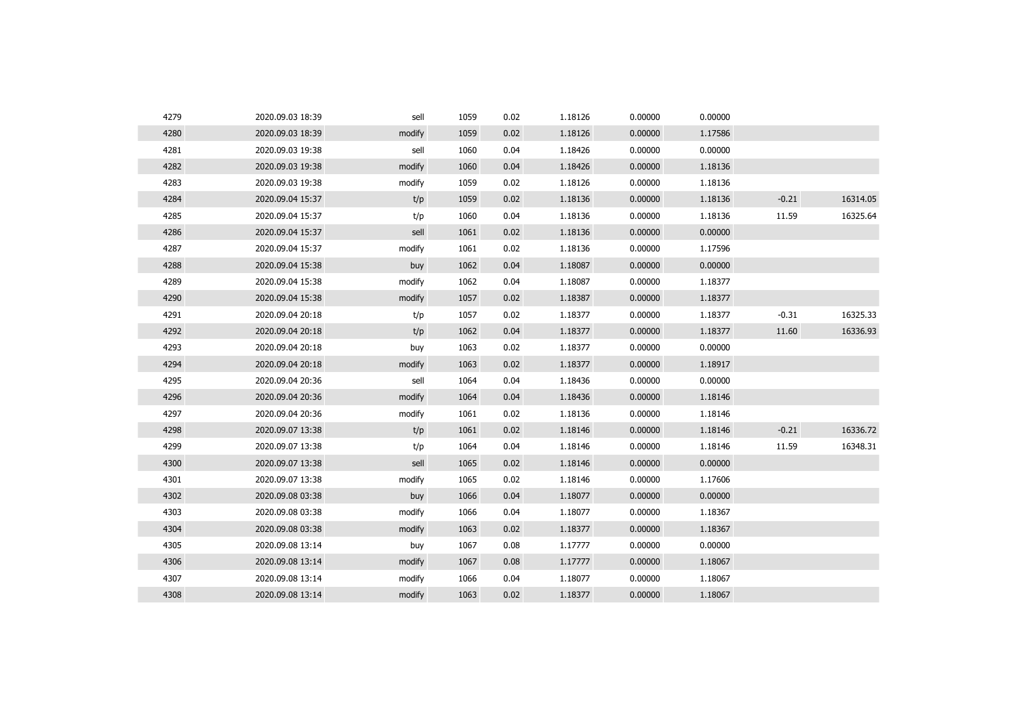| 4279 | 2020.09.03 18:39 | sell   | 1059 | 0.02 | 1.18126 | 0.00000 | 0.00000 |         |          |
|------|------------------|--------|------|------|---------|---------|---------|---------|----------|
| 4280 | 2020.09.03 18:39 | modify | 1059 | 0.02 | 1.18126 | 0.00000 | 1.17586 |         |          |
| 4281 | 2020.09.03 19:38 | sell   | 1060 | 0.04 | 1.18426 | 0.00000 | 0.00000 |         |          |
| 4282 | 2020.09.03 19:38 | modify | 1060 | 0.04 | 1.18426 | 0.00000 | 1.18136 |         |          |
| 4283 | 2020.09.03 19:38 | modify | 1059 | 0.02 | 1.18126 | 0.00000 | 1.18136 |         |          |
| 4284 | 2020.09.04 15:37 | t/p    | 1059 | 0.02 | 1.18136 | 0.00000 | 1.18136 | $-0.21$ | 16314.05 |
| 4285 | 2020.09.04 15:37 | t/p    | 1060 | 0.04 | 1.18136 | 0.00000 | 1.18136 | 11.59   | 16325.64 |
| 4286 | 2020.09.04 15:37 | sell   | 1061 | 0.02 | 1.18136 | 0.00000 | 0.00000 |         |          |
| 4287 | 2020.09.04 15:37 | modify | 1061 | 0.02 | 1.18136 | 0.00000 | 1.17596 |         |          |
| 4288 | 2020.09.04 15:38 | buy    | 1062 | 0.04 | 1.18087 | 0.00000 | 0.00000 |         |          |
| 4289 | 2020.09.04 15:38 | modify | 1062 | 0.04 | 1.18087 | 0.00000 | 1.18377 |         |          |
| 4290 | 2020.09.04 15:38 | modify | 1057 | 0.02 | 1.18387 | 0.00000 | 1.18377 |         |          |
| 4291 | 2020.09.04 20:18 | t/p    | 1057 | 0.02 | 1.18377 | 0.00000 | 1.18377 | $-0.31$ | 16325.33 |
| 4292 | 2020.09.04 20:18 | t/p    | 1062 | 0.04 | 1.18377 | 0.00000 | 1.18377 | 11.60   | 16336.93 |
| 4293 | 2020.09.04 20:18 | buy    | 1063 | 0.02 | 1.18377 | 0.00000 | 0.00000 |         |          |
| 4294 | 2020.09.04 20:18 | modify | 1063 | 0.02 | 1.18377 | 0.00000 | 1.18917 |         |          |
| 4295 | 2020.09.04 20:36 | sell   | 1064 | 0.04 | 1.18436 | 0.00000 | 0.00000 |         |          |
| 4296 | 2020.09.04 20:36 | modify | 1064 | 0.04 | 1.18436 | 0.00000 | 1.18146 |         |          |
| 4297 | 2020.09.04 20:36 | modify | 1061 | 0.02 | 1.18136 | 0.00000 | 1.18146 |         |          |
| 4298 | 2020.09.07 13:38 | t/p    | 1061 | 0.02 | 1.18146 | 0.00000 | 1.18146 | $-0.21$ | 16336.72 |
| 4299 | 2020.09.07 13:38 | t/p    | 1064 | 0.04 | 1.18146 | 0.00000 | 1.18146 | 11.59   | 16348.31 |
| 4300 | 2020.09.07 13:38 | sell   | 1065 | 0.02 | 1.18146 | 0.00000 | 0.00000 |         |          |
| 4301 | 2020.09.07 13:38 | modify | 1065 | 0.02 | 1.18146 | 0.00000 | 1.17606 |         |          |
| 4302 | 2020.09.08 03:38 | buy    | 1066 | 0.04 | 1.18077 | 0.00000 | 0.00000 |         |          |
| 4303 | 2020.09.08 03:38 | modify | 1066 | 0.04 | 1.18077 | 0.00000 | 1.18367 |         |          |
| 4304 | 2020.09.08 03:38 | modify | 1063 | 0.02 | 1.18377 | 0.00000 | 1.18367 |         |          |
| 4305 | 2020.09.08 13:14 | buy    | 1067 | 0.08 | 1.17777 | 0.00000 | 0.00000 |         |          |
| 4306 | 2020.09.08 13:14 | modify | 1067 | 0.08 | 1.17777 | 0.00000 | 1.18067 |         |          |
| 4307 | 2020.09.08 13:14 | modify | 1066 | 0.04 | 1.18077 | 0.00000 | 1.18067 |         |          |
| 4308 | 2020.09.08 13:14 | modify | 1063 | 0.02 | 1.18377 | 0.00000 | 1.18067 |         |          |
|      |                  |        |      |      |         |         |         |         |          |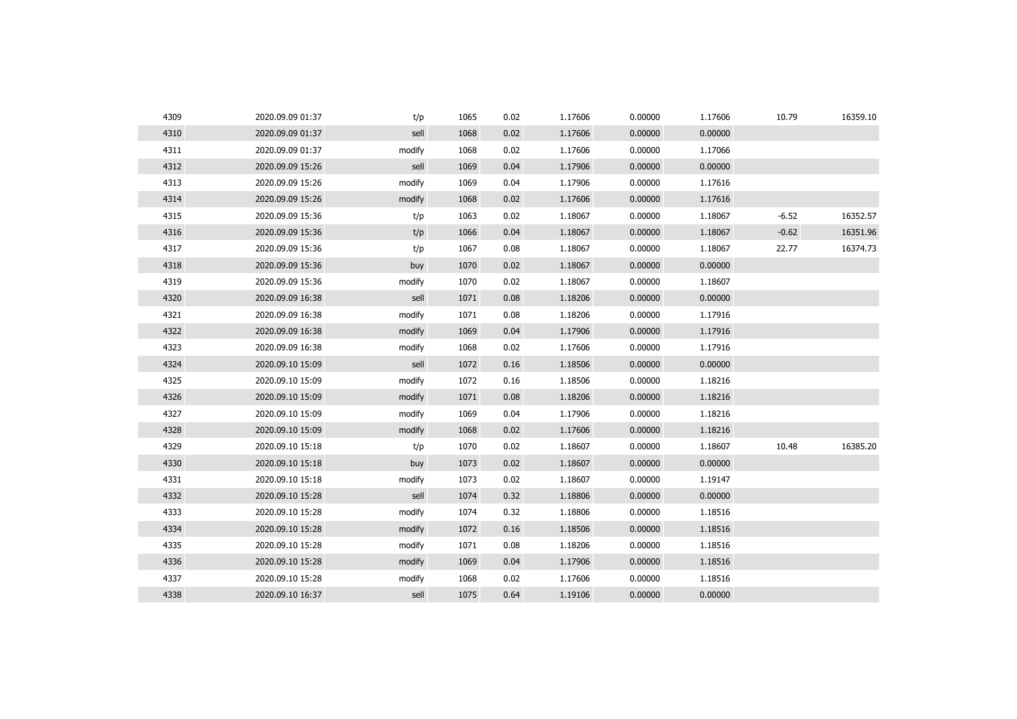| 4309 | 2020.09.09 01:37 | t/p    | 1065 | 0.02 | 1.17606 | 0.00000 | 1.17606 | 10.79   | 16359.10 |
|------|------------------|--------|------|------|---------|---------|---------|---------|----------|
| 4310 | 2020.09.09 01:37 | sell   | 1068 | 0.02 | 1.17606 | 0.00000 | 0.00000 |         |          |
| 4311 | 2020.09.09 01:37 | modify | 1068 | 0.02 | 1.17606 | 0.00000 | 1.17066 |         |          |
| 4312 | 2020.09.09 15:26 | sell   | 1069 | 0.04 | 1.17906 | 0.00000 | 0.00000 |         |          |
| 4313 | 2020.09.09 15:26 | modify | 1069 | 0.04 | 1.17906 | 0.00000 | 1.17616 |         |          |
| 4314 | 2020.09.09 15:26 | modify | 1068 | 0.02 | 1.17606 | 0.00000 | 1.17616 |         |          |
| 4315 | 2020.09.09 15:36 | t/p    | 1063 | 0.02 | 1.18067 | 0.00000 | 1.18067 | $-6.52$ | 16352.57 |
| 4316 | 2020.09.09 15:36 | t/p    | 1066 | 0.04 | 1.18067 | 0.00000 | 1.18067 | $-0.62$ | 16351.96 |
| 4317 | 2020.09.09 15:36 | t/p    | 1067 | 0.08 | 1.18067 | 0.00000 | 1.18067 | 22.77   | 16374.73 |
| 4318 | 2020.09.09 15:36 | buy    | 1070 | 0.02 | 1.18067 | 0.00000 | 0.00000 |         |          |
| 4319 | 2020.09.09 15:36 | modify | 1070 | 0.02 | 1.18067 | 0.00000 | 1.18607 |         |          |
| 4320 | 2020.09.09 16:38 | sell   | 1071 | 0.08 | 1.18206 | 0.00000 | 0.00000 |         |          |
| 4321 | 2020.09.09 16:38 | modify | 1071 | 0.08 | 1.18206 | 0.00000 | 1.17916 |         |          |
| 4322 | 2020.09.09 16:38 | modify | 1069 | 0.04 | 1.17906 | 0.00000 | 1.17916 |         |          |
| 4323 | 2020.09.09 16:38 | modify | 1068 | 0.02 | 1.17606 | 0.00000 | 1.17916 |         |          |
| 4324 | 2020.09.10 15:09 | sell   | 1072 | 0.16 | 1.18506 | 0.00000 | 0.00000 |         |          |
| 4325 | 2020.09.10 15:09 | modify | 1072 | 0.16 | 1.18506 | 0.00000 | 1.18216 |         |          |
| 4326 | 2020.09.10 15:09 | modify | 1071 | 0.08 | 1.18206 | 0.00000 | 1.18216 |         |          |
| 4327 | 2020.09.10 15:09 | modify | 1069 | 0.04 | 1.17906 | 0.00000 | 1.18216 |         |          |
| 4328 | 2020.09.10 15:09 | modify | 1068 | 0.02 | 1.17606 | 0.00000 | 1.18216 |         |          |
| 4329 | 2020.09.10 15:18 | t/p    | 1070 | 0.02 | 1.18607 | 0.00000 | 1.18607 | 10.48   | 16385.20 |
| 4330 | 2020.09.10 15:18 | buy    | 1073 | 0.02 | 1.18607 | 0.00000 | 0.00000 |         |          |
| 4331 | 2020.09.10 15:18 | modify | 1073 | 0.02 | 1.18607 | 0.00000 | 1.19147 |         |          |
| 4332 | 2020.09.10 15:28 | sell   | 1074 | 0.32 | 1.18806 | 0.00000 | 0.00000 |         |          |
| 4333 | 2020.09.10 15:28 | modify | 1074 | 0.32 | 1.18806 | 0.00000 | 1.18516 |         |          |
| 4334 | 2020.09.10 15:28 | modify | 1072 | 0.16 | 1.18506 | 0.00000 | 1.18516 |         |          |
| 4335 | 2020.09.10 15:28 | modify | 1071 | 0.08 | 1.18206 | 0.00000 | 1.18516 |         |          |
| 4336 | 2020.09.10 15:28 | modify | 1069 | 0.04 | 1.17906 | 0.00000 | 1.18516 |         |          |
| 4337 | 2020.09.10 15:28 | modify | 1068 | 0.02 | 1.17606 | 0.00000 | 1.18516 |         |          |
| 4338 | 2020.09.10 16:37 | sell   | 1075 | 0.64 | 1.19106 | 0.00000 | 0.00000 |         |          |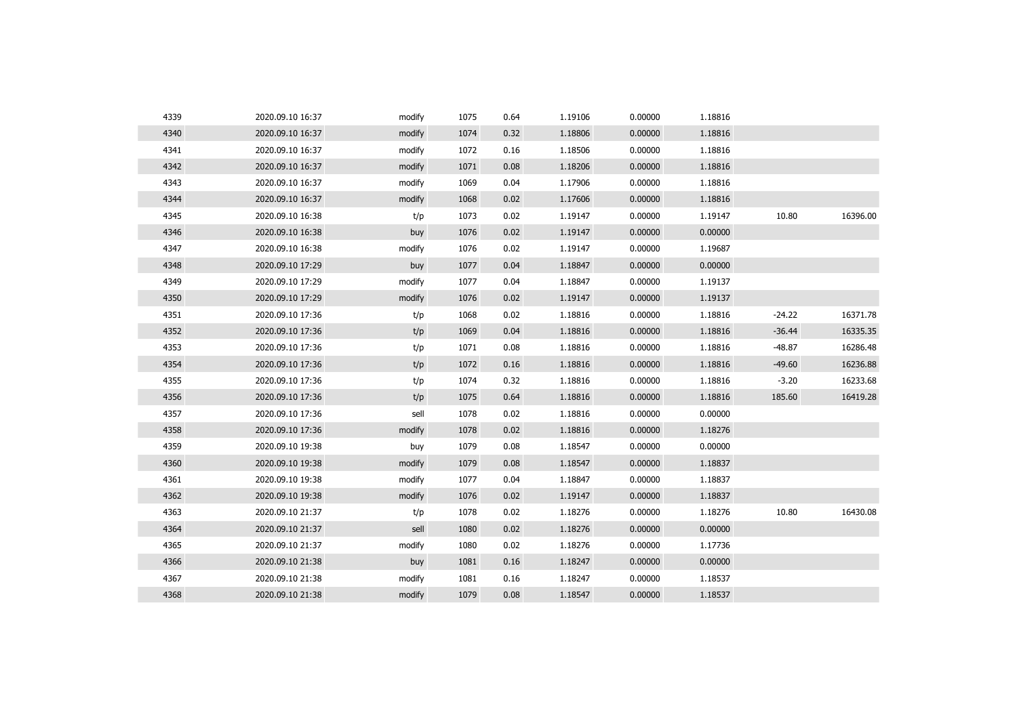| 4339 | 2020.09.10 16:37 | modify | 1075 | 0.64 | 1.19106 | 0.00000 | 1.18816 |          |          |
|------|------------------|--------|------|------|---------|---------|---------|----------|----------|
| 4340 | 2020.09.10 16:37 | modify | 1074 | 0.32 | 1.18806 | 0.00000 | 1.18816 |          |          |
| 4341 | 2020.09.10 16:37 | modify | 1072 | 0.16 | 1.18506 | 0.00000 | 1.18816 |          |          |
| 4342 | 2020.09.10 16:37 | modify | 1071 | 0.08 | 1.18206 | 0.00000 | 1.18816 |          |          |
| 4343 | 2020.09.10 16:37 | modify | 1069 | 0.04 | 1.17906 | 0.00000 | 1.18816 |          |          |
| 4344 | 2020.09.10 16:37 | modify | 1068 | 0.02 | 1.17606 | 0.00000 | 1.18816 |          |          |
| 4345 | 2020.09.10 16:38 | t/p    | 1073 | 0.02 | 1.19147 | 0.00000 | 1.19147 | 10.80    | 16396.00 |
| 4346 | 2020.09.10 16:38 | buy    | 1076 | 0.02 | 1.19147 | 0.00000 | 0.00000 |          |          |
| 4347 | 2020.09.10 16:38 | modify | 1076 | 0.02 | 1.19147 | 0.00000 | 1.19687 |          |          |
| 4348 | 2020.09.10 17:29 | buy    | 1077 | 0.04 | 1.18847 | 0.00000 | 0.00000 |          |          |
| 4349 | 2020.09.10 17:29 | modify | 1077 | 0.04 | 1.18847 | 0.00000 | 1.19137 |          |          |
| 4350 | 2020.09.10 17:29 | modify | 1076 | 0.02 | 1.19147 | 0.00000 | 1.19137 |          |          |
| 4351 | 2020.09.10 17:36 | t/p    | 1068 | 0.02 | 1.18816 | 0.00000 | 1.18816 | $-24.22$ | 16371.78 |
| 4352 | 2020.09.10 17:36 | t/p    | 1069 | 0.04 | 1.18816 | 0.00000 | 1.18816 | $-36.44$ | 16335.35 |
| 4353 | 2020.09.10 17:36 | t/p    | 1071 | 0.08 | 1.18816 | 0.00000 | 1.18816 | $-48.87$ | 16286.48 |
| 4354 | 2020.09.10 17:36 | t/p    | 1072 | 0.16 | 1.18816 | 0.00000 | 1.18816 | $-49.60$ | 16236.88 |
| 4355 | 2020.09.10 17:36 | t/p    | 1074 | 0.32 | 1.18816 | 0.00000 | 1.18816 | $-3.20$  | 16233.68 |
| 4356 | 2020.09.10 17:36 | t/p    | 1075 | 0.64 | 1.18816 | 0.00000 | 1.18816 | 185.60   | 16419.28 |
| 4357 | 2020.09.10 17:36 | sell   | 1078 | 0.02 | 1.18816 | 0.00000 | 0.00000 |          |          |
| 4358 | 2020.09.10 17:36 | modify | 1078 | 0.02 | 1.18816 | 0.00000 | 1.18276 |          |          |
| 4359 | 2020.09.10 19:38 | buy    | 1079 | 0.08 | 1.18547 | 0.00000 | 0.00000 |          |          |
| 4360 | 2020.09.10 19:38 | modify | 1079 | 0.08 | 1.18547 | 0.00000 | 1.18837 |          |          |
| 4361 | 2020.09.10 19:38 | modify | 1077 | 0.04 | 1.18847 | 0.00000 | 1.18837 |          |          |
| 4362 | 2020.09.10 19:38 | modify | 1076 | 0.02 | 1.19147 | 0.00000 | 1.18837 |          |          |
| 4363 | 2020.09.10 21:37 | t/p    | 1078 | 0.02 | 1.18276 | 0.00000 | 1.18276 | 10.80    | 16430.08 |
| 4364 | 2020.09.10 21:37 | sell   | 1080 | 0.02 | 1.18276 | 0.00000 | 0.00000 |          |          |
| 4365 | 2020.09.10 21:37 | modify | 1080 | 0.02 | 1.18276 | 0.00000 | 1.17736 |          |          |
| 4366 | 2020.09.10 21:38 | buy    | 1081 | 0.16 | 1.18247 | 0.00000 | 0.00000 |          |          |
| 4367 | 2020.09.10 21:38 | modify | 1081 | 0.16 | 1.18247 | 0.00000 | 1.18537 |          |          |
| 4368 | 2020.09.10 21:38 | modify | 1079 | 0.08 | 1.18547 | 0.00000 | 1.18537 |          |          |
|      |                  |        |      |      |         |         |         |          |          |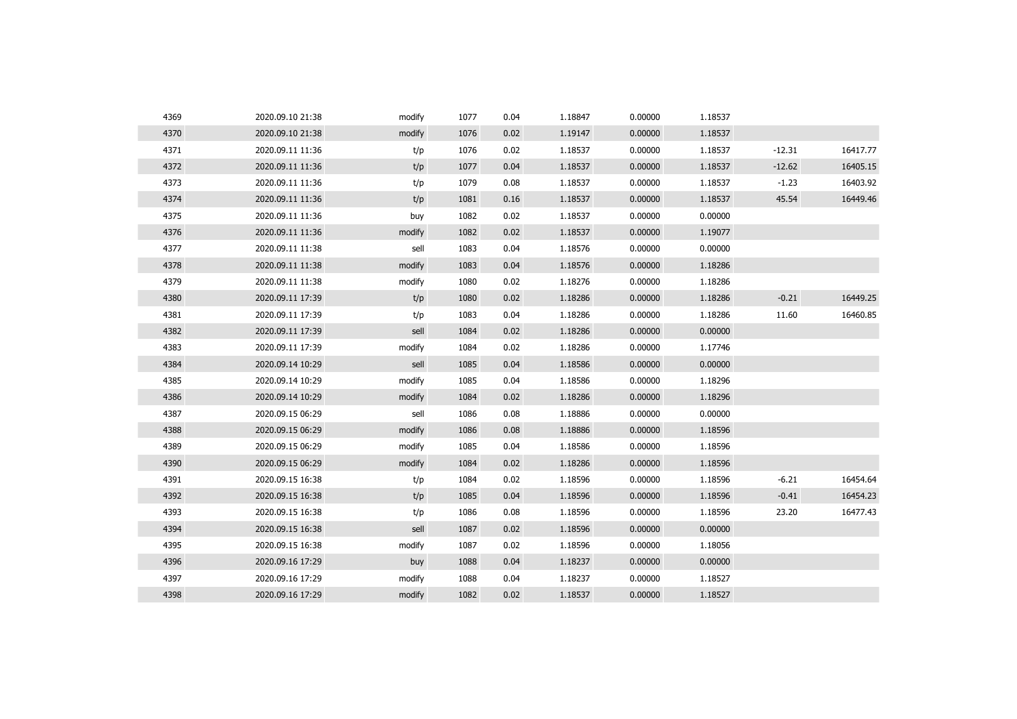| 4369 | 2020.09.10 21:38 | modify | 1077 | 0.04 | 1.18847 | 0.00000 | 1.18537 |          |          |
|------|------------------|--------|------|------|---------|---------|---------|----------|----------|
| 4370 | 2020.09.10 21:38 | modify | 1076 | 0.02 | 1.19147 | 0.00000 | 1.18537 |          |          |
| 4371 | 2020.09.11 11:36 | t/p    | 1076 | 0.02 | 1.18537 | 0.00000 | 1.18537 | $-12.31$ | 16417.77 |
| 4372 | 2020.09.11 11:36 | t/p    | 1077 | 0.04 | 1.18537 | 0.00000 | 1.18537 | $-12.62$ | 16405.15 |
| 4373 | 2020.09.11 11:36 | t/p    | 1079 | 0.08 | 1.18537 | 0.00000 | 1.18537 | $-1.23$  | 16403.92 |
| 4374 | 2020.09.11 11:36 | t/p    | 1081 | 0.16 | 1.18537 | 0.00000 | 1.18537 | 45.54    | 16449.46 |
| 4375 | 2020.09.11 11:36 | buy    | 1082 | 0.02 | 1.18537 | 0.00000 | 0.00000 |          |          |
| 4376 | 2020.09.11 11:36 | modify | 1082 | 0.02 | 1.18537 | 0.00000 | 1.19077 |          |          |
| 4377 | 2020.09.11 11:38 | sell   | 1083 | 0.04 | 1.18576 | 0.00000 | 0.00000 |          |          |
| 4378 | 2020.09.11 11:38 | modify | 1083 | 0.04 | 1.18576 | 0.00000 | 1.18286 |          |          |
| 4379 | 2020.09.11 11:38 | modify | 1080 | 0.02 | 1.18276 | 0.00000 | 1.18286 |          |          |
| 4380 | 2020.09.11 17:39 | t/p    | 1080 | 0.02 | 1.18286 | 0.00000 | 1.18286 | $-0.21$  | 16449.25 |
| 4381 | 2020.09.11 17:39 | t/p    | 1083 | 0.04 | 1.18286 | 0.00000 | 1.18286 | 11.60    | 16460.85 |
| 4382 | 2020.09.11 17:39 | sell   | 1084 | 0.02 | 1.18286 | 0.00000 | 0.00000 |          |          |
| 4383 | 2020.09.11 17:39 | modify | 1084 | 0.02 | 1.18286 | 0.00000 | 1.17746 |          |          |
| 4384 | 2020.09.14 10:29 | sell   | 1085 | 0.04 | 1.18586 | 0.00000 | 0.00000 |          |          |
| 4385 | 2020.09.14 10:29 | modify | 1085 | 0.04 | 1.18586 | 0.00000 | 1.18296 |          |          |
| 4386 | 2020.09.14 10:29 | modify | 1084 | 0.02 | 1.18286 | 0.00000 | 1.18296 |          |          |
| 4387 | 2020.09.15 06:29 | sell   | 1086 | 0.08 | 1.18886 | 0.00000 | 0.00000 |          |          |
| 4388 | 2020.09.15 06:29 | modify | 1086 | 0.08 | 1.18886 | 0.00000 | 1.18596 |          |          |
| 4389 | 2020.09.15 06:29 | modify | 1085 | 0.04 | 1.18586 | 0.00000 | 1.18596 |          |          |
| 4390 | 2020.09.15 06:29 | modify | 1084 | 0.02 | 1.18286 | 0.00000 | 1.18596 |          |          |
| 4391 | 2020.09.15 16:38 | t/p    | 1084 | 0.02 | 1.18596 | 0.00000 | 1.18596 | $-6.21$  | 16454.64 |
| 4392 | 2020.09.15 16:38 | t/p    | 1085 | 0.04 | 1.18596 | 0.00000 | 1.18596 | $-0.41$  | 16454.23 |
| 4393 | 2020.09.15 16:38 | t/p    | 1086 | 0.08 | 1.18596 | 0.00000 | 1.18596 | 23.20    | 16477.43 |
| 4394 | 2020.09.15 16:38 | sell   | 1087 | 0.02 | 1.18596 | 0.00000 | 0.00000 |          |          |
| 4395 | 2020.09.15 16:38 | modify | 1087 | 0.02 | 1.18596 | 0.00000 | 1.18056 |          |          |
| 4396 | 2020.09.16 17:29 | buy    | 1088 | 0.04 | 1.18237 | 0.00000 | 0.00000 |          |          |
| 4397 | 2020.09.16 17:29 | modify | 1088 | 0.04 | 1.18237 | 0.00000 | 1.18527 |          |          |
| 4398 | 2020.09.16 17:29 | modify | 1082 | 0.02 | 1.18537 | 0.00000 | 1.18527 |          |          |
|      |                  |        |      |      |         |         |         |          |          |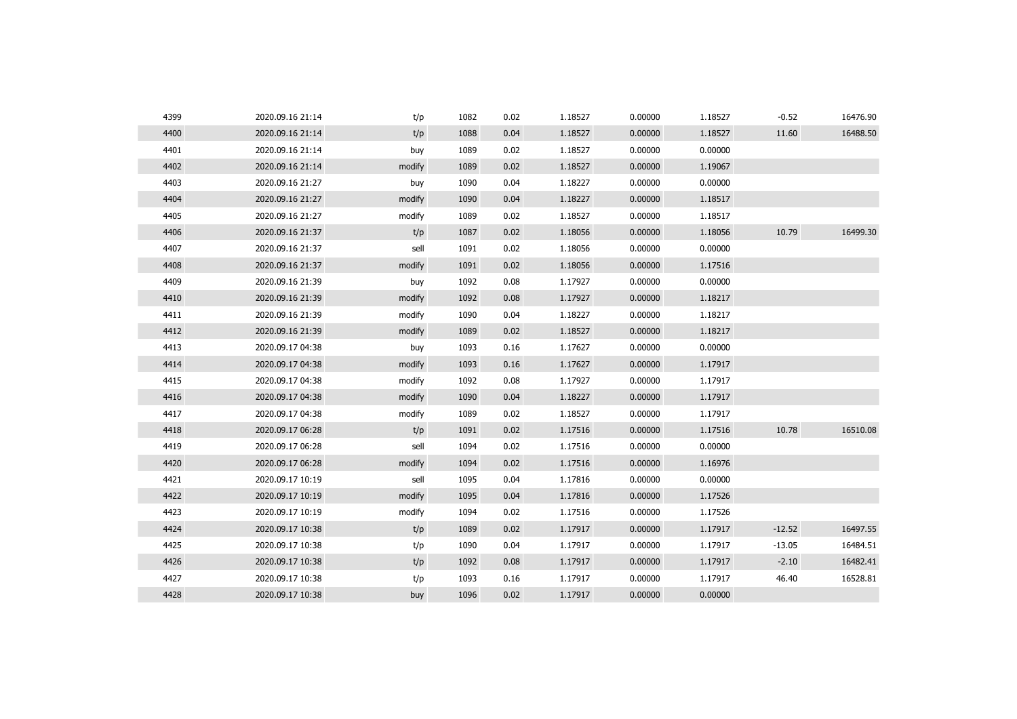| 4399 | 2020.09.16 21:14 | t/p    | 1082 | 0.02 | 1.18527 | 0.00000 | 1.18527 | $-0.52$  | 16476.90 |
|------|------------------|--------|------|------|---------|---------|---------|----------|----------|
| 4400 | 2020.09.16 21:14 | t/p    | 1088 | 0.04 | 1.18527 | 0.00000 | 1.18527 | 11.60    | 16488.50 |
| 4401 | 2020.09.16 21:14 | buy    | 1089 | 0.02 | 1.18527 | 0.00000 | 0.00000 |          |          |
| 4402 | 2020.09.16 21:14 | modify | 1089 | 0.02 | 1.18527 | 0.00000 | 1.19067 |          |          |
| 4403 | 2020.09.16 21:27 | buy    | 1090 | 0.04 | 1.18227 | 0.00000 | 0.00000 |          |          |
| 4404 | 2020.09.16 21:27 | modify | 1090 | 0.04 | 1.18227 | 0.00000 | 1.18517 |          |          |
| 4405 | 2020.09.16 21:27 | modify | 1089 | 0.02 | 1.18527 | 0.00000 | 1.18517 |          |          |
| 4406 | 2020.09.16 21:37 | t/p    | 1087 | 0.02 | 1.18056 | 0.00000 | 1.18056 | 10.79    | 16499.30 |
| 4407 | 2020.09.16 21:37 | sell   | 1091 | 0.02 | 1.18056 | 0.00000 | 0.00000 |          |          |
| 4408 | 2020.09.16 21:37 | modify | 1091 | 0.02 | 1.18056 | 0.00000 | 1.17516 |          |          |
| 4409 | 2020.09.16 21:39 | buy    | 1092 | 0.08 | 1.17927 | 0.00000 | 0.00000 |          |          |
| 4410 | 2020.09.16 21:39 | modify | 1092 | 0.08 | 1.17927 | 0.00000 | 1.18217 |          |          |
| 4411 | 2020.09.16 21:39 | modify | 1090 | 0.04 | 1.18227 | 0.00000 | 1.18217 |          |          |
| 4412 | 2020.09.16 21:39 | modify | 1089 | 0.02 | 1.18527 | 0.00000 | 1.18217 |          |          |
| 4413 | 2020.09.17 04:38 | buy    | 1093 | 0.16 | 1.17627 | 0.00000 | 0.00000 |          |          |
| 4414 | 2020.09.17 04:38 | modify | 1093 | 0.16 | 1.17627 | 0.00000 | 1.17917 |          |          |
| 4415 | 2020.09.17 04:38 | modify | 1092 | 0.08 | 1.17927 | 0.00000 | 1.17917 |          |          |
| 4416 | 2020.09.17 04:38 | modify | 1090 | 0.04 | 1.18227 | 0.00000 | 1.17917 |          |          |
| 4417 | 2020.09.17 04:38 | modify | 1089 | 0.02 | 1.18527 | 0.00000 | 1.17917 |          |          |
| 4418 | 2020.09.17 06:28 | t/p    | 1091 | 0.02 | 1.17516 | 0.00000 | 1.17516 | 10.78    | 16510.08 |
| 4419 | 2020.09.17 06:28 | sell   | 1094 | 0.02 | 1.17516 | 0.00000 | 0.00000 |          |          |
| 4420 | 2020.09.17 06:28 | modify | 1094 | 0.02 | 1.17516 | 0.00000 | 1.16976 |          |          |
| 4421 | 2020.09.17 10:19 | sell   | 1095 | 0.04 | 1.17816 | 0.00000 | 0.00000 |          |          |
| 4422 | 2020.09.17 10:19 | modify | 1095 | 0.04 | 1.17816 | 0.00000 | 1.17526 |          |          |
| 4423 | 2020.09.17 10:19 | modify | 1094 | 0.02 | 1.17516 | 0.00000 | 1.17526 |          |          |
| 4424 | 2020.09.17 10:38 | t/p    | 1089 | 0.02 | 1.17917 | 0.00000 | 1.17917 | $-12.52$ | 16497.55 |
| 4425 | 2020.09.17 10:38 | t/p    | 1090 | 0.04 | 1.17917 | 0.00000 | 1.17917 | $-13.05$ | 16484.51 |
| 4426 | 2020.09.17 10:38 | t/p    | 1092 | 0.08 | 1.17917 | 0.00000 | 1.17917 | $-2.10$  | 16482.41 |
| 4427 | 2020.09.17 10:38 | t/p    | 1093 | 0.16 | 1.17917 | 0.00000 | 1.17917 | 46.40    | 16528.81 |
| 4428 | 2020.09.17 10:38 | buy    | 1096 | 0.02 | 1.17917 | 0.00000 | 0.00000 |          |          |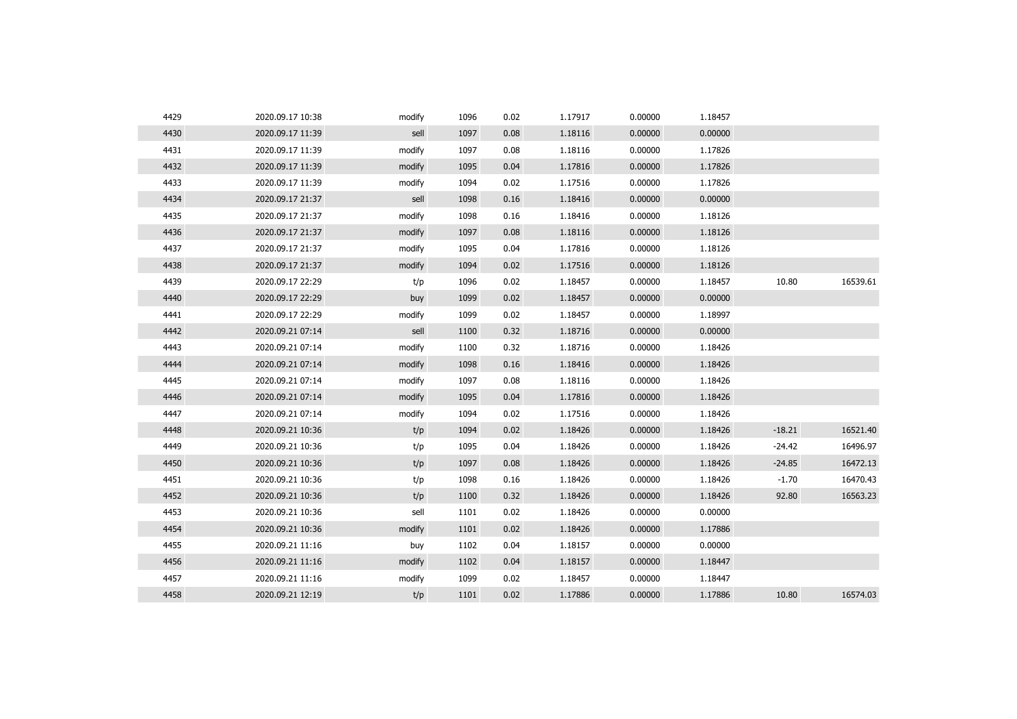| 4429 | 2020.09.17 10:38 | modify | 1096 | 0.02 | 1.17917 | 0.00000 | 1.18457 |          |          |
|------|------------------|--------|------|------|---------|---------|---------|----------|----------|
| 4430 | 2020.09.17 11:39 | sell   | 1097 | 0.08 | 1.18116 | 0.00000 | 0.00000 |          |          |
| 4431 | 2020.09.17 11:39 | modify | 1097 | 0.08 | 1.18116 | 0.00000 | 1.17826 |          |          |
| 4432 | 2020.09.17 11:39 | modify | 1095 | 0.04 | 1.17816 | 0.00000 | 1.17826 |          |          |
| 4433 | 2020.09.17 11:39 | modify | 1094 | 0.02 | 1.17516 | 0.00000 | 1.17826 |          |          |
| 4434 | 2020.09.17 21:37 | sell   | 1098 | 0.16 | 1.18416 | 0.00000 | 0.00000 |          |          |
| 4435 | 2020.09.17 21:37 | modify | 1098 | 0.16 | 1.18416 | 0.00000 | 1.18126 |          |          |
| 4436 | 2020.09.17 21:37 | modify | 1097 | 0.08 | 1.18116 | 0.00000 | 1.18126 |          |          |
| 4437 | 2020.09.17 21:37 | modify | 1095 | 0.04 | 1.17816 | 0.00000 | 1.18126 |          |          |
| 4438 | 2020.09.17 21:37 | modify | 1094 | 0.02 | 1.17516 | 0.00000 | 1.18126 |          |          |
| 4439 | 2020.09.17 22:29 | t/p    | 1096 | 0.02 | 1.18457 | 0.00000 | 1.18457 | 10.80    | 16539.61 |
| 4440 | 2020.09.17 22:29 | buy    | 1099 | 0.02 | 1.18457 | 0.00000 | 0.00000 |          |          |
| 4441 | 2020.09.17 22:29 | modify | 1099 | 0.02 | 1.18457 | 0.00000 | 1.18997 |          |          |
| 4442 | 2020.09.21 07:14 | sell   | 1100 | 0.32 | 1.18716 | 0.00000 | 0.00000 |          |          |
| 4443 | 2020.09.21 07:14 | modify | 1100 | 0.32 | 1.18716 | 0.00000 | 1.18426 |          |          |
| 4444 | 2020.09.21 07:14 | modify | 1098 | 0.16 | 1.18416 | 0.00000 | 1.18426 |          |          |
| 4445 | 2020.09.21 07:14 | modify | 1097 | 0.08 | 1.18116 | 0.00000 | 1.18426 |          |          |
| 4446 | 2020.09.21 07:14 | modify | 1095 | 0.04 | 1.17816 | 0.00000 | 1.18426 |          |          |
| 4447 | 2020.09.21 07:14 | modify | 1094 | 0.02 | 1.17516 | 0.00000 | 1.18426 |          |          |
| 4448 | 2020.09.21 10:36 | t/p    | 1094 | 0.02 | 1.18426 | 0.00000 | 1.18426 | $-18.21$ | 16521.40 |
| 4449 | 2020.09.21 10:36 | t/p    | 1095 | 0.04 | 1.18426 | 0.00000 | 1.18426 | $-24.42$ | 16496.97 |
| 4450 | 2020.09.21 10:36 | t/p    | 1097 | 0.08 | 1.18426 | 0.00000 | 1.18426 | $-24.85$ | 16472.13 |
| 4451 | 2020.09.21 10:36 | t/p    | 1098 | 0.16 | 1.18426 | 0.00000 | 1.18426 | $-1.70$  | 16470.43 |
| 4452 | 2020.09.21 10:36 | t/p    | 1100 | 0.32 | 1.18426 | 0.00000 | 1.18426 | 92.80    | 16563.23 |
| 4453 | 2020.09.21 10:36 | sell   | 1101 | 0.02 | 1.18426 | 0.00000 | 0.00000 |          |          |
| 4454 | 2020.09.21 10:36 | modify | 1101 | 0.02 | 1.18426 | 0.00000 | 1.17886 |          |          |
| 4455 | 2020.09.21 11:16 | buy    | 1102 | 0.04 | 1.18157 | 0.00000 | 0.00000 |          |          |
| 4456 | 2020.09.21 11:16 | modify | 1102 | 0.04 | 1.18157 | 0.00000 | 1.18447 |          |          |
| 4457 | 2020.09.21 11:16 | modify | 1099 | 0.02 | 1.18457 | 0.00000 | 1.18447 |          |          |
| 4458 | 2020.09.21 12:19 | t/p    | 1101 | 0.02 | 1.17886 | 0.00000 | 1.17886 | 10.80    | 16574.03 |
|      |                  |        |      |      |         |         |         |          |          |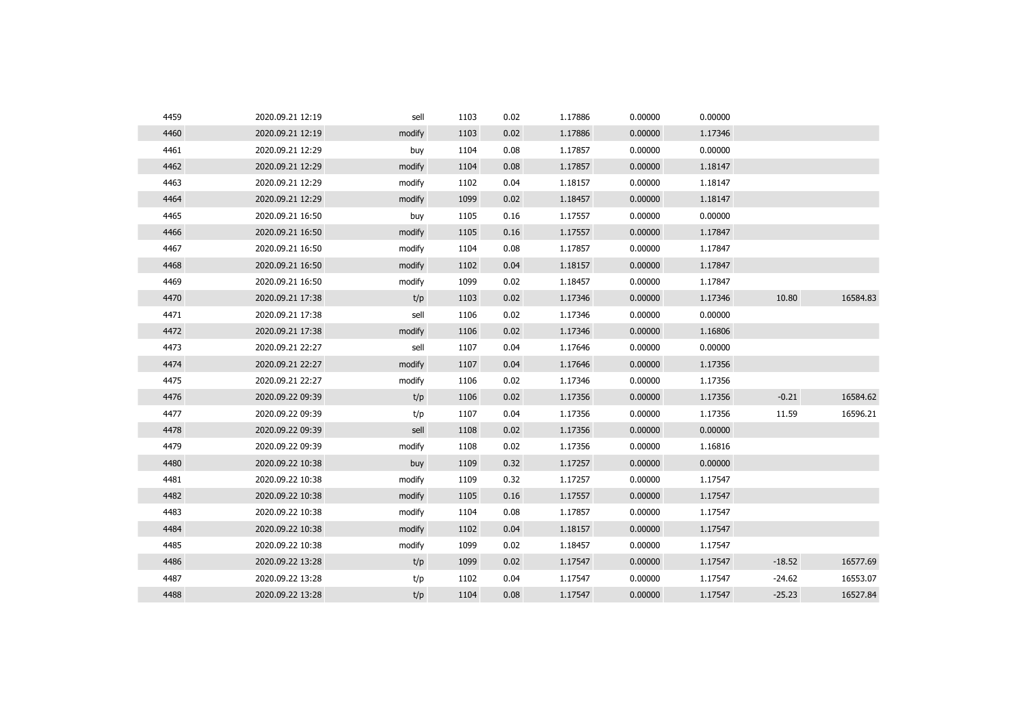| 4459 | 2020.09.21 12:19 | sell   | 1103 | 0.02 | 1.17886 | 0.00000 | 0.00000 |          |          |
|------|------------------|--------|------|------|---------|---------|---------|----------|----------|
| 4460 | 2020.09.21 12:19 | modify | 1103 | 0.02 | 1.17886 | 0.00000 | 1.17346 |          |          |
| 4461 | 2020.09.21 12:29 | buy    | 1104 | 0.08 | 1.17857 | 0.00000 | 0.00000 |          |          |
| 4462 | 2020.09.21 12:29 | modify | 1104 | 0.08 | 1.17857 | 0.00000 | 1.18147 |          |          |
| 4463 | 2020.09.21 12:29 | modify | 1102 | 0.04 | 1.18157 | 0.00000 | 1.18147 |          |          |
| 4464 | 2020.09.21 12:29 | modify | 1099 | 0.02 | 1.18457 | 0.00000 | 1.18147 |          |          |
| 4465 | 2020.09.21 16:50 | buy    | 1105 | 0.16 | 1.17557 | 0.00000 | 0.00000 |          |          |
| 4466 | 2020.09.21 16:50 | modify | 1105 | 0.16 | 1.17557 | 0.00000 | 1.17847 |          |          |
| 4467 | 2020.09.21 16:50 | modify | 1104 | 0.08 | 1.17857 | 0.00000 | 1.17847 |          |          |
| 4468 | 2020.09.21 16:50 | modify | 1102 | 0.04 | 1.18157 | 0.00000 | 1.17847 |          |          |
| 4469 | 2020.09.21 16:50 | modify | 1099 | 0.02 | 1.18457 | 0.00000 | 1.17847 |          |          |
| 4470 | 2020.09.21 17:38 | t/p    | 1103 | 0.02 | 1.17346 | 0.00000 | 1.17346 | 10.80    | 16584.83 |
| 4471 | 2020.09.21 17:38 | sell   | 1106 | 0.02 | 1.17346 | 0.00000 | 0.00000 |          |          |
| 4472 | 2020.09.21 17:38 | modify | 1106 | 0.02 | 1.17346 | 0.00000 | 1.16806 |          |          |
| 4473 | 2020.09.21 22:27 | sell   | 1107 | 0.04 | 1.17646 | 0.00000 | 0.00000 |          |          |
| 4474 | 2020.09.21 22:27 | modify | 1107 | 0.04 | 1.17646 | 0.00000 | 1.17356 |          |          |
| 4475 | 2020.09.21 22:27 | modify | 1106 | 0.02 | 1.17346 | 0.00000 | 1.17356 |          |          |
| 4476 | 2020.09.22 09:39 | t/p    | 1106 | 0.02 | 1.17356 | 0.00000 | 1.17356 | $-0.21$  | 16584.62 |
| 4477 | 2020.09.22 09:39 | t/p    | 1107 | 0.04 | 1.17356 | 0.00000 | 1.17356 | 11.59    | 16596.21 |
| 4478 | 2020.09.22 09:39 | sell   | 1108 | 0.02 | 1.17356 | 0.00000 | 0.00000 |          |          |
| 4479 | 2020.09.22 09:39 | modify | 1108 | 0.02 | 1.17356 | 0.00000 | 1.16816 |          |          |
| 4480 | 2020.09.22 10:38 | buy    | 1109 | 0.32 | 1.17257 | 0.00000 | 0.00000 |          |          |
| 4481 | 2020.09.22 10:38 | modify | 1109 | 0.32 | 1.17257 | 0.00000 | 1.17547 |          |          |
| 4482 | 2020.09.22 10:38 | modify | 1105 | 0.16 | 1.17557 | 0.00000 | 1.17547 |          |          |
| 4483 | 2020.09.22 10:38 | modify | 1104 | 0.08 | 1.17857 | 0.00000 | 1.17547 |          |          |
| 4484 | 2020.09.22 10:38 | modify | 1102 | 0.04 | 1.18157 | 0.00000 | 1.17547 |          |          |
| 4485 | 2020.09.22 10:38 | modify | 1099 | 0.02 | 1.18457 | 0.00000 | 1.17547 |          |          |
| 4486 | 2020.09.22 13:28 | t/p    | 1099 | 0.02 | 1.17547 | 0.00000 | 1.17547 | $-18.52$ | 16577.69 |
| 4487 | 2020.09.22 13:28 | t/p    | 1102 | 0.04 | 1.17547 | 0.00000 | 1.17547 | $-24.62$ | 16553.07 |
| 4488 | 2020.09.22 13:28 | t/p    | 1104 | 0.08 | 1.17547 | 0.00000 | 1.17547 | $-25.23$ | 16527.84 |
|      |                  |        |      |      |         |         |         |          |          |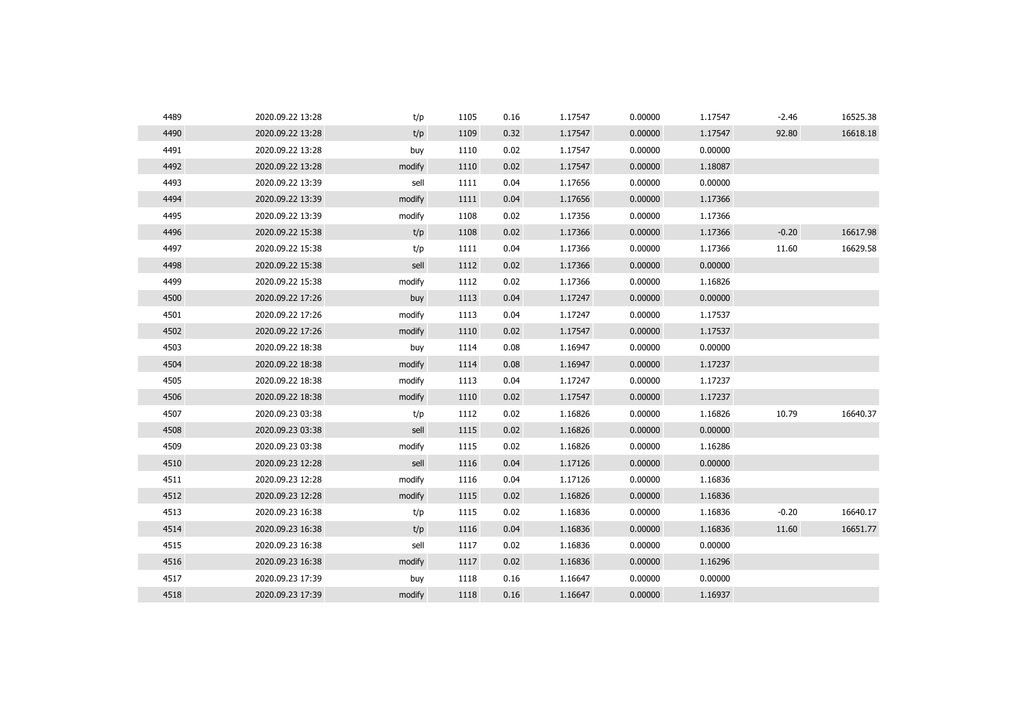| 4489 | 2020.09.22 13:28 | t/p    | 1105 | 0.16 | 1.17547 | 0.00000 | 1.17547 | $-2.46$ | 16525.38 |
|------|------------------|--------|------|------|---------|---------|---------|---------|----------|
| 4490 | 2020.09.22 13:28 | t/p    | 1109 | 0.32 | 1.17547 | 0.00000 | 1.17547 | 92.80   | 16618.18 |
| 4491 | 2020.09.22 13:28 | buy    | 1110 | 0.02 | 1.17547 | 0.00000 | 0.00000 |         |          |
| 4492 | 2020.09.22 13:28 | modify | 1110 | 0.02 | 1.17547 | 0.00000 | 1.18087 |         |          |
| 4493 | 2020.09.22 13:39 | sell   | 1111 | 0.04 | 1.17656 | 0.00000 | 0.00000 |         |          |
| 4494 | 2020.09.22 13:39 | modify | 1111 | 0.04 | 1.17656 | 0.00000 | 1.17366 |         |          |
| 4495 | 2020.09.22 13:39 | modify | 1108 | 0.02 | 1.17356 | 0.00000 | 1.17366 |         |          |
| 4496 | 2020.09.22 15:38 | t/p    | 1108 | 0.02 | 1.17366 | 0.00000 | 1.17366 | $-0.20$ | 16617.98 |
| 4497 | 2020.09.22 15:38 | t/p    | 1111 | 0.04 | 1.17366 | 0.00000 | 1.17366 | 11.60   | 16629.58 |
| 4498 | 2020.09.22 15:38 | sell   | 1112 | 0.02 | 1.17366 | 0.00000 | 0.00000 |         |          |
| 4499 | 2020.09.22 15:38 | modify | 1112 | 0.02 | 1.17366 | 0.00000 | 1.16826 |         |          |
| 4500 | 2020.09.22 17:26 | buy    | 1113 | 0.04 | 1.17247 | 0.00000 | 0.00000 |         |          |
| 4501 | 2020.09.22 17:26 | modify | 1113 | 0.04 | 1.17247 | 0.00000 | 1.17537 |         |          |
| 4502 | 2020.09.22 17:26 | modify | 1110 | 0.02 | 1.17547 | 0.00000 | 1.17537 |         |          |
| 4503 | 2020.09.22 18:38 | buy    | 1114 | 0.08 | 1.16947 | 0.00000 | 0.00000 |         |          |
| 4504 | 2020.09.22 18:38 | modify | 1114 | 0.08 | 1.16947 | 0.00000 | 1.17237 |         |          |
| 4505 | 2020.09.22 18:38 | modify | 1113 | 0.04 | 1.17247 | 0.00000 | 1.17237 |         |          |
| 4506 | 2020.09.22 18:38 | modify | 1110 | 0.02 | 1.17547 | 0.00000 | 1.17237 |         |          |
| 4507 | 2020.09.23 03:38 | t/p    | 1112 | 0.02 | 1.16826 | 0.00000 | 1.16826 | 10.79   | 16640.37 |
| 4508 | 2020.09.23 03:38 | sell   | 1115 | 0.02 | 1.16826 | 0.00000 | 0.00000 |         |          |
| 4509 | 2020.09.23 03:38 | modify | 1115 | 0.02 | 1.16826 | 0.00000 | 1.16286 |         |          |
| 4510 | 2020.09.23 12:28 | sell   | 1116 | 0.04 | 1.17126 | 0.00000 | 0.00000 |         |          |
| 4511 | 2020.09.23 12:28 | modify | 1116 | 0.04 | 1.17126 | 0.00000 | 1.16836 |         |          |
| 4512 | 2020.09.23 12:28 | modify | 1115 | 0.02 | 1.16826 | 0.00000 | 1.16836 |         |          |
| 4513 | 2020.09.23 16:38 | t/p    | 1115 | 0.02 | 1.16836 | 0.00000 | 1.16836 | $-0.20$ | 16640.17 |
| 4514 | 2020.09.23 16:38 | t/p    | 1116 | 0.04 | 1.16836 | 0.00000 | 1.16836 | 11.60   | 16651.77 |
| 4515 | 2020.09.23 16:38 | sell   | 1117 | 0.02 | 1.16836 | 0.00000 | 0.00000 |         |          |
| 4516 | 2020.09.23 16:38 | modify | 1117 | 0.02 | 1.16836 | 0.00000 | 1.16296 |         |          |
| 4517 | 2020.09.23 17:39 | buy    | 1118 | 0.16 | 1.16647 | 0.00000 | 0.00000 |         |          |
| 4518 | 2020.09.23 17:39 | modify | 1118 | 0.16 | 1.16647 | 0.00000 | 1.16937 |         |          |
|      |                  |        |      |      |         |         |         |         |          |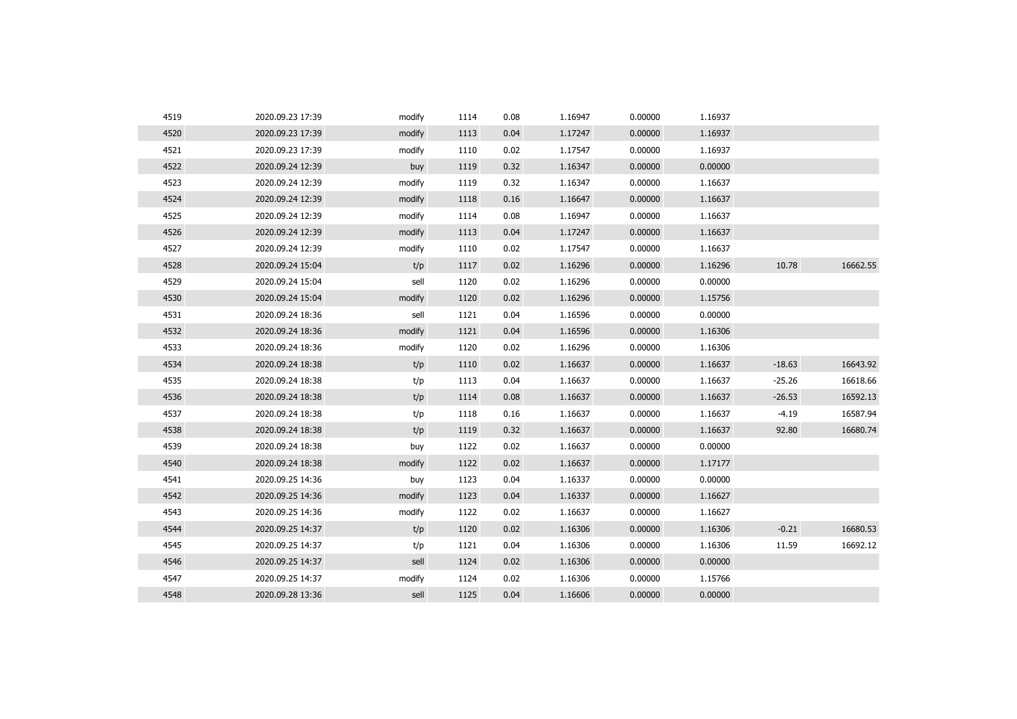| 4519 | 2020.09.23 17:39 | modify | 1114 | 0.08 | 1.16947 | 0.00000 | 1.16937 |          |          |
|------|------------------|--------|------|------|---------|---------|---------|----------|----------|
| 4520 | 2020.09.23 17:39 | modify | 1113 | 0.04 | 1.17247 | 0.00000 | 1.16937 |          |          |
| 4521 | 2020.09.23 17:39 | modify | 1110 | 0.02 | 1.17547 | 0.00000 | 1.16937 |          |          |
| 4522 | 2020.09.24 12:39 | buy    | 1119 | 0.32 | 1.16347 | 0.00000 | 0.00000 |          |          |
| 4523 | 2020.09.24 12:39 | modify | 1119 | 0.32 | 1.16347 | 0.00000 | 1.16637 |          |          |
| 4524 | 2020.09.24 12:39 | modify | 1118 | 0.16 | 1.16647 | 0.00000 | 1.16637 |          |          |
| 4525 | 2020.09.24 12:39 | modify | 1114 | 0.08 | 1.16947 | 0.00000 | 1.16637 |          |          |
| 4526 | 2020.09.24 12:39 | modify | 1113 | 0.04 | 1.17247 | 0.00000 | 1.16637 |          |          |
| 4527 | 2020.09.24 12:39 | modify | 1110 | 0.02 | 1.17547 | 0.00000 | 1.16637 |          |          |
| 4528 | 2020.09.24 15:04 | t/p    | 1117 | 0.02 | 1.16296 | 0.00000 | 1.16296 | 10.78    | 16662.55 |
| 4529 | 2020.09.24 15:04 | sell   | 1120 | 0.02 | 1.16296 | 0.00000 | 0.00000 |          |          |
| 4530 | 2020.09.24 15:04 | modify | 1120 | 0.02 | 1.16296 | 0.00000 | 1.15756 |          |          |
| 4531 | 2020.09.24 18:36 | sell   | 1121 | 0.04 | 1.16596 | 0.00000 | 0.00000 |          |          |
| 4532 | 2020.09.24 18:36 | modify | 1121 | 0.04 | 1.16596 | 0.00000 | 1.16306 |          |          |
| 4533 | 2020.09.24 18:36 | modify | 1120 | 0.02 | 1.16296 | 0.00000 | 1.16306 |          |          |
| 4534 | 2020.09.24 18:38 | t/p    | 1110 | 0.02 | 1.16637 | 0.00000 | 1.16637 | $-18.63$ | 16643.92 |
| 4535 | 2020.09.24 18:38 | t/p    | 1113 | 0.04 | 1.16637 | 0.00000 | 1.16637 | $-25.26$ | 16618.66 |
| 4536 | 2020.09.24 18:38 | t/p    | 1114 | 0.08 | 1.16637 | 0.00000 | 1.16637 | $-26.53$ | 16592.13 |
| 4537 | 2020.09.24 18:38 | t/p    | 1118 | 0.16 | 1.16637 | 0.00000 | 1.16637 | $-4.19$  | 16587.94 |
| 4538 | 2020.09.24 18:38 | t/p    | 1119 | 0.32 | 1.16637 | 0.00000 | 1.16637 | 92.80    | 16680.74 |
| 4539 | 2020.09.24 18:38 | buy    | 1122 | 0.02 | 1.16637 | 0.00000 | 0.00000 |          |          |
| 4540 | 2020.09.24 18:38 | modify | 1122 | 0.02 | 1.16637 | 0.00000 | 1.17177 |          |          |
| 4541 | 2020.09.25 14:36 | buy    | 1123 | 0.04 | 1.16337 | 0.00000 | 0.00000 |          |          |
| 4542 | 2020.09.25 14:36 | modify | 1123 | 0.04 | 1.16337 | 0.00000 | 1.16627 |          |          |
| 4543 | 2020.09.25 14:36 | modify | 1122 | 0.02 | 1.16637 | 0.00000 | 1.16627 |          |          |
| 4544 | 2020.09.25 14:37 | t/p    | 1120 | 0.02 | 1.16306 | 0.00000 | 1.16306 | $-0.21$  | 16680.53 |
| 4545 | 2020.09.25 14:37 | t/p    | 1121 | 0.04 | 1.16306 | 0.00000 | 1.16306 | 11.59    | 16692.12 |
| 4546 | 2020.09.25 14:37 | sell   | 1124 | 0.02 | 1.16306 | 0.00000 | 0.00000 |          |          |
| 4547 | 2020.09.25 14:37 | modify | 1124 | 0.02 | 1.16306 | 0.00000 | 1.15766 |          |          |
| 4548 | 2020.09.28 13:36 | sell   | 1125 | 0.04 | 1.16606 | 0.00000 | 0.00000 |          |          |
|      |                  |        |      |      |         |         |         |          |          |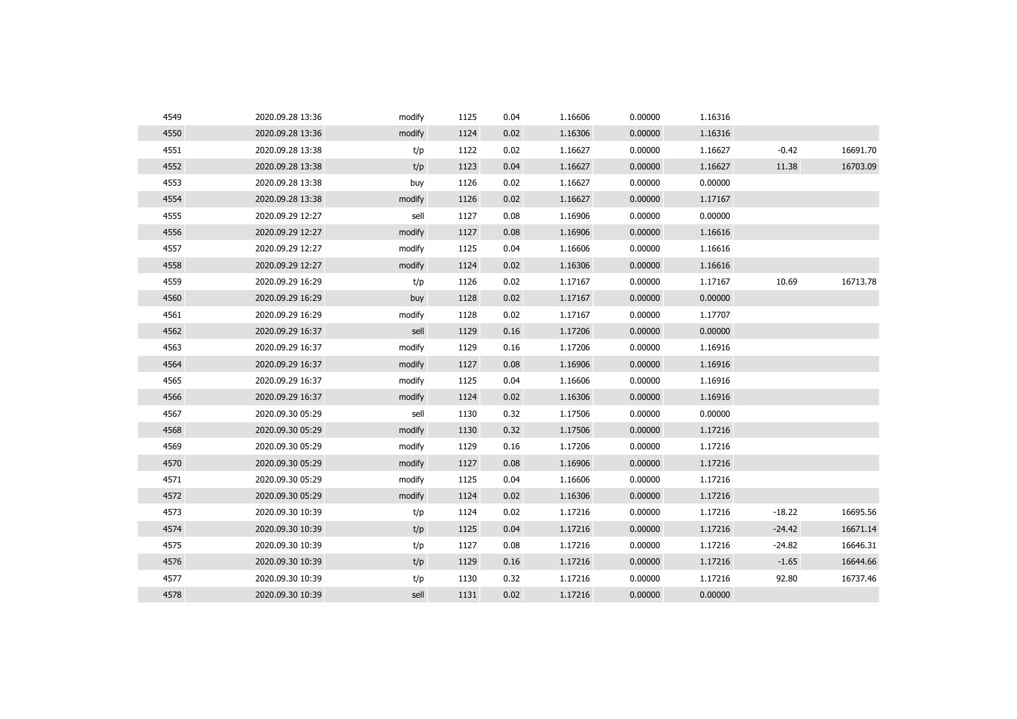| 4549 | 2020.09.28 13:36 | modify | 1125 | 0.04 | 1.16606 | 0.00000 | 1.16316 |          |          |
|------|------------------|--------|------|------|---------|---------|---------|----------|----------|
| 4550 | 2020.09.28 13:36 | modify | 1124 | 0.02 | 1.16306 | 0.00000 | 1.16316 |          |          |
| 4551 | 2020.09.28 13:38 | t/p    | 1122 | 0.02 | 1.16627 | 0.00000 | 1.16627 | $-0.42$  | 16691.70 |
| 4552 | 2020.09.28 13:38 | t/p    | 1123 | 0.04 | 1.16627 | 0.00000 | 1.16627 | 11.38    | 16703.09 |
| 4553 | 2020.09.28 13:38 | buy    | 1126 | 0.02 | 1.16627 | 0.00000 | 0.00000 |          |          |
| 4554 | 2020.09.28 13:38 | modify | 1126 | 0.02 | 1.16627 | 0.00000 | 1.17167 |          |          |
| 4555 | 2020.09.29 12:27 | sell   | 1127 | 0.08 | 1.16906 | 0.00000 | 0.00000 |          |          |
| 4556 | 2020.09.29 12:27 | modify | 1127 | 0.08 | 1.16906 | 0.00000 | 1.16616 |          |          |
| 4557 | 2020.09.29 12:27 | modify | 1125 | 0.04 | 1.16606 | 0.00000 | 1.16616 |          |          |
| 4558 | 2020.09.29 12:27 | modify | 1124 | 0.02 | 1.16306 | 0.00000 | 1.16616 |          |          |
| 4559 | 2020.09.29 16:29 | t/p    | 1126 | 0.02 | 1.17167 | 0.00000 | 1.17167 | 10.69    | 16713.78 |
| 4560 | 2020.09.29 16:29 | buy    | 1128 | 0.02 | 1.17167 | 0.00000 | 0.00000 |          |          |
| 4561 | 2020.09.29 16:29 | modify | 1128 | 0.02 | 1.17167 | 0.00000 | 1.17707 |          |          |
| 4562 | 2020.09.29 16:37 | sell   | 1129 | 0.16 | 1.17206 | 0.00000 | 0.00000 |          |          |
| 4563 | 2020.09.29 16:37 | modify | 1129 | 0.16 | 1.17206 | 0.00000 | 1.16916 |          |          |
| 4564 | 2020.09.29 16:37 | modify | 1127 | 0.08 | 1.16906 | 0.00000 | 1.16916 |          |          |
| 4565 | 2020.09.29 16:37 | modify | 1125 | 0.04 | 1.16606 | 0.00000 | 1.16916 |          |          |
| 4566 | 2020.09.29 16:37 | modify | 1124 | 0.02 | 1.16306 | 0.00000 | 1.16916 |          |          |
| 4567 | 2020.09.30 05:29 | sell   | 1130 | 0.32 | 1.17506 | 0.00000 | 0.00000 |          |          |
| 4568 | 2020.09.30 05:29 | modify | 1130 | 0.32 | 1.17506 | 0.00000 | 1.17216 |          |          |
| 4569 | 2020.09.30 05:29 | modify | 1129 | 0.16 | 1.17206 | 0.00000 | 1.17216 |          |          |
| 4570 | 2020.09.30 05:29 | modify | 1127 | 0.08 | 1.16906 | 0.00000 | 1.17216 |          |          |
| 4571 | 2020.09.30 05:29 | modify | 1125 | 0.04 | 1.16606 | 0.00000 | 1.17216 |          |          |
| 4572 | 2020.09.30 05:29 | modify | 1124 | 0.02 | 1.16306 | 0.00000 | 1.17216 |          |          |
| 4573 | 2020.09.30 10:39 | t/p    | 1124 | 0.02 | 1.17216 | 0.00000 | 1.17216 | $-18.22$ | 16695.56 |
| 4574 | 2020.09.30 10:39 | t/p    | 1125 | 0.04 | 1.17216 | 0.00000 | 1.17216 | $-24.42$ | 16671.14 |
| 4575 | 2020.09.30 10:39 | t/p    | 1127 | 0.08 | 1.17216 | 0.00000 | 1.17216 | $-24.82$ | 16646.31 |
| 4576 | 2020.09.30 10:39 | t/p    | 1129 | 0.16 | 1.17216 | 0.00000 | 1.17216 | $-1.65$  | 16644.66 |
| 4577 | 2020.09.30 10:39 | t/p    | 1130 | 0.32 | 1.17216 | 0.00000 | 1.17216 | 92.80    | 16737.46 |
| 4578 | 2020.09.30 10:39 | sell   | 1131 | 0.02 | 1.17216 | 0.00000 | 0.00000 |          |          |
|      |                  |        |      |      |         |         |         |          |          |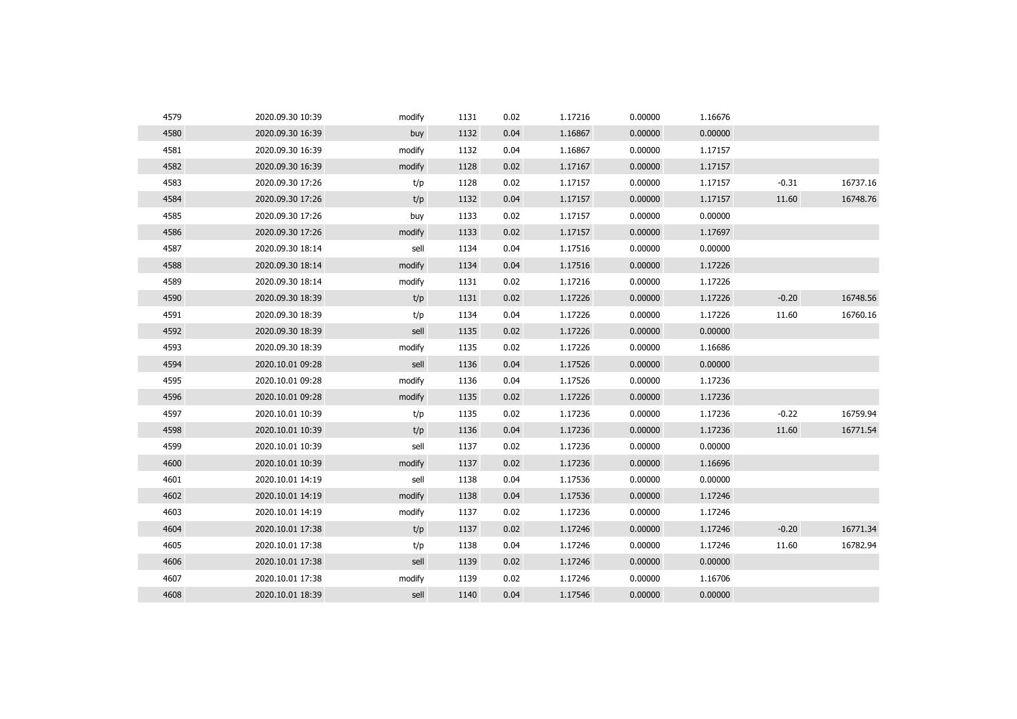| 4579 | 2020.09.30 10:39 | modify | 1131 | 0.02 | 1.17216 | 0.00000 | 1.16676 |         |          |
|------|------------------|--------|------|------|---------|---------|---------|---------|----------|
| 4580 | 2020.09.30 16:39 | buy    | 1132 | 0.04 | 1.16867 | 0.00000 | 0.00000 |         |          |
| 4581 | 2020.09.30 16:39 | modify | 1132 | 0.04 | 1.16867 | 0.00000 | 1.17157 |         |          |
| 4582 | 2020.09.30 16:39 | modify | 1128 | 0.02 | 1.17167 | 0.00000 | 1.17157 |         |          |
| 4583 | 2020.09.30 17:26 | t/p    | 1128 | 0.02 | 1.17157 | 0.00000 | 1.17157 | $-0.31$ | 16737.16 |
| 4584 | 2020.09.30 17:26 | t/p    | 1132 | 0.04 | 1.17157 | 0.00000 | 1.17157 | 11.60   | 16748.76 |
| 4585 | 2020.09.30 17:26 | buy    | 1133 | 0.02 | 1.17157 | 0.00000 | 0.00000 |         |          |
| 4586 | 2020.09.30 17:26 | modify | 1133 | 0.02 | 1.17157 | 0.00000 | 1.17697 |         |          |
| 4587 | 2020.09.30 18:14 | sell   | 1134 | 0.04 | 1.17516 | 0.00000 | 0.00000 |         |          |
| 4588 | 2020.09.30 18:14 | modify | 1134 | 0.04 | 1.17516 | 0.00000 | 1.17226 |         |          |
| 4589 | 2020.09.30 18:14 | modify | 1131 | 0.02 | 1.17216 | 0.00000 | 1.17226 |         |          |
| 4590 | 2020.09.30 18:39 | t/p    | 1131 | 0.02 | 1.17226 | 0.00000 | 1.17226 | $-0.20$ | 16748.56 |
| 4591 | 2020.09.30 18:39 | t/p    | 1134 | 0.04 | 1.17226 | 0.00000 | 1.17226 | 11.60   | 16760.16 |
| 4592 | 2020.09.30 18:39 | sell   | 1135 | 0.02 | 1.17226 | 0.00000 | 0.00000 |         |          |
| 4593 | 2020.09.30 18:39 | modify | 1135 | 0.02 | 1.17226 | 0.00000 | 1.16686 |         |          |
| 4594 | 2020.10.01 09:28 | sell   | 1136 | 0.04 | 1.17526 | 0.00000 | 0.00000 |         |          |
| 4595 | 2020.10.01 09:28 | modify | 1136 | 0.04 | 1.17526 | 0.00000 | 1.17236 |         |          |
| 4596 | 2020.10.01 09:28 | modify | 1135 | 0.02 | 1.17226 | 0.00000 | 1.17236 |         |          |
| 4597 | 2020.10.01 10:39 | t/p    | 1135 | 0.02 | 1.17236 | 0.00000 | 1.17236 | $-0.22$ | 16759.94 |
| 4598 | 2020.10.01 10:39 | t/p    | 1136 | 0.04 | 1.17236 | 0.00000 | 1.17236 | 11.60   | 16771.54 |
| 4599 | 2020.10.01 10:39 | sell   | 1137 | 0.02 | 1.17236 | 0.00000 | 0.00000 |         |          |
| 4600 | 2020.10.01 10:39 | modify | 1137 | 0.02 | 1.17236 | 0.00000 | 1.16696 |         |          |
| 4601 | 2020.10.01 14:19 | sell   | 1138 | 0.04 | 1.17536 | 0.00000 | 0.00000 |         |          |
| 4602 | 2020.10.01 14:19 | modify | 1138 | 0.04 | 1.17536 | 0.00000 | 1.17246 |         |          |
| 4603 | 2020.10.01 14:19 | modify | 1137 | 0.02 | 1.17236 | 0.00000 | 1.17246 |         |          |
| 4604 | 2020.10.01 17:38 | t/p    | 1137 | 0.02 | 1.17246 | 0.00000 | 1.17246 | $-0.20$ | 16771.34 |
| 4605 | 2020.10.01 17:38 | t/p    | 1138 | 0.04 | 1.17246 | 0.00000 | 1.17246 | 11.60   | 16782.94 |
| 4606 | 2020.10.01 17:38 | sell   | 1139 | 0.02 | 1.17246 | 0.00000 | 0.00000 |         |          |
| 4607 | 2020.10.01 17:38 | modify | 1139 | 0.02 | 1.17246 | 0.00000 | 1.16706 |         |          |
| 4608 | 2020.10.01 18:39 | sell   | 1140 | 0.04 | 1.17546 | 0.00000 | 0.00000 |         |          |
|      |                  |        |      |      |         |         |         |         |          |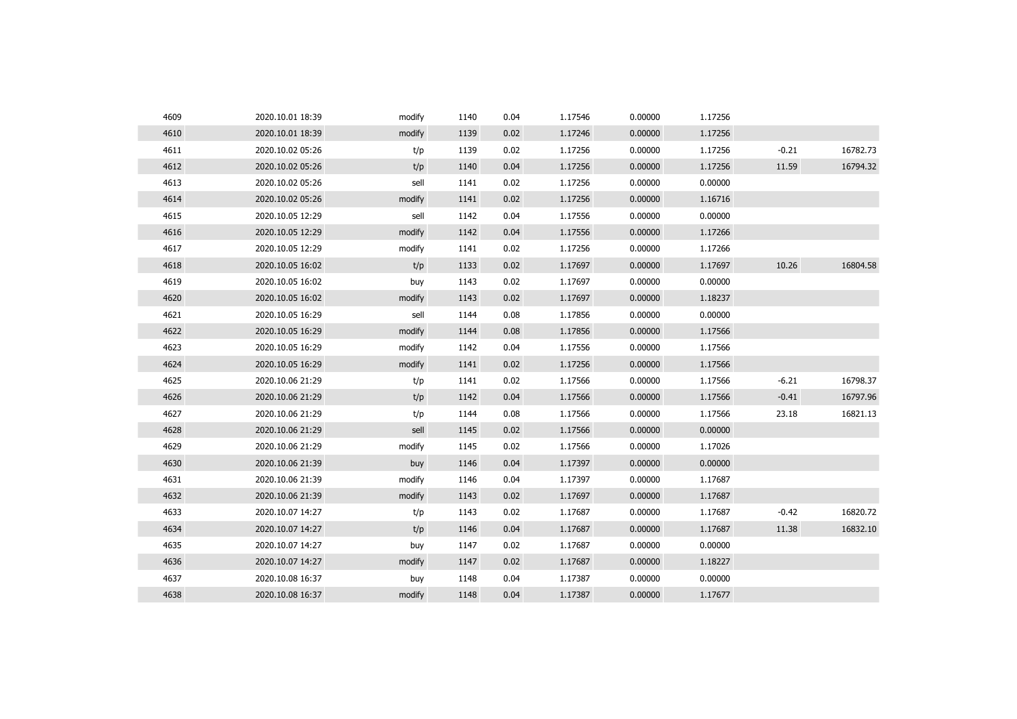| 4609 | 2020.10.01 18:39 | modify | 1140 | 0.04 | 1.17546 | 0.00000 | 1.17256 |         |          |
|------|------------------|--------|------|------|---------|---------|---------|---------|----------|
| 4610 | 2020.10.01 18:39 | modify | 1139 | 0.02 | 1.17246 | 0.00000 | 1.17256 |         |          |
| 4611 | 2020.10.02 05:26 | t/p    | 1139 | 0.02 | 1.17256 | 0.00000 | 1.17256 | $-0.21$ | 16782.73 |
| 4612 | 2020.10.02 05:26 | t/p    | 1140 | 0.04 | 1.17256 | 0.00000 | 1.17256 | 11.59   | 16794.32 |
| 4613 | 2020.10.02 05:26 | sell   | 1141 | 0.02 | 1.17256 | 0.00000 | 0.00000 |         |          |
| 4614 | 2020.10.02 05:26 | modify | 1141 | 0.02 | 1.17256 | 0.00000 | 1.16716 |         |          |
| 4615 | 2020.10.05 12:29 | sell   | 1142 | 0.04 | 1.17556 | 0.00000 | 0.00000 |         |          |
| 4616 | 2020.10.05 12:29 | modify | 1142 | 0.04 | 1.17556 | 0.00000 | 1.17266 |         |          |
| 4617 | 2020.10.05 12:29 | modify | 1141 | 0.02 | 1.17256 | 0.00000 | 1.17266 |         |          |
| 4618 | 2020.10.05 16:02 | t/p    | 1133 | 0.02 | 1.17697 | 0.00000 | 1.17697 | 10.26   | 16804.58 |
| 4619 | 2020.10.05 16:02 | buy    | 1143 | 0.02 | 1.17697 | 0.00000 | 0.00000 |         |          |
| 4620 | 2020.10.05 16:02 | modify | 1143 | 0.02 | 1.17697 | 0.00000 | 1.18237 |         |          |
| 4621 | 2020.10.05 16:29 | sell   | 1144 | 0.08 | 1.17856 | 0.00000 | 0.00000 |         |          |
| 4622 | 2020.10.05 16:29 | modify | 1144 | 0.08 | 1.17856 | 0.00000 | 1.17566 |         |          |
| 4623 | 2020.10.05 16:29 | modify | 1142 | 0.04 | 1.17556 | 0.00000 | 1.17566 |         |          |
| 4624 | 2020.10.05 16:29 | modify | 1141 | 0.02 | 1.17256 | 0.00000 | 1.17566 |         |          |
| 4625 | 2020.10.06 21:29 | t/p    | 1141 | 0.02 | 1.17566 | 0.00000 | 1.17566 | $-6.21$ | 16798.37 |
| 4626 | 2020.10.06 21:29 | t/p    | 1142 | 0.04 | 1.17566 | 0.00000 | 1.17566 | $-0.41$ | 16797.96 |
| 4627 | 2020.10.06 21:29 | t/p    | 1144 | 0.08 | 1.17566 | 0.00000 | 1.17566 | 23.18   | 16821.13 |
| 4628 | 2020.10.06 21:29 | sell   | 1145 | 0.02 | 1.17566 | 0.00000 | 0.00000 |         |          |
| 4629 | 2020.10.06 21:29 | modify | 1145 | 0.02 | 1.17566 | 0.00000 | 1.17026 |         |          |
| 4630 | 2020.10.06 21:39 | buy    | 1146 | 0.04 | 1.17397 | 0.00000 | 0.00000 |         |          |
| 4631 | 2020.10.06 21:39 | modify | 1146 | 0.04 | 1.17397 | 0.00000 | 1.17687 |         |          |
| 4632 | 2020.10.06 21:39 | modify | 1143 | 0.02 | 1.17697 | 0.00000 | 1.17687 |         |          |
| 4633 | 2020.10.07 14:27 | t/p    | 1143 | 0.02 | 1.17687 | 0.00000 | 1.17687 | $-0.42$ | 16820.72 |
| 4634 | 2020.10.07 14:27 | t/p    | 1146 | 0.04 | 1.17687 | 0.00000 | 1.17687 | 11.38   | 16832.10 |
| 4635 | 2020.10.07 14:27 | buy    | 1147 | 0.02 | 1.17687 | 0.00000 | 0.00000 |         |          |
| 4636 | 2020.10.07 14:27 | modify | 1147 | 0.02 | 1.17687 | 0.00000 | 1.18227 |         |          |
| 4637 | 2020.10.08 16:37 | buy    | 1148 | 0.04 | 1.17387 | 0.00000 | 0.00000 |         |          |
| 4638 | 2020.10.08 16:37 | modify | 1148 | 0.04 | 1.17387 | 0.00000 | 1.17677 |         |          |
|      |                  |        |      |      |         |         |         |         |          |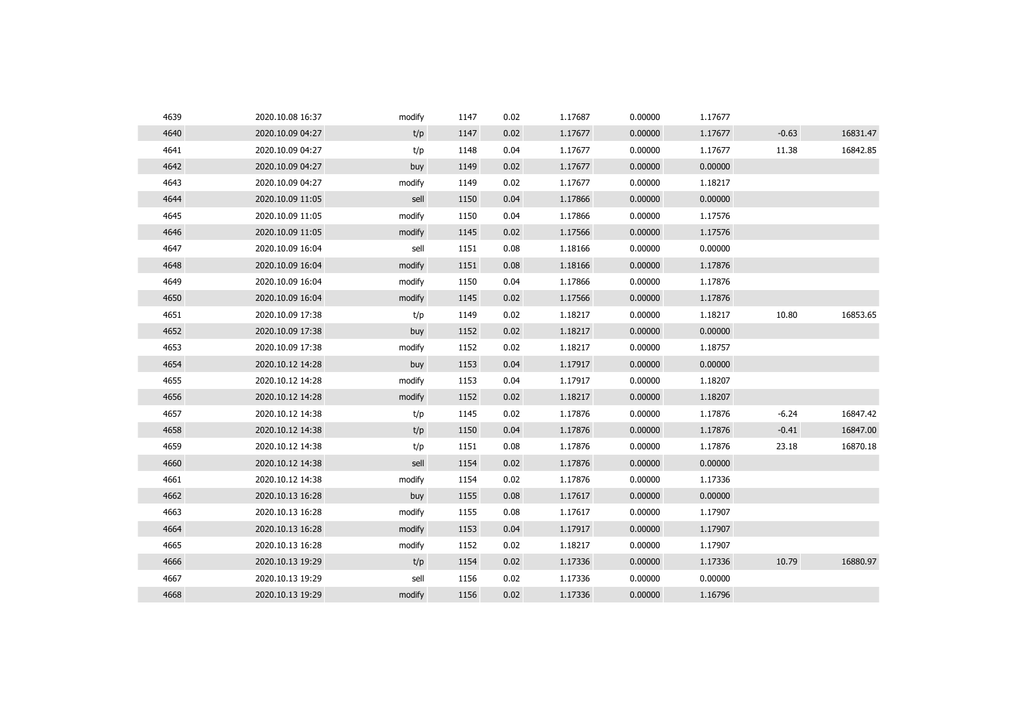| 4639 | 2020.10.08 16:37 | modify | 1147 | 0.02 | 1.17687 | 0.00000 | 1.17677 |         |          |
|------|------------------|--------|------|------|---------|---------|---------|---------|----------|
| 4640 | 2020.10.09 04:27 | t/p    | 1147 | 0.02 | 1.17677 | 0.00000 | 1.17677 | $-0.63$ | 16831.47 |
| 4641 | 2020.10.09 04:27 | t/p    | 1148 | 0.04 | 1.17677 | 0.00000 | 1.17677 | 11.38   | 16842.85 |
| 4642 | 2020.10.09 04:27 | buy    | 1149 | 0.02 | 1.17677 | 0.00000 | 0.00000 |         |          |
| 4643 | 2020.10.09 04:27 | modify | 1149 | 0.02 | 1.17677 | 0.00000 | 1.18217 |         |          |
| 4644 | 2020.10.09 11:05 | sell   | 1150 | 0.04 | 1.17866 | 0.00000 | 0.00000 |         |          |
| 4645 | 2020.10.09 11:05 | modify | 1150 | 0.04 | 1.17866 | 0.00000 | 1.17576 |         |          |
| 4646 | 2020.10.09 11:05 | modify | 1145 | 0.02 | 1.17566 | 0.00000 | 1.17576 |         |          |
| 4647 | 2020.10.09 16:04 | sell   | 1151 | 0.08 | 1.18166 | 0.00000 | 0.00000 |         |          |
| 4648 | 2020.10.09 16:04 | modify | 1151 | 0.08 | 1.18166 | 0.00000 | 1.17876 |         |          |
| 4649 | 2020.10.09 16:04 | modify | 1150 | 0.04 | 1.17866 | 0.00000 | 1.17876 |         |          |
| 4650 | 2020.10.09 16:04 | modify | 1145 | 0.02 | 1.17566 | 0.00000 | 1.17876 |         |          |
| 4651 | 2020.10.09 17:38 | t/p    | 1149 | 0.02 | 1.18217 | 0.00000 | 1.18217 | 10.80   | 16853.65 |
| 4652 | 2020.10.09 17:38 | buy    | 1152 | 0.02 | 1.18217 | 0.00000 | 0.00000 |         |          |
| 4653 | 2020.10.09 17:38 | modify | 1152 | 0.02 | 1.18217 | 0.00000 | 1.18757 |         |          |
| 4654 | 2020.10.12 14:28 | buy    | 1153 | 0.04 | 1.17917 | 0.00000 | 0.00000 |         |          |
| 4655 | 2020.10.12 14:28 | modify | 1153 | 0.04 | 1.17917 | 0.00000 | 1.18207 |         |          |
| 4656 | 2020.10.12 14:28 | modify | 1152 | 0.02 | 1.18217 | 0.00000 | 1.18207 |         |          |
| 4657 | 2020.10.12 14:38 | t/p    | 1145 | 0.02 | 1.17876 | 0.00000 | 1.17876 | $-6.24$ | 16847.42 |
| 4658 | 2020.10.12 14:38 | t/p    | 1150 | 0.04 | 1.17876 | 0.00000 | 1.17876 | $-0.41$ | 16847.00 |
| 4659 | 2020.10.12 14:38 | t/p    | 1151 | 0.08 | 1.17876 | 0.00000 | 1.17876 | 23.18   | 16870.18 |
| 4660 | 2020.10.12 14:38 | sell   | 1154 | 0.02 | 1.17876 | 0.00000 | 0.00000 |         |          |
| 4661 | 2020.10.12 14:38 | modify | 1154 | 0.02 | 1.17876 | 0.00000 | 1.17336 |         |          |
| 4662 | 2020.10.13 16:28 | buy    | 1155 | 0.08 | 1.17617 | 0.00000 | 0.00000 |         |          |
| 4663 | 2020.10.13 16:28 | modify | 1155 | 0.08 | 1.17617 | 0.00000 | 1.17907 |         |          |
| 4664 | 2020.10.13 16:28 | modify | 1153 | 0.04 | 1.17917 | 0.00000 | 1.17907 |         |          |
| 4665 | 2020.10.13 16:28 | modify | 1152 | 0.02 | 1.18217 | 0.00000 | 1.17907 |         |          |
| 4666 | 2020.10.13 19:29 | t/p    | 1154 | 0.02 | 1.17336 | 0.00000 | 1.17336 | 10.79   | 16880.97 |
| 4667 | 2020.10.13 19:29 | sell   | 1156 | 0.02 | 1.17336 | 0.00000 | 0.00000 |         |          |
| 4668 | 2020.10.13 19:29 | modify | 1156 | 0.02 | 1.17336 | 0.00000 | 1.16796 |         |          |
|      |                  |        |      |      |         |         |         |         |          |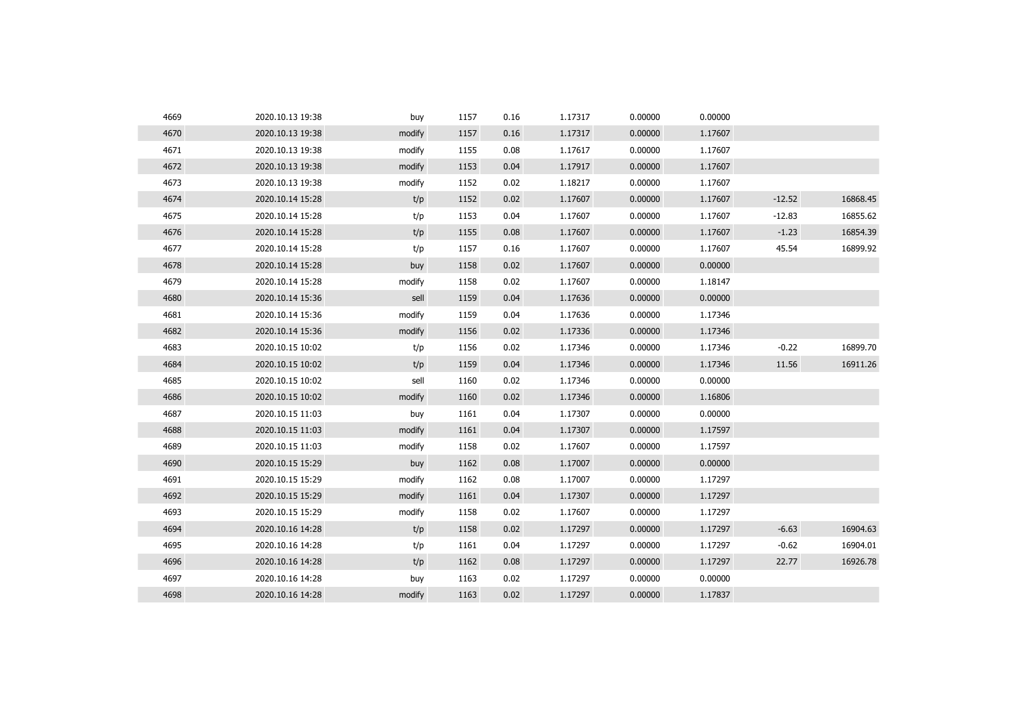| 4669 | 2020.10.13 19:38 | buy    | 1157 | 0.16 | 1.17317 | 0.00000 | 0.00000 |          |          |
|------|------------------|--------|------|------|---------|---------|---------|----------|----------|
| 4670 | 2020.10.13 19:38 | modify | 1157 | 0.16 | 1.17317 | 0.00000 | 1.17607 |          |          |
| 4671 | 2020.10.13 19:38 | modify | 1155 | 0.08 | 1.17617 | 0.00000 | 1.17607 |          |          |
| 4672 | 2020.10.13 19:38 | modify | 1153 | 0.04 | 1.17917 | 0.00000 | 1.17607 |          |          |
| 4673 | 2020.10.13 19:38 | modify | 1152 | 0.02 | 1.18217 | 0.00000 | 1.17607 |          |          |
| 4674 | 2020.10.14 15:28 | t/p    | 1152 | 0.02 | 1.17607 | 0.00000 | 1.17607 | $-12.52$ | 16868.45 |
| 4675 | 2020.10.14 15:28 | t/p    | 1153 | 0.04 | 1.17607 | 0.00000 | 1.17607 | $-12.83$ | 16855.62 |
| 4676 | 2020.10.14 15:28 | t/p    | 1155 | 0.08 | 1.17607 | 0.00000 | 1.17607 | $-1.23$  | 16854.39 |
| 4677 | 2020.10.14 15:28 | t/p    | 1157 | 0.16 | 1.17607 | 0.00000 | 1.17607 | 45.54    | 16899.92 |
| 4678 | 2020.10.14 15:28 | buy    | 1158 | 0.02 | 1.17607 | 0.00000 | 0.00000 |          |          |
| 4679 | 2020.10.14 15:28 | modify | 1158 | 0.02 | 1.17607 | 0.00000 | 1.18147 |          |          |
| 4680 | 2020.10.14 15:36 | sell   | 1159 | 0.04 | 1.17636 | 0.00000 | 0.00000 |          |          |
| 4681 | 2020.10.14 15:36 | modify | 1159 | 0.04 | 1.17636 | 0.00000 | 1.17346 |          |          |
| 4682 | 2020.10.14 15:36 | modify | 1156 | 0.02 | 1.17336 | 0.00000 | 1.17346 |          |          |
| 4683 | 2020.10.15 10:02 | t/p    | 1156 | 0.02 | 1.17346 | 0.00000 | 1.17346 | $-0.22$  | 16899.70 |
| 4684 | 2020.10.15 10:02 | t/p    | 1159 | 0.04 | 1.17346 | 0.00000 | 1.17346 | 11.56    | 16911.26 |
| 4685 | 2020.10.15 10:02 | sell   | 1160 | 0.02 | 1.17346 | 0.00000 | 0.00000 |          |          |
| 4686 | 2020.10.15 10:02 | modify | 1160 | 0.02 | 1.17346 | 0.00000 | 1.16806 |          |          |
| 4687 | 2020.10.15 11:03 | buy    | 1161 | 0.04 | 1.17307 | 0.00000 | 0.00000 |          |          |
| 4688 | 2020.10.15 11:03 | modify | 1161 | 0.04 | 1.17307 | 0.00000 | 1.17597 |          |          |
| 4689 | 2020.10.15 11:03 | modify | 1158 | 0.02 | 1.17607 | 0.00000 | 1.17597 |          |          |
| 4690 | 2020.10.15 15:29 | buy    | 1162 | 0.08 | 1.17007 | 0.00000 | 0.00000 |          |          |
| 4691 | 2020.10.15 15:29 | modify | 1162 | 0.08 | 1.17007 | 0.00000 | 1.17297 |          |          |
| 4692 | 2020.10.15 15:29 | modify | 1161 | 0.04 | 1.17307 | 0.00000 | 1.17297 |          |          |
| 4693 | 2020.10.15 15:29 | modify | 1158 | 0.02 | 1.17607 | 0.00000 | 1.17297 |          |          |
| 4694 | 2020.10.16 14:28 | t/p    | 1158 | 0.02 | 1.17297 | 0.00000 | 1.17297 | $-6.63$  | 16904.63 |
| 4695 | 2020.10.16 14:28 | t/p    | 1161 | 0.04 | 1.17297 | 0.00000 | 1.17297 | $-0.62$  | 16904.01 |
| 4696 | 2020.10.16 14:28 | t/p    | 1162 | 0.08 | 1.17297 | 0.00000 | 1.17297 | 22.77    | 16926.78 |
| 4697 | 2020.10.16 14:28 | buy    | 1163 | 0.02 | 1.17297 | 0.00000 | 0.00000 |          |          |
| 4698 | 2020.10.16 14:28 | modify | 1163 | 0.02 | 1.17297 | 0.00000 | 1.17837 |          |          |
|      |                  |        |      |      |         |         |         |          |          |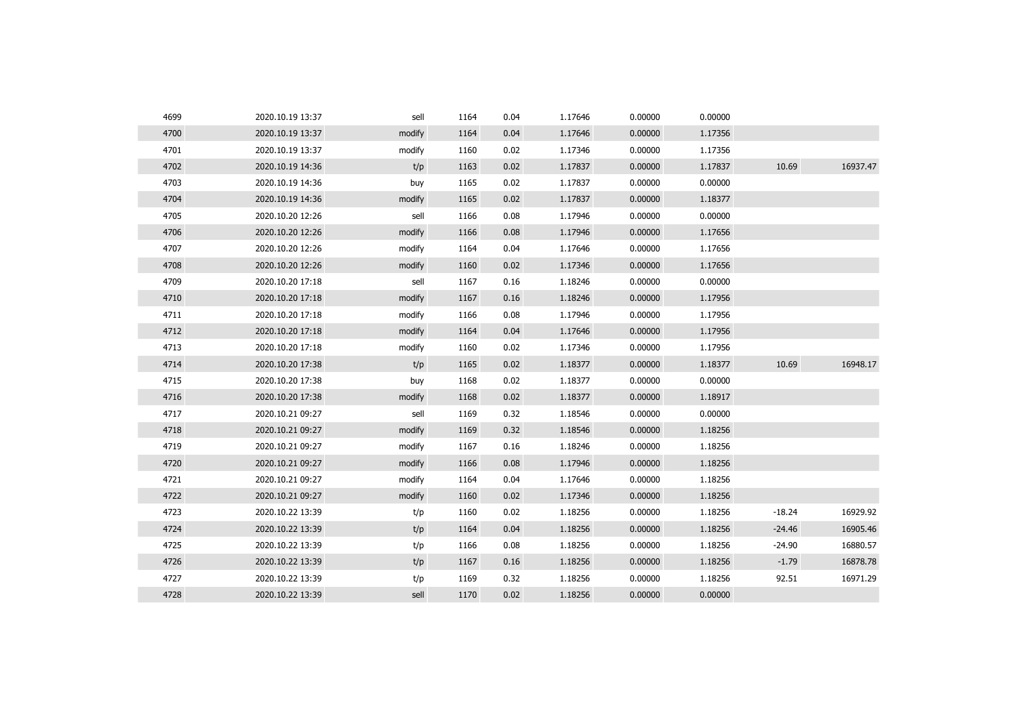| 4699 | 2020.10.19 13:37 | sell   | 1164 | 0.04 | 1.17646 | 0.00000 | 0.00000 |          |          |
|------|------------------|--------|------|------|---------|---------|---------|----------|----------|
| 4700 | 2020.10.19 13:37 | modify | 1164 | 0.04 | 1.17646 | 0.00000 | 1.17356 |          |          |
| 4701 | 2020.10.19 13:37 | modify | 1160 | 0.02 | 1.17346 | 0.00000 | 1.17356 |          |          |
| 4702 | 2020.10.19 14:36 | t/p    | 1163 | 0.02 | 1.17837 | 0.00000 | 1.17837 | 10.69    | 16937.47 |
| 4703 | 2020.10.19 14:36 | buy    | 1165 | 0.02 | 1.17837 | 0.00000 | 0.00000 |          |          |
| 4704 | 2020.10.19 14:36 | modify | 1165 | 0.02 | 1.17837 | 0.00000 | 1.18377 |          |          |
| 4705 | 2020.10.20 12:26 | sell   | 1166 | 0.08 | 1.17946 | 0.00000 | 0.00000 |          |          |
| 4706 | 2020.10.20 12:26 | modify | 1166 | 0.08 | 1.17946 | 0.00000 | 1.17656 |          |          |
| 4707 | 2020.10.20 12:26 | modify | 1164 | 0.04 | 1.17646 | 0.00000 | 1.17656 |          |          |
| 4708 | 2020.10.20 12:26 | modify | 1160 | 0.02 | 1.17346 | 0.00000 | 1.17656 |          |          |
| 4709 | 2020.10.20 17:18 | sell   | 1167 | 0.16 | 1.18246 | 0.00000 | 0.00000 |          |          |
| 4710 | 2020.10.20 17:18 | modify | 1167 | 0.16 | 1.18246 | 0.00000 | 1.17956 |          |          |
| 4711 | 2020.10.20 17:18 | modify | 1166 | 0.08 | 1.17946 | 0.00000 | 1.17956 |          |          |
| 4712 | 2020.10.20 17:18 | modify | 1164 | 0.04 | 1.17646 | 0.00000 | 1.17956 |          |          |
| 4713 | 2020.10.20 17:18 | modify | 1160 | 0.02 | 1.17346 | 0.00000 | 1.17956 |          |          |
| 4714 | 2020.10.20 17:38 | t/p    | 1165 | 0.02 | 1.18377 | 0.00000 | 1.18377 | 10.69    | 16948.17 |
| 4715 | 2020.10.20 17:38 | buy    | 1168 | 0.02 | 1.18377 | 0.00000 | 0.00000 |          |          |
| 4716 | 2020.10.20 17:38 | modify | 1168 | 0.02 | 1.18377 | 0.00000 | 1.18917 |          |          |
| 4717 | 2020.10.21 09:27 | sell   | 1169 | 0.32 | 1.18546 | 0.00000 | 0.00000 |          |          |
| 4718 | 2020.10.21 09:27 | modify | 1169 | 0.32 | 1.18546 | 0.00000 | 1.18256 |          |          |
| 4719 | 2020.10.21 09:27 | modify | 1167 | 0.16 | 1.18246 | 0.00000 | 1.18256 |          |          |
| 4720 | 2020.10.21 09:27 | modify | 1166 | 0.08 | 1.17946 | 0.00000 | 1.18256 |          |          |
| 4721 | 2020.10.21 09:27 | modify | 1164 | 0.04 | 1.17646 | 0.00000 | 1.18256 |          |          |
| 4722 | 2020.10.21 09:27 | modify | 1160 | 0.02 | 1.17346 | 0.00000 | 1.18256 |          |          |
| 4723 | 2020.10.22 13:39 | t/p    | 1160 | 0.02 | 1.18256 | 0.00000 | 1.18256 | $-18.24$ | 16929.92 |
| 4724 | 2020.10.22 13:39 | t/p    | 1164 | 0.04 | 1.18256 | 0.00000 | 1.18256 | $-24.46$ | 16905.46 |
| 4725 | 2020.10.22 13:39 | t/p    | 1166 | 0.08 | 1.18256 | 0.00000 | 1.18256 | $-24.90$ | 16880.57 |
| 4726 | 2020.10.22 13:39 | t/p    | 1167 | 0.16 | 1.18256 | 0.00000 | 1.18256 | $-1.79$  | 16878.78 |
| 4727 | 2020.10.22 13:39 | t/p    | 1169 | 0.32 | 1.18256 | 0.00000 | 1.18256 | 92.51    | 16971.29 |
| 4728 | 2020.10.22 13:39 | sell   | 1170 | 0.02 | 1.18256 | 0.00000 | 0.00000 |          |          |
|      |                  |        |      |      |         |         |         |          |          |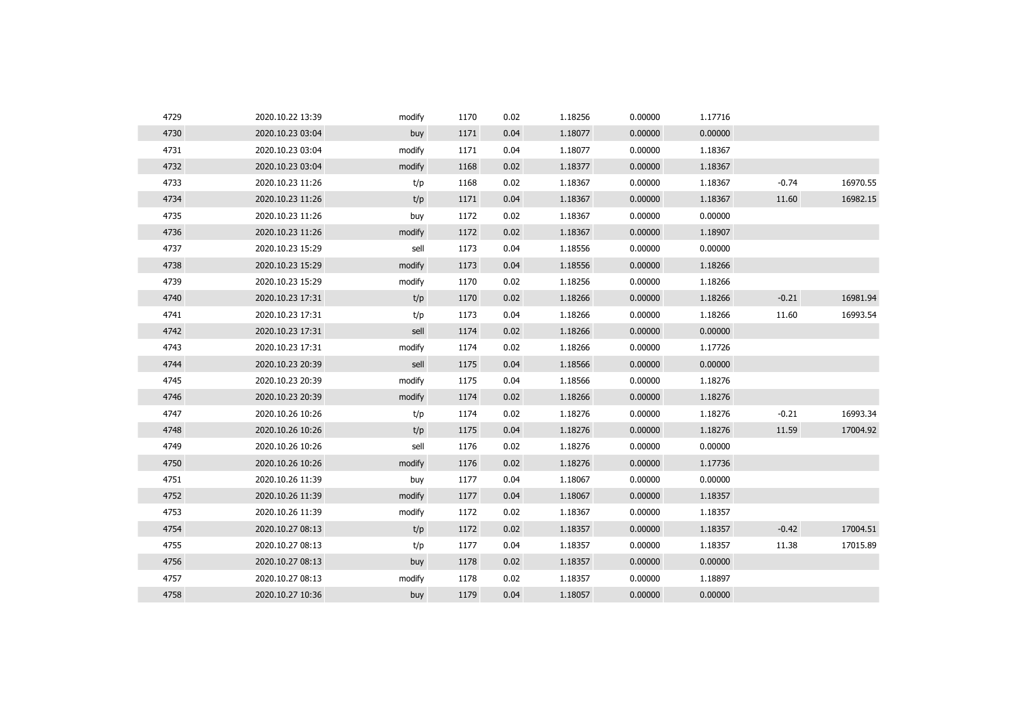| 4729 | 2020.10.22 13:39 | modify | 1170 | 0.02 | 1.18256 | 0.00000 | 1.17716 |         |          |
|------|------------------|--------|------|------|---------|---------|---------|---------|----------|
| 4730 | 2020.10.23 03:04 | buy    | 1171 | 0.04 | 1.18077 | 0.00000 | 0.00000 |         |          |
| 4731 | 2020.10.23 03:04 | modify | 1171 | 0.04 | 1.18077 | 0.00000 | 1.18367 |         |          |
| 4732 | 2020.10.23 03:04 | modify | 1168 | 0.02 | 1.18377 | 0.00000 | 1.18367 |         |          |
| 4733 | 2020.10.23 11:26 | t/p    | 1168 | 0.02 | 1.18367 | 0.00000 | 1.18367 | $-0.74$ | 16970.55 |
| 4734 | 2020.10.23 11:26 | t/p    | 1171 | 0.04 | 1.18367 | 0.00000 | 1.18367 | 11.60   | 16982.15 |
| 4735 | 2020.10.23 11:26 | buy    | 1172 | 0.02 | 1.18367 | 0.00000 | 0.00000 |         |          |
| 4736 | 2020.10.23 11:26 | modify | 1172 | 0.02 | 1.18367 | 0.00000 | 1.18907 |         |          |
| 4737 | 2020.10.23 15:29 | sell   | 1173 | 0.04 | 1.18556 | 0.00000 | 0.00000 |         |          |
| 4738 | 2020.10.23 15:29 | modify | 1173 | 0.04 | 1.18556 | 0.00000 | 1.18266 |         |          |
| 4739 | 2020.10.23 15:29 | modify | 1170 | 0.02 | 1.18256 | 0.00000 | 1.18266 |         |          |
| 4740 | 2020.10.23 17:31 | t/p    | 1170 | 0.02 | 1.18266 | 0.00000 | 1.18266 | $-0.21$ | 16981.94 |
| 4741 | 2020.10.23 17:31 | t/p    | 1173 | 0.04 | 1.18266 | 0.00000 | 1.18266 | 11.60   | 16993.54 |
| 4742 | 2020.10.23 17:31 | sell   | 1174 | 0.02 | 1.18266 | 0.00000 | 0.00000 |         |          |
| 4743 | 2020.10.23 17:31 | modify | 1174 | 0.02 | 1.18266 | 0.00000 | 1.17726 |         |          |
| 4744 | 2020.10.23 20:39 | sell   | 1175 | 0.04 | 1.18566 | 0.00000 | 0.00000 |         |          |
| 4745 | 2020.10.23 20:39 | modify | 1175 | 0.04 | 1.18566 | 0.00000 | 1.18276 |         |          |
| 4746 | 2020.10.23 20:39 | modify | 1174 | 0.02 | 1.18266 | 0.00000 | 1.18276 |         |          |
| 4747 | 2020.10.26 10:26 | t/p    | 1174 | 0.02 | 1.18276 | 0.00000 | 1.18276 | $-0.21$ | 16993.34 |
| 4748 | 2020.10.26 10:26 | t/p    | 1175 | 0.04 | 1.18276 | 0.00000 | 1.18276 | 11.59   | 17004.92 |
| 4749 | 2020.10.26 10:26 | sell   | 1176 | 0.02 | 1.18276 | 0.00000 | 0.00000 |         |          |
| 4750 | 2020.10.26 10:26 | modify | 1176 | 0.02 | 1.18276 | 0.00000 | 1.17736 |         |          |
| 4751 | 2020.10.26 11:39 | buy    | 1177 | 0.04 | 1.18067 | 0.00000 | 0.00000 |         |          |
| 4752 | 2020.10.26 11:39 | modify | 1177 | 0.04 | 1.18067 | 0.00000 | 1.18357 |         |          |
| 4753 | 2020.10.26 11:39 | modify | 1172 | 0.02 | 1.18367 | 0.00000 | 1.18357 |         |          |
| 4754 | 2020.10.27 08:13 | t/p    | 1172 | 0.02 | 1.18357 | 0.00000 | 1.18357 | $-0.42$ | 17004.51 |
| 4755 | 2020.10.27 08:13 | t/p    | 1177 | 0.04 | 1.18357 | 0.00000 | 1.18357 | 11.38   | 17015.89 |
| 4756 | 2020.10.27 08:13 | buy    | 1178 | 0.02 | 1.18357 | 0.00000 | 0.00000 |         |          |
| 4757 | 2020.10.27 08:13 | modify | 1178 | 0.02 | 1.18357 | 0.00000 | 1.18897 |         |          |
| 4758 | 2020.10.27 10:36 | buy    | 1179 | 0.04 | 1.18057 | 0.00000 | 0.00000 |         |          |
|      |                  |        |      |      |         |         |         |         |          |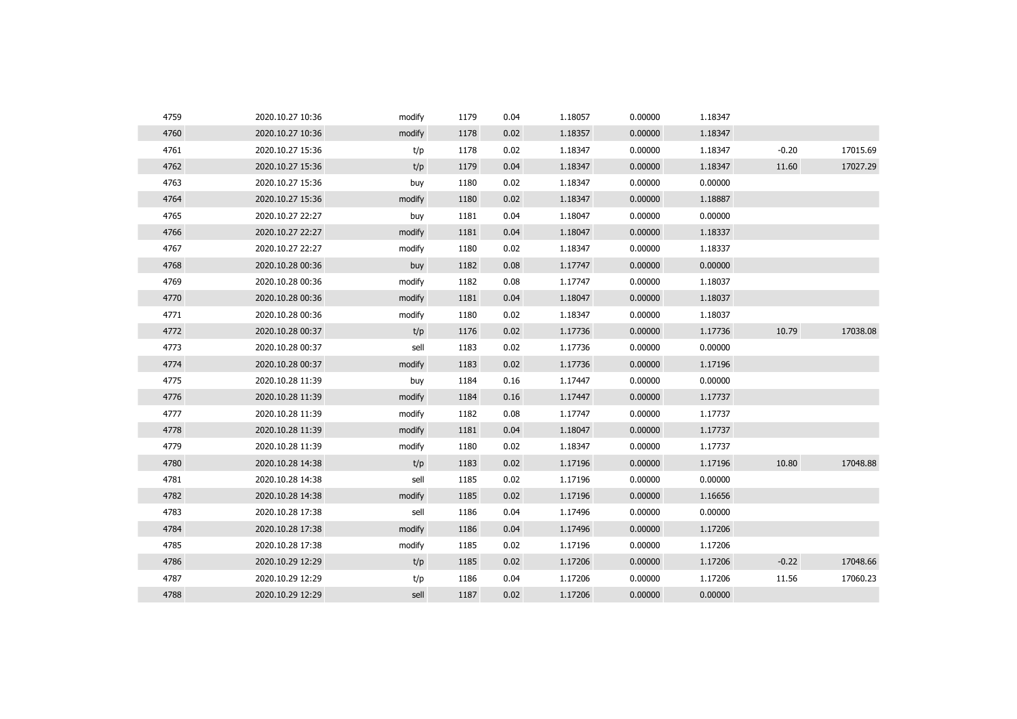| 4759 | 2020.10.27 10:36 | modify | 1179 | 0.04 | 1.18057 | 0.00000 | 1.18347 |         |          |
|------|------------------|--------|------|------|---------|---------|---------|---------|----------|
| 4760 | 2020.10.27 10:36 | modify | 1178 | 0.02 | 1.18357 | 0.00000 | 1.18347 |         |          |
| 4761 | 2020.10.27 15:36 | t/p    | 1178 | 0.02 | 1.18347 | 0.00000 | 1.18347 | $-0.20$ | 17015.69 |
| 4762 | 2020.10.27 15:36 | t/p    | 1179 | 0.04 | 1.18347 | 0.00000 | 1.18347 | 11.60   | 17027.29 |
| 4763 | 2020.10.27 15:36 | buy    | 1180 | 0.02 | 1.18347 | 0.00000 | 0.00000 |         |          |
| 4764 | 2020.10.27 15:36 | modify | 1180 | 0.02 | 1.18347 | 0.00000 | 1.18887 |         |          |
| 4765 | 2020.10.27 22:27 | buy    | 1181 | 0.04 | 1.18047 | 0.00000 | 0.00000 |         |          |
| 4766 | 2020.10.27 22:27 | modify | 1181 | 0.04 | 1.18047 | 0.00000 | 1.18337 |         |          |
| 4767 | 2020.10.27 22:27 | modify | 1180 | 0.02 | 1.18347 | 0.00000 | 1.18337 |         |          |
| 4768 | 2020.10.28 00:36 | buy    | 1182 | 0.08 | 1.17747 | 0.00000 | 0.00000 |         |          |
| 4769 | 2020.10.28 00:36 | modify | 1182 | 0.08 | 1.17747 | 0.00000 | 1.18037 |         |          |
| 4770 | 2020.10.28 00:36 | modify | 1181 | 0.04 | 1.18047 | 0.00000 | 1.18037 |         |          |
| 4771 | 2020.10.28 00:36 | modify | 1180 | 0.02 | 1.18347 | 0.00000 | 1.18037 |         |          |
| 4772 | 2020.10.28 00:37 | t/p    | 1176 | 0.02 | 1.17736 | 0.00000 | 1.17736 | 10.79   | 17038.08 |
| 4773 | 2020.10.28 00:37 | sell   | 1183 | 0.02 | 1.17736 | 0.00000 | 0.00000 |         |          |
| 4774 | 2020.10.28 00:37 | modify | 1183 | 0.02 | 1.17736 | 0.00000 | 1.17196 |         |          |
| 4775 | 2020.10.28 11:39 | buy    | 1184 | 0.16 | 1.17447 | 0.00000 | 0.00000 |         |          |
| 4776 | 2020.10.28 11:39 | modify | 1184 | 0.16 | 1.17447 | 0.00000 | 1.17737 |         |          |
| 4777 | 2020.10.28 11:39 | modify | 1182 | 0.08 | 1.17747 | 0.00000 | 1.17737 |         |          |
| 4778 | 2020.10.28 11:39 | modify | 1181 | 0.04 | 1.18047 | 0.00000 | 1.17737 |         |          |
| 4779 | 2020.10.28 11:39 | modify | 1180 | 0.02 | 1.18347 | 0.00000 | 1.17737 |         |          |
| 4780 | 2020.10.28 14:38 | t/p    | 1183 | 0.02 | 1.17196 | 0.00000 | 1.17196 | 10.80   | 17048.88 |
| 4781 | 2020.10.28 14:38 | sell   | 1185 | 0.02 | 1.17196 | 0.00000 | 0.00000 |         |          |
| 4782 | 2020.10.28 14:38 | modify | 1185 | 0.02 | 1.17196 | 0.00000 | 1.16656 |         |          |
| 4783 | 2020.10.28 17:38 | sell   | 1186 | 0.04 | 1.17496 | 0.00000 | 0.00000 |         |          |
| 4784 | 2020.10.28 17:38 | modify | 1186 | 0.04 | 1.17496 | 0.00000 | 1.17206 |         |          |
| 4785 | 2020.10.28 17:38 | modify | 1185 | 0.02 | 1.17196 | 0.00000 | 1.17206 |         |          |
| 4786 | 2020.10.29 12:29 | t/p    | 1185 | 0.02 | 1.17206 | 0.00000 | 1.17206 | $-0.22$ | 17048.66 |
| 4787 | 2020.10.29 12:29 | t/p    | 1186 | 0.04 | 1.17206 | 0.00000 | 1.17206 | 11.56   | 17060.23 |
| 4788 | 2020.10.29 12:29 | sell   | 1187 | 0.02 | 1.17206 | 0.00000 | 0.00000 |         |          |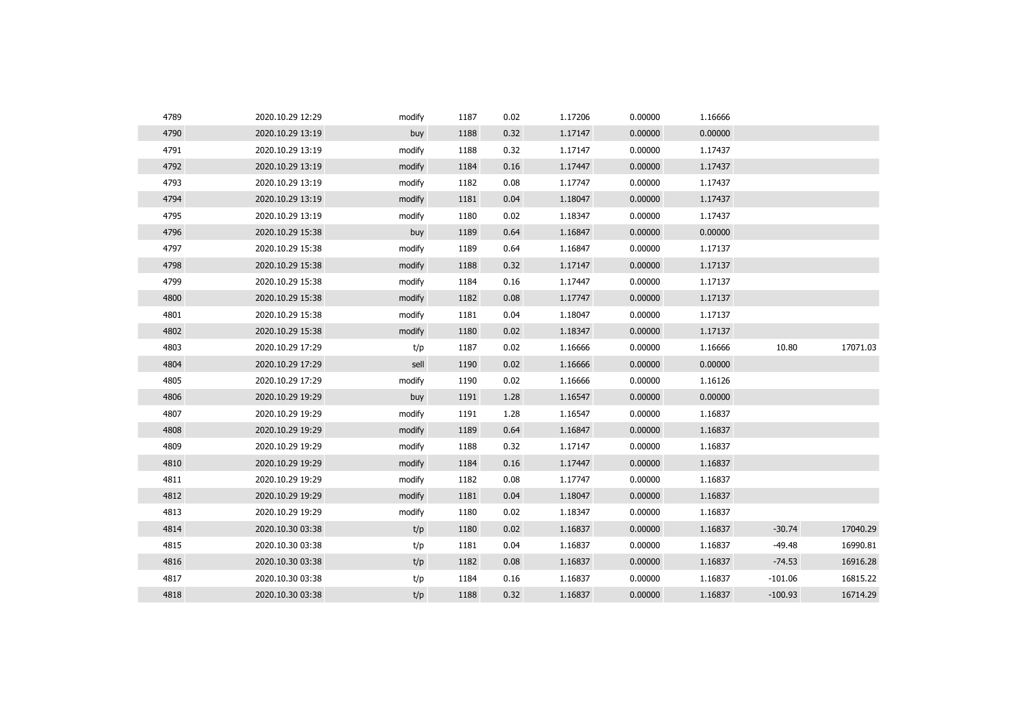| 4789 | 2020.10.29 12:29 | modify | 1187 | 0.02 | 1.17206 | 0.00000 | 1.16666 |           |          |
|------|------------------|--------|------|------|---------|---------|---------|-----------|----------|
| 4790 | 2020.10.29 13:19 | buy    | 1188 | 0.32 | 1.17147 | 0.00000 | 0.00000 |           |          |
| 4791 | 2020.10.29 13:19 | modify | 1188 | 0.32 | 1.17147 | 0.00000 | 1.17437 |           |          |
| 4792 | 2020.10.29 13:19 | modify | 1184 | 0.16 | 1.17447 | 0.00000 | 1.17437 |           |          |
| 4793 | 2020.10.29 13:19 | modify | 1182 | 0.08 | 1.17747 | 0.00000 | 1.17437 |           |          |
| 4794 | 2020.10.29 13:19 | modify | 1181 | 0.04 | 1.18047 | 0.00000 | 1.17437 |           |          |
| 4795 | 2020.10.29 13:19 | modify | 1180 | 0.02 | 1.18347 | 0.00000 | 1.17437 |           |          |
| 4796 | 2020.10.29 15:38 | buy    | 1189 | 0.64 | 1.16847 | 0.00000 | 0.00000 |           |          |
| 4797 | 2020.10.29 15:38 | modify | 1189 | 0.64 | 1.16847 | 0.00000 | 1.17137 |           |          |
| 4798 | 2020.10.29 15:38 | modify | 1188 | 0.32 | 1.17147 | 0.00000 | 1.17137 |           |          |
| 4799 | 2020.10.29 15:38 | modify | 1184 | 0.16 | 1.17447 | 0.00000 | 1.17137 |           |          |
| 4800 | 2020.10.29 15:38 | modify | 1182 | 0.08 | 1.17747 | 0.00000 | 1.17137 |           |          |
| 4801 | 2020.10.29 15:38 | modify | 1181 | 0.04 | 1.18047 | 0.00000 | 1.17137 |           |          |
| 4802 | 2020.10.29 15:38 | modify | 1180 | 0.02 | 1.18347 | 0.00000 | 1.17137 |           |          |
| 4803 | 2020.10.29 17:29 | t/p    | 1187 | 0.02 | 1.16666 | 0.00000 | 1.16666 | 10.80     | 17071.03 |
| 4804 | 2020.10.29 17:29 | sell   | 1190 | 0.02 | 1.16666 | 0.00000 | 0.00000 |           |          |
| 4805 | 2020.10.29 17:29 | modify | 1190 | 0.02 | 1.16666 | 0.00000 | 1.16126 |           |          |
| 4806 | 2020.10.29 19:29 | buy    | 1191 | 1.28 | 1.16547 | 0.00000 | 0.00000 |           |          |
| 4807 | 2020.10.29 19:29 | modify | 1191 | 1.28 | 1.16547 | 0.00000 | 1.16837 |           |          |
| 4808 | 2020.10.29 19:29 | modify | 1189 | 0.64 | 1.16847 | 0.00000 | 1.16837 |           |          |
| 4809 | 2020.10.29 19:29 | modify | 1188 | 0.32 | 1.17147 | 0.00000 | 1.16837 |           |          |
| 4810 | 2020.10.29 19:29 | modify | 1184 | 0.16 | 1.17447 | 0.00000 | 1.16837 |           |          |
| 4811 | 2020.10.29 19:29 | modify | 1182 | 0.08 | 1.17747 | 0.00000 | 1.16837 |           |          |
| 4812 | 2020.10.29 19:29 | modify | 1181 | 0.04 | 1.18047 | 0.00000 | 1.16837 |           |          |
| 4813 | 2020.10.29 19:29 | modify | 1180 | 0.02 | 1.18347 | 0.00000 | 1.16837 |           |          |
| 4814 | 2020.10.30 03:38 | t/p    | 1180 | 0.02 | 1.16837 | 0.00000 | 1.16837 | $-30.74$  | 17040.29 |
| 4815 | 2020.10.30 03:38 | t/p    | 1181 | 0.04 | 1.16837 | 0.00000 | 1.16837 | $-49.48$  | 16990.81 |
| 4816 | 2020.10.30 03:38 | t/p    | 1182 | 0.08 | 1.16837 | 0.00000 | 1.16837 | $-74.53$  | 16916.28 |
| 4817 | 2020.10.30 03:38 | t/p    | 1184 | 0.16 | 1.16837 | 0.00000 | 1.16837 | $-101.06$ | 16815.22 |
| 4818 | 2020.10.30 03:38 | t/p    | 1188 | 0.32 | 1.16837 | 0.00000 | 1.16837 | $-100.93$ | 16714.29 |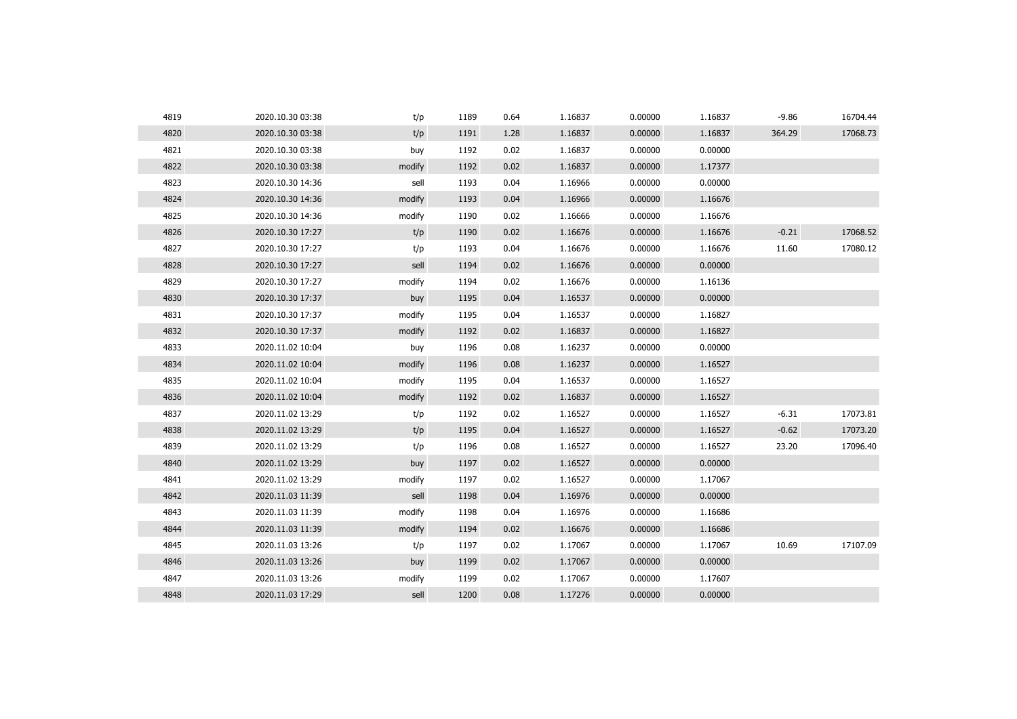| 4819 | 2020.10.30 03:38 | t/p    | 1189 | 0.64 | 1.16837 | 0.00000 | 1.16837 | $-9.86$ | 16704.44 |
|------|------------------|--------|------|------|---------|---------|---------|---------|----------|
| 4820 | 2020.10.30 03:38 | t/p    | 1191 | 1.28 | 1.16837 | 0.00000 | 1.16837 | 364.29  | 17068.73 |
| 4821 | 2020.10.30 03:38 | buy    | 1192 | 0.02 | 1.16837 | 0.00000 | 0.00000 |         |          |
| 4822 | 2020.10.30 03:38 | modify | 1192 | 0.02 | 1.16837 | 0.00000 | 1.17377 |         |          |
| 4823 | 2020.10.30 14:36 | sell   | 1193 | 0.04 | 1.16966 | 0.00000 | 0.00000 |         |          |
| 4824 | 2020.10.30 14:36 | modify | 1193 | 0.04 | 1.16966 | 0.00000 | 1.16676 |         |          |
| 4825 | 2020.10.30 14:36 | modify | 1190 | 0.02 | 1.16666 | 0.00000 | 1.16676 |         |          |
| 4826 | 2020.10.30 17:27 | t/p    | 1190 | 0.02 | 1.16676 | 0.00000 | 1.16676 | $-0.21$ | 17068.52 |
| 4827 | 2020.10.30 17:27 | t/p    | 1193 | 0.04 | 1.16676 | 0.00000 | 1.16676 | 11.60   | 17080.12 |
| 4828 | 2020.10.30 17:27 | sell   | 1194 | 0.02 | 1.16676 | 0.00000 | 0.00000 |         |          |
| 4829 | 2020.10.30 17:27 | modify | 1194 | 0.02 | 1.16676 | 0.00000 | 1.16136 |         |          |
| 4830 | 2020.10.30 17:37 | buy    | 1195 | 0.04 | 1.16537 | 0.00000 | 0.00000 |         |          |
| 4831 | 2020.10.30 17:37 | modify | 1195 | 0.04 | 1.16537 | 0.00000 | 1.16827 |         |          |
| 4832 | 2020.10.30 17:37 | modify | 1192 | 0.02 | 1.16837 | 0.00000 | 1.16827 |         |          |
| 4833 | 2020.11.02 10:04 | buy    | 1196 | 0.08 | 1.16237 | 0.00000 | 0.00000 |         |          |
| 4834 | 2020.11.02 10:04 | modify | 1196 | 0.08 | 1.16237 | 0.00000 | 1.16527 |         |          |
| 4835 | 2020.11.02 10:04 | modify | 1195 | 0.04 | 1.16537 | 0.00000 | 1.16527 |         |          |
| 4836 | 2020.11.02 10:04 | modify | 1192 | 0.02 | 1.16837 | 0.00000 | 1.16527 |         |          |
| 4837 | 2020.11.02 13:29 | t/p    | 1192 | 0.02 | 1.16527 | 0.00000 | 1.16527 | $-6.31$ | 17073.81 |
| 4838 | 2020.11.02 13:29 | t/p    | 1195 | 0.04 | 1.16527 | 0.00000 | 1.16527 | $-0.62$ | 17073.20 |
| 4839 | 2020.11.02 13:29 | t/p    | 1196 | 0.08 | 1.16527 | 0.00000 | 1.16527 | 23.20   | 17096.40 |
| 4840 | 2020.11.02 13:29 | buy    | 1197 | 0.02 | 1.16527 | 0.00000 | 0.00000 |         |          |
| 4841 | 2020.11.02 13:29 | modify | 1197 | 0.02 | 1.16527 | 0.00000 | 1.17067 |         |          |
| 4842 | 2020.11.03 11:39 | sell   | 1198 | 0.04 | 1.16976 | 0.00000 | 0.00000 |         |          |
| 4843 | 2020.11.03 11:39 | modify | 1198 | 0.04 | 1.16976 | 0.00000 | 1.16686 |         |          |
| 4844 | 2020.11.03 11:39 | modify | 1194 | 0.02 | 1.16676 | 0.00000 | 1.16686 |         |          |
| 4845 | 2020.11.03 13:26 | t/p    | 1197 | 0.02 | 1.17067 | 0.00000 | 1.17067 | 10.69   | 17107.09 |
| 4846 | 2020.11.03 13:26 | buy    | 1199 | 0.02 | 1.17067 | 0.00000 | 0.00000 |         |          |
| 4847 | 2020.11.03 13:26 | modify | 1199 | 0.02 | 1.17067 | 0.00000 | 1.17607 |         |          |
| 4848 | 2020.11.03 17:29 | sell   | 1200 | 0.08 | 1.17276 | 0.00000 | 0.00000 |         |          |
|      |                  |        |      |      |         |         |         |         |          |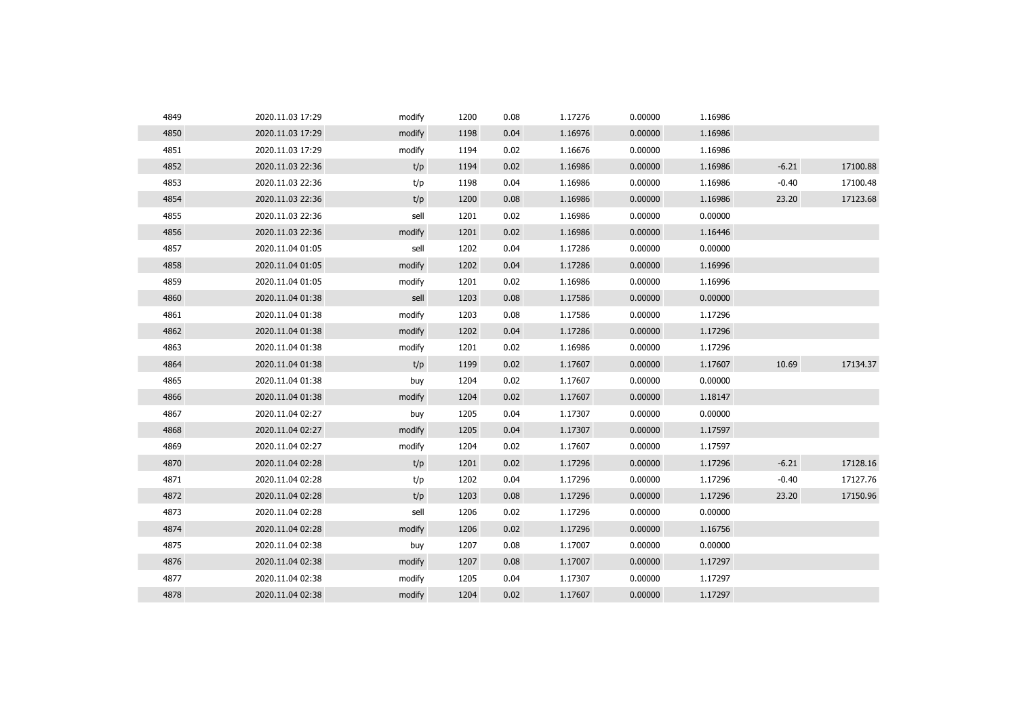| 4849 | 2020.11.03 17:29 | modify | 1200 | 0.08 | 1.17276 | 0.00000 | 1.16986 |         |          |
|------|------------------|--------|------|------|---------|---------|---------|---------|----------|
| 4850 | 2020.11.03 17:29 | modify | 1198 | 0.04 | 1.16976 | 0.00000 | 1.16986 |         |          |
| 4851 | 2020.11.03 17:29 | modify | 1194 | 0.02 | 1.16676 | 0.00000 | 1.16986 |         |          |
| 4852 | 2020.11.03 22:36 | t/p    | 1194 | 0.02 | 1.16986 | 0.00000 | 1.16986 | $-6.21$ | 17100.88 |
| 4853 | 2020.11.03 22:36 | t/p    | 1198 | 0.04 | 1.16986 | 0.00000 | 1.16986 | $-0.40$ | 17100.48 |
| 4854 | 2020.11.03 22:36 | t/p    | 1200 | 0.08 | 1.16986 | 0.00000 | 1.16986 | 23.20   | 17123.68 |
| 4855 | 2020.11.03 22:36 | sell   | 1201 | 0.02 | 1.16986 | 0.00000 | 0.00000 |         |          |
| 4856 | 2020.11.03 22:36 | modify | 1201 | 0.02 | 1.16986 | 0.00000 | 1.16446 |         |          |
| 4857 | 2020.11.04 01:05 | sell   | 1202 | 0.04 | 1.17286 | 0.00000 | 0.00000 |         |          |
| 4858 | 2020.11.04 01:05 | modify | 1202 | 0.04 | 1.17286 | 0.00000 | 1.16996 |         |          |
| 4859 | 2020.11.04 01:05 | modify | 1201 | 0.02 | 1.16986 | 0.00000 | 1.16996 |         |          |
| 4860 | 2020.11.04 01:38 | sell   | 1203 | 0.08 | 1.17586 | 0.00000 | 0.00000 |         |          |
| 4861 | 2020.11.04 01:38 | modify | 1203 | 0.08 | 1.17586 | 0.00000 | 1.17296 |         |          |
| 4862 | 2020.11.04 01:38 | modify | 1202 | 0.04 | 1.17286 | 0.00000 | 1.17296 |         |          |
| 4863 | 2020.11.04 01:38 | modify | 1201 | 0.02 | 1.16986 | 0.00000 | 1.17296 |         |          |
| 4864 | 2020.11.04 01:38 | t/p    | 1199 | 0.02 | 1.17607 | 0.00000 | 1.17607 | 10.69   | 17134.37 |
| 4865 | 2020.11.04 01:38 | buy    | 1204 | 0.02 | 1.17607 | 0.00000 | 0.00000 |         |          |
| 4866 | 2020.11.04 01:38 | modify | 1204 | 0.02 | 1.17607 | 0.00000 | 1.18147 |         |          |
| 4867 | 2020.11.04 02:27 | buy    | 1205 | 0.04 | 1.17307 | 0.00000 | 0.00000 |         |          |
| 4868 | 2020.11.04 02:27 | modify | 1205 | 0.04 | 1.17307 | 0.00000 | 1.17597 |         |          |
| 4869 | 2020.11.04 02:27 | modify | 1204 | 0.02 | 1.17607 | 0.00000 | 1.17597 |         |          |
| 4870 | 2020.11.04 02:28 | t/p    | 1201 | 0.02 | 1.17296 | 0.00000 | 1.17296 | $-6.21$ | 17128.16 |
| 4871 | 2020.11.04 02:28 | t/p    | 1202 | 0.04 | 1.17296 | 0.00000 | 1.17296 | $-0.40$ | 17127.76 |
| 4872 | 2020.11.04 02:28 | t/p    | 1203 | 0.08 | 1.17296 | 0.00000 | 1.17296 | 23.20   | 17150.96 |
| 4873 | 2020.11.04 02:28 | sell   | 1206 | 0.02 | 1.17296 | 0.00000 | 0.00000 |         |          |
| 4874 | 2020.11.04 02:28 | modify | 1206 | 0.02 | 1.17296 | 0.00000 | 1.16756 |         |          |
| 4875 | 2020.11.04 02:38 | buy    | 1207 | 0.08 | 1.17007 | 0.00000 | 0.00000 |         |          |
| 4876 | 2020.11.04 02:38 | modify | 1207 | 0.08 | 1.17007 | 0.00000 | 1.17297 |         |          |
| 4877 | 2020.11.04 02:38 | modify | 1205 | 0.04 | 1.17307 | 0.00000 | 1.17297 |         |          |
| 4878 | 2020.11.04 02:38 | modify | 1204 | 0.02 | 1.17607 | 0.00000 | 1.17297 |         |          |
|      |                  |        |      |      |         |         |         |         |          |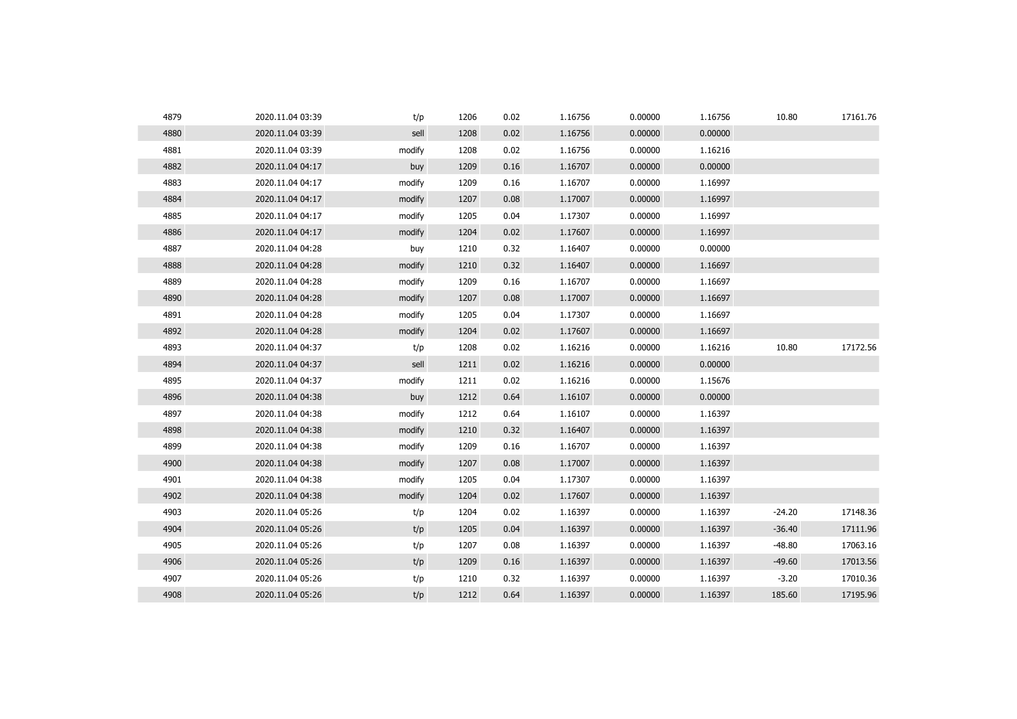| 4879 | 2020.11.04 03:39 | t/p    | 1206 | 0.02 | 1.16756 | 0.00000 | 1.16756 | 10.80    | 17161.76 |
|------|------------------|--------|------|------|---------|---------|---------|----------|----------|
| 4880 | 2020.11.04 03:39 | sell   | 1208 | 0.02 | 1.16756 | 0.00000 | 0.00000 |          |          |
| 4881 | 2020.11.04 03:39 | modify | 1208 | 0.02 | 1.16756 | 0.00000 | 1.16216 |          |          |
| 4882 | 2020.11.04 04:17 | buy    | 1209 | 0.16 | 1.16707 | 0.00000 | 0.00000 |          |          |
| 4883 | 2020.11.04 04:17 | modify | 1209 | 0.16 | 1.16707 | 0.00000 | 1.16997 |          |          |
| 4884 | 2020.11.04 04:17 | modify | 1207 | 0.08 | 1.17007 | 0.00000 | 1.16997 |          |          |
| 4885 | 2020.11.04 04:17 | modify | 1205 | 0.04 | 1.17307 | 0.00000 | 1.16997 |          |          |
| 4886 | 2020.11.04 04:17 | modify | 1204 | 0.02 | 1.17607 | 0.00000 | 1.16997 |          |          |
| 4887 | 2020.11.04 04:28 | buy    | 1210 | 0.32 | 1.16407 | 0.00000 | 0.00000 |          |          |
| 4888 | 2020.11.04 04:28 | modify | 1210 | 0.32 | 1.16407 | 0.00000 | 1.16697 |          |          |
| 4889 | 2020.11.04 04:28 | modify | 1209 | 0.16 | 1.16707 | 0.00000 | 1.16697 |          |          |
| 4890 | 2020.11.04 04:28 | modify | 1207 | 0.08 | 1.17007 | 0.00000 | 1.16697 |          |          |
| 4891 | 2020.11.04 04:28 | modify | 1205 | 0.04 | 1.17307 | 0.00000 | 1.16697 |          |          |
| 4892 | 2020.11.04 04:28 | modify | 1204 | 0.02 | 1.17607 | 0.00000 | 1.16697 |          |          |
| 4893 | 2020.11.04 04:37 | t/p    | 1208 | 0.02 | 1.16216 | 0.00000 | 1.16216 | 10.80    | 17172.56 |
| 4894 | 2020.11.04 04:37 | sell   | 1211 | 0.02 | 1.16216 | 0.00000 | 0.00000 |          |          |
| 4895 | 2020.11.04 04:37 | modify | 1211 | 0.02 | 1.16216 | 0.00000 | 1.15676 |          |          |
| 4896 | 2020.11.04 04:38 | buy    | 1212 | 0.64 | 1.16107 | 0.00000 | 0.00000 |          |          |
| 4897 | 2020.11.04 04:38 | modify | 1212 | 0.64 | 1.16107 | 0.00000 | 1.16397 |          |          |
| 4898 | 2020.11.04 04:38 | modify | 1210 | 0.32 | 1.16407 | 0.00000 | 1.16397 |          |          |
| 4899 | 2020.11.04 04:38 | modify | 1209 | 0.16 | 1.16707 | 0.00000 | 1.16397 |          |          |
| 4900 | 2020.11.04 04:38 | modify | 1207 | 0.08 | 1.17007 | 0.00000 | 1.16397 |          |          |
| 4901 | 2020.11.04 04:38 | modify | 1205 | 0.04 | 1.17307 | 0.00000 | 1.16397 |          |          |
| 4902 | 2020.11.04 04:38 | modify | 1204 | 0.02 | 1.17607 | 0.00000 | 1.16397 |          |          |
| 4903 | 2020.11.04 05:26 | t/p    | 1204 | 0.02 | 1.16397 | 0.00000 | 1.16397 | $-24.20$ | 17148.36 |
| 4904 | 2020.11.04 05:26 | t/p    | 1205 | 0.04 | 1.16397 | 0.00000 | 1.16397 | $-36.40$ | 17111.96 |
| 4905 | 2020.11.04 05:26 | t/p    | 1207 | 0.08 | 1.16397 | 0.00000 | 1.16397 | $-48.80$ | 17063.16 |
| 4906 | 2020.11.04 05:26 | t/p    | 1209 | 0.16 | 1.16397 | 0.00000 | 1.16397 | $-49.60$ | 17013.56 |
| 4907 | 2020.11.04 05:26 | t/p    | 1210 | 0.32 | 1.16397 | 0.00000 | 1.16397 | $-3.20$  | 17010.36 |
| 4908 | 2020.11.04 05:26 | t/p    | 1212 | 0.64 | 1.16397 | 0.00000 | 1.16397 | 185.60   | 17195.96 |
|      |                  |        |      |      |         |         |         |          |          |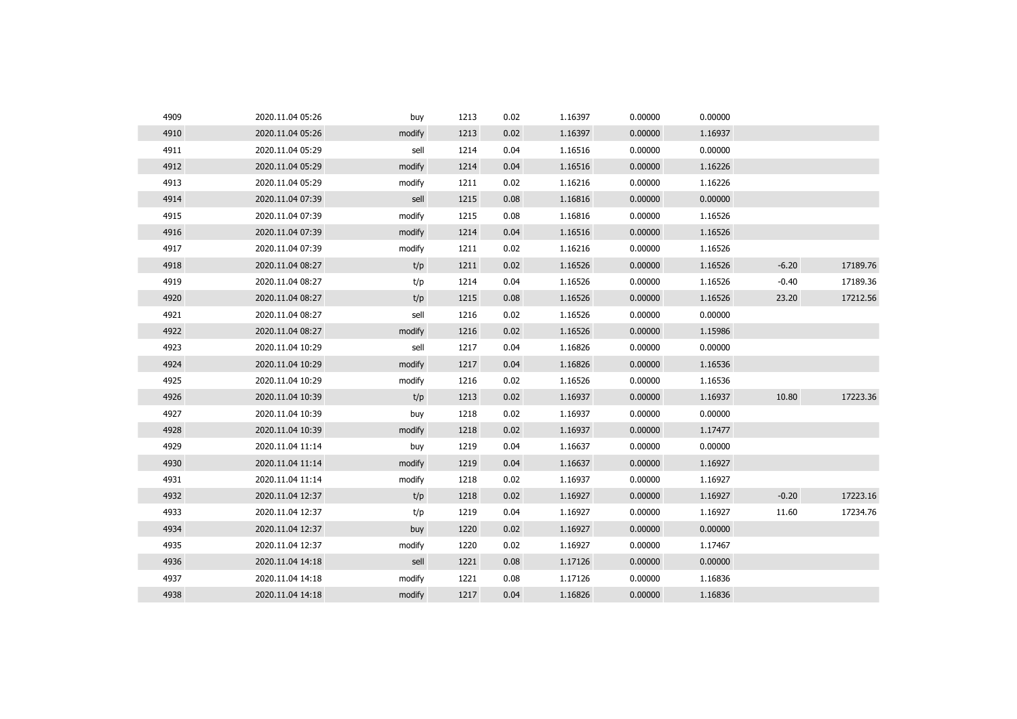| 4909 | 2020.11.04 05:26 | buy    | 1213 | 0.02 | 1.16397 | 0.00000 | 0.00000 |         |          |
|------|------------------|--------|------|------|---------|---------|---------|---------|----------|
| 4910 | 2020.11.04 05:26 | modify | 1213 | 0.02 | 1.16397 | 0.00000 | 1.16937 |         |          |
| 4911 | 2020.11.04 05:29 | sell   | 1214 | 0.04 | 1.16516 | 0.00000 | 0.00000 |         |          |
| 4912 | 2020.11.04 05:29 | modify | 1214 | 0.04 | 1.16516 | 0.00000 | 1.16226 |         |          |
| 4913 | 2020.11.04 05:29 | modify | 1211 | 0.02 | 1.16216 | 0.00000 | 1.16226 |         |          |
| 4914 | 2020.11.04 07:39 | sell   | 1215 | 0.08 | 1.16816 | 0.00000 | 0.00000 |         |          |
| 4915 | 2020.11.04 07:39 | modify | 1215 | 0.08 | 1.16816 | 0.00000 | 1.16526 |         |          |
| 4916 | 2020.11.04 07:39 | modify | 1214 | 0.04 | 1.16516 | 0.00000 | 1.16526 |         |          |
| 4917 | 2020.11.04 07:39 | modify | 1211 | 0.02 | 1.16216 | 0.00000 | 1.16526 |         |          |
| 4918 | 2020.11.04 08:27 | t/p    | 1211 | 0.02 | 1.16526 | 0.00000 | 1.16526 | $-6.20$ | 17189.76 |
| 4919 | 2020.11.04 08:27 | t/p    | 1214 | 0.04 | 1.16526 | 0.00000 | 1.16526 | $-0.40$ | 17189.36 |
| 4920 | 2020.11.04 08:27 | t/p    | 1215 | 0.08 | 1.16526 | 0.00000 | 1.16526 | 23.20   | 17212.56 |
| 4921 | 2020.11.04 08:27 | sell   | 1216 | 0.02 | 1.16526 | 0.00000 | 0.00000 |         |          |
| 4922 | 2020.11.04 08:27 | modify | 1216 | 0.02 | 1.16526 | 0.00000 | 1.15986 |         |          |
| 4923 | 2020.11.04 10:29 | sell   | 1217 | 0.04 | 1.16826 | 0.00000 | 0.00000 |         |          |
| 4924 | 2020.11.04 10:29 | modify | 1217 | 0.04 | 1.16826 | 0.00000 | 1.16536 |         |          |
| 4925 | 2020.11.04 10:29 | modify | 1216 | 0.02 | 1.16526 | 0.00000 | 1.16536 |         |          |
| 4926 | 2020.11.04 10:39 | t/p    | 1213 | 0.02 | 1.16937 | 0.00000 | 1.16937 | 10.80   | 17223.36 |
| 4927 | 2020.11.04 10:39 | buy    | 1218 | 0.02 | 1.16937 | 0.00000 | 0.00000 |         |          |
| 4928 | 2020.11.04 10:39 | modify | 1218 | 0.02 | 1.16937 | 0.00000 | 1.17477 |         |          |
| 4929 | 2020.11.04 11:14 | buy    | 1219 | 0.04 | 1.16637 | 0.00000 | 0.00000 |         |          |
| 4930 | 2020.11.04 11:14 | modify | 1219 | 0.04 | 1.16637 | 0.00000 | 1.16927 |         |          |
| 4931 | 2020.11.04 11:14 | modify | 1218 | 0.02 | 1.16937 | 0.00000 | 1.16927 |         |          |
| 4932 | 2020.11.04 12:37 | t/p    | 1218 | 0.02 | 1.16927 | 0.00000 | 1.16927 | $-0.20$ | 17223.16 |
| 4933 | 2020.11.04 12:37 | t/p    | 1219 | 0.04 | 1.16927 | 0.00000 | 1.16927 | 11.60   | 17234.76 |
| 4934 | 2020.11.04 12:37 | buy    | 1220 | 0.02 | 1.16927 | 0.00000 | 0.00000 |         |          |
| 4935 | 2020.11.04 12:37 | modify | 1220 | 0.02 | 1.16927 | 0.00000 | 1.17467 |         |          |
| 4936 | 2020.11.04 14:18 | sell   | 1221 | 0.08 | 1.17126 | 0.00000 | 0.00000 |         |          |
| 4937 | 2020.11.04 14:18 | modify | 1221 | 0.08 | 1.17126 | 0.00000 | 1.16836 |         |          |
| 4938 | 2020.11.04 14:18 | modify | 1217 | 0.04 | 1.16826 | 0.00000 | 1.16836 |         |          |
|      |                  |        |      |      |         |         |         |         |          |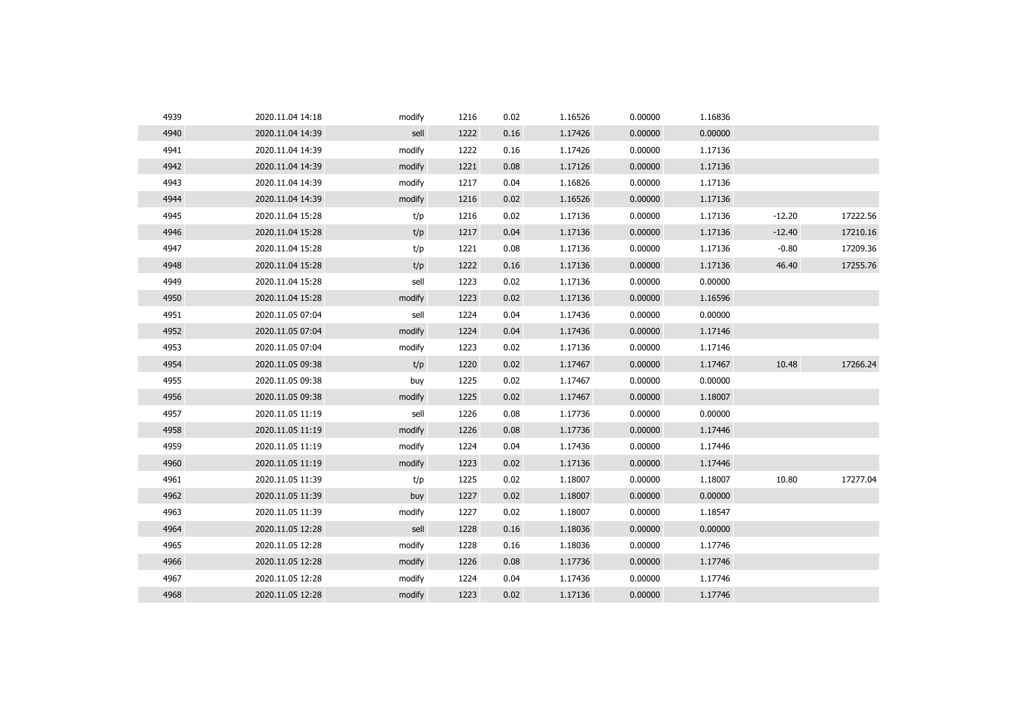| 4939 | 2020.11.04 14:18 | modify | 1216 | 0.02 | 1.16526 | 0.00000 | 1.16836 |          |          |
|------|------------------|--------|------|------|---------|---------|---------|----------|----------|
| 4940 | 2020.11.04 14:39 | sell   | 1222 | 0.16 | 1.17426 | 0.00000 | 0.00000 |          |          |
| 4941 | 2020.11.04 14:39 | modify | 1222 | 0.16 | 1.17426 | 0.00000 | 1.17136 |          |          |
| 4942 | 2020.11.04 14:39 | modify | 1221 | 0.08 | 1.17126 | 0.00000 | 1.17136 |          |          |
| 4943 | 2020.11.04 14:39 | modify | 1217 | 0.04 | 1.16826 | 0.00000 | 1.17136 |          |          |
| 4944 | 2020.11.04 14:39 | modify | 1216 | 0.02 | 1.16526 | 0.00000 | 1.17136 |          |          |
| 4945 | 2020.11.04 15:28 | t/p    | 1216 | 0.02 | 1.17136 | 0.00000 | 1.17136 | $-12.20$ | 17222.56 |
| 4946 | 2020.11.04 15:28 | t/p    | 1217 | 0.04 | 1.17136 | 0.00000 | 1.17136 | $-12.40$ | 17210.16 |
| 4947 | 2020.11.04 15:28 | t/p    | 1221 | 0.08 | 1.17136 | 0.00000 | 1.17136 | $-0.80$  | 17209.36 |
| 4948 | 2020.11.04 15:28 | t/p    | 1222 | 0.16 | 1.17136 | 0.00000 | 1.17136 | 46.40    | 17255.76 |
| 4949 | 2020.11.04 15:28 | sell   | 1223 | 0.02 | 1.17136 | 0.00000 | 0.00000 |          |          |
| 4950 | 2020.11.04 15:28 | modify | 1223 | 0.02 | 1.17136 | 0.00000 | 1.16596 |          |          |
| 4951 | 2020.11.05 07:04 | sell   | 1224 | 0.04 | 1.17436 | 0.00000 | 0.00000 |          |          |
| 4952 | 2020.11.05 07:04 | modify | 1224 | 0.04 | 1.17436 | 0.00000 | 1.17146 |          |          |
| 4953 | 2020.11.05 07:04 | modify | 1223 | 0.02 | 1.17136 | 0.00000 | 1.17146 |          |          |
| 4954 | 2020.11.05 09:38 | t/p    | 1220 | 0.02 | 1.17467 | 0.00000 | 1.17467 | 10.48    | 17266.24 |
| 4955 | 2020.11.05 09:38 | buy    | 1225 | 0.02 | 1.17467 | 0.00000 | 0.00000 |          |          |
| 4956 | 2020.11.05 09:38 | modify | 1225 | 0.02 | 1.17467 | 0.00000 | 1.18007 |          |          |
| 4957 | 2020.11.05 11:19 | sell   | 1226 | 0.08 | 1.17736 | 0.00000 | 0.00000 |          |          |
| 4958 | 2020.11.05 11:19 | modify | 1226 | 0.08 | 1.17736 | 0.00000 | 1.17446 |          |          |
| 4959 | 2020.11.05 11:19 | modify | 1224 | 0.04 | 1.17436 | 0.00000 | 1.17446 |          |          |
| 4960 | 2020.11.05 11:19 | modify | 1223 | 0.02 | 1.17136 | 0.00000 | 1.17446 |          |          |
| 4961 | 2020.11.05 11:39 | t/p    | 1225 | 0.02 | 1.18007 | 0.00000 | 1.18007 | 10.80    | 17277.04 |
| 4962 | 2020.11.05 11:39 | buy    | 1227 | 0.02 | 1.18007 | 0.00000 | 0.00000 |          |          |
| 4963 | 2020.11.05 11:39 | modify | 1227 | 0.02 | 1.18007 | 0.00000 | 1.18547 |          |          |
| 4964 | 2020.11.05 12:28 | sell   | 1228 | 0.16 | 1.18036 | 0.00000 | 0.00000 |          |          |
| 4965 | 2020.11.05 12:28 | modify | 1228 | 0.16 | 1.18036 | 0.00000 | 1.17746 |          |          |
| 4966 | 2020.11.05 12:28 | modify | 1226 | 0.08 | 1.17736 | 0.00000 | 1.17746 |          |          |
| 4967 | 2020.11.05 12:28 | modify | 1224 | 0.04 | 1.17436 | 0.00000 | 1.17746 |          |          |
| 4968 | 2020.11.05 12:28 | modify | 1223 | 0.02 | 1.17136 | 0.00000 | 1.17746 |          |          |
|      |                  |        |      |      |         |         |         |          |          |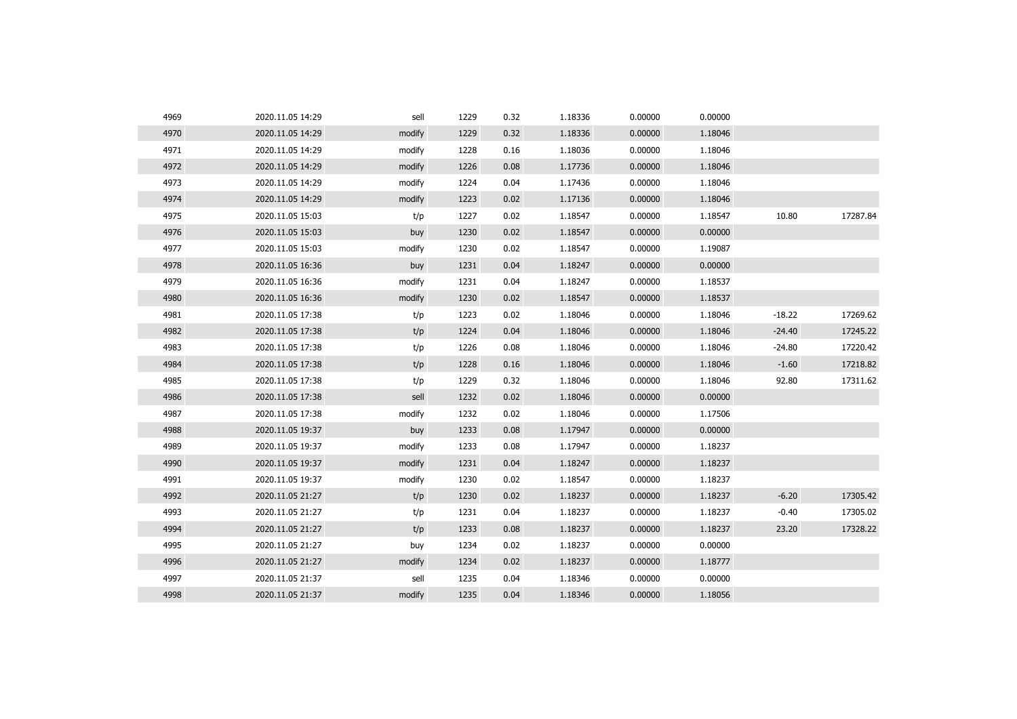| 4969 | 2020.11.05 14:29 | sell   | 1229 | 0.32 | 1.18336 | 0.00000 | 0.00000 |          |          |
|------|------------------|--------|------|------|---------|---------|---------|----------|----------|
| 4970 | 2020.11.05 14:29 | modify | 1229 | 0.32 | 1.18336 | 0.00000 | 1.18046 |          |          |
| 4971 | 2020.11.05 14:29 | modify | 1228 | 0.16 | 1.18036 | 0.00000 | 1.18046 |          |          |
| 4972 | 2020.11.05 14:29 | modify | 1226 | 0.08 | 1.17736 | 0.00000 | 1.18046 |          |          |
| 4973 | 2020.11.05 14:29 | modify | 1224 | 0.04 | 1.17436 | 0.00000 | 1.18046 |          |          |
| 4974 | 2020.11.05 14:29 | modify | 1223 | 0.02 | 1.17136 | 0.00000 | 1.18046 |          |          |
| 4975 | 2020.11.05 15:03 | t/p    | 1227 | 0.02 | 1.18547 | 0.00000 | 1.18547 | 10.80    | 17287.84 |
| 4976 | 2020.11.05 15:03 | buy    | 1230 | 0.02 | 1.18547 | 0.00000 | 0.00000 |          |          |
| 4977 | 2020.11.05 15:03 | modify | 1230 | 0.02 | 1.18547 | 0.00000 | 1.19087 |          |          |
| 4978 | 2020.11.05 16:36 | buy    | 1231 | 0.04 | 1.18247 | 0.00000 | 0.00000 |          |          |
| 4979 | 2020.11.05 16:36 | modify | 1231 | 0.04 | 1.18247 | 0.00000 | 1.18537 |          |          |
| 4980 | 2020.11.05 16:36 | modify | 1230 | 0.02 | 1.18547 | 0.00000 | 1.18537 |          |          |
| 4981 | 2020.11.05 17:38 | t/p    | 1223 | 0.02 | 1.18046 | 0.00000 | 1.18046 | $-18.22$ | 17269.62 |
| 4982 | 2020.11.05 17:38 | t/p    | 1224 | 0.04 | 1.18046 | 0.00000 | 1.18046 | $-24.40$ | 17245.22 |
| 4983 | 2020.11.05 17:38 | t/p    | 1226 | 0.08 | 1.18046 | 0.00000 | 1.18046 | $-24.80$ | 17220.42 |
| 4984 | 2020.11.05 17:38 | t/p    | 1228 | 0.16 | 1.18046 | 0.00000 | 1.18046 | $-1.60$  | 17218.82 |
| 4985 | 2020.11.05 17:38 | t/p    | 1229 | 0.32 | 1.18046 | 0.00000 | 1.18046 | 92.80    | 17311.62 |
| 4986 | 2020.11.05 17:38 | sell   | 1232 | 0.02 | 1.18046 | 0.00000 | 0.00000 |          |          |
| 4987 | 2020.11.05 17:38 | modify | 1232 | 0.02 | 1.18046 | 0.00000 | 1.17506 |          |          |
| 4988 | 2020.11.05 19:37 | buy    | 1233 | 0.08 | 1.17947 | 0.00000 | 0.00000 |          |          |
| 4989 | 2020.11.05 19:37 | modify | 1233 | 0.08 | 1.17947 | 0.00000 | 1.18237 |          |          |
| 4990 | 2020.11.05 19:37 | modify | 1231 | 0.04 | 1.18247 | 0.00000 | 1.18237 |          |          |
| 4991 | 2020.11.05 19:37 | modify | 1230 | 0.02 | 1.18547 | 0.00000 | 1.18237 |          |          |
| 4992 | 2020.11.05 21:27 | t/p    | 1230 | 0.02 | 1.18237 | 0.00000 | 1.18237 | $-6.20$  | 17305.42 |
| 4993 | 2020.11.05 21:27 | t/p    | 1231 | 0.04 | 1.18237 | 0.00000 | 1.18237 | $-0.40$  | 17305.02 |
| 4994 | 2020.11.05 21:27 | t/p    | 1233 | 0.08 | 1.18237 | 0.00000 | 1.18237 | 23.20    | 17328.22 |
| 4995 | 2020.11.05 21:27 | buy    | 1234 | 0.02 | 1.18237 | 0.00000 | 0.00000 |          |          |
| 4996 | 2020.11.05 21:27 | modify | 1234 | 0.02 | 1.18237 | 0.00000 | 1.18777 |          |          |
| 4997 | 2020.11.05 21:37 | sell   | 1235 | 0.04 | 1.18346 | 0.00000 | 0.00000 |          |          |
| 4998 | 2020.11.05 21:37 | modify | 1235 | 0.04 | 1.18346 | 0.00000 | 1.18056 |          |          |
|      |                  |        |      |      |         |         |         |          |          |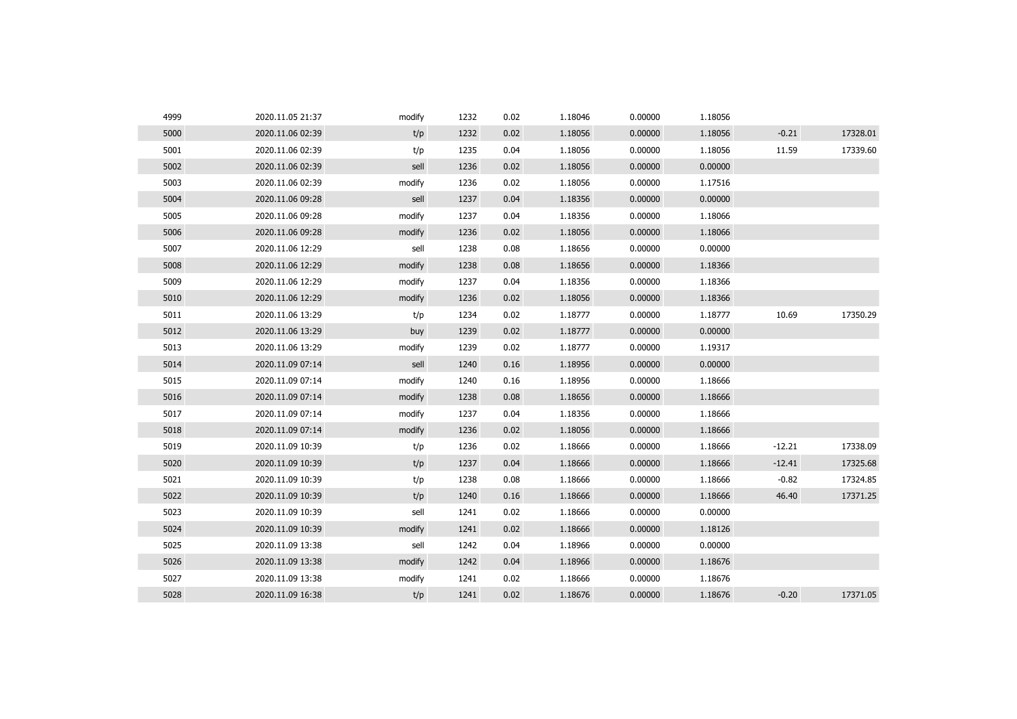| 4999 | 2020.11.05 21:37 | modify | 1232 | 0.02 | 1.18046 | 0.00000 | 1.18056 |          |          |
|------|------------------|--------|------|------|---------|---------|---------|----------|----------|
| 5000 | 2020.11.06 02:39 | t/p    | 1232 | 0.02 | 1.18056 | 0.00000 | 1.18056 | $-0.21$  | 17328.01 |
| 5001 | 2020.11.06 02:39 | t/p    | 1235 | 0.04 | 1.18056 | 0.00000 | 1.18056 | 11.59    | 17339.60 |
| 5002 | 2020.11.06 02:39 | sell   | 1236 | 0.02 | 1.18056 | 0.00000 | 0.00000 |          |          |
| 5003 | 2020.11.06 02:39 | modify | 1236 | 0.02 | 1.18056 | 0.00000 | 1.17516 |          |          |
| 5004 | 2020.11.06 09:28 | sell   | 1237 | 0.04 | 1.18356 | 0.00000 | 0.00000 |          |          |
| 5005 | 2020.11.06 09:28 | modify | 1237 | 0.04 | 1.18356 | 0.00000 | 1.18066 |          |          |
| 5006 | 2020.11.06 09:28 | modify | 1236 | 0.02 | 1.18056 | 0.00000 | 1.18066 |          |          |
| 5007 | 2020.11.06 12:29 | sell   | 1238 | 0.08 | 1.18656 | 0.00000 | 0.00000 |          |          |
| 5008 | 2020.11.06 12:29 | modify | 1238 | 0.08 | 1.18656 | 0.00000 | 1.18366 |          |          |
| 5009 | 2020.11.06 12:29 | modify | 1237 | 0.04 | 1.18356 | 0.00000 | 1.18366 |          |          |
| 5010 | 2020.11.06 12:29 | modify | 1236 | 0.02 | 1.18056 | 0.00000 | 1.18366 |          |          |
| 5011 | 2020.11.06 13:29 | t/p    | 1234 | 0.02 | 1.18777 | 0.00000 | 1.18777 | 10.69    | 17350.29 |
| 5012 | 2020.11.06 13:29 | buy    | 1239 | 0.02 | 1.18777 | 0.00000 | 0.00000 |          |          |
| 5013 | 2020.11.06 13:29 | modify | 1239 | 0.02 | 1.18777 | 0.00000 | 1.19317 |          |          |
| 5014 | 2020.11.09 07:14 | sell   | 1240 | 0.16 | 1.18956 | 0.00000 | 0.00000 |          |          |
| 5015 | 2020.11.09 07:14 | modify | 1240 | 0.16 | 1.18956 | 0.00000 | 1.18666 |          |          |
| 5016 | 2020.11.09 07:14 | modify | 1238 | 0.08 | 1.18656 | 0.00000 | 1.18666 |          |          |
| 5017 | 2020.11.09 07:14 | modify | 1237 | 0.04 | 1.18356 | 0.00000 | 1.18666 |          |          |
| 5018 | 2020.11.09 07:14 | modify | 1236 | 0.02 | 1.18056 | 0.00000 | 1.18666 |          |          |
| 5019 | 2020.11.09 10:39 | t/p    | 1236 | 0.02 | 1.18666 | 0.00000 | 1.18666 | $-12.21$ | 17338.09 |
| 5020 | 2020.11.09 10:39 | t/p    | 1237 | 0.04 | 1.18666 | 0.00000 | 1.18666 | $-12.41$ | 17325.68 |
| 5021 | 2020.11.09 10:39 | t/p    | 1238 | 0.08 | 1.18666 | 0.00000 | 1.18666 | $-0.82$  | 17324.85 |
| 5022 | 2020.11.09 10:39 | t/p    | 1240 | 0.16 | 1.18666 | 0.00000 | 1.18666 | 46.40    | 17371.25 |
| 5023 | 2020.11.09 10:39 | sell   | 1241 | 0.02 | 1.18666 | 0.00000 | 0.00000 |          |          |
| 5024 | 2020.11.09 10:39 | modify | 1241 | 0.02 | 1.18666 | 0.00000 | 1.18126 |          |          |
| 5025 | 2020.11.09 13:38 | sell   | 1242 | 0.04 | 1.18966 | 0.00000 | 0.00000 |          |          |
| 5026 | 2020.11.09 13:38 | modify | 1242 | 0.04 | 1.18966 | 0.00000 | 1.18676 |          |          |
| 5027 | 2020.11.09 13:38 | modify | 1241 | 0.02 | 1.18666 | 0.00000 | 1.18676 |          |          |
| 5028 | 2020.11.09 16:38 | t/p    | 1241 | 0.02 | 1.18676 | 0.00000 | 1.18676 | $-0.20$  | 17371.05 |
|      |                  |        |      |      |         |         |         |          |          |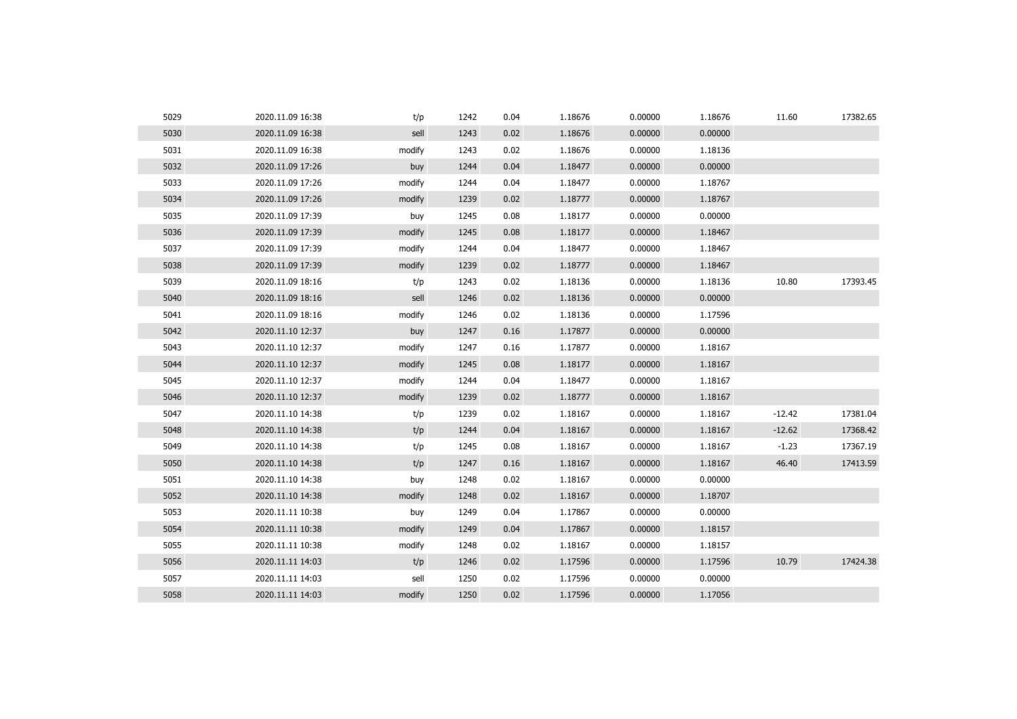| 5029 | 2020.11.09 16:38 | t/p    | 1242 | 0.04 | 1.18676 | 0.00000 | 1.18676 | 11.60    | 17382.65 |
|------|------------------|--------|------|------|---------|---------|---------|----------|----------|
| 5030 | 2020.11.09 16:38 | sell   | 1243 | 0.02 | 1.18676 | 0.00000 | 0.00000 |          |          |
| 5031 | 2020.11.09 16:38 | modify | 1243 | 0.02 | 1.18676 | 0.00000 | 1.18136 |          |          |
| 5032 | 2020.11.09 17:26 | buy    | 1244 | 0.04 | 1.18477 | 0.00000 | 0.00000 |          |          |
| 5033 | 2020.11.09 17:26 | modify | 1244 | 0.04 | 1.18477 | 0.00000 | 1.18767 |          |          |
| 5034 | 2020.11.09 17:26 | modify | 1239 | 0.02 | 1.18777 | 0.00000 | 1.18767 |          |          |
| 5035 | 2020.11.09 17:39 | buy    | 1245 | 0.08 | 1.18177 | 0.00000 | 0.00000 |          |          |
| 5036 | 2020.11.09 17:39 | modify | 1245 | 0.08 | 1.18177 | 0.00000 | 1.18467 |          |          |
| 5037 | 2020.11.09 17:39 | modify | 1244 | 0.04 | 1.18477 | 0.00000 | 1.18467 |          |          |
| 5038 | 2020.11.09 17:39 | modify | 1239 | 0.02 | 1.18777 | 0.00000 | 1.18467 |          |          |
| 5039 | 2020.11.09 18:16 | t/p    | 1243 | 0.02 | 1.18136 | 0.00000 | 1.18136 | 10.80    | 17393.45 |
| 5040 | 2020.11.09 18:16 | sell   | 1246 | 0.02 | 1.18136 | 0.00000 | 0.00000 |          |          |
| 5041 | 2020.11.09 18:16 | modify | 1246 | 0.02 | 1.18136 | 0.00000 | 1.17596 |          |          |
| 5042 | 2020.11.10 12:37 | buy    | 1247 | 0.16 | 1.17877 | 0.00000 | 0.00000 |          |          |
| 5043 | 2020.11.10 12:37 | modify | 1247 | 0.16 | 1.17877 | 0.00000 | 1.18167 |          |          |
| 5044 | 2020.11.10 12:37 | modify | 1245 | 0.08 | 1.18177 | 0.00000 | 1.18167 |          |          |
| 5045 | 2020.11.10 12:37 | modify | 1244 | 0.04 | 1.18477 | 0.00000 | 1.18167 |          |          |
| 5046 | 2020.11.10 12:37 | modify | 1239 | 0.02 | 1.18777 | 0.00000 | 1.18167 |          |          |
| 5047 | 2020.11.10 14:38 | t/p    | 1239 | 0.02 | 1.18167 | 0.00000 | 1.18167 | $-12.42$ | 17381.04 |
| 5048 | 2020.11.10 14:38 | t/p    | 1244 | 0.04 | 1.18167 | 0.00000 | 1.18167 | $-12.62$ | 17368.42 |
| 5049 | 2020.11.10 14:38 | t/p    | 1245 | 0.08 | 1.18167 | 0.00000 | 1.18167 | $-1.23$  | 17367.19 |
| 5050 | 2020.11.10 14:38 | t/p    | 1247 | 0.16 | 1.18167 | 0.00000 | 1.18167 | 46.40    | 17413.59 |
| 5051 | 2020.11.10 14:38 | buy    | 1248 | 0.02 | 1.18167 | 0.00000 | 0.00000 |          |          |
| 5052 | 2020.11.10 14:38 | modify | 1248 | 0.02 | 1.18167 | 0.00000 | 1.18707 |          |          |
| 5053 | 2020.11.11 10:38 | buy    | 1249 | 0.04 | 1.17867 | 0.00000 | 0.00000 |          |          |
| 5054 | 2020.11.11 10:38 | modify | 1249 | 0.04 | 1.17867 | 0.00000 | 1.18157 |          |          |
| 5055 | 2020.11.11 10:38 | modify | 1248 | 0.02 | 1.18167 | 0.00000 | 1.18157 |          |          |
| 5056 | 2020.11.11 14:03 | t/p    | 1246 | 0.02 | 1.17596 | 0.00000 | 1.17596 | 10.79    | 17424.38 |
| 5057 | 2020.11.11 14:03 | sell   | 1250 | 0.02 | 1.17596 | 0.00000 | 0.00000 |          |          |
| 5058 | 2020.11.11 14:03 | modify | 1250 | 0.02 | 1.17596 | 0.00000 | 1.17056 |          |          |
|      |                  |        |      |      |         |         |         |          |          |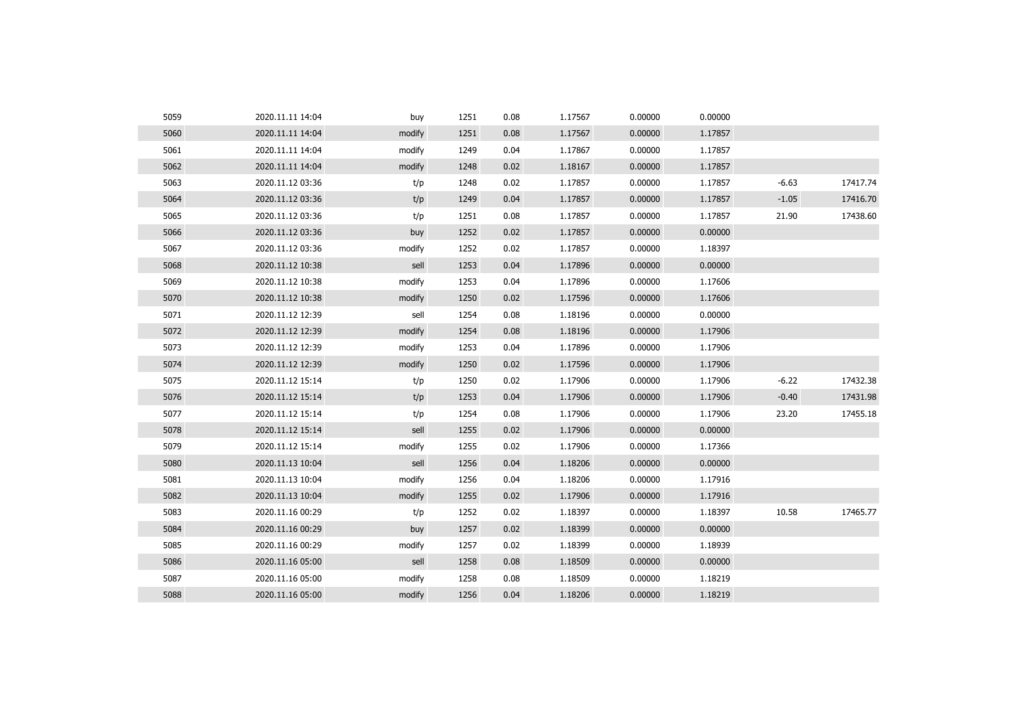| 5059 | 2020.11.11 14:04 | buy    | 1251 | 0.08 | 1.17567 | 0.00000 | 0.00000 |         |          |
|------|------------------|--------|------|------|---------|---------|---------|---------|----------|
| 5060 | 2020.11.11 14:04 | modify | 1251 | 0.08 | 1.17567 | 0.00000 | 1.17857 |         |          |
| 5061 | 2020.11.11 14:04 | modify | 1249 | 0.04 | 1.17867 | 0.00000 | 1.17857 |         |          |
| 5062 | 2020.11.11 14:04 | modify | 1248 | 0.02 | 1.18167 | 0.00000 | 1.17857 |         |          |
| 5063 | 2020.11.12 03:36 | t/p    | 1248 | 0.02 | 1.17857 | 0.00000 | 1.17857 | $-6.63$ | 17417.74 |
| 5064 | 2020.11.12 03:36 | t/p    | 1249 | 0.04 | 1.17857 | 0.00000 | 1.17857 | $-1.05$ | 17416.70 |
| 5065 | 2020.11.12 03:36 | t/p    | 1251 | 0.08 | 1.17857 | 0.00000 | 1.17857 | 21.90   | 17438.60 |
| 5066 | 2020.11.12 03:36 | buy    | 1252 | 0.02 | 1.17857 | 0.00000 | 0.00000 |         |          |
| 5067 | 2020.11.12 03:36 | modify | 1252 | 0.02 | 1.17857 | 0.00000 | 1.18397 |         |          |
| 5068 | 2020.11.12 10:38 | sell   | 1253 | 0.04 | 1.17896 | 0.00000 | 0.00000 |         |          |
| 5069 | 2020.11.12 10:38 | modify | 1253 | 0.04 | 1.17896 | 0.00000 | 1.17606 |         |          |
| 5070 | 2020.11.12 10:38 | modify | 1250 | 0.02 | 1.17596 | 0.00000 | 1.17606 |         |          |
| 5071 | 2020.11.12 12:39 | sell   | 1254 | 0.08 | 1.18196 | 0.00000 | 0.00000 |         |          |
| 5072 | 2020.11.12 12:39 | modify | 1254 | 0.08 | 1.18196 | 0.00000 | 1.17906 |         |          |
| 5073 | 2020.11.12 12:39 | modify | 1253 | 0.04 | 1.17896 | 0.00000 | 1.17906 |         |          |
| 5074 | 2020.11.12 12:39 | modify | 1250 | 0.02 | 1.17596 | 0.00000 | 1.17906 |         |          |
| 5075 | 2020.11.12 15:14 | t/p    | 1250 | 0.02 | 1.17906 | 0.00000 | 1.17906 | $-6.22$ | 17432.38 |
| 5076 | 2020.11.12 15:14 | t/p    | 1253 | 0.04 | 1.17906 | 0.00000 | 1.17906 | $-0.40$ | 17431.98 |
| 5077 | 2020.11.12 15:14 | t/p    | 1254 | 0.08 | 1.17906 | 0.00000 | 1.17906 | 23.20   | 17455.18 |
| 5078 | 2020.11.12 15:14 | sell   | 1255 | 0.02 | 1.17906 | 0.00000 | 0.00000 |         |          |
| 5079 | 2020.11.12 15:14 | modify | 1255 | 0.02 | 1.17906 | 0.00000 | 1.17366 |         |          |
| 5080 | 2020.11.13 10:04 | sell   | 1256 | 0.04 | 1.18206 | 0.00000 | 0.00000 |         |          |
| 5081 | 2020.11.13 10:04 | modify | 1256 | 0.04 | 1.18206 | 0.00000 | 1.17916 |         |          |
| 5082 | 2020.11.13 10:04 | modify | 1255 | 0.02 | 1.17906 | 0.00000 | 1.17916 |         |          |
| 5083 | 2020.11.16 00:29 | t/p    | 1252 | 0.02 | 1.18397 | 0.00000 | 1.18397 | 10.58   | 17465.77 |
| 5084 | 2020.11.16 00:29 | buy    | 1257 | 0.02 | 1.18399 | 0.00000 | 0.00000 |         |          |
| 5085 | 2020.11.16 00:29 | modify | 1257 | 0.02 | 1.18399 | 0.00000 | 1.18939 |         |          |
| 5086 | 2020.11.16 05:00 | sell   | 1258 | 0.08 | 1.18509 | 0.00000 | 0.00000 |         |          |
| 5087 | 2020.11.16 05:00 | modify | 1258 | 0.08 | 1.18509 | 0.00000 | 1.18219 |         |          |
| 5088 | 2020.11.16 05:00 | modify | 1256 | 0.04 | 1.18206 | 0.00000 | 1.18219 |         |          |
|      |                  |        |      |      |         |         |         |         |          |